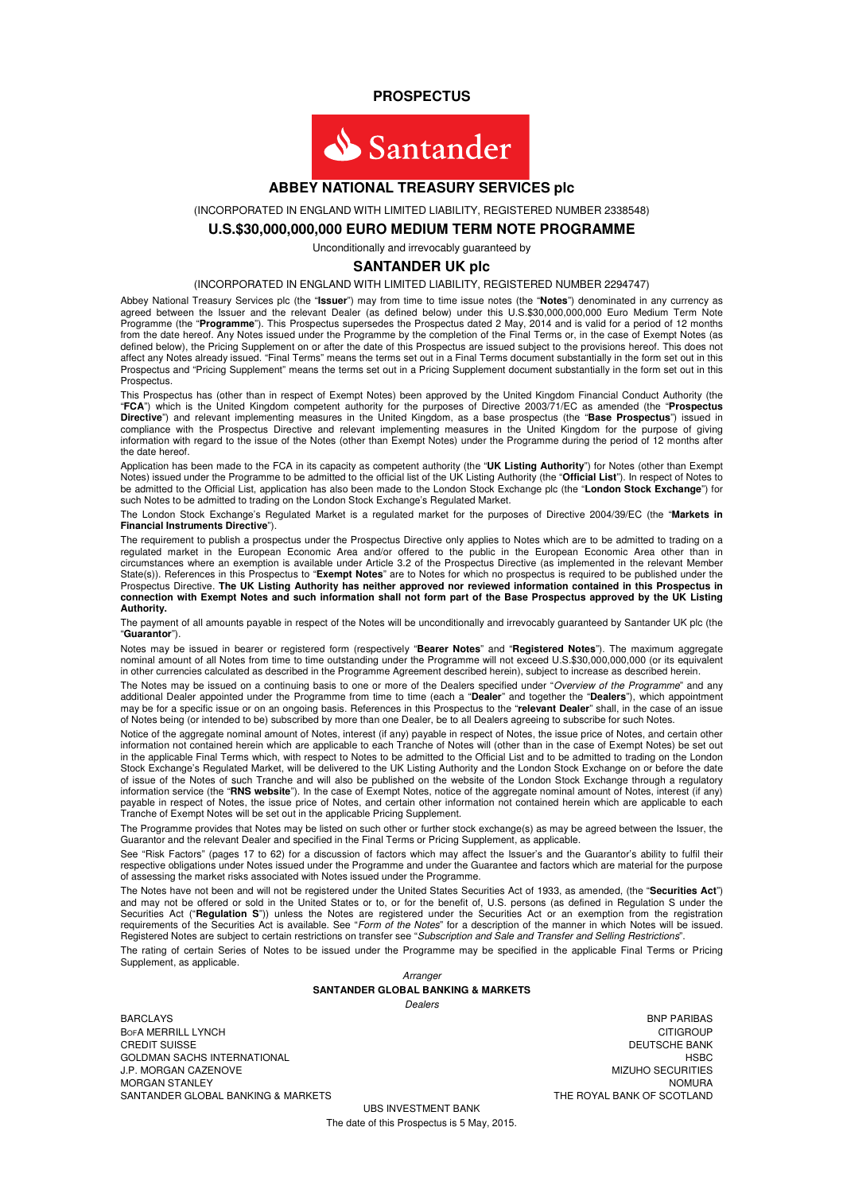**PROSPECTUS** 



#### **ABBEY NATIONAL TREASURY SERVICES plc**

(INCORPORATED IN ENGLAND WITH LIMITED LIABILITY, REGISTERED NUMBER 2338548)

### **U.S.\$30,000,000,000 EURO MEDIUM TERM NOTE PROGRAMME**

Unconditionally and irrevocably guaranteed by

#### **SANTANDER UK plc**

#### (INCORPORATED IN ENGLAND WITH LIMITED LIABILITY, REGISTERED NUMBER 2294747)

Abbey National Treasury Services plc (the "**Issuer**") may from time to time issue notes (the "**Notes**") denominated in any currency as agreed between the Issuer and the relevant Dealer (as defined below) under this U.S.\$30,000,000,000 Euro Medium Term Note<br>Programme (the "**Programme**"). This Prospectus supersedes the Prospectus dated 2 May, 2014 and is va from the date hereof. Any Notes issued under the Programme by the completion of the Final Terms or, in the case of Exempt Notes (as defined below), the Pricing Supplement on or after the date of this Prospectus are issued subject to the provisions hereof. This does not affect any Notes already issued. "Final Terms" means the terms set out in a Final Terms document substantially in the form set out in this Prospectus and "Pricing Supplement" means the terms set out in a Pricing Supplement document substantially in the form set out in this Prospectus.

This Prospectus has (other than in respect of Exempt Notes) been approved by the United Kingdom Financial Conduct Authority (the "**FCA**") which is the United Kingdom competent authority for the purposes of Directive 2003/71/EC as amended (the "**Prospectus Directive**") and relevant implementing measures in the United Kingdom, as a base prospectus (the "**Base Prospectus**") issued in compliance with the Prospectus Directive and relevant implementing measures in the United Kingdom for the purpose of giving information with regard to the issue of the Notes (other than Exempt Notes) under the Programme during the period of 12 months after the date hereof.

Application has been made to the FCA in its capacity as competent authority (the "**UK Listing Authority**") for Notes (other than Exempt Notes) issued under the Programme to be admitted to the official list of the UK Listing Authority (the "**Official List**"). In respect of Notes to be admitted to the Official List, application has also been made to the London Stock Exchange plc (the "**London Stock Exchange**") for such Notes to be admitted to trading on the London Stock Exchange's Regulated Market.

The London Stock Exchange's Regulated Market is a regulated market for the purposes of Directive 2004/39/EC (the "**Markets in Financial Instruments Directive**").

The requirement to publish a prospectus under the Prospectus Directive only applies to Notes which are to be admitted to trading on a regulated market in the European Economic Area and/or offered to the public in the European Economic Area other than in circumstances where an exemption is available under Article 3.2 of the Prospectus Directive (as implemented in the relevant Member State(s)). References in this Prospectus to "**Exempt Notes**" are to Notes for which no prospectus is required to be published under the Prospectus Directive. **The UK Listing Authority has neither approved nor reviewed information contained in this Prospectus in connection with Exempt Notes and such information shall not form part of the Base Prospectus approved by the UK Listing Authority.**

The payment of all amounts payable in respect of the Notes will be unconditionally and irrevocably guaranteed by Santander UK plc (the "**Guarantor**").

Notes may be issued in bearer or registered form (respectively "**Bearer Notes**" and "**Registered Notes**"). The maximum aggregate nominal amount of all Notes from time to time outstanding under the Programme will not exceed U.S.\$30,000,000,000 (or its equivalent in other currencies calculated as described in the Programme Agreement described herein), subject to increase as described herein.

The Notes may be issued on a continuing basis to one or more of the Dealers specified under "Overview of the Programme" and any additional Dealer appointed under the Programme from time to time (each a "**Dealer**" and together the "**Dealers**"), which appointment may be for a specific issue or on an ongoing basis. References in this Prospectus to the "**relevant Dealer**" shall, in the case of an issue of Notes being (or intended to be) subscribed by more than one Dealer, be to all Dealers agreeing to subscribe for such Notes.

Notice of the aggregate nominal amount of Notes, interest (if any) payable in respect of Notes, the issue price of Notes, and certain other information not contained herein which are applicable to each Tranche of Notes will (other than in the case of Exempt Notes) be set out in the applicable Final Terms which, with respect to Notes to be admitted to the Official List and to be admitted to trading on the London Stock Exchange's Regulated Market, will be delivered to the UK Listing Authority and the London Stock Exchange on or before the date of issue of the Notes of such Tranche and will also be published on the website of the London Stock Exchange through a regulatory information service (the "**RNS website**"). In the case of Exempt Notes, notice of the aggregate nominal amount of Notes, interest (if any) payable in respect of Notes, the issue price of Notes, and certain other information not contained herein which are applicable to each Tranche of Exempt Notes will be set out in the applicable Pricing Supplement.

The Programme provides that Notes may be listed on such other or further stock exchange(s) as may be agreed between the Issuer, the Guarantor and the relevant Dealer and specified in the Final Terms or Pricing Supplement, as applicable.

See "Risk Factors" (pages 17 to 62) for a discussion of factors which may affect the Issuer's and the Guarantor's ability to fulfil their respective obligations under Notes issued under the Programme and under the Guarantee and factors which are material for the purpose of assessing the market risks associated with Notes issued under the Programme.

The Notes have not been and will not be registered under the United States Securities Act of 1933, as amended, (the "**Securities Act**") and may not be offered or sold in the United States or to, or for the benefit of, U.S. persons (as defined in Regulation S under the Securities Act ("**Regulation S**")) unless the Notes are registered under the Securities Act or an exemption from the registration requirements of the Securities Act is available. See "Form of the Notes" for a description of the manner in which Notes will be issued. Registered Notes are subject to certain restrictions on transfer see "Subscription and Sale and Transfer and Selling Restrictions".

The rating of certain Series of Notes to be issued under the Programme may be specified in the applicable Final Terms or Pricing Supplement, as applicable.

> Arranger **SANTANDER GLOBAL BANKING & MARKETS**  Dealers

BARCLAYS BNP PARIBAS **BofA MERRILL LYNCH** CITIGROUP CREDIT SUISSE DEUTSCHE BANK DEUTSCHE BANK DEUTSCHE BANK DEUTSCHE BANK DEUTSCHE BANK DEUTSCHE BANK DEUTSCHE BANK GOLDMAN SACHS INTERNATIONAL EXAMPLE IN A SECOND MANUSCULAR MESS ON MIZUHO SECURITIES<br>The Milliam Sachs international example in the second of the second manuscular message of the message of the m<br>Hold of the milliam of the J.P. MORGAN CAZENOVE MIZUHO SECURITIES MORGAN STANLEY<br>
MORGAN SANTANDER GLOBAL BANKING & MARKETS SANTANDER GLOBAL BANKING & MARKETS

UBS INVESTMENT BANK The date of this Prospectus is 5 May, 2015.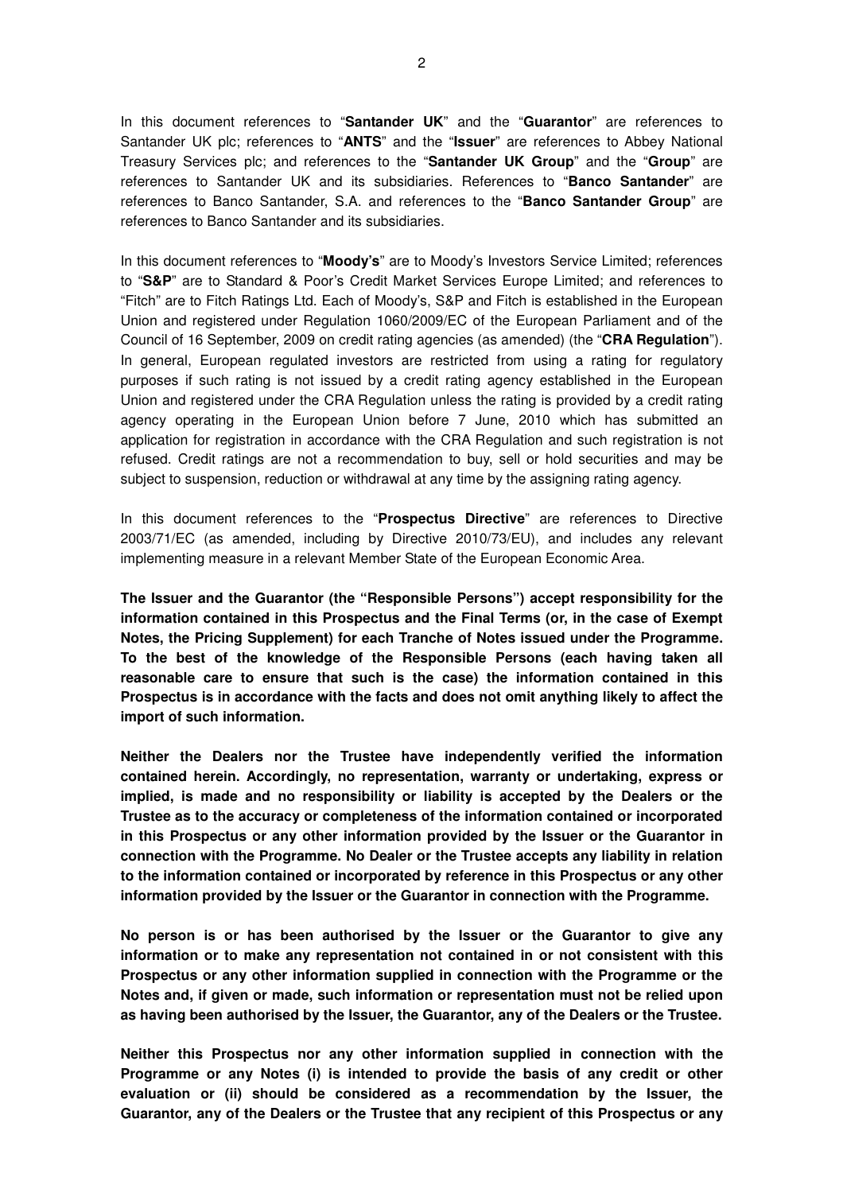In this document references to "**Santander UK**" and the "**Guarantor**" are references to Santander UK plc; references to "**ANTS**" and the "**Issuer**" are references to Abbey National Treasury Services plc; and references to the "**Santander UK Group**" and the "**Group**" are references to Santander UK and its subsidiaries. References to "**Banco Santander**" are references to Banco Santander, S.A. and references to the "**Banco Santander Group**" are references to Banco Santander and its subsidiaries.

In this document references to "**Moody's**" are to Moody's Investors Service Limited; references to "**S&P**" are to Standard & Poor's Credit Market Services Europe Limited; and references to "Fitch" are to Fitch Ratings Ltd. Each of Moody's, S&P and Fitch is established in the European Union and registered under Regulation 1060/2009/EC of the European Parliament and of the Council of 16 September, 2009 on credit rating agencies (as amended) (the "**CRA Regulation**"). In general, European regulated investors are restricted from using a rating for regulatory purposes if such rating is not issued by a credit rating agency established in the European Union and registered under the CRA Regulation unless the rating is provided by a credit rating agency operating in the European Union before 7 June, 2010 which has submitted an application for registration in accordance with the CRA Regulation and such registration is not refused. Credit ratings are not a recommendation to buy, sell or hold securities and may be subject to suspension, reduction or withdrawal at any time by the assigning rating agency.

In this document references to the "**Prospectus Directive**" are references to Directive 2003/71/EC (as amended, including by Directive 2010/73/EU), and includes any relevant implementing measure in a relevant Member State of the European Economic Area.

**The Issuer and the Guarantor (the "Responsible Persons") accept responsibility for the information contained in this Prospectus and the Final Terms (or, in the case of Exempt Notes, the Pricing Supplement) for each Tranche of Notes issued under the Programme. To the best of the knowledge of the Responsible Persons (each having taken all reasonable care to ensure that such is the case) the information contained in this Prospectus is in accordance with the facts and does not omit anything likely to affect the import of such information.** 

**Neither the Dealers nor the Trustee have independently verified the information contained herein. Accordingly, no representation, warranty or undertaking, express or implied, is made and no responsibility or liability is accepted by the Dealers or the Trustee as to the accuracy or completeness of the information contained or incorporated in this Prospectus or any other information provided by the Issuer or the Guarantor in connection with the Programme. No Dealer or the Trustee accepts any liability in relation to the information contained or incorporated by reference in this Prospectus or any other information provided by the Issuer or the Guarantor in connection with the Programme.** 

**No person is or has been authorised by the Issuer or the Guarantor to give any information or to make any representation not contained in or not consistent with this Prospectus or any other information supplied in connection with the Programme or the Notes and, if given or made, such information or representation must not be relied upon as having been authorised by the Issuer, the Guarantor, any of the Dealers or the Trustee.** 

**Neither this Prospectus nor any other information supplied in connection with the Programme or any Notes (i) is intended to provide the basis of any credit or other evaluation or (ii) should be considered as a recommendation by the Issuer, the Guarantor, any of the Dealers or the Trustee that any recipient of this Prospectus or any**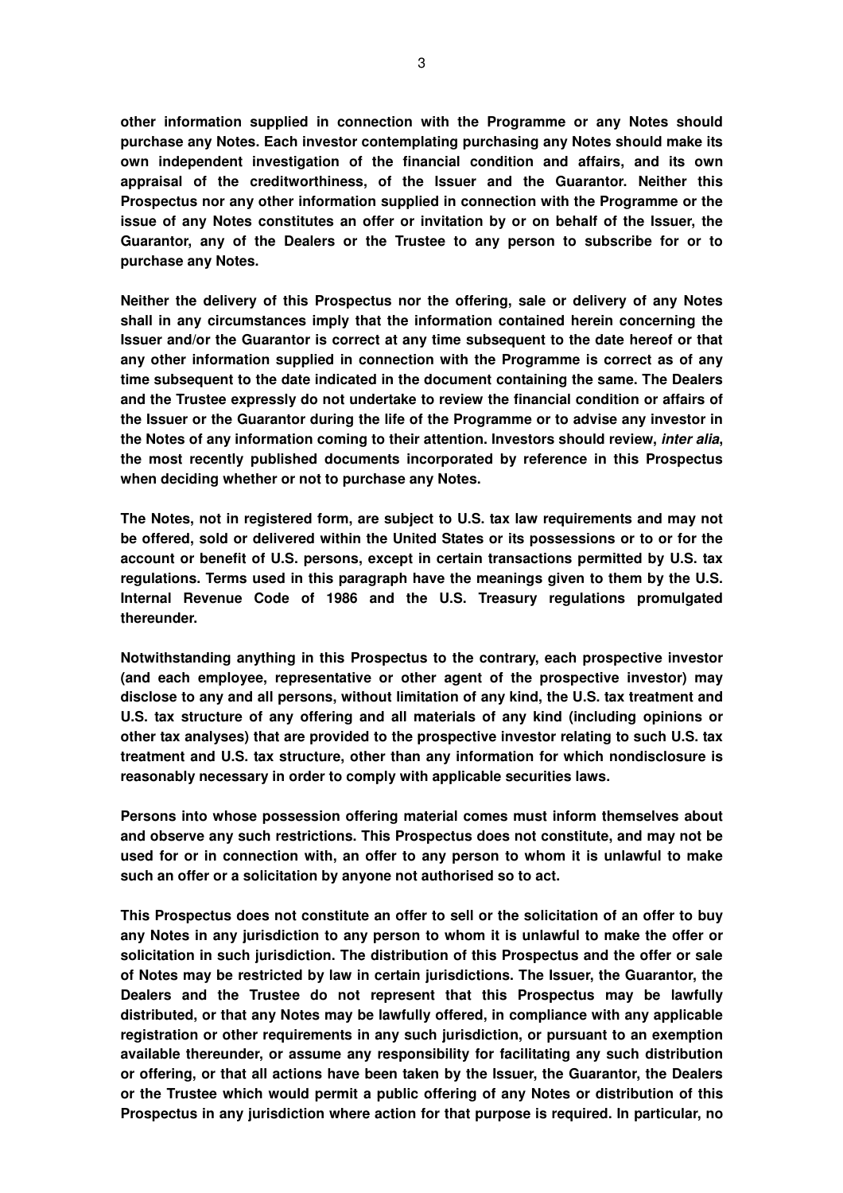**other information supplied in connection with the Programme or any Notes should purchase any Notes. Each investor contemplating purchasing any Notes should make its own independent investigation of the financial condition and affairs, and its own appraisal of the creditworthiness, of the Issuer and the Guarantor. Neither this Prospectus nor any other information supplied in connection with the Programme or the issue of any Notes constitutes an offer or invitation by or on behalf of the Issuer, the Guarantor, any of the Dealers or the Trustee to any person to subscribe for or to purchase any Notes.** 

**Neither the delivery of this Prospectus nor the offering, sale or delivery of any Notes shall in any circumstances imply that the information contained herein concerning the Issuer and/or the Guarantor is correct at any time subsequent to the date hereof or that any other information supplied in connection with the Programme is correct as of any time subsequent to the date indicated in the document containing the same. The Dealers and the Trustee expressly do not undertake to review the financial condition or affairs of the Issuer or the Guarantor during the life of the Programme or to advise any investor in the Notes of any information coming to their attention. Investors should review, inter alia, the most recently published documents incorporated by reference in this Prospectus when deciding whether or not to purchase any Notes.**

**The Notes, not in registered form, are subject to U.S. tax law requirements and may not be offered, sold or delivered within the United States or its possessions or to or for the account or benefit of U.S. persons, except in certain transactions permitted by U.S. tax regulations. Terms used in this paragraph have the meanings given to them by the U.S. Internal Revenue Code of 1986 and the U.S. Treasury regulations promulgated thereunder.** 

**Notwithstanding anything in this Prospectus to the contrary, each prospective investor (and each employee, representative or other agent of the prospective investor) may disclose to any and all persons, without limitation of any kind, the U.S. tax treatment and U.S. tax structure of any offering and all materials of any kind (including opinions or other tax analyses) that are provided to the prospective investor relating to such U.S. tax treatment and U.S. tax structure, other than any information for which nondisclosure is reasonably necessary in order to comply with applicable securities laws.** 

**Persons into whose possession offering material comes must inform themselves about and observe any such restrictions. This Prospectus does not constitute, and may not be used for or in connection with, an offer to any person to whom it is unlawful to make such an offer or a solicitation by anyone not authorised so to act.** 

**This Prospectus does not constitute an offer to sell or the solicitation of an offer to buy any Notes in any jurisdiction to any person to whom it is unlawful to make the offer or solicitation in such jurisdiction. The distribution of this Prospectus and the offer or sale of Notes may be restricted by law in certain jurisdictions. The Issuer, the Guarantor, the Dealers and the Trustee do not represent that this Prospectus may be lawfully distributed, or that any Notes may be lawfully offered, in compliance with any applicable registration or other requirements in any such jurisdiction, or pursuant to an exemption available thereunder, or assume any responsibility for facilitating any such distribution or offering, or that all actions have been taken by the Issuer, the Guarantor, the Dealers or the Trustee which would permit a public offering of any Notes or distribution of this Prospectus in any jurisdiction where action for that purpose is required. In particular, no**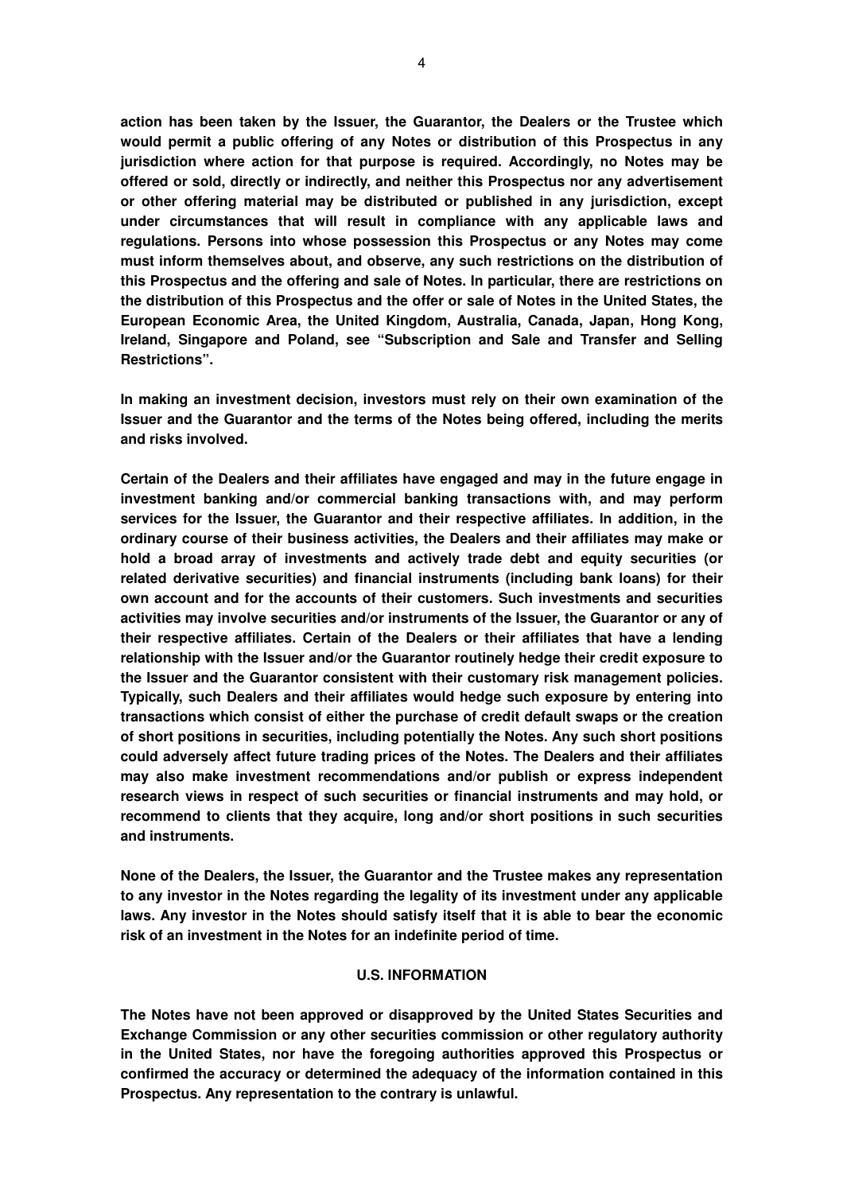**action has been taken by the Issuer, the Guarantor, the Dealers or the Trustee which would permit a public offering of any Notes or distribution of this Prospectus in any jurisdiction where action for that purpose is required. Accordingly, no Notes may be offered or sold, directly or indirectly, and neither this Prospectus nor any advertisement or other offering material may be distributed or published in any jurisdiction, except under circumstances that will result in compliance with any applicable laws and regulations. Persons into whose possession this Prospectus or any Notes may come must inform themselves about, and observe, any such restrictions on the distribution of this Prospectus and the offering and sale of Notes. In particular, there are restrictions on the distribution of this Prospectus and the offer or sale of Notes in the United States, the European Economic Area, the United Kingdom, Australia, Canada, Japan, Hong Kong, Ireland, Singapore and Poland, see "Subscription and Sale and Transfer and Selling Restrictions".** 

**In making an investment decision, investors must rely on their own examination of the Issuer and the Guarantor and the terms of the Notes being offered, including the merits and risks involved.** 

**Certain of the Dealers and their affiliates have engaged and may in the future engage in investment banking and/or commercial banking transactions with, and may perform services for the Issuer, the Guarantor and their respective affiliates. In addition, in the ordinary course of their business activities, the Dealers and their affiliates may make or hold a broad array of investments and actively trade debt and equity securities (or related derivative securities) and financial instruments (including bank loans) for their own account and for the accounts of their customers. Such investments and securities activities may involve securities and/or instruments of the Issuer, the Guarantor or any of their respective affiliates. Certain of the Dealers or their affiliates that have a lending relationship with the Issuer and/or the Guarantor routinely hedge their credit exposure to the Issuer and the Guarantor consistent with their customary risk management policies. Typically, such Dealers and their affiliates would hedge such exposure by entering into transactions which consist of either the purchase of credit default swaps or the creation of short positions in securities, including potentially the Notes. Any such short positions could adversely affect future trading prices of the Notes. The Dealers and their affiliates may also make investment recommendations and/or publish or express independent research views in respect of such securities or financial instruments and may hold, or recommend to clients that they acquire, long and/or short positions in such securities and instruments.** 

**None of the Dealers, the Issuer, the Guarantor and the Trustee makes any representation to any investor in the Notes regarding the legality of its investment under any applicable laws. Any investor in the Notes should satisfy itself that it is able to bear the economic risk of an investment in the Notes for an indefinite period of time.** 

#### **U.S. INFORMATION**

**The Notes have not been approved or disapproved by the United States Securities and Exchange Commission or any other securities commission or other regulatory authority in the United States, nor have the foregoing authorities approved this Prospectus or confirmed the accuracy or determined the adequacy of the information contained in this Prospectus. Any representation to the contrary is unlawful.**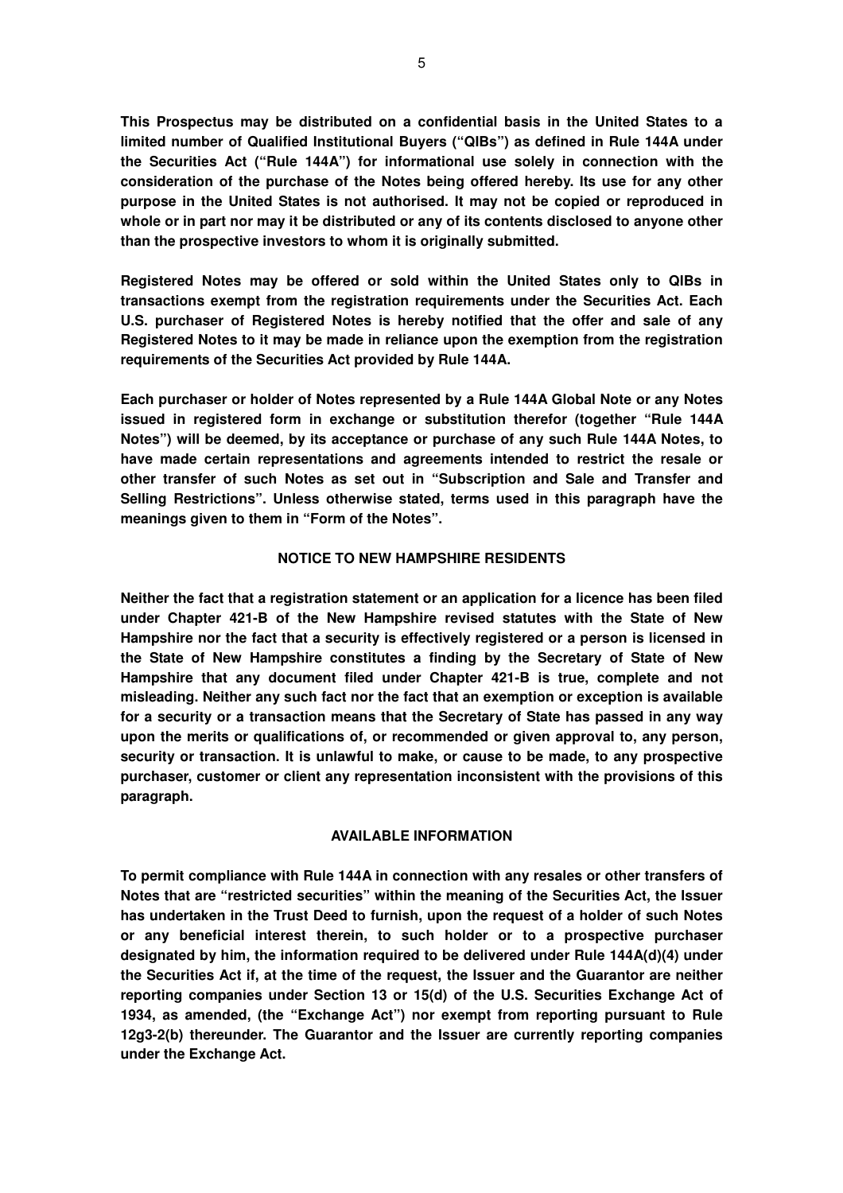**This Prospectus may be distributed on a confidential basis in the United States to a limited number of Qualified Institutional Buyers ("QIBs") as defined in Rule 144A under the Securities Act ("Rule 144A") for informational use solely in connection with the consideration of the purchase of the Notes being offered hereby. Its use for any other purpose in the United States is not authorised. It may not be copied or reproduced in whole or in part nor may it be distributed or any of its contents disclosed to anyone other than the prospective investors to whom it is originally submitted.** 

**Registered Notes may be offered or sold within the United States only to QIBs in transactions exempt from the registration requirements under the Securities Act. Each U.S. purchaser of Registered Notes is hereby notified that the offer and sale of any Registered Notes to it may be made in reliance upon the exemption from the registration requirements of the Securities Act provided by Rule 144A.** 

**Each purchaser or holder of Notes represented by a Rule 144A Global Note or any Notes issued in registered form in exchange or substitution therefor (together "Rule 144A Notes") will be deemed, by its acceptance or purchase of any such Rule 144A Notes, to have made certain representations and agreements intended to restrict the resale or other transfer of such Notes as set out in "Subscription and Sale and Transfer and Selling Restrictions". Unless otherwise stated, terms used in this paragraph have the meanings given to them in "Form of the Notes".** 

### **NOTICE TO NEW HAMPSHIRE RESIDENTS**

**Neither the fact that a registration statement or an application for a licence has been filed under Chapter 421-B of the New Hampshire revised statutes with the State of New Hampshire nor the fact that a security is effectively registered or a person is licensed in the State of New Hampshire constitutes a finding by the Secretary of State of New Hampshire that any document filed under Chapter 421-B is true, complete and not misleading. Neither any such fact nor the fact that an exemption or exception is available for a security or a transaction means that the Secretary of State has passed in any way upon the merits or qualifications of, or recommended or given approval to, any person, security or transaction. It is unlawful to make, or cause to be made, to any prospective purchaser, customer or client any representation inconsistent with the provisions of this paragraph.** 

#### **AVAILABLE INFORMATION**

**To permit compliance with Rule 144A in connection with any resales or other transfers of Notes that are "restricted securities" within the meaning of the Securities Act, the Issuer has undertaken in the Trust Deed to furnish, upon the request of a holder of such Notes or any beneficial interest therein, to such holder or to a prospective purchaser designated by him, the information required to be delivered under Rule 144A(d)(4) under the Securities Act if, at the time of the request, the Issuer and the Guarantor are neither reporting companies under Section 13 or 15(d) of the U.S. Securities Exchange Act of 1934, as amended, (the "Exchange Act") nor exempt from reporting pursuant to Rule 12g3-2(b) thereunder. The Guarantor and the Issuer are currently reporting companies under the Exchange Act.**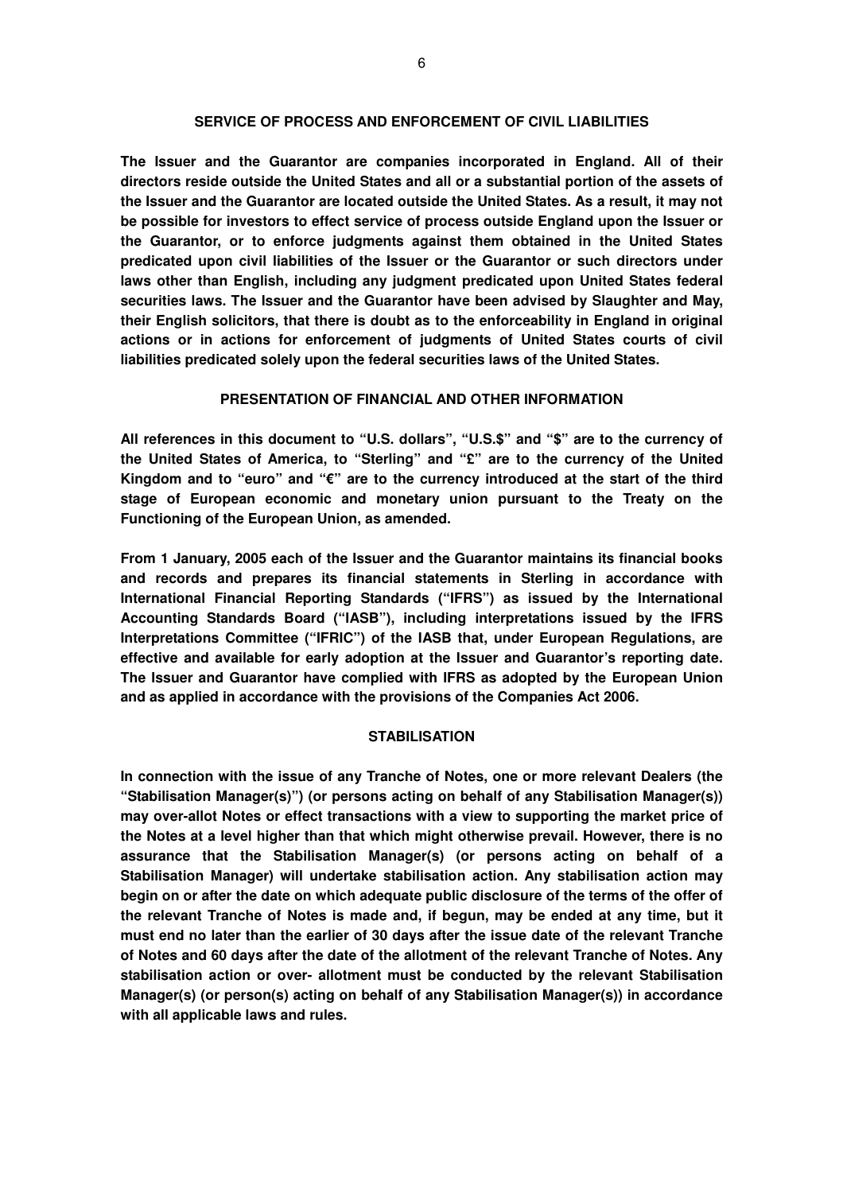### **SERVICE OF PROCESS AND ENFORCEMENT OF CIVIL LIABILITIES**

**The Issuer and the Guarantor are companies incorporated in England. All of their directors reside outside the United States and all or a substantial portion of the assets of the Issuer and the Guarantor are located outside the United States. As a result, it may not be possible for investors to effect service of process outside England upon the Issuer or the Guarantor, or to enforce judgments against them obtained in the United States predicated upon civil liabilities of the Issuer or the Guarantor or such directors under laws other than English, including any judgment predicated upon United States federal securities laws. The Issuer and the Guarantor have been advised by Slaughter and May, their English solicitors, that there is doubt as to the enforceability in England in original actions or in actions for enforcement of judgments of United States courts of civil liabilities predicated solely upon the federal securities laws of the United States.** 

### **PRESENTATION OF FINANCIAL AND OTHER INFORMATION**

**All references in this document to "U.S. dollars", "U.S.\$" and "\$" are to the currency of the United States of America, to "Sterling" and "£" are to the currency of the United Kingdom and to "euro" and "€" are to the currency introduced at the start of the third stage of European economic and monetary union pursuant to the Treaty on the Functioning of the European Union, as amended.** 

**From 1 January, 2005 each of the Issuer and the Guarantor maintains its financial books and records and prepares its financial statements in Sterling in accordance with International Financial Reporting Standards ("IFRS") as issued by the International Accounting Standards Board ("IASB"), including interpretations issued by the IFRS Interpretations Committee ("IFRIC") of the IASB that, under European Regulations, are effective and available for early adoption at the Issuer and Guarantor's reporting date. The Issuer and Guarantor have complied with IFRS as adopted by the European Union and as applied in accordance with the provisions of the Companies Act 2006.** 

#### **STABILISATION**

**In connection with the issue of any Tranche of Notes, one or more relevant Dealers (the "Stabilisation Manager(s)") (or persons acting on behalf of any Stabilisation Manager(s)) may over-allot Notes or effect transactions with a view to supporting the market price of the Notes at a level higher than that which might otherwise prevail. However, there is no assurance that the Stabilisation Manager(s) (or persons acting on behalf of a Stabilisation Manager) will undertake stabilisation action. Any stabilisation action may begin on or after the date on which adequate public disclosure of the terms of the offer of the relevant Tranche of Notes is made and, if begun, may be ended at any time, but it must end no later than the earlier of 30 days after the issue date of the relevant Tranche of Notes and 60 days after the date of the allotment of the relevant Tranche of Notes. Any stabilisation action or over- allotment must be conducted by the relevant Stabilisation Manager(s) (or person(s) acting on behalf of any Stabilisation Manager(s)) in accordance with all applicable laws and rules.**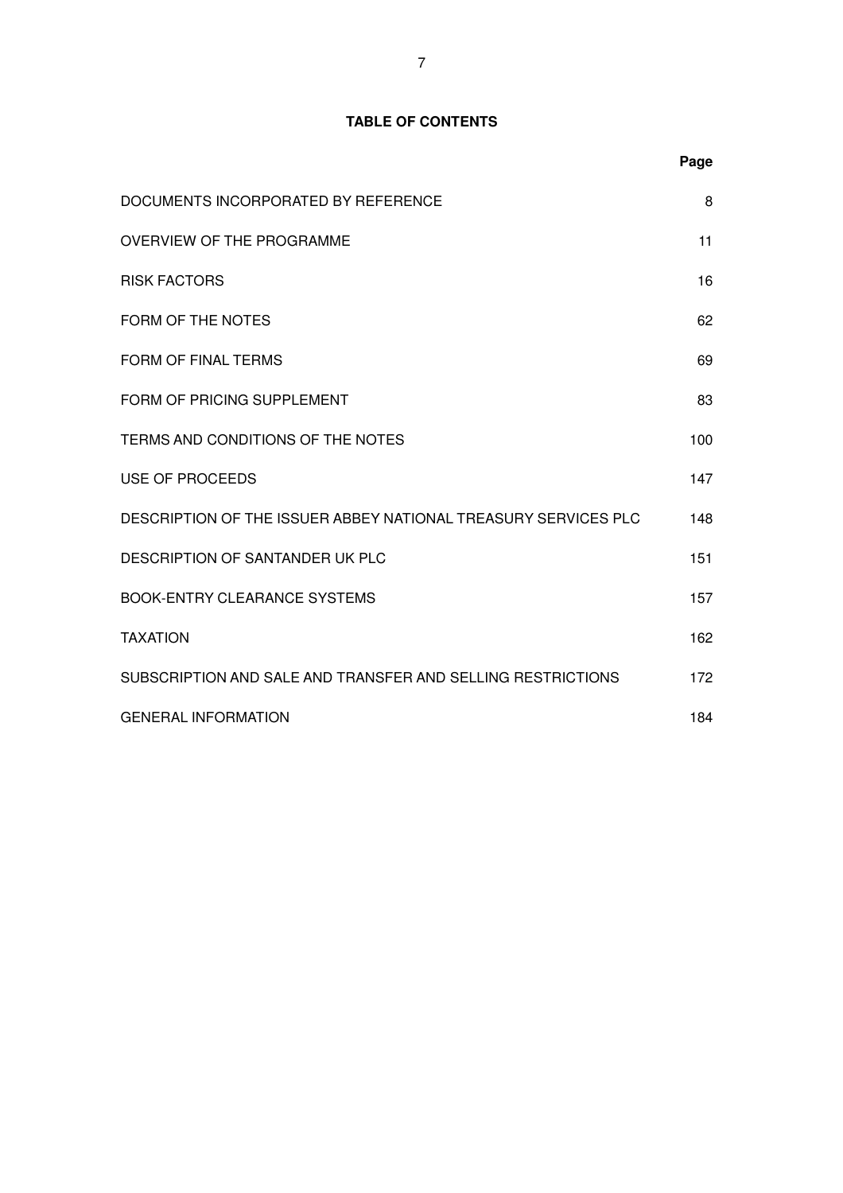# **TABLE OF CONTENTS**

|                                                                | Page |
|----------------------------------------------------------------|------|
| DOCUMENTS INCORPORATED BY REFERENCE                            | 8    |
| OVERVIEW OF THE PROGRAMME                                      | 11   |
| <b>RISK FACTORS</b>                                            | 16   |
| FORM OF THE NOTES                                              | 62   |
| <b>FORM OF FINAL TERMS</b>                                     | 69   |
| FORM OF PRICING SUPPLEMENT                                     | 83   |
| TERMS AND CONDITIONS OF THE NOTES                              | 100  |
| <b>USE OF PROCEEDS</b>                                         | 147  |
| DESCRIPTION OF THE ISSUER ABBEY NATIONAL TREASURY SERVICES PLC | 148  |
| DESCRIPTION OF SANTANDER UK PLC                                | 151  |
| <b>BOOK-ENTRY CLEARANCE SYSTEMS</b>                            | 157  |
| <b>TAXATION</b>                                                | 162  |
| SUBSCRIPTION AND SALE AND TRANSFER AND SELLING RESTRICTIONS    | 172  |
| <b>GENERAL INFORMATION</b>                                     | 184  |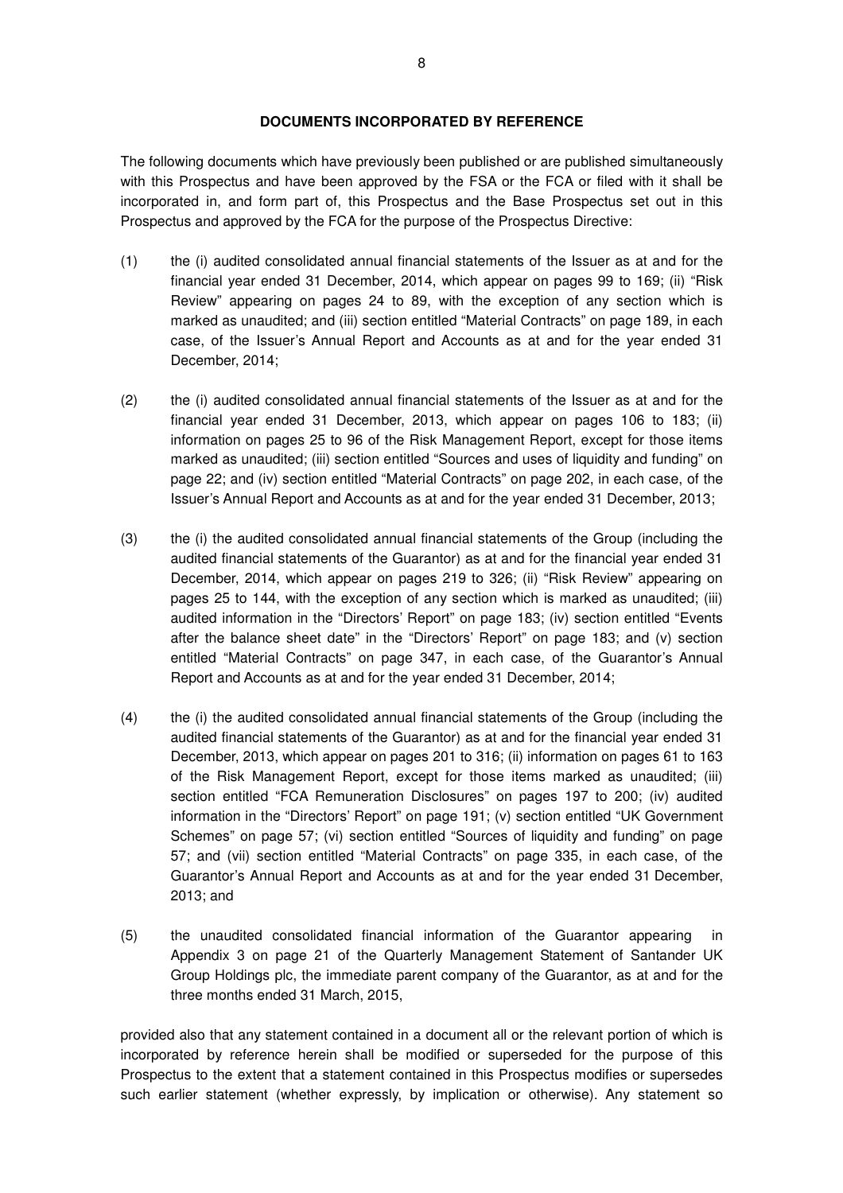### **DOCUMENTS INCORPORATED BY REFERENCE**

The following documents which have previously been published or are published simultaneously with this Prospectus and have been approved by the FSA or the FCA or filed with it shall be incorporated in, and form part of, this Prospectus and the Base Prospectus set out in this Prospectus and approved by the FCA for the purpose of the Prospectus Directive:

- (1) the (i) audited consolidated annual financial statements of the Issuer as at and for the financial year ended 31 December, 2014, which appear on pages 99 to 169; (ii) "Risk Review" appearing on pages 24 to 89, with the exception of any section which is marked as unaudited; and (iii) section entitled "Material Contracts" on page 189, in each case, of the Issuer's Annual Report and Accounts as at and for the year ended 31 December, 2014;
- (2) the (i) audited consolidated annual financial statements of the Issuer as at and for the financial year ended 31 December, 2013, which appear on pages 106 to 183; (ii) information on pages 25 to 96 of the Risk Management Report, except for those items marked as unaudited; (iii) section entitled "Sources and uses of liquidity and funding" on page 22; and (iv) section entitled "Material Contracts" on page 202, in each case, of the Issuer's Annual Report and Accounts as at and for the year ended 31 December, 2013;
- (3) the (i) the audited consolidated annual financial statements of the Group (including the audited financial statements of the Guarantor) as at and for the financial year ended 31 December, 2014, which appear on pages 219 to 326; (ii) "Risk Review" appearing on pages 25 to 144, with the exception of any section which is marked as unaudited; (iii) audited information in the "Directors' Report" on page 183; (iv) section entitled "Events after the balance sheet date" in the "Directors' Report" on page 183; and (v) section entitled "Material Contracts" on page 347, in each case, of the Guarantor's Annual Report and Accounts as at and for the year ended 31 December, 2014;
- (4) the (i) the audited consolidated annual financial statements of the Group (including the audited financial statements of the Guarantor) as at and for the financial year ended 31 December, 2013, which appear on pages 201 to 316; (ii) information on pages 61 to 163 of the Risk Management Report, except for those items marked as unaudited; (iii) section entitled "FCA Remuneration Disclosures" on pages 197 to 200; (iv) audited information in the "Directors' Report" on page 191; (v) section entitled "UK Government Schemes" on page 57; (vi) section entitled "Sources of liquidity and funding" on page 57; and (vii) section entitled "Material Contracts" on page 335, in each case, of the Guarantor's Annual Report and Accounts as at and for the year ended 31 December, 2013; and
- (5) the unaudited consolidated financial information of the Guarantor appearing in Appendix 3 on page 21 of the Quarterly Management Statement of Santander UK Group Holdings plc, the immediate parent company of the Guarantor, as at and for the three months ended 31 March, 2015,

provided also that any statement contained in a document all or the relevant portion of which is incorporated by reference herein shall be modified or superseded for the purpose of this Prospectus to the extent that a statement contained in this Prospectus modifies or supersedes such earlier statement (whether expressly, by implication or otherwise). Any statement so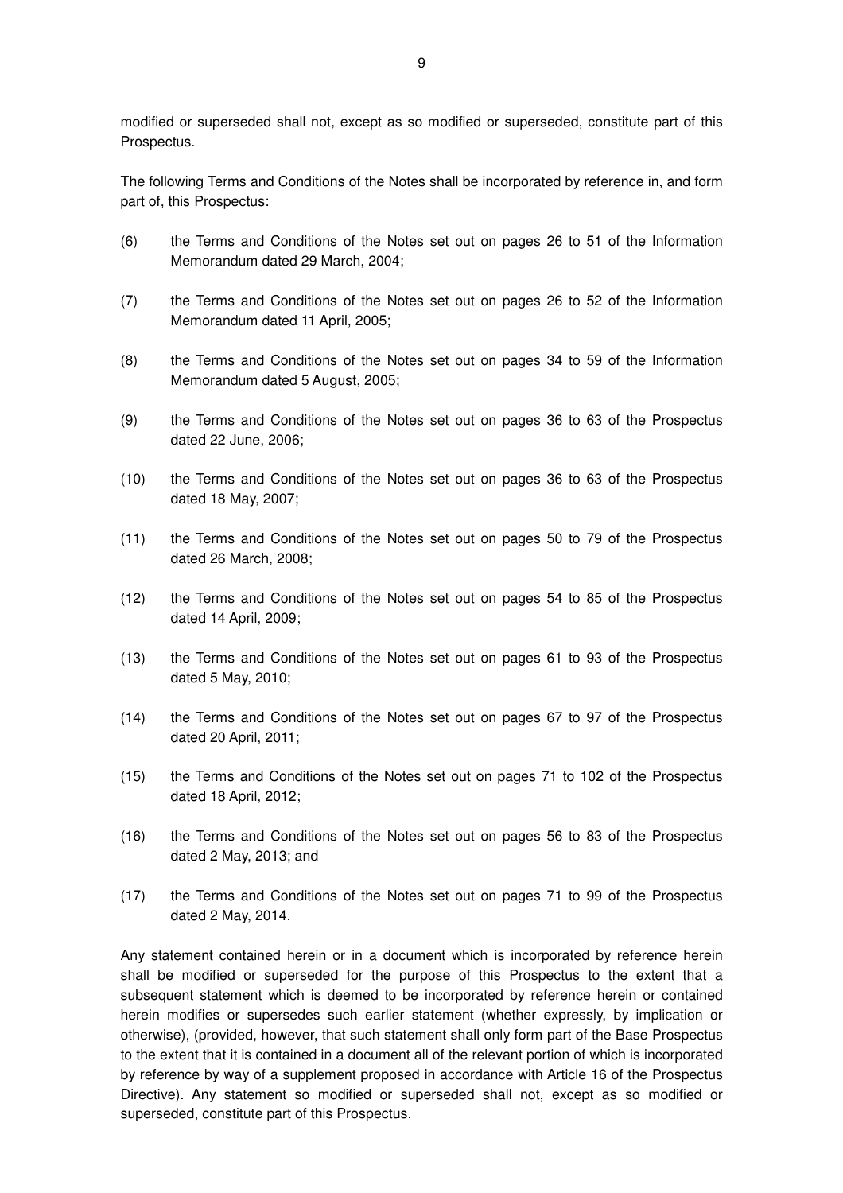modified or superseded shall not, except as so modified or superseded, constitute part of this Prospectus.

The following Terms and Conditions of the Notes shall be incorporated by reference in, and form part of, this Prospectus:

- (6) the Terms and Conditions of the Notes set out on pages 26 to 51 of the Information Memorandum dated 29 March, 2004;
- (7) the Terms and Conditions of the Notes set out on pages 26 to 52 of the Information Memorandum dated 11 April, 2005;
- (8) the Terms and Conditions of the Notes set out on pages 34 to 59 of the Information Memorandum dated 5 August, 2005;
- (9) the Terms and Conditions of the Notes set out on pages 36 to 63 of the Prospectus dated 22 June, 2006;
- (10) the Terms and Conditions of the Notes set out on pages 36 to 63 of the Prospectus dated 18 May, 2007;
- (11) the Terms and Conditions of the Notes set out on pages 50 to 79 of the Prospectus dated 26 March, 2008;
- (12) the Terms and Conditions of the Notes set out on pages 54 to 85 of the Prospectus dated 14 April, 2009;
- (13) the Terms and Conditions of the Notes set out on pages 61 to 93 of the Prospectus dated 5 May, 2010;
- (14) the Terms and Conditions of the Notes set out on pages 67 to 97 of the Prospectus dated 20 April, 2011;
- (15) the Terms and Conditions of the Notes set out on pages 71 to 102 of the Prospectus dated 18 April, 2012;
- (16) the Terms and Conditions of the Notes set out on pages 56 to 83 of the Prospectus dated 2 May, 2013; and
- (17) the Terms and Conditions of the Notes set out on pages 71 to 99 of the Prospectus dated 2 May, 2014.

Any statement contained herein or in a document which is incorporated by reference herein shall be modified or superseded for the purpose of this Prospectus to the extent that a subsequent statement which is deemed to be incorporated by reference herein or contained herein modifies or supersedes such earlier statement (whether expressly, by implication or otherwise), (provided, however, that such statement shall only form part of the Base Prospectus to the extent that it is contained in a document all of the relevant portion of which is incorporated by reference by way of a supplement proposed in accordance with Article 16 of the Prospectus Directive). Any statement so modified or superseded shall not, except as so modified or superseded, constitute part of this Prospectus.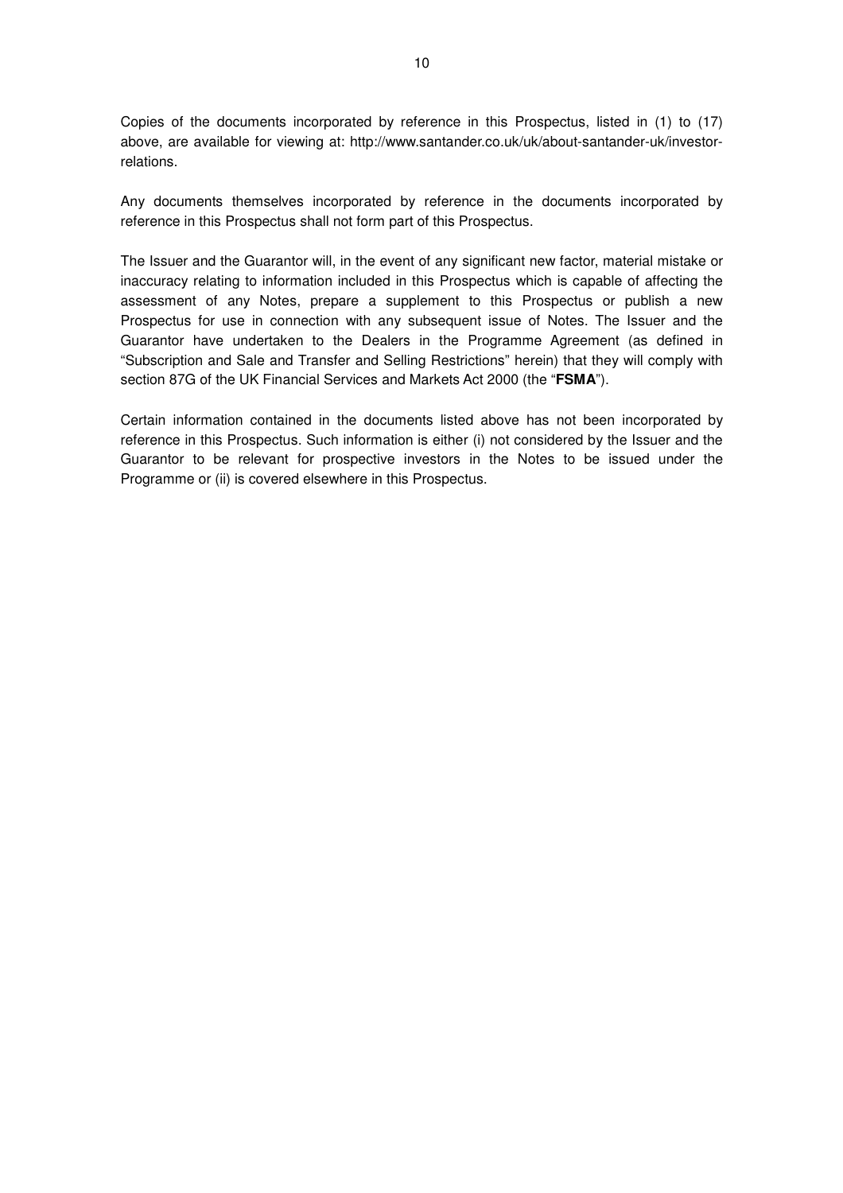Copies of the documents incorporated by reference in this Prospectus, listed in (1) to (17) above, are available for viewing at: http://www.santander.co.uk/uk/about-santander-uk/investorrelations.

Any documents themselves incorporated by reference in the documents incorporated by reference in this Prospectus shall not form part of this Prospectus.

The Issuer and the Guarantor will, in the event of any significant new factor, material mistake or inaccuracy relating to information included in this Prospectus which is capable of affecting the assessment of any Notes, prepare a supplement to this Prospectus or publish a new Prospectus for use in connection with any subsequent issue of Notes. The Issuer and the Guarantor have undertaken to the Dealers in the Programme Agreement (as defined in "Subscription and Sale and Transfer and Selling Restrictions" herein) that they will comply with section 87G of the UK Financial Services and Markets Act 2000 (the "**FSMA**").

Certain information contained in the documents listed above has not been incorporated by reference in this Prospectus. Such information is either (i) not considered by the Issuer and the Guarantor to be relevant for prospective investors in the Notes to be issued under the Programme or (ii) is covered elsewhere in this Prospectus.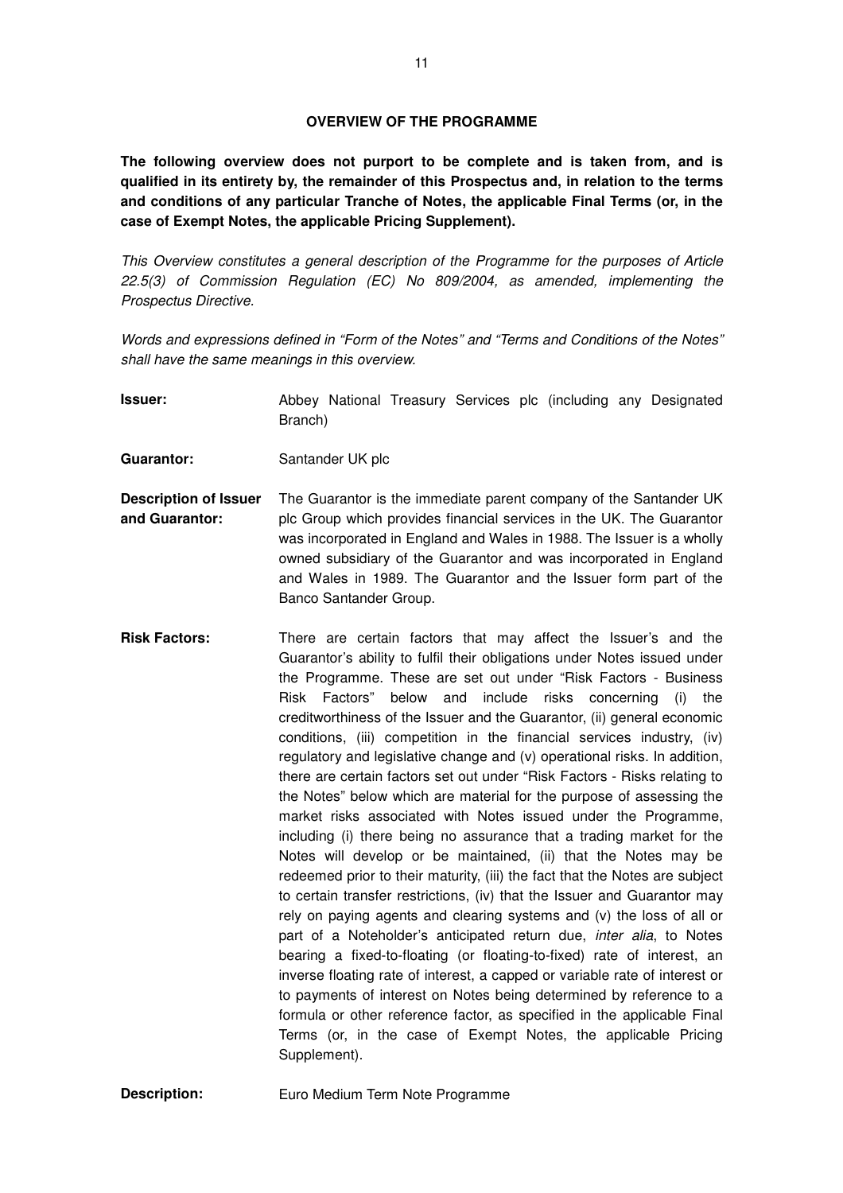**The following overview does not purport to be complete and is taken from, and is qualified in its entirety by, the remainder of this Prospectus and, in relation to the terms and conditions of any particular Tranche of Notes, the applicable Final Terms (or, in the case of Exempt Notes, the applicable Pricing Supplement).** 

This Overview constitutes a general description of the Programme for the purposes of Article 22.5(3) of Commission Regulation (EC) No 809/2004, as amended, implementing the Prospectus Directive.

Words and expressions defined in "Form of the Notes" and "Terms and Conditions of the Notes" shall have the same meanings in this overview.

**Issuer: Abbey National Treasury Services plc (including any Designated)** Branch)

**Guarantor:** Santander UK plc

- **Description of Issuer and Guarantor:**  The Guarantor is the immediate parent company of the Santander UK plc Group which provides financial services in the UK. The Guarantor was incorporated in England and Wales in 1988. The Issuer is a wholly owned subsidiary of the Guarantor and was incorporated in England and Wales in 1989. The Guarantor and the Issuer form part of the Banco Santander Group.
- **Risk Factors:** There are certain factors that may affect the Issuer's and the Guarantor's ability to fulfil their obligations under Notes issued under the Programme. These are set out under "Risk Factors - Business Risk Factors" below and include risks concerning (i) the creditworthiness of the Issuer and the Guarantor, (ii) general economic conditions, (iii) competition in the financial services industry, (iv) regulatory and legislative change and (v) operational risks. In addition, there are certain factors set out under "Risk Factors - Risks relating to the Notes" below which are material for the purpose of assessing the market risks associated with Notes issued under the Programme, including (i) there being no assurance that a trading market for the Notes will develop or be maintained, (ii) that the Notes may be redeemed prior to their maturity, (iii) the fact that the Notes are subject to certain transfer restrictions, (iv) that the Issuer and Guarantor may rely on paying agents and clearing systems and (v) the loss of all or part of a Noteholder's anticipated return due, *inter alia*, to Notes bearing a fixed-to-floating (or floating-to-fixed) rate of interest, an inverse floating rate of interest, a capped or variable rate of interest or to payments of interest on Notes being determined by reference to a formula or other reference factor, as specified in the applicable Final Terms (or, in the case of Exempt Notes, the applicable Pricing Supplement).

**Description: Euro Medium Term Note Programme**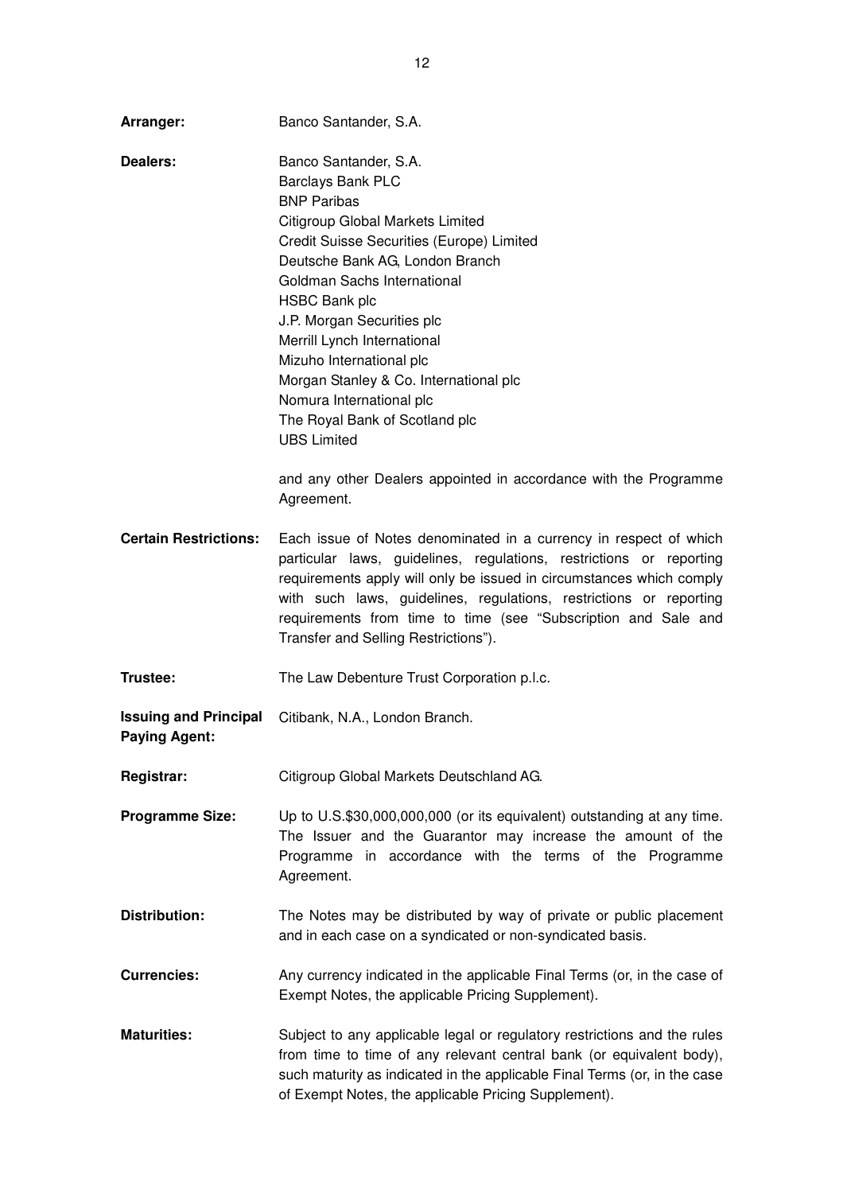| Arranger:                                            | Banco Santander, S.A.                                                                                                                                                                                                                                                                                                                                                                                                                                                                                                                                |
|------------------------------------------------------|------------------------------------------------------------------------------------------------------------------------------------------------------------------------------------------------------------------------------------------------------------------------------------------------------------------------------------------------------------------------------------------------------------------------------------------------------------------------------------------------------------------------------------------------------|
| Dealers:                                             | Banco Santander, S.A.<br>Barclays Bank PLC<br><b>BNP Paribas</b><br>Citigroup Global Markets Limited<br>Credit Suisse Securities (Europe) Limited<br>Deutsche Bank AG, London Branch<br>Goldman Sachs International<br><b>HSBC Bank plc</b><br>J.P. Morgan Securities plc<br>Merrill Lynch International<br>Mizuho International plc<br>Morgan Stanley & Co. International plc<br>Nomura International plc<br>The Royal Bank of Scotland plc<br><b>UBS Limited</b><br>and any other Dealers appointed in accordance with the Programme<br>Agreement. |
| <b>Certain Restrictions:</b>                         | Each issue of Notes denominated in a currency in respect of which<br>particular laws, guidelines, regulations, restrictions or reporting<br>requirements apply will only be issued in circumstances which comply<br>with such laws, guidelines, regulations, restrictions or reporting<br>requirements from time to time (see "Subscription and Sale and<br>Transfer and Selling Restrictions").                                                                                                                                                     |
| Trustee:                                             | The Law Debenture Trust Corporation p.l.c.                                                                                                                                                                                                                                                                                                                                                                                                                                                                                                           |
| <b>Issuing and Principal</b><br><b>Paying Agent:</b> | Citibank, N.A., London Branch.                                                                                                                                                                                                                                                                                                                                                                                                                                                                                                                       |
| <b>Registrar:</b>                                    | Citigroup Global Markets Deutschland AG.                                                                                                                                                                                                                                                                                                                                                                                                                                                                                                             |
| <b>Programme Size:</b>                               | Up to U.S.\$30,000,000,000 (or its equivalent) outstanding at any time.<br>The Issuer and the Guarantor may increase the amount of the<br>Programme in accordance with the terms of the Programme<br>Agreement.                                                                                                                                                                                                                                                                                                                                      |
| <b>Distribution:</b>                                 | The Notes may be distributed by way of private or public placement<br>and in each case on a syndicated or non-syndicated basis.                                                                                                                                                                                                                                                                                                                                                                                                                      |
| <b>Currencies:</b>                                   | Any currency indicated in the applicable Final Terms (or, in the case of<br>Exempt Notes, the applicable Pricing Supplement).                                                                                                                                                                                                                                                                                                                                                                                                                        |
| <b>Maturities:</b>                                   | Subject to any applicable legal or regulatory restrictions and the rules<br>from time to time of any relevant central bank (or equivalent body),<br>such maturity as indicated in the applicable Final Terms (or, in the case<br>of Exempt Notes, the applicable Pricing Supplement).                                                                                                                                                                                                                                                                |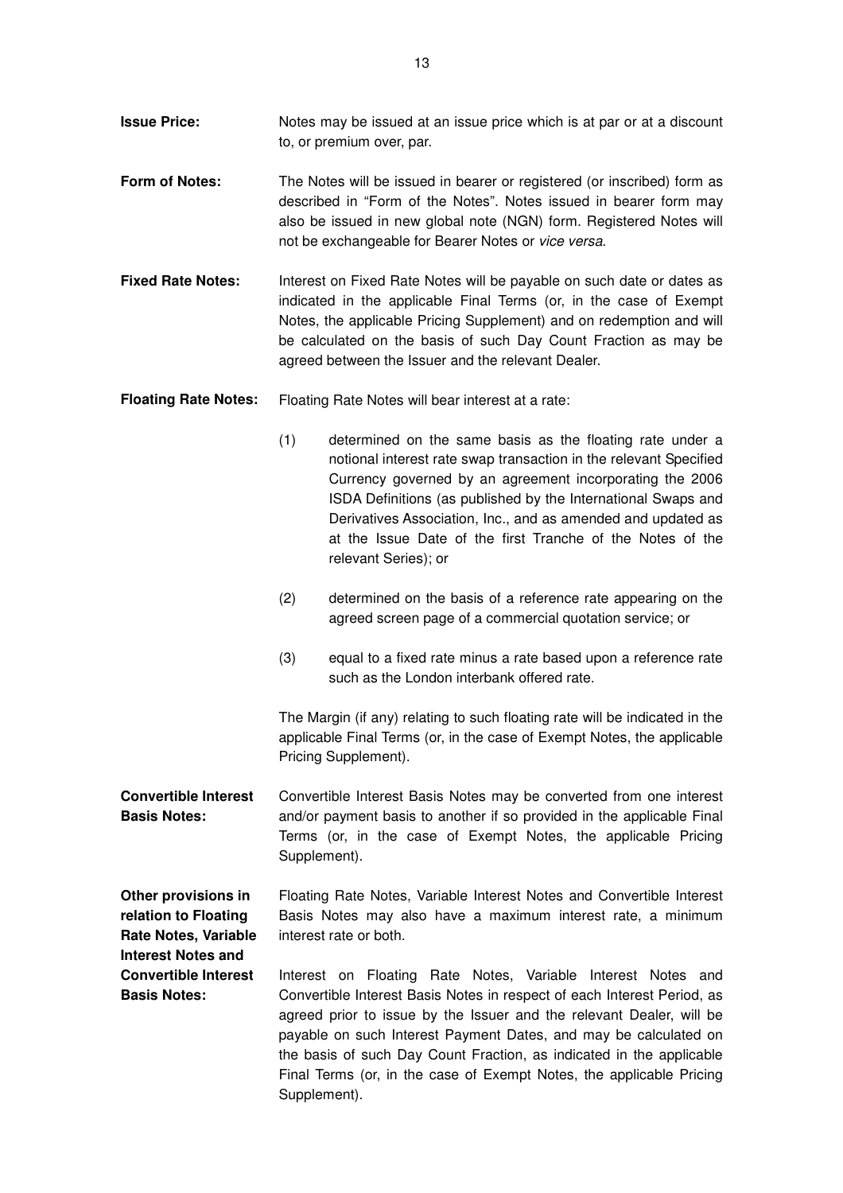- **Issue Price:** Notes may be issued at an issue price which is at par or at a discount to, or premium over, par.
- **Form of Notes:** The Notes will be issued in bearer or registered (or inscribed) form as described in "Form of the Notes". Notes issued in bearer form may also be issued in new global note (NGN) form. Registered Notes will not be exchangeable for Bearer Notes or vice versa.
- **Fixed Rate Notes:** Interest on Fixed Rate Notes will be payable on such date or dates as indicated in the applicable Final Terms (or, in the case of Exempt Notes, the applicable Pricing Supplement) and on redemption and will be calculated on the basis of such Day Count Fraction as may be agreed between the Issuer and the relevant Dealer.
- **Floating Rate Notes:** Floating Rate Notes will bear interest at a rate:
	- (1) determined on the same basis as the floating rate under a notional interest rate swap transaction in the relevant Specified Currency governed by an agreement incorporating the 2006 ISDA Definitions (as published by the International Swaps and Derivatives Association, Inc., and as amended and updated as at the Issue Date of the first Tranche of the Notes of the relevant Series); or
	- (2) determined on the basis of a reference rate appearing on the agreed screen page of a commercial quotation service; or
	- (3) equal to a fixed rate minus a rate based upon a reference rate such as the London interbank offered rate.

The Margin (if any) relating to such floating rate will be indicated in the applicable Final Terms (or, in the case of Exempt Notes, the applicable Pricing Supplement).

**Convertible Interest Basis Notes:**  Convertible Interest Basis Notes may be converted from one interest and/or payment basis to another if so provided in the applicable Final Terms (or, in the case of Exempt Notes, the applicable Pricing Supplement).

**Other provisions in relation to Floating Rate Notes, Variable Interest Notes and**  Floating Rate Notes, Variable Interest Notes and Convertible Interest Basis Notes may also have a maximum interest rate, a minimum interest rate or both.

**Convertible Interest Basis Notes:**  Interest on Floating Rate Notes, Variable Interest Notes and Convertible Interest Basis Notes in respect of each Interest Period, as agreed prior to issue by the Issuer and the relevant Dealer, will be payable on such Interest Payment Dates, and may be calculated on the basis of such Day Count Fraction, as indicated in the applicable Final Terms (or, in the case of Exempt Notes, the applicable Pricing Supplement).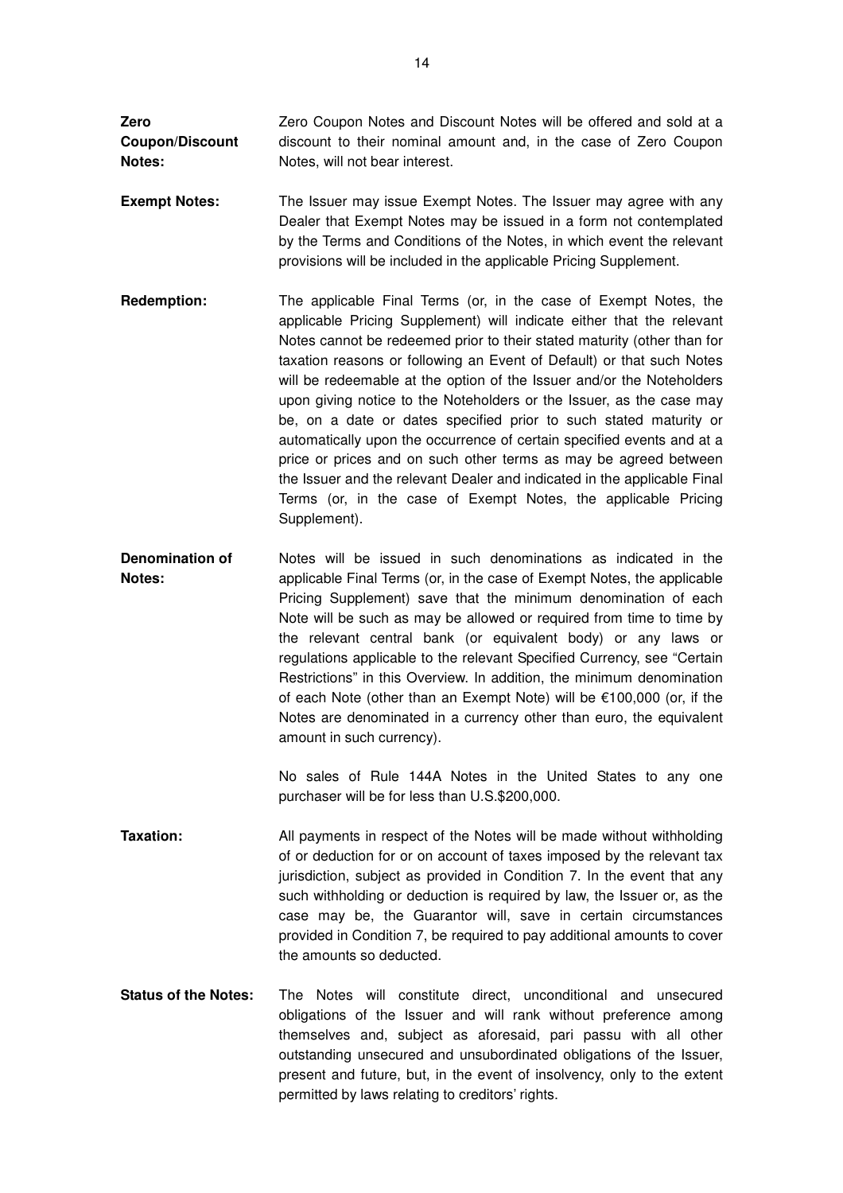**Zero Coupon/Discount Notes:**  Zero Coupon Notes and Discount Notes will be offered and sold at a discount to their nominal amount and, in the case of Zero Coupon Notes, will not bear interest.

- **Exempt Notes:** The Issuer may issue Exempt Notes. The Issuer may agree with any Dealer that Exempt Notes may be issued in a form not contemplated by the Terms and Conditions of the Notes, in which event the relevant provisions will be included in the applicable Pricing Supplement.
- **Redemption:** The applicable Final Terms (or, in the case of Exempt Notes, the applicable Pricing Supplement) will indicate either that the relevant Notes cannot be redeemed prior to their stated maturity (other than for taxation reasons or following an Event of Default) or that such Notes will be redeemable at the option of the Issuer and/or the Noteholders upon giving notice to the Noteholders or the Issuer, as the case may be, on a date or dates specified prior to such stated maturity or automatically upon the occurrence of certain specified events and at a price or prices and on such other terms as may be agreed between the Issuer and the relevant Dealer and indicated in the applicable Final Terms (or, in the case of Exempt Notes, the applicable Pricing Supplement).
- **Denomination of Notes:**  Notes will be issued in such denominations as indicated in the applicable Final Terms (or, in the case of Exempt Notes, the applicable Pricing Supplement) save that the minimum denomination of each Note will be such as may be allowed or required from time to time by the relevant central bank (or equivalent body) or any laws or regulations applicable to the relevant Specified Currency, see "Certain Restrictions" in this Overview. In addition, the minimum denomination of each Note (other than an Exempt Note) will be €100,000 (or, if the Notes are denominated in a currency other than euro, the equivalent amount in such currency).

No sales of Rule 144A Notes in the United States to any one purchaser will be for less than U.S.\$200,000.

- **Taxation:** All payments in respect of the Notes will be made without withholding of or deduction for or on account of taxes imposed by the relevant tax jurisdiction, subject as provided in Condition 7. In the event that any such withholding or deduction is required by law, the Issuer or, as the case may be, the Guarantor will, save in certain circumstances provided in Condition 7, be required to pay additional amounts to cover the amounts so deducted.
- **Status of the Notes:** The Notes will constitute direct, unconditional and unsecured obligations of the Issuer and will rank without preference among themselves and, subject as aforesaid, pari passu with all other outstanding unsecured and unsubordinated obligations of the Issuer, present and future, but, in the event of insolvency, only to the extent permitted by laws relating to creditors' rights.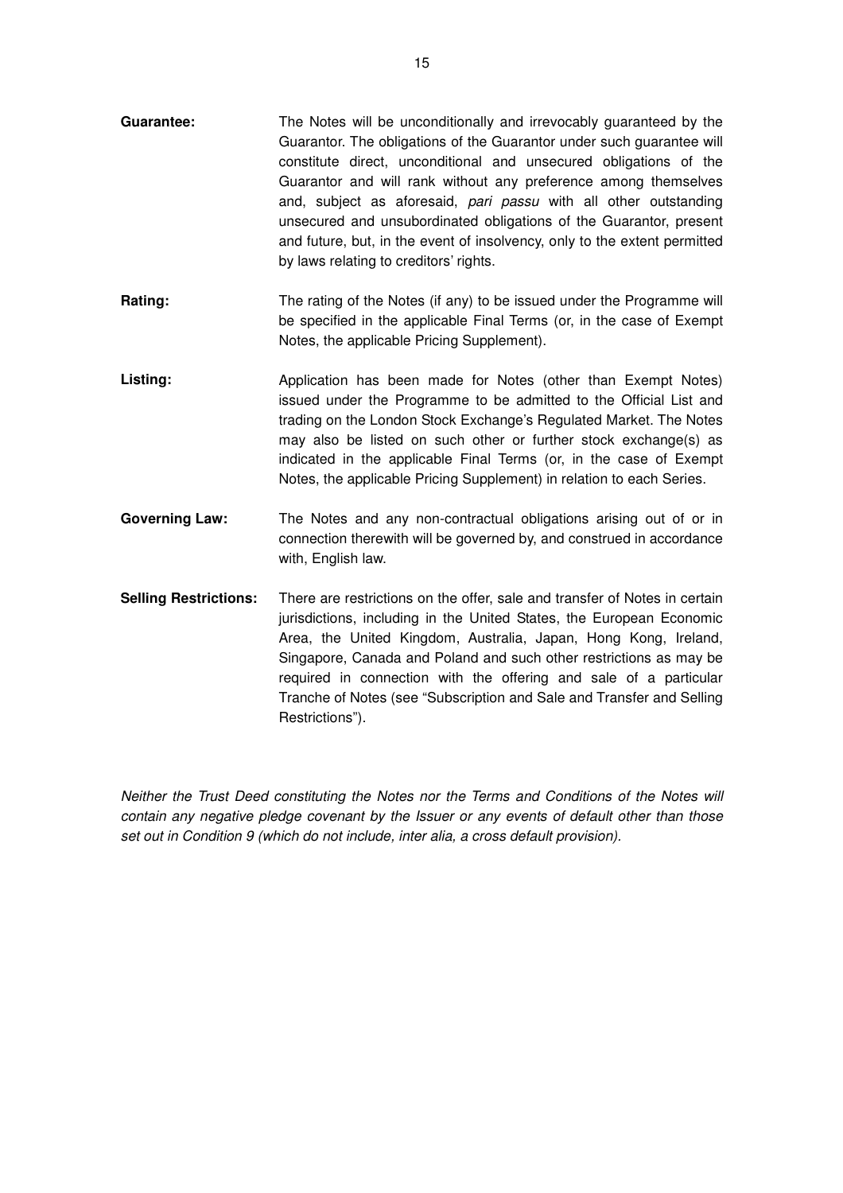- **Guarantee:** The Notes will be unconditionally and irrevocably guaranteed by the Guarantor. The obligations of the Guarantor under such guarantee will constitute direct, unconditional and unsecured obligations of the Guarantor and will rank without any preference among themselves and, subject as aforesaid, pari passu with all other outstanding unsecured and unsubordinated obligations of the Guarantor, present and future, but, in the event of insolvency, only to the extent permitted by laws relating to creditors' rights.
- **Rating:** The rating of the Notes (if any) to be issued under the Programme will be specified in the applicable Final Terms (or, in the case of Exempt Notes, the applicable Pricing Supplement).
- Listing: **Application has been made for Notes (other than Exempt Notes)** issued under the Programme to be admitted to the Official List and trading on the London Stock Exchange's Regulated Market. The Notes may also be listed on such other or further stock exchange(s) as indicated in the applicable Final Terms (or, in the case of Exempt Notes, the applicable Pricing Supplement) in relation to each Series.
- **Governing Law:** The Notes and any non-contractual obligations arising out of or in connection therewith will be governed by, and construed in accordance with, English law.
- **Selling Restrictions:** There are restrictions on the offer, sale and transfer of Notes in certain jurisdictions, including in the United States, the European Economic Area, the United Kingdom, Australia, Japan, Hong Kong, Ireland, Singapore, Canada and Poland and such other restrictions as may be required in connection with the offering and sale of a particular Tranche of Notes (see "Subscription and Sale and Transfer and Selling Restrictions").

Neither the Trust Deed constituting the Notes nor the Terms and Conditions of the Notes will contain any negative pledge covenant by the Issuer or any events of default other than those set out in Condition 9 (which do not include, inter alia, a cross default provision).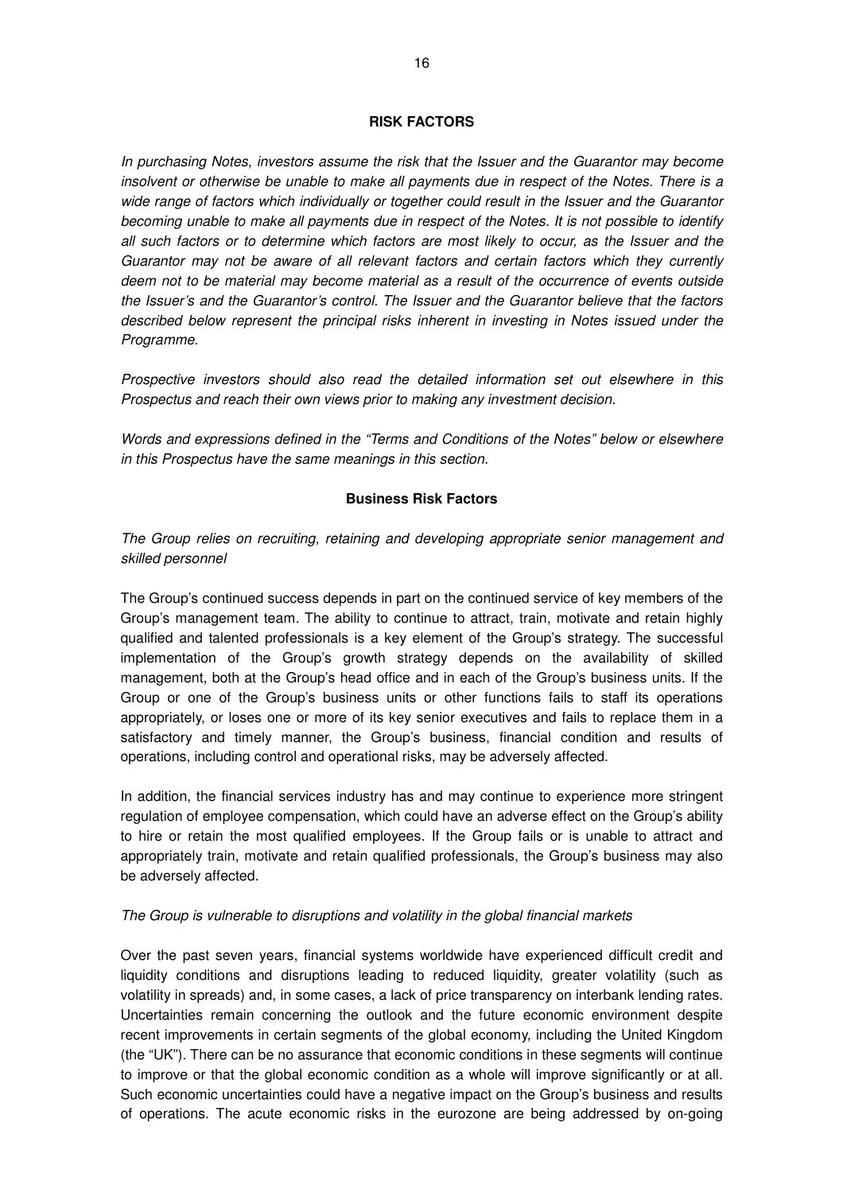#### **RISK FACTORS**

In purchasing Notes, investors assume the risk that the Issuer and the Guarantor may become insolvent or otherwise be unable to make all payments due in respect of the Notes. There is a wide range of factors which individually or together could result in the Issuer and the Guarantor becoming unable to make all payments due in respect of the Notes. It is not possible to identify all such factors or to determine which factors are most likely to occur, as the Issuer and the Guarantor may not be aware of all relevant factors and certain factors which they currently deem not to be material may become material as a result of the occurrence of events outside the Issuer's and the Guarantor's control. The Issuer and the Guarantor believe that the factors described below represent the principal risks inherent in investing in Notes issued under the Programme.

Prospective investors should also read the detailed information set out elsewhere in this Prospectus and reach their own views prior to making any investment decision.

Words and expressions defined in the "Terms and Conditions of the Notes" below or elsewhere in this Prospectus have the same meanings in this section.

#### **Business Risk Factors**

The Group relies on recruiting, retaining and developing appropriate senior management and skilled personnel

The Group's continued success depends in part on the continued service of key members of the Group's management team. The ability to continue to attract, train, motivate and retain highly qualified and talented professionals is a key element of the Group's strategy. The successful implementation of the Group's growth strategy depends on the availability of skilled management, both at the Group's head office and in each of the Group's business units. If the Group or one of the Group's business units or other functions fails to staff its operations appropriately, or loses one or more of its key senior executives and fails to replace them in a satisfactory and timely manner, the Group's business, financial condition and results of operations, including control and operational risks, may be adversely affected.

In addition, the financial services industry has and may continue to experience more stringent regulation of employee compensation, which could have an adverse effect on the Group's ability to hire or retain the most qualified employees. If the Group fails or is unable to attract and appropriately train, motivate and retain qualified professionals, the Group's business may also be adversely affected.

#### The Group is vulnerable to disruptions and volatility in the global financial markets

Over the past seven years, financial systems worldwide have experienced difficult credit and liquidity conditions and disruptions leading to reduced liquidity, greater volatility (such as volatility in spreads) and, in some cases, a lack of price transparency on interbank lending rates. Uncertainties remain concerning the outlook and the future economic environment despite recent improvements in certain segments of the global economy, including the United Kingdom (the "UK"). There can be no assurance that economic conditions in these segments will continue to improve or that the global economic condition as a whole will improve significantly or at all. Such economic uncertainties could have a negative impact on the Group's business and results of operations. The acute economic risks in the eurozone are being addressed by on-going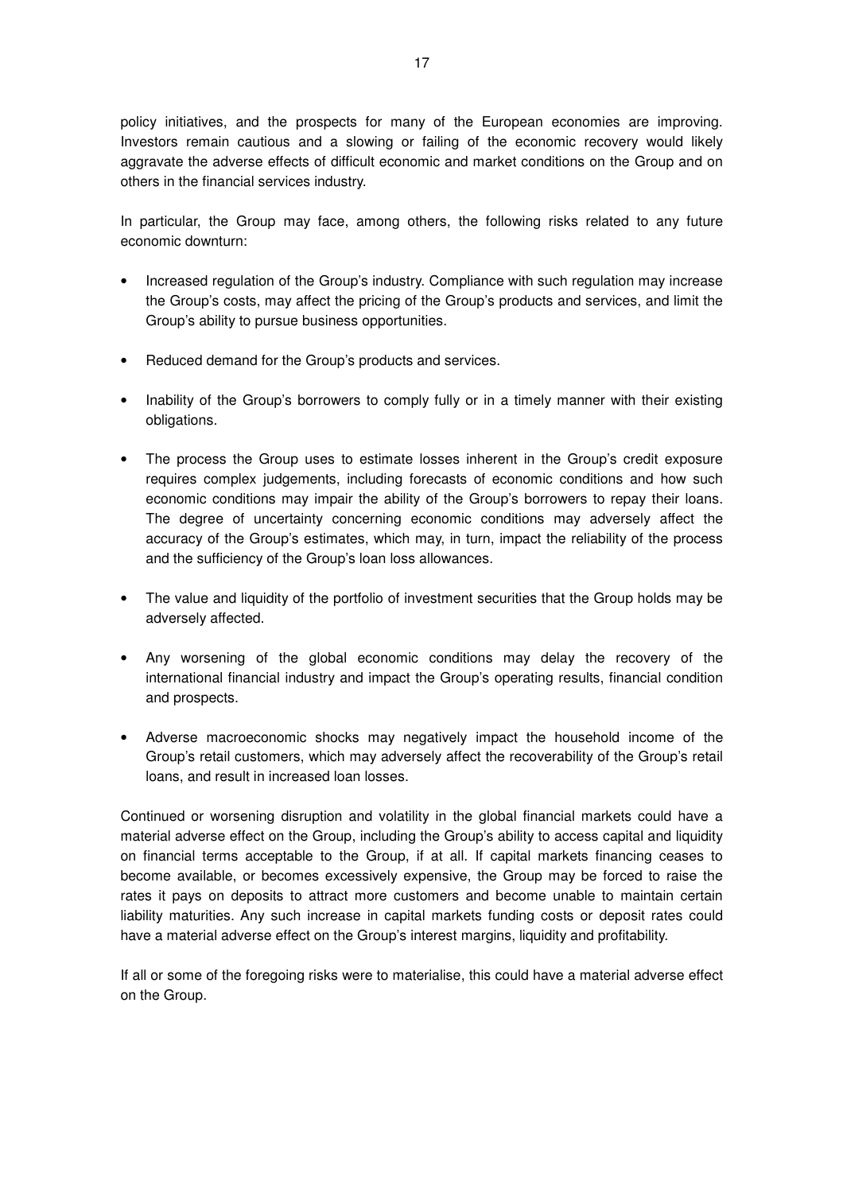policy initiatives, and the prospects for many of the European economies are improving. Investors remain cautious and a slowing or failing of the economic recovery would likely aggravate the adverse effects of difficult economic and market conditions on the Group and on others in the financial services industry.

In particular, the Group may face, among others, the following risks related to any future economic downturn:

- Increased regulation of the Group's industry. Compliance with such regulation may increase the Group's costs, may affect the pricing of the Group's products and services, and limit the Group's ability to pursue business opportunities.
- Reduced demand for the Group's products and services.
- Inability of the Group's borrowers to comply fully or in a timely manner with their existing obligations.
- The process the Group uses to estimate losses inherent in the Group's credit exposure requires complex judgements, including forecasts of economic conditions and how such economic conditions may impair the ability of the Group's borrowers to repay their loans. The degree of uncertainty concerning economic conditions may adversely affect the accuracy of the Group's estimates, which may, in turn, impact the reliability of the process and the sufficiency of the Group's loan loss allowances.
- The value and liquidity of the portfolio of investment securities that the Group holds may be adversely affected.
- Any worsening of the global economic conditions may delay the recovery of the international financial industry and impact the Group's operating results, financial condition and prospects.
- Adverse macroeconomic shocks may negatively impact the household income of the Group's retail customers, which may adversely affect the recoverability of the Group's retail loans, and result in increased loan losses.

Continued or worsening disruption and volatility in the global financial markets could have a material adverse effect on the Group, including the Group's ability to access capital and liquidity on financial terms acceptable to the Group, if at all. If capital markets financing ceases to become available, or becomes excessively expensive, the Group may be forced to raise the rates it pays on deposits to attract more customers and become unable to maintain certain liability maturities. Any such increase in capital markets funding costs or deposit rates could have a material adverse effect on the Group's interest margins, liquidity and profitability.

If all or some of the foregoing risks were to materialise, this could have a material adverse effect on the Group.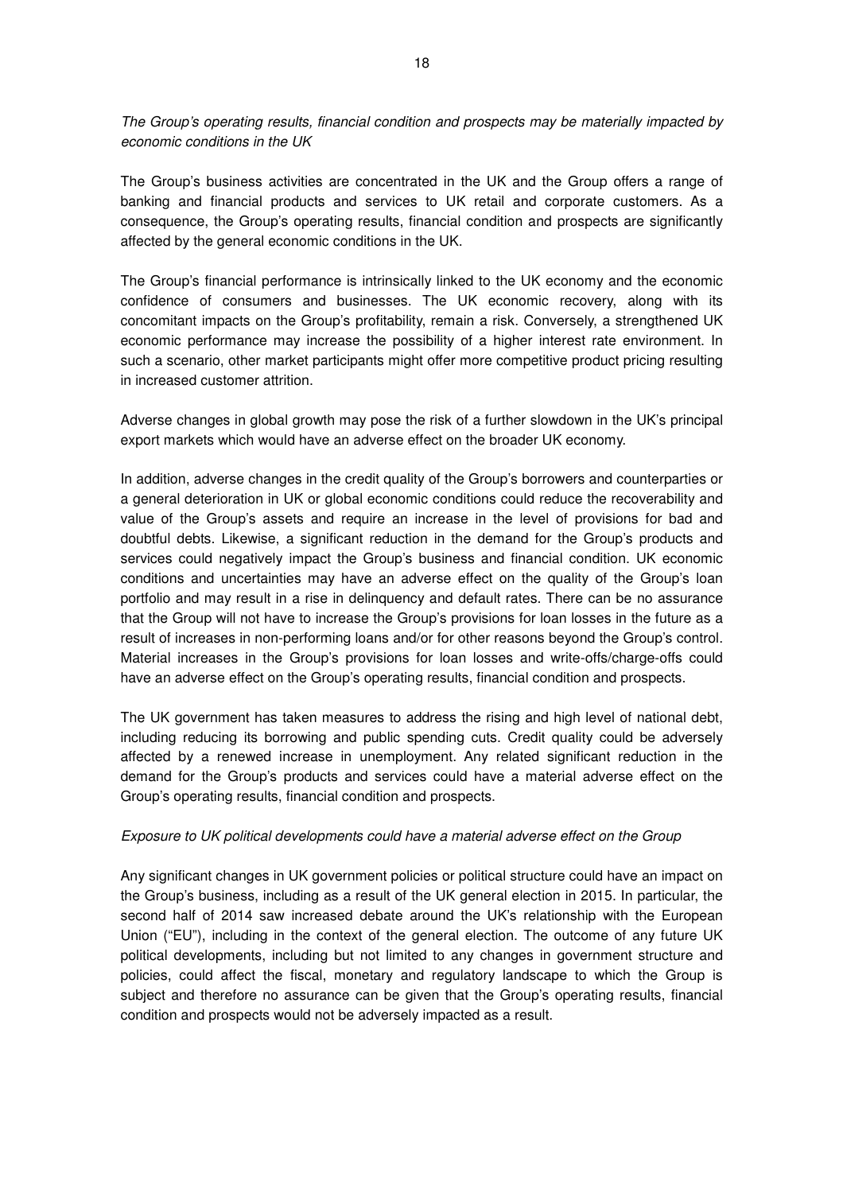The Group's operating results, financial condition and prospects may be materially impacted by economic conditions in the UK

The Group's business activities are concentrated in the UK and the Group offers a range of banking and financial products and services to UK retail and corporate customers. As a consequence, the Group's operating results, financial condition and prospects are significantly affected by the general economic conditions in the UK.

The Group's financial performance is intrinsically linked to the UK economy and the economic confidence of consumers and businesses. The UK economic recovery, along with its concomitant impacts on the Group's profitability, remain a risk. Conversely, a strengthened UK economic performance may increase the possibility of a higher interest rate environment. In such a scenario, other market participants might offer more competitive product pricing resulting in increased customer attrition.

Adverse changes in global growth may pose the risk of a further slowdown in the UK's principal export markets which would have an adverse effect on the broader UK economy.

In addition, adverse changes in the credit quality of the Group's borrowers and counterparties or a general deterioration in UK or global economic conditions could reduce the recoverability and value of the Group's assets and require an increase in the level of provisions for bad and doubtful debts. Likewise, a significant reduction in the demand for the Group's products and services could negatively impact the Group's business and financial condition. UK economic conditions and uncertainties may have an adverse effect on the quality of the Group's loan portfolio and may result in a rise in delinquency and default rates. There can be no assurance that the Group will not have to increase the Group's provisions for loan losses in the future as a result of increases in non-performing loans and/or for other reasons beyond the Group's control. Material increases in the Group's provisions for loan losses and write-offs/charge-offs could have an adverse effect on the Group's operating results, financial condition and prospects.

The UK government has taken measures to address the rising and high level of national debt, including reducing its borrowing and public spending cuts. Credit quality could be adversely affected by a renewed increase in unemployment. Any related significant reduction in the demand for the Group's products and services could have a material adverse effect on the Group's operating results, financial condition and prospects.

### Exposure to UK political developments could have a material adverse effect on the Group

Any significant changes in UK government policies or political structure could have an impact on the Group's business, including as a result of the UK general election in 2015. In particular, the second half of 2014 saw increased debate around the UK's relationship with the European Union ("EU"), including in the context of the general election. The outcome of any future UK political developments, including but not limited to any changes in government structure and policies, could affect the fiscal, monetary and regulatory landscape to which the Group is subject and therefore no assurance can be given that the Group's operating results, financial condition and prospects would not be adversely impacted as a result.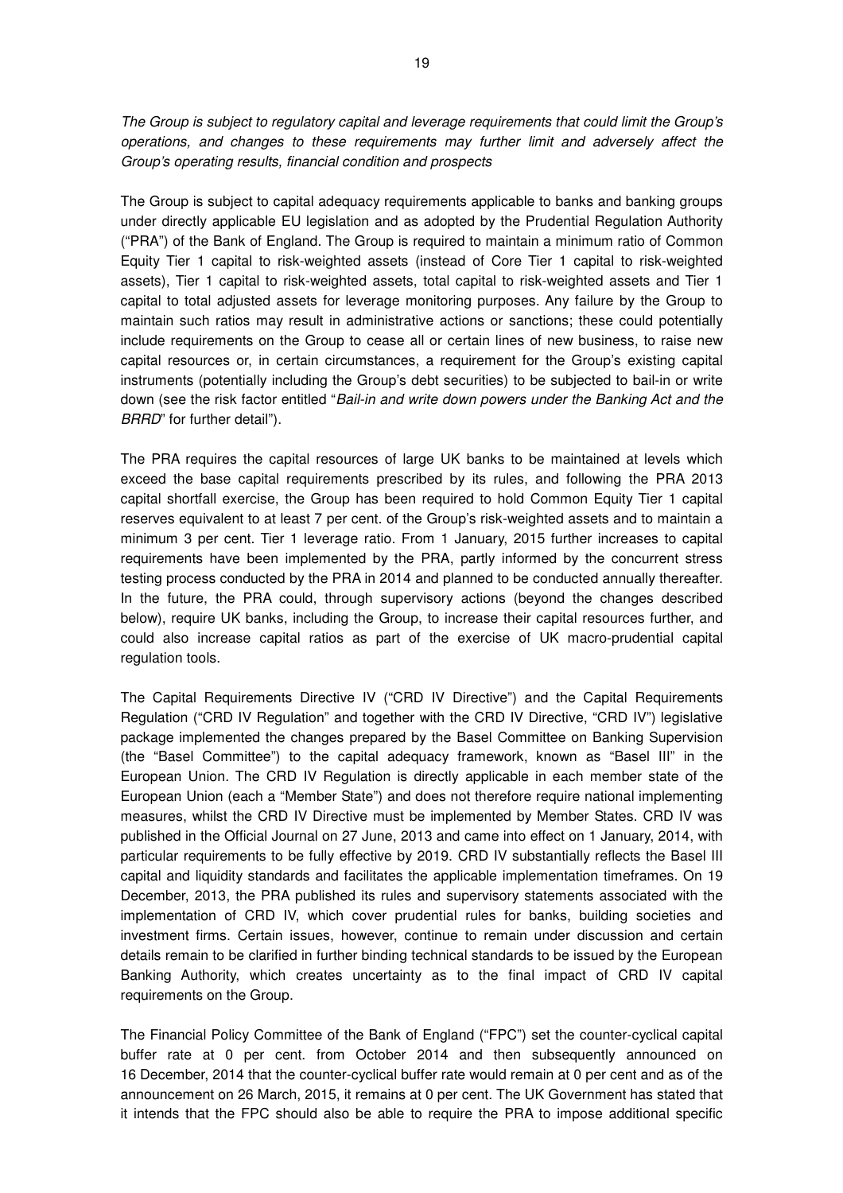The Group is subject to regulatory capital and leverage requirements that could limit the Group's operations, and changes to these requirements may further limit and adversely affect the Group's operating results, financial condition and prospects

The Group is subject to capital adequacy requirements applicable to banks and banking groups under directly applicable EU legislation and as adopted by the Prudential Regulation Authority ("PRA") of the Bank of England. The Group is required to maintain a minimum ratio of Common Equity Tier 1 capital to risk-weighted assets (instead of Core Tier 1 capital to risk-weighted assets), Tier 1 capital to risk-weighted assets, total capital to risk-weighted assets and Tier 1 capital to total adjusted assets for leverage monitoring purposes. Any failure by the Group to maintain such ratios may result in administrative actions or sanctions; these could potentially include requirements on the Group to cease all or certain lines of new business, to raise new capital resources or, in certain circumstances, a requirement for the Group's existing capital instruments (potentially including the Group's debt securities) to be subjected to bail-in or write down (see the risk factor entitled "Bail-in and write down powers under the Banking Act and the BRRD" for further detail").

The PRA requires the capital resources of large UK banks to be maintained at levels which exceed the base capital requirements prescribed by its rules, and following the PRA 2013 capital shortfall exercise, the Group has been required to hold Common Equity Tier 1 capital reserves equivalent to at least 7 per cent. of the Group's risk-weighted assets and to maintain a minimum 3 per cent. Tier 1 leverage ratio. From 1 January, 2015 further increases to capital requirements have been implemented by the PRA, partly informed by the concurrent stress testing process conducted by the PRA in 2014 and planned to be conducted annually thereafter. In the future, the PRA could, through supervisory actions (beyond the changes described below), require UK banks, including the Group, to increase their capital resources further, and could also increase capital ratios as part of the exercise of UK macro-prudential capital regulation tools.

The Capital Requirements Directive IV ("CRD IV Directive") and the Capital Requirements Regulation ("CRD IV Regulation" and together with the CRD IV Directive, "CRD IV") legislative package implemented the changes prepared by the Basel Committee on Banking Supervision (the "Basel Committee") to the capital adequacy framework, known as "Basel III" in the European Union. The CRD IV Regulation is directly applicable in each member state of the European Union (each a "Member State") and does not therefore require national implementing measures, whilst the CRD IV Directive must be implemented by Member States. CRD IV was published in the Official Journal on 27 June, 2013 and came into effect on 1 January, 2014, with particular requirements to be fully effective by 2019. CRD IV substantially reflects the Basel III capital and liquidity standards and facilitates the applicable implementation timeframes. On 19 December, 2013, the PRA published its rules and supervisory statements associated with the implementation of CRD IV, which cover prudential rules for banks, building societies and investment firms. Certain issues, however, continue to remain under discussion and certain details remain to be clarified in further binding technical standards to be issued by the European Banking Authority, which creates uncertainty as to the final impact of CRD IV capital requirements on the Group.

The Financial Policy Committee of the Bank of England ("FPC") set the counter-cyclical capital buffer rate at 0 per cent. from October 2014 and then subsequently announced on 16 December, 2014 that the counter-cyclical buffer rate would remain at 0 per cent and as of the announcement on 26 March, 2015, it remains at 0 per cent. The UK Government has stated that it intends that the FPC should also be able to require the PRA to impose additional specific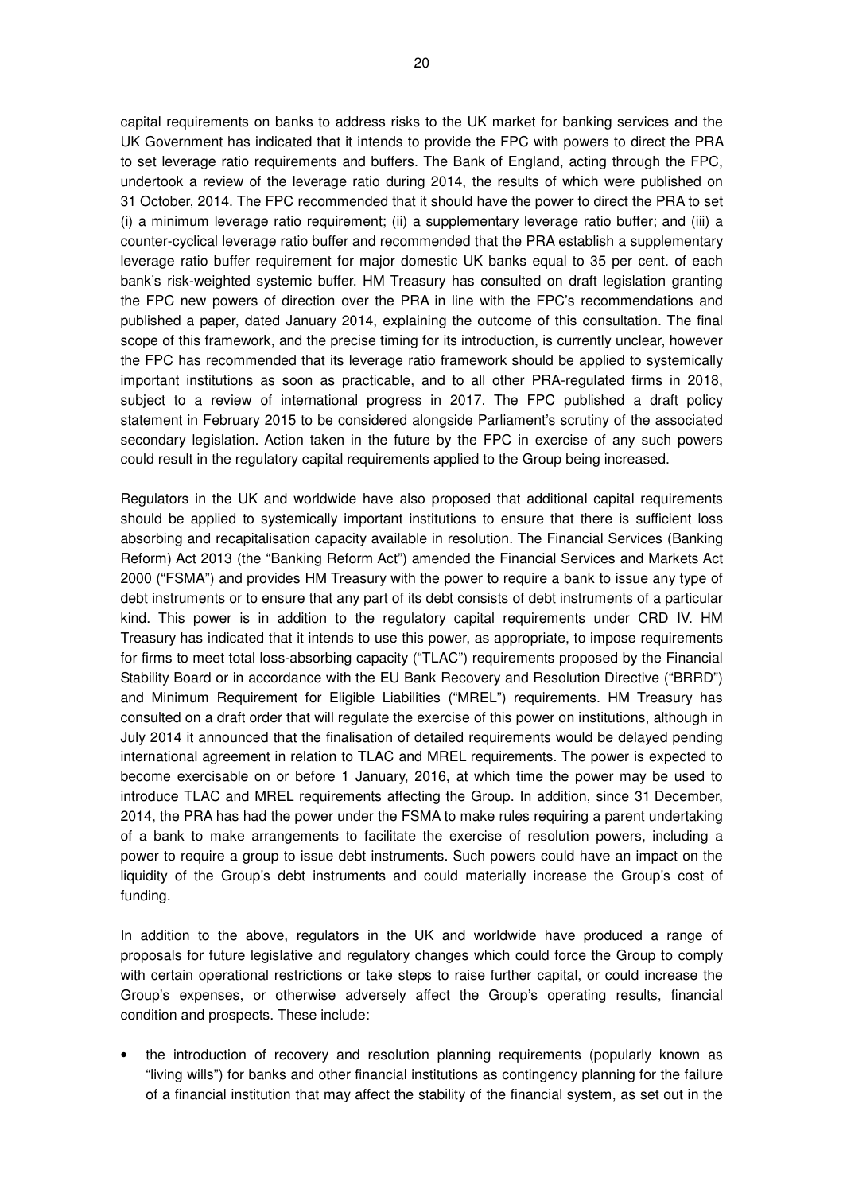capital requirements on banks to address risks to the UK market for banking services and the UK Government has indicated that it intends to provide the FPC with powers to direct the PRA to set leverage ratio requirements and buffers. The Bank of England, acting through the FPC, undertook a review of the leverage ratio during 2014, the results of which were published on 31 October, 2014. The FPC recommended that it should have the power to direct the PRA to set (i) a minimum leverage ratio requirement; (ii) a supplementary leverage ratio buffer; and (iii) a counter-cyclical leverage ratio buffer and recommended that the PRA establish a supplementary leverage ratio buffer requirement for major domestic UK banks equal to 35 per cent. of each bank's risk-weighted systemic buffer. HM Treasury has consulted on draft legislation granting the FPC new powers of direction over the PRA in line with the FPC's recommendations and published a paper, dated January 2014, explaining the outcome of this consultation. The final scope of this framework, and the precise timing for its introduction, is currently unclear, however the FPC has recommended that its leverage ratio framework should be applied to systemically important institutions as soon as practicable, and to all other PRA-regulated firms in 2018, subject to a review of international progress in 2017. The FPC published a draft policy statement in February 2015 to be considered alongside Parliament's scrutiny of the associated secondary legislation. Action taken in the future by the FPC in exercise of any such powers could result in the regulatory capital requirements applied to the Group being increased.

Regulators in the UK and worldwide have also proposed that additional capital requirements should be applied to systemically important institutions to ensure that there is sufficient loss absorbing and recapitalisation capacity available in resolution. The Financial Services (Banking Reform) Act 2013 (the "Banking Reform Act") amended the Financial Services and Markets Act 2000 ("FSMA") and provides HM Treasury with the power to require a bank to issue any type of debt instruments or to ensure that any part of its debt consists of debt instruments of a particular kind. This power is in addition to the regulatory capital requirements under CRD IV. HM Treasury has indicated that it intends to use this power, as appropriate, to impose requirements for firms to meet total loss-absorbing capacity ("TLAC") requirements proposed by the Financial Stability Board or in accordance with the EU Bank Recovery and Resolution Directive ("BRRD") and Minimum Requirement for Eligible Liabilities ("MREL") requirements. HM Treasury has consulted on a draft order that will regulate the exercise of this power on institutions, although in July 2014 it announced that the finalisation of detailed requirements would be delayed pending international agreement in relation to TLAC and MREL requirements. The power is expected to become exercisable on or before 1 January, 2016, at which time the power may be used to introduce TLAC and MREL requirements affecting the Group. In addition, since 31 December, 2014, the PRA has had the power under the FSMA to make rules requiring a parent undertaking of a bank to make arrangements to facilitate the exercise of resolution powers, including a power to require a group to issue debt instruments. Such powers could have an impact on the liquidity of the Group's debt instruments and could materially increase the Group's cost of funding.

In addition to the above, regulators in the UK and worldwide have produced a range of proposals for future legislative and regulatory changes which could force the Group to comply with certain operational restrictions or take steps to raise further capital, or could increase the Group's expenses, or otherwise adversely affect the Group's operating results, financial condition and prospects. These include:

• the introduction of recovery and resolution planning requirements (popularly known as "living wills") for banks and other financial institutions as contingency planning for the failure of a financial institution that may affect the stability of the financial system, as set out in the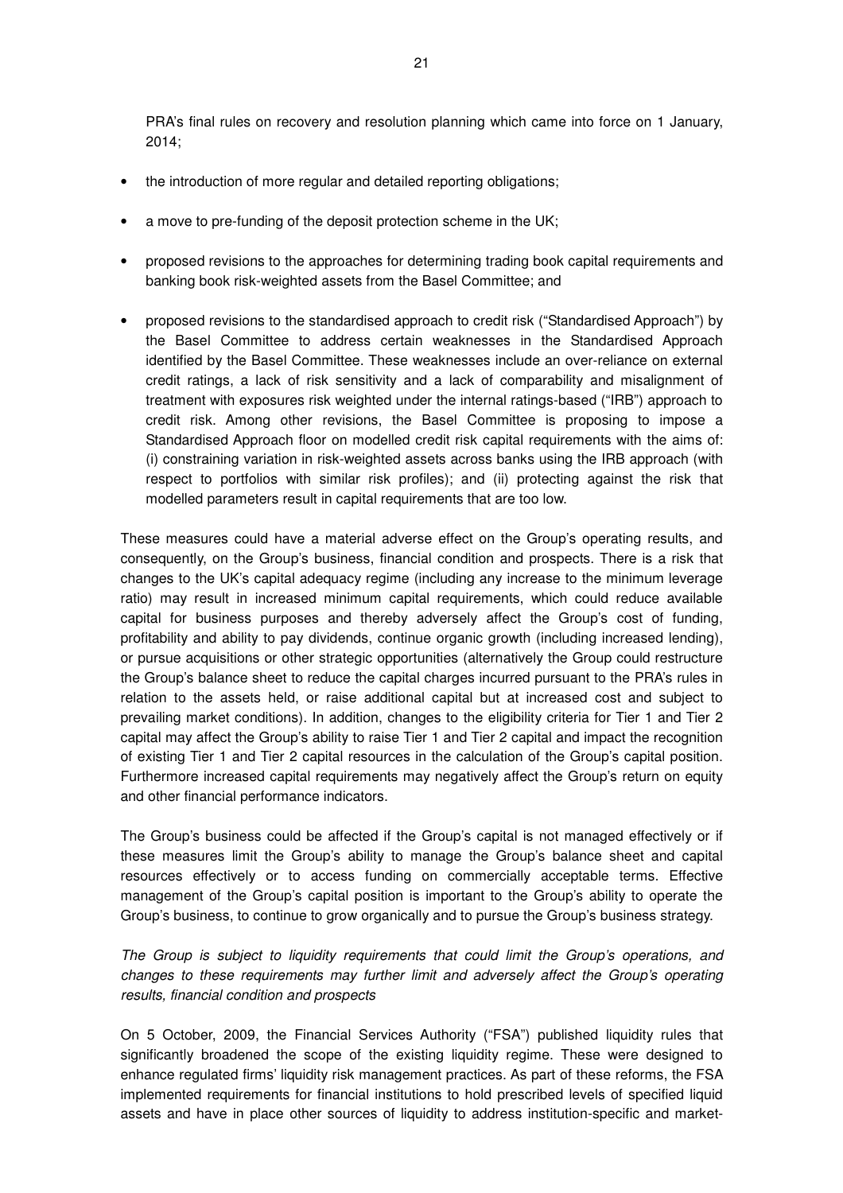PRA's final rules on recovery and resolution planning which came into force on 1 January, 2014;

- the introduction of more regular and detailed reporting obligations;
- a move to pre-funding of the deposit protection scheme in the UK;
- proposed revisions to the approaches for determining trading book capital requirements and banking book risk-weighted assets from the Basel Committee; and
- proposed revisions to the standardised approach to credit risk ("Standardised Approach") by the Basel Committee to address certain weaknesses in the Standardised Approach identified by the Basel Committee. These weaknesses include an over-reliance on external credit ratings, a lack of risk sensitivity and a lack of comparability and misalignment of treatment with exposures risk weighted under the internal ratings-based ("IRB") approach to credit risk. Among other revisions, the Basel Committee is proposing to impose a Standardised Approach floor on modelled credit risk capital requirements with the aims of: (i) constraining variation in risk-weighted assets across banks using the IRB approach (with respect to portfolios with similar risk profiles); and (ii) protecting against the risk that modelled parameters result in capital requirements that are too low.

These measures could have a material adverse effect on the Group's operating results, and consequently, on the Group's business, financial condition and prospects. There is a risk that changes to the UK's capital adequacy regime (including any increase to the minimum leverage ratio) may result in increased minimum capital requirements, which could reduce available capital for business purposes and thereby adversely affect the Group's cost of funding, profitability and ability to pay dividends, continue organic growth (including increased lending), or pursue acquisitions or other strategic opportunities (alternatively the Group could restructure the Group's balance sheet to reduce the capital charges incurred pursuant to the PRA's rules in relation to the assets held, or raise additional capital but at increased cost and subject to prevailing market conditions). In addition, changes to the eligibility criteria for Tier 1 and Tier 2 capital may affect the Group's ability to raise Tier 1 and Tier 2 capital and impact the recognition of existing Tier 1 and Tier 2 capital resources in the calculation of the Group's capital position. Furthermore increased capital requirements may negatively affect the Group's return on equity and other financial performance indicators.

The Group's business could be affected if the Group's capital is not managed effectively or if these measures limit the Group's ability to manage the Group's balance sheet and capital resources effectively or to access funding on commercially acceptable terms. Effective management of the Group's capital position is important to the Group's ability to operate the Group's business, to continue to grow organically and to pursue the Group's business strategy.

The Group is subject to liquidity requirements that could limit the Group's operations, and changes to these requirements may further limit and adversely affect the Group's operating results, financial condition and prospects

On 5 October, 2009, the Financial Services Authority ("FSA") published liquidity rules that significantly broadened the scope of the existing liquidity regime. These were designed to enhance regulated firms' liquidity risk management practices. As part of these reforms, the FSA implemented requirements for financial institutions to hold prescribed levels of specified liquid assets and have in place other sources of liquidity to address institution-specific and market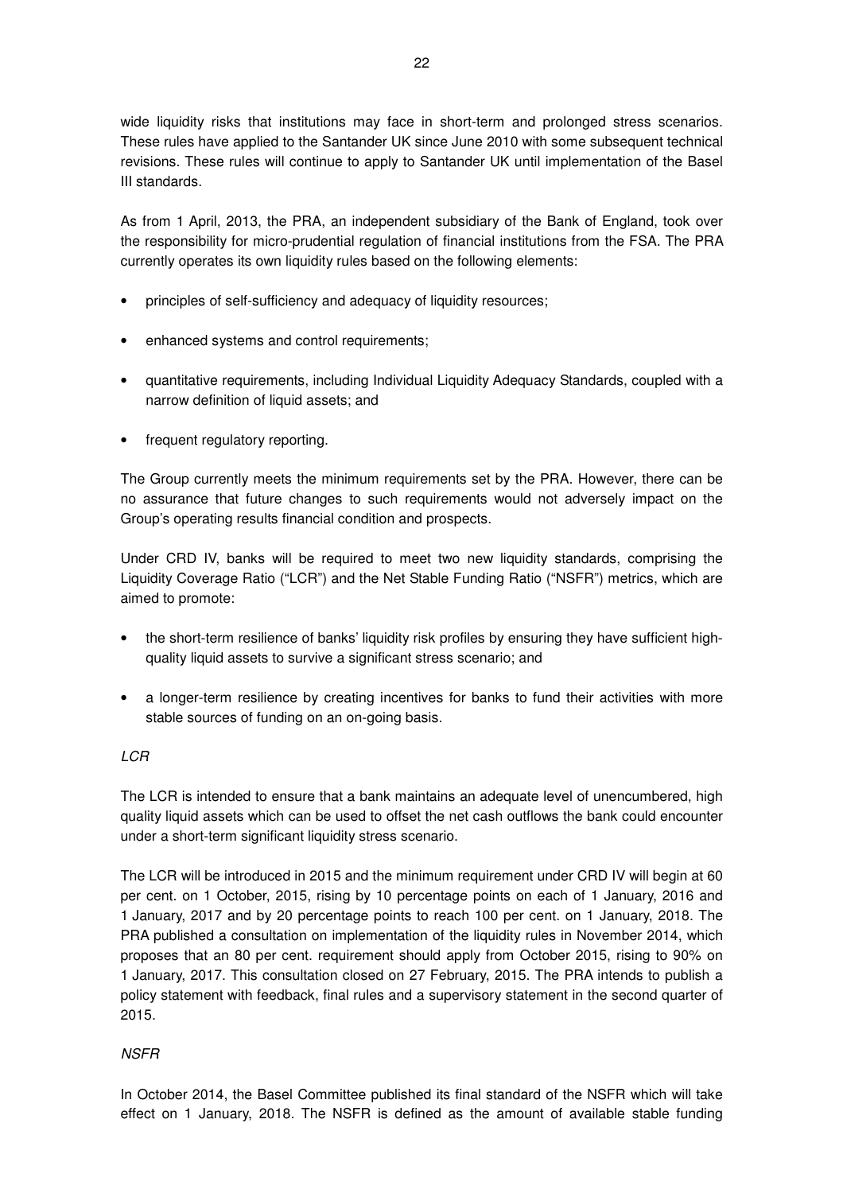wide liquidity risks that institutions may face in short-term and prolonged stress scenarios. These rules have applied to the Santander UK since June 2010 with some subsequent technical revisions. These rules will continue to apply to Santander UK until implementation of the Basel III standards.

As from 1 April, 2013, the PRA, an independent subsidiary of the Bank of England, took over the responsibility for micro-prudential regulation of financial institutions from the FSA. The PRA currently operates its own liquidity rules based on the following elements:

- principles of self-sufficiency and adequacy of liquidity resources;
- enhanced systems and control requirements;
- quantitative requirements, including Individual Liquidity Adequacy Standards, coupled with a narrow definition of liquid assets; and
- frequent regulatory reporting.

The Group currently meets the minimum requirements set by the PRA. However, there can be no assurance that future changes to such requirements would not adversely impact on the Group's operating results financial condition and prospects.

Under CRD IV, banks will be required to meet two new liquidity standards, comprising the Liquidity Coverage Ratio ("LCR") and the Net Stable Funding Ratio ("NSFR") metrics, which are aimed to promote:

- the short-term resilience of banks' liquidity risk profiles by ensuring they have sufficient highquality liquid assets to survive a significant stress scenario; and
- a longer-term resilience by creating incentives for banks to fund their activities with more stable sources of funding on an on-going basis.

### LCR

The LCR is intended to ensure that a bank maintains an adequate level of unencumbered, high quality liquid assets which can be used to offset the net cash outflows the bank could encounter under a short-term significant liquidity stress scenario.

The LCR will be introduced in 2015 and the minimum requirement under CRD IV will begin at 60 per cent. on 1 October, 2015, rising by 10 percentage points on each of 1 January, 2016 and 1 January, 2017 and by 20 percentage points to reach 100 per cent. on 1 January, 2018. The PRA published a consultation on implementation of the liquidity rules in November 2014, which proposes that an 80 per cent. requirement should apply from October 2015, rising to 90% on 1 January, 2017. This consultation closed on 27 February, 2015. The PRA intends to publish a policy statement with feedback, final rules and a supervisory statement in the second quarter of 2015.

### **NSFR**

In October 2014, the Basel Committee published its final standard of the NSFR which will take effect on 1 January, 2018. The NSFR is defined as the amount of available stable funding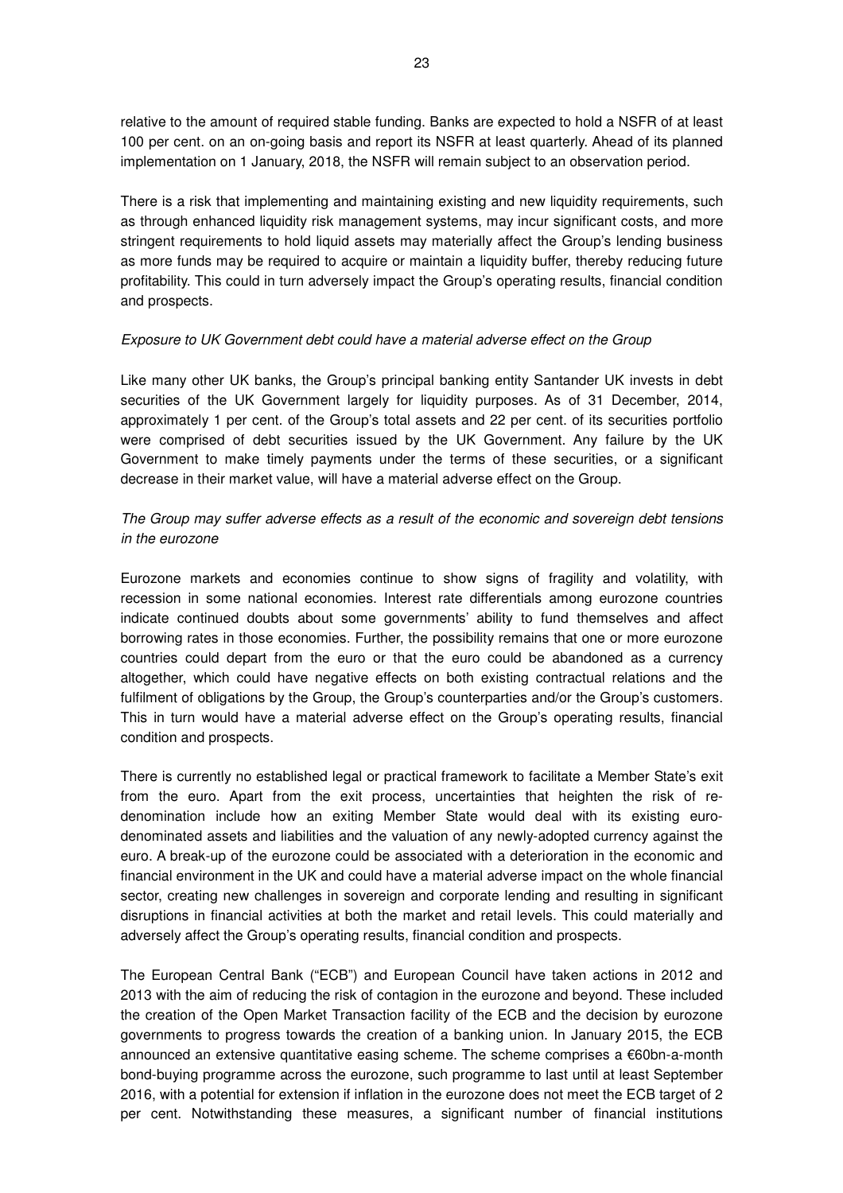relative to the amount of required stable funding. Banks are expected to hold a NSFR of at least 100 per cent. on an on-going basis and report its NSFR at least quarterly. Ahead of its planned implementation on 1 January, 2018, the NSFR will remain subject to an observation period.

There is a risk that implementing and maintaining existing and new liquidity requirements, such as through enhanced liquidity risk management systems, may incur significant costs, and more stringent requirements to hold liquid assets may materially affect the Group's lending business as more funds may be required to acquire or maintain a liquidity buffer, thereby reducing future profitability. This could in turn adversely impact the Group's operating results, financial condition and prospects.

### Exposure to UK Government debt could have a material adverse effect on the Group

Like many other UK banks, the Group's principal banking entity Santander UK invests in debt securities of the UK Government largely for liquidity purposes. As of 31 December, 2014, approximately 1 per cent. of the Group's total assets and 22 per cent. of its securities portfolio were comprised of debt securities issued by the UK Government. Any failure by the UK Government to make timely payments under the terms of these securities, or a significant decrease in their market value, will have a material adverse effect on the Group.

## The Group may suffer adverse effects as a result of the economic and sovereign debt tensions in the eurozone

Eurozone markets and economies continue to show signs of fragility and volatility, with recession in some national economies. Interest rate differentials among eurozone countries indicate continued doubts about some governments' ability to fund themselves and affect borrowing rates in those economies. Further, the possibility remains that one or more eurozone countries could depart from the euro or that the euro could be abandoned as a currency altogether, which could have negative effects on both existing contractual relations and the fulfilment of obligations by the Group, the Group's counterparties and/or the Group's customers. This in turn would have a material adverse effect on the Group's operating results, financial condition and prospects.

There is currently no established legal or practical framework to facilitate a Member State's exit from the euro. Apart from the exit process, uncertainties that heighten the risk of redenomination include how an exiting Member State would deal with its existing eurodenominated assets and liabilities and the valuation of any newly-adopted currency against the euro. A break-up of the eurozone could be associated with a deterioration in the economic and financial environment in the UK and could have a material adverse impact on the whole financial sector, creating new challenges in sovereign and corporate lending and resulting in significant disruptions in financial activities at both the market and retail levels. This could materially and adversely affect the Group's operating results, financial condition and prospects.

The European Central Bank ("ECB") and European Council have taken actions in 2012 and 2013 with the aim of reducing the risk of contagion in the eurozone and beyond. These included the creation of the Open Market Transaction facility of the ECB and the decision by eurozone governments to progress towards the creation of a banking union. In January 2015, the ECB announced an extensive quantitative easing scheme. The scheme comprises a €60bn-a-month bond-buying programme across the eurozone, such programme to last until at least September 2016, with a potential for extension if inflation in the eurozone does not meet the ECB target of 2 per cent. Notwithstanding these measures, a significant number of financial institutions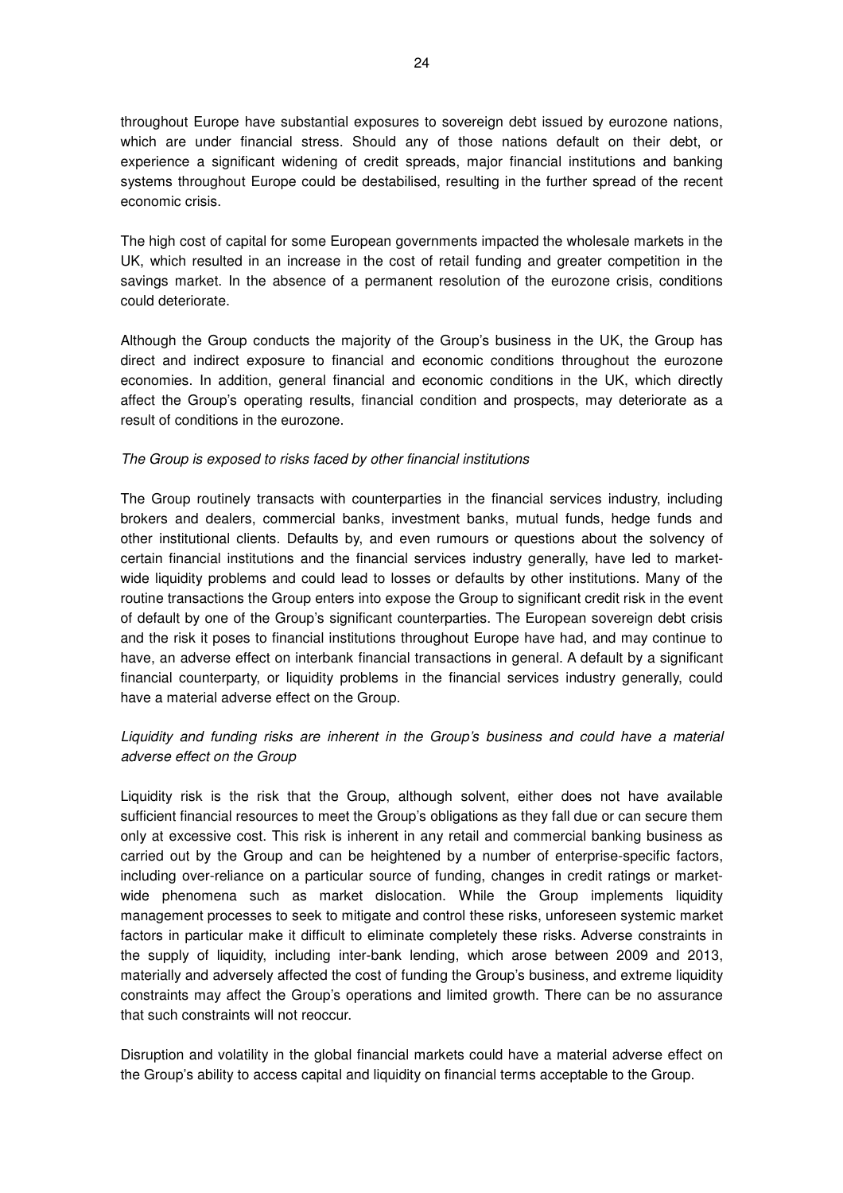throughout Europe have substantial exposures to sovereign debt issued by eurozone nations, which are under financial stress. Should any of those nations default on their debt, or experience a significant widening of credit spreads, major financial institutions and banking systems throughout Europe could be destabilised, resulting in the further spread of the recent economic crisis.

The high cost of capital for some European governments impacted the wholesale markets in the UK, which resulted in an increase in the cost of retail funding and greater competition in the savings market. In the absence of a permanent resolution of the eurozone crisis, conditions could deteriorate.

Although the Group conducts the majority of the Group's business in the UK, the Group has direct and indirect exposure to financial and economic conditions throughout the eurozone economies. In addition, general financial and economic conditions in the UK, which directly affect the Group's operating results, financial condition and prospects, may deteriorate as a result of conditions in the eurozone.

### The Group is exposed to risks faced by other financial institutions

The Group routinely transacts with counterparties in the financial services industry, including brokers and dealers, commercial banks, investment banks, mutual funds, hedge funds and other institutional clients. Defaults by, and even rumours or questions about the solvency of certain financial institutions and the financial services industry generally, have led to marketwide liquidity problems and could lead to losses or defaults by other institutions. Many of the routine transactions the Group enters into expose the Group to significant credit risk in the event of default by one of the Group's significant counterparties. The European sovereign debt crisis and the risk it poses to financial institutions throughout Europe have had, and may continue to have, an adverse effect on interbank financial transactions in general. A default by a significant financial counterparty, or liquidity problems in the financial services industry generally, could have a material adverse effect on the Group.

## Liquidity and funding risks are inherent in the Group's business and could have a material adverse effect on the Group

Liquidity risk is the risk that the Group, although solvent, either does not have available sufficient financial resources to meet the Group's obligations as they fall due or can secure them only at excessive cost. This risk is inherent in any retail and commercial banking business as carried out by the Group and can be heightened by a number of enterprise-specific factors, including over-reliance on a particular source of funding, changes in credit ratings or marketwide phenomena such as market dislocation. While the Group implements liquidity management processes to seek to mitigate and control these risks, unforeseen systemic market factors in particular make it difficult to eliminate completely these risks. Adverse constraints in the supply of liquidity, including inter-bank lending, which arose between 2009 and 2013, materially and adversely affected the cost of funding the Group's business, and extreme liquidity constraints may affect the Group's operations and limited growth. There can be no assurance that such constraints will not reoccur.

Disruption and volatility in the global financial markets could have a material adverse effect on the Group's ability to access capital and liquidity on financial terms acceptable to the Group.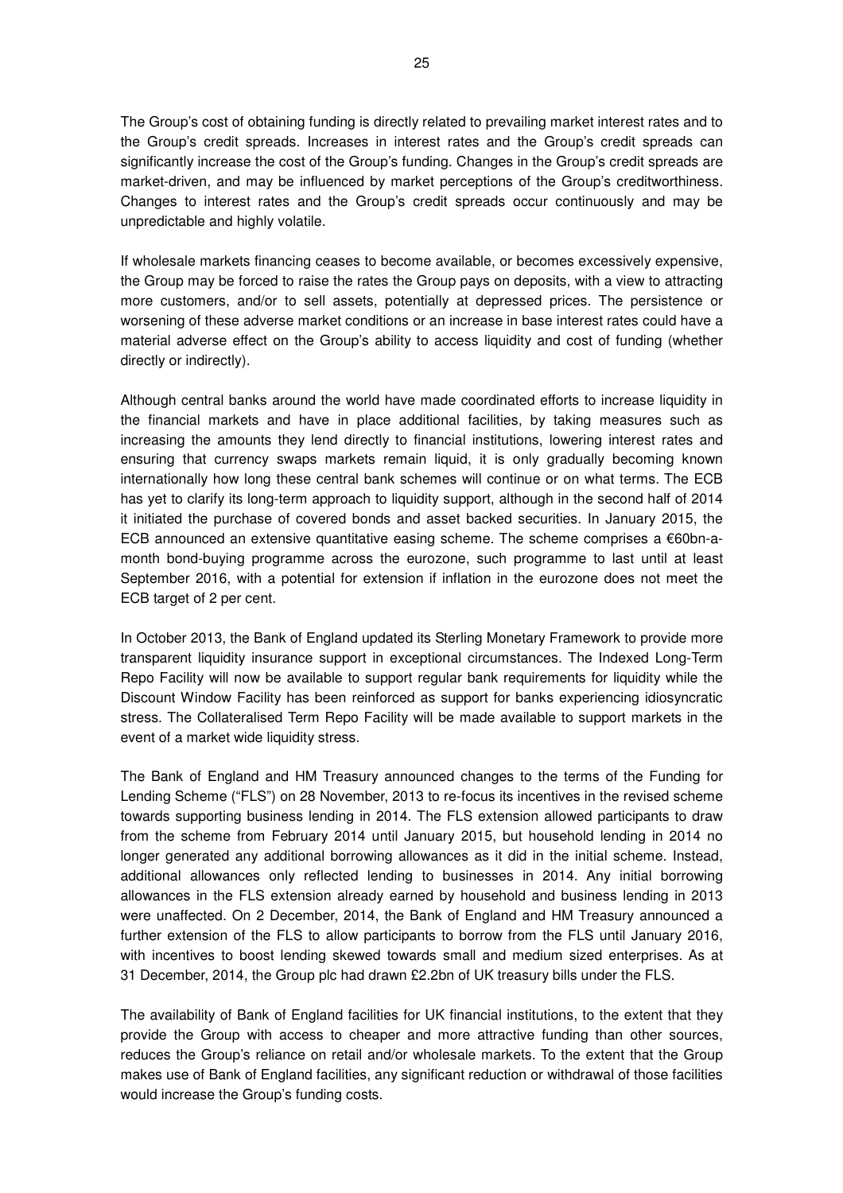The Group's cost of obtaining funding is directly related to prevailing market interest rates and to the Group's credit spreads. Increases in interest rates and the Group's credit spreads can significantly increase the cost of the Group's funding. Changes in the Group's credit spreads are market-driven, and may be influenced by market perceptions of the Group's creditworthiness. Changes to interest rates and the Group's credit spreads occur continuously and may be unpredictable and highly volatile.

If wholesale markets financing ceases to become available, or becomes excessively expensive, the Group may be forced to raise the rates the Group pays on deposits, with a view to attracting more customers, and/or to sell assets, potentially at depressed prices. The persistence or worsening of these adverse market conditions or an increase in base interest rates could have a material adverse effect on the Group's ability to access liquidity and cost of funding (whether directly or indirectly).

Although central banks around the world have made coordinated efforts to increase liquidity in the financial markets and have in place additional facilities, by taking measures such as increasing the amounts they lend directly to financial institutions, lowering interest rates and ensuring that currency swaps markets remain liquid, it is only gradually becoming known internationally how long these central bank schemes will continue or on what terms. The ECB has yet to clarify its long-term approach to liquidity support, although in the second half of 2014 it initiated the purchase of covered bonds and asset backed securities. In January 2015, the ECB announced an extensive quantitative easing scheme. The scheme comprises a €60bn-amonth bond-buying programme across the eurozone, such programme to last until at least September 2016, with a potential for extension if inflation in the eurozone does not meet the ECB target of 2 per cent.

In October 2013, the Bank of England updated its Sterling Monetary Framework to provide more transparent liquidity insurance support in exceptional circumstances. The Indexed Long-Term Repo Facility will now be available to support regular bank requirements for liquidity while the Discount Window Facility has been reinforced as support for banks experiencing idiosyncratic stress. The Collateralised Term Repo Facility will be made available to support markets in the event of a market wide liquidity stress.

The Bank of England and HM Treasury announced changes to the terms of the Funding for Lending Scheme ("FLS") on 28 November, 2013 to re-focus its incentives in the revised scheme towards supporting business lending in 2014. The FLS extension allowed participants to draw from the scheme from February 2014 until January 2015, but household lending in 2014 no longer generated any additional borrowing allowances as it did in the initial scheme. Instead, additional allowances only reflected lending to businesses in 2014. Any initial borrowing allowances in the FLS extension already earned by household and business lending in 2013 were unaffected. On 2 December, 2014, the Bank of England and HM Treasury announced a further extension of the FLS to allow participants to borrow from the FLS until January 2016, with incentives to boost lending skewed towards small and medium sized enterprises. As at 31 December, 2014, the Group plc had drawn £2.2bn of UK treasury bills under the FLS.

The availability of Bank of England facilities for UK financial institutions, to the extent that they provide the Group with access to cheaper and more attractive funding than other sources, reduces the Group's reliance on retail and/or wholesale markets. To the extent that the Group makes use of Bank of England facilities, any significant reduction or withdrawal of those facilities would increase the Group's funding costs.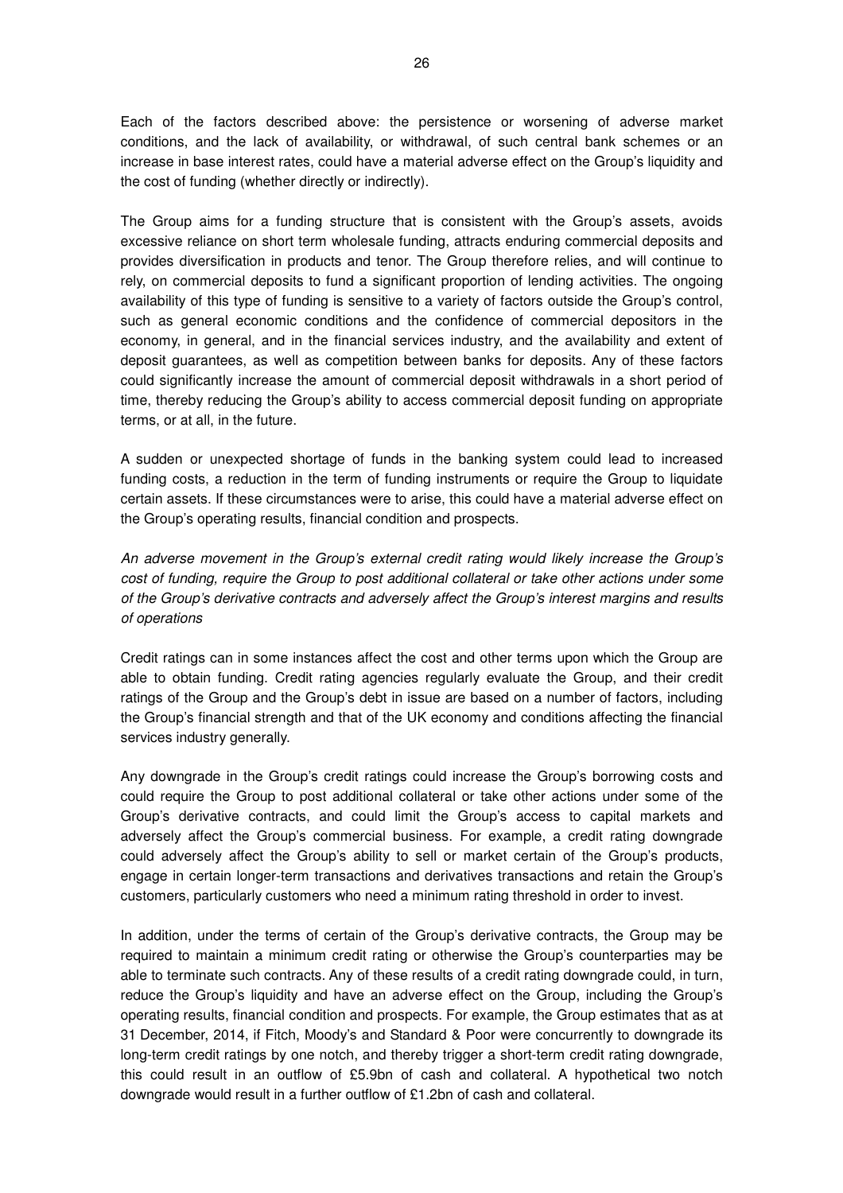Each of the factors described above: the persistence or worsening of adverse market conditions, and the lack of availability, or withdrawal, of such central bank schemes or an increase in base interest rates, could have a material adverse effect on the Group's liquidity and the cost of funding (whether directly or indirectly).

The Group aims for a funding structure that is consistent with the Group's assets, avoids excessive reliance on short term wholesale funding, attracts enduring commercial deposits and provides diversification in products and tenor. The Group therefore relies, and will continue to rely, on commercial deposits to fund a significant proportion of lending activities. The ongoing availability of this type of funding is sensitive to a variety of factors outside the Group's control, such as general economic conditions and the confidence of commercial depositors in the economy, in general, and in the financial services industry, and the availability and extent of deposit guarantees, as well as competition between banks for deposits. Any of these factors could significantly increase the amount of commercial deposit withdrawals in a short period of time, thereby reducing the Group's ability to access commercial deposit funding on appropriate terms, or at all, in the future.

A sudden or unexpected shortage of funds in the banking system could lead to increased funding costs, a reduction in the term of funding instruments or require the Group to liquidate certain assets. If these circumstances were to arise, this could have a material adverse effect on the Group's operating results, financial condition and prospects.

An adverse movement in the Group's external credit rating would likely increase the Group's cost of funding, require the Group to post additional collateral or take other actions under some of the Group's derivative contracts and adversely affect the Group's interest margins and results of operations

Credit ratings can in some instances affect the cost and other terms upon which the Group are able to obtain funding. Credit rating agencies regularly evaluate the Group, and their credit ratings of the Group and the Group's debt in issue are based on a number of factors, including the Group's financial strength and that of the UK economy and conditions affecting the financial services industry generally.

Any downgrade in the Group's credit ratings could increase the Group's borrowing costs and could require the Group to post additional collateral or take other actions under some of the Group's derivative contracts, and could limit the Group's access to capital markets and adversely affect the Group's commercial business. For example, a credit rating downgrade could adversely affect the Group's ability to sell or market certain of the Group's products, engage in certain longer-term transactions and derivatives transactions and retain the Group's customers, particularly customers who need a minimum rating threshold in order to invest.

In addition, under the terms of certain of the Group's derivative contracts, the Group may be required to maintain a minimum credit rating or otherwise the Group's counterparties may be able to terminate such contracts. Any of these results of a credit rating downgrade could, in turn, reduce the Group's liquidity and have an adverse effect on the Group, including the Group's operating results, financial condition and prospects. For example, the Group estimates that as at 31 December, 2014, if Fitch, Moody's and Standard & Poor were concurrently to downgrade its long-term credit ratings by one notch, and thereby trigger a short-term credit rating downgrade, this could result in an outflow of £5.9bn of cash and collateral. A hypothetical two notch downgrade would result in a further outflow of £1.2bn of cash and collateral.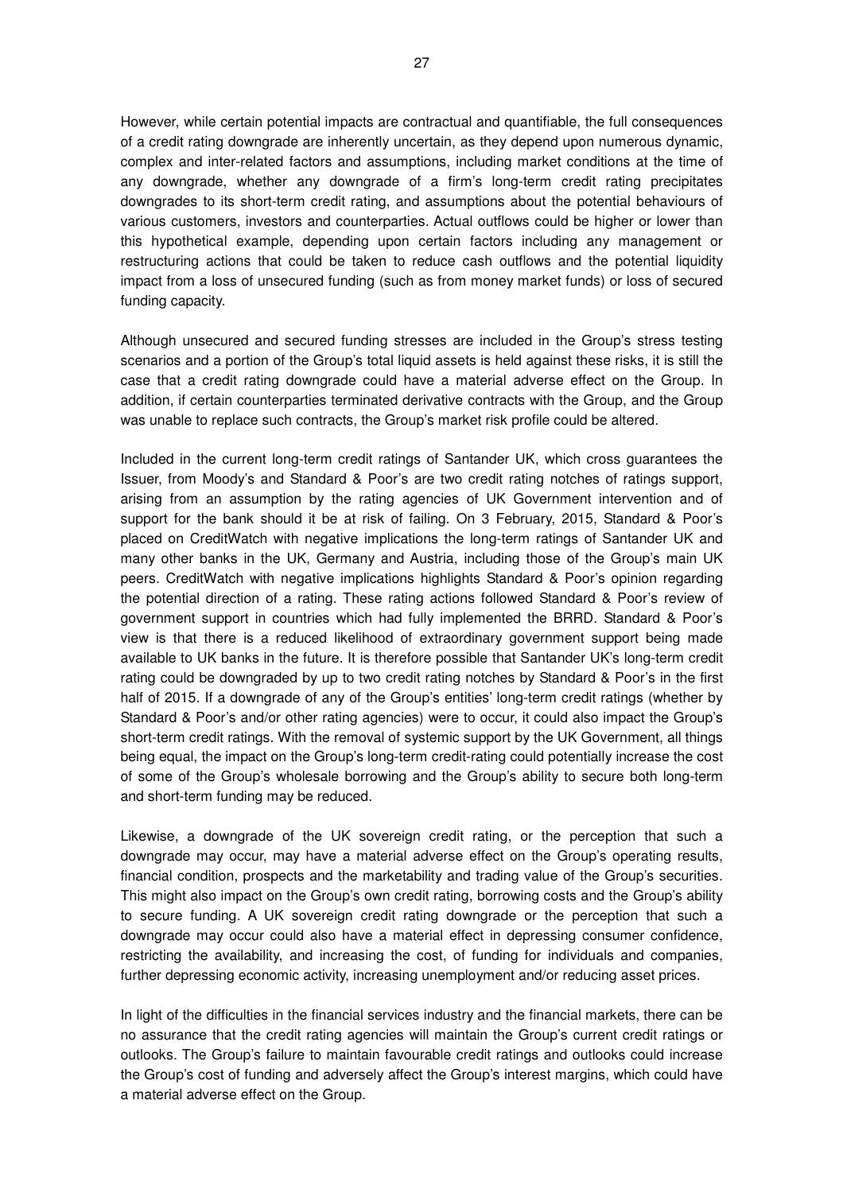However, while certain potential impacts are contractual and quantifiable, the full consequences of a credit rating downgrade are inherently uncertain, as they depend upon numerous dynamic, complex and inter-related factors and assumptions, including market conditions at the time of any downgrade, whether any downgrade of a firm's long-term credit rating precipitates downgrades to its short-term credit rating, and assumptions about the potential behaviours of various customers, investors and counterparties. Actual outflows could be higher or lower than this hypothetical example, depending upon certain factors including any management or restructuring actions that could be taken to reduce cash outflows and the potential liquidity impact from a loss of unsecured funding (such as from money market funds) or loss of secured funding capacity.

Although unsecured and secured funding stresses are included in the Group's stress testing scenarios and a portion of the Group's total liquid assets is held against these risks, it is still the case that a credit rating downgrade could have a material adverse effect on the Group. In addition, if certain counterparties terminated derivative contracts with the Group, and the Group was unable to replace such contracts, the Group's market risk profile could be altered.

Included in the current long-term credit ratings of Santander UK, which cross guarantees the Issuer, from Moody's and Standard & Poor's are two credit rating notches of ratings support, arising from an assumption by the rating agencies of UK Government intervention and of support for the bank should it be at risk of failing. On 3 February, 2015, Standard & Poor's placed on CreditWatch with negative implications the long-term ratings of Santander UK and many other banks in the UK, Germany and Austria, including those of the Group's main UK peers. CreditWatch with negative implications highlights Standard & Poor's opinion regarding the potential direction of a rating. These rating actions followed Standard & Poor's review of government support in countries which had fully implemented the BRRD. Standard & Poor's view is that there is a reduced likelihood of extraordinary government support being made available to UK banks in the future. It is therefore possible that Santander UK's long-term credit rating could be downgraded by up to two credit rating notches by Standard & Poor's in the first half of 2015. If a downgrade of any of the Group's entities' long-term credit ratings (whether by Standard & Poor's and/or other rating agencies) were to occur, it could also impact the Group's short-term credit ratings. With the removal of systemic support by the UK Government, all things being equal, the impact on the Group's long-term credit-rating could potentially increase the cost of some of the Group's wholesale borrowing and the Group's ability to secure both long-term and short-term funding may be reduced.

Likewise, a downgrade of the UK sovereign credit rating, or the perception that such a downgrade may occur, may have a material adverse effect on the Group's operating results, financial condition, prospects and the marketability and trading value of the Group's securities. This might also impact on the Group's own credit rating, borrowing costs and the Group's ability to secure funding. A UK sovereign credit rating downgrade or the perception that such a downgrade may occur could also have a material effect in depressing consumer confidence, restricting the availability, and increasing the cost, of funding for individuals and companies, further depressing economic activity, increasing unemployment and/or reducing asset prices.

In light of the difficulties in the financial services industry and the financial markets, there can be no assurance that the credit rating agencies will maintain the Group's current credit ratings or outlooks. The Group's failure to maintain favourable credit ratings and outlooks could increase the Group's cost of funding and adversely affect the Group's interest margins, which could have a material adverse effect on the Group.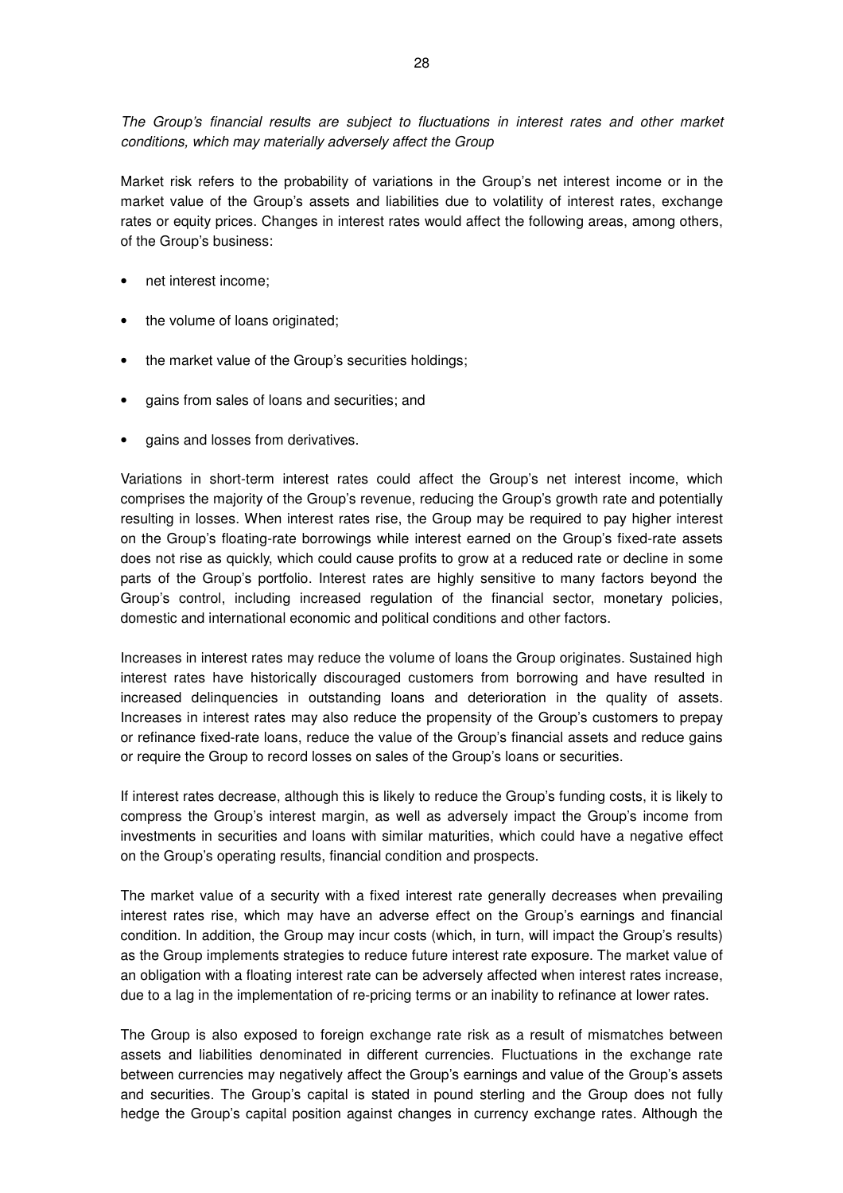The Group's financial results are subject to fluctuations in interest rates and other market conditions, which may materially adversely affect the Group

Market risk refers to the probability of variations in the Group's net interest income or in the market value of the Group's assets and liabilities due to volatility of interest rates, exchange rates or equity prices. Changes in interest rates would affect the following areas, among others, of the Group's business:

- net interest income;
- the volume of loans originated:
- the market value of the Group's securities holdings;
- gains from sales of loans and securities; and
- gains and losses from derivatives.

Variations in short-term interest rates could affect the Group's net interest income, which comprises the majority of the Group's revenue, reducing the Group's growth rate and potentially resulting in losses. When interest rates rise, the Group may be required to pay higher interest on the Group's floating-rate borrowings while interest earned on the Group's fixed-rate assets does not rise as quickly, which could cause profits to grow at a reduced rate or decline in some parts of the Group's portfolio. Interest rates are highly sensitive to many factors beyond the Group's control, including increased regulation of the financial sector, monetary policies, domestic and international economic and political conditions and other factors.

Increases in interest rates may reduce the volume of loans the Group originates. Sustained high interest rates have historically discouraged customers from borrowing and have resulted in increased delinquencies in outstanding loans and deterioration in the quality of assets. Increases in interest rates may also reduce the propensity of the Group's customers to prepay or refinance fixed-rate loans, reduce the value of the Group's financial assets and reduce gains or require the Group to record losses on sales of the Group's loans or securities.

If interest rates decrease, although this is likely to reduce the Group's funding costs, it is likely to compress the Group's interest margin, as well as adversely impact the Group's income from investments in securities and loans with similar maturities, which could have a negative effect on the Group's operating results, financial condition and prospects.

The market value of a security with a fixed interest rate generally decreases when prevailing interest rates rise, which may have an adverse effect on the Group's earnings and financial condition. In addition, the Group may incur costs (which, in turn, will impact the Group's results) as the Group implements strategies to reduce future interest rate exposure. The market value of an obligation with a floating interest rate can be adversely affected when interest rates increase, due to a lag in the implementation of re-pricing terms or an inability to refinance at lower rates.

The Group is also exposed to foreign exchange rate risk as a result of mismatches between assets and liabilities denominated in different currencies. Fluctuations in the exchange rate between currencies may negatively affect the Group's earnings and value of the Group's assets and securities. The Group's capital is stated in pound sterling and the Group does not fully hedge the Group's capital position against changes in currency exchange rates. Although the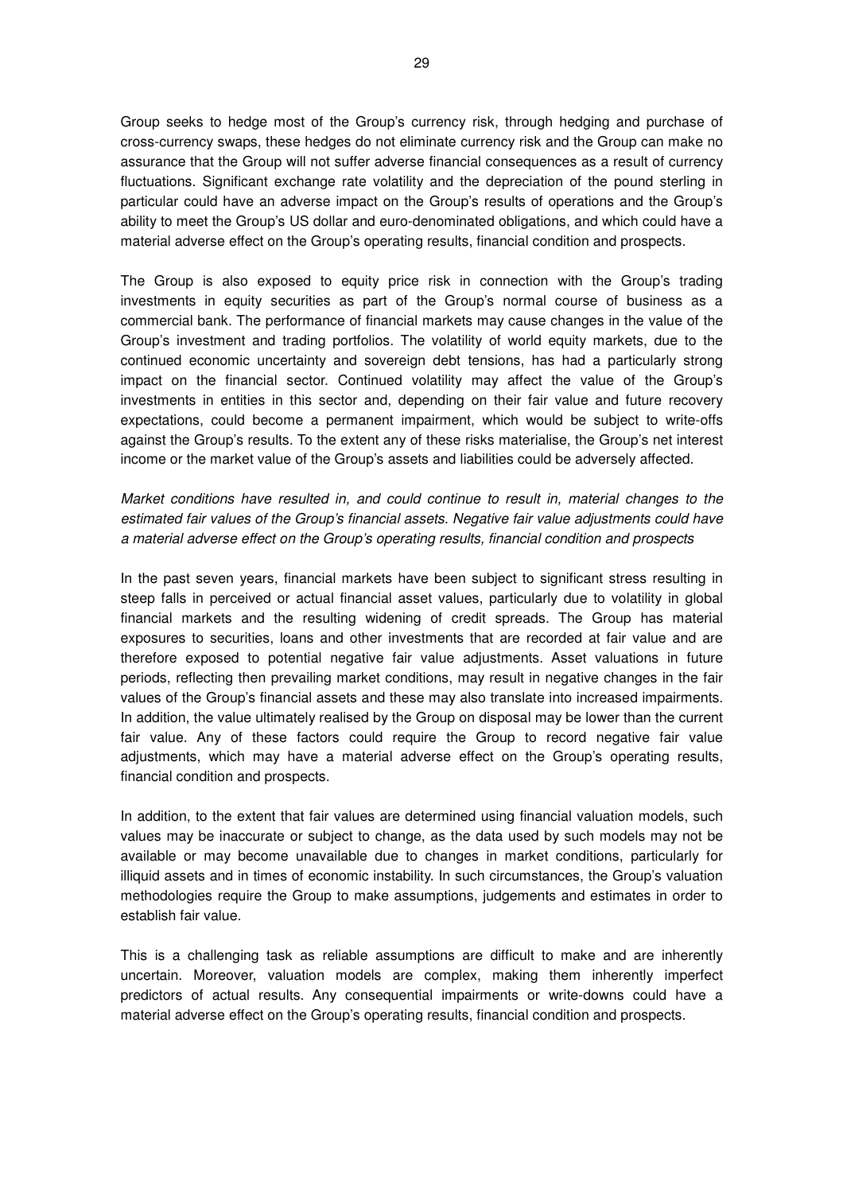Group seeks to hedge most of the Group's currency risk, through hedging and purchase of cross-currency swaps, these hedges do not eliminate currency risk and the Group can make no assurance that the Group will not suffer adverse financial consequences as a result of currency fluctuations. Significant exchange rate volatility and the depreciation of the pound sterling in particular could have an adverse impact on the Group's results of operations and the Group's ability to meet the Group's US dollar and euro-denominated obligations, and which could have a material adverse effect on the Group's operating results, financial condition and prospects.

The Group is also exposed to equity price risk in connection with the Group's trading investments in equity securities as part of the Group's normal course of business as a commercial bank. The performance of financial markets may cause changes in the value of the Group's investment and trading portfolios. The volatility of world equity markets, due to the continued economic uncertainty and sovereign debt tensions, has had a particularly strong impact on the financial sector. Continued volatility may affect the value of the Group's investments in entities in this sector and, depending on their fair value and future recovery expectations, could become a permanent impairment, which would be subject to write-offs against the Group's results. To the extent any of these risks materialise, the Group's net interest income or the market value of the Group's assets and liabilities could be adversely affected.

Market conditions have resulted in, and could continue to result in, material changes to the estimated fair values of the Group's financial assets. Negative fair value adjustments could have a material adverse effect on the Group's operating results, financial condition and prospects

In the past seven years, financial markets have been subject to significant stress resulting in steep falls in perceived or actual financial asset values, particularly due to volatility in global financial markets and the resulting widening of credit spreads. The Group has material exposures to securities, loans and other investments that are recorded at fair value and are therefore exposed to potential negative fair value adjustments. Asset valuations in future periods, reflecting then prevailing market conditions, may result in negative changes in the fair values of the Group's financial assets and these may also translate into increased impairments. In addition, the value ultimately realised by the Group on disposal may be lower than the current fair value. Any of these factors could require the Group to record negative fair value adjustments, which may have a material adverse effect on the Group's operating results, financial condition and prospects.

In addition, to the extent that fair values are determined using financial valuation models, such values may be inaccurate or subject to change, as the data used by such models may not be available or may become unavailable due to changes in market conditions, particularly for illiquid assets and in times of economic instability. In such circumstances, the Group's valuation methodologies require the Group to make assumptions, judgements and estimates in order to establish fair value.

This is a challenging task as reliable assumptions are difficult to make and are inherently uncertain. Moreover, valuation models are complex, making them inherently imperfect predictors of actual results. Any consequential impairments or write-downs could have a material adverse effect on the Group's operating results, financial condition and prospects.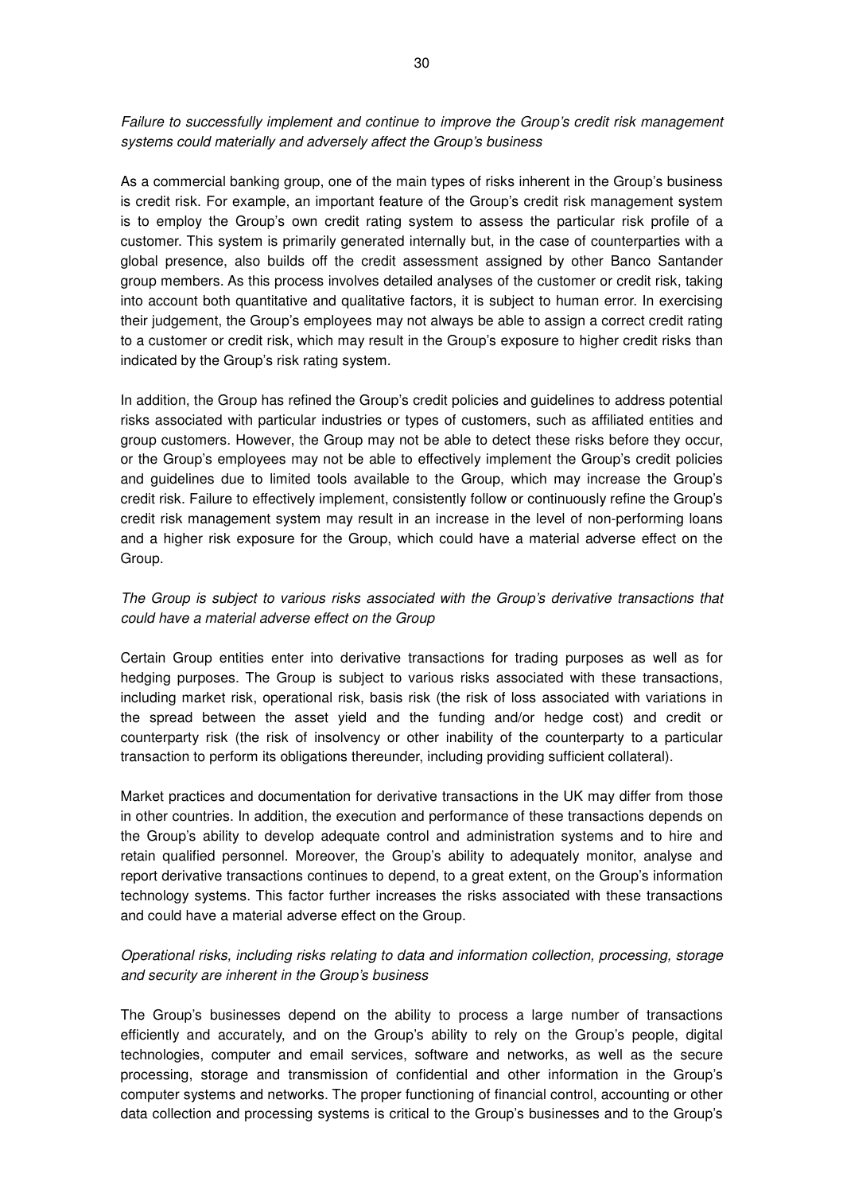Failure to successfully implement and continue to improve the Group's credit risk management systems could materially and adversely affect the Group's business

As a commercial banking group, one of the main types of risks inherent in the Group's business is credit risk. For example, an important feature of the Group's credit risk management system is to employ the Group's own credit rating system to assess the particular risk profile of a customer. This system is primarily generated internally but, in the case of counterparties with a global presence, also builds off the credit assessment assigned by other Banco Santander group members. As this process involves detailed analyses of the customer or credit risk, taking into account both quantitative and qualitative factors, it is subject to human error. In exercising their judgement, the Group's employees may not always be able to assign a correct credit rating to a customer or credit risk, which may result in the Group's exposure to higher credit risks than indicated by the Group's risk rating system.

In addition, the Group has refined the Group's credit policies and guidelines to address potential risks associated with particular industries or types of customers, such as affiliated entities and group customers. However, the Group may not be able to detect these risks before they occur, or the Group's employees may not be able to effectively implement the Group's credit policies and guidelines due to limited tools available to the Group, which may increase the Group's credit risk. Failure to effectively implement, consistently follow or continuously refine the Group's credit risk management system may result in an increase in the level of non-performing loans and a higher risk exposure for the Group, which could have a material adverse effect on the Group.

## The Group is subject to various risks associated with the Group's derivative transactions that could have a material adverse effect on the Group

Certain Group entities enter into derivative transactions for trading purposes as well as for hedging purposes. The Group is subject to various risks associated with these transactions, including market risk, operational risk, basis risk (the risk of loss associated with variations in the spread between the asset yield and the funding and/or hedge cost) and credit or counterparty risk (the risk of insolvency or other inability of the counterparty to a particular transaction to perform its obligations thereunder, including providing sufficient collateral).

Market practices and documentation for derivative transactions in the UK may differ from those in other countries. In addition, the execution and performance of these transactions depends on the Group's ability to develop adequate control and administration systems and to hire and retain qualified personnel. Moreover, the Group's ability to adequately monitor, analyse and report derivative transactions continues to depend, to a great extent, on the Group's information technology systems. This factor further increases the risks associated with these transactions and could have a material adverse effect on the Group.

## Operational risks, including risks relating to data and information collection, processing, storage and security are inherent in the Group's business

The Group's businesses depend on the ability to process a large number of transactions efficiently and accurately, and on the Group's ability to rely on the Group's people, digital technologies, computer and email services, software and networks, as well as the secure processing, storage and transmission of confidential and other information in the Group's computer systems and networks. The proper functioning of financial control, accounting or other data collection and processing systems is critical to the Group's businesses and to the Group's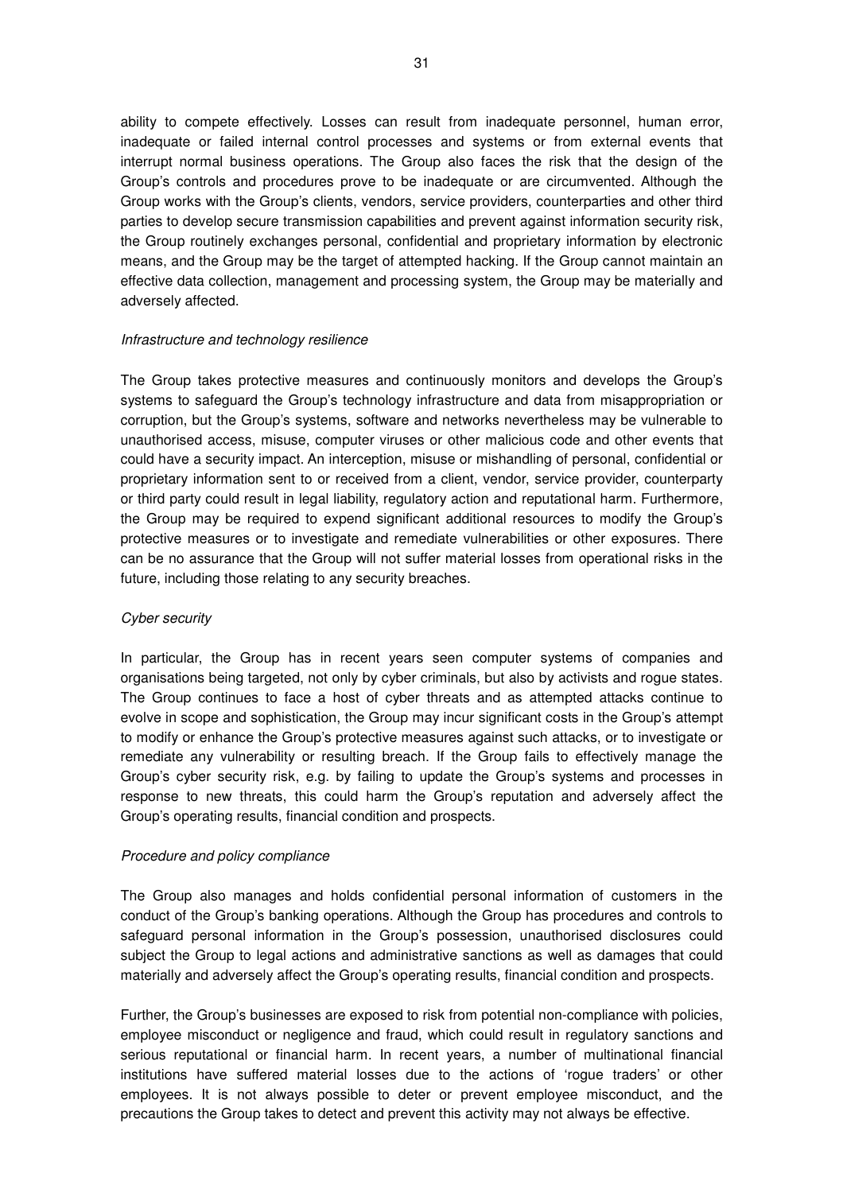ability to compete effectively. Losses can result from inadequate personnel, human error, inadequate or failed internal control processes and systems or from external events that interrupt normal business operations. The Group also faces the risk that the design of the Group's controls and procedures prove to be inadequate or are circumvented. Although the Group works with the Group's clients, vendors, service providers, counterparties and other third parties to develop secure transmission capabilities and prevent against information security risk, the Group routinely exchanges personal, confidential and proprietary information by electronic means, and the Group may be the target of attempted hacking. If the Group cannot maintain an effective data collection, management and processing system, the Group may be materially and adversely affected.

### Infrastructure and technology resilience

The Group takes protective measures and continuously monitors and develops the Group's systems to safeguard the Group's technology infrastructure and data from misappropriation or corruption, but the Group's systems, software and networks nevertheless may be vulnerable to unauthorised access, misuse, computer viruses or other malicious code and other events that could have a security impact. An interception, misuse or mishandling of personal, confidential or proprietary information sent to or received from a client, vendor, service provider, counterparty or third party could result in legal liability, regulatory action and reputational harm. Furthermore, the Group may be required to expend significant additional resources to modify the Group's protective measures or to investigate and remediate vulnerabilities or other exposures. There can be no assurance that the Group will not suffer material losses from operational risks in the future, including those relating to any security breaches.

### Cyber security

In particular, the Group has in recent years seen computer systems of companies and organisations being targeted, not only by cyber criminals, but also by activists and rogue states. The Group continues to face a host of cyber threats and as attempted attacks continue to evolve in scope and sophistication, the Group may incur significant costs in the Group's attempt to modify or enhance the Group's protective measures against such attacks, or to investigate or remediate any vulnerability or resulting breach. If the Group fails to effectively manage the Group's cyber security risk, e.g. by failing to update the Group's systems and processes in response to new threats, this could harm the Group's reputation and adversely affect the Group's operating results, financial condition and prospects.

### Procedure and policy compliance

The Group also manages and holds confidential personal information of customers in the conduct of the Group's banking operations. Although the Group has procedures and controls to safeguard personal information in the Group's possession, unauthorised disclosures could subject the Group to legal actions and administrative sanctions as well as damages that could materially and adversely affect the Group's operating results, financial condition and prospects.

Further, the Group's businesses are exposed to risk from potential non-compliance with policies, employee misconduct or negligence and fraud, which could result in regulatory sanctions and serious reputational or financial harm. In recent years, a number of multinational financial institutions have suffered material losses due to the actions of 'rogue traders' or other employees. It is not always possible to deter or prevent employee misconduct, and the precautions the Group takes to detect and prevent this activity may not always be effective.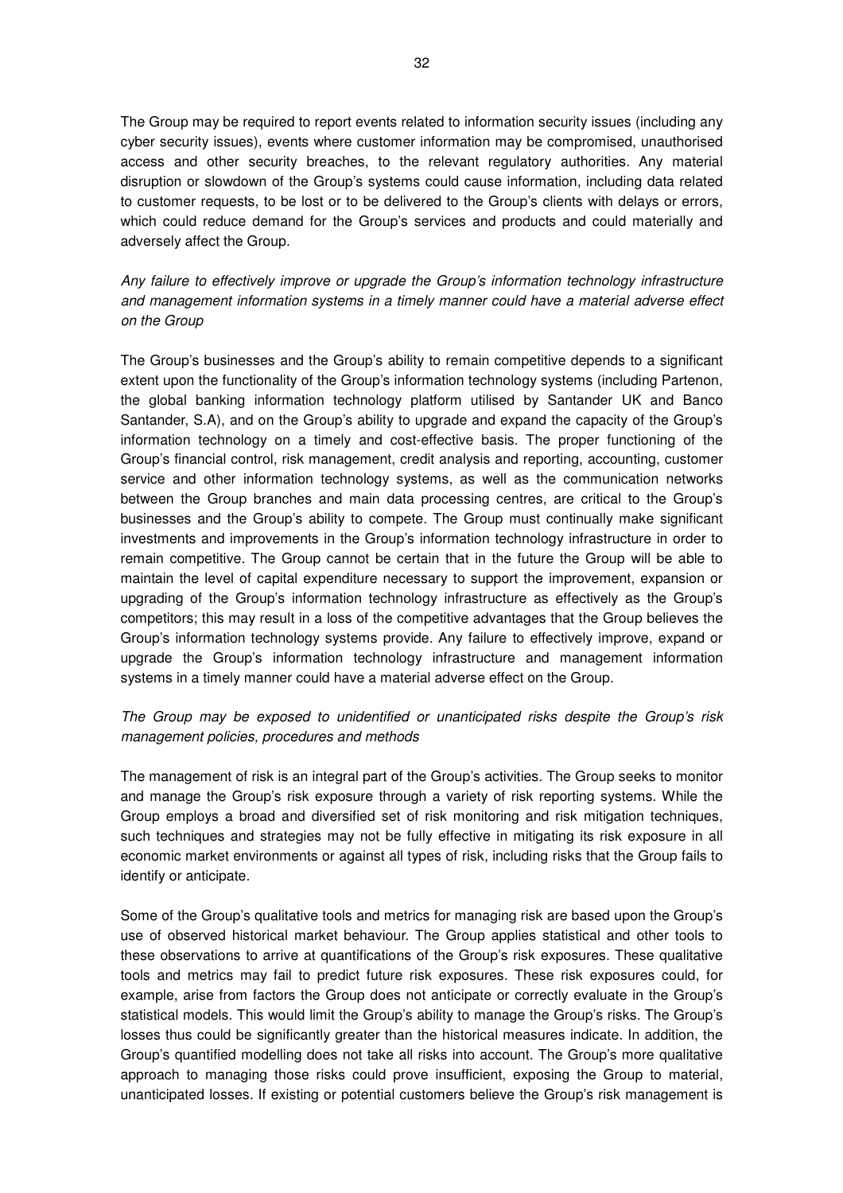The Group may be required to report events related to information security issues (including any cyber security issues), events where customer information may be compromised, unauthorised access and other security breaches, to the relevant regulatory authorities. Any material disruption or slowdown of the Group's systems could cause information, including data related to customer requests, to be lost or to be delivered to the Group's clients with delays or errors, which could reduce demand for the Group's services and products and could materially and adversely affect the Group.

Any failure to effectively improve or upgrade the Group's information technology infrastructure and management information systems in a timely manner could have a material adverse effect on the Group

The Group's businesses and the Group's ability to remain competitive depends to a significant extent upon the functionality of the Group's information technology systems (including Partenon, the global banking information technology platform utilised by Santander UK and Banco Santander, S.A), and on the Group's ability to upgrade and expand the capacity of the Group's information technology on a timely and cost-effective basis. The proper functioning of the Group's financial control, risk management, credit analysis and reporting, accounting, customer service and other information technology systems, as well as the communication networks between the Group branches and main data processing centres, are critical to the Group's businesses and the Group's ability to compete. The Group must continually make significant investments and improvements in the Group's information technology infrastructure in order to remain competitive. The Group cannot be certain that in the future the Group will be able to maintain the level of capital expenditure necessary to support the improvement, expansion or upgrading of the Group's information technology infrastructure as effectively as the Group's competitors; this may result in a loss of the competitive advantages that the Group believes the Group's information technology systems provide. Any failure to effectively improve, expand or upgrade the Group's information technology infrastructure and management information systems in a timely manner could have a material adverse effect on the Group.

## The Group may be exposed to unidentified or unanticipated risks despite the Group's risk management policies, procedures and methods

The management of risk is an integral part of the Group's activities. The Group seeks to monitor and manage the Group's risk exposure through a variety of risk reporting systems. While the Group employs a broad and diversified set of risk monitoring and risk mitigation techniques, such techniques and strategies may not be fully effective in mitigating its risk exposure in all economic market environments or against all types of risk, including risks that the Group fails to identify or anticipate.

Some of the Group's qualitative tools and metrics for managing risk are based upon the Group's use of observed historical market behaviour. The Group applies statistical and other tools to these observations to arrive at quantifications of the Group's risk exposures. These qualitative tools and metrics may fail to predict future risk exposures. These risk exposures could, for example, arise from factors the Group does not anticipate or correctly evaluate in the Group's statistical models. This would limit the Group's ability to manage the Group's risks. The Group's losses thus could be significantly greater than the historical measures indicate. In addition, the Group's quantified modelling does not take all risks into account. The Group's more qualitative approach to managing those risks could prove insufficient, exposing the Group to material, unanticipated losses. If existing or potential customers believe the Group's risk management is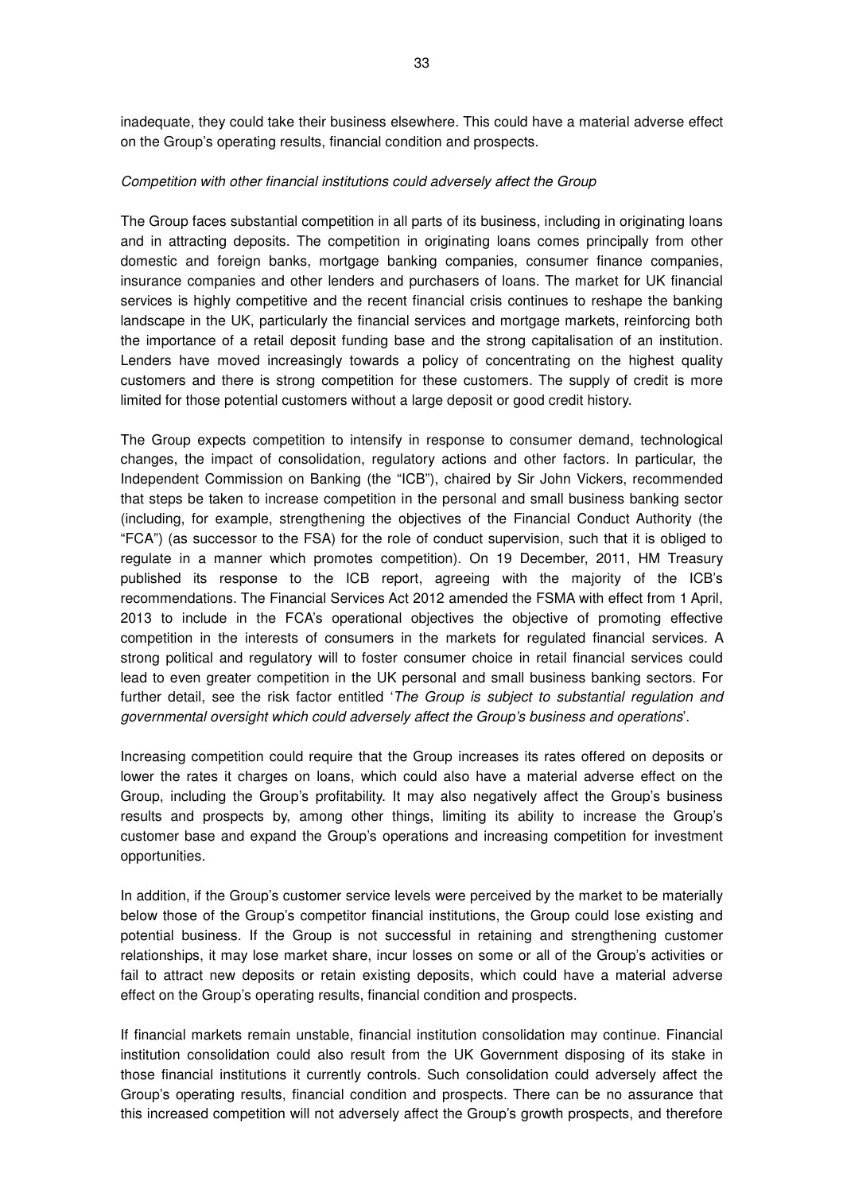inadequate, they could take their business elsewhere. This could have a material adverse effect on the Group's operating results, financial condition and prospects.

#### Competition with other financial institutions could adversely affect the Group

The Group faces substantial competition in all parts of its business, including in originating loans and in attracting deposits. The competition in originating loans comes principally from other domestic and foreign banks, mortgage banking companies, consumer finance companies, insurance companies and other lenders and purchasers of loans. The market for UK financial services is highly competitive and the recent financial crisis continues to reshape the banking landscape in the UK, particularly the financial services and mortgage markets, reinforcing both the importance of a retail deposit funding base and the strong capitalisation of an institution. Lenders have moved increasingly towards a policy of concentrating on the highest quality customers and there is strong competition for these customers. The supply of credit is more limited for those potential customers without a large deposit or good credit history.

The Group expects competition to intensify in response to consumer demand, technological changes, the impact of consolidation, regulatory actions and other factors. In particular, the Independent Commission on Banking (the "ICB"), chaired by Sir John Vickers, recommended that steps be taken to increase competition in the personal and small business banking sector (including, for example, strengthening the objectives of the Financial Conduct Authority (the "FCA") (as successor to the FSA) for the role of conduct supervision, such that it is obliged to regulate in a manner which promotes competition). On 19 December, 2011, HM Treasury published its response to the ICB report, agreeing with the majority of the ICB's recommendations. The Financial Services Act 2012 amended the FSMA with effect from 1 April, 2013 to include in the FCA's operational objectives the objective of promoting effective competition in the interests of consumers in the markets for regulated financial services. A strong political and regulatory will to foster consumer choice in retail financial services could lead to even greater competition in the UK personal and small business banking sectors. For further detail, see the risk factor entitled '*The Group is subject to substantial regulation and* governmental oversight which could adversely affect the Group's business and operations'.

Increasing competition could require that the Group increases its rates offered on deposits or lower the rates it charges on loans, which could also have a material adverse effect on the Group, including the Group's profitability. It may also negatively affect the Group's business results and prospects by, among other things, limiting its ability to increase the Group's customer base and expand the Group's operations and increasing competition for investment opportunities.

In addition, if the Group's customer service levels were perceived by the market to be materially below those of the Group's competitor financial institutions, the Group could lose existing and potential business. If the Group is not successful in retaining and strengthening customer relationships, it may lose market share, incur losses on some or all of the Group's activities or fail to attract new deposits or retain existing deposits, which could have a material adverse effect on the Group's operating results, financial condition and prospects.

If financial markets remain unstable, financial institution consolidation may continue. Financial institution consolidation could also result from the UK Government disposing of its stake in those financial institutions it currently controls. Such consolidation could adversely affect the Group's operating results, financial condition and prospects. There can be no assurance that this increased competition will not adversely affect the Group's growth prospects, and therefore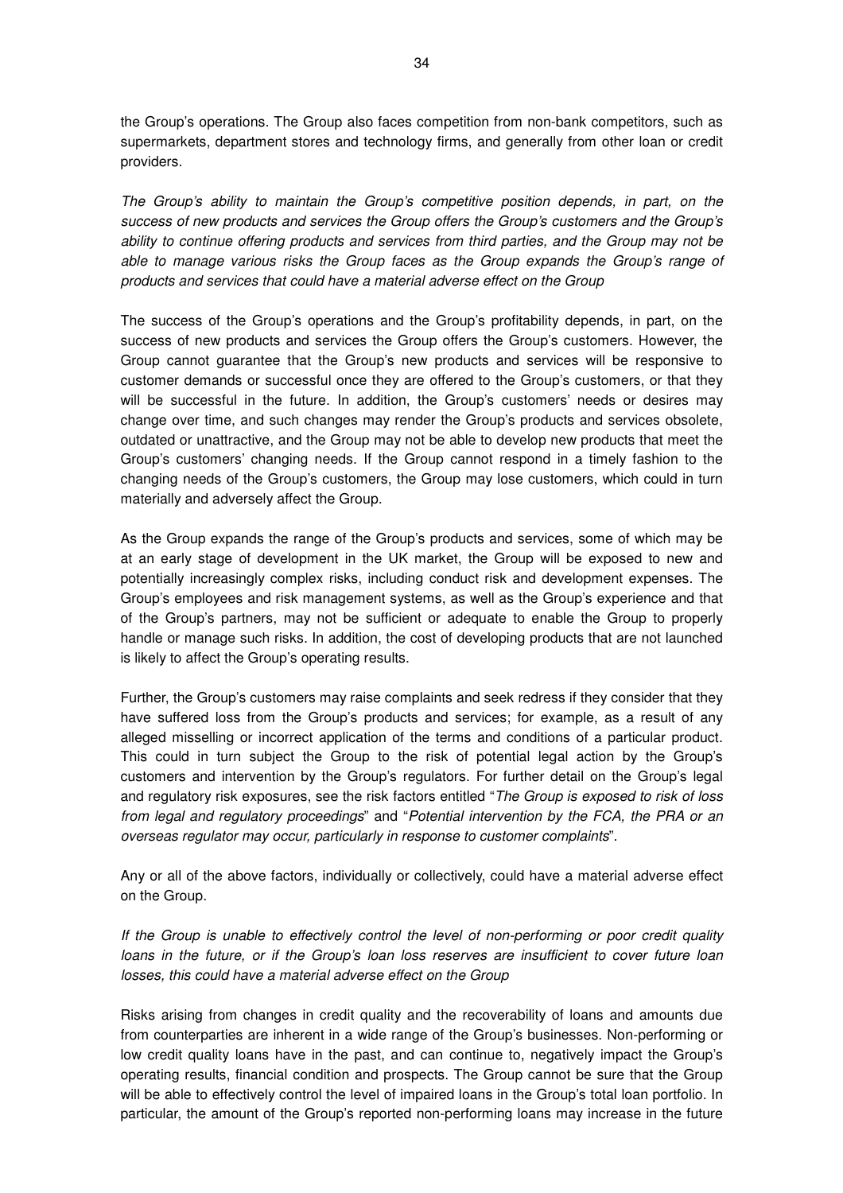the Group's operations. The Group also faces competition from non-bank competitors, such as supermarkets, department stores and technology firms, and generally from other loan or credit providers.

The Group's ability to maintain the Group's competitive position depends, in part, on the success of new products and services the Group offers the Group's customers and the Group's ability to continue offering products and services from third parties, and the Group may not be able to manage various risks the Group faces as the Group expands the Group's range of products and services that could have a material adverse effect on the Group

The success of the Group's operations and the Group's profitability depends, in part, on the success of new products and services the Group offers the Group's customers. However, the Group cannot guarantee that the Group's new products and services will be responsive to customer demands or successful once they are offered to the Group's customers, or that they will be successful in the future. In addition, the Group's customers' needs or desires may change over time, and such changes may render the Group's products and services obsolete, outdated or unattractive, and the Group may not be able to develop new products that meet the Group's customers' changing needs. If the Group cannot respond in a timely fashion to the changing needs of the Group's customers, the Group may lose customers, which could in turn materially and adversely affect the Group.

As the Group expands the range of the Group's products and services, some of which may be at an early stage of development in the UK market, the Group will be exposed to new and potentially increasingly complex risks, including conduct risk and development expenses. The Group's employees and risk management systems, as well as the Group's experience and that of the Group's partners, may not be sufficient or adequate to enable the Group to properly handle or manage such risks. In addition, the cost of developing products that are not launched is likely to affect the Group's operating results.

Further, the Group's customers may raise complaints and seek redress if they consider that they have suffered loss from the Group's products and services; for example, as a result of any alleged misselling or incorrect application of the terms and conditions of a particular product. This could in turn subject the Group to the risk of potential legal action by the Group's customers and intervention by the Group's regulators. For further detail on the Group's legal and regulatory risk exposures, see the risk factors entitled "The Group is exposed to risk of loss from legal and regulatory proceedings" and "Potential intervention by the FCA, the PRA or an overseas regulator may occur, particularly in response to customer complaints".

Any or all of the above factors, individually or collectively, could have a material adverse effect on the Group.

If the Group is unable to effectively control the level of non-performing or poor credit quality loans in the future, or if the Group's loan loss reserves are insufficient to cover future loan losses, this could have a material adverse effect on the Group

Risks arising from changes in credit quality and the recoverability of loans and amounts due from counterparties are inherent in a wide range of the Group's businesses. Non-performing or low credit quality loans have in the past, and can continue to, negatively impact the Group's operating results, financial condition and prospects. The Group cannot be sure that the Group will be able to effectively control the level of impaired loans in the Group's total loan portfolio. In particular, the amount of the Group's reported non-performing loans may increase in the future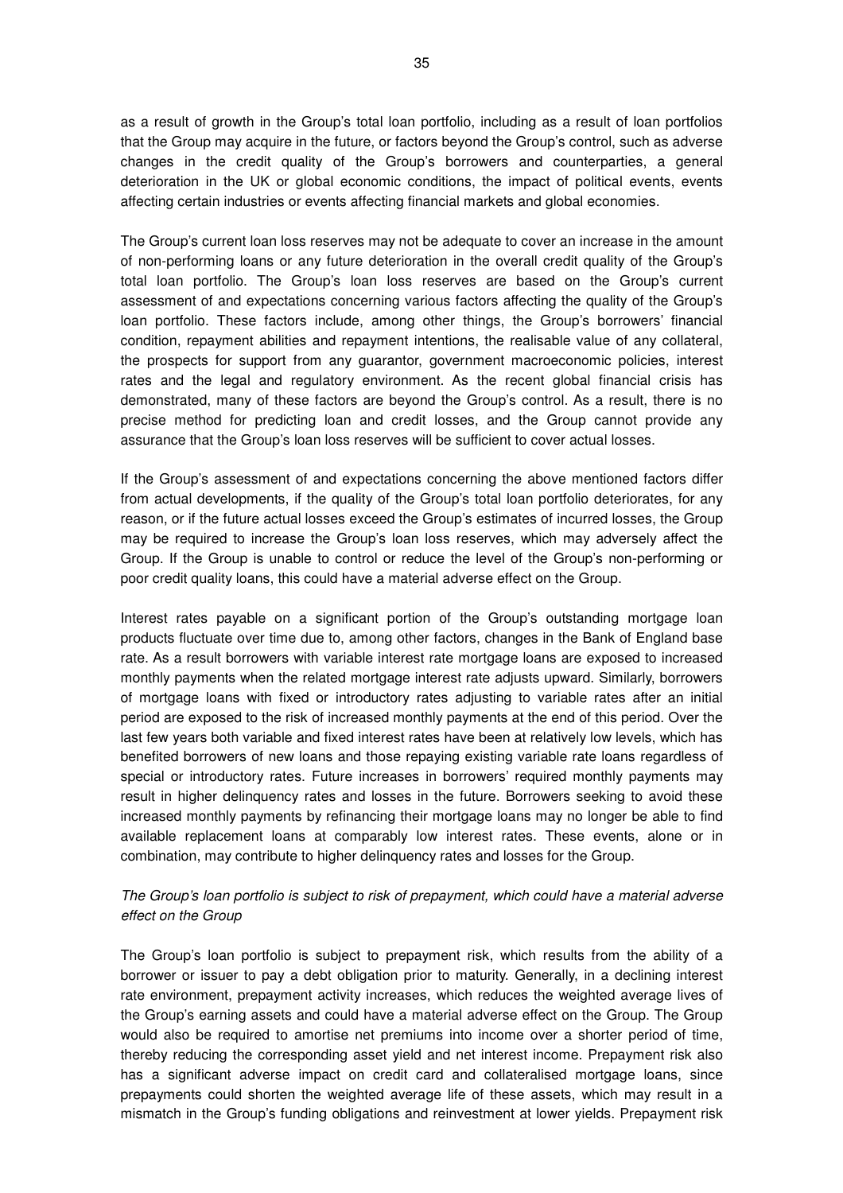as a result of growth in the Group's total loan portfolio, including as a result of loan portfolios that the Group may acquire in the future, or factors beyond the Group's control, such as adverse changes in the credit quality of the Group's borrowers and counterparties, a general deterioration in the UK or global economic conditions, the impact of political events, events affecting certain industries or events affecting financial markets and global economies.

The Group's current loan loss reserves may not be adequate to cover an increase in the amount of non-performing loans or any future deterioration in the overall credit quality of the Group's total loan portfolio. The Group's loan loss reserves are based on the Group's current assessment of and expectations concerning various factors affecting the quality of the Group's loan portfolio. These factors include, among other things, the Group's borrowers' financial condition, repayment abilities and repayment intentions, the realisable value of any collateral, the prospects for support from any guarantor, government macroeconomic policies, interest rates and the legal and regulatory environment. As the recent global financial crisis has demonstrated, many of these factors are beyond the Group's control. As a result, there is no precise method for predicting loan and credit losses, and the Group cannot provide any assurance that the Group's loan loss reserves will be sufficient to cover actual losses.

If the Group's assessment of and expectations concerning the above mentioned factors differ from actual developments, if the quality of the Group's total loan portfolio deteriorates, for any reason, or if the future actual losses exceed the Group's estimates of incurred losses, the Group may be required to increase the Group's loan loss reserves, which may adversely affect the Group. If the Group is unable to control or reduce the level of the Group's non-performing or poor credit quality loans, this could have a material adverse effect on the Group.

Interest rates payable on a significant portion of the Group's outstanding mortgage loan products fluctuate over time due to, among other factors, changes in the Bank of England base rate. As a result borrowers with variable interest rate mortgage loans are exposed to increased monthly payments when the related mortgage interest rate adjusts upward. Similarly, borrowers of mortgage loans with fixed or introductory rates adjusting to variable rates after an initial period are exposed to the risk of increased monthly payments at the end of this period. Over the last few years both variable and fixed interest rates have been at relatively low levels, which has benefited borrowers of new loans and those repaying existing variable rate loans regardless of special or introductory rates. Future increases in borrowers' required monthly payments may result in higher delinquency rates and losses in the future. Borrowers seeking to avoid these increased monthly payments by refinancing their mortgage loans may no longer be able to find available replacement loans at comparably low interest rates. These events, alone or in combination, may contribute to higher delinquency rates and losses for the Group.

## The Group's loan portfolio is subject to risk of prepayment, which could have a material adverse effect on the Group

The Group's loan portfolio is subject to prepayment risk, which results from the ability of a borrower or issuer to pay a debt obligation prior to maturity. Generally, in a declining interest rate environment, prepayment activity increases, which reduces the weighted average lives of the Group's earning assets and could have a material adverse effect on the Group. The Group would also be required to amortise net premiums into income over a shorter period of time, thereby reducing the corresponding asset yield and net interest income. Prepayment risk also has a significant adverse impact on credit card and collateralised mortgage loans, since prepayments could shorten the weighted average life of these assets, which may result in a mismatch in the Group's funding obligations and reinvestment at lower yields. Prepayment risk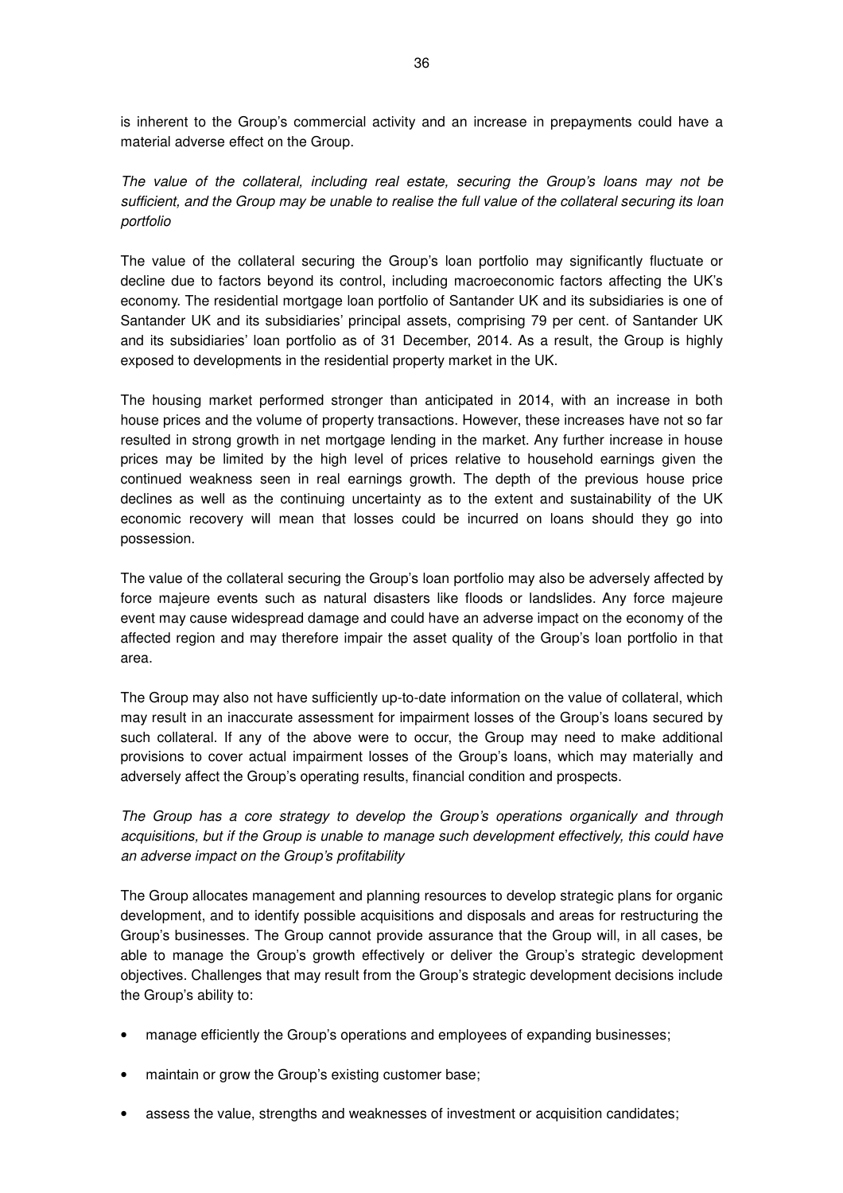is inherent to the Group's commercial activity and an increase in prepayments could have a material adverse effect on the Group.

The value of the collateral, including real estate, securing the Group's loans may not be sufficient, and the Group may be unable to realise the full value of the collateral securing its loan portfolio

The value of the collateral securing the Group's loan portfolio may significantly fluctuate or decline due to factors beyond its control, including macroeconomic factors affecting the UK's economy. The residential mortgage loan portfolio of Santander UK and its subsidiaries is one of Santander UK and its subsidiaries' principal assets, comprising 79 per cent. of Santander UK and its subsidiaries' loan portfolio as of 31 December, 2014. As a result, the Group is highly exposed to developments in the residential property market in the UK.

The housing market performed stronger than anticipated in 2014, with an increase in both house prices and the volume of property transactions. However, these increases have not so far resulted in strong growth in net mortgage lending in the market. Any further increase in house prices may be limited by the high level of prices relative to household earnings given the continued weakness seen in real earnings growth. The depth of the previous house price declines as well as the continuing uncertainty as to the extent and sustainability of the UK economic recovery will mean that losses could be incurred on loans should they go into possession.

The value of the collateral securing the Group's loan portfolio may also be adversely affected by force majeure events such as natural disasters like floods or landslides. Any force majeure event may cause widespread damage and could have an adverse impact on the economy of the affected region and may therefore impair the asset quality of the Group's loan portfolio in that area.

The Group may also not have sufficiently up-to-date information on the value of collateral, which may result in an inaccurate assessment for impairment losses of the Group's loans secured by such collateral. If any of the above were to occur, the Group may need to make additional provisions to cover actual impairment losses of the Group's loans, which may materially and adversely affect the Group's operating results, financial condition and prospects.

The Group has a core strategy to develop the Group's operations organically and through acquisitions, but if the Group is unable to manage such development effectively, this could have an adverse impact on the Group's profitability

The Group allocates management and planning resources to develop strategic plans for organic development, and to identify possible acquisitions and disposals and areas for restructuring the Group's businesses. The Group cannot provide assurance that the Group will, in all cases, be able to manage the Group's growth effectively or deliver the Group's strategic development objectives. Challenges that may result from the Group's strategic development decisions include the Group's ability to:

- manage efficiently the Group's operations and employees of expanding businesses;
- maintain or grow the Group's existing customer base;
- assess the value, strengths and weaknesses of investment or acquisition candidates;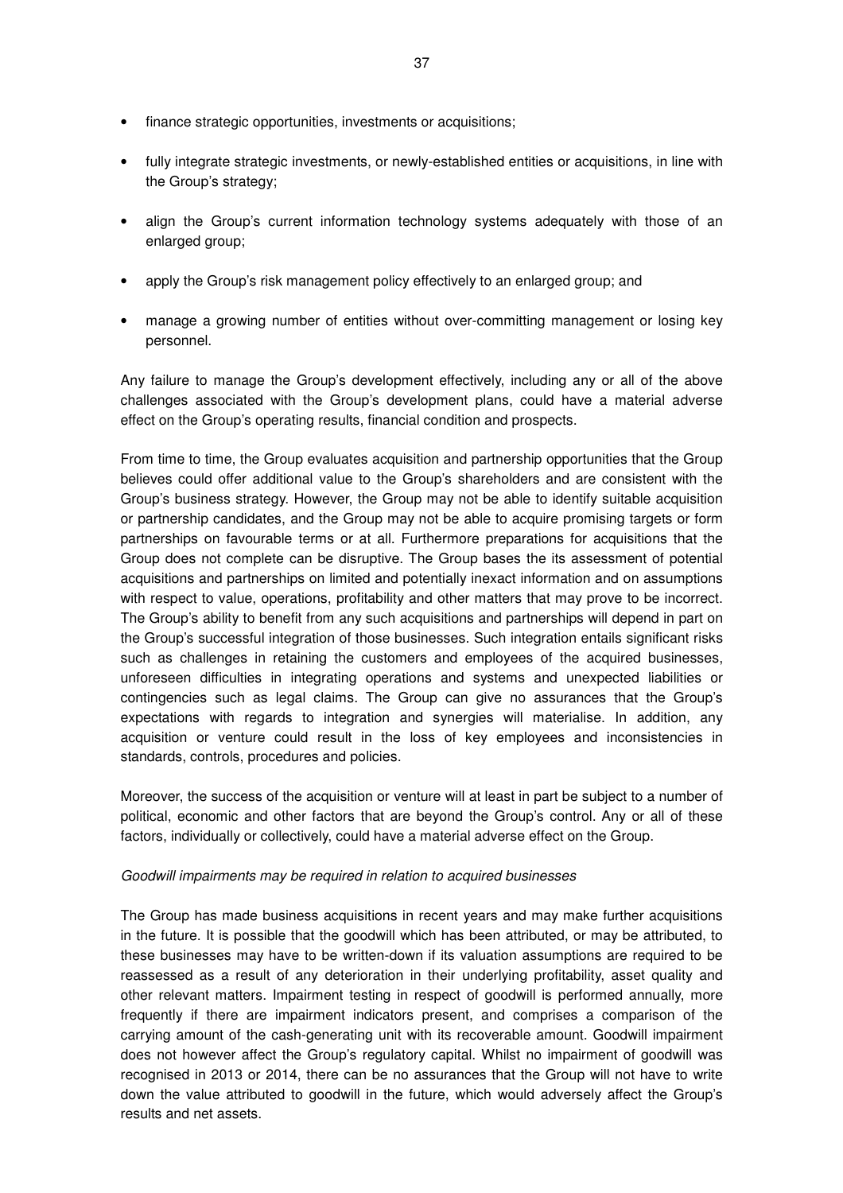- finance strategic opportunities, investments or acquisitions;
- fully integrate strategic investments, or newly-established entities or acquisitions, in line with the Group's strategy;
- align the Group's current information technology systems adequately with those of an enlarged group;
- apply the Group's risk management policy effectively to an enlarged group; and
- manage a growing number of entities without over-committing management or losing key personnel.

Any failure to manage the Group's development effectively, including any or all of the above challenges associated with the Group's development plans, could have a material adverse effect on the Group's operating results, financial condition and prospects.

From time to time, the Group evaluates acquisition and partnership opportunities that the Group believes could offer additional value to the Group's shareholders and are consistent with the Group's business strategy. However, the Group may not be able to identify suitable acquisition or partnership candidates, and the Group may not be able to acquire promising targets or form partnerships on favourable terms or at all. Furthermore preparations for acquisitions that the Group does not complete can be disruptive. The Group bases the its assessment of potential acquisitions and partnerships on limited and potentially inexact information and on assumptions with respect to value, operations, profitability and other matters that may prove to be incorrect. The Group's ability to benefit from any such acquisitions and partnerships will depend in part on the Group's successful integration of those businesses. Such integration entails significant risks such as challenges in retaining the customers and employees of the acquired businesses, unforeseen difficulties in integrating operations and systems and unexpected liabilities or contingencies such as legal claims. The Group can give no assurances that the Group's expectations with regards to integration and synergies will materialise. In addition, any acquisition or venture could result in the loss of key employees and inconsistencies in standards, controls, procedures and policies.

Moreover, the success of the acquisition or venture will at least in part be subject to a number of political, economic and other factors that are beyond the Group's control. Any or all of these factors, individually or collectively, could have a material adverse effect on the Group.

## Goodwill impairments may be required in relation to acquired businesses

The Group has made business acquisitions in recent years and may make further acquisitions in the future. It is possible that the goodwill which has been attributed, or may be attributed, to these businesses may have to be written-down if its valuation assumptions are required to be reassessed as a result of any deterioration in their underlying profitability, asset quality and other relevant matters. Impairment testing in respect of goodwill is performed annually, more frequently if there are impairment indicators present, and comprises a comparison of the carrying amount of the cash-generating unit with its recoverable amount. Goodwill impairment does not however affect the Group's regulatory capital. Whilst no impairment of goodwill was recognised in 2013 or 2014, there can be no assurances that the Group will not have to write down the value attributed to goodwill in the future, which would adversely affect the Group's results and net assets.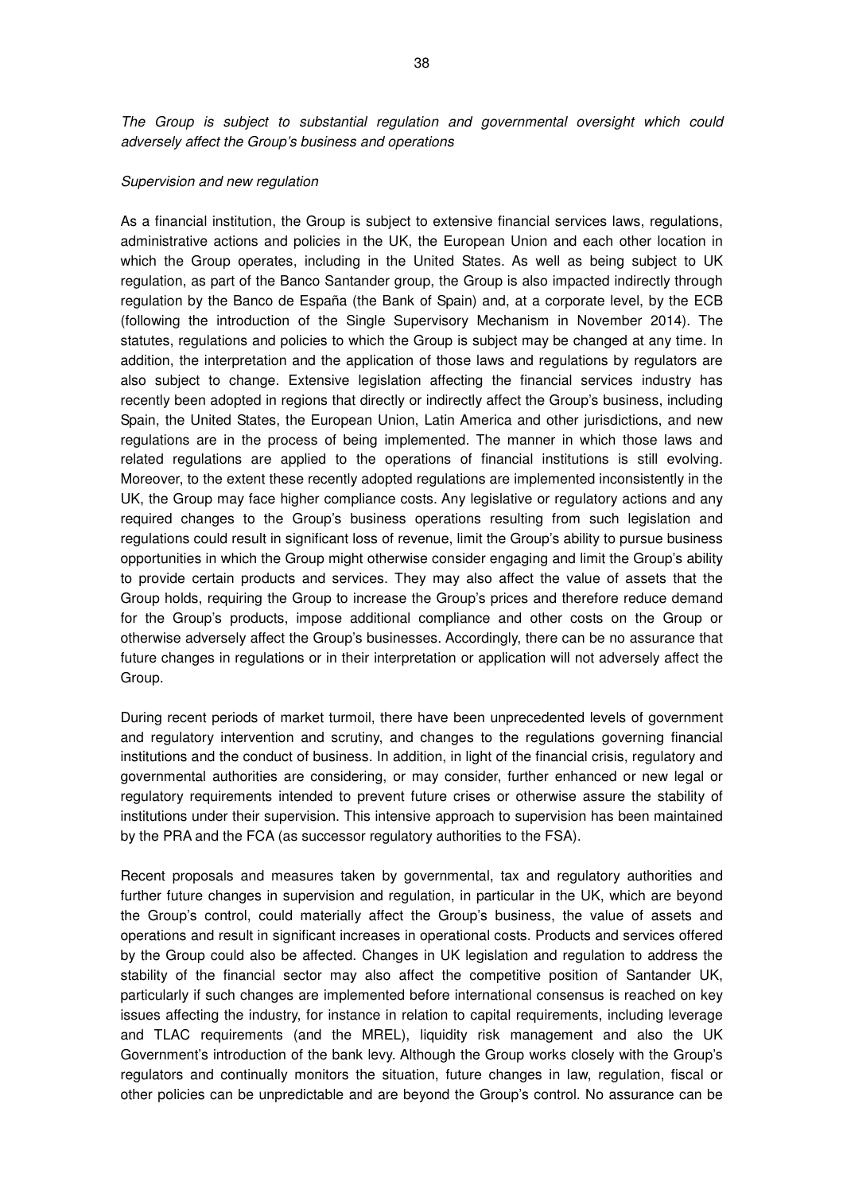The Group is subject to substantial regulation and governmental oversight which could adversely affect the Group's business and operations

#### Supervision and new regulation

As a financial institution, the Group is subject to extensive financial services laws, regulations, administrative actions and policies in the UK, the European Union and each other location in which the Group operates, including in the United States. As well as being subject to UK regulation, as part of the Banco Santander group, the Group is also impacted indirectly through regulation by the Banco de España (the Bank of Spain) and, at a corporate level, by the ECB (following the introduction of the Single Supervisory Mechanism in November 2014). The statutes, regulations and policies to which the Group is subject may be changed at any time. In addition, the interpretation and the application of those laws and regulations by regulators are also subject to change. Extensive legislation affecting the financial services industry has recently been adopted in regions that directly or indirectly affect the Group's business, including Spain, the United States, the European Union, Latin America and other jurisdictions, and new regulations are in the process of being implemented. The manner in which those laws and related regulations are applied to the operations of financial institutions is still evolving. Moreover, to the extent these recently adopted regulations are implemented inconsistently in the UK, the Group may face higher compliance costs. Any legislative or regulatory actions and any required changes to the Group's business operations resulting from such legislation and regulations could result in significant loss of revenue, limit the Group's ability to pursue business opportunities in which the Group might otherwise consider engaging and limit the Group's ability to provide certain products and services. They may also affect the value of assets that the Group holds, requiring the Group to increase the Group's prices and therefore reduce demand for the Group's products, impose additional compliance and other costs on the Group or otherwise adversely affect the Group's businesses. Accordingly, there can be no assurance that future changes in regulations or in their interpretation or application will not adversely affect the Group.

During recent periods of market turmoil, there have been unprecedented levels of government and regulatory intervention and scrutiny, and changes to the regulations governing financial institutions and the conduct of business. In addition, in light of the financial crisis, regulatory and governmental authorities are considering, or may consider, further enhanced or new legal or regulatory requirements intended to prevent future crises or otherwise assure the stability of institutions under their supervision. This intensive approach to supervision has been maintained by the PRA and the FCA (as successor regulatory authorities to the FSA).

Recent proposals and measures taken by governmental, tax and regulatory authorities and further future changes in supervision and regulation, in particular in the UK, which are beyond the Group's control, could materially affect the Group's business, the value of assets and operations and result in significant increases in operational costs. Products and services offered by the Group could also be affected. Changes in UK legislation and regulation to address the stability of the financial sector may also affect the competitive position of Santander UK, particularly if such changes are implemented before international consensus is reached on key issues affecting the industry, for instance in relation to capital requirements, including leverage and TLAC requirements (and the MREL), liquidity risk management and also the UK Government's introduction of the bank levy. Although the Group works closely with the Group's regulators and continually monitors the situation, future changes in law, regulation, fiscal or other policies can be unpredictable and are beyond the Group's control. No assurance can be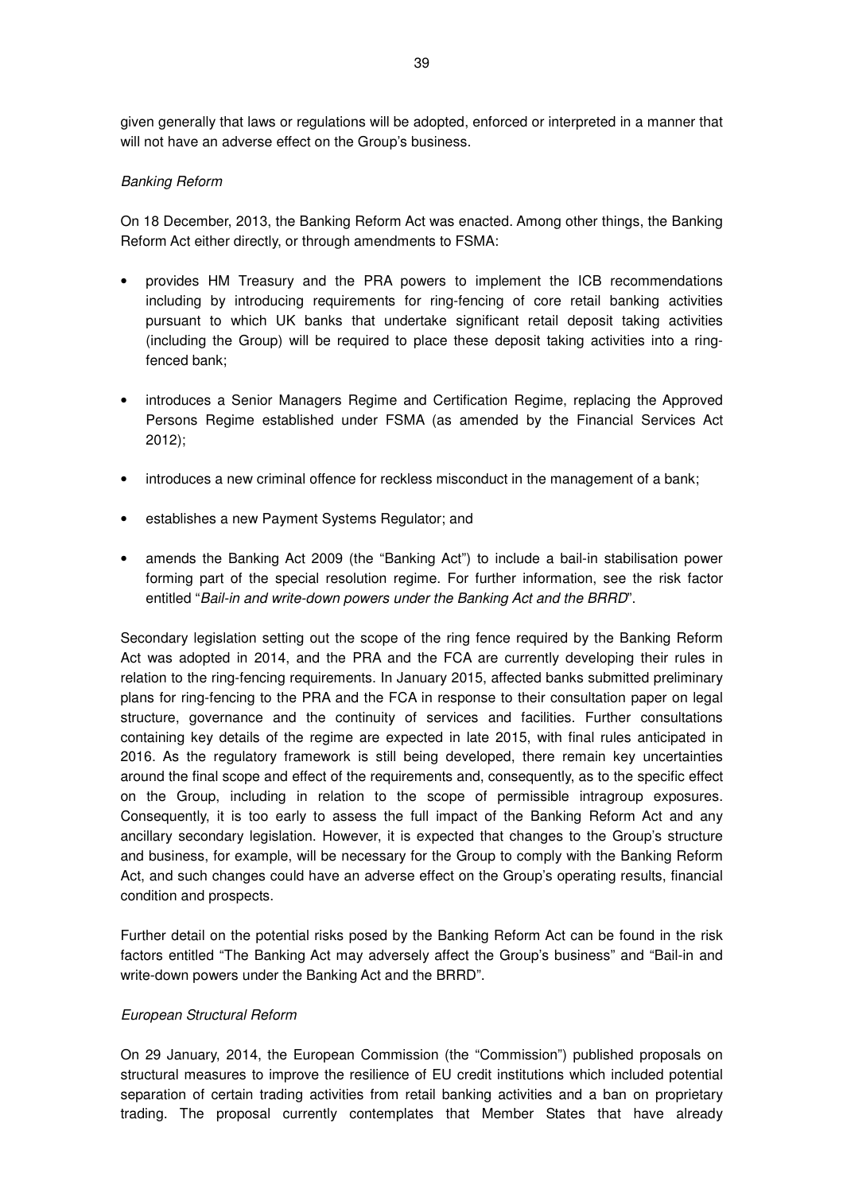given generally that laws or regulations will be adopted, enforced or interpreted in a manner that will not have an adverse effect on the Group's business.

### Banking Reform

On 18 December, 2013, the Banking Reform Act was enacted. Among other things, the Banking Reform Act either directly, or through amendments to FSMA:

- provides HM Treasury and the PRA powers to implement the ICB recommendations including by introducing requirements for ring-fencing of core retail banking activities pursuant to which UK banks that undertake significant retail deposit taking activities (including the Group) will be required to place these deposit taking activities into a ringfenced bank;
- introduces a Senior Managers Regime and Certification Regime, replacing the Approved Persons Regime established under FSMA (as amended by the Financial Services Act 2012);
- introduces a new criminal offence for reckless misconduct in the management of a bank;
- establishes a new Payment Systems Regulator; and
- amends the Banking Act 2009 (the "Banking Act") to include a bail-in stabilisation power forming part of the special resolution regime. For further information, see the risk factor entitled "Bail-in and write-down powers under the Banking Act and the BRRD".

Secondary legislation setting out the scope of the ring fence required by the Banking Reform Act was adopted in 2014, and the PRA and the FCA are currently developing their rules in relation to the ring-fencing requirements. In January 2015, affected banks submitted preliminary plans for ring-fencing to the PRA and the FCA in response to their consultation paper on legal structure, governance and the continuity of services and facilities. Further consultations containing key details of the regime are expected in late 2015, with final rules anticipated in 2016. As the regulatory framework is still being developed, there remain key uncertainties around the final scope and effect of the requirements and, consequently, as to the specific effect on the Group, including in relation to the scope of permissible intragroup exposures. Consequently, it is too early to assess the full impact of the Banking Reform Act and any ancillary secondary legislation. However, it is expected that changes to the Group's structure and business, for example, will be necessary for the Group to comply with the Banking Reform Act, and such changes could have an adverse effect on the Group's operating results, financial condition and prospects.

Further detail on the potential risks posed by the Banking Reform Act can be found in the risk factors entitled "The Banking Act may adversely affect the Group's business" and "Bail-in and write-down powers under the Banking Act and the BRRD".

### European Structural Reform

On 29 January, 2014, the European Commission (the "Commission") published proposals on structural measures to improve the resilience of EU credit institutions which included potential separation of certain trading activities from retail banking activities and a ban on proprietary trading. The proposal currently contemplates that Member States that have already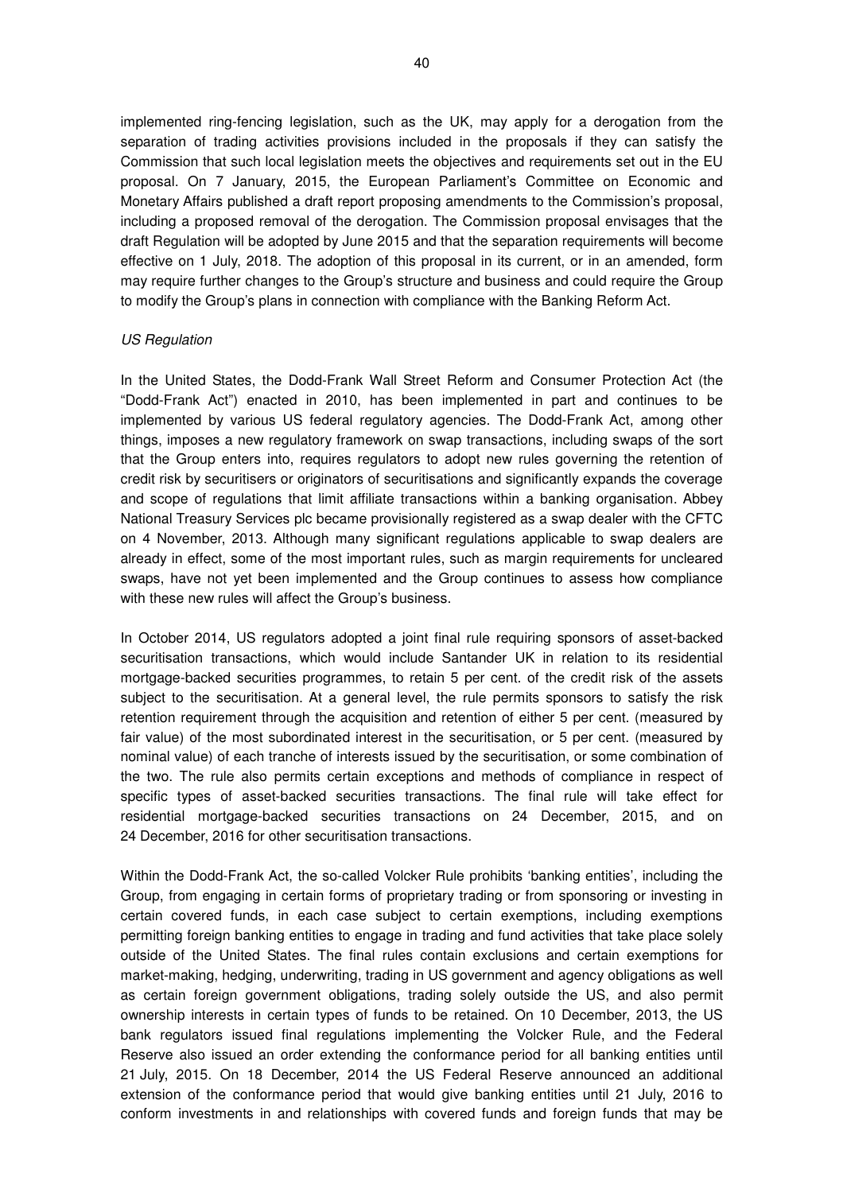implemented ring-fencing legislation, such as the UK, may apply for a derogation from the separation of trading activities provisions included in the proposals if they can satisfy the Commission that such local legislation meets the objectives and requirements set out in the EU proposal. On 7 January, 2015, the European Parliament's Committee on Economic and Monetary Affairs published a draft report proposing amendments to the Commission's proposal, including a proposed removal of the derogation. The Commission proposal envisages that the draft Regulation will be adopted by June 2015 and that the separation requirements will become effective on 1 July, 2018. The adoption of this proposal in its current, or in an amended, form may require further changes to the Group's structure and business and could require the Group to modify the Group's plans in connection with compliance with the Banking Reform Act.

### US Regulation

In the United States, the Dodd-Frank Wall Street Reform and Consumer Protection Act (the "Dodd-Frank Act") enacted in 2010, has been implemented in part and continues to be implemented by various US federal regulatory agencies. The Dodd-Frank Act, among other things, imposes a new regulatory framework on swap transactions, including swaps of the sort that the Group enters into, requires regulators to adopt new rules governing the retention of credit risk by securitisers or originators of securitisations and significantly expands the coverage and scope of regulations that limit affiliate transactions within a banking organisation. Abbey National Treasury Services plc became provisionally registered as a swap dealer with the CFTC on 4 November, 2013. Although many significant regulations applicable to swap dealers are already in effect, some of the most important rules, such as margin requirements for uncleared swaps, have not yet been implemented and the Group continues to assess how compliance with these new rules will affect the Group's business.

In October 2014, US regulators adopted a joint final rule requiring sponsors of asset-backed securitisation transactions, which would include Santander UK in relation to its residential mortgage-backed securities programmes, to retain 5 per cent. of the credit risk of the assets subject to the securitisation. At a general level, the rule permits sponsors to satisfy the risk retention requirement through the acquisition and retention of either 5 per cent. (measured by fair value) of the most subordinated interest in the securitisation, or 5 per cent. (measured by nominal value) of each tranche of interests issued by the securitisation, or some combination of the two. The rule also permits certain exceptions and methods of compliance in respect of specific types of asset-backed securities transactions. The final rule will take effect for residential mortgage-backed securities transactions on 24 December, 2015, and on 24 December, 2016 for other securitisation transactions.

Within the Dodd-Frank Act, the so-called Volcker Rule prohibits 'banking entities', including the Group, from engaging in certain forms of proprietary trading or from sponsoring or investing in certain covered funds, in each case subject to certain exemptions, including exemptions permitting foreign banking entities to engage in trading and fund activities that take place solely outside of the United States. The final rules contain exclusions and certain exemptions for market-making, hedging, underwriting, trading in US government and agency obligations as well as certain foreign government obligations, trading solely outside the US, and also permit ownership interests in certain types of funds to be retained. On 10 December, 2013, the US bank regulators issued final regulations implementing the Volcker Rule, and the Federal Reserve also issued an order extending the conformance period for all banking entities until 21 July, 2015. On 18 December, 2014 the US Federal Reserve announced an additional extension of the conformance period that would give banking entities until 21 July, 2016 to conform investments in and relationships with covered funds and foreign funds that may be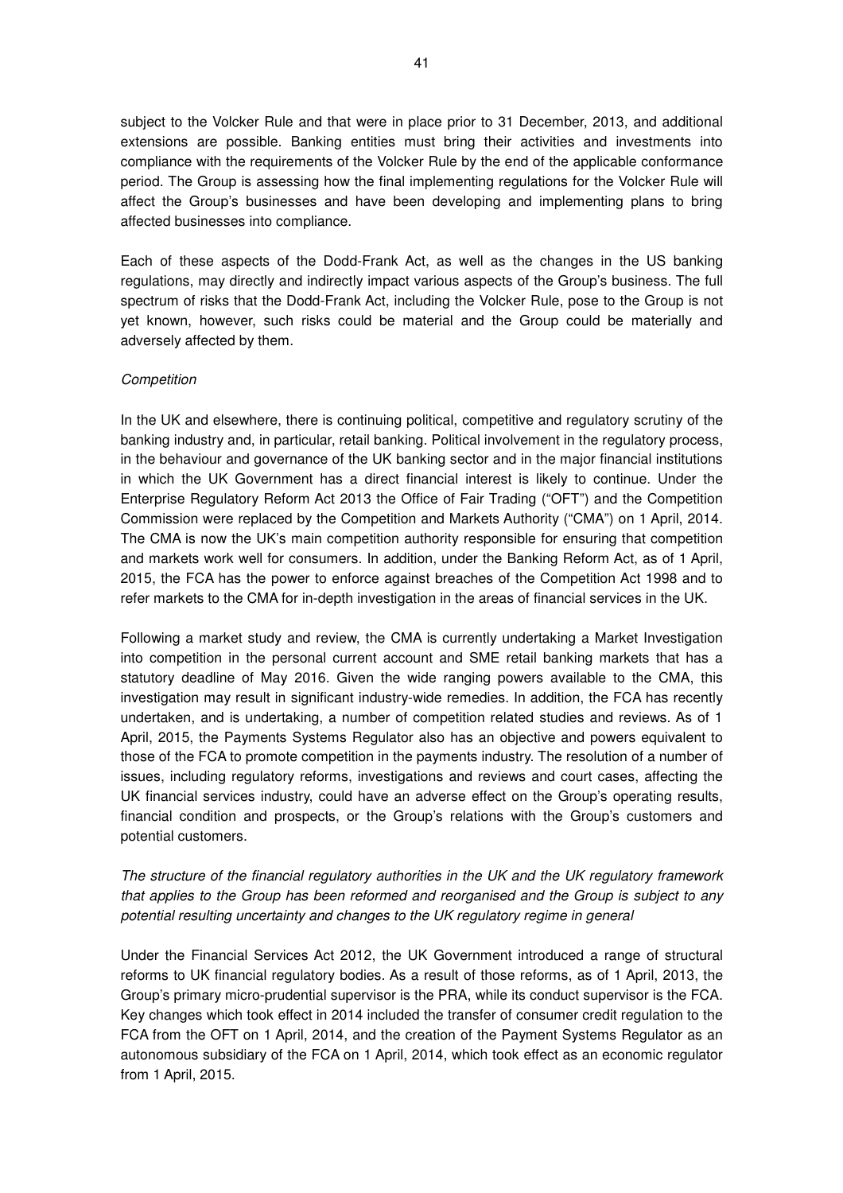subject to the Volcker Rule and that were in place prior to 31 December, 2013, and additional extensions are possible. Banking entities must bring their activities and investments into compliance with the requirements of the Volcker Rule by the end of the applicable conformance period. The Group is assessing how the final implementing regulations for the Volcker Rule will affect the Group's businesses and have been developing and implementing plans to bring affected businesses into compliance.

Each of these aspects of the Dodd-Frank Act, as well as the changes in the US banking regulations, may directly and indirectly impact various aspects of the Group's business. The full spectrum of risks that the Dodd-Frank Act, including the Volcker Rule, pose to the Group is not yet known, however, such risks could be material and the Group could be materially and adversely affected by them.

### **Competition**

In the UK and elsewhere, there is continuing political, competitive and regulatory scrutiny of the banking industry and, in particular, retail banking. Political involvement in the regulatory process, in the behaviour and governance of the UK banking sector and in the major financial institutions in which the UK Government has a direct financial interest is likely to continue. Under the Enterprise Regulatory Reform Act 2013 the Office of Fair Trading ("OFT") and the Competition Commission were replaced by the Competition and Markets Authority ("CMA") on 1 April, 2014. The CMA is now the UK's main competition authority responsible for ensuring that competition and markets work well for consumers. In addition, under the Banking Reform Act, as of 1 April, 2015, the FCA has the power to enforce against breaches of the Competition Act 1998 and to refer markets to the CMA for in-depth investigation in the areas of financial services in the UK.

Following a market study and review, the CMA is currently undertaking a Market Investigation into competition in the personal current account and SME retail banking markets that has a statutory deadline of May 2016. Given the wide ranging powers available to the CMA, this investigation may result in significant industry-wide remedies. In addition, the FCA has recently undertaken, and is undertaking, a number of competition related studies and reviews. As of 1 April, 2015, the Payments Systems Regulator also has an objective and powers equivalent to those of the FCA to promote competition in the payments industry. The resolution of a number of issues, including regulatory reforms, investigations and reviews and court cases, affecting the UK financial services industry, could have an adverse effect on the Group's operating results, financial condition and prospects, or the Group's relations with the Group's customers and potential customers.

# The structure of the financial regulatory authorities in the UK and the UK regulatory framework that applies to the Group has been reformed and reorganised and the Group is subject to any potential resulting uncertainty and changes to the UK regulatory regime in general

Under the Financial Services Act 2012, the UK Government introduced a range of structural reforms to UK financial regulatory bodies. As a result of those reforms, as of 1 April, 2013, the Group's primary micro-prudential supervisor is the PRA, while its conduct supervisor is the FCA. Key changes which took effect in 2014 included the transfer of consumer credit regulation to the FCA from the OFT on 1 April, 2014, and the creation of the Payment Systems Regulator as an autonomous subsidiary of the FCA on 1 April, 2014, which took effect as an economic regulator from 1 April, 2015.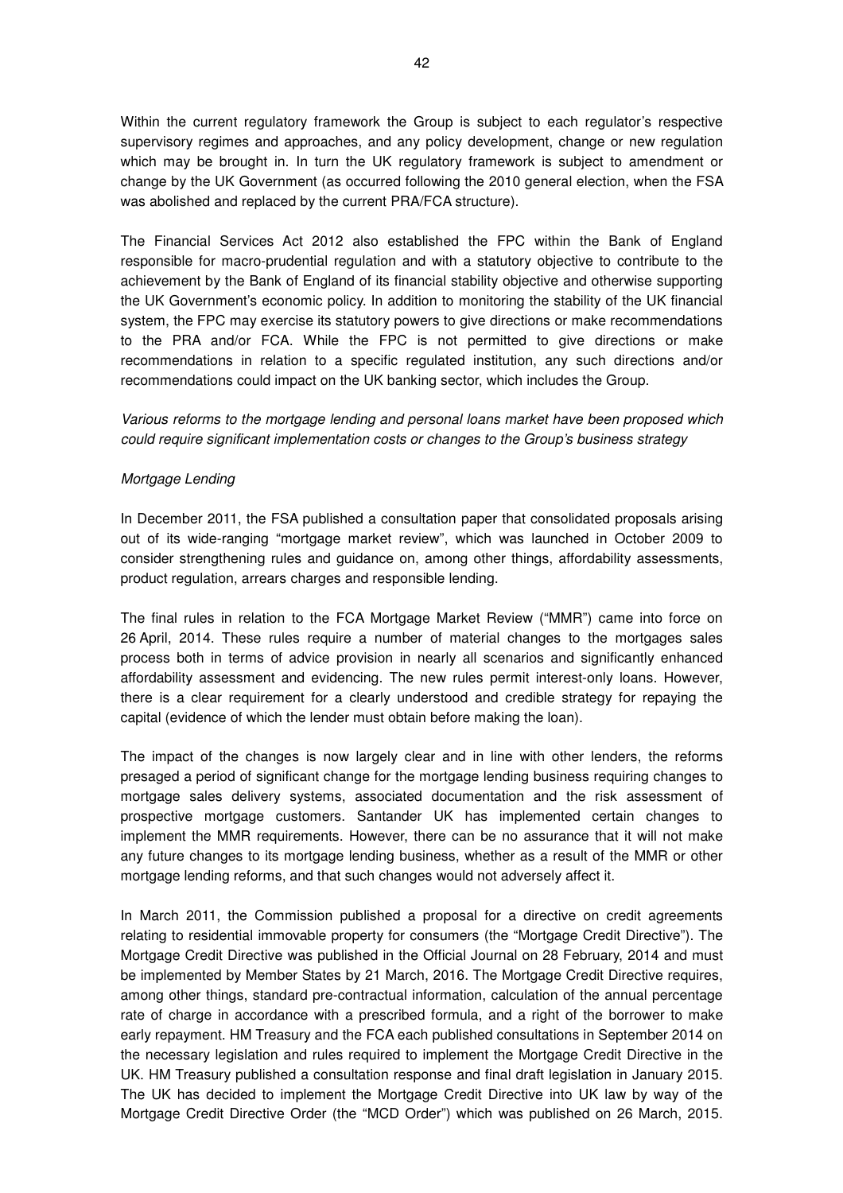Within the current regulatory framework the Group is subject to each regulator's respective supervisory regimes and approaches, and any policy development, change or new regulation which may be brought in. In turn the UK regulatory framework is subject to amendment or change by the UK Government (as occurred following the 2010 general election, when the FSA was abolished and replaced by the current PRA/FCA structure).

The Financial Services Act 2012 also established the FPC within the Bank of England responsible for macro-prudential regulation and with a statutory objective to contribute to the achievement by the Bank of England of its financial stability objective and otherwise supporting the UK Government's economic policy. In addition to monitoring the stability of the UK financial system, the FPC may exercise its statutory powers to give directions or make recommendations to the PRA and/or FCA. While the FPC is not permitted to give directions or make recommendations in relation to a specific regulated institution, any such directions and/or recommendations could impact on the UK banking sector, which includes the Group.

Various reforms to the mortgage lending and personal loans market have been proposed which could require significant implementation costs or changes to the Group's business strategy

### Mortgage Lending

In December 2011, the FSA published a consultation paper that consolidated proposals arising out of its wide-ranging "mortgage market review", which was launched in October 2009 to consider strengthening rules and guidance on, among other things, affordability assessments, product regulation, arrears charges and responsible lending.

The final rules in relation to the FCA Mortgage Market Review ("MMR") came into force on 26 April, 2014. These rules require a number of material changes to the mortgages sales process both in terms of advice provision in nearly all scenarios and significantly enhanced affordability assessment and evidencing. The new rules permit interest-only loans. However, there is a clear requirement for a clearly understood and credible strategy for repaying the capital (evidence of which the lender must obtain before making the loan).

The impact of the changes is now largely clear and in line with other lenders, the reforms presaged a period of significant change for the mortgage lending business requiring changes to mortgage sales delivery systems, associated documentation and the risk assessment of prospective mortgage customers. Santander UK has implemented certain changes to implement the MMR requirements. However, there can be no assurance that it will not make any future changes to its mortgage lending business, whether as a result of the MMR or other mortgage lending reforms, and that such changes would not adversely affect it.

In March 2011, the Commission published a proposal for a directive on credit agreements relating to residential immovable property for consumers (the "Mortgage Credit Directive"). The Mortgage Credit Directive was published in the Official Journal on 28 February, 2014 and must be implemented by Member States by 21 March, 2016. The Mortgage Credit Directive requires, among other things, standard pre-contractual information, calculation of the annual percentage rate of charge in accordance with a prescribed formula, and a right of the borrower to make early repayment. HM Treasury and the FCA each published consultations in September 2014 on the necessary legislation and rules required to implement the Mortgage Credit Directive in the UK. HM Treasury published a consultation response and final draft legislation in January 2015. The UK has decided to implement the Mortgage Credit Directive into UK law by way of the Mortgage Credit Directive Order (the "MCD Order") which was published on 26 March, 2015.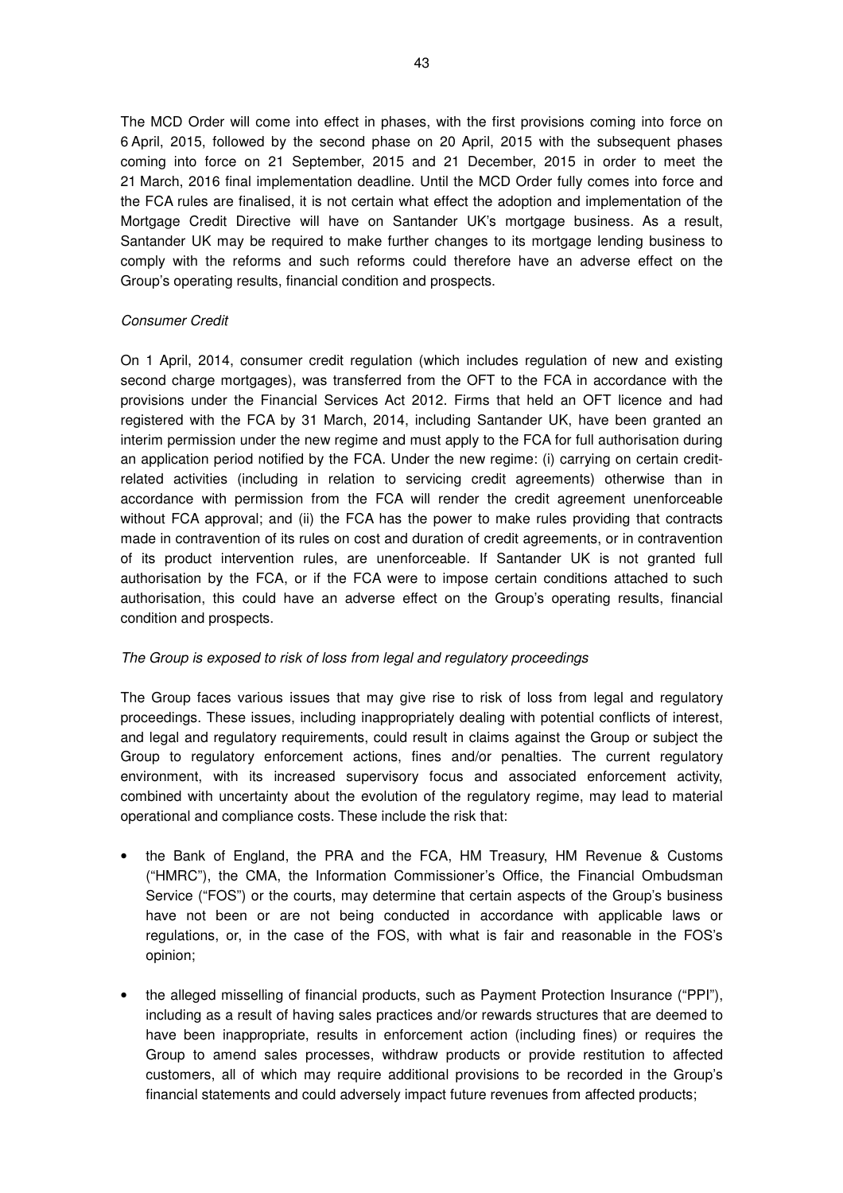The MCD Order will come into effect in phases, with the first provisions coming into force on 6 April, 2015, followed by the second phase on 20 April, 2015 with the subsequent phases coming into force on 21 September, 2015 and 21 December, 2015 in order to meet the 21 March, 2016 final implementation deadline. Until the MCD Order fully comes into force and the FCA rules are finalised, it is not certain what effect the adoption and implementation of the Mortgage Credit Directive will have on Santander UK's mortgage business. As a result, Santander UK may be required to make further changes to its mortgage lending business to comply with the reforms and such reforms could therefore have an adverse effect on the Group's operating results, financial condition and prospects.

## Consumer Credit

On 1 April, 2014, consumer credit regulation (which includes regulation of new and existing second charge mortgages), was transferred from the OFT to the FCA in accordance with the provisions under the Financial Services Act 2012. Firms that held an OFT licence and had registered with the FCA by 31 March, 2014, including Santander UK, have been granted an interim permission under the new regime and must apply to the FCA for full authorisation during an application period notified by the FCA. Under the new regime: (i) carrying on certain creditrelated activities (including in relation to servicing credit agreements) otherwise than in accordance with permission from the FCA will render the credit agreement unenforceable without FCA approval; and (ii) the FCA has the power to make rules providing that contracts made in contravention of its rules on cost and duration of credit agreements, or in contravention of its product intervention rules, are unenforceable. If Santander UK is not granted full authorisation by the FCA, or if the FCA were to impose certain conditions attached to such authorisation, this could have an adverse effect on the Group's operating results, financial condition and prospects.

## The Group is exposed to risk of loss from legal and regulatory proceedings

The Group faces various issues that may give rise to risk of loss from legal and regulatory proceedings. These issues, including inappropriately dealing with potential conflicts of interest, and legal and regulatory requirements, could result in claims against the Group or subject the Group to regulatory enforcement actions, fines and/or penalties. The current regulatory environment, with its increased supervisory focus and associated enforcement activity, combined with uncertainty about the evolution of the regulatory regime, may lead to material operational and compliance costs. These include the risk that:

- the Bank of England, the PRA and the FCA, HM Treasury, HM Revenue & Customs ("HMRC"), the CMA, the Information Commissioner's Office, the Financial Ombudsman Service ("FOS") or the courts, may determine that certain aspects of the Group's business have not been or are not being conducted in accordance with applicable laws or regulations, or, in the case of the FOS, with what is fair and reasonable in the FOS's opinion;
- the alleged misselling of financial products, such as Payment Protection Insurance ("PPI"), including as a result of having sales practices and/or rewards structures that are deemed to have been inappropriate, results in enforcement action (including fines) or requires the Group to amend sales processes, withdraw products or provide restitution to affected customers, all of which may require additional provisions to be recorded in the Group's financial statements and could adversely impact future revenues from affected products;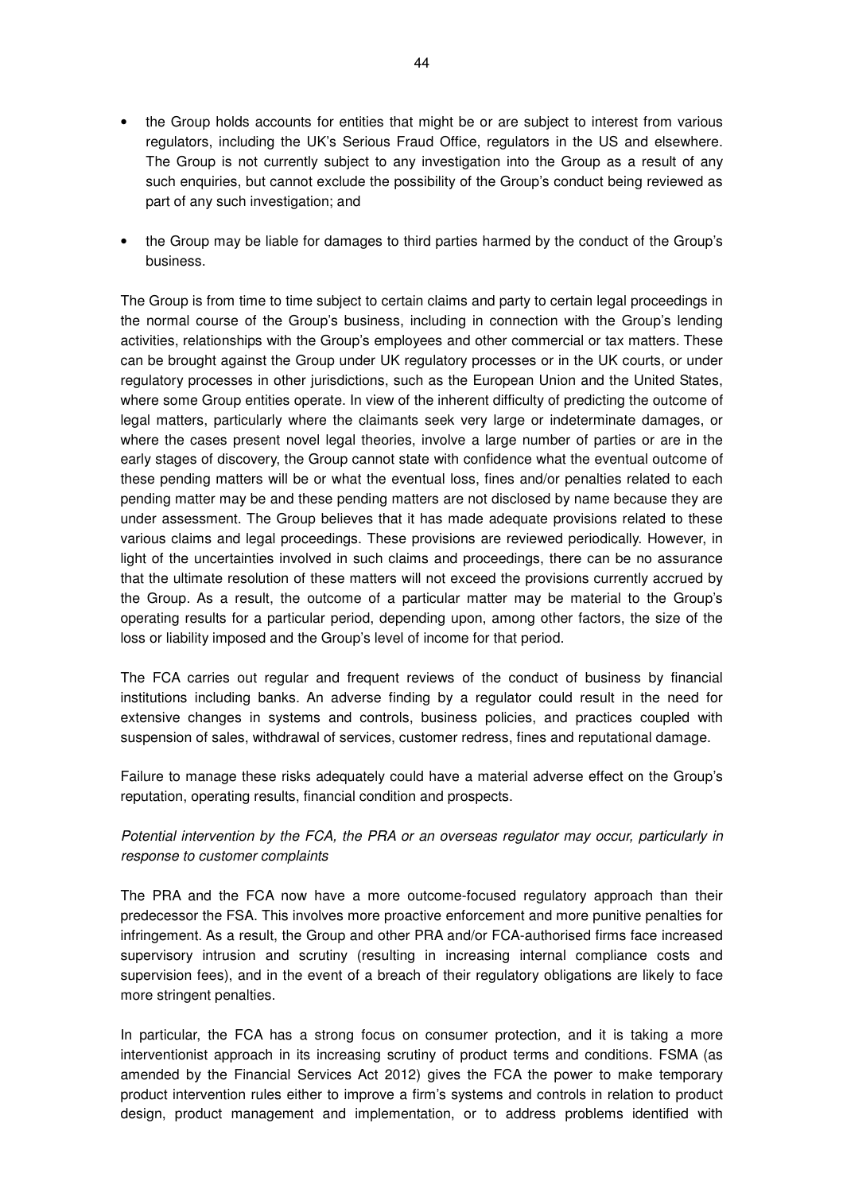- the Group holds accounts for entities that might be or are subject to interest from various regulators, including the UK's Serious Fraud Office, regulators in the US and elsewhere. The Group is not currently subject to any investigation into the Group as a result of any such enquiries, but cannot exclude the possibility of the Group's conduct being reviewed as part of any such investigation; and
- the Group may be liable for damages to third parties harmed by the conduct of the Group's business.

The Group is from time to time subject to certain claims and party to certain legal proceedings in the normal course of the Group's business, including in connection with the Group's lending activities, relationships with the Group's employees and other commercial or tax matters. These can be brought against the Group under UK regulatory processes or in the UK courts, or under regulatory processes in other jurisdictions, such as the European Union and the United States, where some Group entities operate. In view of the inherent difficulty of predicting the outcome of legal matters, particularly where the claimants seek very large or indeterminate damages, or where the cases present novel legal theories, involve a large number of parties or are in the early stages of discovery, the Group cannot state with confidence what the eventual outcome of these pending matters will be or what the eventual loss, fines and/or penalties related to each pending matter may be and these pending matters are not disclosed by name because they are under assessment. The Group believes that it has made adequate provisions related to these various claims and legal proceedings. These provisions are reviewed periodically. However, in light of the uncertainties involved in such claims and proceedings, there can be no assurance that the ultimate resolution of these matters will not exceed the provisions currently accrued by the Group. As a result, the outcome of a particular matter may be material to the Group's operating results for a particular period, depending upon, among other factors, the size of the loss or liability imposed and the Group's level of income for that period.

The FCA carries out regular and frequent reviews of the conduct of business by financial institutions including banks. An adverse finding by a regulator could result in the need for extensive changes in systems and controls, business policies, and practices coupled with suspension of sales, withdrawal of services, customer redress, fines and reputational damage.

Failure to manage these risks adequately could have a material adverse effect on the Group's reputation, operating results, financial condition and prospects.

# Potential intervention by the FCA, the PRA or an overseas regulator may occur, particularly in response to customer complaints

The PRA and the FCA now have a more outcome-focused regulatory approach than their predecessor the FSA. This involves more proactive enforcement and more punitive penalties for infringement. As a result, the Group and other PRA and/or FCA-authorised firms face increased supervisory intrusion and scrutiny (resulting in increasing internal compliance costs and supervision fees), and in the event of a breach of their regulatory obligations are likely to face more stringent penalties.

In particular, the FCA has a strong focus on consumer protection, and it is taking a more interventionist approach in its increasing scrutiny of product terms and conditions. FSMA (as amended by the Financial Services Act 2012) gives the FCA the power to make temporary product intervention rules either to improve a firm's systems and controls in relation to product design, product management and implementation, or to address problems identified with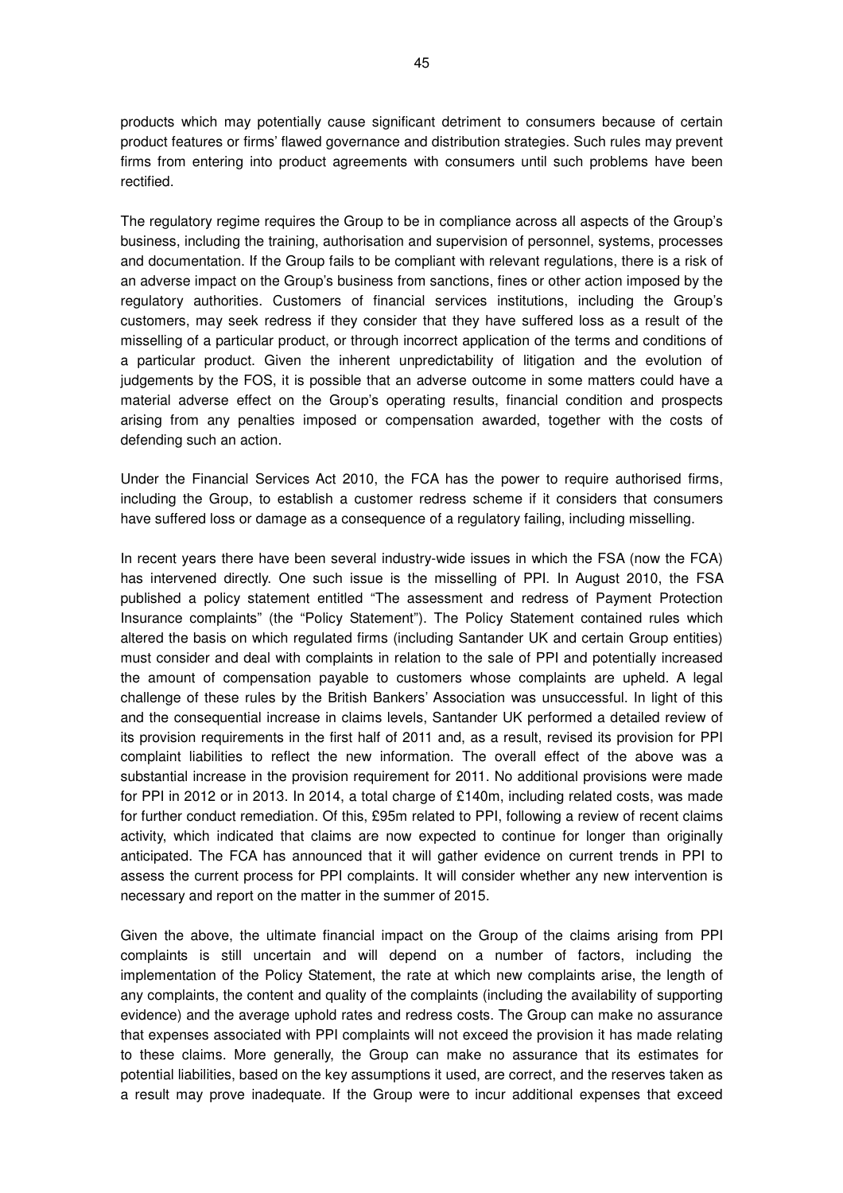products which may potentially cause significant detriment to consumers because of certain product features or firms' flawed governance and distribution strategies. Such rules may prevent firms from entering into product agreements with consumers until such problems have been rectified.

The regulatory regime requires the Group to be in compliance across all aspects of the Group's business, including the training, authorisation and supervision of personnel, systems, processes and documentation. If the Group fails to be compliant with relevant regulations, there is a risk of an adverse impact on the Group's business from sanctions, fines or other action imposed by the regulatory authorities. Customers of financial services institutions, including the Group's customers, may seek redress if they consider that they have suffered loss as a result of the misselling of a particular product, or through incorrect application of the terms and conditions of a particular product. Given the inherent unpredictability of litigation and the evolution of judgements by the FOS, it is possible that an adverse outcome in some matters could have a material adverse effect on the Group's operating results, financial condition and prospects arising from any penalties imposed or compensation awarded, together with the costs of defending such an action.

Under the Financial Services Act 2010, the FCA has the power to require authorised firms, including the Group, to establish a customer redress scheme if it considers that consumers have suffered loss or damage as a consequence of a regulatory failing, including misselling.

In recent years there have been several industry-wide issues in which the FSA (now the FCA) has intervened directly. One such issue is the misselling of PPI. In August 2010, the FSA published a policy statement entitled "The assessment and redress of Payment Protection Insurance complaints" (the "Policy Statement"). The Policy Statement contained rules which altered the basis on which regulated firms (including Santander UK and certain Group entities) must consider and deal with complaints in relation to the sale of PPI and potentially increased the amount of compensation payable to customers whose complaints are upheld. A legal challenge of these rules by the British Bankers' Association was unsuccessful. In light of this and the consequential increase in claims levels, Santander UK performed a detailed review of its provision requirements in the first half of 2011 and, as a result, revised its provision for PPI complaint liabilities to reflect the new information. The overall effect of the above was a substantial increase in the provision requirement for 2011. No additional provisions were made for PPI in 2012 or in 2013. In 2014, a total charge of £140m, including related costs, was made for further conduct remediation. Of this, £95m related to PPI, following a review of recent claims activity, which indicated that claims are now expected to continue for longer than originally anticipated. The FCA has announced that it will gather evidence on current trends in PPI to assess the current process for PPI complaints. It will consider whether any new intervention is necessary and report on the matter in the summer of 2015.

Given the above, the ultimate financial impact on the Group of the claims arising from PPI complaints is still uncertain and will depend on a number of factors, including the implementation of the Policy Statement, the rate at which new complaints arise, the length of any complaints, the content and quality of the complaints (including the availability of supporting evidence) and the average uphold rates and redress costs. The Group can make no assurance that expenses associated with PPI complaints will not exceed the provision it has made relating to these claims. More generally, the Group can make no assurance that its estimates for potential liabilities, based on the key assumptions it used, are correct, and the reserves taken as a result may prove inadequate. If the Group were to incur additional expenses that exceed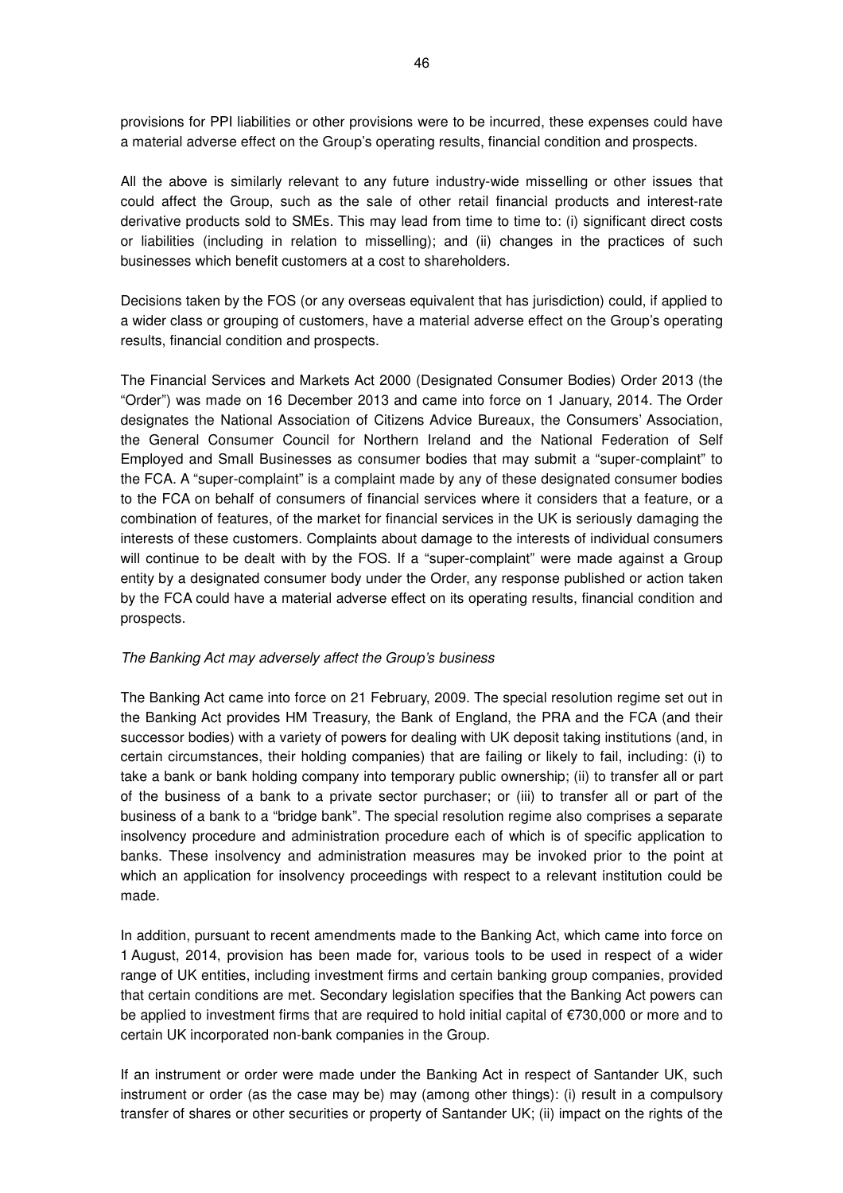provisions for PPI liabilities or other provisions were to be incurred, these expenses could have a material adverse effect on the Group's operating results, financial condition and prospects.

All the above is similarly relevant to any future industry-wide misselling or other issues that could affect the Group, such as the sale of other retail financial products and interest-rate derivative products sold to SMEs. This may lead from time to time to: (i) significant direct costs or liabilities (including in relation to misselling); and (ii) changes in the practices of such businesses which benefit customers at a cost to shareholders.

Decisions taken by the FOS (or any overseas equivalent that has jurisdiction) could, if applied to a wider class or grouping of customers, have a material adverse effect on the Group's operating results, financial condition and prospects.

The Financial Services and Markets Act 2000 (Designated Consumer Bodies) Order 2013 (the "Order") was made on 16 December 2013 and came into force on 1 January, 2014. The Order designates the National Association of Citizens Advice Bureaux, the Consumers' Association, the General Consumer Council for Northern Ireland and the National Federation of Self Employed and Small Businesses as consumer bodies that may submit a "super-complaint" to the FCA. A "super-complaint" is a complaint made by any of these designated consumer bodies to the FCA on behalf of consumers of financial services where it considers that a feature, or a combination of features, of the market for financial services in the UK is seriously damaging the interests of these customers. Complaints about damage to the interests of individual consumers will continue to be dealt with by the FOS. If a "super-complaint" were made against a Group entity by a designated consumer body under the Order, any response published or action taken by the FCA could have a material adverse effect on its operating results, financial condition and prospects.

#### The Banking Act may adversely affect the Group's business

The Banking Act came into force on 21 February, 2009. The special resolution regime set out in the Banking Act provides HM Treasury, the Bank of England, the PRA and the FCA (and their successor bodies) with a variety of powers for dealing with UK deposit taking institutions (and, in certain circumstances, their holding companies) that are failing or likely to fail, including: (i) to take a bank or bank holding company into temporary public ownership; (ii) to transfer all or part of the business of a bank to a private sector purchaser; or (iii) to transfer all or part of the business of a bank to a "bridge bank". The special resolution regime also comprises a separate insolvency procedure and administration procedure each of which is of specific application to banks. These insolvency and administration measures may be invoked prior to the point at which an application for insolvency proceedings with respect to a relevant institution could be made.

In addition, pursuant to recent amendments made to the Banking Act, which came into force on 1 August, 2014, provision has been made for, various tools to be used in respect of a wider range of UK entities, including investment firms and certain banking group companies, provided that certain conditions are met. Secondary legislation specifies that the Banking Act powers can be applied to investment firms that are required to hold initial capital of €730,000 or more and to certain UK incorporated non-bank companies in the Group.

If an instrument or order were made under the Banking Act in respect of Santander UK, such instrument or order (as the case may be) may (among other things): (i) result in a compulsory transfer of shares or other securities or property of Santander UK; (ii) impact on the rights of the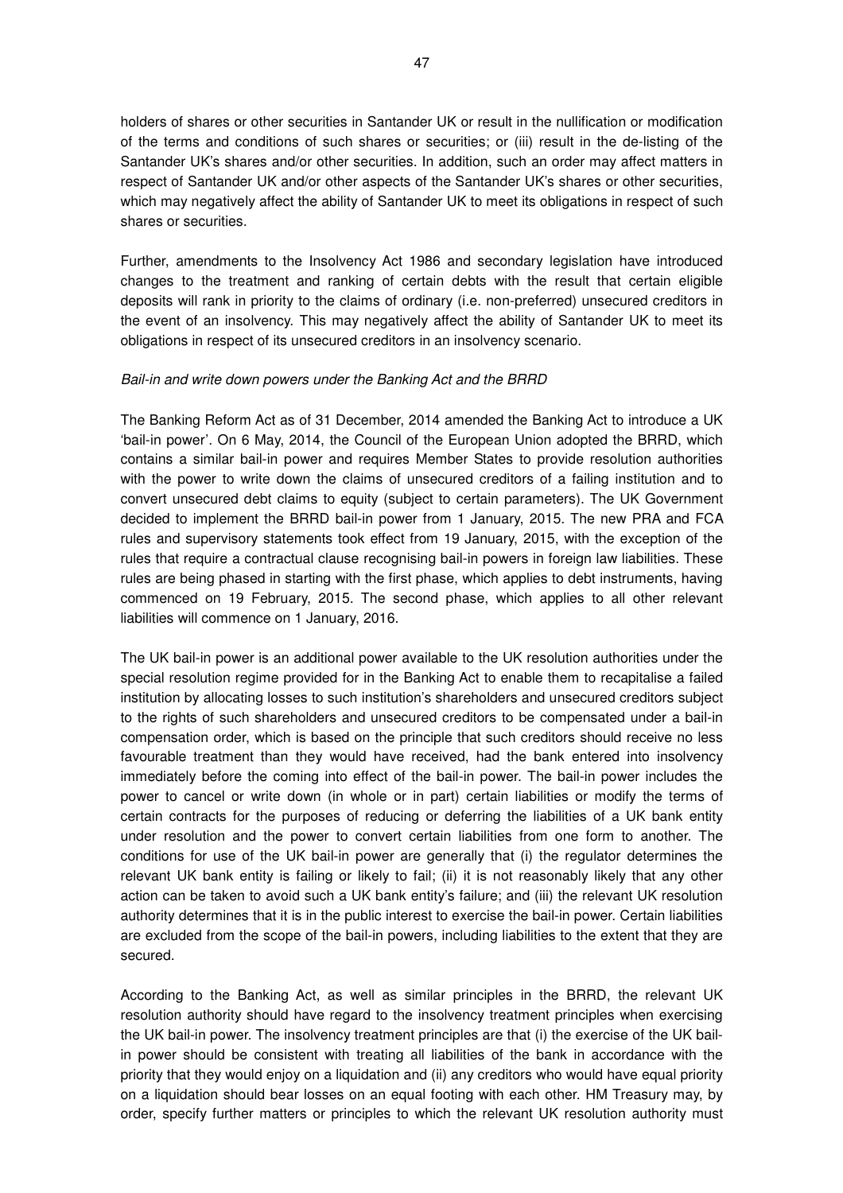holders of shares or other securities in Santander UK or result in the nullification or modification of the terms and conditions of such shares or securities; or (iii) result in the de-listing of the Santander UK's shares and/or other securities. In addition, such an order may affect matters in respect of Santander UK and/or other aspects of the Santander UK's shares or other securities, which may negatively affect the ability of Santander UK to meet its obligations in respect of such shares or securities.

Further, amendments to the Insolvency Act 1986 and secondary legislation have introduced changes to the treatment and ranking of certain debts with the result that certain eligible deposits will rank in priority to the claims of ordinary (i.e. non-preferred) unsecured creditors in the event of an insolvency. This may negatively affect the ability of Santander UK to meet its obligations in respect of its unsecured creditors in an insolvency scenario.

### Bail-in and write down powers under the Banking Act and the BRRD

The Banking Reform Act as of 31 December, 2014 amended the Banking Act to introduce a UK 'bail-in power'. On 6 May, 2014, the Council of the European Union adopted the BRRD, which contains a similar bail-in power and requires Member States to provide resolution authorities with the power to write down the claims of unsecured creditors of a failing institution and to convert unsecured debt claims to equity (subject to certain parameters). The UK Government decided to implement the BRRD bail-in power from 1 January, 2015. The new PRA and FCA rules and supervisory statements took effect from 19 January, 2015, with the exception of the rules that require a contractual clause recognising bail-in powers in foreign law liabilities. These rules are being phased in starting with the first phase, which applies to debt instruments, having commenced on 19 February, 2015. The second phase, which applies to all other relevant liabilities will commence on 1 January, 2016.

The UK bail-in power is an additional power available to the UK resolution authorities under the special resolution regime provided for in the Banking Act to enable them to recapitalise a failed institution by allocating losses to such institution's shareholders and unsecured creditors subject to the rights of such shareholders and unsecured creditors to be compensated under a bail-in compensation order, which is based on the principle that such creditors should receive no less favourable treatment than they would have received, had the bank entered into insolvency immediately before the coming into effect of the bail-in power. The bail-in power includes the power to cancel or write down (in whole or in part) certain liabilities or modify the terms of certain contracts for the purposes of reducing or deferring the liabilities of a UK bank entity under resolution and the power to convert certain liabilities from one form to another. The conditions for use of the UK bail-in power are generally that (i) the regulator determines the relevant UK bank entity is failing or likely to fail; (ii) it is not reasonably likely that any other action can be taken to avoid such a UK bank entity's failure; and (iii) the relevant UK resolution authority determines that it is in the public interest to exercise the bail-in power. Certain liabilities are excluded from the scope of the bail-in powers, including liabilities to the extent that they are secured.

According to the Banking Act, as well as similar principles in the BRRD, the relevant UK resolution authority should have regard to the insolvency treatment principles when exercising the UK bail-in power. The insolvency treatment principles are that (i) the exercise of the UK bailin power should be consistent with treating all liabilities of the bank in accordance with the priority that they would enjoy on a liquidation and (ii) any creditors who would have equal priority on a liquidation should bear losses on an equal footing with each other. HM Treasury may, by order, specify further matters or principles to which the relevant UK resolution authority must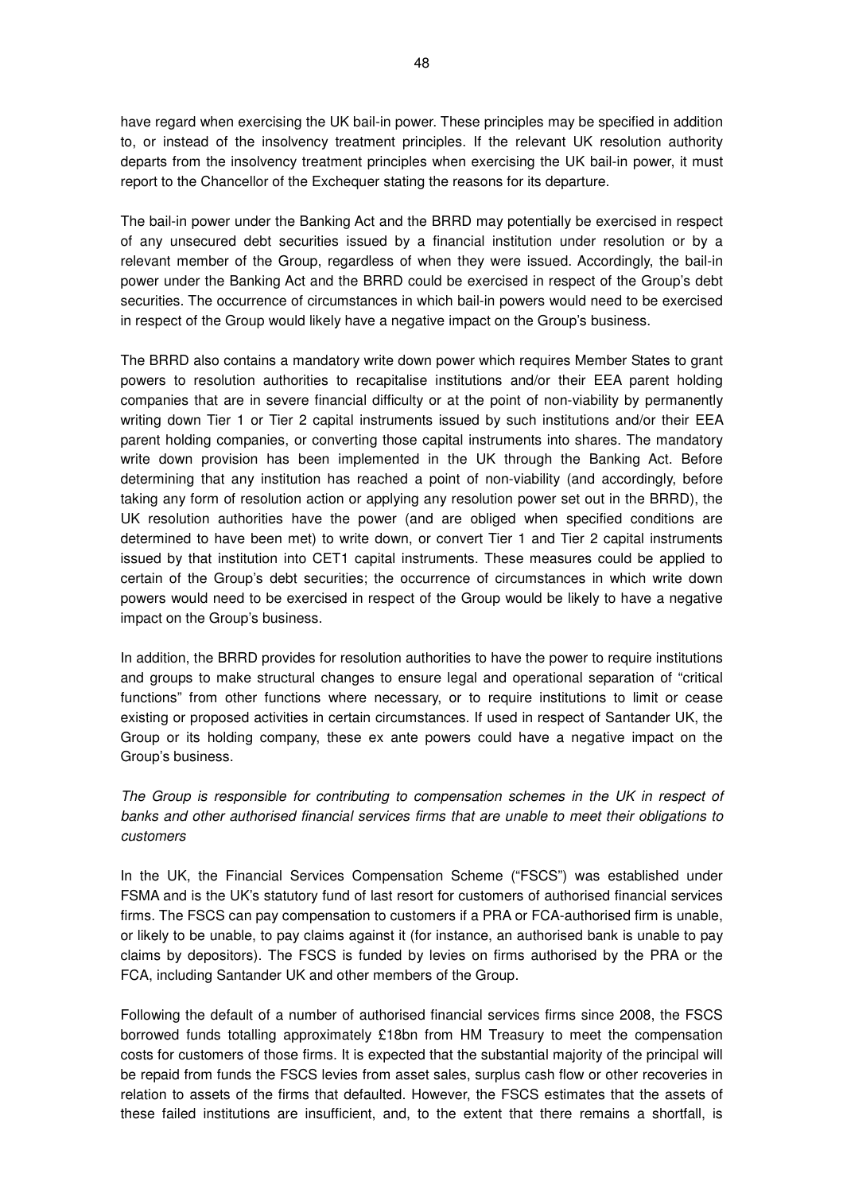have regard when exercising the UK bail-in power. These principles may be specified in addition to, or instead of the insolvency treatment principles. If the relevant UK resolution authority departs from the insolvency treatment principles when exercising the UK bail-in power, it must report to the Chancellor of the Exchequer stating the reasons for its departure.

The bail-in power under the Banking Act and the BRRD may potentially be exercised in respect of any unsecured debt securities issued by a financial institution under resolution or by a relevant member of the Group, regardless of when they were issued. Accordingly, the bail-in power under the Banking Act and the BRRD could be exercised in respect of the Group's debt securities. The occurrence of circumstances in which bail-in powers would need to be exercised in respect of the Group would likely have a negative impact on the Group's business.

The BRRD also contains a mandatory write down power which requires Member States to grant powers to resolution authorities to recapitalise institutions and/or their EEA parent holding companies that are in severe financial difficulty or at the point of non-viability by permanently writing down Tier 1 or Tier 2 capital instruments issued by such institutions and/or their EEA parent holding companies, or converting those capital instruments into shares. The mandatory write down provision has been implemented in the UK through the Banking Act. Before determining that any institution has reached a point of non-viability (and accordingly, before taking any form of resolution action or applying any resolution power set out in the BRRD), the UK resolution authorities have the power (and are obliged when specified conditions are determined to have been met) to write down, or convert Tier 1 and Tier 2 capital instruments issued by that institution into CET1 capital instruments. These measures could be applied to certain of the Group's debt securities; the occurrence of circumstances in which write down powers would need to be exercised in respect of the Group would be likely to have a negative impact on the Group's business.

In addition, the BRRD provides for resolution authorities to have the power to require institutions and groups to make structural changes to ensure legal and operational separation of "critical functions" from other functions where necessary, or to require institutions to limit or cease existing or proposed activities in certain circumstances. If used in respect of Santander UK, the Group or its holding company, these ex ante powers could have a negative impact on the Group's business.

# The Group is responsible for contributing to compensation schemes in the UK in respect of banks and other authorised financial services firms that are unable to meet their obligations to customers

In the UK, the Financial Services Compensation Scheme ("FSCS") was established under FSMA and is the UK's statutory fund of last resort for customers of authorised financial services firms. The FSCS can pay compensation to customers if a PRA or FCA-authorised firm is unable, or likely to be unable, to pay claims against it (for instance, an authorised bank is unable to pay claims by depositors). The FSCS is funded by levies on firms authorised by the PRA or the FCA, including Santander UK and other members of the Group.

Following the default of a number of authorised financial services firms since 2008, the FSCS borrowed funds totalling approximately £18bn from HM Treasury to meet the compensation costs for customers of those firms. It is expected that the substantial majority of the principal will be repaid from funds the FSCS levies from asset sales, surplus cash flow or other recoveries in relation to assets of the firms that defaulted. However, the FSCS estimates that the assets of these failed institutions are insufficient, and, to the extent that there remains a shortfall, is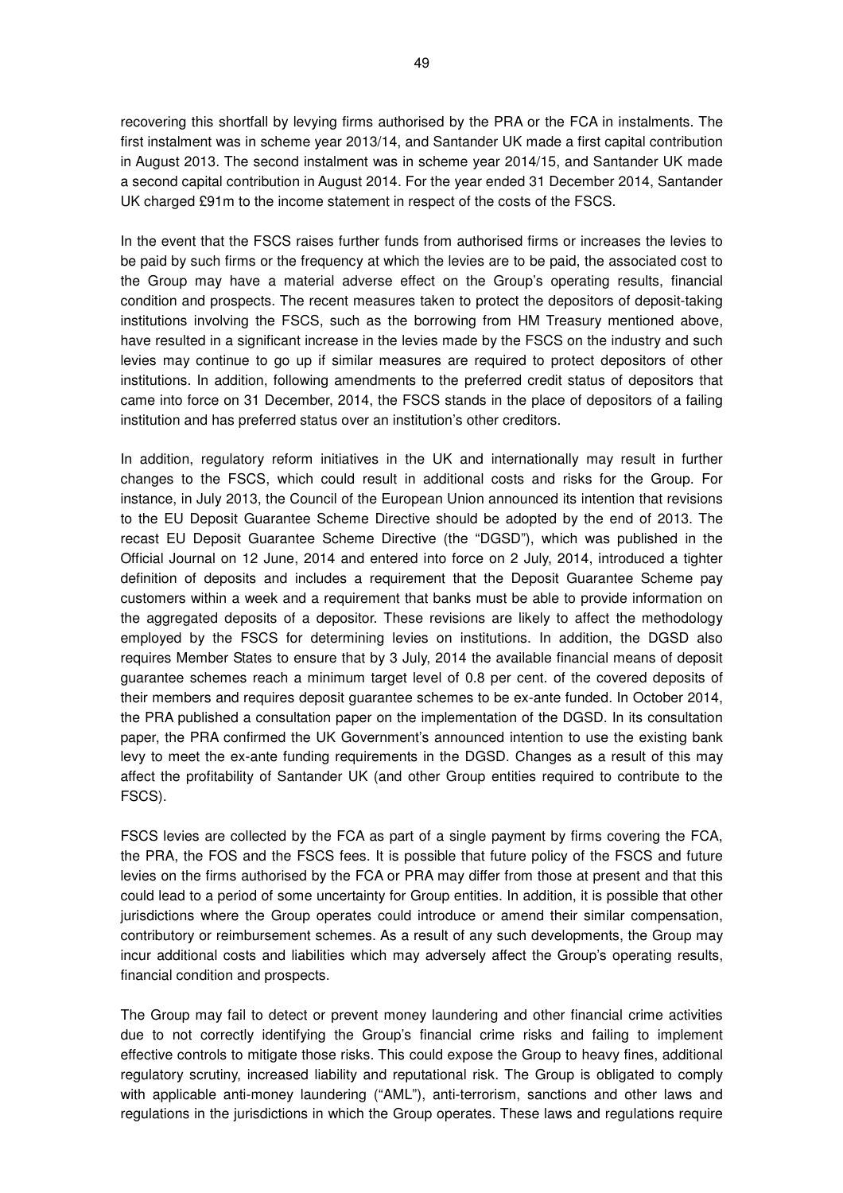recovering this shortfall by levying firms authorised by the PRA or the FCA in instalments. The first instalment was in scheme year 2013/14, and Santander UK made a first capital contribution in August 2013. The second instalment was in scheme year 2014/15, and Santander UK made a second capital contribution in August 2014. For the year ended 31 December 2014, Santander UK charged £91m to the income statement in respect of the costs of the FSCS.

In the event that the FSCS raises further funds from authorised firms or increases the levies to be paid by such firms or the frequency at which the levies are to be paid, the associated cost to the Group may have a material adverse effect on the Group's operating results, financial condition and prospects. The recent measures taken to protect the depositors of deposit-taking institutions involving the FSCS, such as the borrowing from HM Treasury mentioned above, have resulted in a significant increase in the levies made by the FSCS on the industry and such levies may continue to go up if similar measures are required to protect depositors of other institutions. In addition, following amendments to the preferred credit status of depositors that came into force on 31 December, 2014, the FSCS stands in the place of depositors of a failing institution and has preferred status over an institution's other creditors.

In addition, regulatory reform initiatives in the UK and internationally may result in further changes to the FSCS, which could result in additional costs and risks for the Group. For instance, in July 2013, the Council of the European Union announced its intention that revisions to the EU Deposit Guarantee Scheme Directive should be adopted by the end of 2013. The recast EU Deposit Guarantee Scheme Directive (the "DGSD"), which was published in the Official Journal on 12 June, 2014 and entered into force on 2 July, 2014, introduced a tighter definition of deposits and includes a requirement that the Deposit Guarantee Scheme pay customers within a week and a requirement that banks must be able to provide information on the aggregated deposits of a depositor. These revisions are likely to affect the methodology employed by the FSCS for determining levies on institutions. In addition, the DGSD also requires Member States to ensure that by 3 July, 2014 the available financial means of deposit guarantee schemes reach a minimum target level of 0.8 per cent. of the covered deposits of their members and requires deposit guarantee schemes to be ex-ante funded. In October 2014, the PRA published a consultation paper on the implementation of the DGSD. In its consultation paper, the PRA confirmed the UK Government's announced intention to use the existing bank levy to meet the ex-ante funding requirements in the DGSD. Changes as a result of this may affect the profitability of Santander UK (and other Group entities required to contribute to the FSCS).

FSCS levies are collected by the FCA as part of a single payment by firms covering the FCA, the PRA, the FOS and the FSCS fees. It is possible that future policy of the FSCS and future levies on the firms authorised by the FCA or PRA may differ from those at present and that this could lead to a period of some uncertainty for Group entities. In addition, it is possible that other jurisdictions where the Group operates could introduce or amend their similar compensation, contributory or reimbursement schemes. As a result of any such developments, the Group may incur additional costs and liabilities which may adversely affect the Group's operating results, financial condition and prospects.

The Group may fail to detect or prevent money laundering and other financial crime activities due to not correctly identifying the Group's financial crime risks and failing to implement effective controls to mitigate those risks. This could expose the Group to heavy fines, additional regulatory scrutiny, increased liability and reputational risk. The Group is obligated to comply with applicable anti-money laundering ("AML"), anti-terrorism, sanctions and other laws and regulations in the jurisdictions in which the Group operates. These laws and regulations require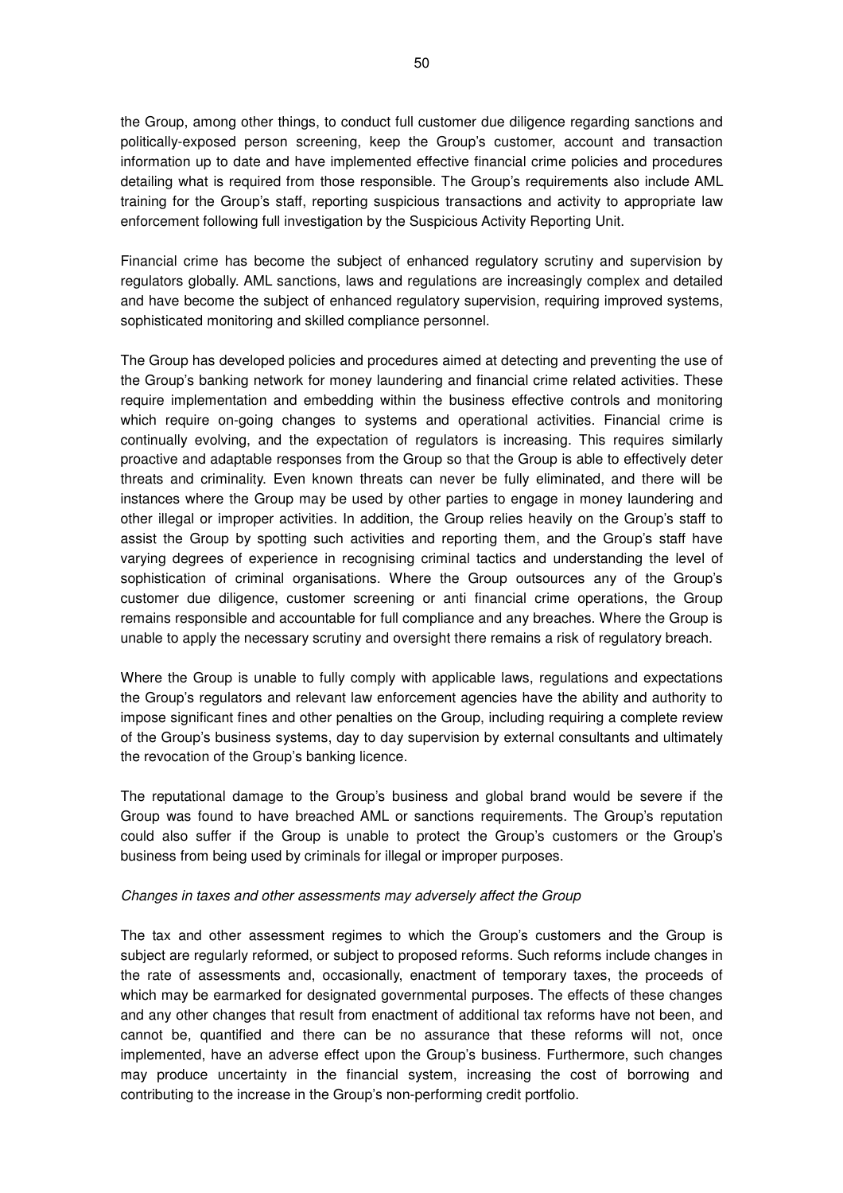the Group, among other things, to conduct full customer due diligence regarding sanctions and politically-exposed person screening, keep the Group's customer, account and transaction information up to date and have implemented effective financial crime policies and procedures detailing what is required from those responsible. The Group's requirements also include AML training for the Group's staff, reporting suspicious transactions and activity to appropriate law enforcement following full investigation by the Suspicious Activity Reporting Unit.

Financial crime has become the subject of enhanced regulatory scrutiny and supervision by regulators globally. AML sanctions, laws and regulations are increasingly complex and detailed and have become the subject of enhanced regulatory supervision, requiring improved systems, sophisticated monitoring and skilled compliance personnel.

The Group has developed policies and procedures aimed at detecting and preventing the use of the Group's banking network for money laundering and financial crime related activities. These require implementation and embedding within the business effective controls and monitoring which require on-going changes to systems and operational activities. Financial crime is continually evolving, and the expectation of regulators is increasing. This requires similarly proactive and adaptable responses from the Group so that the Group is able to effectively deter threats and criminality. Even known threats can never be fully eliminated, and there will be instances where the Group may be used by other parties to engage in money laundering and other illegal or improper activities. In addition, the Group relies heavily on the Group's staff to assist the Group by spotting such activities and reporting them, and the Group's staff have varying degrees of experience in recognising criminal tactics and understanding the level of sophistication of criminal organisations. Where the Group outsources any of the Group's customer due diligence, customer screening or anti financial crime operations, the Group remains responsible and accountable for full compliance and any breaches. Where the Group is unable to apply the necessary scrutiny and oversight there remains a risk of regulatory breach.

Where the Group is unable to fully comply with applicable laws, regulations and expectations the Group's regulators and relevant law enforcement agencies have the ability and authority to impose significant fines and other penalties on the Group, including requiring a complete review of the Group's business systems, day to day supervision by external consultants and ultimately the revocation of the Group's banking licence.

The reputational damage to the Group's business and global brand would be severe if the Group was found to have breached AML or sanctions requirements. The Group's reputation could also suffer if the Group is unable to protect the Group's customers or the Group's business from being used by criminals for illegal or improper purposes.

### Changes in taxes and other assessments may adversely affect the Group

The tax and other assessment regimes to which the Group's customers and the Group is subject are regularly reformed, or subject to proposed reforms. Such reforms include changes in the rate of assessments and, occasionally, enactment of temporary taxes, the proceeds of which may be earmarked for designated governmental purposes. The effects of these changes and any other changes that result from enactment of additional tax reforms have not been, and cannot be, quantified and there can be no assurance that these reforms will not, once implemented, have an adverse effect upon the Group's business. Furthermore, such changes may produce uncertainty in the financial system, increasing the cost of borrowing and contributing to the increase in the Group's non-performing credit portfolio.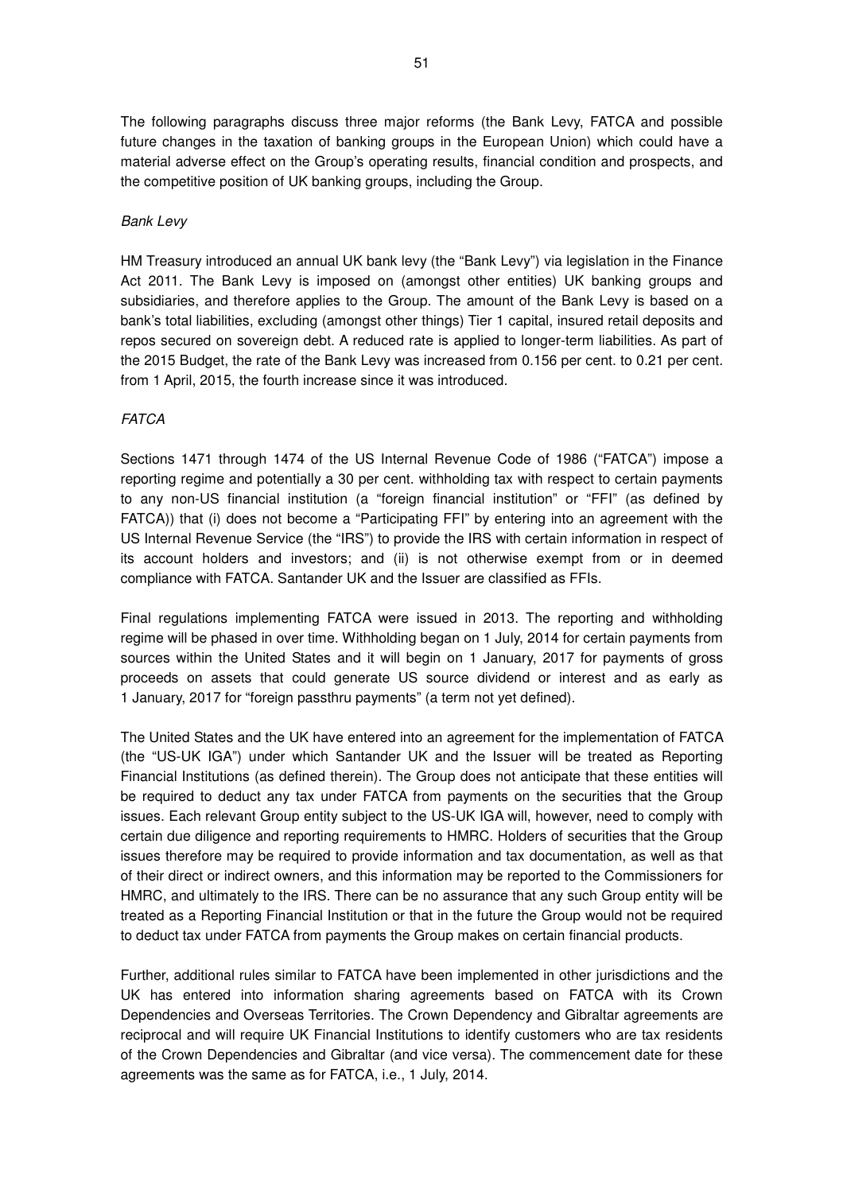The following paragraphs discuss three major reforms (the Bank Levy, FATCA and possible future changes in the taxation of banking groups in the European Union) which could have a material adverse effect on the Group's operating results, financial condition and prospects, and the competitive position of UK banking groups, including the Group.

## Bank Levy

HM Treasury introduced an annual UK bank levy (the "Bank Levy") via legislation in the Finance Act 2011. The Bank Levy is imposed on (amongst other entities) UK banking groups and subsidiaries, and therefore applies to the Group. The amount of the Bank Levy is based on a bank's total liabilities, excluding (amongst other things) Tier 1 capital, insured retail deposits and repos secured on sovereign debt. A reduced rate is applied to longer-term liabilities. As part of the 2015 Budget, the rate of the Bank Levy was increased from 0.156 per cent. to 0.21 per cent. from 1 April, 2015, the fourth increase since it was introduced.

### **FATCA**

Sections 1471 through 1474 of the US Internal Revenue Code of 1986 ("FATCA") impose a reporting regime and potentially a 30 per cent. withholding tax with respect to certain payments to any non-US financial institution (a "foreign financial institution" or "FFI" (as defined by FATCA)) that (i) does not become a "Participating FFI" by entering into an agreement with the US Internal Revenue Service (the "IRS") to provide the IRS with certain information in respect of its account holders and investors; and (ii) is not otherwise exempt from or in deemed compliance with FATCA. Santander UK and the Issuer are classified as FFIs.

Final regulations implementing FATCA were issued in 2013. The reporting and withholding regime will be phased in over time. Withholding began on 1 July, 2014 for certain payments from sources within the United States and it will begin on 1 January, 2017 for payments of gross proceeds on assets that could generate US source dividend or interest and as early as 1 January, 2017 for "foreign passthru payments" (a term not yet defined).

The United States and the UK have entered into an agreement for the implementation of FATCA (the "US-UK IGA") under which Santander UK and the Issuer will be treated as Reporting Financial Institutions (as defined therein). The Group does not anticipate that these entities will be required to deduct any tax under FATCA from payments on the securities that the Group issues. Each relevant Group entity subject to the US-UK IGA will, however, need to comply with certain due diligence and reporting requirements to HMRC. Holders of securities that the Group issues therefore may be required to provide information and tax documentation, as well as that of their direct or indirect owners, and this information may be reported to the Commissioners for HMRC, and ultimately to the IRS. There can be no assurance that any such Group entity will be treated as a Reporting Financial Institution or that in the future the Group would not be required to deduct tax under FATCA from payments the Group makes on certain financial products.

Further, additional rules similar to FATCA have been implemented in other jurisdictions and the UK has entered into information sharing agreements based on FATCA with its Crown Dependencies and Overseas Territories. The Crown Dependency and Gibraltar agreements are reciprocal and will require UK Financial Institutions to identify customers who are tax residents of the Crown Dependencies and Gibraltar (and vice versa). The commencement date for these agreements was the same as for FATCA, i.e., 1 July, 2014.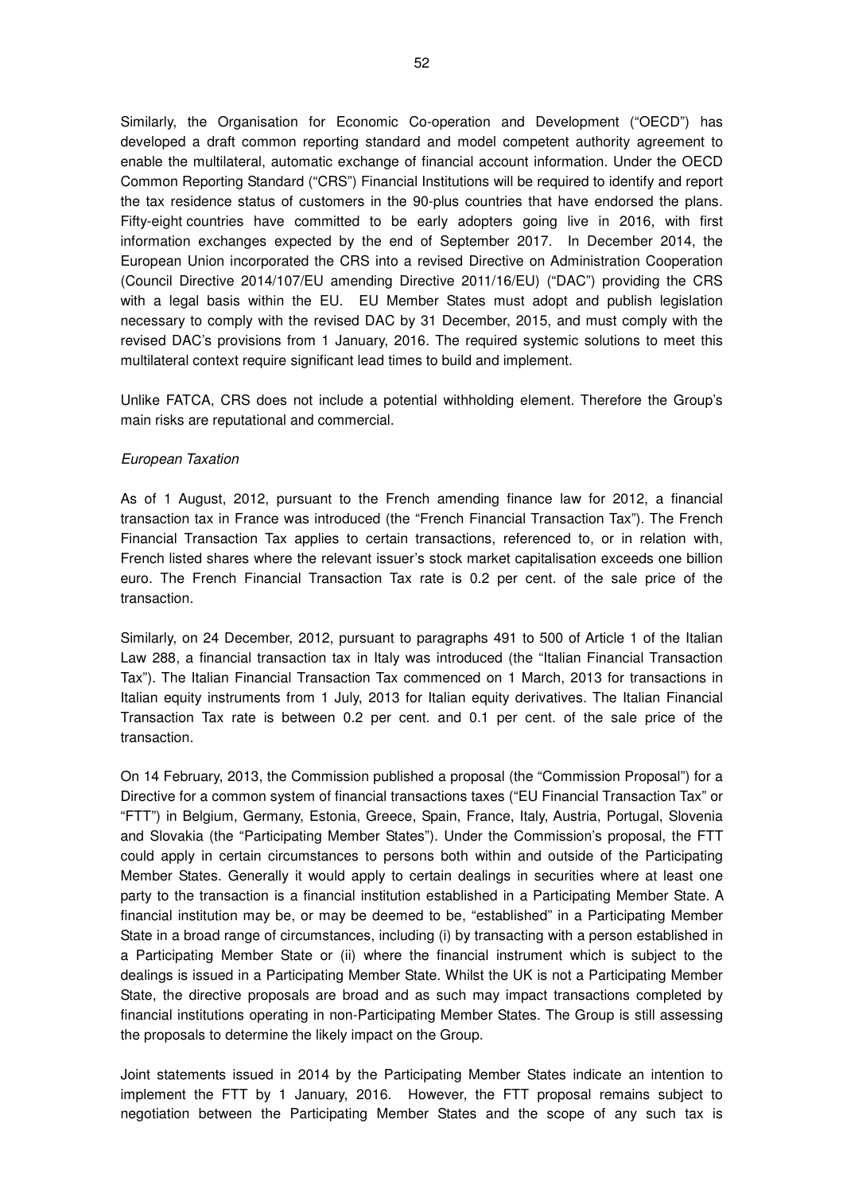Similarly, the Organisation for Economic Co-operation and Development ("OECD") has developed a draft common reporting standard and model competent authority agreement to enable the multilateral, automatic exchange of financial account information. Under the OECD Common Reporting Standard ("CRS") Financial Institutions will be required to identify and report the tax residence status of customers in the 90-plus countries that have endorsed the plans. Fifty-eight countries have committed to be early adopters going live in 2016, with first information exchanges expected by the end of September 2017. In December 2014, the European Union incorporated the CRS into a revised Directive on Administration Cooperation (Council Directive 2014/107/EU amending Directive 2011/16/EU) ("DAC") providing the CRS with a legal basis within the EU. EU Member States must adopt and publish legislation necessary to comply with the revised DAC by 31 December, 2015, and must comply with the revised DAC's provisions from 1 January, 2016. The required systemic solutions to meet this multilateral context require significant lead times to build and implement.

Unlike FATCA, CRS does not include a potential withholding element. Therefore the Group's main risks are reputational and commercial.

### European Taxation

As of 1 August, 2012, pursuant to the French amending finance law for 2012, a financial transaction tax in France was introduced (the "French Financial Transaction Tax"). The French Financial Transaction Tax applies to certain transactions, referenced to, or in relation with, French listed shares where the relevant issuer's stock market capitalisation exceeds one billion euro. The French Financial Transaction Tax rate is 0.2 per cent. of the sale price of the transaction.

Similarly, on 24 December, 2012, pursuant to paragraphs 491 to 500 of Article 1 of the Italian Law 288, a financial transaction tax in Italy was introduced (the "Italian Financial Transaction Tax"). The Italian Financial Transaction Tax commenced on 1 March, 2013 for transactions in Italian equity instruments from 1 July, 2013 for Italian equity derivatives. The Italian Financial Transaction Tax rate is between 0.2 per cent. and 0.1 per cent. of the sale price of the transaction.

On 14 February, 2013, the Commission published a proposal (the "Commission Proposal") for a Directive for a common system of financial transactions taxes ("EU Financial Transaction Tax" or "FTT") in Belgium, Germany, Estonia, Greece, Spain, France, Italy, Austria, Portugal, Slovenia and Slovakia (the "Participating Member States"). Under the Commission's proposal, the FTT could apply in certain circumstances to persons both within and outside of the Participating Member States. Generally it would apply to certain dealings in securities where at least one party to the transaction is a financial institution established in a Participating Member State. A financial institution may be, or may be deemed to be, "established" in a Participating Member State in a broad range of circumstances, including (i) by transacting with a person established in a Participating Member State or (ii) where the financial instrument which is subject to the dealings is issued in a Participating Member State. Whilst the UK is not a Participating Member State, the directive proposals are broad and as such may impact transactions completed by financial institutions operating in non-Participating Member States. The Group is still assessing the proposals to determine the likely impact on the Group.

Joint statements issued in 2014 by the Participating Member States indicate an intention to implement the FTT by 1 January, 2016. However, the FTT proposal remains subject to negotiation between the Participating Member States and the scope of any such tax is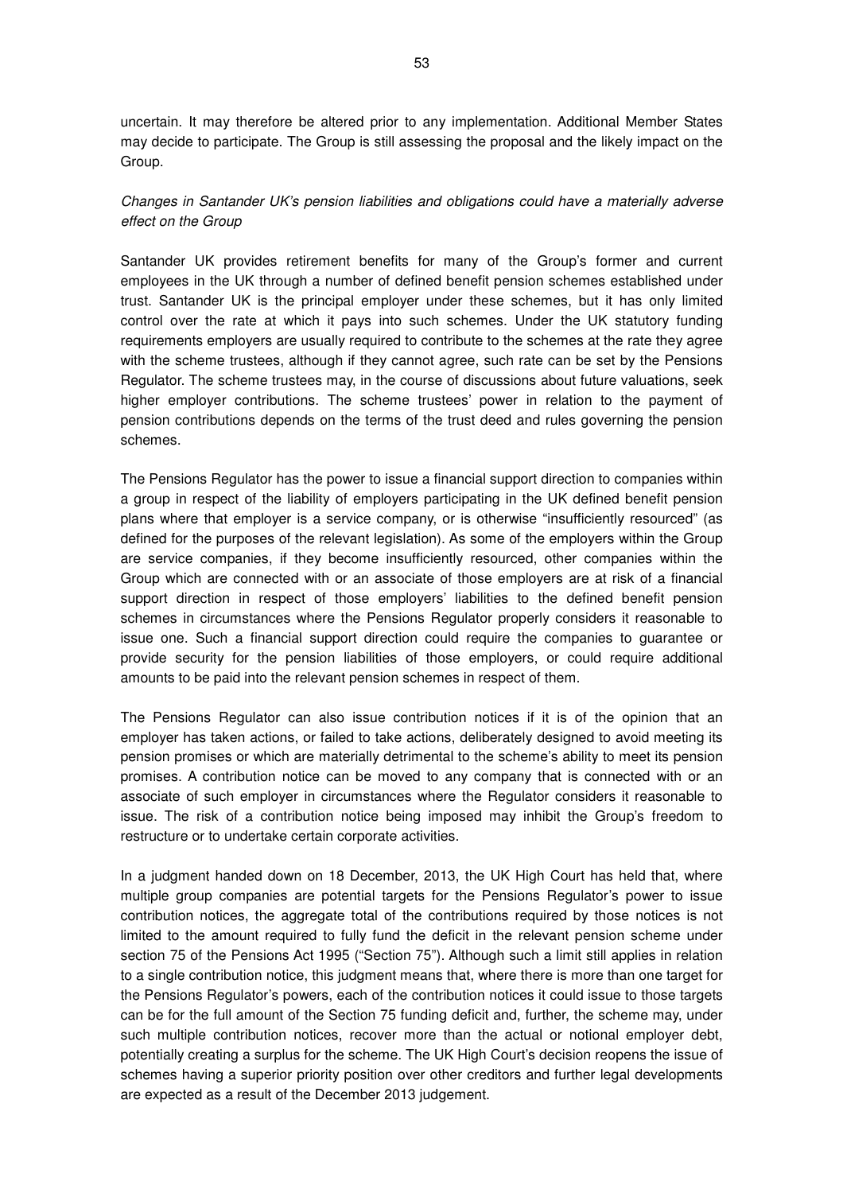uncertain. It may therefore be altered prior to any implementation. Additional Member States may decide to participate. The Group is still assessing the proposal and the likely impact on the Group.

# Changes in Santander UK's pension liabilities and obligations could have a materially adverse effect on the Group

Santander UK provides retirement benefits for many of the Group's former and current employees in the UK through a number of defined benefit pension schemes established under trust. Santander UK is the principal employer under these schemes, but it has only limited control over the rate at which it pays into such schemes. Under the UK statutory funding requirements employers are usually required to contribute to the schemes at the rate they agree with the scheme trustees, although if they cannot agree, such rate can be set by the Pensions Regulator. The scheme trustees may, in the course of discussions about future valuations, seek higher employer contributions. The scheme trustees' power in relation to the payment of pension contributions depends on the terms of the trust deed and rules governing the pension schemes.

The Pensions Regulator has the power to issue a financial support direction to companies within a group in respect of the liability of employers participating in the UK defined benefit pension plans where that employer is a service company, or is otherwise "insufficiently resourced" (as defined for the purposes of the relevant legislation). As some of the employers within the Group are service companies, if they become insufficiently resourced, other companies within the Group which are connected with or an associate of those employers are at risk of a financial support direction in respect of those employers' liabilities to the defined benefit pension schemes in circumstances where the Pensions Regulator properly considers it reasonable to issue one. Such a financial support direction could require the companies to guarantee or provide security for the pension liabilities of those employers, or could require additional amounts to be paid into the relevant pension schemes in respect of them.

The Pensions Regulator can also issue contribution notices if it is of the opinion that an employer has taken actions, or failed to take actions, deliberately designed to avoid meeting its pension promises or which are materially detrimental to the scheme's ability to meet its pension promises. A contribution notice can be moved to any company that is connected with or an associate of such employer in circumstances where the Regulator considers it reasonable to issue. The risk of a contribution notice being imposed may inhibit the Group's freedom to restructure or to undertake certain corporate activities.

In a judgment handed down on 18 December, 2013, the UK High Court has held that, where multiple group companies are potential targets for the Pensions Regulator's power to issue contribution notices, the aggregate total of the contributions required by those notices is not limited to the amount required to fully fund the deficit in the relevant pension scheme under section 75 of the Pensions Act 1995 ("Section 75"). Although such a limit still applies in relation to a single contribution notice, this judgment means that, where there is more than one target for the Pensions Regulator's powers, each of the contribution notices it could issue to those targets can be for the full amount of the Section 75 funding deficit and, further, the scheme may, under such multiple contribution notices, recover more than the actual or notional employer debt, potentially creating a surplus for the scheme. The UK High Court's decision reopens the issue of schemes having a superior priority position over other creditors and further legal developments are expected as a result of the December 2013 judgement.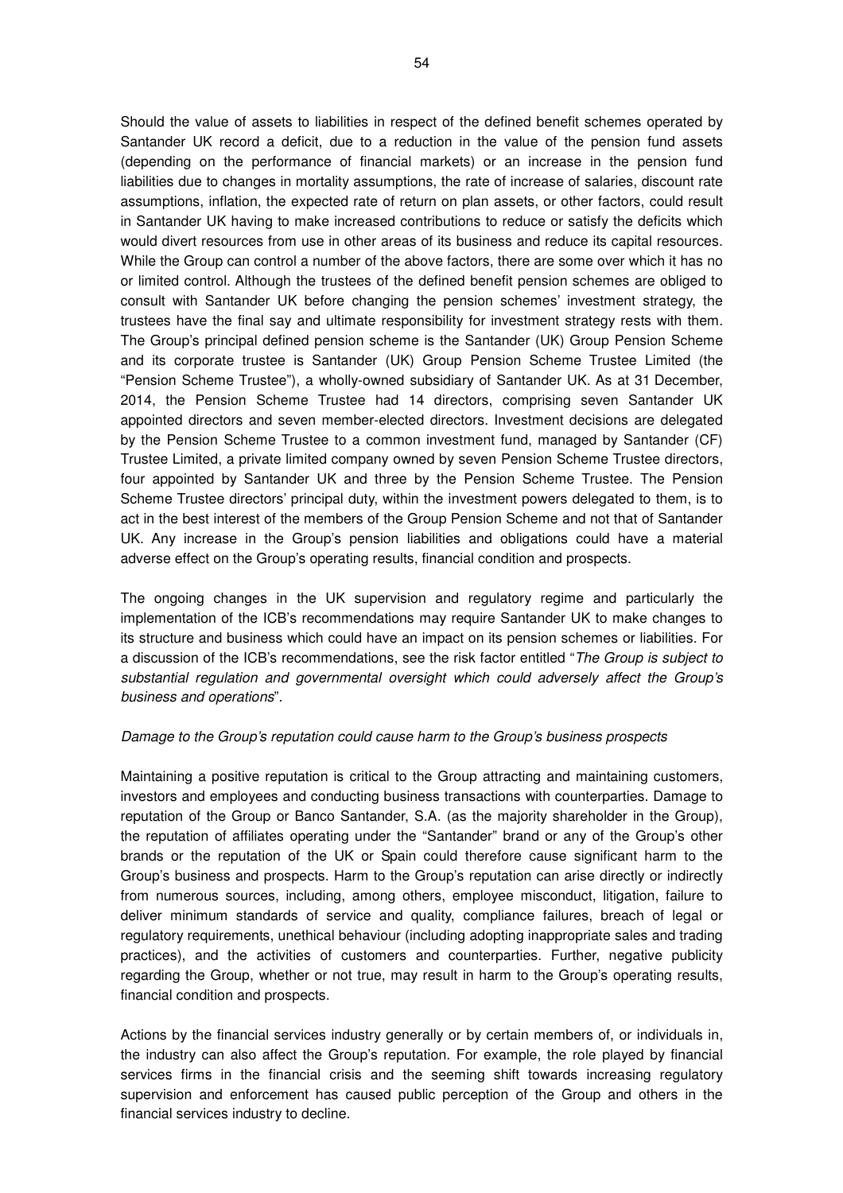Should the value of assets to liabilities in respect of the defined benefit schemes operated by Santander UK record a deficit, due to a reduction in the value of the pension fund assets (depending on the performance of financial markets) or an increase in the pension fund liabilities due to changes in mortality assumptions, the rate of increase of salaries, discount rate assumptions, inflation, the expected rate of return on plan assets, or other factors, could result in Santander UK having to make increased contributions to reduce or satisfy the deficits which would divert resources from use in other areas of its business and reduce its capital resources. While the Group can control a number of the above factors, there are some over which it has no or limited control. Although the trustees of the defined benefit pension schemes are obliged to consult with Santander UK before changing the pension schemes' investment strategy, the trustees have the final say and ultimate responsibility for investment strategy rests with them. The Group's principal defined pension scheme is the Santander (UK) Group Pension Scheme and its corporate trustee is Santander (UK) Group Pension Scheme Trustee Limited (the "Pension Scheme Trustee"), a wholly-owned subsidiary of Santander UK. As at 31 December, 2014, the Pension Scheme Trustee had 14 directors, comprising seven Santander UK appointed directors and seven member-elected directors. Investment decisions are delegated by the Pension Scheme Trustee to a common investment fund, managed by Santander (CF) Trustee Limited, a private limited company owned by seven Pension Scheme Trustee directors, four appointed by Santander UK and three by the Pension Scheme Trustee. The Pension Scheme Trustee directors' principal duty, within the investment powers delegated to them, is to act in the best interest of the members of the Group Pension Scheme and not that of Santander UK. Any increase in the Group's pension liabilities and obligations could have a material adverse effect on the Group's operating results, financial condition and prospects.

The ongoing changes in the UK supervision and regulatory regime and particularly the implementation of the ICB's recommendations may require Santander UK to make changes to its structure and business which could have an impact on its pension schemes or liabilities. For a discussion of the ICB's recommendations, see the risk factor entitled "The Group is subject to substantial regulation and governmental oversight which could adversely affect the Group's business and operations".

### Damage to the Group's reputation could cause harm to the Group's business prospects

Maintaining a positive reputation is critical to the Group attracting and maintaining customers, investors and employees and conducting business transactions with counterparties. Damage to reputation of the Group or Banco Santander, S.A. (as the majority shareholder in the Group), the reputation of affiliates operating under the "Santander" brand or any of the Group's other brands or the reputation of the UK or Spain could therefore cause significant harm to the Group's business and prospects. Harm to the Group's reputation can arise directly or indirectly from numerous sources, including, among others, employee misconduct, litigation, failure to deliver minimum standards of service and quality, compliance failures, breach of legal or regulatory requirements, unethical behaviour (including adopting inappropriate sales and trading practices), and the activities of customers and counterparties. Further, negative publicity regarding the Group, whether or not true, may result in harm to the Group's operating results, financial condition and prospects.

Actions by the financial services industry generally or by certain members of, or individuals in, the industry can also affect the Group's reputation. For example, the role played by financial services firms in the financial crisis and the seeming shift towards increasing regulatory supervision and enforcement has caused public perception of the Group and others in the financial services industry to decline.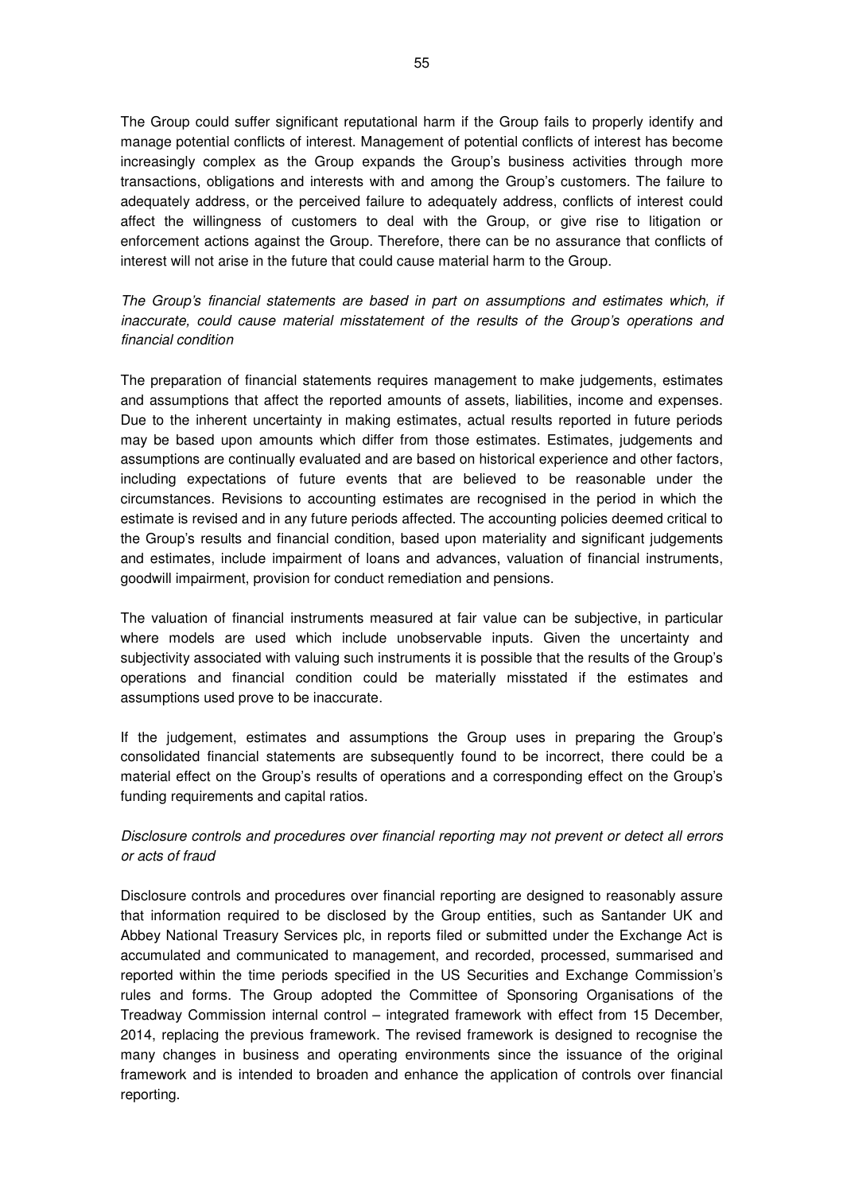The Group could suffer significant reputational harm if the Group fails to properly identify and manage potential conflicts of interest. Management of potential conflicts of interest has become increasingly complex as the Group expands the Group's business activities through more transactions, obligations and interests with and among the Group's customers. The failure to adequately address, or the perceived failure to adequately address, conflicts of interest could affect the willingness of customers to deal with the Group, or give rise to litigation or enforcement actions against the Group. Therefore, there can be no assurance that conflicts of interest will not arise in the future that could cause material harm to the Group.

The Group's financial statements are based in part on assumptions and estimates which, if inaccurate, could cause material misstatement of the results of the Group's operations and financial condition

The preparation of financial statements requires management to make judgements, estimates and assumptions that affect the reported amounts of assets, liabilities, income and expenses. Due to the inherent uncertainty in making estimates, actual results reported in future periods may be based upon amounts which differ from those estimates. Estimates, judgements and assumptions are continually evaluated and are based on historical experience and other factors, including expectations of future events that are believed to be reasonable under the circumstances. Revisions to accounting estimates are recognised in the period in which the estimate is revised and in any future periods affected. The accounting policies deemed critical to the Group's results and financial condition, based upon materiality and significant judgements and estimates, include impairment of loans and advances, valuation of financial instruments, goodwill impairment, provision for conduct remediation and pensions.

The valuation of financial instruments measured at fair value can be subjective, in particular where models are used which include unobservable inputs. Given the uncertainty and subjectivity associated with valuing such instruments it is possible that the results of the Group's operations and financial condition could be materially misstated if the estimates and assumptions used prove to be inaccurate.

If the judgement, estimates and assumptions the Group uses in preparing the Group's consolidated financial statements are subsequently found to be incorrect, there could be a material effect on the Group's results of operations and a corresponding effect on the Group's funding requirements and capital ratios.

# Disclosure controls and procedures over financial reporting may not prevent or detect all errors or acts of fraud

Disclosure controls and procedures over financial reporting are designed to reasonably assure that information required to be disclosed by the Group entities, such as Santander UK and Abbey National Treasury Services plc, in reports filed or submitted under the Exchange Act is accumulated and communicated to management, and recorded, processed, summarised and reported within the time periods specified in the US Securities and Exchange Commission's rules and forms. The Group adopted the Committee of Sponsoring Organisations of the Treadway Commission internal control – integrated framework with effect from 15 December, 2014, replacing the previous framework. The revised framework is designed to recognise the many changes in business and operating environments since the issuance of the original framework and is intended to broaden and enhance the application of controls over financial reporting.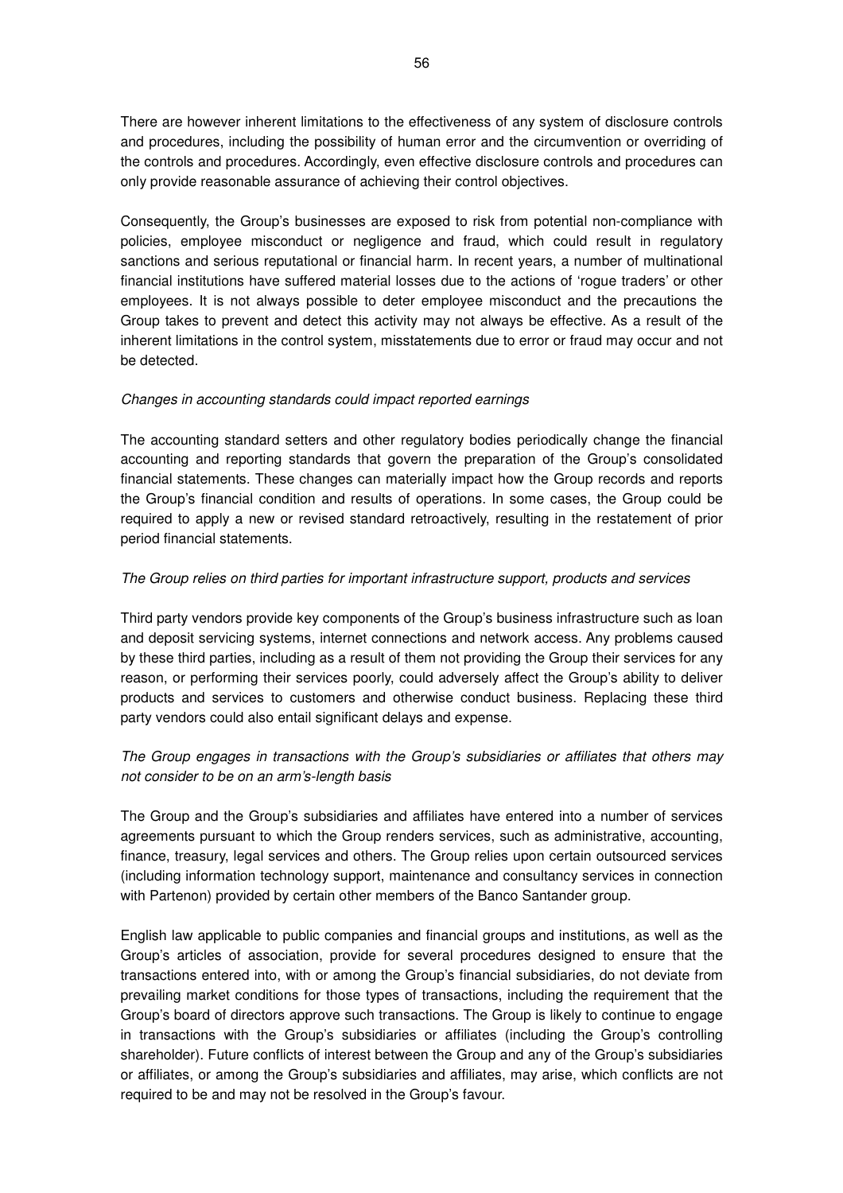There are however inherent limitations to the effectiveness of any system of disclosure controls and procedures, including the possibility of human error and the circumvention or overriding of the controls and procedures. Accordingly, even effective disclosure controls and procedures can only provide reasonable assurance of achieving their control objectives.

Consequently, the Group's businesses are exposed to risk from potential non-compliance with policies, employee misconduct or negligence and fraud, which could result in regulatory sanctions and serious reputational or financial harm. In recent years, a number of multinational financial institutions have suffered material losses due to the actions of 'rogue traders' or other employees. It is not always possible to deter employee misconduct and the precautions the Group takes to prevent and detect this activity may not always be effective. As a result of the inherent limitations in the control system, misstatements due to error or fraud may occur and not be detected.

### Changes in accounting standards could impact reported earnings

The accounting standard setters and other regulatory bodies periodically change the financial accounting and reporting standards that govern the preparation of the Group's consolidated financial statements. These changes can materially impact how the Group records and reports the Group's financial condition and results of operations. In some cases, the Group could be required to apply a new or revised standard retroactively, resulting in the restatement of prior period financial statements.

### The Group relies on third parties for important infrastructure support, products and services

Third party vendors provide key components of the Group's business infrastructure such as loan and deposit servicing systems, internet connections and network access. Any problems caused by these third parties, including as a result of them not providing the Group their services for any reason, or performing their services poorly, could adversely affect the Group's ability to deliver products and services to customers and otherwise conduct business. Replacing these third party vendors could also entail significant delays and expense.

# The Group engages in transactions with the Group's subsidiaries or affiliates that others may not consider to be on an arm's-length basis

The Group and the Group's subsidiaries and affiliates have entered into a number of services agreements pursuant to which the Group renders services, such as administrative, accounting, finance, treasury, legal services and others. The Group relies upon certain outsourced services (including information technology support, maintenance and consultancy services in connection with Partenon) provided by certain other members of the Banco Santander group.

English law applicable to public companies and financial groups and institutions, as well as the Group's articles of association, provide for several procedures designed to ensure that the transactions entered into, with or among the Group's financial subsidiaries, do not deviate from prevailing market conditions for those types of transactions, including the requirement that the Group's board of directors approve such transactions. The Group is likely to continue to engage in transactions with the Group's subsidiaries or affiliates (including the Group's controlling shareholder). Future conflicts of interest between the Group and any of the Group's subsidiaries or affiliates, or among the Group's subsidiaries and affiliates, may arise, which conflicts are not required to be and may not be resolved in the Group's favour.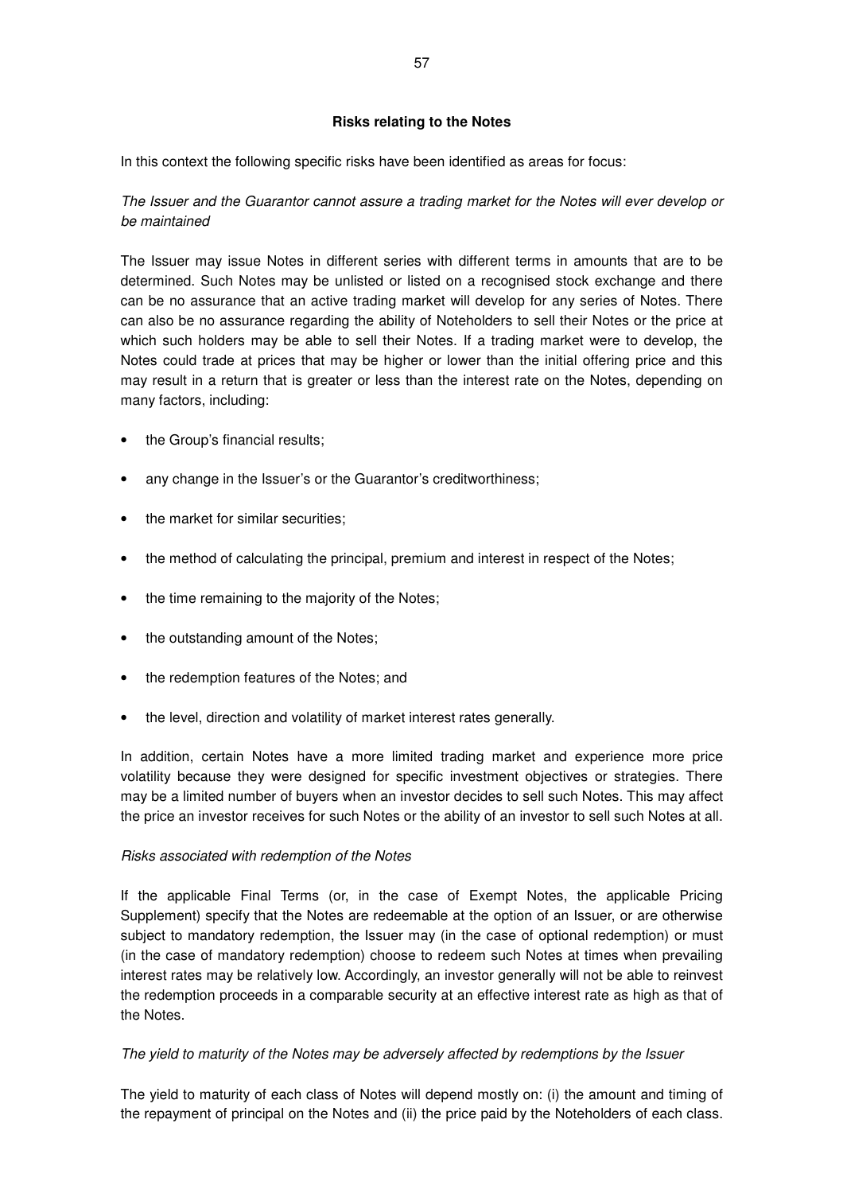## **Risks relating to the Notes**

In this context the following specific risks have been identified as areas for focus:

The Issuer and the Guarantor cannot assure a trading market for the Notes will ever develop or be maintained

The Issuer may issue Notes in different series with different terms in amounts that are to be determined. Such Notes may be unlisted or listed on a recognised stock exchange and there can be no assurance that an active trading market will develop for any series of Notes. There can also be no assurance regarding the ability of Noteholders to sell their Notes or the price at which such holders may be able to sell their Notes. If a trading market were to develop, the Notes could trade at prices that may be higher or lower than the initial offering price and this may result in a return that is greater or less than the interest rate on the Notes, depending on many factors, including:

- the Group's financial results;
- any change in the Issuer's or the Guarantor's creditworthiness;
- the market for similar securities;
- the method of calculating the principal, premium and interest in respect of the Notes;
- the time remaining to the majority of the Notes;
- the outstanding amount of the Notes;
- the redemption features of the Notes; and
- the level, direction and volatility of market interest rates generally.

In addition, certain Notes have a more limited trading market and experience more price volatility because they were designed for specific investment objectives or strategies. There may be a limited number of buyers when an investor decides to sell such Notes. This may affect the price an investor receives for such Notes or the ability of an investor to sell such Notes at all.

## Risks associated with redemption of the Notes

If the applicable Final Terms (or, in the case of Exempt Notes, the applicable Pricing Supplement) specify that the Notes are redeemable at the option of an Issuer, or are otherwise subject to mandatory redemption, the Issuer may (in the case of optional redemption) or must (in the case of mandatory redemption) choose to redeem such Notes at times when prevailing interest rates may be relatively low. Accordingly, an investor generally will not be able to reinvest the redemption proceeds in a comparable security at an effective interest rate as high as that of the Notes.

## The yield to maturity of the Notes may be adversely affected by redemptions by the Issuer

The yield to maturity of each class of Notes will depend mostly on: (i) the amount and timing of the repayment of principal on the Notes and (ii) the price paid by the Noteholders of each class.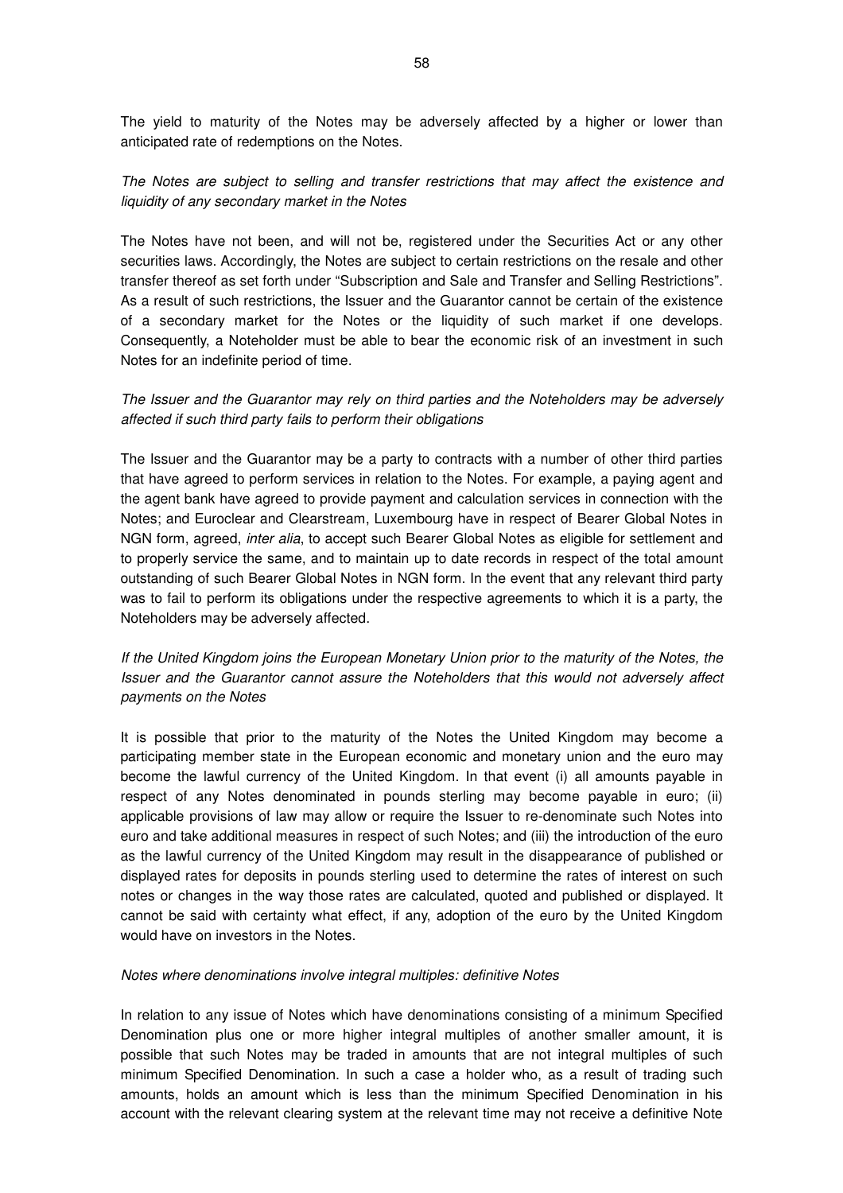The yield to maturity of the Notes may be adversely affected by a higher or lower than anticipated rate of redemptions on the Notes.

# The Notes are subject to selling and transfer restrictions that may affect the existence and liquidity of any secondary market in the Notes

The Notes have not been, and will not be, registered under the Securities Act or any other securities laws. Accordingly, the Notes are subject to certain restrictions on the resale and other transfer thereof as set forth under "Subscription and Sale and Transfer and Selling Restrictions". As a result of such restrictions, the Issuer and the Guarantor cannot be certain of the existence of a secondary market for the Notes or the liquidity of such market if one develops. Consequently, a Noteholder must be able to bear the economic risk of an investment in such Notes for an indefinite period of time.

# The Issuer and the Guarantor may rely on third parties and the Noteholders may be adversely affected if such third party fails to perform their obligations

The Issuer and the Guarantor may be a party to contracts with a number of other third parties that have agreed to perform services in relation to the Notes. For example, a paying agent and the agent bank have agreed to provide payment and calculation services in connection with the Notes; and Euroclear and Clearstream, Luxembourg have in respect of Bearer Global Notes in NGN form, agreed, inter alia, to accept such Bearer Global Notes as eligible for settlement and to properly service the same, and to maintain up to date records in respect of the total amount outstanding of such Bearer Global Notes in NGN form. In the event that any relevant third party was to fail to perform its obligations under the respective agreements to which it is a party, the Noteholders may be adversely affected.

# If the United Kingdom joins the European Monetary Union prior to the maturity of the Notes, the Issuer and the Guarantor cannot assure the Noteholders that this would not adversely affect payments on the Notes

It is possible that prior to the maturity of the Notes the United Kingdom may become a participating member state in the European economic and monetary union and the euro may become the lawful currency of the United Kingdom. In that event (i) all amounts payable in respect of any Notes denominated in pounds sterling may become payable in euro; (ii) applicable provisions of law may allow or require the Issuer to re-denominate such Notes into euro and take additional measures in respect of such Notes; and (iii) the introduction of the euro as the lawful currency of the United Kingdom may result in the disappearance of published or displayed rates for deposits in pounds sterling used to determine the rates of interest on such notes or changes in the way those rates are calculated, quoted and published or displayed. It cannot be said with certainty what effect, if any, adoption of the euro by the United Kingdom would have on investors in the Notes.

### Notes where denominations involve integral multiples: definitive Notes

In relation to any issue of Notes which have denominations consisting of a minimum Specified Denomination plus one or more higher integral multiples of another smaller amount, it is possible that such Notes may be traded in amounts that are not integral multiples of such minimum Specified Denomination. In such a case a holder who, as a result of trading such amounts, holds an amount which is less than the minimum Specified Denomination in his account with the relevant clearing system at the relevant time may not receive a definitive Note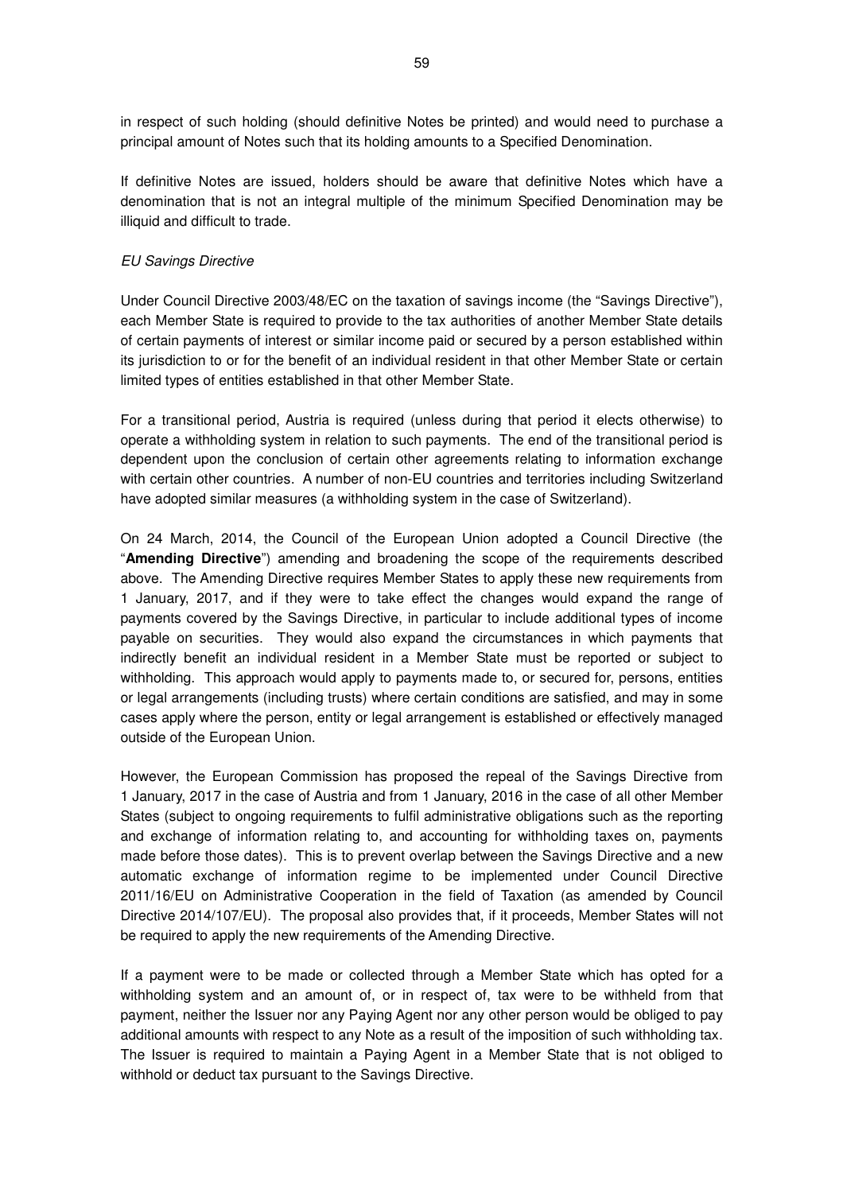in respect of such holding (should definitive Notes be printed) and would need to purchase a principal amount of Notes such that its holding amounts to a Specified Denomination.

If definitive Notes are issued, holders should be aware that definitive Notes which have a denomination that is not an integral multiple of the minimum Specified Denomination may be illiquid and difficult to trade.

#### EU Savings Directive

Under Council Directive 2003/48/EC on the taxation of savings income (the "Savings Directive"), each Member State is required to provide to the tax authorities of another Member State details of certain payments of interest or similar income paid or secured by a person established within its jurisdiction to or for the benefit of an individual resident in that other Member State or certain limited types of entities established in that other Member State.

For a transitional period, Austria is required (unless during that period it elects otherwise) to operate a withholding system in relation to such payments. The end of the transitional period is dependent upon the conclusion of certain other agreements relating to information exchange with certain other countries. A number of non-EU countries and territories including Switzerland have adopted similar measures (a withholding system in the case of Switzerland).

On 24 March, 2014, the Council of the European Union adopted a Council Directive (the "**Amending Directive**") amending and broadening the scope of the requirements described above. The Amending Directive requires Member States to apply these new requirements from 1 January, 2017, and if they were to take effect the changes would expand the range of payments covered by the Savings Directive, in particular to include additional types of income payable on securities. They would also expand the circumstances in which payments that indirectly benefit an individual resident in a Member State must be reported or subject to withholding. This approach would apply to payments made to, or secured for, persons, entities or legal arrangements (including trusts) where certain conditions are satisfied, and may in some cases apply where the person, entity or legal arrangement is established or effectively managed outside of the European Union.

However, the European Commission has proposed the repeal of the Savings Directive from 1 January, 2017 in the case of Austria and from 1 January, 2016 in the case of all other Member States (subject to ongoing requirements to fulfil administrative obligations such as the reporting and exchange of information relating to, and accounting for withholding taxes on, payments made before those dates). This is to prevent overlap between the Savings Directive and a new automatic exchange of information regime to be implemented under Council Directive 2011/16/EU on Administrative Cooperation in the field of Taxation (as amended by Council Directive 2014/107/EU). The proposal also provides that, if it proceeds, Member States will not be required to apply the new requirements of the Amending Directive.

If a payment were to be made or collected through a Member State which has opted for a withholding system and an amount of, or in respect of, tax were to be withheld from that payment, neither the Issuer nor any Paying Agent nor any other person would be obliged to pay additional amounts with respect to any Note as a result of the imposition of such withholding tax. The Issuer is required to maintain a Paying Agent in a Member State that is not obliged to withhold or deduct tax pursuant to the Savings Directive.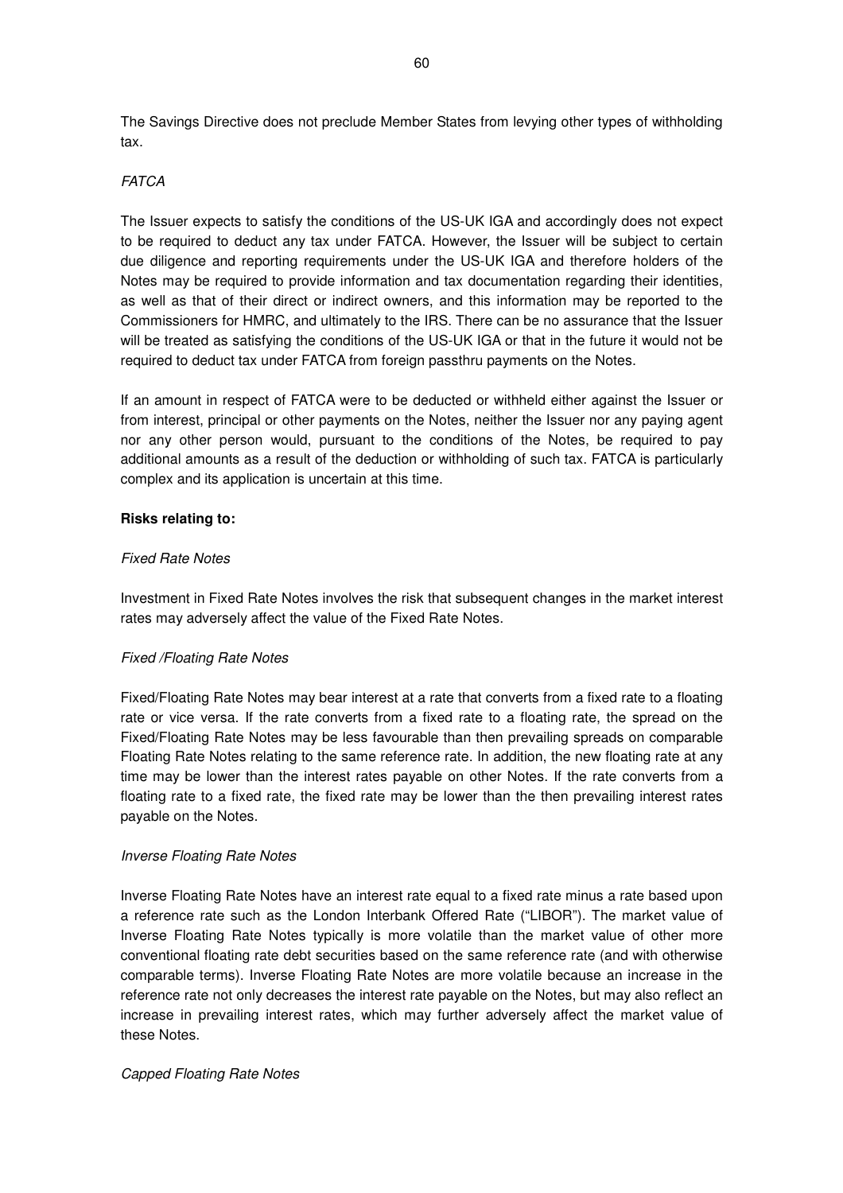The Savings Directive does not preclude Member States from levying other types of withholding tax.

### **FATCA**

The Issuer expects to satisfy the conditions of the US-UK IGA and accordingly does not expect to be required to deduct any tax under FATCA. However, the Issuer will be subject to certain due diligence and reporting requirements under the US-UK IGA and therefore holders of the Notes may be required to provide information and tax documentation regarding their identities, as well as that of their direct or indirect owners, and this information may be reported to the Commissioners for HMRC, and ultimately to the IRS. There can be no assurance that the Issuer will be treated as satisfying the conditions of the US-UK IGA or that in the future it would not be required to deduct tax under FATCA from foreign passthru payments on the Notes.

If an amount in respect of FATCA were to be deducted or withheld either against the Issuer or from interest, principal or other payments on the Notes, neither the Issuer nor any paying agent nor any other person would, pursuant to the conditions of the Notes, be required to pay additional amounts as a result of the deduction or withholding of such tax. FATCA is particularly complex and its application is uncertain at this time.

### **Risks relating to:**

#### Fixed Rate Notes

Investment in Fixed Rate Notes involves the risk that subsequent changes in the market interest rates may adversely affect the value of the Fixed Rate Notes.

### Fixed /Floating Rate Notes

Fixed/Floating Rate Notes may bear interest at a rate that converts from a fixed rate to a floating rate or vice versa. If the rate converts from a fixed rate to a floating rate, the spread on the Fixed/Floating Rate Notes may be less favourable than then prevailing spreads on comparable Floating Rate Notes relating to the same reference rate. In addition, the new floating rate at any time may be lower than the interest rates payable on other Notes. If the rate converts from a floating rate to a fixed rate, the fixed rate may be lower than the then prevailing interest rates payable on the Notes.

#### Inverse Floating Rate Notes

Inverse Floating Rate Notes have an interest rate equal to a fixed rate minus a rate based upon a reference rate such as the London Interbank Offered Rate ("LIBOR"). The market value of Inverse Floating Rate Notes typically is more volatile than the market value of other more conventional floating rate debt securities based on the same reference rate (and with otherwise comparable terms). Inverse Floating Rate Notes are more volatile because an increase in the reference rate not only decreases the interest rate payable on the Notes, but may also reflect an increase in prevailing interest rates, which may further adversely affect the market value of these Notes.

### Capped Floating Rate Notes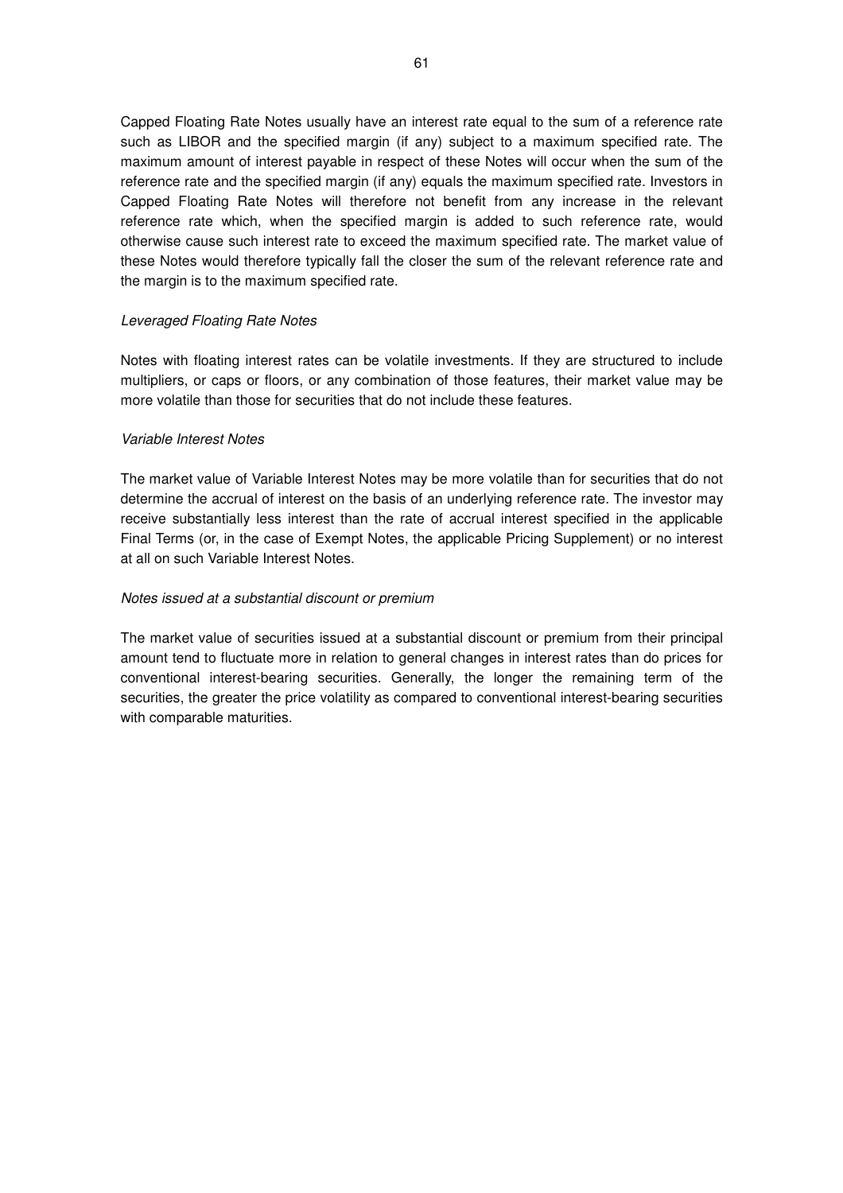Capped Floating Rate Notes usually have an interest rate equal to the sum of a reference rate such as LIBOR and the specified margin (if any) subject to a maximum specified rate. The maximum amount of interest payable in respect of these Notes will occur when the sum of the reference rate and the specified margin (if any) equals the maximum specified rate. Investors in Capped Floating Rate Notes will therefore not benefit from any increase in the relevant reference rate which, when the specified margin is added to such reference rate, would otherwise cause such interest rate to exceed the maximum specified rate. The market value of these Notes would therefore typically fall the closer the sum of the relevant reference rate and the margin is to the maximum specified rate.

### Leveraged Floating Rate Notes

Notes with floating interest rates can be volatile investments. If they are structured to include multipliers, or caps or floors, or any combination of those features, their market value may be more volatile than those for securities that do not include these features.

### Variable Interest Notes

The market value of Variable Interest Notes may be more volatile than for securities that do not determine the accrual of interest on the basis of an underlying reference rate. The investor may receive substantially less interest than the rate of accrual interest specified in the applicable Final Terms (or, in the case of Exempt Notes, the applicable Pricing Supplement) or no interest at all on such Variable Interest Notes.

### Notes issued at a substantial discount or premium

The market value of securities issued at a substantial discount or premium from their principal amount tend to fluctuate more in relation to general changes in interest rates than do prices for conventional interest-bearing securities. Generally, the longer the remaining term of the securities, the greater the price volatility as compared to conventional interest-bearing securities with comparable maturities.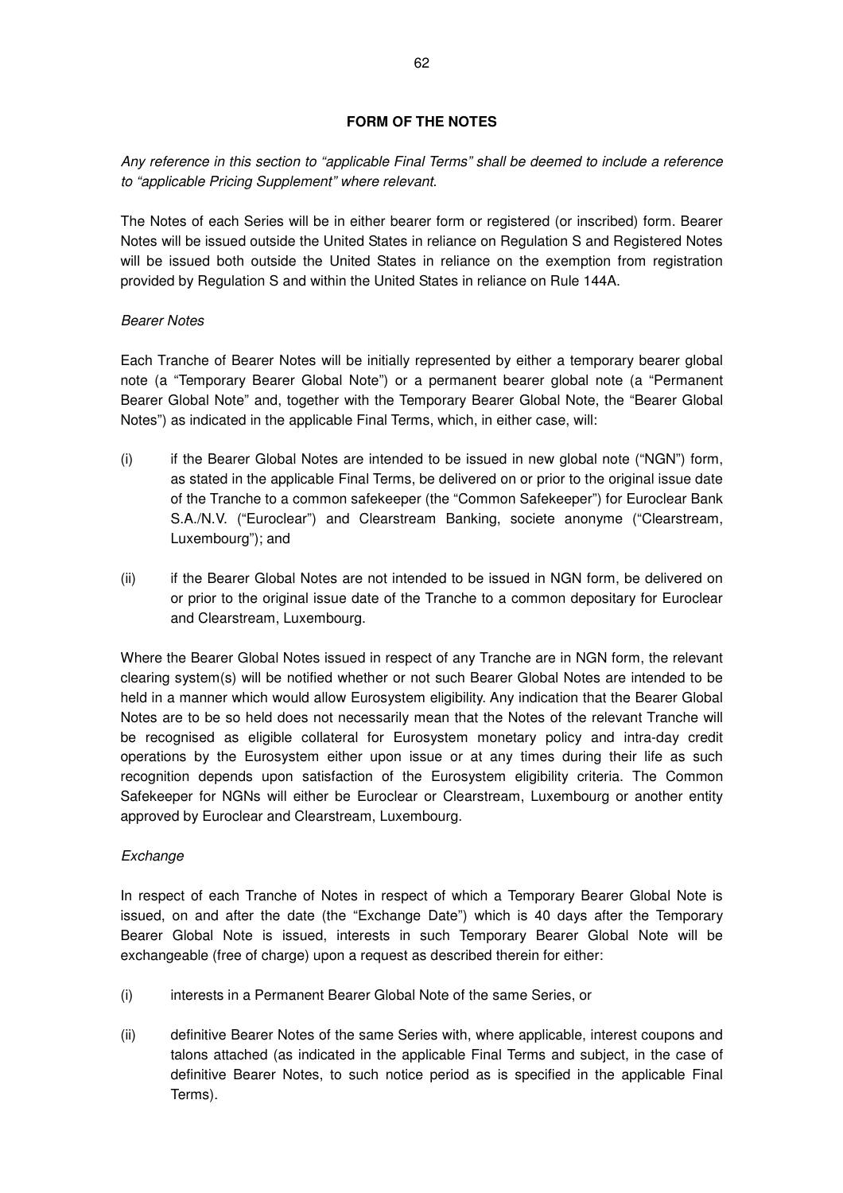# **FORM OF THE NOTES**

Any reference in this section to "applicable Final Terms" shall be deemed to include a reference to "applicable Pricing Supplement" where relevant.

The Notes of each Series will be in either bearer form or registered (or inscribed) form. Bearer Notes will be issued outside the United States in reliance on Regulation S and Registered Notes will be issued both outside the United States in reliance on the exemption from registration provided by Regulation S and within the United States in reliance on Rule 144A.

# Bearer Notes

Each Tranche of Bearer Notes will be initially represented by either a temporary bearer global note (a "Temporary Bearer Global Note") or a permanent bearer global note (a "Permanent Bearer Global Note" and, together with the Temporary Bearer Global Note, the "Bearer Global Notes") as indicated in the applicable Final Terms, which, in either case, will:

- (i) if the Bearer Global Notes are intended to be issued in new global note ("NGN") form, as stated in the applicable Final Terms, be delivered on or prior to the original issue date of the Tranche to a common safekeeper (the "Common Safekeeper") for Euroclear Bank S.A./N.V. ("Euroclear") and Clearstream Banking, societe anonyme ("Clearstream, Luxembourg"); and
- (ii) if the Bearer Global Notes are not intended to be issued in NGN form, be delivered on or prior to the original issue date of the Tranche to a common depositary for Euroclear and Clearstream, Luxembourg.

Where the Bearer Global Notes issued in respect of any Tranche are in NGN form, the relevant clearing system(s) will be notified whether or not such Bearer Global Notes are intended to be held in a manner which would allow Eurosystem eligibility. Any indication that the Bearer Global Notes are to be so held does not necessarily mean that the Notes of the relevant Tranche will be recognised as eligible collateral for Eurosystem monetary policy and intra-day credit operations by the Eurosystem either upon issue or at any times during their life as such recognition depends upon satisfaction of the Eurosystem eligibility criteria. The Common Safekeeper for NGNs will either be Euroclear or Clearstream, Luxembourg or another entity approved by Euroclear and Clearstream, Luxembourg.

# Exchange

In respect of each Tranche of Notes in respect of which a Temporary Bearer Global Note is issued, on and after the date (the "Exchange Date") which is 40 days after the Temporary Bearer Global Note is issued, interests in such Temporary Bearer Global Note will be exchangeable (free of charge) upon a request as described therein for either:

- (i) interests in a Permanent Bearer Global Note of the same Series, or
- (ii) definitive Bearer Notes of the same Series with, where applicable, interest coupons and talons attached (as indicated in the applicable Final Terms and subject, in the case of definitive Bearer Notes, to such notice period as is specified in the applicable Final Terms).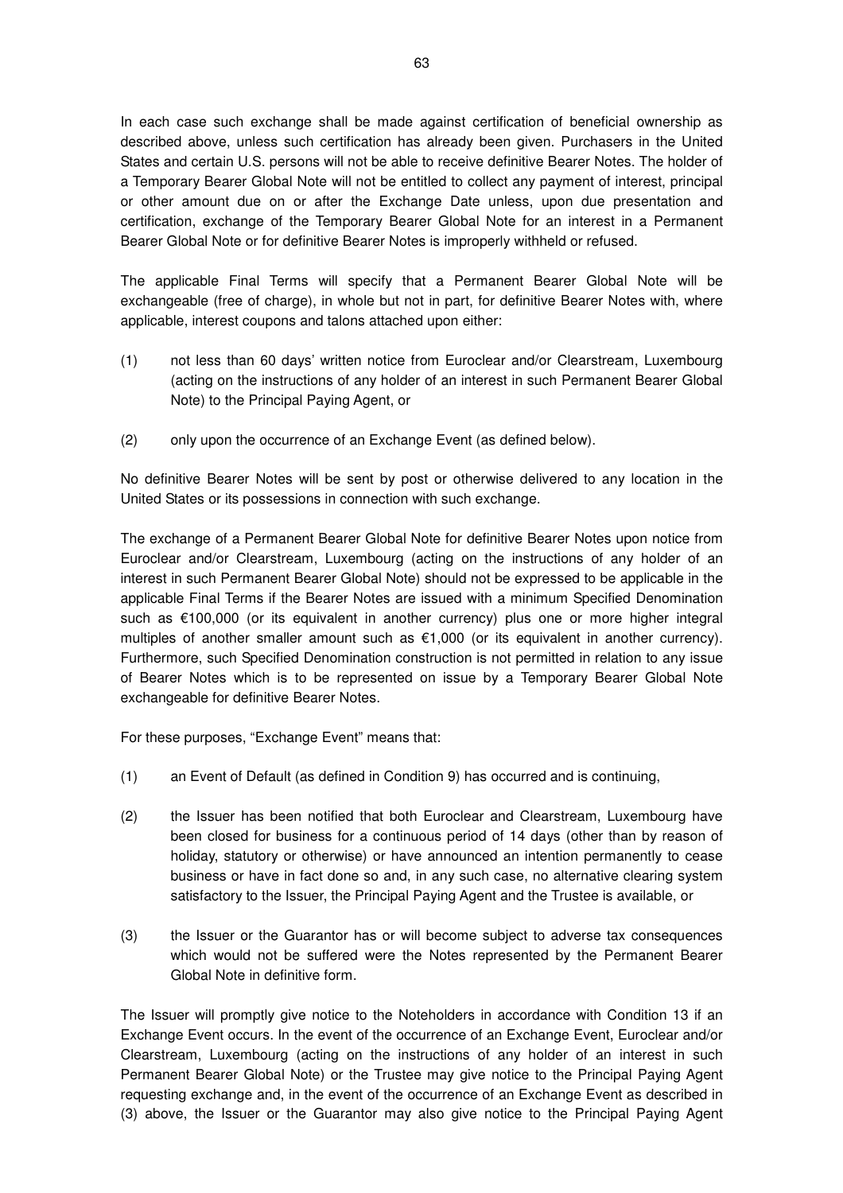In each case such exchange shall be made against certification of beneficial ownership as described above, unless such certification has already been given. Purchasers in the United States and certain U.S. persons will not be able to receive definitive Bearer Notes. The holder of a Temporary Bearer Global Note will not be entitled to collect any payment of interest, principal or other amount due on or after the Exchange Date unless, upon due presentation and certification, exchange of the Temporary Bearer Global Note for an interest in a Permanent Bearer Global Note or for definitive Bearer Notes is improperly withheld or refused.

The applicable Final Terms will specify that a Permanent Bearer Global Note will be exchangeable (free of charge), in whole but not in part, for definitive Bearer Notes with, where applicable, interest coupons and talons attached upon either:

- (1) not less than 60 days' written notice from Euroclear and/or Clearstream, Luxembourg (acting on the instructions of any holder of an interest in such Permanent Bearer Global Note) to the Principal Paying Agent, or
- (2) only upon the occurrence of an Exchange Event (as defined below).

No definitive Bearer Notes will be sent by post or otherwise delivered to any location in the United States or its possessions in connection with such exchange.

The exchange of a Permanent Bearer Global Note for definitive Bearer Notes upon notice from Euroclear and/or Clearstream, Luxembourg (acting on the instructions of any holder of an interest in such Permanent Bearer Global Note) should not be expressed to be applicable in the applicable Final Terms if the Bearer Notes are issued with a minimum Specified Denomination such as €100,000 (or its equivalent in another currency) plus one or more higher integral multiples of another smaller amount such as  $€1,000$  (or its equivalent in another currency). Furthermore, such Specified Denomination construction is not permitted in relation to any issue of Bearer Notes which is to be represented on issue by a Temporary Bearer Global Note exchangeable for definitive Bearer Notes.

For these purposes, "Exchange Event" means that:

- (1) an Event of Default (as defined in Condition 9) has occurred and is continuing,
- (2) the Issuer has been notified that both Euroclear and Clearstream, Luxembourg have been closed for business for a continuous period of 14 days (other than by reason of holiday, statutory or otherwise) or have announced an intention permanently to cease business or have in fact done so and, in any such case, no alternative clearing system satisfactory to the Issuer, the Principal Paying Agent and the Trustee is available, or
- (3) the Issuer or the Guarantor has or will become subject to adverse tax consequences which would not be suffered were the Notes represented by the Permanent Bearer Global Note in definitive form.

The Issuer will promptly give notice to the Noteholders in accordance with Condition 13 if an Exchange Event occurs. In the event of the occurrence of an Exchange Event, Euroclear and/or Clearstream, Luxembourg (acting on the instructions of any holder of an interest in such Permanent Bearer Global Note) or the Trustee may give notice to the Principal Paying Agent requesting exchange and, in the event of the occurrence of an Exchange Event as described in (3) above, the Issuer or the Guarantor may also give notice to the Principal Paying Agent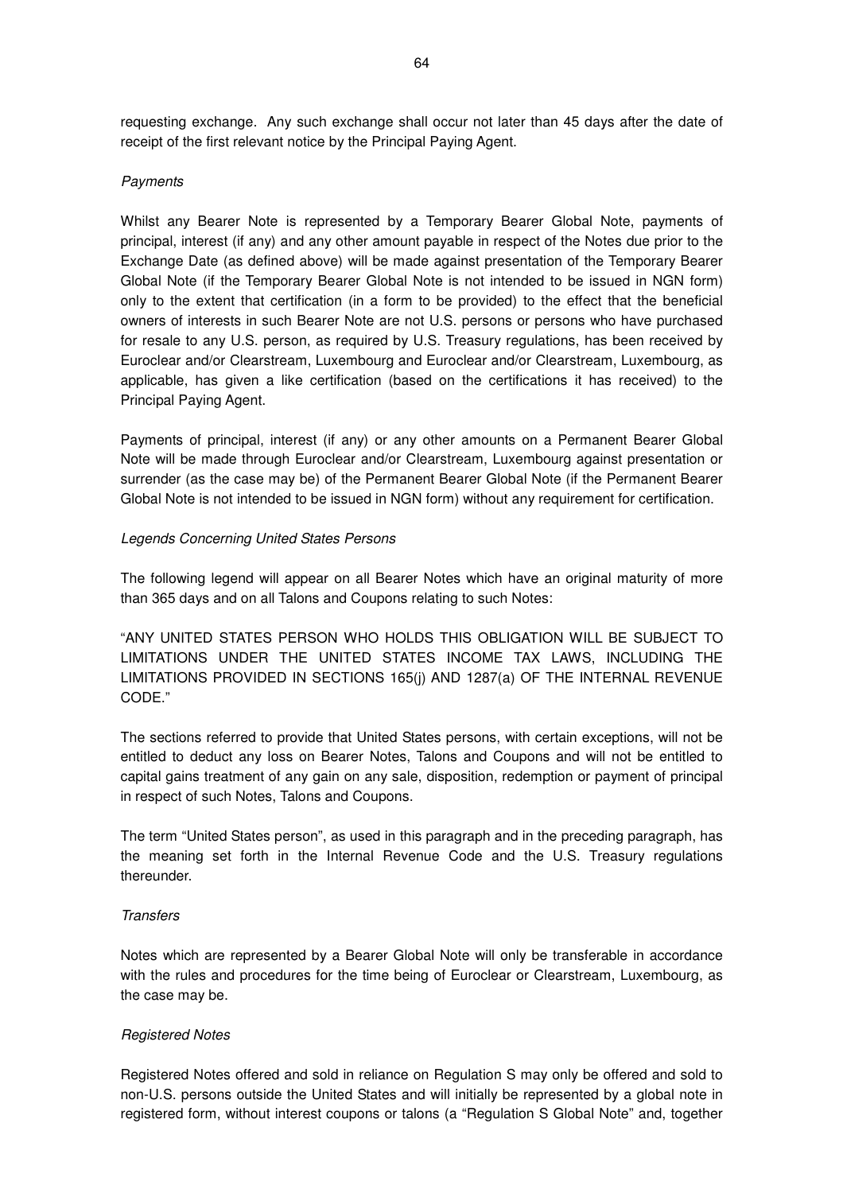requesting exchange. Any such exchange shall occur not later than 45 days after the date of receipt of the first relevant notice by the Principal Paying Agent.

#### **Payments**

Whilst any Bearer Note is represented by a Temporary Bearer Global Note, payments of principal, interest (if any) and any other amount payable in respect of the Notes due prior to the Exchange Date (as defined above) will be made against presentation of the Temporary Bearer Global Note (if the Temporary Bearer Global Note is not intended to be issued in NGN form) only to the extent that certification (in a form to be provided) to the effect that the beneficial owners of interests in such Bearer Note are not U.S. persons or persons who have purchased for resale to any U.S. person, as required by U.S. Treasury regulations, has been received by Euroclear and/or Clearstream, Luxembourg and Euroclear and/or Clearstream, Luxembourg, as applicable, has given a like certification (based on the certifications it has received) to the Principal Paying Agent.

Payments of principal, interest (if any) or any other amounts on a Permanent Bearer Global Note will be made through Euroclear and/or Clearstream, Luxembourg against presentation or surrender (as the case may be) of the Permanent Bearer Global Note (if the Permanent Bearer Global Note is not intended to be issued in NGN form) without any requirement for certification.

### Legends Concerning United States Persons

The following legend will appear on all Bearer Notes which have an original maturity of more than 365 days and on all Talons and Coupons relating to such Notes:

"ANY UNITED STATES PERSON WHO HOLDS THIS OBLIGATION WILL BE SUBJECT TO LIMITATIONS UNDER THE UNITED STATES INCOME TAX LAWS, INCLUDING THE LIMITATIONS PROVIDED IN SECTIONS 165(j) AND 1287(a) OF THE INTERNAL REVENUE CODE."

The sections referred to provide that United States persons, with certain exceptions, will not be entitled to deduct any loss on Bearer Notes, Talons and Coupons and will not be entitled to capital gains treatment of any gain on any sale, disposition, redemption or payment of principal in respect of such Notes, Talons and Coupons.

The term "United States person", as used in this paragraph and in the preceding paragraph, has the meaning set forth in the Internal Revenue Code and the U.S. Treasury regulations thereunder.

#### **Transfers**

Notes which are represented by a Bearer Global Note will only be transferable in accordance with the rules and procedures for the time being of Euroclear or Clearstream, Luxembourg, as the case may be.

### Registered Notes

Registered Notes offered and sold in reliance on Regulation S may only be offered and sold to non-U.S. persons outside the United States and will initially be represented by a global note in registered form, without interest coupons or talons (a "Regulation S Global Note" and, together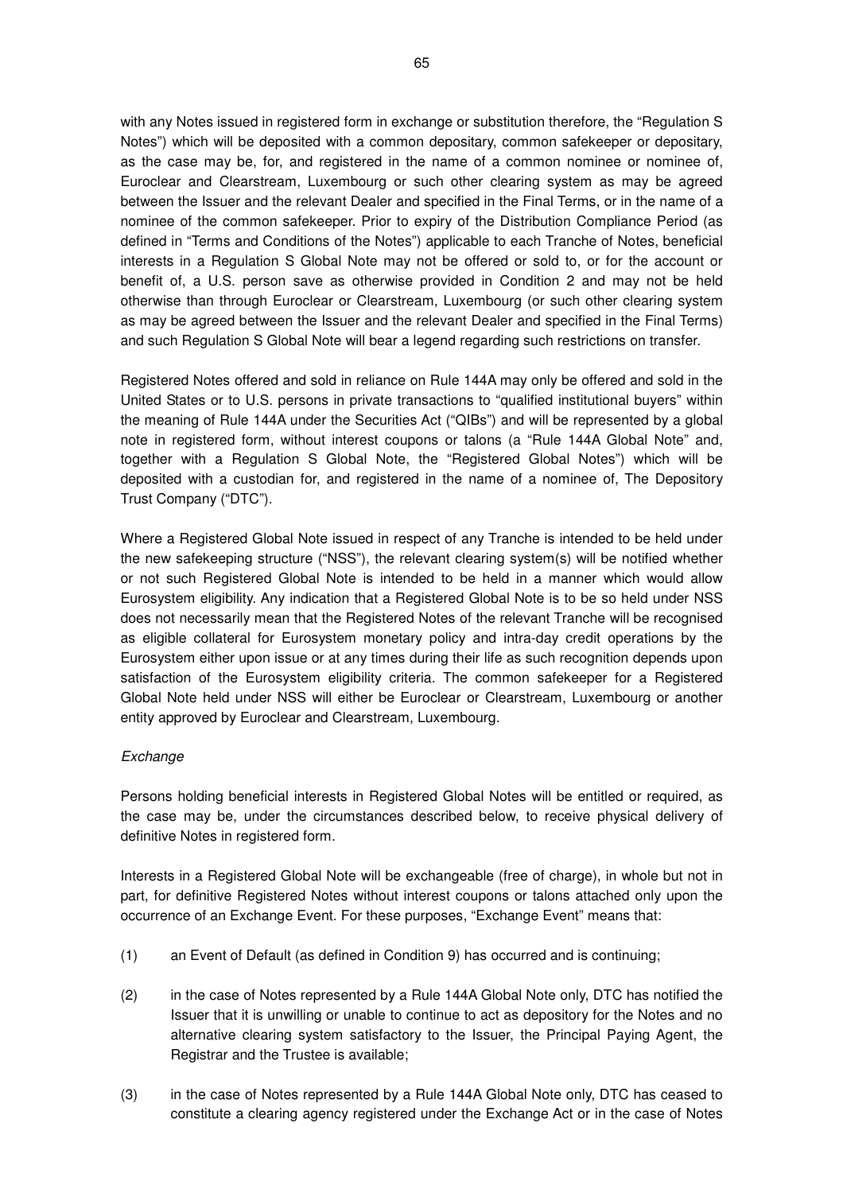with any Notes issued in registered form in exchange or substitution therefore, the "Regulation S Notes") which will be deposited with a common depositary, common safekeeper or depositary, as the case may be, for, and registered in the name of a common nominee or nominee of, Euroclear and Clearstream, Luxembourg or such other clearing system as may be agreed between the Issuer and the relevant Dealer and specified in the Final Terms, or in the name of a nominee of the common safekeeper. Prior to expiry of the Distribution Compliance Period (as defined in "Terms and Conditions of the Notes") applicable to each Tranche of Notes, beneficial interests in a Regulation S Global Note may not be offered or sold to, or for the account or benefit of, a U.S. person save as otherwise provided in Condition 2 and may not be held otherwise than through Euroclear or Clearstream, Luxembourg (or such other clearing system as may be agreed between the Issuer and the relevant Dealer and specified in the Final Terms) and such Regulation S Global Note will bear a legend regarding such restrictions on transfer.

Registered Notes offered and sold in reliance on Rule 144A may only be offered and sold in the United States or to U.S. persons in private transactions to "qualified institutional buyers" within the meaning of Rule 144A under the Securities Act ("QIBs") and will be represented by a global note in registered form, without interest coupons or talons (a "Rule 144A Global Note" and, together with a Regulation S Global Note, the "Registered Global Notes") which will be deposited with a custodian for, and registered in the name of a nominee of, The Depository Trust Company ("DTC").

Where a Registered Global Note issued in respect of any Tranche is intended to be held under the new safekeeping structure ("NSS"), the relevant clearing system(s) will be notified whether or not such Registered Global Note is intended to be held in a manner which would allow Eurosystem eligibility. Any indication that a Registered Global Note is to be so held under NSS does not necessarily mean that the Registered Notes of the relevant Tranche will be recognised as eligible collateral for Eurosystem monetary policy and intra-day credit operations by the Eurosystem either upon issue or at any times during their life as such recognition depends upon satisfaction of the Eurosystem eligibility criteria. The common safekeeper for a Registered Global Note held under NSS will either be Euroclear or Clearstream, Luxembourg or another entity approved by Euroclear and Clearstream, Luxembourg.

## **Exchange**

Persons holding beneficial interests in Registered Global Notes will be entitled or required, as the case may be, under the circumstances described below, to receive physical delivery of definitive Notes in registered form.

Interests in a Registered Global Note will be exchangeable (free of charge), in whole but not in part, for definitive Registered Notes without interest coupons or talons attached only upon the occurrence of an Exchange Event. For these purposes, "Exchange Event" means that:

- (1) an Event of Default (as defined in Condition 9) has occurred and is continuing;
- (2) in the case of Notes represented by a Rule 144A Global Note only, DTC has notified the Issuer that it is unwilling or unable to continue to act as depository for the Notes and no alternative clearing system satisfactory to the Issuer, the Principal Paying Agent, the Registrar and the Trustee is available;
- (3) in the case of Notes represented by a Rule 144A Global Note only, DTC has ceased to constitute a clearing agency registered under the Exchange Act or in the case of Notes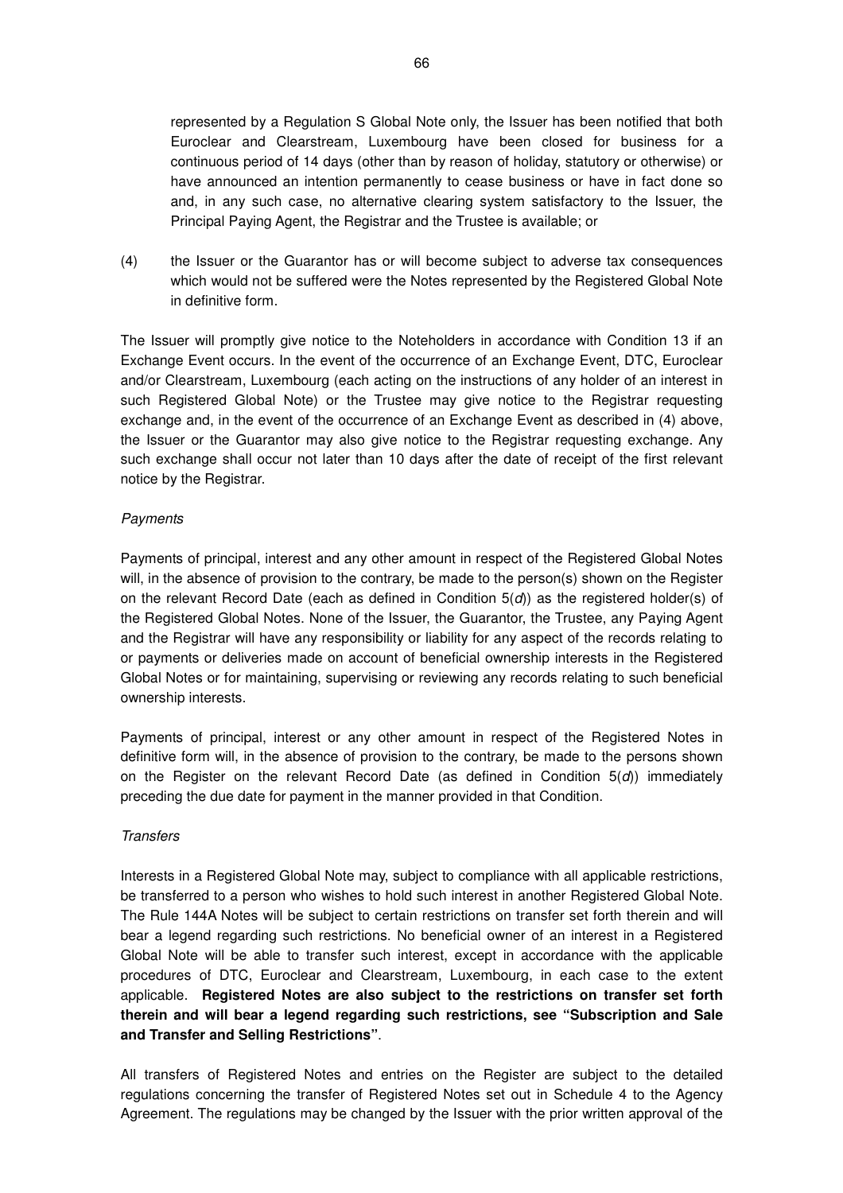represented by a Regulation S Global Note only, the Issuer has been notified that both Euroclear and Clearstream, Luxembourg have been closed for business for a continuous period of 14 days (other than by reason of holiday, statutory or otherwise) or have announced an intention permanently to cease business or have in fact done so and, in any such case, no alternative clearing system satisfactory to the Issuer, the Principal Paying Agent, the Registrar and the Trustee is available; or

(4) the Issuer or the Guarantor has or will become subject to adverse tax consequences which would not be suffered were the Notes represented by the Registered Global Note in definitive form.

The Issuer will promptly give notice to the Noteholders in accordance with Condition 13 if an Exchange Event occurs. In the event of the occurrence of an Exchange Event, DTC, Euroclear and/or Clearstream, Luxembourg (each acting on the instructions of any holder of an interest in such Registered Global Note) or the Trustee may give notice to the Registrar requesting exchange and, in the event of the occurrence of an Exchange Event as described in (4) above, the Issuer or the Guarantor may also give notice to the Registrar requesting exchange. Any such exchange shall occur not later than 10 days after the date of receipt of the first relevant notice by the Registrar.

### **Payments**

Payments of principal, interest and any other amount in respect of the Registered Global Notes will, in the absence of provision to the contrary, be made to the person(s) shown on the Register on the relevant Record Date (each as defined in Condition  $5(d)$ ) as the registered holder(s) of the Registered Global Notes. None of the Issuer, the Guarantor, the Trustee, any Paying Agent and the Registrar will have any responsibility or liability for any aspect of the records relating to or payments or deliveries made on account of beneficial ownership interests in the Registered Global Notes or for maintaining, supervising or reviewing any records relating to such beneficial ownership interests.

Payments of principal, interest or any other amount in respect of the Registered Notes in definitive form will, in the absence of provision to the contrary, be made to the persons shown on the Register on the relevant Record Date (as defined in Condition  $5(d)$ ) immediately preceding the due date for payment in the manner provided in that Condition.

## **Transfers**

Interests in a Registered Global Note may, subject to compliance with all applicable restrictions, be transferred to a person who wishes to hold such interest in another Registered Global Note. The Rule 144A Notes will be subject to certain restrictions on transfer set forth therein and will bear a legend regarding such restrictions. No beneficial owner of an interest in a Registered Global Note will be able to transfer such interest, except in accordance with the applicable procedures of DTC, Euroclear and Clearstream, Luxembourg, in each case to the extent applicable. **Registered Notes are also subject to the restrictions on transfer set forth therein and will bear a legend regarding such restrictions, see "Subscription and Sale and Transfer and Selling Restrictions"**.

All transfers of Registered Notes and entries on the Register are subject to the detailed regulations concerning the transfer of Registered Notes set out in Schedule 4 to the Agency Agreement. The regulations may be changed by the Issuer with the prior written approval of the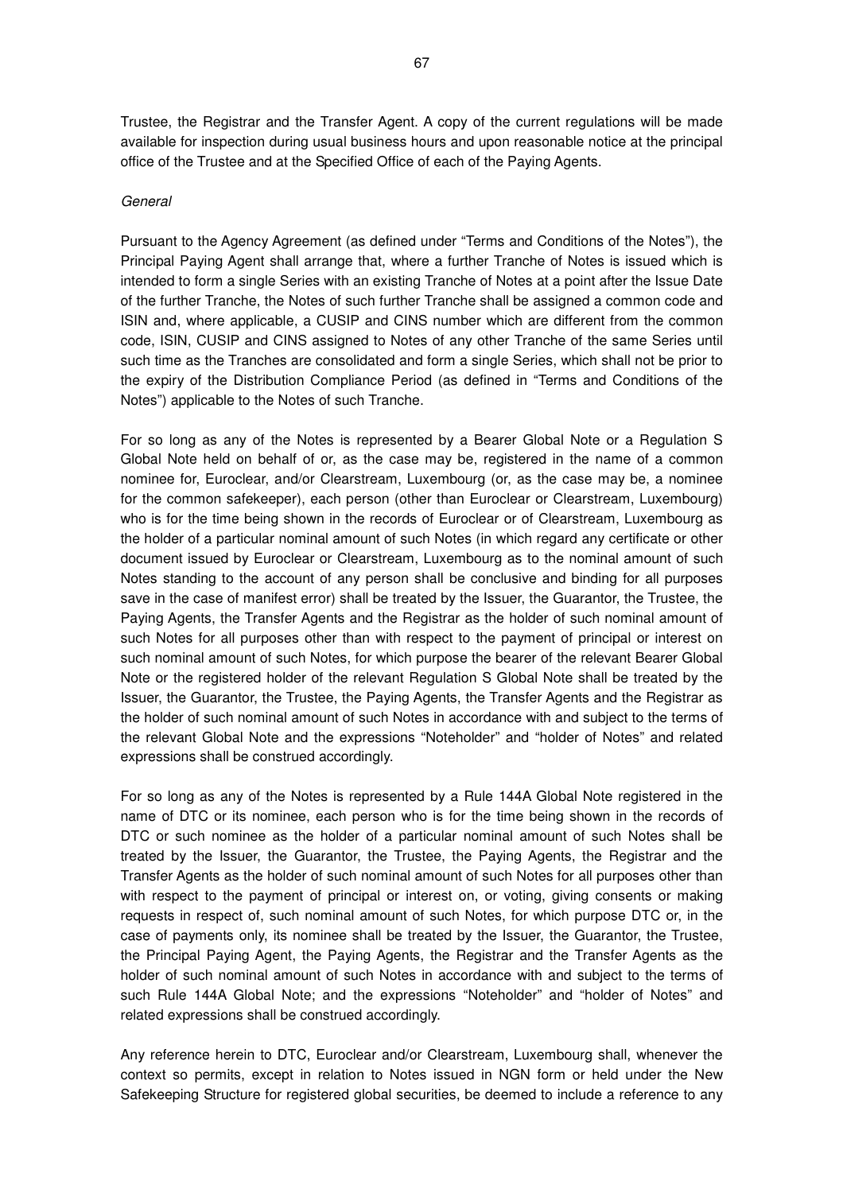Trustee, the Registrar and the Transfer Agent. A copy of the current regulations will be made available for inspection during usual business hours and upon reasonable notice at the principal office of the Trustee and at the Specified Office of each of the Paying Agents.

#### General

Pursuant to the Agency Agreement (as defined under "Terms and Conditions of the Notes"), the Principal Paying Agent shall arrange that, where a further Tranche of Notes is issued which is intended to form a single Series with an existing Tranche of Notes at a point after the Issue Date of the further Tranche, the Notes of such further Tranche shall be assigned a common code and ISIN and, where applicable, a CUSIP and CINS number which are different from the common code, ISIN, CUSIP and CINS assigned to Notes of any other Tranche of the same Series until such time as the Tranches are consolidated and form a single Series, which shall not be prior to the expiry of the Distribution Compliance Period (as defined in "Terms and Conditions of the Notes") applicable to the Notes of such Tranche.

For so long as any of the Notes is represented by a Bearer Global Note or a Regulation S Global Note held on behalf of or, as the case may be, registered in the name of a common nominee for, Euroclear, and/or Clearstream, Luxembourg (or, as the case may be, a nominee for the common safekeeper), each person (other than Euroclear or Clearstream, Luxembourg) who is for the time being shown in the records of Euroclear or of Clearstream, Luxembourg as the holder of a particular nominal amount of such Notes (in which regard any certificate or other document issued by Euroclear or Clearstream, Luxembourg as to the nominal amount of such Notes standing to the account of any person shall be conclusive and binding for all purposes save in the case of manifest error) shall be treated by the Issuer, the Guarantor, the Trustee, the Paying Agents, the Transfer Agents and the Registrar as the holder of such nominal amount of such Notes for all purposes other than with respect to the payment of principal or interest on such nominal amount of such Notes, for which purpose the bearer of the relevant Bearer Global Note or the registered holder of the relevant Regulation S Global Note shall be treated by the Issuer, the Guarantor, the Trustee, the Paying Agents, the Transfer Agents and the Registrar as the holder of such nominal amount of such Notes in accordance with and subject to the terms of the relevant Global Note and the expressions "Noteholder" and "holder of Notes" and related expressions shall be construed accordingly.

For so long as any of the Notes is represented by a Rule 144A Global Note registered in the name of DTC or its nominee, each person who is for the time being shown in the records of DTC or such nominee as the holder of a particular nominal amount of such Notes shall be treated by the Issuer, the Guarantor, the Trustee, the Paying Agents, the Registrar and the Transfer Agents as the holder of such nominal amount of such Notes for all purposes other than with respect to the payment of principal or interest on, or voting, giving consents or making requests in respect of, such nominal amount of such Notes, for which purpose DTC or, in the case of payments only, its nominee shall be treated by the Issuer, the Guarantor, the Trustee, the Principal Paying Agent, the Paying Agents, the Registrar and the Transfer Agents as the holder of such nominal amount of such Notes in accordance with and subject to the terms of such Rule 144A Global Note; and the expressions "Noteholder" and "holder of Notes" and related expressions shall be construed accordingly.

Any reference herein to DTC, Euroclear and/or Clearstream, Luxembourg shall, whenever the context so permits, except in relation to Notes issued in NGN form or held under the New Safekeeping Structure for registered global securities, be deemed to include a reference to any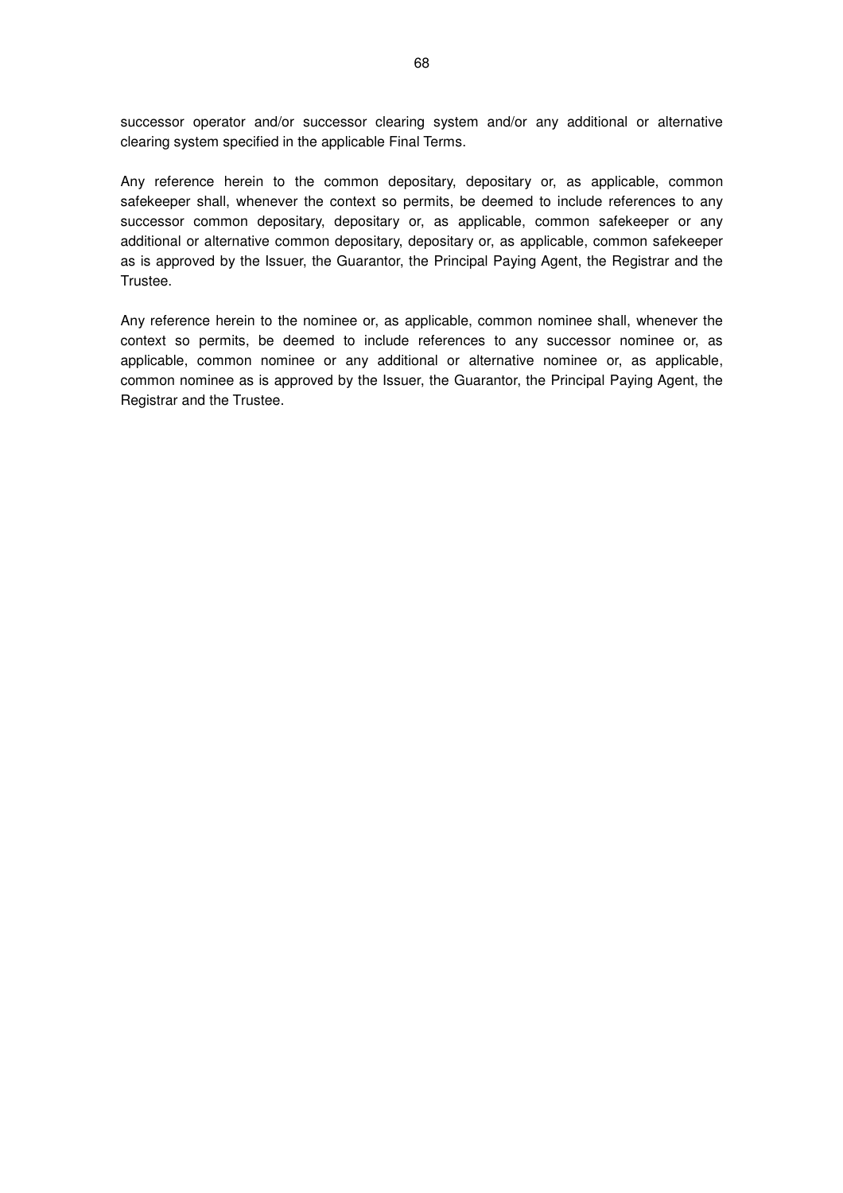successor operator and/or successor clearing system and/or any additional or alternative clearing system specified in the applicable Final Terms.

Any reference herein to the common depositary, depositary or, as applicable, common safekeeper shall, whenever the context so permits, be deemed to include references to any successor common depositary, depositary or, as applicable, common safekeeper or any additional or alternative common depositary, depositary or, as applicable, common safekeeper as is approved by the Issuer, the Guarantor, the Principal Paying Agent, the Registrar and the Trustee.

Any reference herein to the nominee or, as applicable, common nominee shall, whenever the context so permits, be deemed to include references to any successor nominee or, as applicable, common nominee or any additional or alternative nominee or, as applicable, common nominee as is approved by the Issuer, the Guarantor, the Principal Paying Agent, the Registrar and the Trustee.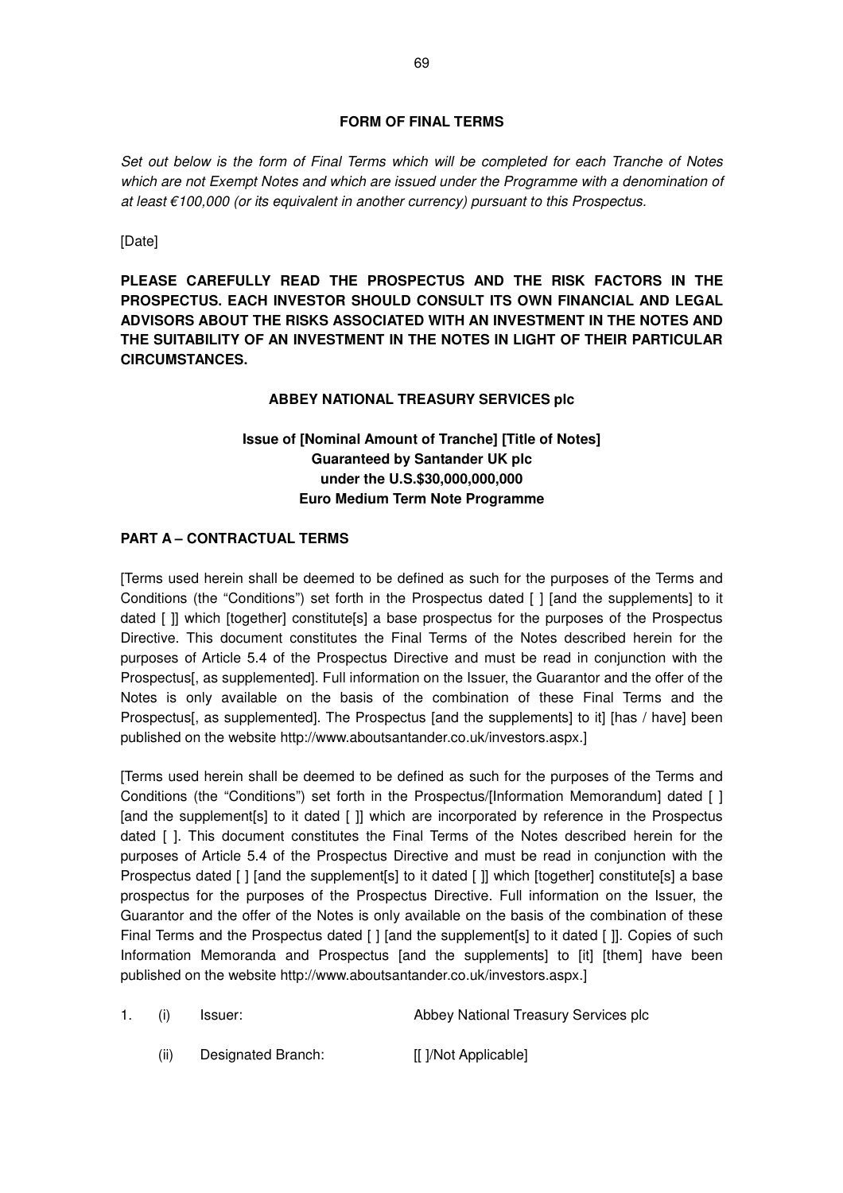## **FORM OF FINAL TERMS**

Set out below is the form of Final Terms which will be completed for each Tranche of Notes which are not Exempt Notes and which are issued under the Programme with a denomination of at least €100,000 (or its equivalent in another currency) pursuant to this Prospectus.

[Date]

**PLEASE CAREFULLY READ THE PROSPECTUS AND THE RISK FACTORS IN THE PROSPECTUS. EACH INVESTOR SHOULD CONSULT ITS OWN FINANCIAL AND LEGAL ADVISORS ABOUT THE RISKS ASSOCIATED WITH AN INVESTMENT IN THE NOTES AND THE SUITABILITY OF AN INVESTMENT IN THE NOTES IN LIGHT OF THEIR PARTICULAR CIRCUMSTANCES.** 

## **ABBEY NATIONAL TREASURY SERVICES plc**

# **Issue of [Nominal Amount of Tranche] [Title of Notes] Guaranteed by Santander UK plc under the U.S.\$30,000,000,000 Euro Medium Term Note Programme**

# **PART A – CONTRACTUAL TERMS**

[Terms used herein shall be deemed to be defined as such for the purposes of the Terms and Conditions (the "Conditions") set forth in the Prospectus dated [ ] [and the supplements] to it dated [ ]] which [together] constitute[s] a base prospectus for the purposes of the Prospectus Directive. This document constitutes the Final Terms of the Notes described herein for the purposes of Article 5.4 of the Prospectus Directive and must be read in conjunction with the Prospectus[, as supplemented]. Full information on the Issuer, the Guarantor and the offer of the Notes is only available on the basis of the combination of these Final Terms and the Prospectus[, as supplemented]. The Prospectus [and the supplements] to it] [has / have] been published on the website http://www.aboutsantander.co.uk/investors.aspx.]

[Terms used herein shall be deemed to be defined as such for the purposes of the Terms and Conditions (the "Conditions") set forth in the Prospectus/[Information Memorandum] dated [ ] [and the supplement[s] to it dated []] which are incorporated by reference in the Prospectus dated [ ]. This document constitutes the Final Terms of the Notes described herein for the purposes of Article 5.4 of the Prospectus Directive and must be read in conjunction with the Prospectus dated [ ] [and the supplement[s] to it dated [ ]] which [together] constitute[s] a base prospectus for the purposes of the Prospectus Directive. Full information on the Issuer, the Guarantor and the offer of the Notes is only available on the basis of the combination of these Final Terms and the Prospectus dated [ ] [and the supplement[s] to it dated [ ]]. Copies of such Information Memoranda and Prospectus [and the supplements] to [it] [them] have been published on the website http://www.aboutsantander.co.uk/investors.aspx.]

- 1. (i) Issuer: Abbey National Treasury Services plc
	- (ii) Designated Branch: [[ ]/Not Applicable]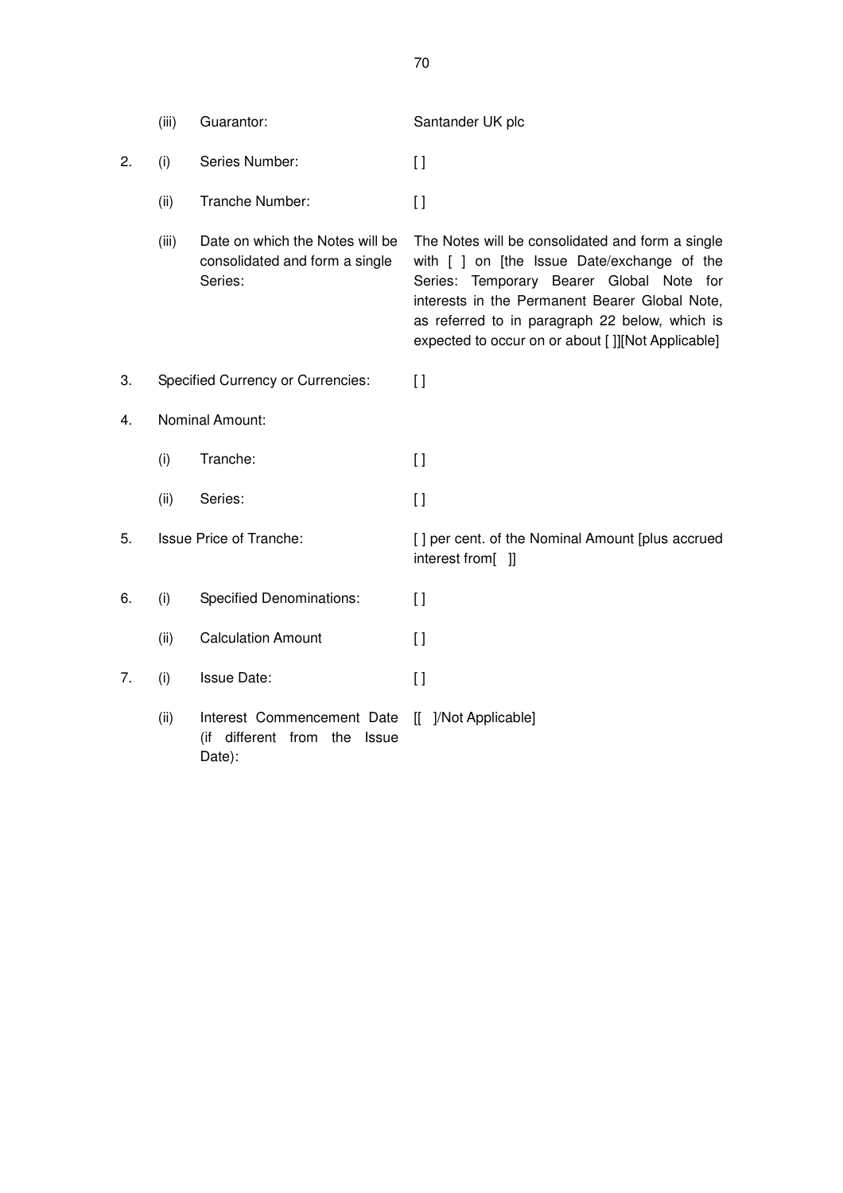|    | (iii)                          | Guarantor:                                                                   | Santander UK plc                                                                                                                                                                                                                                                                                     |
|----|--------------------------------|------------------------------------------------------------------------------|------------------------------------------------------------------------------------------------------------------------------------------------------------------------------------------------------------------------------------------------------------------------------------------------------|
| 2. | (i)                            | Series Number:                                                               | $\left[\right]$                                                                                                                                                                                                                                                                                      |
|    | (ii)                           | Tranche Number:                                                              | $\Box$                                                                                                                                                                                                                                                                                               |
|    | (iii)                          | Date on which the Notes will be<br>consolidated and form a single<br>Series: | The Notes will be consolidated and form a single<br>with [ ] on [the Issue Date/exchange of the<br>Series: Temporary Bearer Global Note for<br>interests in the Permanent Bearer Global Note,<br>as referred to in paragraph 22 below, which is<br>expected to occur on or about []][Not Applicable] |
| 3. |                                | <b>Specified Currency or Currencies:</b>                                     | $\Box$                                                                                                                                                                                                                                                                                               |
| 4. |                                | Nominal Amount:                                                              |                                                                                                                                                                                                                                                                                                      |
|    | (i)                            | Tranche:                                                                     | $\lceil$                                                                                                                                                                                                                                                                                             |
|    | (ii)                           | Series:                                                                      | $\lceil$                                                                                                                                                                                                                                                                                             |
| 5. | <b>Issue Price of Tranche:</b> |                                                                              | [] per cent. of the Nominal Amount [plus accrued<br>interest from[ ]]                                                                                                                                                                                                                                |
| 6. | (i)                            | <b>Specified Denominations:</b>                                              | $\left[\right]$                                                                                                                                                                                                                                                                                      |
|    | (ii)                           | <b>Calculation Amount</b>                                                    | $\Box$                                                                                                                                                                                                                                                                                               |
| 7. | (i)                            | <b>Issue Date:</b>                                                           | $\left[\right]$                                                                                                                                                                                                                                                                                      |
|    | (ii)                           | Interest Commencement Date<br>(if different from the Issue<br>Date):         | [[ ]/Not Applicable]                                                                                                                                                                                                                                                                                 |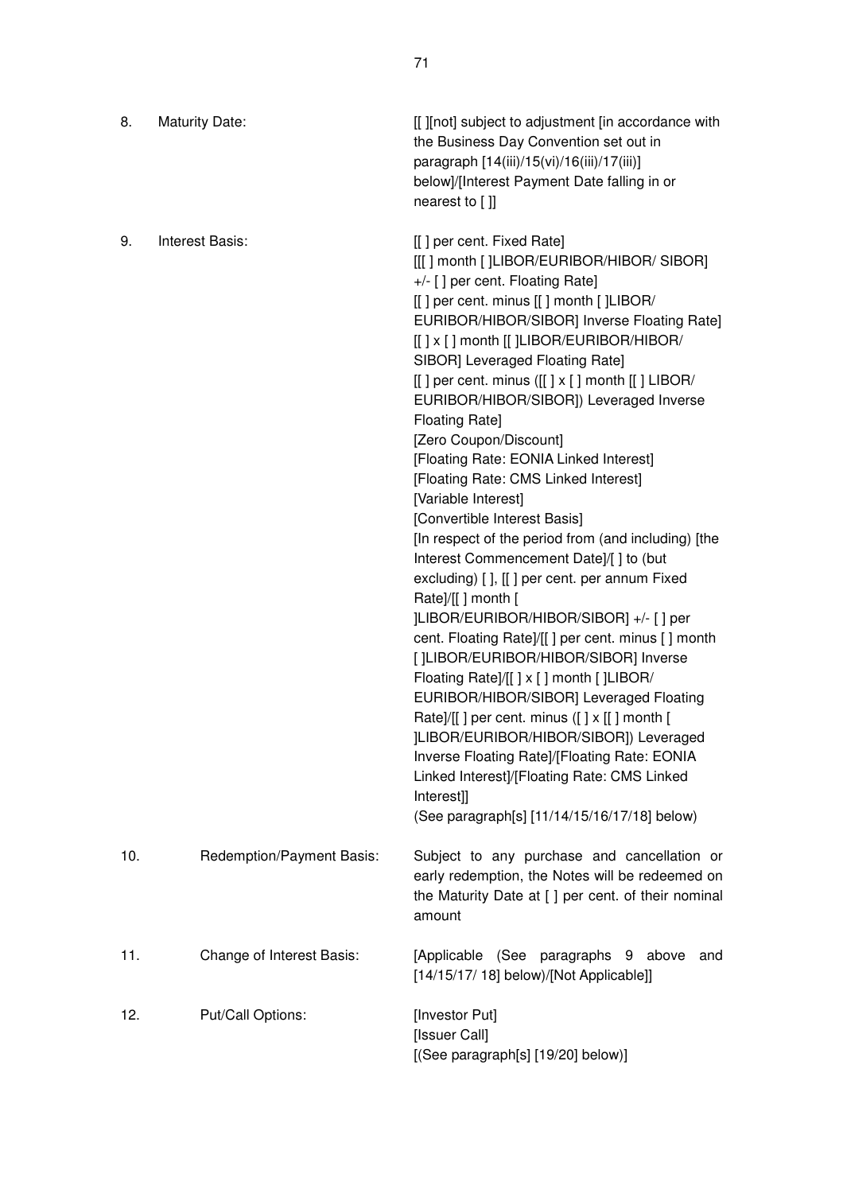| 8.  | <b>Maturity Date:</b>     | [[ ][not] subject to adjustment [in accordance with<br>the Business Day Convention set out in<br>paragraph [14(iii)/15(vi)/16(iii)/17(iii)]<br>below]/[Interest Payment Date falling in or<br>nearest to []]                                                                                                                                                                                                                                                                                                                                                                                                                                                                                                                                                                                                                                                                                                                                                                                                                                                                                                                                                                                                                         |
|-----|---------------------------|--------------------------------------------------------------------------------------------------------------------------------------------------------------------------------------------------------------------------------------------------------------------------------------------------------------------------------------------------------------------------------------------------------------------------------------------------------------------------------------------------------------------------------------------------------------------------------------------------------------------------------------------------------------------------------------------------------------------------------------------------------------------------------------------------------------------------------------------------------------------------------------------------------------------------------------------------------------------------------------------------------------------------------------------------------------------------------------------------------------------------------------------------------------------------------------------------------------------------------------|
| 9.  | <b>Interest Basis:</b>    | [[] per cent. Fixed Rate]<br>[[[] month []LIBOR/EURIBOR/HIBOR/ SIBOR]<br>+/- [] per cent. Floating Rate]<br>[[] per cent. minus [[] month []LIBOR/<br>EURIBOR/HIBOR/SIBOR] Inverse Floating Rate]<br>[[] x [] month [[]LIBOR/EURIBOR/HIBOR/<br>SIBOR] Leveraged Floating Rate]<br>[[] per cent. minus ([[] x [] month [[] LIBOR/<br>EURIBOR/HIBOR/SIBOR]) Leveraged Inverse<br><b>Floating Rate]</b><br>[Zero Coupon/Discount]<br>[Floating Rate: EONIA Linked Interest]<br>[Floating Rate: CMS Linked Interest]<br>[Variable Interest]<br>[Convertible Interest Basis]<br>[In respect of the period from (and including) [the<br>Interest Commencement Date]/[] to (but<br>excluding) [], [[] per cent. per annum Fixed<br>Rate]/[[] month [<br>]LIBOR/EURIBOR/HIBOR/SIBOR] +/- [ ] per<br>cent. Floating Rate]/[[] per cent. minus [] month<br>[ ]LIBOR/EURIBOR/HIBOR/SIBOR] Inverse<br>Floating Rate]/[[ ] x [ ] month [ ]LIBOR/<br>EURIBOR/HIBOR/SIBOR] Leveraged Floating<br>Rate]/[[] per cent. minus ([] x [[] month [<br> LIBOR/EURIBOR/HIBOR/SIBOR]) Leveraged<br>Inverse Floating Rate]/[Floating Rate: EONIA<br>Linked Interest]/[Floating Rate: CMS Linked<br>Interest]]<br>(See paragraph[s] [11/14/15/16/17/18] below) |
| 10. | Redemption/Payment Basis: | Subject to any purchase and cancellation or<br>early redemption, the Notes will be redeemed on<br>the Maturity Date at [ ] per cent. of their nominal<br>amount                                                                                                                                                                                                                                                                                                                                                                                                                                                                                                                                                                                                                                                                                                                                                                                                                                                                                                                                                                                                                                                                      |
| 11. | Change of Interest Basis: | [Applicable (See paragraphs 9 above<br>and<br>$[14/15/17/18]$ below)/[Not Applicable]]                                                                                                                                                                                                                                                                                                                                                                                                                                                                                                                                                                                                                                                                                                                                                                                                                                                                                                                                                                                                                                                                                                                                               |
| 12. | Put/Call Options:         | [Investor Put]<br>[Issuer Call]<br>[(See paragraph[s] [19/20] below)]                                                                                                                                                                                                                                                                                                                                                                                                                                                                                                                                                                                                                                                                                                                                                                                                                                                                                                                                                                                                                                                                                                                                                                |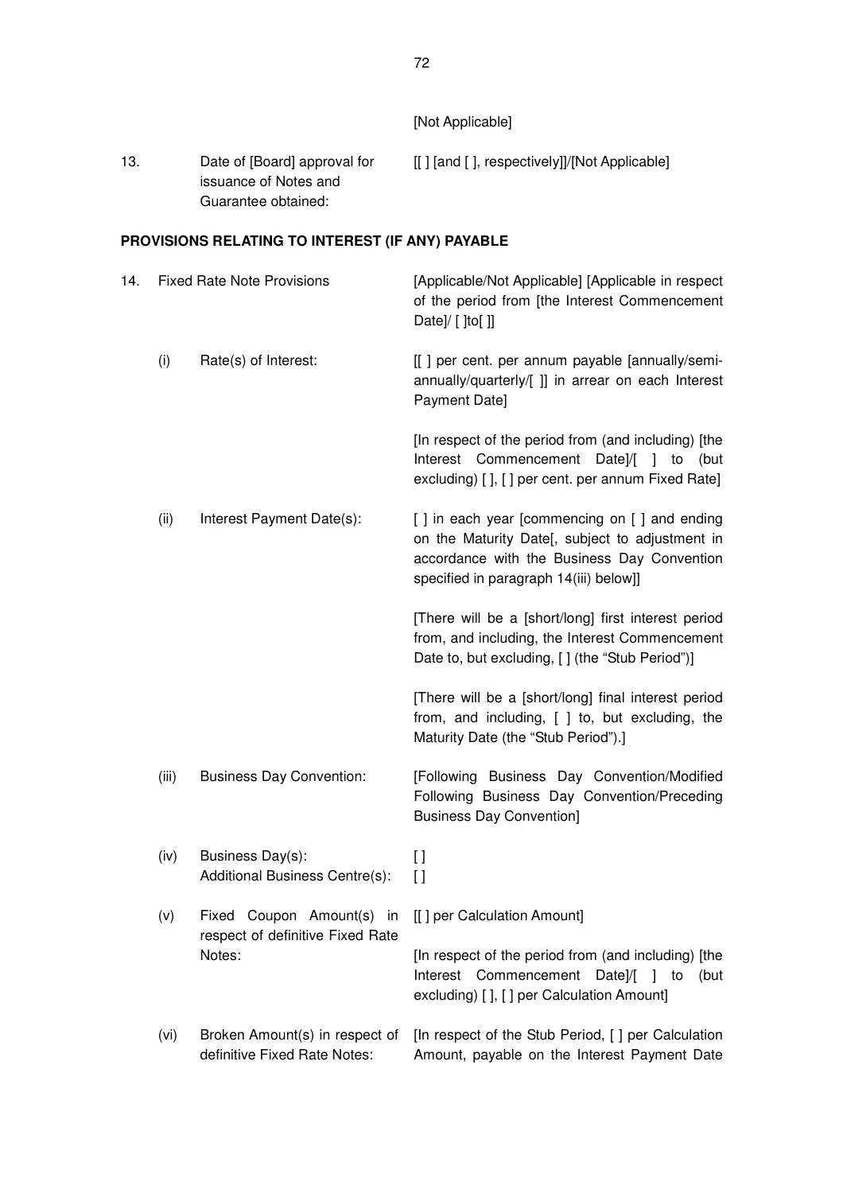| 13.                                              |                                   | Date of [Board] approval for<br>issuance of Notes and<br>Guarantee obtained: | [[] [and [], respectively]]/[Not Applicable]                                                                                                                                             |  |  |  |  |  |
|--------------------------------------------------|-----------------------------------|------------------------------------------------------------------------------|------------------------------------------------------------------------------------------------------------------------------------------------------------------------------------------|--|--|--|--|--|
| PROVISIONS RELATING TO INTEREST (IF ANY) PAYABLE |                                   |                                                                              |                                                                                                                                                                                          |  |  |  |  |  |
| 14.                                              | <b>Fixed Rate Note Provisions</b> |                                                                              | [Applicable/Not Applicable] [Applicable in respect]<br>of the period from [the Interest Commencement<br>Date]/ $[$ [to $[$ ]]                                                            |  |  |  |  |  |
|                                                  | (i)                               | Rate(s) of Interest:                                                         | [[] per cent. per annum payable [annually/semi-<br>annually/quarterly/[ ]] in arrear on each Interest<br>Payment Date]                                                                   |  |  |  |  |  |
|                                                  |                                   |                                                                              | [In respect of the period from (and including) [the<br>Interest Commencement Date]/[ ] to<br>(but<br>excluding) [], [] per cent. per annum Fixed Rate]                                   |  |  |  |  |  |
|                                                  | (ii)                              | Interest Payment Date(s):                                                    | [] in each year [commencing on [] and ending<br>on the Maturity Date[, subject to adjustment in<br>accordance with the Business Day Convention<br>specified in paragraph 14(iii) below]] |  |  |  |  |  |
|                                                  |                                   |                                                                              | [There will be a [short/long] first interest period<br>from, and including, the Interest Commencement<br>Date to, but excluding, [] (the "Stub Period")]                                 |  |  |  |  |  |
|                                                  |                                   |                                                                              | [There will be a [short/long] final interest period<br>from, and including, [ ] to, but excluding, the<br>Maturity Date (the "Stub Period").]                                            |  |  |  |  |  |
|                                                  | (iii)                             | <b>Business Day Convention:</b>                                              | [Following Business Day Convention/Modified<br>Following Business Day Convention/Preceding<br><b>Business Day Convention]</b>                                                            |  |  |  |  |  |
|                                                  | (iv)                              | Business Day(s):<br>Additional Business Centre(s):                           | $\mathfrak{g}$<br>$\Box$                                                                                                                                                                 |  |  |  |  |  |
|                                                  | (v)                               | Fixed Coupon Amount(s) in<br>respect of definitive Fixed Rate<br>Notes:      | [[] per Calculation Amount]                                                                                                                                                              |  |  |  |  |  |
|                                                  |                                   |                                                                              | [In respect of the period from (and including) [the<br>Interest Commencement<br>Date]/ $\begin{bmatrix} 1 \\ 1 \end{bmatrix}$ to<br>(but<br>excluding) [ ], [ ] per Calculation Amount]  |  |  |  |  |  |
|                                                  | (vi)                              | Broken Amount(s) in respect of<br>definitive Fixed Rate Notes:               | [In respect of the Stub Period, [] per Calculation<br>Amount, payable on the Interest Payment Date                                                                                       |  |  |  |  |  |

[Not Applicable]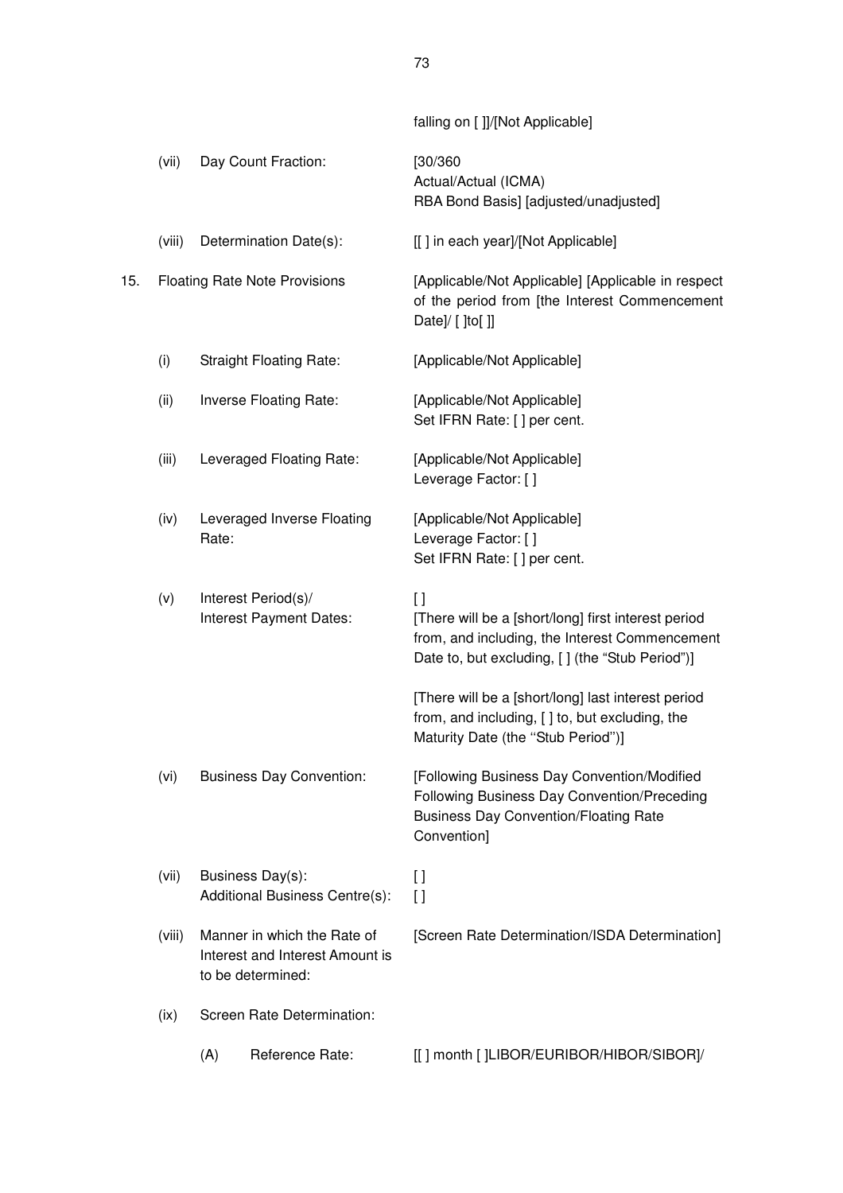|     |        |       |                                                                                     | falling on []]/[Not Applicable]                                                                                                                                    |
|-----|--------|-------|-------------------------------------------------------------------------------------|--------------------------------------------------------------------------------------------------------------------------------------------------------------------|
|     | (vii)  |       | Day Count Fraction:                                                                 | [30/360]<br>Actual/Actual (ICMA)<br>RBA Bond Basis] [adjusted/unadjusted]                                                                                          |
|     | (viii) |       | Determination Date(s):                                                              | [[] in each year]/[Not Applicable]                                                                                                                                 |
| 15. |        |       | <b>Floating Rate Note Provisions</b>                                                | [Applicable/Not Applicable] [Applicable in respect<br>of the period from [the Interest Commencement<br>Date]/ $[$ [to $[$ ]]                                       |
|     | (i)    |       | <b>Straight Floating Rate:</b>                                                      | [Applicable/Not Applicable]                                                                                                                                        |
|     | (ii)   |       | Inverse Floating Rate:                                                              | [Applicable/Not Applicable]<br>Set IFRN Rate: [] per cent.                                                                                                         |
|     | (iii)  |       | Leveraged Floating Rate:                                                            | [Applicable/Not Applicable]<br>Leverage Factor: []                                                                                                                 |
|     | (iv)   | Rate: | Leveraged Inverse Floating                                                          | [Applicable/Not Applicable]<br>Leverage Factor: []<br>Set IFRN Rate: [] per cent.                                                                                  |
|     | (v)    |       | Interest Period(s)/<br>Interest Payment Dates:                                      | $\Box$<br>[There will be a [short/long] first interest period<br>from, and including, the Interest Commencement<br>Date to, but excluding, [] (the "Stub Period")] |
|     |        |       |                                                                                     | [There will be a [short/long] last interest period<br>from, and including, [] to, but excluding, the<br>Maturity Date (the "Stub Period")]                         |
|     | (vi)   |       | <b>Business Day Convention:</b>                                                     | [Following Business Day Convention/Modified<br>Following Business Day Convention/Preceding<br><b>Business Day Convention/Floating Rate</b><br>Convention]          |
|     | (vii)  |       | Business Day(s):<br>Additional Business Centre(s):                                  | $\mathfrak{g}$<br>$\Box$                                                                                                                                           |
|     | (viii) |       | Manner in which the Rate of<br>Interest and Interest Amount is<br>to be determined: | [Screen Rate Determination/ISDA Determination]                                                                                                                     |
|     | (ix)   |       | Screen Rate Determination:                                                          |                                                                                                                                                                    |
|     |        | (A)   | Reference Rate:                                                                     | [[] month []LIBOR/EURIBOR/HIBOR/SIBOR]/                                                                                                                            |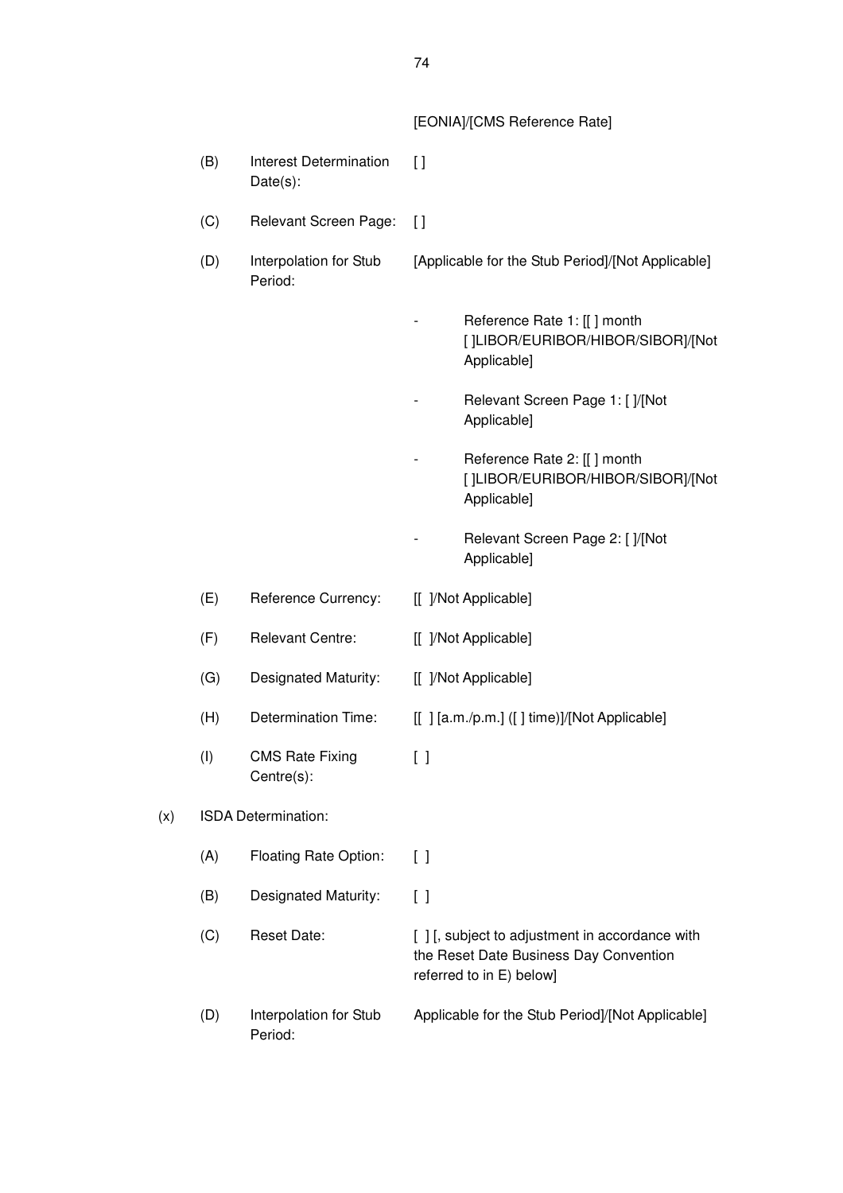[EONIA]/[CMS Reference Rate]

|     | (B) | <b>Interest Determination</b><br>Date(s): | $\left[ \ \right]$     |                                                                                                                    |
|-----|-----|-------------------------------------------|------------------------|--------------------------------------------------------------------------------------------------------------------|
|     | (C) | Relevant Screen Page:                     | $\mathfrak{g}$         |                                                                                                                    |
|     | (D) | Interpolation for Stub<br>Period:         |                        | [Applicable for the Stub Period]/[Not Applicable]                                                                  |
|     |     |                                           |                        | Reference Rate 1: [[] month<br>[]LIBOR/EURIBOR/HIBOR/SIBOR]/[Not<br>Applicable]                                    |
|     |     |                                           |                        | Relevant Screen Page 1: [ ]/[Not<br>Applicable]                                                                    |
|     |     |                                           |                        | Reference Rate 2: [[] month<br>[]LIBOR/EURIBOR/HIBOR/SIBOR]/[Not<br>Applicable]                                    |
|     |     |                                           |                        | Relevant Screen Page 2: [ ]/[Not<br>Applicable]                                                                    |
|     | (E) | Reference Currency:                       |                        | [[ ]/Not Applicable]                                                                                               |
|     | (F) | <b>Relevant Centre:</b>                   |                        | [[ ]/Not Applicable]                                                                                               |
|     | (G) | Designated Maturity:                      |                        | [[ ]/Not Applicable]                                                                                               |
|     | (H) | <b>Determination Time:</b>                |                        | [[] [a.m./p.m.] ([] time)]/[Not Applicable]                                                                        |
|     | (1) | <b>CMS Rate Fixing</b><br>Centre(s):      | $\left[ \ \right]$     |                                                                                                                    |
| (x) |     | ISDA Determination:                       |                        |                                                                                                                    |
|     | (A) | Floating Rate Option:                     | $\left[ \quad \right]$ |                                                                                                                    |
|     | (B) | Designated Maturity:                      | $\left[ \ \right]$     |                                                                                                                    |
|     | (C) | <b>Reset Date:</b>                        |                        | [], subject to adjustment in accordance with<br>the Reset Date Business Day Convention<br>referred to in E) below] |
|     | (D) | Interpolation for Stub<br>Period:         |                        | Applicable for the Stub Period]/[Not Applicable]                                                                   |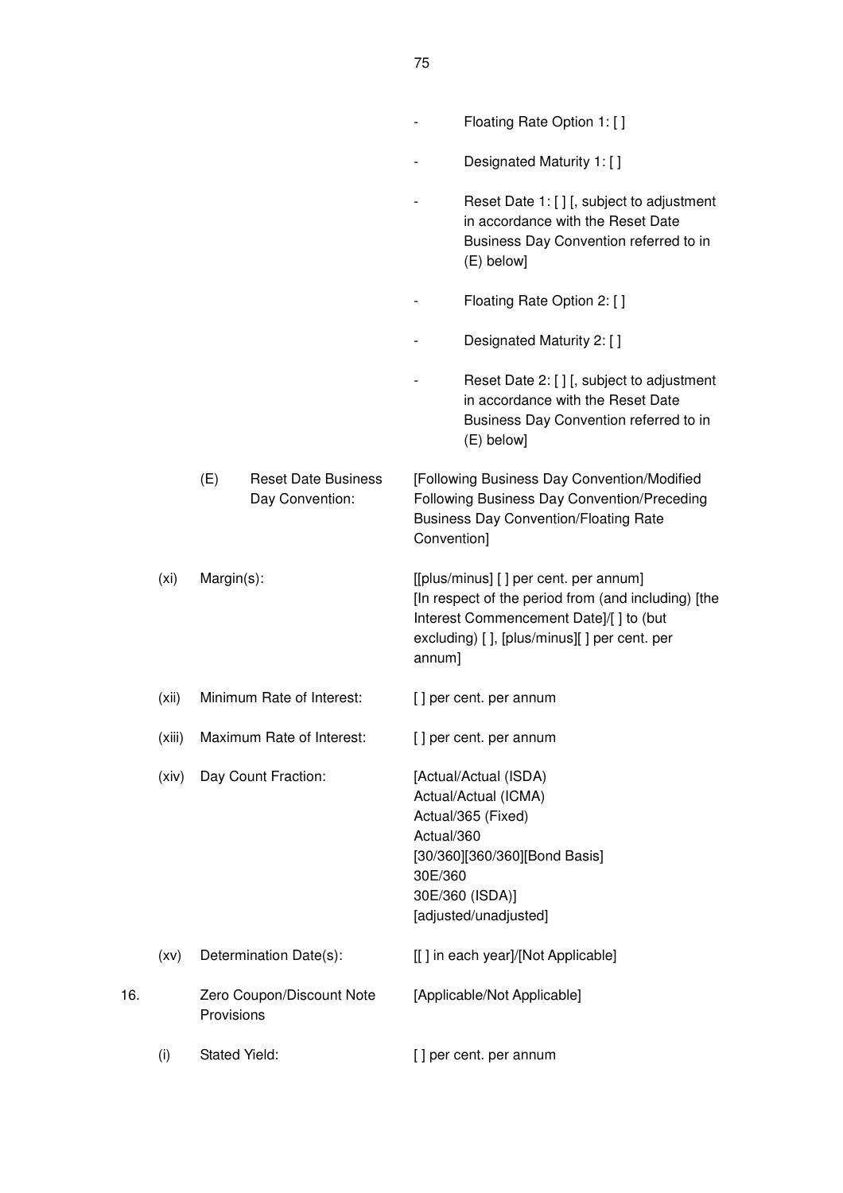|     |                   |            |                                               |                       | Floating Rate Option 1: []                                                                                                                                                            |
|-----|-------------------|------------|-----------------------------------------------|-----------------------|---------------------------------------------------------------------------------------------------------------------------------------------------------------------------------------|
|     |                   |            |                                               |                       | Designated Maturity 1: []                                                                                                                                                             |
|     |                   |            |                                               |                       | Reset Date 1: [] [, subject to adjustment<br>in accordance with the Reset Date<br>Business Day Convention referred to in<br>(E) below]                                                |
|     |                   |            |                                               |                       | Floating Rate Option 2: []                                                                                                                                                            |
|     |                   |            |                                               |                       | Designated Maturity 2: []                                                                                                                                                             |
|     |                   |            |                                               |                       | Reset Date 2: [ ] [, subject to adjustment<br>in accordance with the Reset Date<br>Business Day Convention referred to in<br>(E) below]                                               |
|     |                   | (E)        | <b>Reset Date Business</b><br>Day Convention: | Convention]           | [Following Business Day Convention/Modified<br>Following Business Day Convention/Preceding<br><b>Business Day Convention/Floating Rate</b>                                            |
|     | (x <sub>i</sub> ) | Margin(s): |                                               | annum]                | [[plus/minus] [] per cent. per annum]<br>[In respect of the period from (and including) [the<br>Interest Commencement Date]/[] to (but<br>excluding) [], [plus/minus][] per cent. per |
|     | (xii)             |            | Minimum Rate of Interest:                     |                       | [] per cent. per annum                                                                                                                                                                |
|     | (xiii)            |            | Maximum Rate of Interest:                     |                       | [] per cent. per annum                                                                                                                                                                |
|     | (xiv)             |            | Day Count Fraction:                           | Actual/360<br>30E/360 | [Actual/Actual (ISDA)<br>Actual/Actual (ICMA)<br>Actual/365 (Fixed)<br>[30/360][360/360][Bond Basis]<br>30E/360 (ISDA)]<br>[adjusted/unadjusted]                                      |
|     | (xv)              |            | Determination Date(s):                        |                       | [[] in each year]/[Not Applicable]                                                                                                                                                    |
| 16. |                   | Provisions | Zero Coupon/Discount Note                     |                       | [Applicable/Not Applicable]                                                                                                                                                           |
|     | (i)               |            | <b>Stated Yield:</b>                          |                       | [] per cent. per annum                                                                                                                                                                |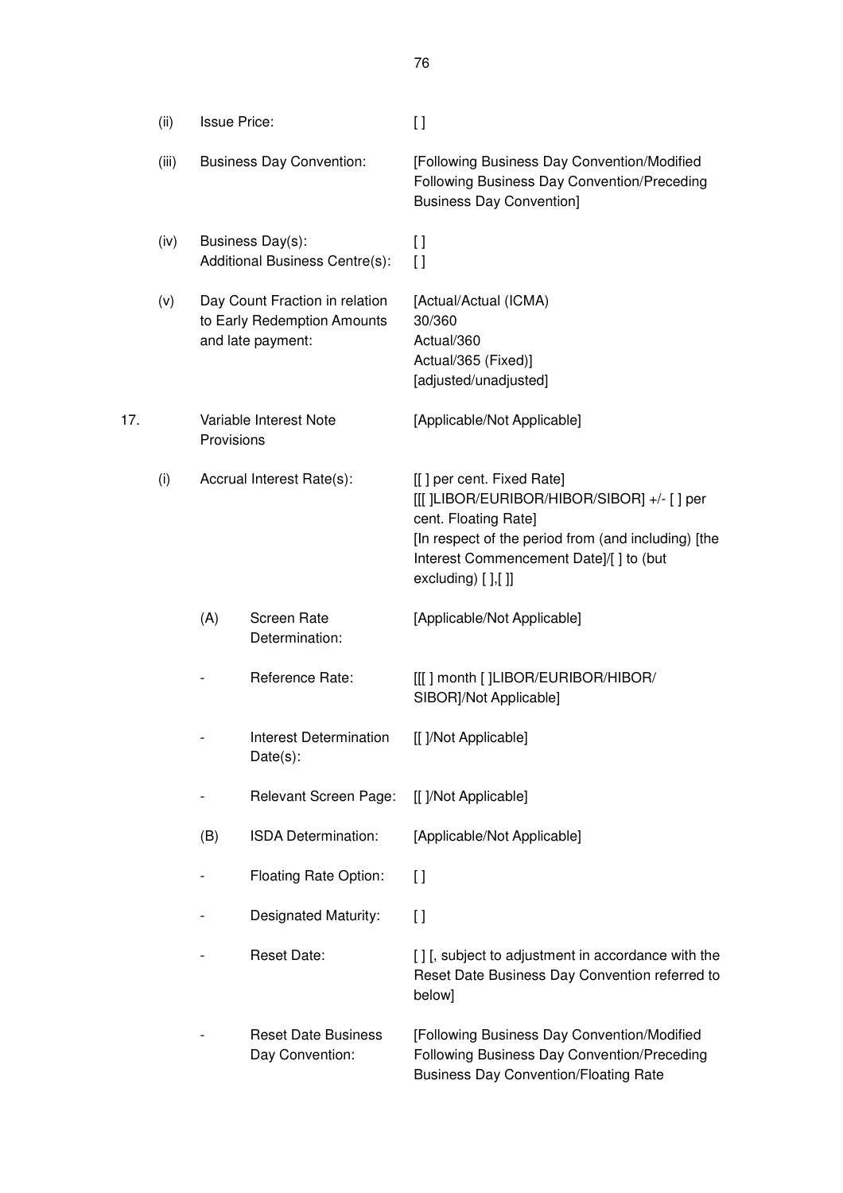|     | (ii)  | <b>Issue Price:</b>             |                                                                                    | $[ \ ]$                                                                                                                                                                                                                      |
|-----|-------|---------------------------------|------------------------------------------------------------------------------------|------------------------------------------------------------------------------------------------------------------------------------------------------------------------------------------------------------------------------|
|     | (iii) | <b>Business Day Convention:</b> |                                                                                    | [Following Business Day Convention/Modified<br>Following Business Day Convention/Preceding<br><b>Business Day Convention]</b>                                                                                                |
|     | (iv)  |                                 | Business Day(s):<br>Additional Business Centre(s):                                 | $\mathfrak{g}$<br>$\left[\right]$                                                                                                                                                                                            |
|     | (v)   |                                 | Day Count Fraction in relation<br>to Early Redemption Amounts<br>and late payment: | [Actual/Actual (ICMA)<br>30/360<br>Actual/360<br>Actual/365 (Fixed)]<br>[adjusted/unadjusted]                                                                                                                                |
| 17. |       | Provisions                      | Variable Interest Note                                                             | [Applicable/Not Applicable]                                                                                                                                                                                                  |
|     | (i)   |                                 | Accrual Interest Rate(s):                                                          | [[] per cent. Fixed Rate]<br>[[[ ]LIBOR/EURIBOR/HIBOR/SIBOR] +/- [ ] per<br>cent. Floating Rate]<br>[In respect of the period from (and including) [the<br>Interest Commencement Date]/[ ] to (but<br>excluding) $[]$ , $[]$ |
|     |       | (A)                             | Screen Rate<br>Determination:                                                      | [Applicable/Not Applicable]                                                                                                                                                                                                  |
|     |       |                                 | Reference Rate:                                                                    | [[[] month []LIBOR/EURIBOR/HIBOR/<br>SIBOR]/Not Applicable]                                                                                                                                                                  |
|     |       |                                 | <b>Interest Determination</b><br>$Date(s)$ :                                       | [[ ]/Not Applicable]                                                                                                                                                                                                         |
|     |       |                                 | Relevant Screen Page:                                                              | [[ ]/Not Applicable]                                                                                                                                                                                                         |
|     |       | (B)                             | ISDA Determination:                                                                | [Applicable/Not Applicable]                                                                                                                                                                                                  |
|     |       |                                 | Floating Rate Option:                                                              | $\left[\right]$                                                                                                                                                                                                              |
|     |       |                                 | Designated Maturity:                                                               | $\mathfrak{g}$                                                                                                                                                                                                               |
|     |       |                                 | <b>Reset Date:</b>                                                                 | [] [, subject to adjustment in accordance with the<br>Reset Date Business Day Convention referred to<br>below]                                                                                                               |
|     |       |                                 | <b>Reset Date Business</b><br>Day Convention:                                      | [Following Business Day Convention/Modified<br>Following Business Day Convention/Preceding<br><b>Business Day Convention/Floating Rate</b>                                                                                   |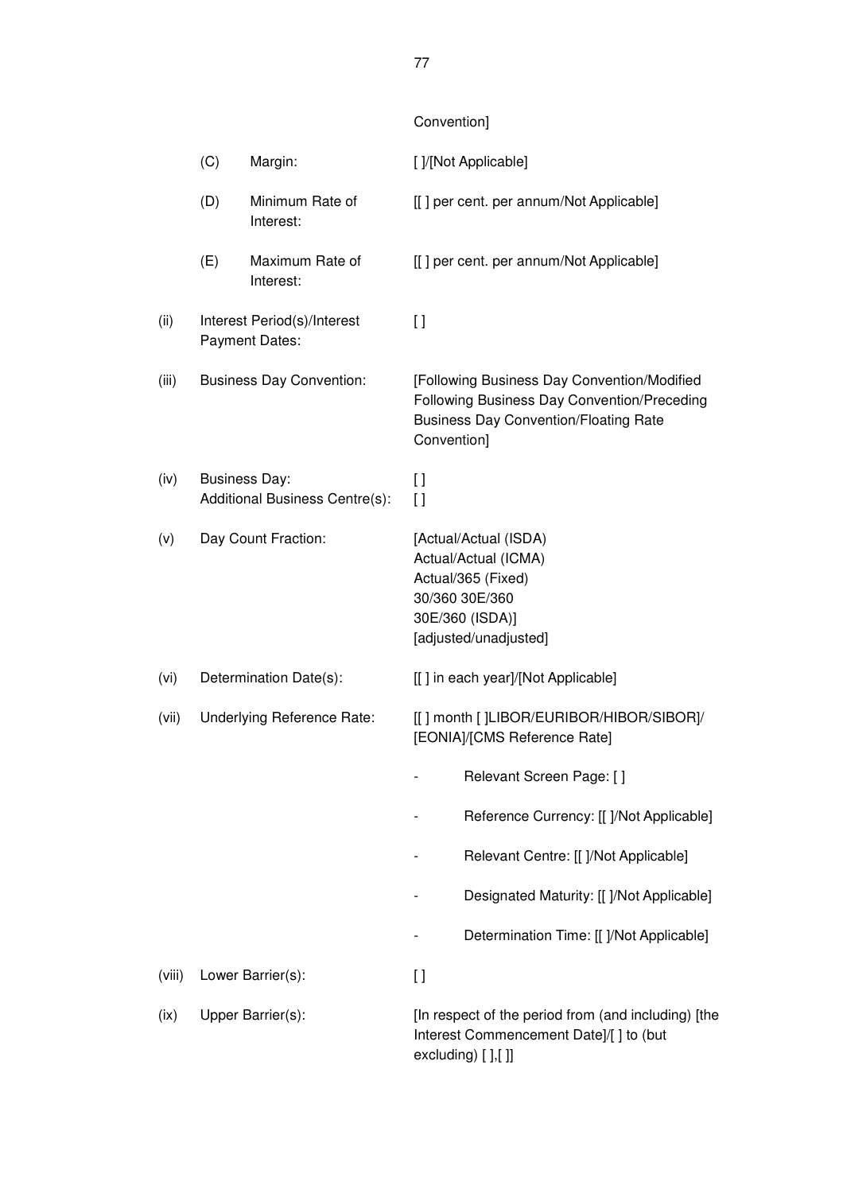# Convention]

|        | (C) | Margin:                                                | []/[Not Applicable]                                                                                                                                       |
|--------|-----|--------------------------------------------------------|-----------------------------------------------------------------------------------------------------------------------------------------------------------|
|        | (D) | Minimum Rate of<br>Interest:                           | [[] per cent. per annum/Not Applicable]                                                                                                                   |
|        | (E) | Maximum Rate of<br>Interest:                           | [[] per cent. per annum/Not Applicable]                                                                                                                   |
| (ii)   |     | Interest Period(s)/Interest<br>Payment Dates:          | $\lceil$                                                                                                                                                  |
| (iii)  |     | <b>Business Day Convention:</b>                        | [Following Business Day Convention/Modified<br>Following Business Day Convention/Preceding<br><b>Business Day Convention/Floating Rate</b><br>Convention] |
| (iv)   |     | <b>Business Day:</b><br>Additional Business Centre(s): | $\lceil$<br>$\Box$                                                                                                                                        |
| (v)    |     | Day Count Fraction:                                    | [Actual/Actual (ISDA)<br>Actual/Actual (ICMA)<br>Actual/365 (Fixed)<br>30/360 30E/360<br>30E/360 (ISDA)]<br>[adjusted/unadjusted]                         |
| (vi)   |     | Determination Date(s):                                 | [[] in each year]/[Not Applicable]                                                                                                                        |
| (vii)  |     | Underlying Reference Rate:                             | [[] month []LIBOR/EURIBOR/HIBOR/SIBOR]/<br>[EONIA]/[CMS Reference Rate]                                                                                   |
|        |     |                                                        | Relevant Screen Page: []                                                                                                                                  |
|        |     |                                                        | Reference Currency: [[ ]/Not Applicable]                                                                                                                  |
|        |     |                                                        | Relevant Centre: [[ ]/Not Applicable]                                                                                                                     |
|        |     |                                                        | Designated Maturity: [[ ]/Not Applicable]                                                                                                                 |
|        |     |                                                        | Determination Time: [[ ]/Not Applicable]                                                                                                                  |
| (viii) |     | Lower Barrier(s):                                      | $[ \ ]$                                                                                                                                                   |
| (ix)   |     | Upper Barrier(s):                                      | [In respect of the period from (and including) [the<br>Interest Commencement Date]/[ ] to (but<br>excluding) [ ],[ ]]                                     |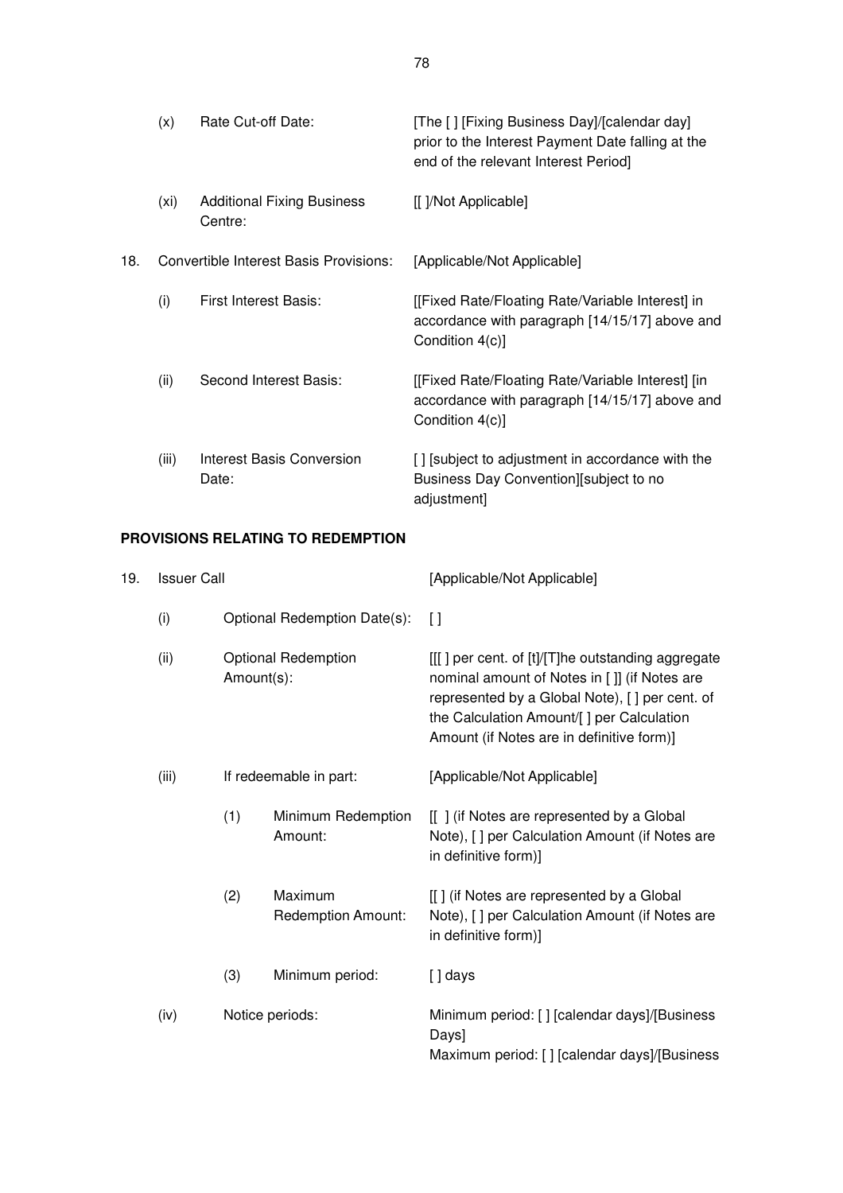|     | (x)   | Rate Cut-off Date:                           | [The [] [Fixing Business Day]/[calendar day]<br>prior to the Interest Payment Date falling at the<br>end of the relevant Interest Period] |
|-----|-------|----------------------------------------------|-------------------------------------------------------------------------------------------------------------------------------------------|
|     | (xi)  | <b>Additional Fixing Business</b><br>Centre: | [[ ]/Not Applicable]                                                                                                                      |
| 18. |       | Convertible Interest Basis Provisions:       | [Applicable/Not Applicable]                                                                                                               |
|     | (i)   | <b>First Interest Basis:</b>                 | [[Fixed Rate/Floating Rate/Variable Interest] in<br>accordance with paragraph [14/15/17] above and<br>Condition 4(c)]                     |
|     | (ii)  | Second Interest Basis:                       | [[Fixed Rate/Floating Rate/Variable Interest] [in]<br>accordance with paragraph [14/15/17] above and<br>Condition 4(c)]                   |
|     | (iii) | Interest Basis Conversion<br>Date:           | [] [subject to adjustment in accordance with the<br>Business Day Convention][subject to no<br>adjustment]                                 |

# **PROVISIONS RELATING TO REDEMPTION**

| 19. | <b>Issuer Call</b> |            |                               | [Applicable/Not Applicable]                                                                                                                                                                                                                    |
|-----|--------------------|------------|-------------------------------|------------------------------------------------------------------------------------------------------------------------------------------------------------------------------------------------------------------------------------------------|
|     | (i)                |            | Optional Redemption Date(s):  | $\Box$                                                                                                                                                                                                                                         |
|     | (ii)               | Amount(s): | <b>Optional Redemption</b>    | [[[] per cent. of [t]/[T]he outstanding aggregate<br>nominal amount of Notes in []] (if Notes are<br>represented by a Global Note), [ ] per cent. of<br>the Calculation Amount/[] per Calculation<br>Amount (if Notes are in definitive form)] |
|     | (iii)              |            | If redeemable in part:        | [Applicable/Not Applicable]                                                                                                                                                                                                                    |
|     |                    | (1)        | Minimum Redemption<br>Amount: | [[] (if Notes are represented by a Global<br>Note), [ ] per Calculation Amount (if Notes are<br>in definitive form)]                                                                                                                           |
|     |                    | (2)        | Maximum<br>Redemption Amount: | [[] (if Notes are represented by a Global<br>Note), [] per Calculation Amount (if Notes are<br>in definitive form)]                                                                                                                            |
|     |                    | (3)        | Minimum period:               | $[]$ days                                                                                                                                                                                                                                      |
|     | (iv)               |            | Notice periods:               | Minimum period: [] [calendar days]/[Business<br>Days]<br>Maximum period: [] [calendar days]/[Business                                                                                                                                          |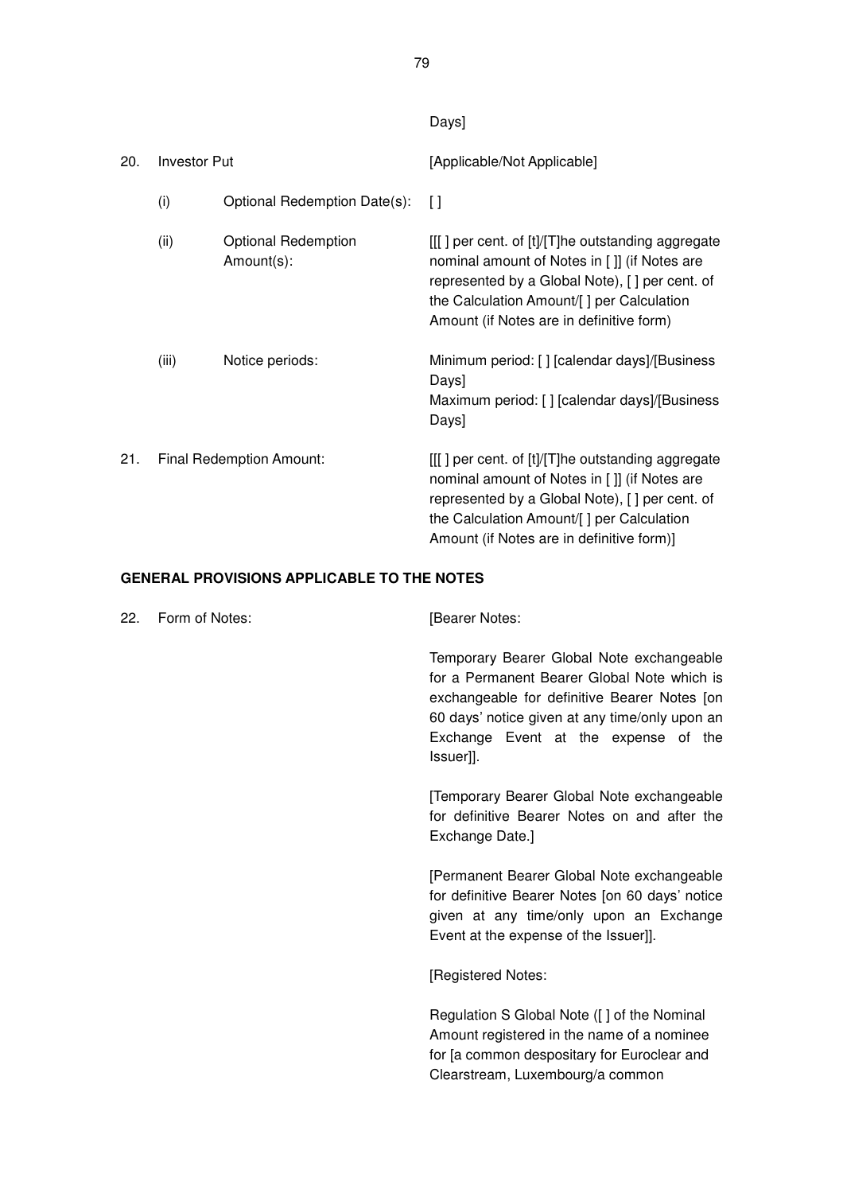Days]

| 20. | <b>Investor Put</b> |                                          | [Applicable/Not Applicable]                                                                                                                                                                                                                    |
|-----|---------------------|------------------------------------------|------------------------------------------------------------------------------------------------------------------------------------------------------------------------------------------------------------------------------------------------|
|     | (i)                 | Optional Redemption Date(s):             | $\Box$                                                                                                                                                                                                                                         |
|     | (ii)                | <b>Optional Redemption</b><br>Amount(s): | [[[] per cent. of [t]/[T]he outstanding aggregate<br>nominal amount of Notes in [ ]] (if Notes are<br>represented by a Global Note), [] per cent. of<br>the Calculation Amount/[] per Calculation<br>Amount (if Notes are in definitive form)  |
|     | (iii)               | Notice periods:                          | Minimum period: [] [calendar days]/[Business<br>Days]<br>Maximum period: [] [calendar days]/[Business<br>Days]                                                                                                                                 |
| 21. |                     | Final Redemption Amount:                 | [[[] per cent. of [t]/[T]he outstanding aggregate<br>nominal amount of Notes in []] (if Notes are<br>represented by a Global Note), [ ] per cent. of<br>the Calculation Amount/[] per Calculation<br>Amount (if Notes are in definitive form)] |

## **GENERAL PROVISIONS APPLICABLE TO THE NOTES**

| Form of Notes: | [Bearer Notes:                                                                                                                                                                                                                                  |
|----------------|-------------------------------------------------------------------------------------------------------------------------------------------------------------------------------------------------------------------------------------------------|
|                | Temporary Bearer Global Note exchangeable<br>for a Permanent Bearer Global Note which is<br>exchangeable for definitive Bearer Notes [on<br>60 days' notice given at any time/only upon an<br>Exchange Event at the expense of the<br>Issuer]]. |
|                | Temporary Bearer Global Note exchangeable<br>for definitive Bearer Notes on and after the<br>Exchange Date.]                                                                                                                                    |
|                | [Permanent Bearer Global Note exchangeable<br>for definitive Bearer Notes [on 60 days' notice<br>given at any time/only upon an Exchange<br>Event at the expense of the Issuer]].                                                               |
|                | [Registered Notes:                                                                                                                                                                                                                              |
|                | Regulation S Global Note ([] of the Nominal<br>Amount registered in the name of a nominee<br>for [a common despositary for Euroclear and<br>Clearstream, Luxembourg/a common                                                                    |
|                |                                                                                                                                                                                                                                                 |

79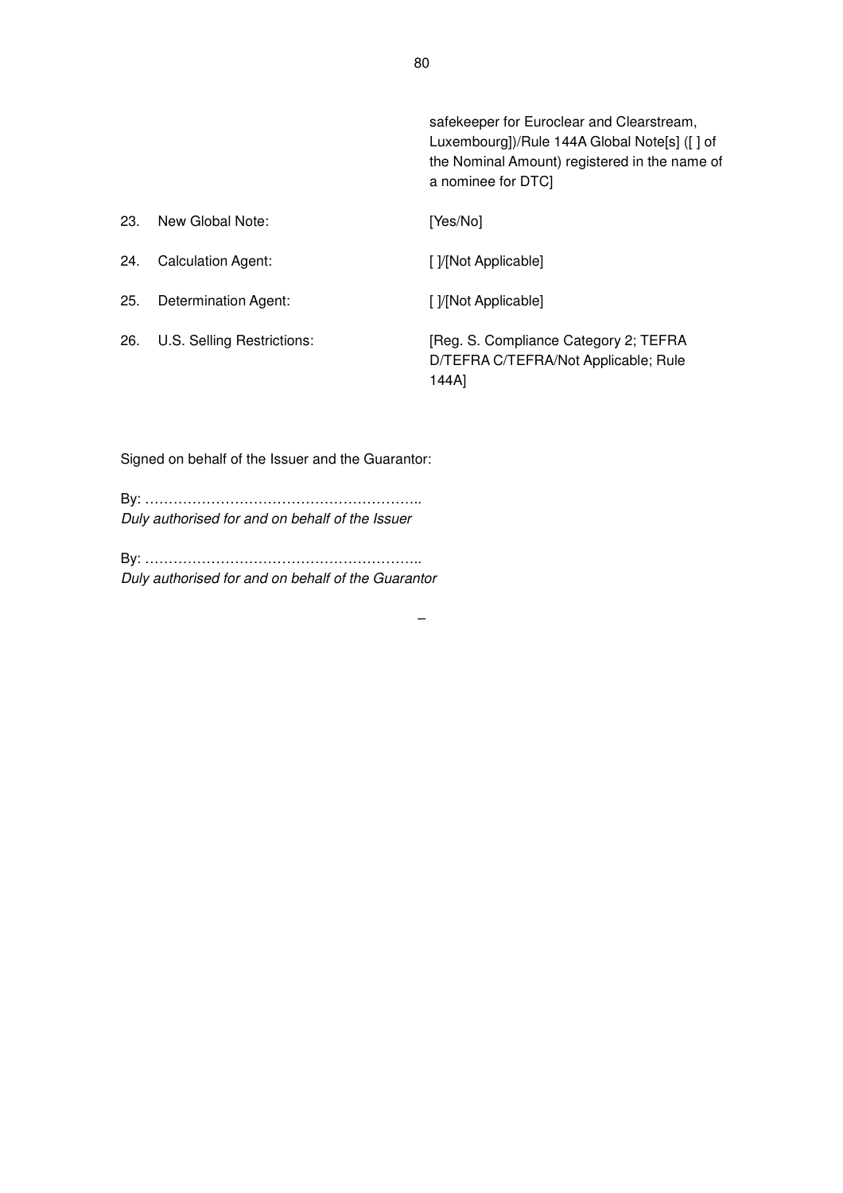safekeeper for Euroclear and Clearstream, Luxembourg])/Rule 144A Global Note[s] ([ ] of the Nominal Amount) registered in the name of a nominee for DTC]

| 23. | New Global Note:           | [Yes/No]                                                                               |
|-----|----------------------------|----------------------------------------------------------------------------------------|
| 24. | <b>Calculation Agent:</b>  | [ ]/[Not Applicable]                                                                   |
| 25. | Determination Agent:       | [ ]/[Not Applicable]                                                                   |
| 26. | U.S. Selling Restrictions: | [Reg. S. Compliance Category 2; TEFRA<br>D/TEFRA C/TEFRA/Not Applicable; Rule<br>144A] |

 $\equiv$ 

Signed on behalf of the Issuer and the Guarantor:

By: ………………………………………………….. Duly authorised for and on behalf of the Issuer

By: ………………………………………………….. Duly authorised for and on behalf of the Guarantor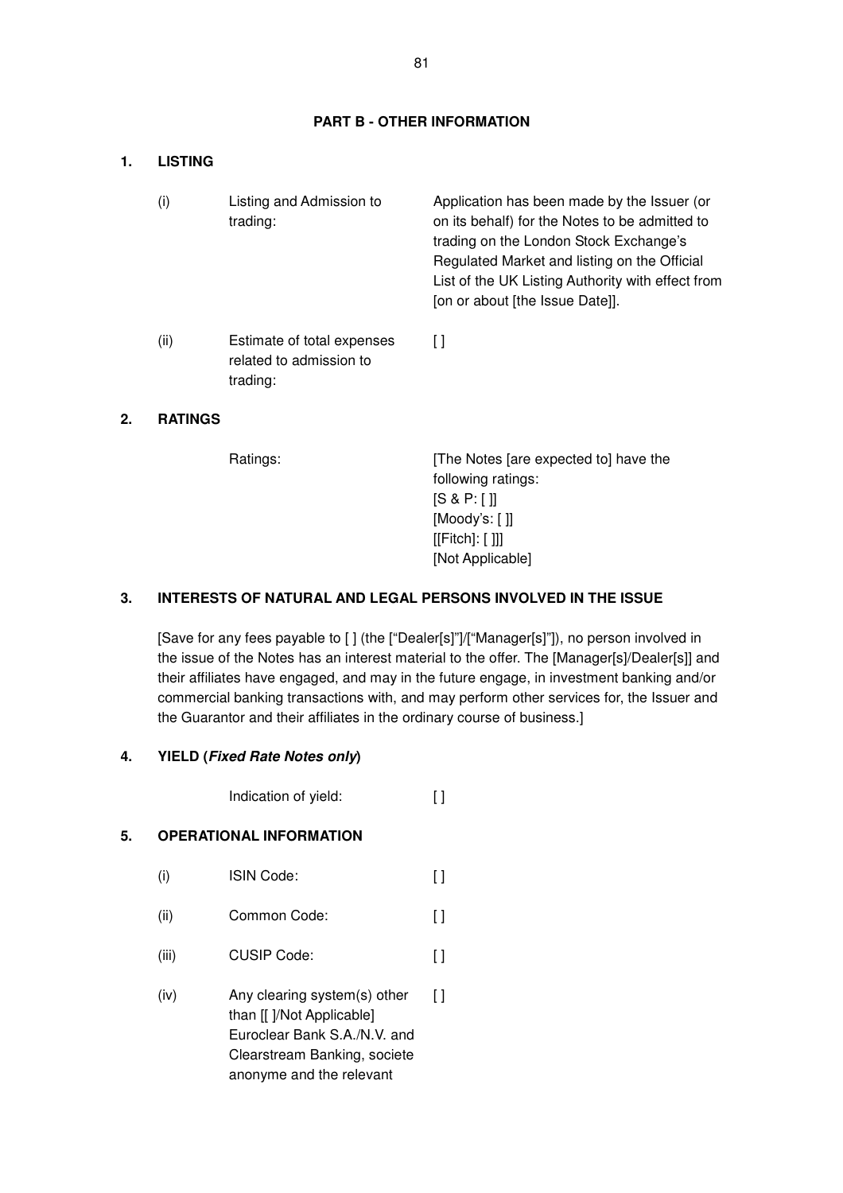### **PART B - OTHER INFORMATION**

#### **1. LISTING**

| (i)  | Listing and Admission to<br>trading:                              | Application has been made by the Issuer (or<br>on its behalf) for the Notes to be admitted to<br>trading on the London Stock Exchange's<br>Regulated Market and listing on the Official<br>List of the UK Listing Authority with effect from<br>[on or about [the Issue Date]]. |
|------|-------------------------------------------------------------------|---------------------------------------------------------------------------------------------------------------------------------------------------------------------------------------------------------------------------------------------------------------------------------|
| (ii) | Estimate of total expenses<br>related to admission to<br>trading: | Γl                                                                                                                                                                                                                                                                              |

### **2. RATINGS**

Ratings: [The Notes [are expected to] have the following ratings: [S & P: [ ]] [Moody's: [ ]] [[Fitch]: [ ]]] [Not Applicable]

## **3. INTERESTS OF NATURAL AND LEGAL PERSONS INVOLVED IN THE ISSUE**

[Save for any fees payable to [ ] (the ["Dealer[s]"]/["Manager[s]"]), no person involved in the issue of the Notes has an interest material to the offer. The [Manager[s]/Dealer[s]] and their affiliates have engaged, and may in the future engage, in investment banking and/or commercial banking transactions with, and may perform other services for, the Issuer and the Guarantor and their affiliates in the ordinary course of business.]

#### **4. YIELD (Fixed Rate Notes only)**

Indication of yield: [ ]

#### **5. OPERATIONAL INFORMATION**

- (i) ISIN Code: [ ]
- (ii) Common Code: [ ]
- (iii) CUSIP Code: [ ]
- (iv) Any clearing system(s) other than [[ ]/Not Applicable] Euroclear Bank S.A./N.V. and Clearstream Banking, societe anonyme and the relevant  $\lbrack$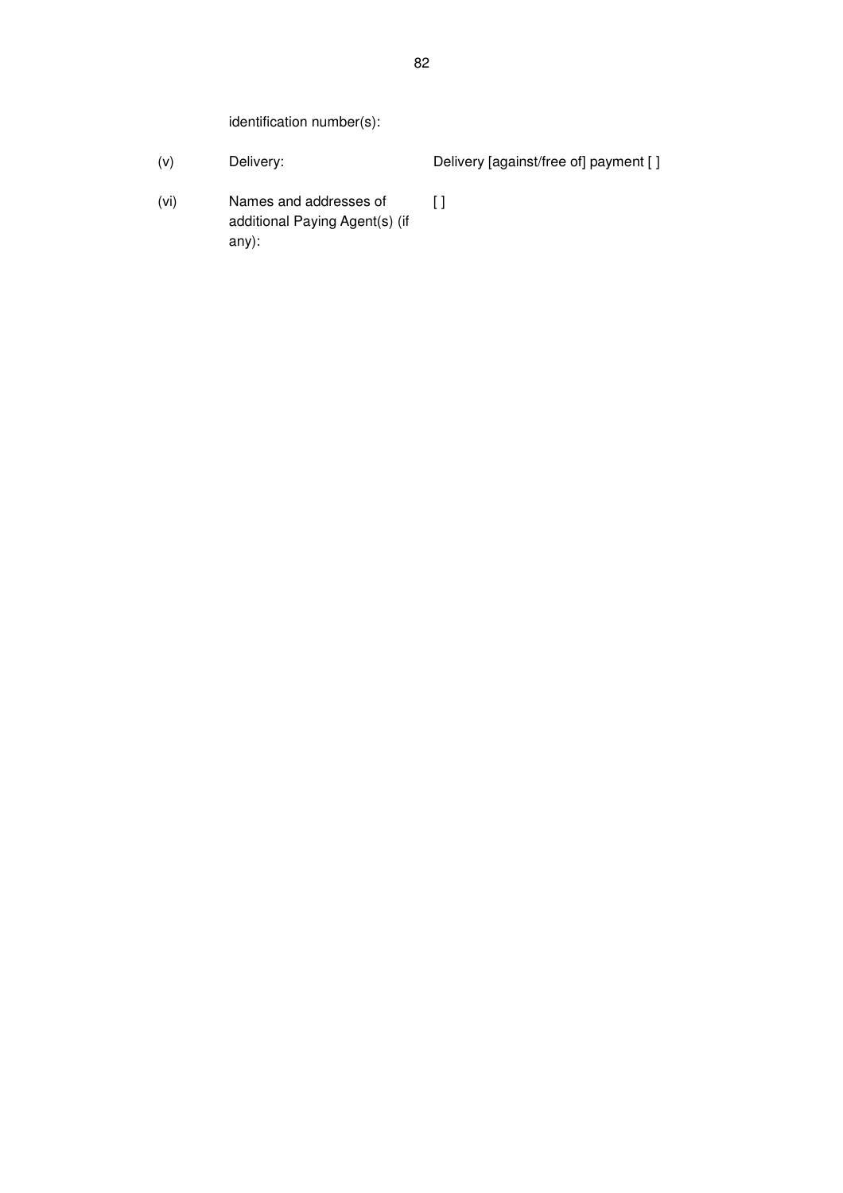identification number(s):

- (v) Delivery: Delivery [against/free of] payment [ ]
- (vi) Names and addresses of additional Paying Agent(s) (if any):

 $\overline{1}$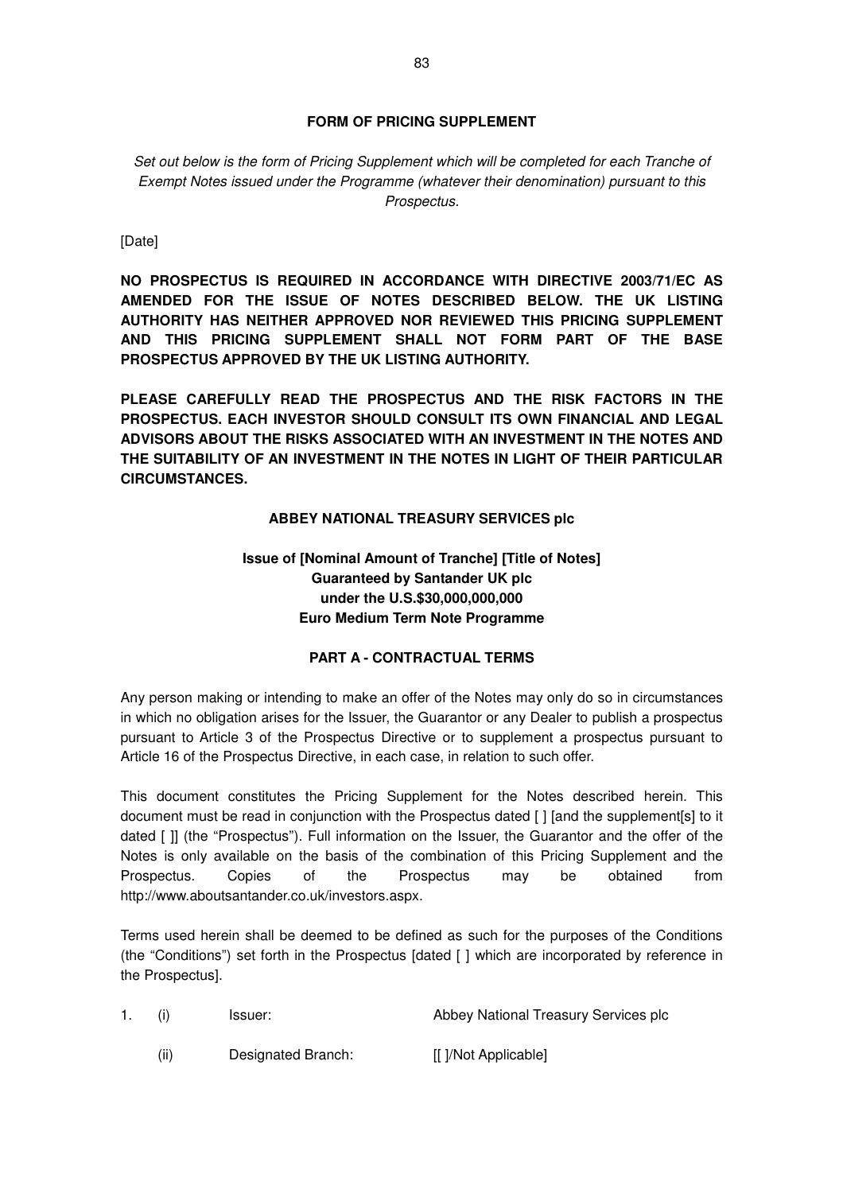## **FORM OF PRICING SUPPLEMENT**

Set out below is the form of Pricing Supplement which will be completed for each Tranche of Exempt Notes issued under the Programme (whatever their denomination) pursuant to this Prospectus.

[Date]

**NO PROSPECTUS IS REQUIRED IN ACCORDANCE WITH DIRECTIVE 2003/71/EC AS AMENDED FOR THE ISSUE OF NOTES DESCRIBED BELOW. THE UK LISTING AUTHORITY HAS NEITHER APPROVED NOR REVIEWED THIS PRICING SUPPLEMENT AND THIS PRICING SUPPLEMENT SHALL NOT FORM PART OF THE BASE PROSPECTUS APPROVED BY THE UK LISTING AUTHORITY.** 

**PLEASE CAREFULLY READ THE PROSPECTUS AND THE RISK FACTORS IN THE PROSPECTUS. EACH INVESTOR SHOULD CONSULT ITS OWN FINANCIAL AND LEGAL ADVISORS ABOUT THE RISKS ASSOCIATED WITH AN INVESTMENT IN THE NOTES AND THE SUITABILITY OF AN INVESTMENT IN THE NOTES IN LIGHT OF THEIR PARTICULAR CIRCUMSTANCES.** 

## **ABBEY NATIONAL TREASURY SERVICES plc**

## **Issue of [Nominal Amount of Tranche] [Title of Notes] Guaranteed by Santander UK plc under the U.S.\$30,000,000,000 Euro Medium Term Note Programme**

### **PART A - CONTRACTUAL TERMS**

Any person making or intending to make an offer of the Notes may only do so in circumstances in which no obligation arises for the Issuer, the Guarantor or any Dealer to publish a prospectus pursuant to Article 3 of the Prospectus Directive or to supplement a prospectus pursuant to Article 16 of the Prospectus Directive, in each case, in relation to such offer.

This document constitutes the Pricing Supplement for the Notes described herein. This document must be read in conjunction with the Prospectus dated [ ] [and the supplement[s] to it dated [ ]] (the "Prospectus"). Full information on the Issuer, the Guarantor and the offer of the Notes is only available on the basis of the combination of this Pricing Supplement and the Prospectus. Copies of the Prospectus may be obtained from http://www.aboutsantander.co.uk/investors.aspx.

Terms used herein shall be deemed to be defined as such for the purposes of the Conditions (the "Conditions") set forth in the Prospectus [dated [ ] which are incorporated by reference in the Prospectus].

- 1. (i) Issuer: Abbey National Treasury Services plc
	- (ii) Designated Branch: [[ ]/Not Applicable]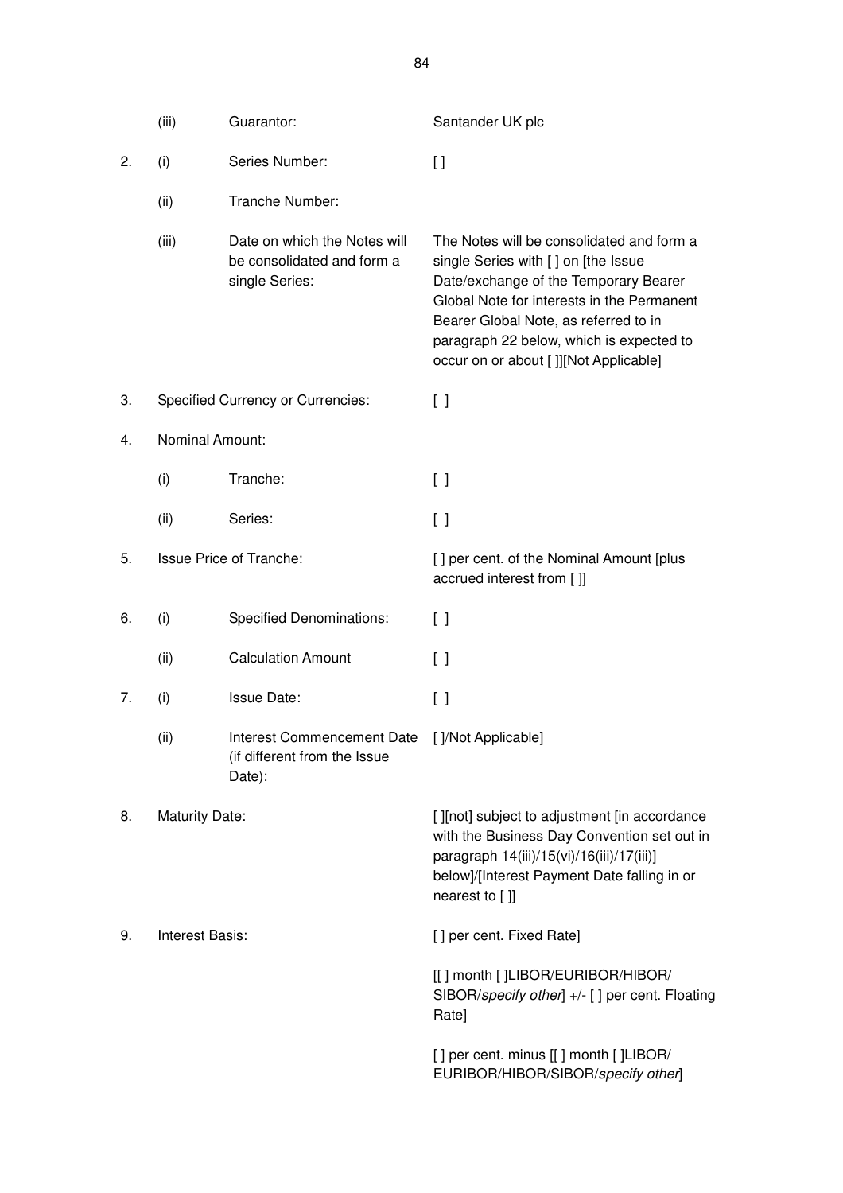|    | (iii)                  | Guarantor:                                                                   | Santander UK plc                                                                                                                                                                                                                                                                                        |
|----|------------------------|------------------------------------------------------------------------------|---------------------------------------------------------------------------------------------------------------------------------------------------------------------------------------------------------------------------------------------------------------------------------------------------------|
| 2. | (i)                    | Series Number:                                                               | $\left[ \ \right]$                                                                                                                                                                                                                                                                                      |
|    | (ii)                   | Tranche Number:                                                              |                                                                                                                                                                                                                                                                                                         |
|    | (iii)                  | Date on which the Notes will<br>be consolidated and form a<br>single Series: | The Notes will be consolidated and form a<br>single Series with [ ] on [the Issue<br>Date/exchange of the Temporary Bearer<br>Global Note for interests in the Permanent<br>Bearer Global Note, as referred to in<br>paragraph 22 below, which is expected to<br>occur on or about [ ]][Not Applicable] |
| 3. |                        | <b>Specified Currency or Currencies:</b>                                     | $[\ ]$                                                                                                                                                                                                                                                                                                  |
| 4. | <b>Nominal Amount:</b> |                                                                              |                                                                                                                                                                                                                                                                                                         |
|    | (i)                    | Tranche:                                                                     | $[\ ]$                                                                                                                                                                                                                                                                                                  |
|    | (ii)                   | Series:                                                                      | [ ]                                                                                                                                                                                                                                                                                                     |
| 5. |                        | <b>Issue Price of Tranche:</b>                                               | [] per cent. of the Nominal Amount [plus<br>accrued interest from []]                                                                                                                                                                                                                                   |
| 6. | (i)                    | <b>Specified Denominations:</b>                                              | $\left[ \ \right]$                                                                                                                                                                                                                                                                                      |
|    | (ii)                   | <b>Calculation Amount</b>                                                    | $\Box$                                                                                                                                                                                                                                                                                                  |
| 7. | (i)                    | <b>Issue Date:</b>                                                           | [ ]                                                                                                                                                                                                                                                                                                     |
|    | (ii)                   | <b>Interest Commencement Date</b><br>(if different from the Issue<br>Date):  | []/Not Applicable]                                                                                                                                                                                                                                                                                      |
| 8. | <b>Maturity Date:</b>  |                                                                              | [ ][not] subject to adjustment [in accordance<br>with the Business Day Convention set out in<br>paragraph 14(iii)/15(vi)/16(iii)/17(iii)]<br>below]/[Interest Payment Date falling in or<br>nearest to []]                                                                                              |
| 9. | <b>Interest Basis:</b> |                                                                              | [] per cent. Fixed Rate]                                                                                                                                                                                                                                                                                |
|    |                        |                                                                              | [[] month []LIBOR/EURIBOR/HIBOR/<br>SIBOR/specify other] +/- [] per cent. Floating<br>Rate]                                                                                                                                                                                                             |
|    |                        |                                                                              | [] per cent. minus [[] month []LIBOR/<br>EURIBOR/HIBOR/SIBOR/specify other]                                                                                                                                                                                                                             |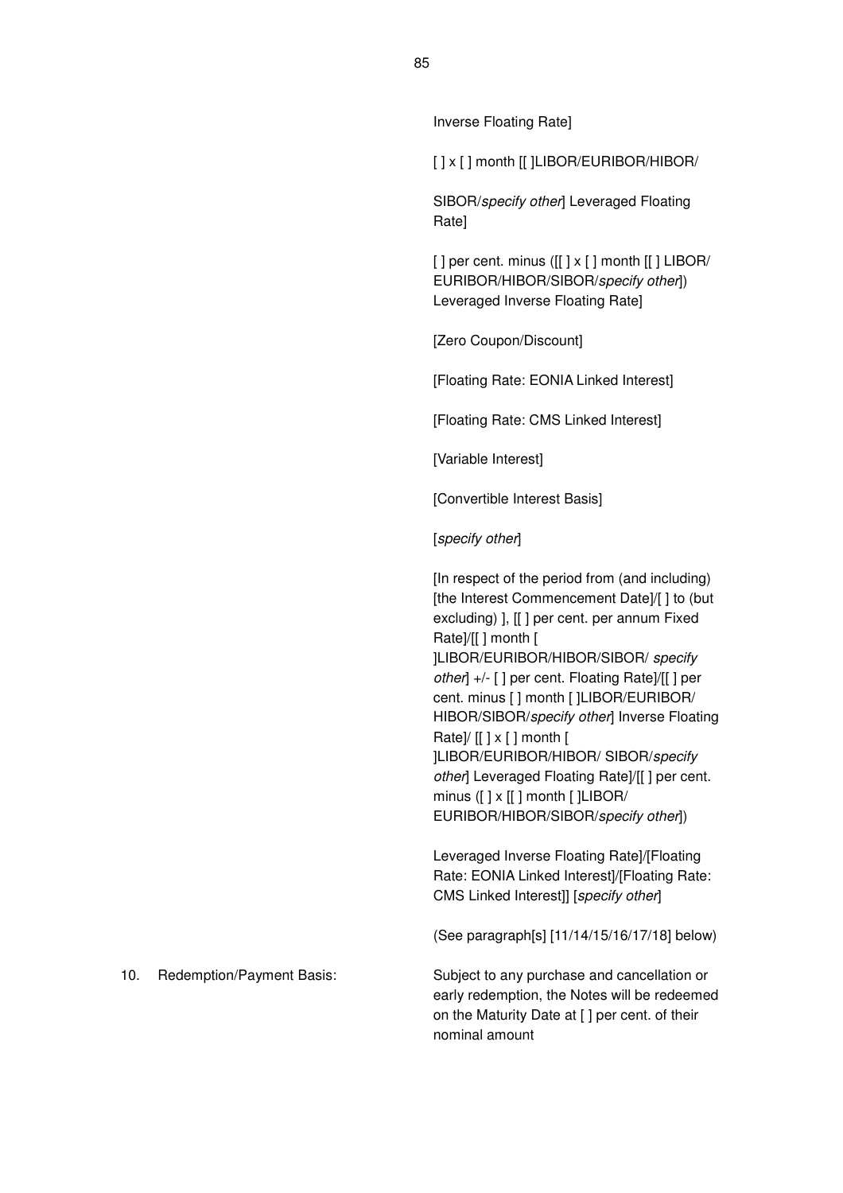#### Inverse Floating Rate]

[ ] x [ ] month [[ ]LIBOR/EURIBOR/HIBOR/

SIBOR/specify other] Leveraged Floating Rate]

 $[ ]$  per cent. minus  $([ ] \times [ ]$  month  $[ ] \cdot ]$  LIBOR/ EURIBOR/HIBOR/SIBOR/specify other]) Leveraged Inverse Floating Rate]

[Zero Coupon/Discount]

[Floating Rate: EONIA Linked Interest]

[Floating Rate: CMS Linked Interest]

[Variable Interest]

[Convertible Interest Basis]

[specify other]

[In respect of the period from (and including) [the Interest Commencement Date]/[] to (but excluding) ], [[ ] per cent. per annum Fixed Rate]/[[ ] month [ ]LIBOR/EURIBOR/HIBOR/SIBOR/ specify other] +/- [ ] per cent. Floating Rate]/[[ ] per cent. minus [ ] month [ ]LIBOR/EURIBOR/ HIBOR/SIBOR/specify other] Inverse Floating Rate]/ $[[ ] x [ ]$  month  $[ ]$ ]LIBOR/EURIBOR/HIBOR/ SIBOR/specify other] Leveraged Floating Rate]/[[] per cent. minus ([ ] x [[ ] month [ ]LIBOR/ EURIBOR/HIBOR/SIBOR/specify other])

Leveraged Inverse Floating Rate]/[Floating Rate: EONIA Linked Interest]/[Floating Rate: CMS Linked Interest]] [specify other]

(See paragraph[s] [11/14/15/16/17/18] below)

10. Redemption/Payment Basis: Subject to any purchase and cancellation or early redemption, the Notes will be redeemed on the Maturity Date at [ ] per cent. of their

nominal amount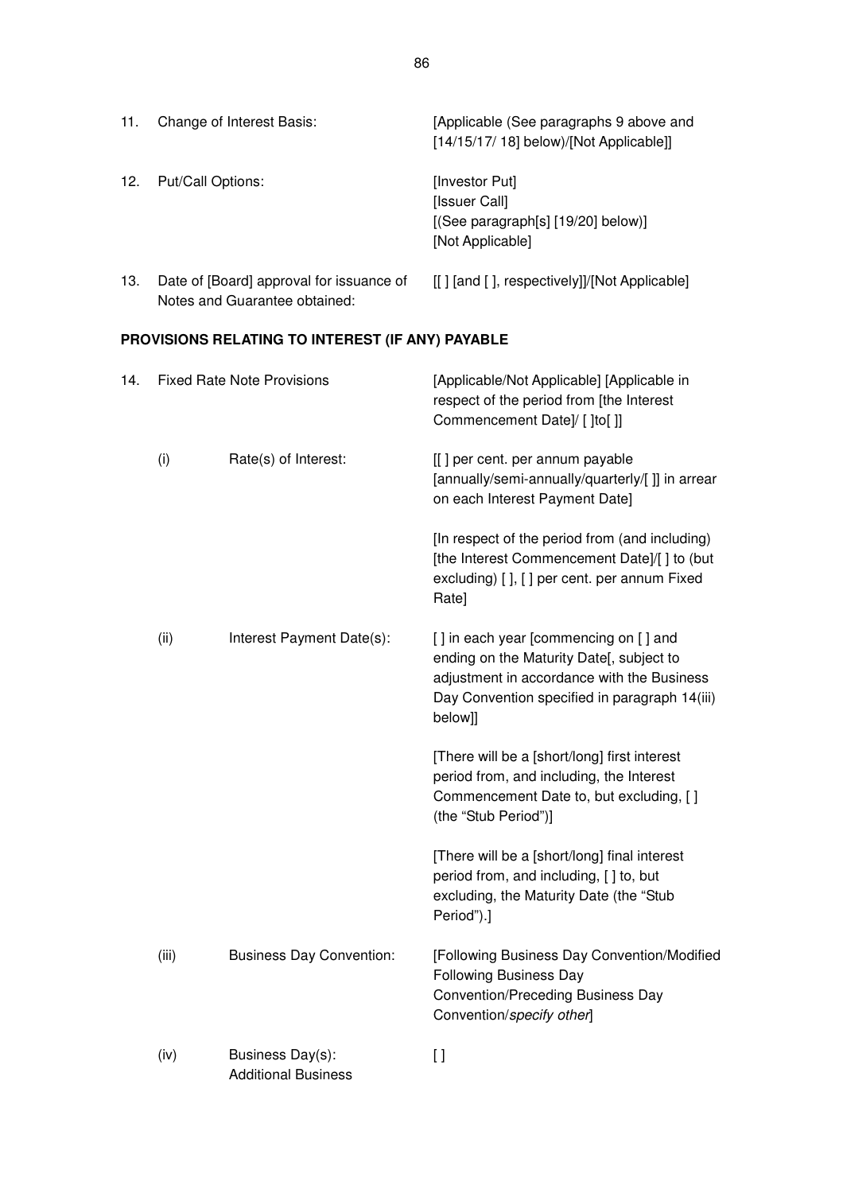| 11. | Change of Interest Basis:                                                 | [Applicable (See paragraphs 9 above and<br>$[14/15/17/18]$ below)/[Not Applicable]]             |
|-----|---------------------------------------------------------------------------|-------------------------------------------------------------------------------------------------|
| 12. | Put/Call Options:                                                         | [Investor Put]<br>[Issuer Call]<br>$[$ (See paragraph $[s]$ [19/20] below)]<br>[Not Applicable] |
| 13. | Date of [Board] approval for issuance of<br>Notes and Guarantee obtained: | [[] [and [], respectively]]/[Not Applicable]                                                    |

# **PROVISIONS RELATING TO INTEREST (IF ANY) PAYABLE**

| 14. |       | <b>Fixed Rate Note Provisions</b>              | [Applicable/Not Applicable] [Applicable in<br>respect of the period from [the Interest<br>Commencement Date]/ [ ]to[ ]]                                                                     |  |
|-----|-------|------------------------------------------------|---------------------------------------------------------------------------------------------------------------------------------------------------------------------------------------------|--|
|     | (i)   | Rate(s) of Interest:                           | [[] per cent. per annum payable<br>[annually/semi-annually/quarterly/[]] in arrear<br>on each Interest Payment Date]                                                                        |  |
|     |       |                                                | [In respect of the period from (and including)<br>[the Interest Commencement Date]/[ ] to (but<br>excluding) [], [] per cent. per annum Fixed<br>Rate]                                      |  |
|     | (ii)  | Interest Payment Date(s):                      | [] in each year [commencing on [] and<br>ending on the Maturity Date[, subject to<br>adjustment in accordance with the Business<br>Day Convention specified in paragraph 14(iii)<br>below]] |  |
|     |       |                                                | [There will be a [short/long] first interest<br>period from, and including, the Interest<br>Commencement Date to, but excluding, [ ]<br>(the "Stub Period")]                                |  |
|     |       |                                                | [There will be a [short/long] final interest<br>period from, and including, [ ] to, but<br>excluding, the Maturity Date (the "Stub<br>Period").]                                            |  |
|     | (iii) | <b>Business Day Convention:</b>                | [Following Business Day Convention/Modified<br><b>Following Business Day</b><br><b>Convention/Preceding Business Day</b><br>Convention/specify other]                                       |  |
|     | (iv)  | Business Day(s):<br><b>Additional Business</b> | $[ \ ]$                                                                                                                                                                                     |  |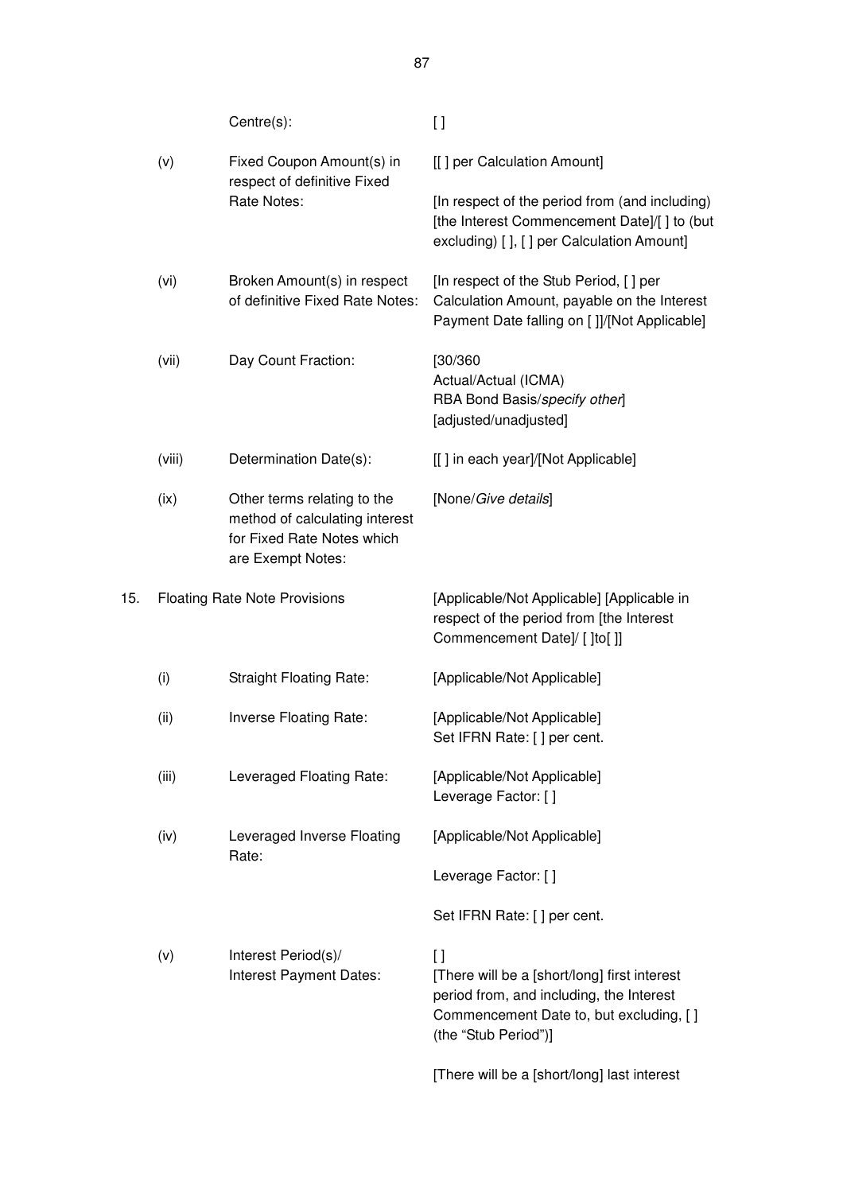|     |        | Centre(s):                                                                                                       | $\left[ \ \right]$                                                                                                                                                  |  |
|-----|--------|------------------------------------------------------------------------------------------------------------------|---------------------------------------------------------------------------------------------------------------------------------------------------------------------|--|
|     | (v)    | Fixed Coupon Amount(s) in<br>respect of definitive Fixed                                                         | [[] per Calculation Amount]                                                                                                                                         |  |
|     |        | Rate Notes:                                                                                                      | [In respect of the period from (and including)<br>[the Interest Commencement Date]/[] to (but<br>excluding) [ ], [ ] per Calculation Amount]                        |  |
|     | (vi)   | Broken Amount(s) in respect<br>of definitive Fixed Rate Notes:                                                   | [In respect of the Stub Period, [] per<br>Calculation Amount, payable on the Interest<br>Payment Date falling on []]/[Not Applicable]                               |  |
|     | (vii)  | Day Count Fraction:                                                                                              | [30/360]<br>Actual/Actual (ICMA)<br>RBA Bond Basis/specify other]<br>[adjusted/unadjusted]                                                                          |  |
|     | (viii) | Determination Date(s):                                                                                           | [[] in each year]/[Not Applicable]                                                                                                                                  |  |
|     | (ix)   | Other terms relating to the<br>method of calculating interest<br>for Fixed Rate Notes which<br>are Exempt Notes: | [None/Give details]                                                                                                                                                 |  |
| 15. |        | <b>Floating Rate Note Provisions</b>                                                                             | [Applicable/Not Applicable] [Applicable in<br>respect of the period from [the Interest<br>Commencement Date]/ [ ]to[ ]]                                             |  |
|     | (i)    | <b>Straight Floating Rate:</b>                                                                                   | [Applicable/Not Applicable]                                                                                                                                         |  |
|     | (ii)   | Inverse Floating Rate:                                                                                           | [Applicable/Not Applicable]<br>Set IFRN Rate: [] per cent.                                                                                                          |  |
|     | (iii)  | Leveraged Floating Rate:                                                                                         | [Applicable/Not Applicable]<br>Leverage Factor: []                                                                                                                  |  |
|     | (iv)   | Leveraged Inverse Floating<br>Rate:                                                                              | [Applicable/Not Applicable]                                                                                                                                         |  |
|     |        |                                                                                                                  | Leverage Factor: []                                                                                                                                                 |  |
|     |        |                                                                                                                  | Set IFRN Rate: [] per cent.                                                                                                                                         |  |
|     | (v)    | Interest Period(s)/<br>Interest Payment Dates:                                                                   | I l<br>[There will be a [short/long] first interest<br>period from, and including, the Interest<br>Commencement Date to, but excluding, [ ]<br>(the "Stub Period")] |  |
|     |        |                                                                                                                  | [There will be a [short/long] last interest                                                                                                                         |  |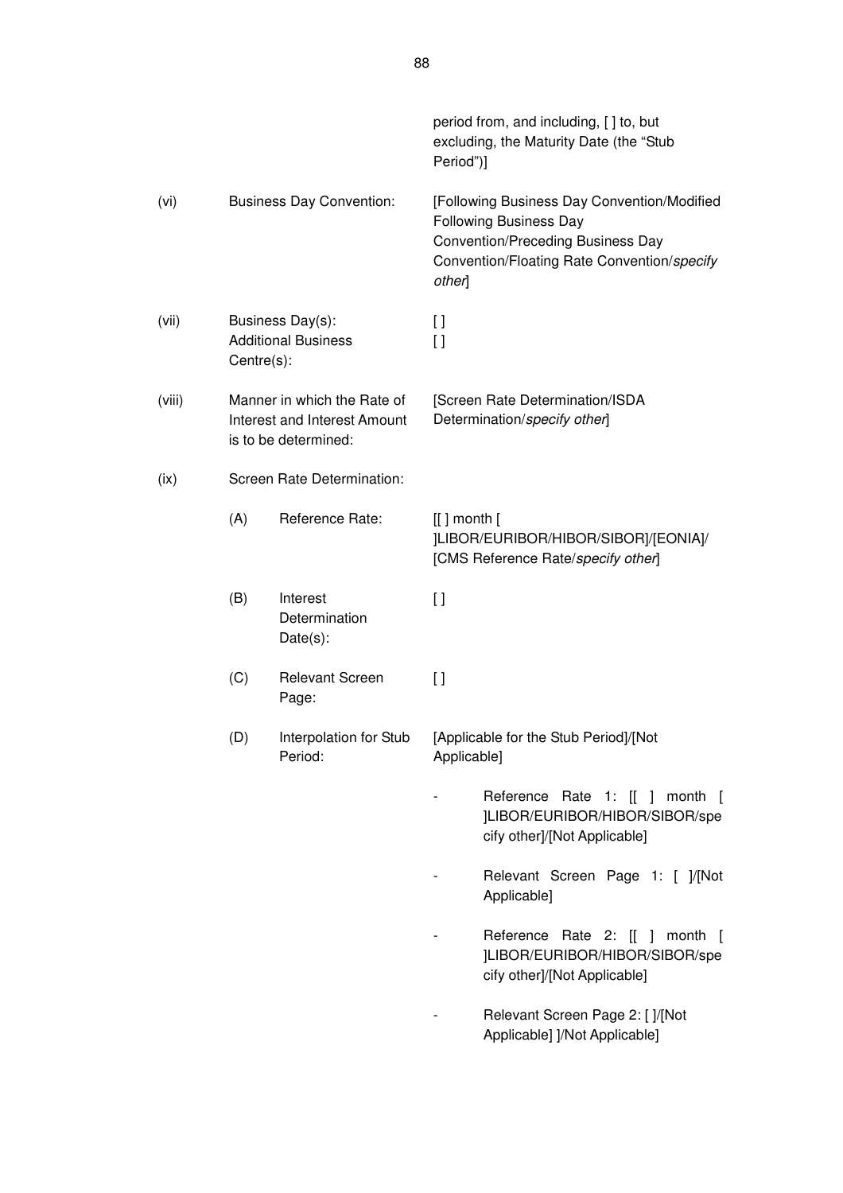|        |     |                                                                                     | Period")]          | period from, and including, [] to, but<br>excluding, the Maturity Date (the "Stub                                                                                |
|--------|-----|-------------------------------------------------------------------------------------|--------------------|------------------------------------------------------------------------------------------------------------------------------------------------------------------|
| (vi)   |     | <b>Business Day Convention:</b>                                                     | other]             | [Following Business Day Convention/Modified<br><b>Following Business Day</b><br>Convention/Preceding Business Day<br>Convention/Floating Rate Convention/specify |
| (vii)  |     | Business Day(s):<br><b>Additional Business</b><br>Centre(s):                        |                    |                                                                                                                                                                  |
| (viii) |     | Manner in which the Rate of<br>Interest and Interest Amount<br>is to be determined: |                    | [Screen Rate Determination/ISDA<br>Determination/specify other]                                                                                                  |
| (ix)   |     | Screen Rate Determination:                                                          |                    |                                                                                                                                                                  |
|        | (A) | Reference Rate:                                                                     | $[[]$ month $[$    | ]LIBOR/EURIBOR/HIBOR/SIBOR]/[EONIA]/<br>[CMS Reference Rate/specify other]                                                                                       |
|        | (B) | Interest<br>Determination<br>Date(s):                                               | $\lceil$           |                                                                                                                                                                  |
|        | (C) | <b>Relevant Screen</b><br>Page:                                                     | $\left[ \ \right]$ |                                                                                                                                                                  |
|        | (D) | Interpolation for Stub<br>Period:                                                   | Applicable]        | [Applicable for the Stub Period]/[Not                                                                                                                            |
|        |     |                                                                                     |                    | Reference Rate 1: [[ ] month [<br>]LIBOR/EURIBOR/HIBOR/SIBOR/spe<br>cify other]/[Not Applicable]                                                                 |
|        |     |                                                                                     |                    | Relevant Screen Page 1: [ ]/[Not<br>Applicable]                                                                                                                  |
|        |     |                                                                                     |                    | Reference Rate 2: [[ ] month [<br>]LIBOR/EURIBOR/HIBOR/SIBOR/spe<br>cify other]/[Not Applicable]                                                                 |
|        |     |                                                                                     |                    | Relevant Screen Page 2: [ ]/[Not<br>Applicable] ]/Not Applicable]                                                                                                |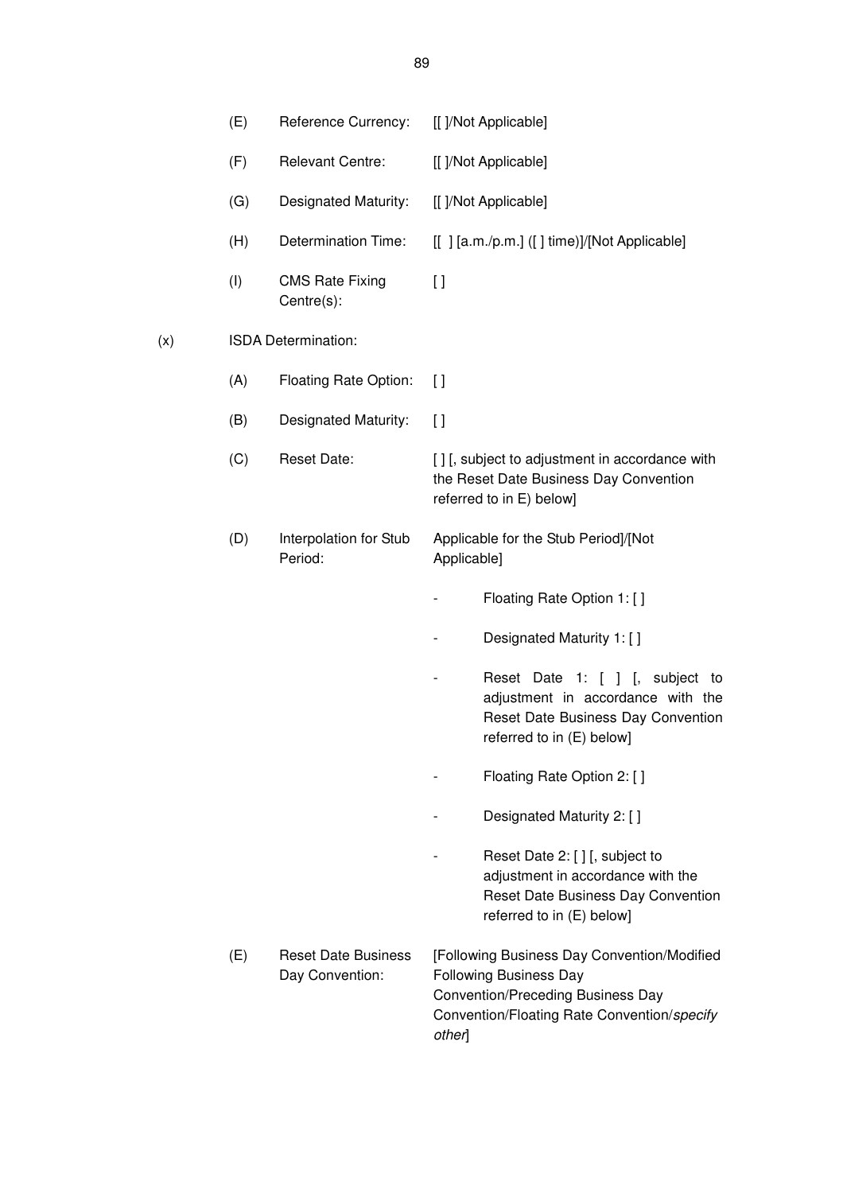|     | (E) | Reference Currency:                           | [[ ]/Not Applicable]                                                                                                                                                              |
|-----|-----|-----------------------------------------------|-----------------------------------------------------------------------------------------------------------------------------------------------------------------------------------|
|     | (F) | <b>Relevant Centre:</b>                       | [[ ]/Not Applicable]                                                                                                                                                              |
|     | (G) | Designated Maturity:                          | [[ ]/Not Applicable]                                                                                                                                                              |
|     | (H) | Determination Time:                           | [[] [a.m./p.m.] ([] time)]/[Not Applicable]                                                                                                                                       |
|     | (1) | <b>CMS Rate Fixing</b><br>Centre(s):          | $\Box$                                                                                                                                                                            |
| (x) |     | ISDA Determination:                           |                                                                                                                                                                                   |
|     | (A) | Floating Rate Option:                         | $\mathfrak{g}$                                                                                                                                                                    |
|     | (B) | Designated Maturity:                          | $\mathfrak{g}$                                                                                                                                                                    |
|     | (C) | <b>Reset Date:</b>                            | [] [, subject to adjustment in accordance with<br>the Reset Date Business Day Convention<br>referred to in E) below]                                                              |
|     | (D) | Interpolation for Stub<br>Period:             | Applicable for the Stub Period]/[Not<br>Applicable]                                                                                                                               |
|     |     |                                               | Floating Rate Option 1: []                                                                                                                                                        |
|     |     |                                               | Designated Maturity 1: []                                                                                                                                                         |
|     |     |                                               | Reset Date 1: [ ] [, subject<br>to<br>adjustment in accordance with the<br>Reset Date Business Day Convention<br>referred to in (E) below]                                        |
|     |     |                                               | Floating Rate Option 2: [ ]                                                                                                                                                       |
|     |     |                                               | Designated Maturity 2: []                                                                                                                                                         |
|     |     |                                               | Reset Date 2: [] [, subject to<br>adjustment in accordance with the<br>Reset Date Business Day Convention<br>referred to in (E) below]                                            |
|     | (E) | <b>Reset Date Business</b><br>Day Convention: | [Following Business Day Convention/Modified<br><b>Following Business Day</b><br><b>Convention/Preceding Business Day</b><br>Convention/Floating Rate Convention/specify<br>other] |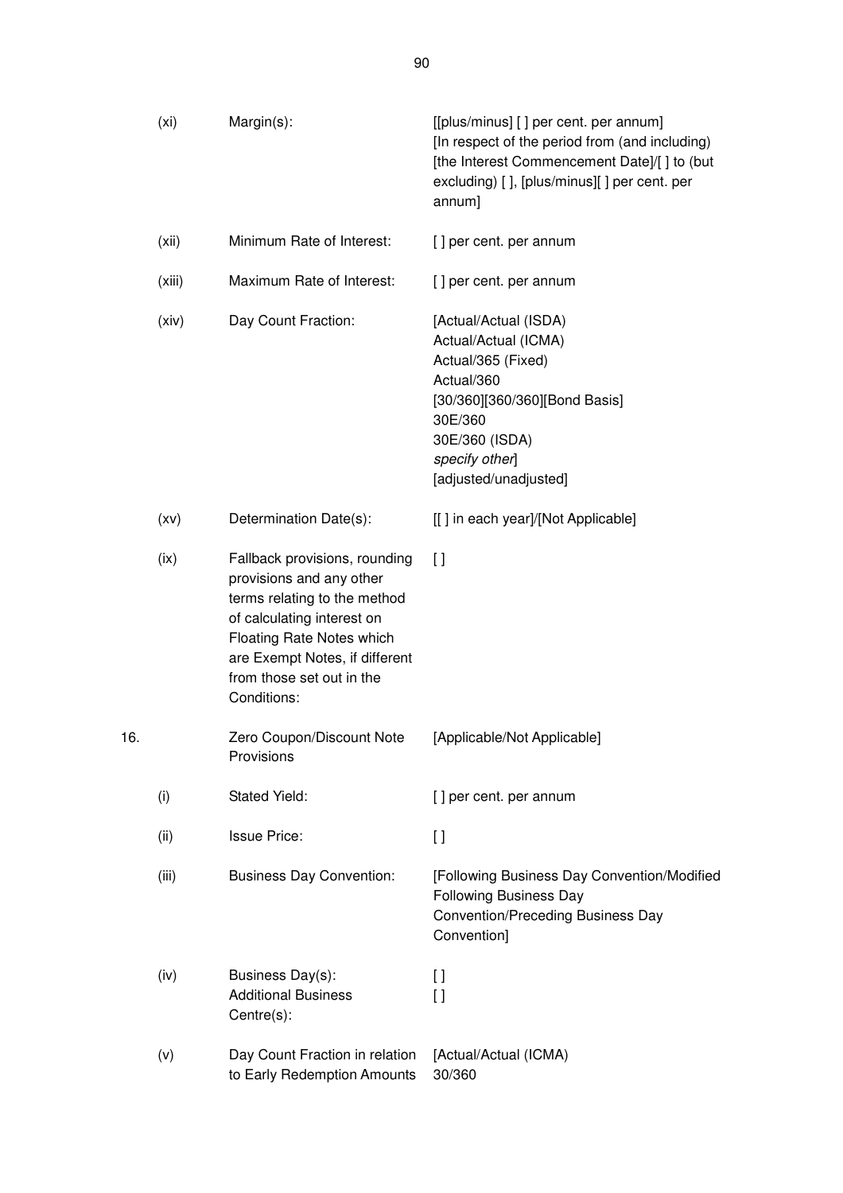|     | (x <sub>i</sub> ) | Margin(s):                                                                                                                                                                                                                         | [[plus/minus] [] per cent. per annum]<br>[In respect of the period from (and including)<br>[the Interest Commencement Date]/[] to (but<br>excluding) [], [plus/minus][] per cent. per<br>annum] |
|-----|-------------------|------------------------------------------------------------------------------------------------------------------------------------------------------------------------------------------------------------------------------------|-------------------------------------------------------------------------------------------------------------------------------------------------------------------------------------------------|
|     | (xii)             | Minimum Rate of Interest:                                                                                                                                                                                                          | [] per cent. per annum                                                                                                                                                                          |
|     | (xiii)            | Maximum Rate of Interest:                                                                                                                                                                                                          | [] per cent. per annum                                                                                                                                                                          |
|     | (xiv)             | Day Count Fraction:                                                                                                                                                                                                                | [Actual/Actual (ISDA)<br>Actual/Actual (ICMA)<br>Actual/365 (Fixed)<br>Actual/360<br>[30/360][360/360][Bond Basis]<br>30E/360<br>30E/360 (ISDA)<br>specify other]<br>[adjusted/unadjusted]      |
|     | (xv)              | Determination Date(s):                                                                                                                                                                                                             | [[] in each year]/[Not Applicable]                                                                                                                                                              |
|     | (ix)              | Fallback provisions, rounding<br>provisions and any other<br>terms relating to the method<br>of calculating interest on<br>Floating Rate Notes which<br>are Exempt Notes, if different<br>from those set out in the<br>Conditions: | $\Box$                                                                                                                                                                                          |
| 16. |                   | Zero Coupon/Discount Note<br>Provisions                                                                                                                                                                                            | [Applicable/Not Applicable]                                                                                                                                                                     |
|     | (i)               | Stated Yield:                                                                                                                                                                                                                      | [] per cent. per annum                                                                                                                                                                          |
|     | (ii)              | <b>Issue Price:</b>                                                                                                                                                                                                                | $\left[ \ \right]$                                                                                                                                                                              |
|     | (iii)             | <b>Business Day Convention:</b>                                                                                                                                                                                                    | [Following Business Day Convention/Modified<br><b>Following Business Day</b><br><b>Convention/Preceding Business Day</b><br>Convention]                                                         |
|     | (iv)              | Business Day(s):<br><b>Additional Business</b><br>Centre(s):                                                                                                                                                                       | I)<br>$\left[ \ \right]$                                                                                                                                                                        |
|     | (v)               | Day Count Fraction in relation<br>to Early Redemption Amounts                                                                                                                                                                      | [Actual/Actual (ICMA)<br>30/360                                                                                                                                                                 |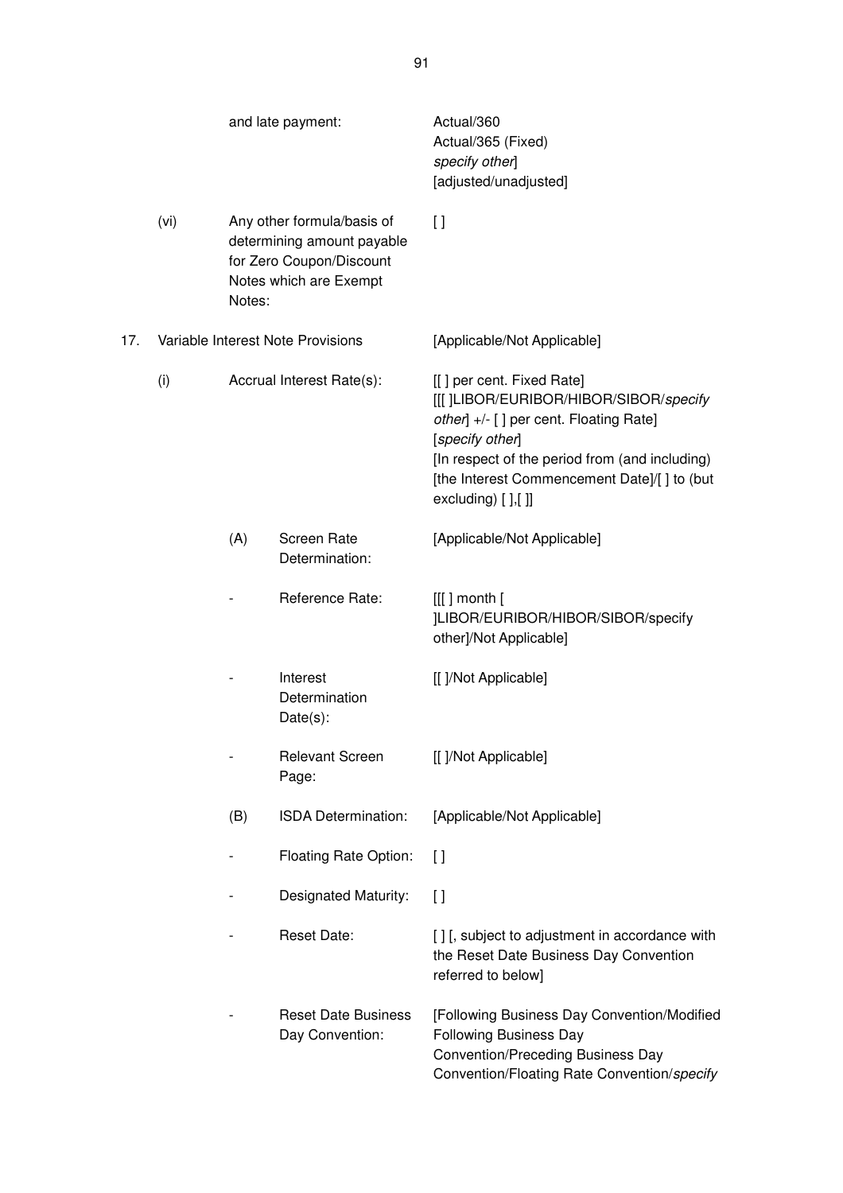|     | and late payment:                 |        |                                                                                                                | Actual/360<br>Actual/365 (Fixed)<br>specify other]<br>[adjusted/unadjusted]                                                                                                                                                                                 |
|-----|-----------------------------------|--------|----------------------------------------------------------------------------------------------------------------|-------------------------------------------------------------------------------------------------------------------------------------------------------------------------------------------------------------------------------------------------------------|
|     | (vi)                              | Notes: | Any other formula/basis of<br>determining amount payable<br>for Zero Coupon/Discount<br>Notes which are Exempt | $\Box$                                                                                                                                                                                                                                                      |
| 17. | Variable Interest Note Provisions |        |                                                                                                                | [Applicable/Not Applicable]                                                                                                                                                                                                                                 |
|     | (i)                               |        | Accrual Interest Rate(s):                                                                                      | [[] per cent. Fixed Rate]<br>[[[ ]LIBOR/EURIBOR/HIBOR/SIBOR/specify<br>other] +/- [] per cent. Floating Rate]<br>[specify other]<br>[In respect of the period from (and including)<br>[the Interest Commencement Date]/[] to (but<br>excluding) $[]$ , $[]$ |
|     |                                   | (A)    | <b>Screen Rate</b><br>Determination:                                                                           | [Applicable/Not Applicable]                                                                                                                                                                                                                                 |
|     |                                   |        | Reference Rate:                                                                                                | $[[[]]$ month $[$<br>]LIBOR/EURIBOR/HIBOR/SIBOR/specify<br>other]/Not Applicable]                                                                                                                                                                           |
|     |                                   |        | Interest<br>Determination<br>Date(s):                                                                          | [[ ]/Not Applicable]                                                                                                                                                                                                                                        |
|     |                                   |        | <b>Relevant Screen</b><br>Page:                                                                                | [[ ]/Not Applicable]                                                                                                                                                                                                                                        |
|     |                                   | (B)    | ISDA Determination:                                                                                            | [Applicable/Not Applicable]                                                                                                                                                                                                                                 |
|     |                                   |        | Floating Rate Option:                                                                                          | $\mathfrak{g}$                                                                                                                                                                                                                                              |
|     |                                   |        | Designated Maturity:                                                                                           | $\left[ \ \right]$                                                                                                                                                                                                                                          |
|     |                                   |        | <b>Reset Date:</b>                                                                                             | [] [, subject to adjustment in accordance with<br>the Reset Date Business Day Convention<br>referred to below]                                                                                                                                              |
|     |                                   |        | <b>Reset Date Business</b><br>Day Convention:                                                                  | [Following Business Day Convention/Modified<br><b>Following Business Day</b><br><b>Convention/Preceding Business Day</b><br>Convention/Floating Rate Convention/specify                                                                                     |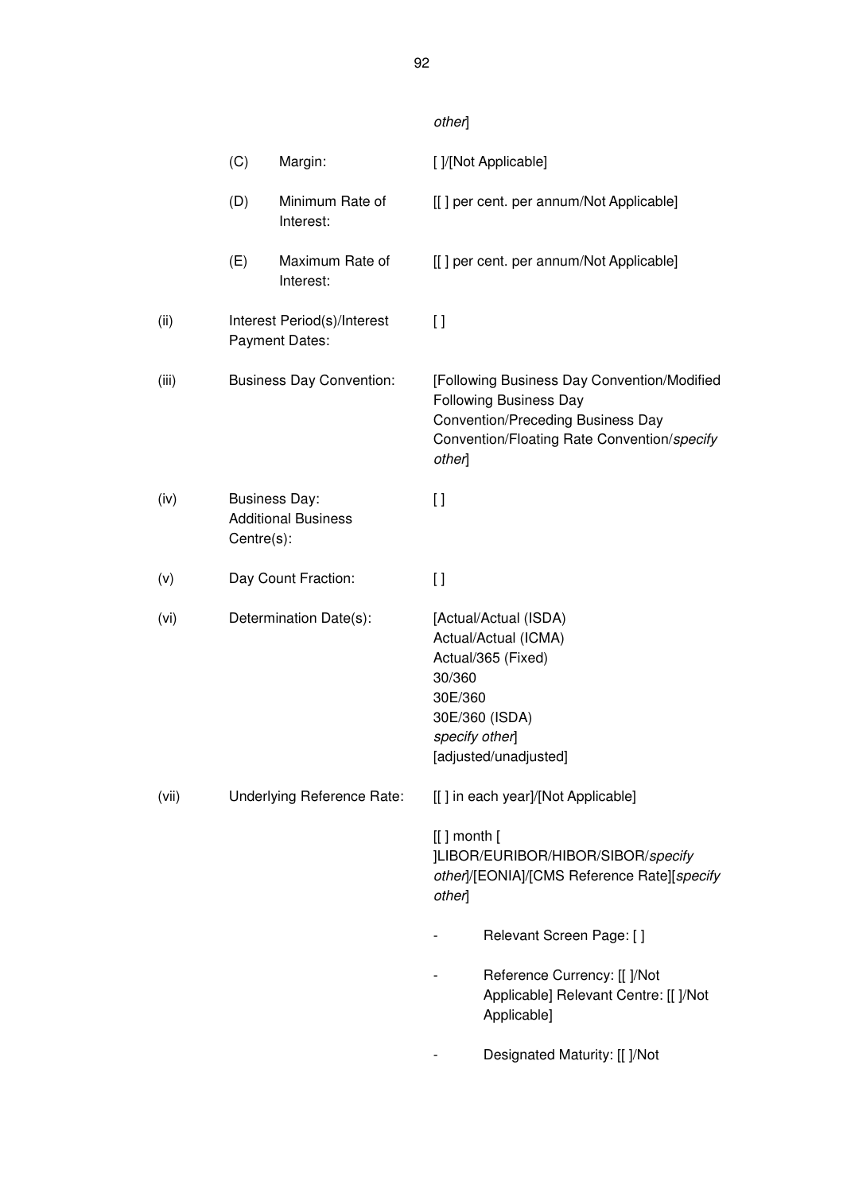# other]

|       | (C)        | Margin:                                            |                           | []/[Not Applicable]                                                                                                                                                     |
|-------|------------|----------------------------------------------------|---------------------------|-------------------------------------------------------------------------------------------------------------------------------------------------------------------------|
|       | (D)        | Minimum Rate of<br>Interest:                       |                           | [[] per cent. per annum/Not Applicable]                                                                                                                                 |
|       | (E)        | Maximum Rate of<br>Interest:                       |                           | [[] per cent. per annum/Not Applicable]                                                                                                                                 |
| (ii)  |            | Interest Period(s)/Interest<br>Payment Dates:      | $[ \ ]$                   |                                                                                                                                                                         |
| (iii) |            | <b>Business Day Convention:</b>                    | other]                    | [Following Business Day Convention/Modified<br><b>Following Business Day</b><br><b>Convention/Preceding Business Day</b><br>Convention/Floating Rate Convention/specify |
| (iv)  | Centre(s): | <b>Business Day:</b><br><b>Additional Business</b> | $\left[ \ \right]$        |                                                                                                                                                                         |
| (v)   |            | Day Count Fraction:                                | $\left[ \ \right]$        |                                                                                                                                                                         |
| (vi)  |            | Determination Date(s):                             | 30/360<br>30E/360         | [Actual/Actual (ISDA)<br>Actual/Actual (ICMA)<br>Actual/365 (Fixed)<br>30E/360 (ISDA)<br>specify other]<br>[adjusted/unadjusted]                                        |
| (vii) |            | Underlying Reference Rate:                         |                           | [[] in each year]/[Not Applicable]                                                                                                                                      |
|       |            |                                                    | $[[]$ month $[$<br>other] | ]LIBOR/EURIBOR/HIBOR/SIBOR/specify<br>other]/[EONIA]/[CMS Reference Rate][specify                                                                                       |
|       |            |                                                    |                           | Relevant Screen Page: []                                                                                                                                                |
|       |            |                                                    |                           | Reference Currency: [[ ]/Not<br>Applicable] Relevant Centre: [[ ]/Not<br>Applicable]                                                                                    |
|       |            |                                                    |                           | Designated Maturity: [[ ]/Not                                                                                                                                           |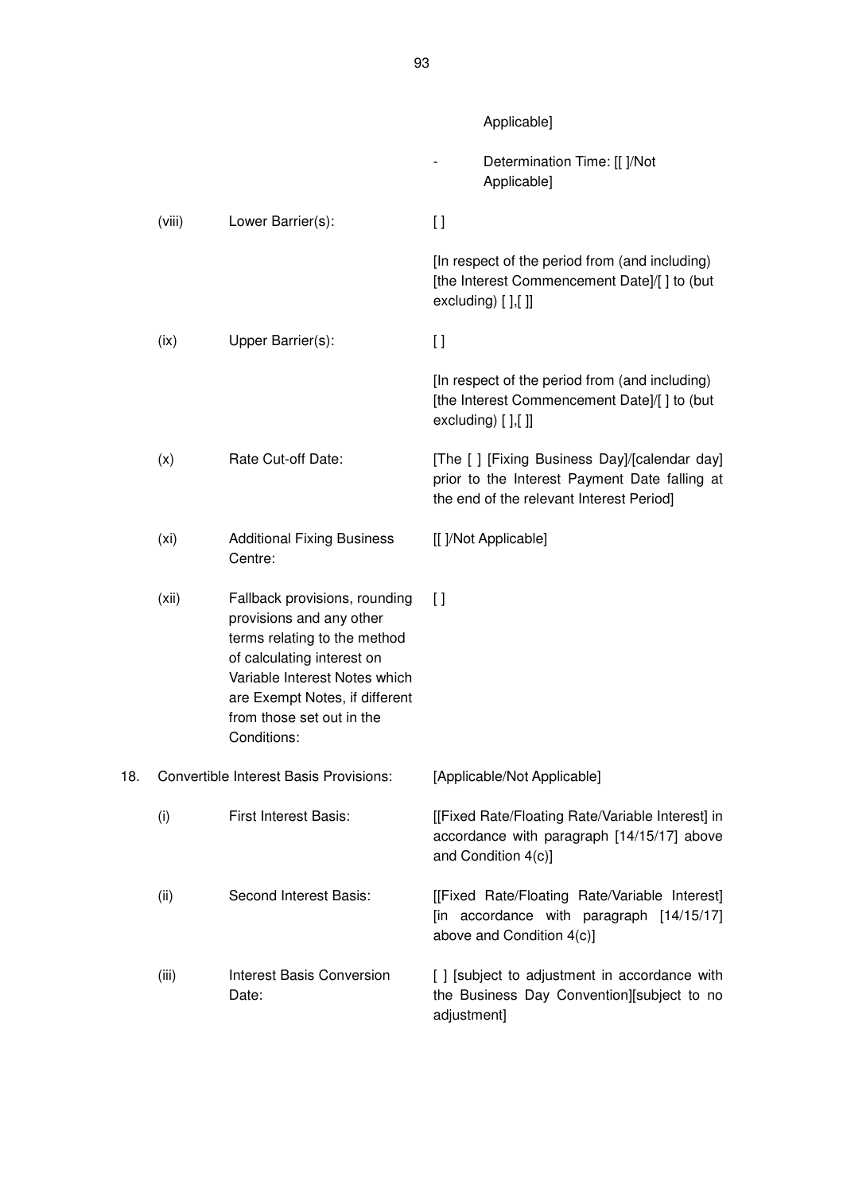Applicable] - Determination Time: [[ ]/Not Applicable] (viii) Lower Barrier(s): [ ] [In respect of the period from (and including) [the Interest Commencement Date]/[ ] to (but excluding) [ ],[ ]] (ix) Upper Barrier(s): [ ] [In respect of the period from (and including) [the Interest Commencement Date]/[ ] to (but excluding) [ ],[ ]] (x) Rate Cut-off Date: [The [ ] [Fixing Business Day]/[calendar day] prior to the Interest Payment Date falling at the end of the relevant Interest Period] (xi) Additional Fixing Business Centre: [[ ]/Not Applicable] (xii) Fallback provisions, rounding provisions and any other terms relating to the method of calculating interest on Variable Interest Notes which  $\lceil$ 

| 18. |       | <b>Convertible Interest Basis Provisions:</b> | [Applicable/Not Applicable]                                                                                            |  |  |
|-----|-------|-----------------------------------------------|------------------------------------------------------------------------------------------------------------------------|--|--|
|     | (i)   | First Interest Basis:                         | [[Fixed Rate/Floating Rate/Variable Interest] in<br>accordance with paragraph [14/15/17] above<br>and Condition 4(c)]  |  |  |
|     | (ii)  | Second Interest Basis:                        | [[Fixed Rate/Floating Rate/Variable Interest]<br>[in accordance with paragraph [14/15/17]<br>above and Condition 4(c)] |  |  |
|     | (iii) | Interest Basis Conversion<br>Date:            | [] [subject to adjustment in accordance with<br>the Business Day Convention][subject to no<br>adjustment]              |  |  |

are Exempt Notes, if different from those set out in the

Conditions: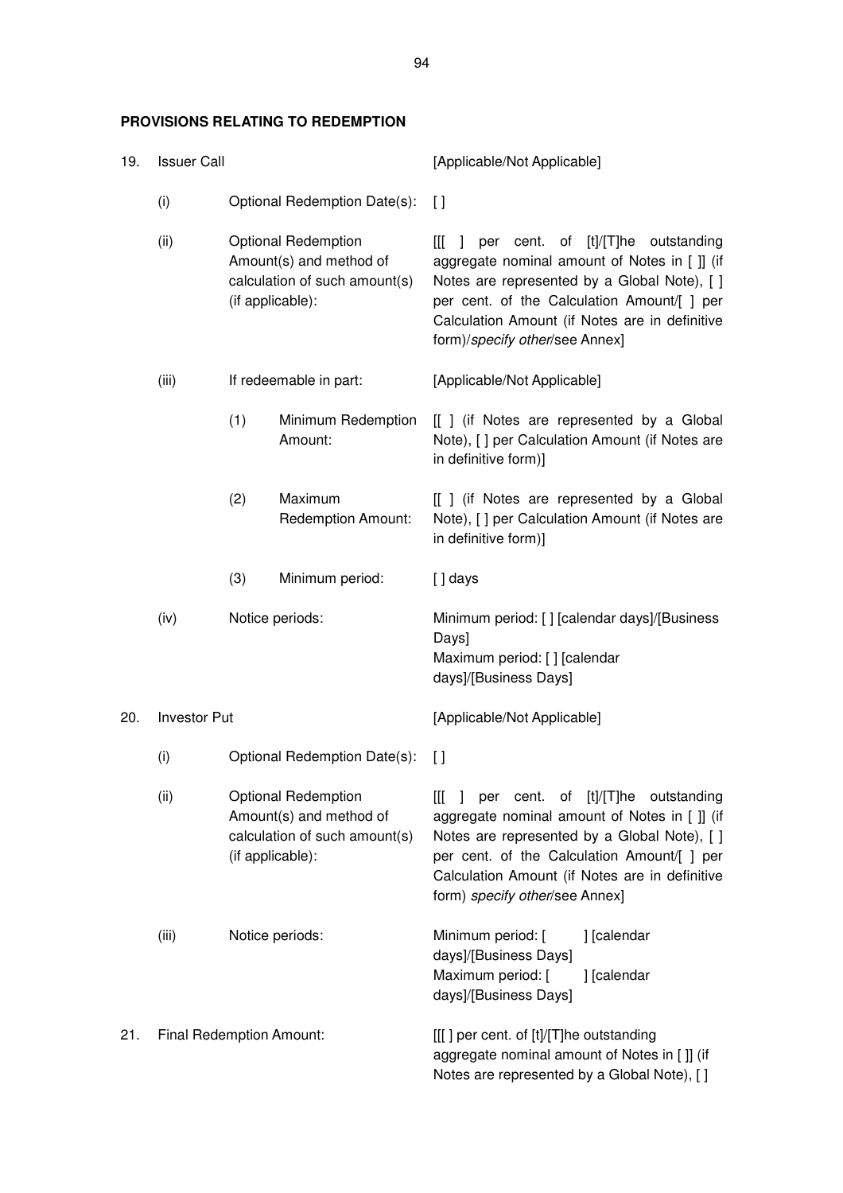## **PROVISIONS RELATING TO REDEMPTION**

| 19.  | <b>Issuer Call</b>                          |                                                                                                            |                               | [Applicable/Not Applicable]                                                                                                                                                                                                                                                                      |
|------|---------------------------------------------|------------------------------------------------------------------------------------------------------------|-------------------------------|--------------------------------------------------------------------------------------------------------------------------------------------------------------------------------------------------------------------------------------------------------------------------------------------------|
|      | (i)                                         |                                                                                                            | Optional Redemption Date(s):  | $\mathfrak{g}$                                                                                                                                                                                                                                                                                   |
|      | (ii)                                        | <b>Optional Redemption</b><br>Amount(s) and method of<br>calculation of such amount(s)<br>(if applicable): |                               | per cent. of [t]/[T]he outstanding<br>Ш<br>$\mathbf{L}$<br>aggregate nominal amount of Notes in [ ]] (if<br>Notes are represented by a Global Note), [ ]<br>per cent. of the Calculation Amount/[ ] per<br>Calculation Amount (if Notes are in definitive<br>form)/specify other/see Annex]      |
|      | (iii)                                       | If redeemable in part:                                                                                     |                               | [Applicable/Not Applicable]                                                                                                                                                                                                                                                                      |
|      |                                             | (1)                                                                                                        | Minimum Redemption<br>Amount: | [[ ] (if Notes are represented by a Global<br>Note), [ ] per Calculation Amount (if Notes are<br>in definitive form)]                                                                                                                                                                            |
|      | (2)<br>Maximum<br><b>Redemption Amount:</b> |                                                                                                            |                               | [[ ] (if Notes are represented by a Global<br>Note), [ ] per Calculation Amount (if Notes are<br>in definitive form)]                                                                                                                                                                            |
|      |                                             | (3)                                                                                                        | Minimum period:               | $[]$ days                                                                                                                                                                                                                                                                                        |
| (iv) |                                             | Notice periods:                                                                                            |                               | Minimum period: [] [calendar days]/[Business<br>Days]<br>Maximum period: [] [calendar<br>days]/[Business Days]                                                                                                                                                                                   |
| 20.  | <b>Investor Put</b>                         |                                                                                                            |                               | [Applicable/Not Applicable]                                                                                                                                                                                                                                                                      |
|      | (i)                                         | Optional Redemption Date(s):                                                                               |                               | $\Box$                                                                                                                                                                                                                                                                                           |
|      | (ii)                                        | <b>Optional Redemption</b><br>Amount(s) and method of<br>calculation of such amount(s)<br>(if applicable): |                               | cent. of [t]/[T]he outstanding<br>[[[<br>$\mathbf{I}$<br>per<br>aggregate nominal amount of Notes in [ ]] (if<br>Notes are represented by a Global Note), [ ]<br>per cent. of the Calculation Amount/[ ] per<br>Calculation Amount (if Notes are in definitive<br>form) specify other/see Annex] |
|      | (iii)                                       |                                                                                                            | Notice periods:               | Minimum period: [<br>] [calendar<br>days]/[Business Days]<br>Maximum period: [<br>] [calendar<br>days]/[Business Days]                                                                                                                                                                           |
| 21.  | Final Redemption Amount:                    |                                                                                                            |                               | [[[] per cent. of [t]/[T]he outstanding<br>aggregate nominal amount of Notes in [ ]] (if<br>Notes are represented by a Global Note), [ ]                                                                                                                                                         |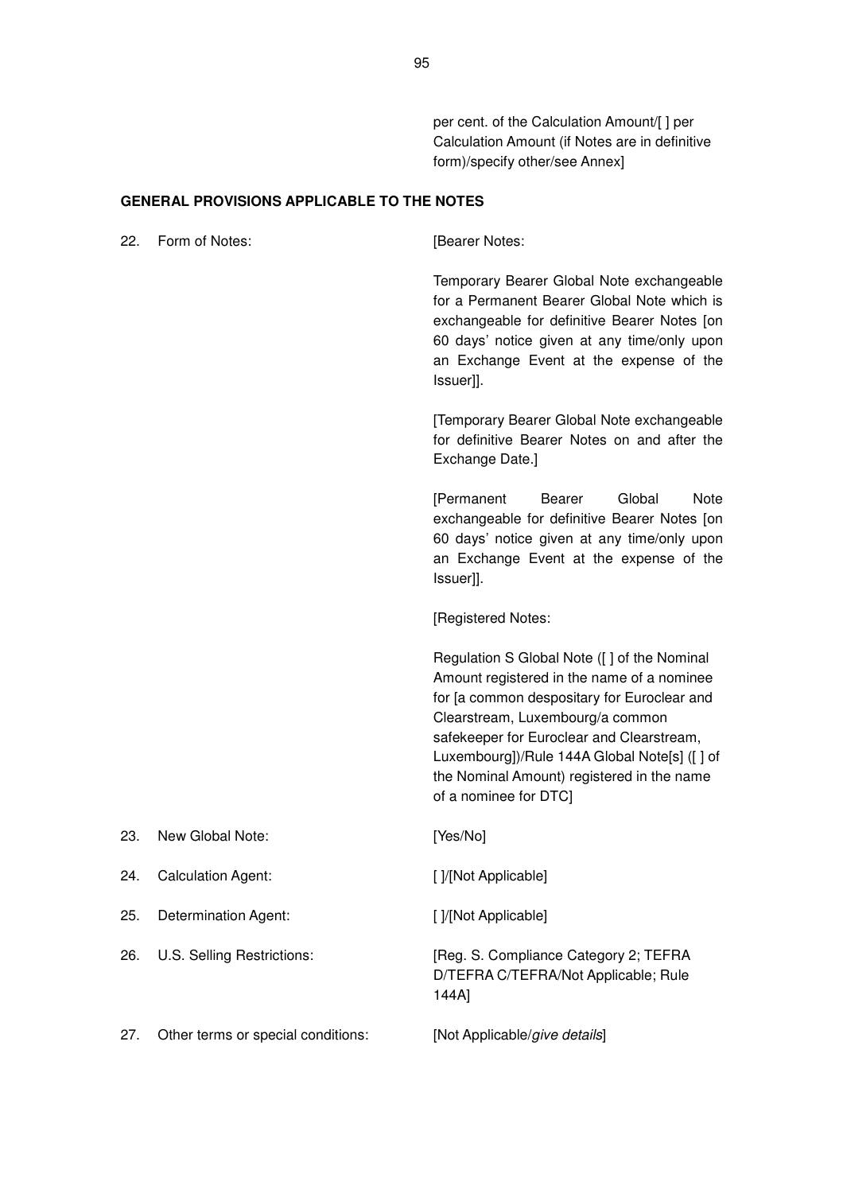per cent. of the Calculation Amount/[ ] per Calculation Amount (if Notes are in definitive form)/specify other/see Annex]

#### **GENERAL PROVISIONS APPLICABLE TO THE NOTES**

22. Form of Notes: [Bearer Notes: Temporary Bearer Global Note exchangeable for a Permanent Bearer Global Note which is exchangeable for definitive Bearer Notes [on 60 days' notice given at any time/only upon an Exchange Event at the expense of the Issuer]]. [Temporary Bearer Global Note exchangeable for definitive Bearer Notes on and after the Exchange Date.] [Permanent Bearer Global Note exchangeable for definitive Bearer Notes [on 60 days' notice given at any time/only upon an Exchange Event at the expense of the Issuer]]. [Registered Notes: Regulation S Global Note ([ ] of the Nominal Amount registered in the name of a nominee for [a common despositary for Euroclear and Clearstream, Luxembourg/a common safekeeper for Euroclear and Clearstream, Luxembourg])/Rule 144A Global Note[s] ([ ] of the Nominal Amount) registered in the name of a nominee for DTC] 23. New Global Note: [Yes/No] 24. Calculation Agent: [ ]/[Not Applicable] 25. Determination Agent: [ ] [] [[Not Applicable] 26. U.S. Selling Restrictions: [Reg. S. Compliance Category 2; TEFRA D/TEFRA C/TEFRA/Not Applicable; Rule 144A] 27. Other terms or special conditions: [Not Applicable/give details]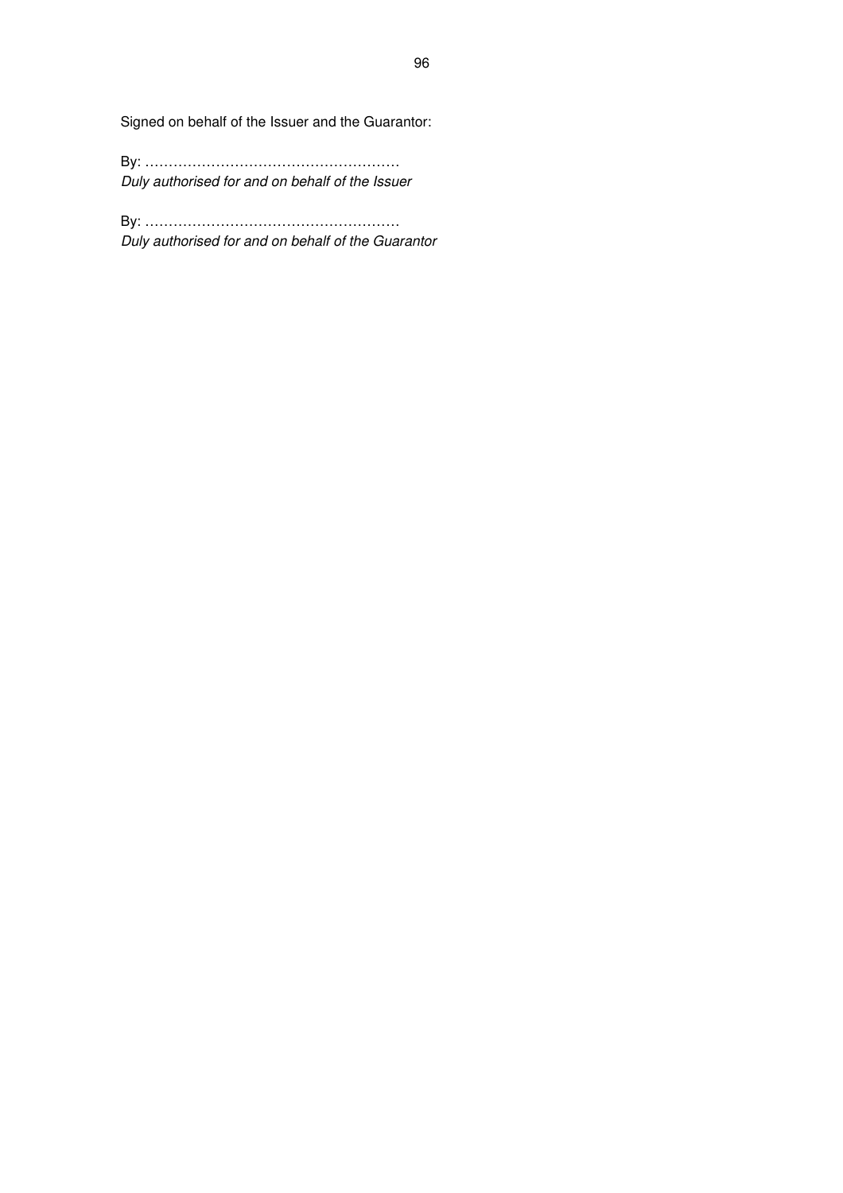Signed on behalf of the Issuer and the Guarantor:

By: ……………………………………………… Duly authorised for and on behalf of the Issuer

By: ……………………………………………… Duly authorised for and on behalf of the Guarantor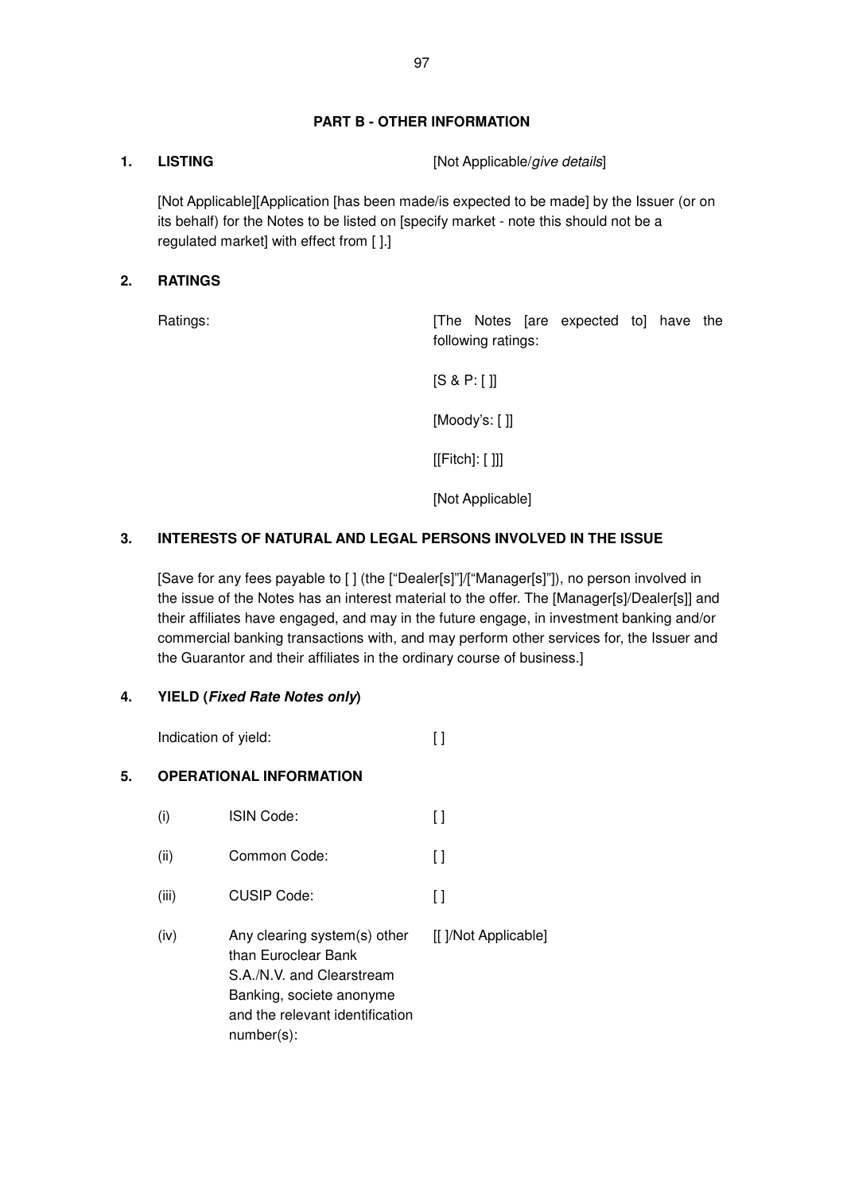## **PART B - OTHER INFORMATION**

**1.** LISTING [Not Applicable/give details]

[Not Applicable][Application [has been made/is expected to be made] by the Issuer (or on its behalf) for the Notes to be listed on [specify market - note this should not be a regulated market] with effect from [ ].]

## **2. RATINGS**

Ratings: The Notes [are expected to] have the following ratings:

[S & P: [ ]]

[Moody's: [ ]]

[[Fitch]: [ ]]]

[Not Applicable]

## **3. INTERESTS OF NATURAL AND LEGAL PERSONS INVOLVED IN THE ISSUE**

[Save for any fees payable to [ ] (the ["Dealer[s]"]/["Manager[s]"]), no person involved in the issue of the Notes has an interest material to the offer. The [Manager[s]/Dealer[s]] and their affiliates have engaged, and may in the future engage, in investment banking and/or commercial banking transactions with, and may perform other services for, the Issuer and the Guarantor and their affiliates in the ordinary course of business.]

### **4. YIELD (Fixed Rate Notes only)**

Indication of yield: [ ]

## **5. OPERATIONAL INFORMATION**

(i) ISIN Code: [ ] (ii) Common Code: [ ] (iii) CUSIP Code: [ ] (iv) Any clearing system(s) other than Euroclear Bank S.A./N.V. and Clearstream Banking, societe anonyme and the relevant identification number(s): [[ ]/Not Applicable]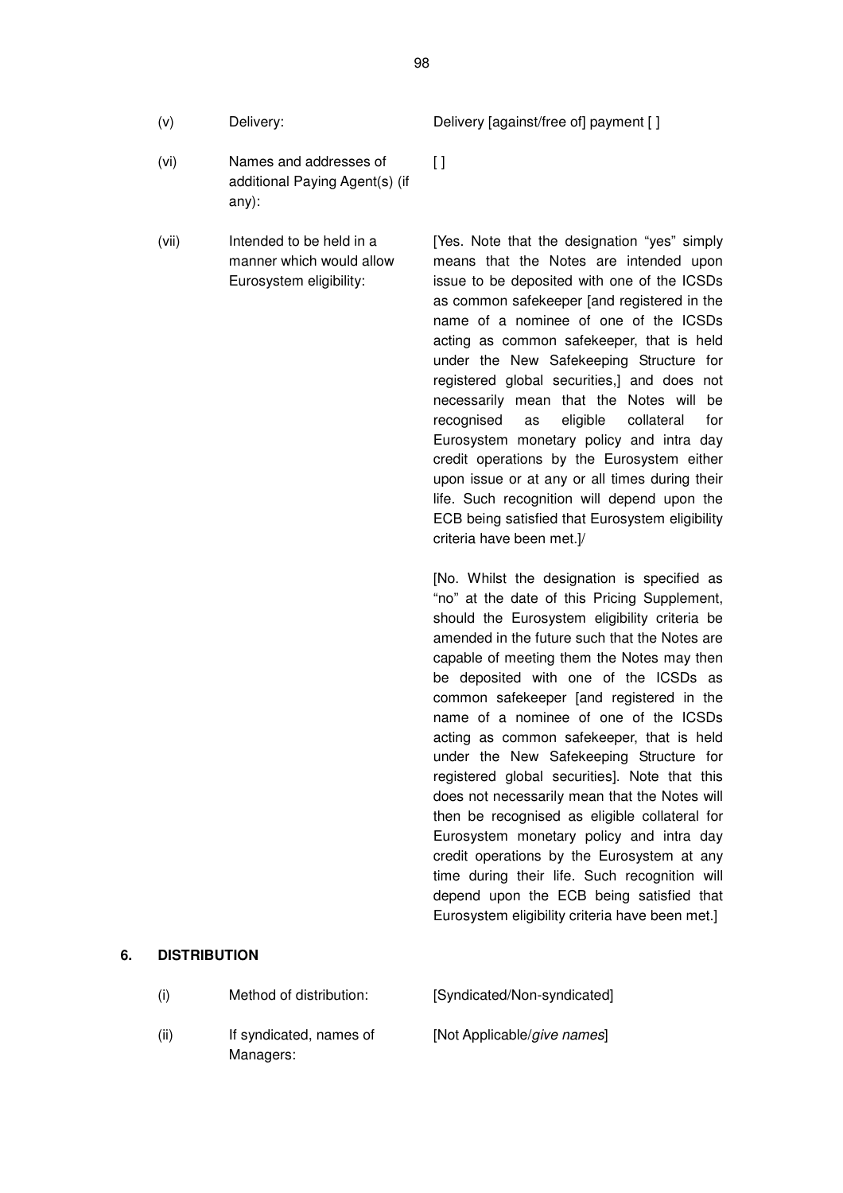- 
- (vi) Names and addresses of additional Paying Agent(s) (if any):
- (vii) Intended to be held in a manner which would allow Eurosystem eligibility:

(v) Delivery: Delivery [against/free of] payment [ ]

 $\lceil$ 

[Yes. Note that the designation "yes" simply means that the Notes are intended upon issue to be deposited with one of the ICSDs as common safekeeper [and registered in the name of a nominee of one of the ICSDs acting as common safekeeper, that is held under the New Safekeeping Structure for registered global securities,] and does not necessarily mean that the Notes will be recognised as eligible collateral for Eurosystem monetary policy and intra day credit operations by the Eurosystem either upon issue or at any or all times during their life. Such recognition will depend upon the ECB being satisfied that Eurosystem eligibility criteria have been met.]/

[No. Whilst the designation is specified as "no" at the date of this Pricing Supplement, should the Eurosystem eligibility criteria be amended in the future such that the Notes are capable of meeting them the Notes may then be deposited with one of the ICSDs as common safekeeper [and registered in the name of a nominee of one of the ICSDs acting as common safekeeper, that is held under the New Safekeeping Structure for registered global securities]. Note that this does not necessarily mean that the Notes will then be recognised as eligible collateral for Eurosystem monetary policy and intra day credit operations by the Eurosystem at any time during their life. Such recognition will depend upon the ECB being satisfied that Eurosystem eligibility criteria have been met.]

#### **6. DISTRIBUTION**

Managers:

(i) Method of distribution: [Syndicated/Non-syndicated] (ii) If syndicated, names of [Not Applicable/give names]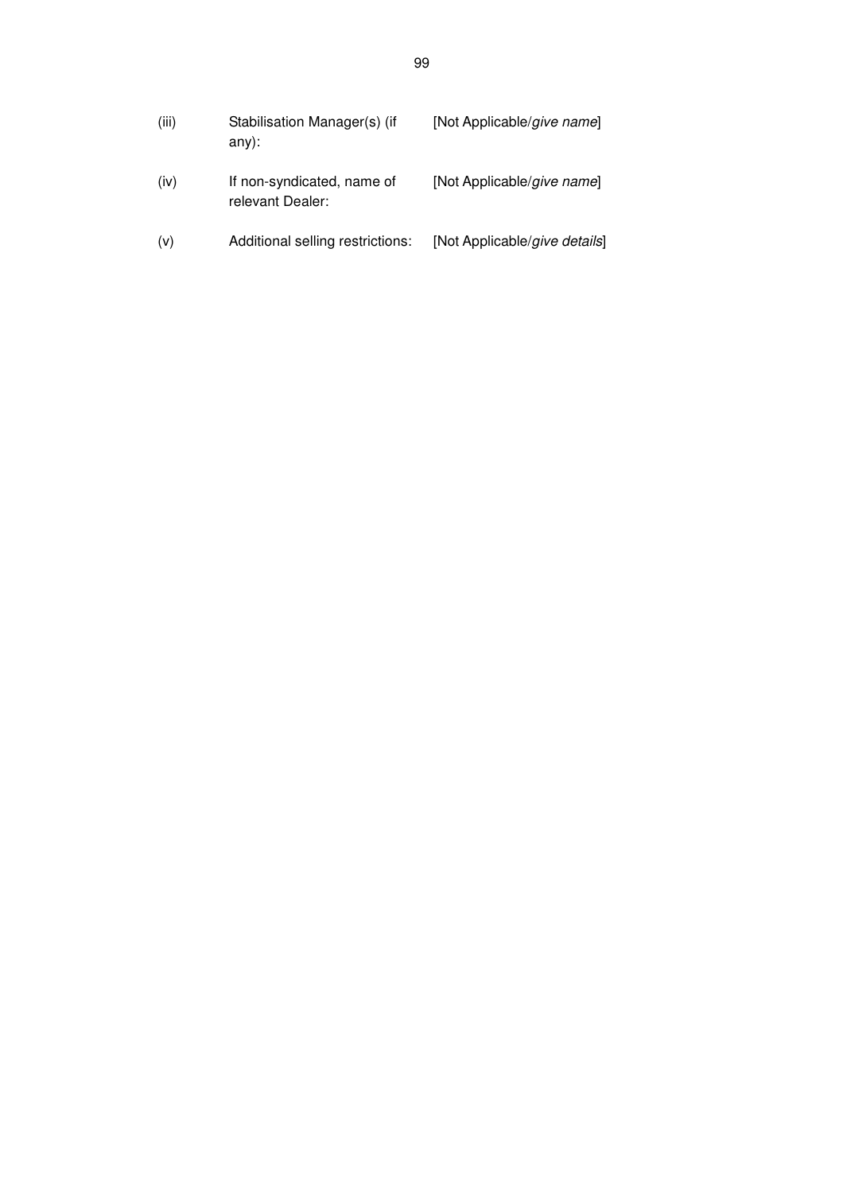| (iii) | Stabilisation Manager(s) (if<br>$any)$ :       | [Not Applicable/give name]    |
|-------|------------------------------------------------|-------------------------------|
| (iv)  | If non-syndicated, name of<br>relevant Dealer: | [Not Applicable/give name]    |
| (v)   | Additional selling restrictions:               | [Not Applicable/give details] |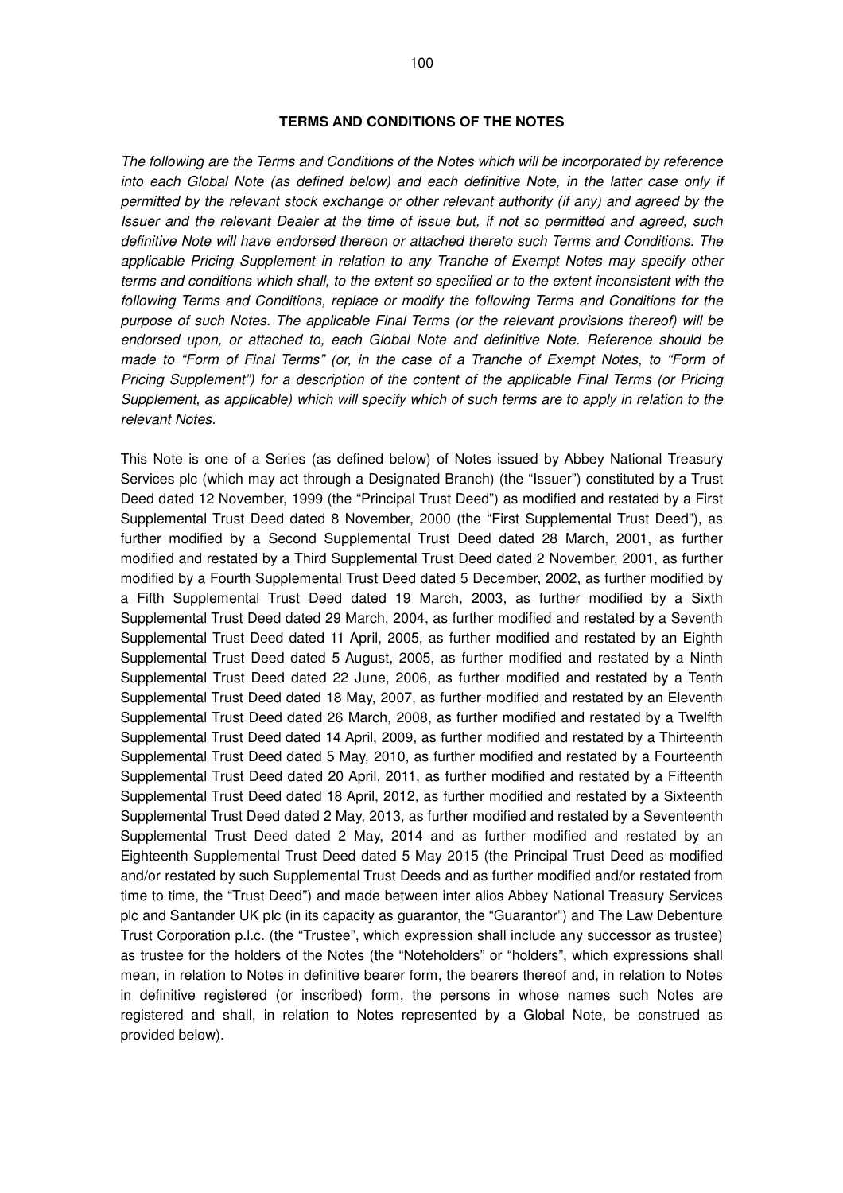#### **TERMS AND CONDITIONS OF THE NOTES**

The following are the Terms and Conditions of the Notes which will be incorporated by reference into each Global Note (as defined below) and each definitive Note, in the latter case only if permitted by the relevant stock exchange or other relevant authority (if any) and agreed by the Issuer and the relevant Dealer at the time of issue but, if not so permitted and agreed, such definitive Note will have endorsed thereon or attached thereto such Terms and Conditions. The applicable Pricing Supplement in relation to any Tranche of Exempt Notes may specify other terms and conditions which shall, to the extent so specified or to the extent inconsistent with the following Terms and Conditions, replace or modify the following Terms and Conditions for the purpose of such Notes. The applicable Final Terms (or the relevant provisions thereof) will be endorsed upon, or attached to, each Global Note and definitive Note. Reference should be made to "Form of Final Terms" (or, in the case of a Tranche of Exempt Notes, to "Form of Pricing Supplement") for a description of the content of the applicable Final Terms (or Pricing Supplement, as applicable) which will specify which of such terms are to apply in relation to the relevant Notes.

This Note is one of a Series (as defined below) of Notes issued by Abbey National Treasury Services plc (which may act through a Designated Branch) (the "Issuer") constituted by a Trust Deed dated 12 November, 1999 (the "Principal Trust Deed") as modified and restated by a First Supplemental Trust Deed dated 8 November, 2000 (the "First Supplemental Trust Deed"), as further modified by a Second Supplemental Trust Deed dated 28 March, 2001, as further modified and restated by a Third Supplemental Trust Deed dated 2 November, 2001, as further modified by a Fourth Supplemental Trust Deed dated 5 December, 2002, as further modified by a Fifth Supplemental Trust Deed dated 19 March, 2003, as further modified by a Sixth Supplemental Trust Deed dated 29 March, 2004, as further modified and restated by a Seventh Supplemental Trust Deed dated 11 April, 2005, as further modified and restated by an Eighth Supplemental Trust Deed dated 5 August, 2005, as further modified and restated by a Ninth Supplemental Trust Deed dated 22 June, 2006, as further modified and restated by a Tenth Supplemental Trust Deed dated 18 May, 2007, as further modified and restated by an Eleventh Supplemental Trust Deed dated 26 March, 2008, as further modified and restated by a Twelfth Supplemental Trust Deed dated 14 April, 2009, as further modified and restated by a Thirteenth Supplemental Trust Deed dated 5 May, 2010, as further modified and restated by a Fourteenth Supplemental Trust Deed dated 20 April, 2011, as further modified and restated by a Fifteenth Supplemental Trust Deed dated 18 April, 2012, as further modified and restated by a Sixteenth Supplemental Trust Deed dated 2 May, 2013, as further modified and restated by a Seventeenth Supplemental Trust Deed dated 2 May, 2014 and as further modified and restated by an Eighteenth Supplemental Trust Deed dated 5 May 2015 (the Principal Trust Deed as modified and/or restated by such Supplemental Trust Deeds and as further modified and/or restated from time to time, the "Trust Deed") and made between inter alios Abbey National Treasury Services plc and Santander UK plc (in its capacity as guarantor, the "Guarantor") and The Law Debenture Trust Corporation p.l.c. (the "Trustee", which expression shall include any successor as trustee) as trustee for the holders of the Notes (the "Noteholders" or "holders", which expressions shall mean, in relation to Notes in definitive bearer form, the bearers thereof and, in relation to Notes in definitive registered (or inscribed) form, the persons in whose names such Notes are registered and shall, in relation to Notes represented by a Global Note, be construed as provided below).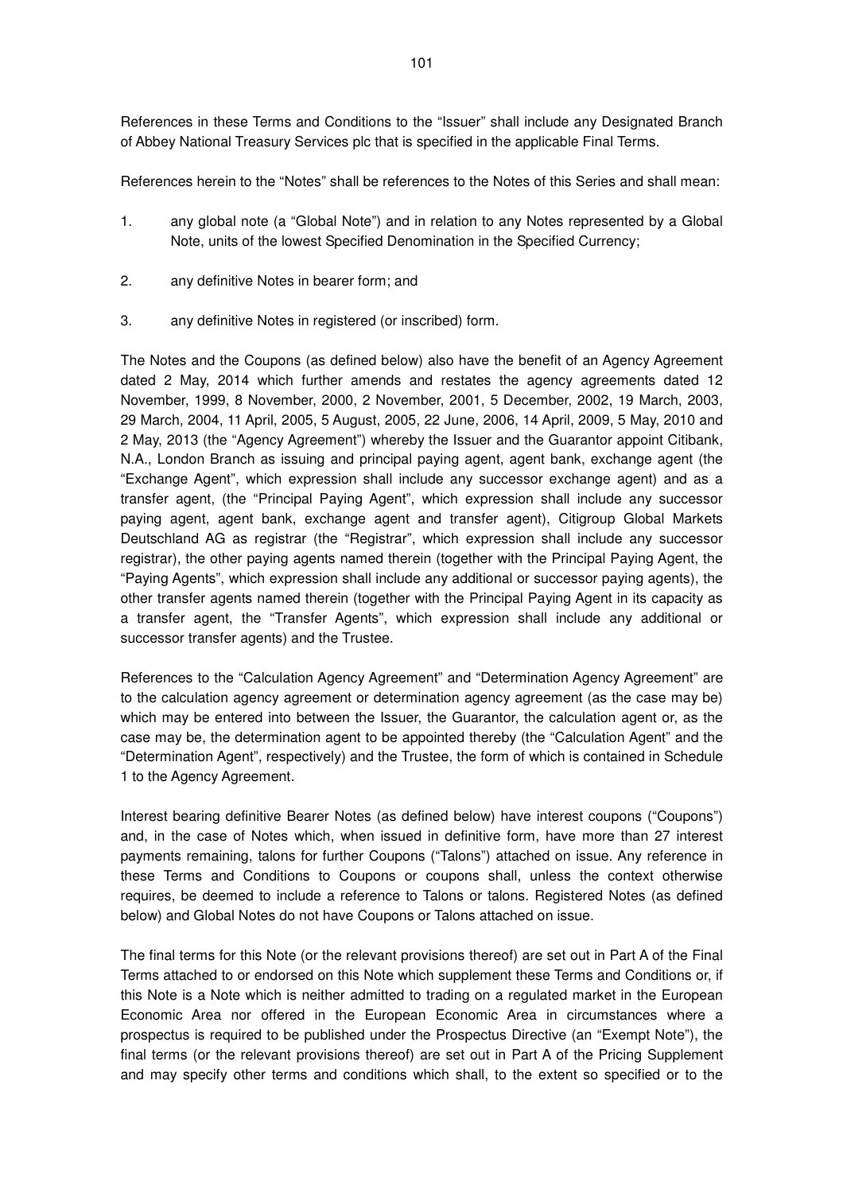References in these Terms and Conditions to the "Issuer" shall include any Designated Branch of Abbey National Treasury Services plc that is specified in the applicable Final Terms.

References herein to the "Notes" shall be references to the Notes of this Series and shall mean:

- 1. any global note (a "Global Note") and in relation to any Notes represented by a Global Note, units of the lowest Specified Denomination in the Specified Currency;
- 2. any definitive Notes in bearer form; and
- 3. any definitive Notes in registered (or inscribed) form.

The Notes and the Coupons (as defined below) also have the benefit of an Agency Agreement dated 2 May, 2014 which further amends and restates the agency agreements dated 12 November, 1999, 8 November, 2000, 2 November, 2001, 5 December, 2002, 19 March, 2003, 29 March, 2004, 11 April, 2005, 5 August, 2005, 22 June, 2006, 14 April, 2009, 5 May, 2010 and 2 May, 2013 (the "Agency Agreement") whereby the Issuer and the Guarantor appoint Citibank, N.A., London Branch as issuing and principal paying agent, agent bank, exchange agent (the "Exchange Agent", which expression shall include any successor exchange agent) and as a transfer agent, (the "Principal Paying Agent", which expression shall include any successor paying agent, agent bank, exchange agent and transfer agent), Citigroup Global Markets Deutschland AG as registrar (the "Registrar", which expression shall include any successor registrar), the other paying agents named therein (together with the Principal Paying Agent, the "Paying Agents", which expression shall include any additional or successor paying agents), the other transfer agents named therein (together with the Principal Paying Agent in its capacity as a transfer agent, the "Transfer Agents", which expression shall include any additional or successor transfer agents) and the Trustee.

References to the "Calculation Agency Agreement" and "Determination Agency Agreement" are to the calculation agency agreement or determination agency agreement (as the case may be) which may be entered into between the Issuer, the Guarantor, the calculation agent or, as the case may be, the determination agent to be appointed thereby (the "Calculation Agent" and the "Determination Agent", respectively) and the Trustee, the form of which is contained in Schedule 1 to the Agency Agreement.

Interest bearing definitive Bearer Notes (as defined below) have interest coupons ("Coupons") and, in the case of Notes which, when issued in definitive form, have more than 27 interest payments remaining, talons for further Coupons ("Talons") attached on issue. Any reference in these Terms and Conditions to Coupons or coupons shall, unless the context otherwise requires, be deemed to include a reference to Talons or talons. Registered Notes (as defined below) and Global Notes do not have Coupons or Talons attached on issue.

The final terms for this Note (or the relevant provisions thereof) are set out in Part A of the Final Terms attached to or endorsed on this Note which supplement these Terms and Conditions or, if this Note is a Note which is neither admitted to trading on a regulated market in the European Economic Area nor offered in the European Economic Area in circumstances where a prospectus is required to be published under the Prospectus Directive (an "Exempt Note"), the final terms (or the relevant provisions thereof) are set out in Part A of the Pricing Supplement and may specify other terms and conditions which shall, to the extent so specified or to the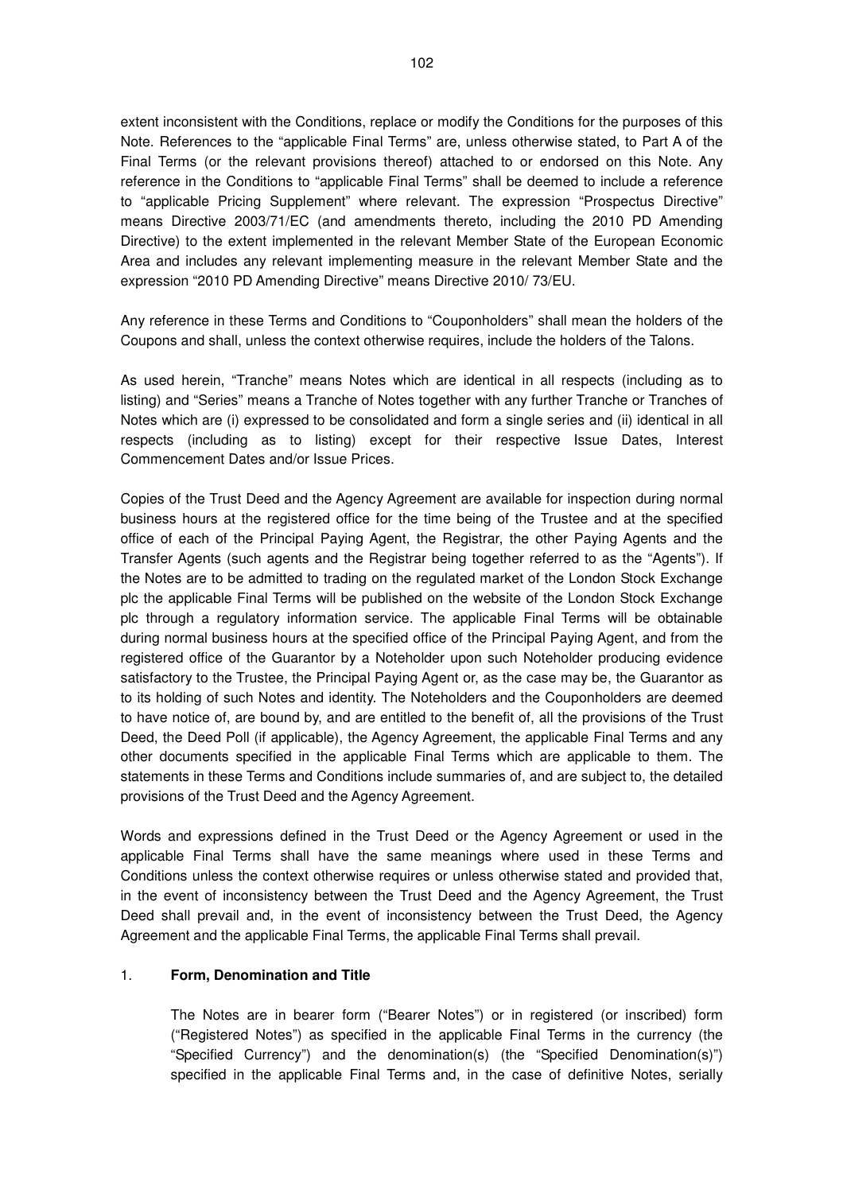extent inconsistent with the Conditions, replace or modify the Conditions for the purposes of this Note. References to the "applicable Final Terms" are, unless otherwise stated, to Part A of the Final Terms (or the relevant provisions thereof) attached to or endorsed on this Note. Any reference in the Conditions to "applicable Final Terms" shall be deemed to include a reference to "applicable Pricing Supplement" where relevant. The expression "Prospectus Directive" means Directive 2003/71/EC (and amendments thereto, including the 2010 PD Amending Directive) to the extent implemented in the relevant Member State of the European Economic Area and includes any relevant implementing measure in the relevant Member State and the expression "2010 PD Amending Directive" means Directive 2010/ 73/EU.

Any reference in these Terms and Conditions to "Couponholders" shall mean the holders of the Coupons and shall, unless the context otherwise requires, include the holders of the Talons.

As used herein, "Tranche" means Notes which are identical in all respects (including as to listing) and "Series" means a Tranche of Notes together with any further Tranche or Tranches of Notes which are (i) expressed to be consolidated and form a single series and (ii) identical in all respects (including as to listing) except for their respective Issue Dates, Interest Commencement Dates and/or Issue Prices.

Copies of the Trust Deed and the Agency Agreement are available for inspection during normal business hours at the registered office for the time being of the Trustee and at the specified office of each of the Principal Paying Agent, the Registrar, the other Paying Agents and the Transfer Agents (such agents and the Registrar being together referred to as the "Agents"). If the Notes are to be admitted to trading on the regulated market of the London Stock Exchange plc the applicable Final Terms will be published on the website of the London Stock Exchange plc through a regulatory information service. The applicable Final Terms will be obtainable during normal business hours at the specified office of the Principal Paying Agent, and from the registered office of the Guarantor by a Noteholder upon such Noteholder producing evidence satisfactory to the Trustee, the Principal Paying Agent or, as the case may be, the Guarantor as to its holding of such Notes and identity. The Noteholders and the Couponholders are deemed to have notice of, are bound by, and are entitled to the benefit of, all the provisions of the Trust Deed, the Deed Poll (if applicable), the Agency Agreement, the applicable Final Terms and any other documents specified in the applicable Final Terms which are applicable to them. The statements in these Terms and Conditions include summaries of, and are subject to, the detailed provisions of the Trust Deed and the Agency Agreement.

Words and expressions defined in the Trust Deed or the Agency Agreement or used in the applicable Final Terms shall have the same meanings where used in these Terms and Conditions unless the context otherwise requires or unless otherwise stated and provided that, in the event of inconsistency between the Trust Deed and the Agency Agreement, the Trust Deed shall prevail and, in the event of inconsistency between the Trust Deed, the Agency Agreement and the applicable Final Terms, the applicable Final Terms shall prevail.

#### 1. **Form, Denomination and Title**

The Notes are in bearer form ("Bearer Notes") or in registered (or inscribed) form ("Registered Notes") as specified in the applicable Final Terms in the currency (the "Specified Currency") and the denomination(s) (the "Specified Denomination(s)") specified in the applicable Final Terms and, in the case of definitive Notes, serially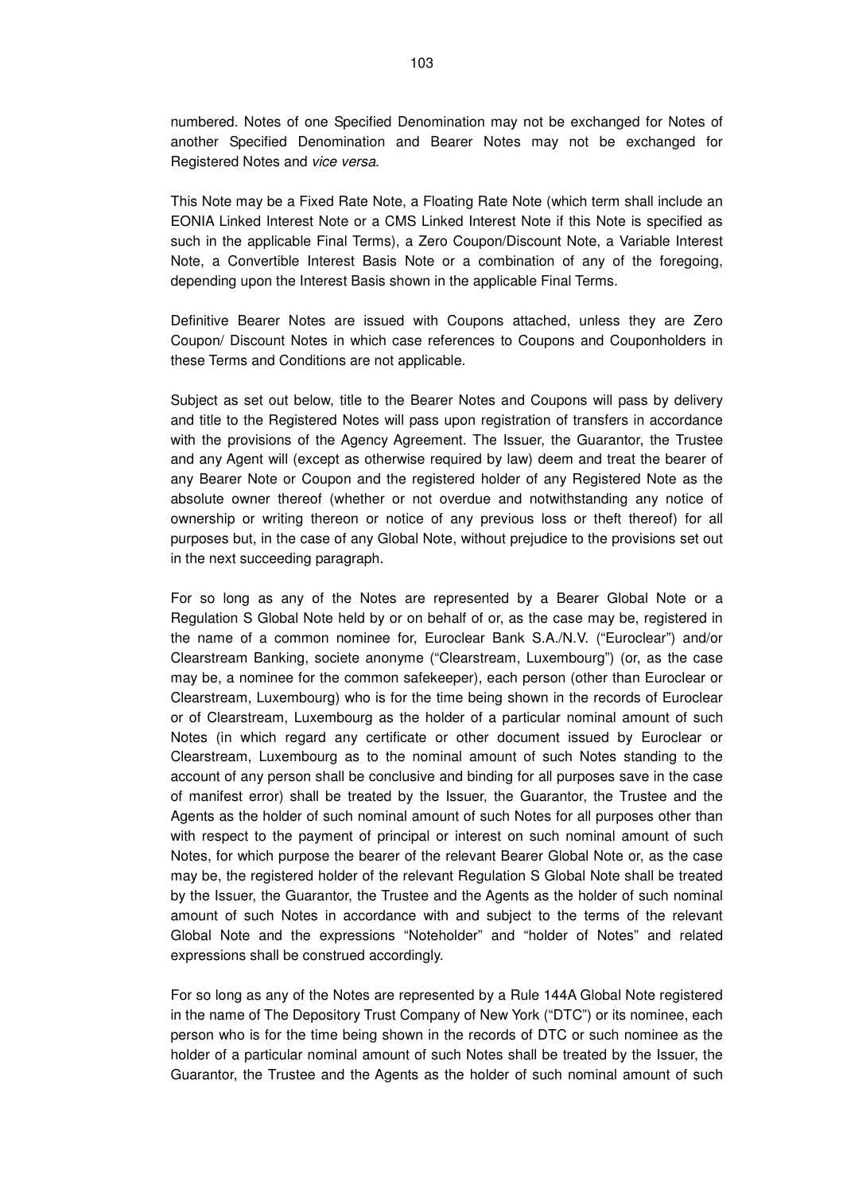numbered. Notes of one Specified Denomination may not be exchanged for Notes of another Specified Denomination and Bearer Notes may not be exchanged for Registered Notes and vice versa.

This Note may be a Fixed Rate Note, a Floating Rate Note (which term shall include an EONIA Linked Interest Note or a CMS Linked Interest Note if this Note is specified as such in the applicable Final Terms), a Zero Coupon/Discount Note, a Variable Interest Note, a Convertible Interest Basis Note or a combination of any of the foregoing, depending upon the Interest Basis shown in the applicable Final Terms.

Definitive Bearer Notes are issued with Coupons attached, unless they are Zero Coupon/ Discount Notes in which case references to Coupons and Couponholders in these Terms and Conditions are not applicable.

Subject as set out below, title to the Bearer Notes and Coupons will pass by delivery and title to the Registered Notes will pass upon registration of transfers in accordance with the provisions of the Agency Agreement. The Issuer, the Guarantor, the Trustee and any Agent will (except as otherwise required by law) deem and treat the bearer of any Bearer Note or Coupon and the registered holder of any Registered Note as the absolute owner thereof (whether or not overdue and notwithstanding any notice of ownership or writing thereon or notice of any previous loss or theft thereof) for all purposes but, in the case of any Global Note, without prejudice to the provisions set out in the next succeeding paragraph.

For so long as any of the Notes are represented by a Bearer Global Note or a Regulation S Global Note held by or on behalf of or, as the case may be, registered in the name of a common nominee for, Euroclear Bank S.A./N.V. ("Euroclear") and/or Clearstream Banking, societe anonyme ("Clearstream, Luxembourg") (or, as the case may be, a nominee for the common safekeeper), each person (other than Euroclear or Clearstream, Luxembourg) who is for the time being shown in the records of Euroclear or of Clearstream, Luxembourg as the holder of a particular nominal amount of such Notes (in which regard any certificate or other document issued by Euroclear or Clearstream, Luxembourg as to the nominal amount of such Notes standing to the account of any person shall be conclusive and binding for all purposes save in the case of manifest error) shall be treated by the Issuer, the Guarantor, the Trustee and the Agents as the holder of such nominal amount of such Notes for all purposes other than with respect to the payment of principal or interest on such nominal amount of such Notes, for which purpose the bearer of the relevant Bearer Global Note or, as the case may be, the registered holder of the relevant Regulation S Global Note shall be treated by the Issuer, the Guarantor, the Trustee and the Agents as the holder of such nominal amount of such Notes in accordance with and subject to the terms of the relevant Global Note and the expressions "Noteholder" and "holder of Notes" and related expressions shall be construed accordingly.

For so long as any of the Notes are represented by a Rule 144A Global Note registered in the name of The Depository Trust Company of New York ("DTC") or its nominee, each person who is for the time being shown in the records of DTC or such nominee as the holder of a particular nominal amount of such Notes shall be treated by the Issuer, the Guarantor, the Trustee and the Agents as the holder of such nominal amount of such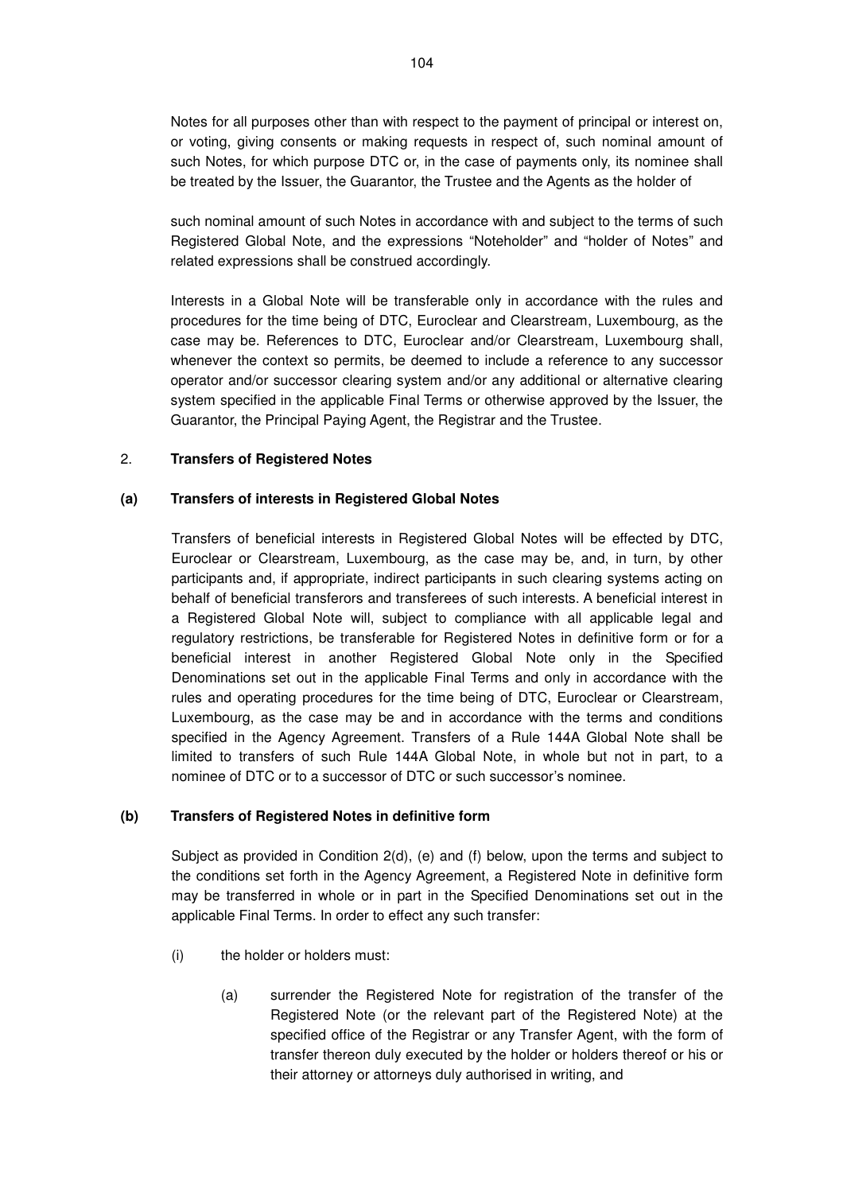Notes for all purposes other than with respect to the payment of principal or interest on, or voting, giving consents or making requests in respect of, such nominal amount of such Notes, for which purpose DTC or, in the case of payments only, its nominee shall be treated by the Issuer, the Guarantor, the Trustee and the Agents as the holder of

such nominal amount of such Notes in accordance with and subject to the terms of such Registered Global Note, and the expressions "Noteholder" and "holder of Notes" and related expressions shall be construed accordingly.

Interests in a Global Note will be transferable only in accordance with the rules and procedures for the time being of DTC, Euroclear and Clearstream, Luxembourg, as the case may be. References to DTC, Euroclear and/or Clearstream, Luxembourg shall, whenever the context so permits, be deemed to include a reference to any successor operator and/or successor clearing system and/or any additional or alternative clearing system specified in the applicable Final Terms or otherwise approved by the Issuer, the Guarantor, the Principal Paying Agent, the Registrar and the Trustee.

#### 2. **Transfers of Registered Notes**

#### **(a) Transfers of interests in Registered Global Notes**

Transfers of beneficial interests in Registered Global Notes will be effected by DTC, Euroclear or Clearstream, Luxembourg, as the case may be, and, in turn, by other participants and, if appropriate, indirect participants in such clearing systems acting on behalf of beneficial transferors and transferees of such interests. A beneficial interest in a Registered Global Note will, subject to compliance with all applicable legal and regulatory restrictions, be transferable for Registered Notes in definitive form or for a beneficial interest in another Registered Global Note only in the Specified Denominations set out in the applicable Final Terms and only in accordance with the rules and operating procedures for the time being of DTC, Euroclear or Clearstream, Luxembourg, as the case may be and in accordance with the terms and conditions specified in the Agency Agreement. Transfers of a Rule 144A Global Note shall be limited to transfers of such Rule 144A Global Note, in whole but not in part, to a nominee of DTC or to a successor of DTC or such successor's nominee.

### **(b) Transfers of Registered Notes in definitive form**

Subject as provided in Condition 2(d), (e) and (f) below, upon the terms and subject to the conditions set forth in the Agency Agreement, a Registered Note in definitive form may be transferred in whole or in part in the Specified Denominations set out in the applicable Final Terms. In order to effect any such transfer:

- (i) the holder or holders must:
	- (a) surrender the Registered Note for registration of the transfer of the Registered Note (or the relevant part of the Registered Note) at the specified office of the Registrar or any Transfer Agent, with the form of transfer thereon duly executed by the holder or holders thereof or his or their attorney or attorneys duly authorised in writing, and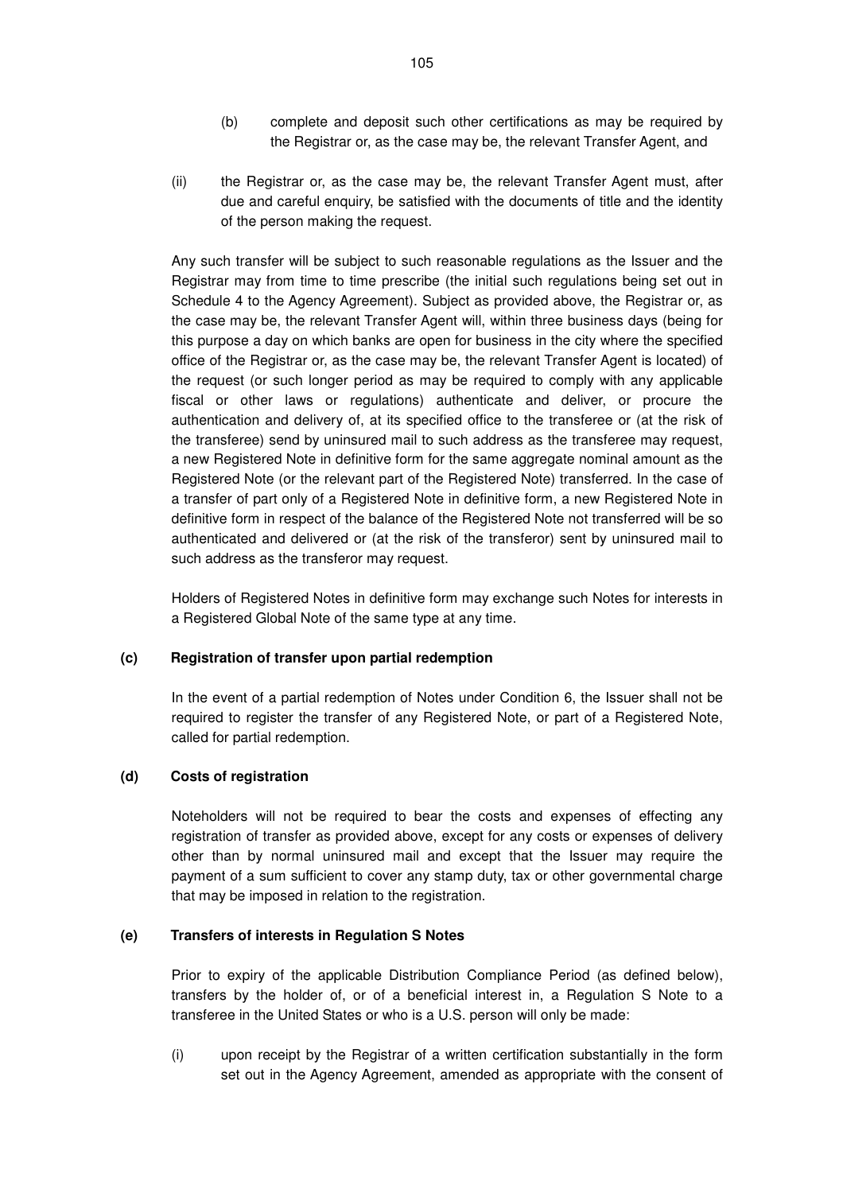- (b) complete and deposit such other certifications as may be required by the Registrar or, as the case may be, the relevant Transfer Agent, and
- (ii) the Registrar or, as the case may be, the relevant Transfer Agent must, after due and careful enquiry, be satisfied with the documents of title and the identity of the person making the request.

Any such transfer will be subject to such reasonable regulations as the Issuer and the Registrar may from time to time prescribe (the initial such regulations being set out in Schedule 4 to the Agency Agreement). Subject as provided above, the Registrar or, as the case may be, the relevant Transfer Agent will, within three business days (being for this purpose a day on which banks are open for business in the city where the specified office of the Registrar or, as the case may be, the relevant Transfer Agent is located) of the request (or such longer period as may be required to comply with any applicable fiscal or other laws or regulations) authenticate and deliver, or procure the authentication and delivery of, at its specified office to the transferee or (at the risk of the transferee) send by uninsured mail to such address as the transferee may request, a new Registered Note in definitive form for the same aggregate nominal amount as the Registered Note (or the relevant part of the Registered Note) transferred. In the case of a transfer of part only of a Registered Note in definitive form, a new Registered Note in definitive form in respect of the balance of the Registered Note not transferred will be so authenticated and delivered or (at the risk of the transferor) sent by uninsured mail to such address as the transferor may request.

Holders of Registered Notes in definitive form may exchange such Notes for interests in a Registered Global Note of the same type at any time.

### **(c) Registration of transfer upon partial redemption**

In the event of a partial redemption of Notes under Condition 6, the Issuer shall not be required to register the transfer of any Registered Note, or part of a Registered Note, called for partial redemption.

#### **(d) Costs of registration**

Noteholders will not be required to bear the costs and expenses of effecting any registration of transfer as provided above, except for any costs or expenses of delivery other than by normal uninsured mail and except that the Issuer may require the payment of a sum sufficient to cover any stamp duty, tax or other governmental charge that may be imposed in relation to the registration.

#### **(e) Transfers of interests in Regulation S Notes**

Prior to expiry of the applicable Distribution Compliance Period (as defined below), transfers by the holder of, or of a beneficial interest in, a Regulation S Note to a transferee in the United States or who is a U.S. person will only be made:

(i) upon receipt by the Registrar of a written certification substantially in the form set out in the Agency Agreement, amended as appropriate with the consent of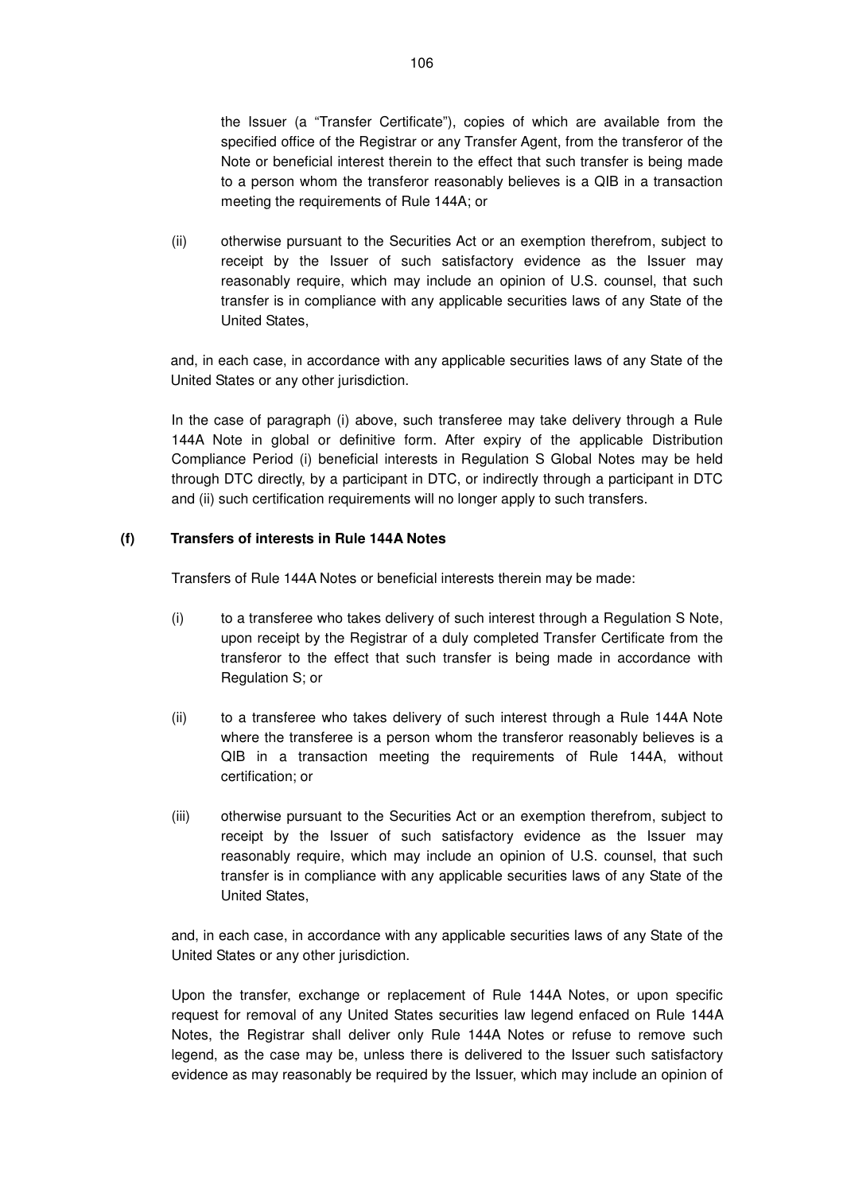the Issuer (a "Transfer Certificate"), copies of which are available from the specified office of the Registrar or any Transfer Agent, from the transferor of the Note or beneficial interest therein to the effect that such transfer is being made to a person whom the transferor reasonably believes is a QIB in a transaction meeting the requirements of Rule 144A; or

(ii) otherwise pursuant to the Securities Act or an exemption therefrom, subject to receipt by the Issuer of such satisfactory evidence as the Issuer may reasonably require, which may include an opinion of U.S. counsel, that such transfer is in compliance with any applicable securities laws of any State of the United States,

and, in each case, in accordance with any applicable securities laws of any State of the United States or any other jurisdiction.

In the case of paragraph (i) above, such transferee may take delivery through a Rule 144A Note in global or definitive form. After expiry of the applicable Distribution Compliance Period (i) beneficial interests in Regulation S Global Notes may be held through DTC directly, by a participant in DTC, or indirectly through a participant in DTC and (ii) such certification requirements will no longer apply to such transfers.

### **(f) Transfers of interests in Rule 144A Notes**

Transfers of Rule 144A Notes or beneficial interests therein may be made:

- (i) to a transferee who takes delivery of such interest through a Regulation S Note, upon receipt by the Registrar of a duly completed Transfer Certificate from the transferor to the effect that such transfer is being made in accordance with Regulation S; or
- (ii) to a transferee who takes delivery of such interest through a Rule 144A Note where the transferee is a person whom the transferor reasonably believes is a QIB in a transaction meeting the requirements of Rule 144A, without certification; or
- (iii) otherwise pursuant to the Securities Act or an exemption therefrom, subject to receipt by the Issuer of such satisfactory evidence as the Issuer may reasonably require, which may include an opinion of U.S. counsel, that such transfer is in compliance with any applicable securities laws of any State of the United States,

and, in each case, in accordance with any applicable securities laws of any State of the United States or any other jurisdiction.

Upon the transfer, exchange or replacement of Rule 144A Notes, or upon specific request for removal of any United States securities law legend enfaced on Rule 144A Notes, the Registrar shall deliver only Rule 144A Notes or refuse to remove such legend, as the case may be, unless there is delivered to the Issuer such satisfactory evidence as may reasonably be required by the Issuer, which may include an opinion of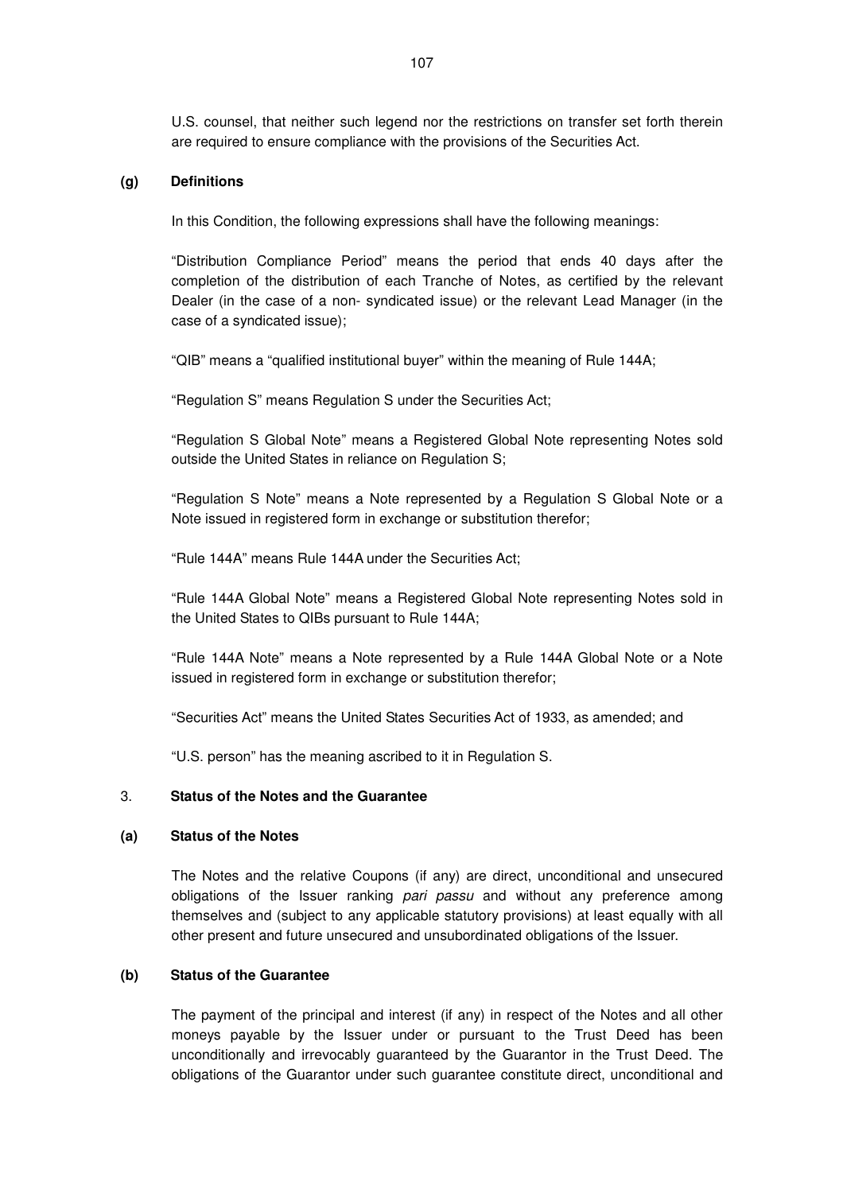U.S. counsel, that neither such legend nor the restrictions on transfer set forth therein are required to ensure compliance with the provisions of the Securities Act.

#### **(g) Definitions**

In this Condition, the following expressions shall have the following meanings:

"Distribution Compliance Period" means the period that ends 40 days after the completion of the distribution of each Tranche of Notes, as certified by the relevant Dealer (in the case of a non- syndicated issue) or the relevant Lead Manager (in the case of a syndicated issue);

"QIB" means a "qualified institutional buyer" within the meaning of Rule 144A;

"Regulation S" means Regulation S under the Securities Act;

"Regulation S Global Note" means a Registered Global Note representing Notes sold outside the United States in reliance on Regulation S;

"Regulation S Note" means a Note represented by a Regulation S Global Note or a Note issued in registered form in exchange or substitution therefor;

"Rule 144A" means Rule 144A under the Securities Act;

"Rule 144A Global Note" means a Registered Global Note representing Notes sold in the United States to QIBs pursuant to Rule 144A;

"Rule 144A Note" means a Note represented by a Rule 144A Global Note or a Note issued in registered form in exchange or substitution therefor;

"Securities Act" means the United States Securities Act of 1933, as amended; and

"U.S. person" has the meaning ascribed to it in Regulation S.

#### 3. **Status of the Notes and the Guarantee**

#### **(a) Status of the Notes**

The Notes and the relative Coupons (if any) are direct, unconditional and unsecured obligations of the Issuer ranking pari passu and without any preference among themselves and (subject to any applicable statutory provisions) at least equally with all other present and future unsecured and unsubordinated obligations of the Issuer.

#### **(b) Status of the Guarantee**

The payment of the principal and interest (if any) in respect of the Notes and all other moneys payable by the Issuer under or pursuant to the Trust Deed has been unconditionally and irrevocably guaranteed by the Guarantor in the Trust Deed. The obligations of the Guarantor under such guarantee constitute direct, unconditional and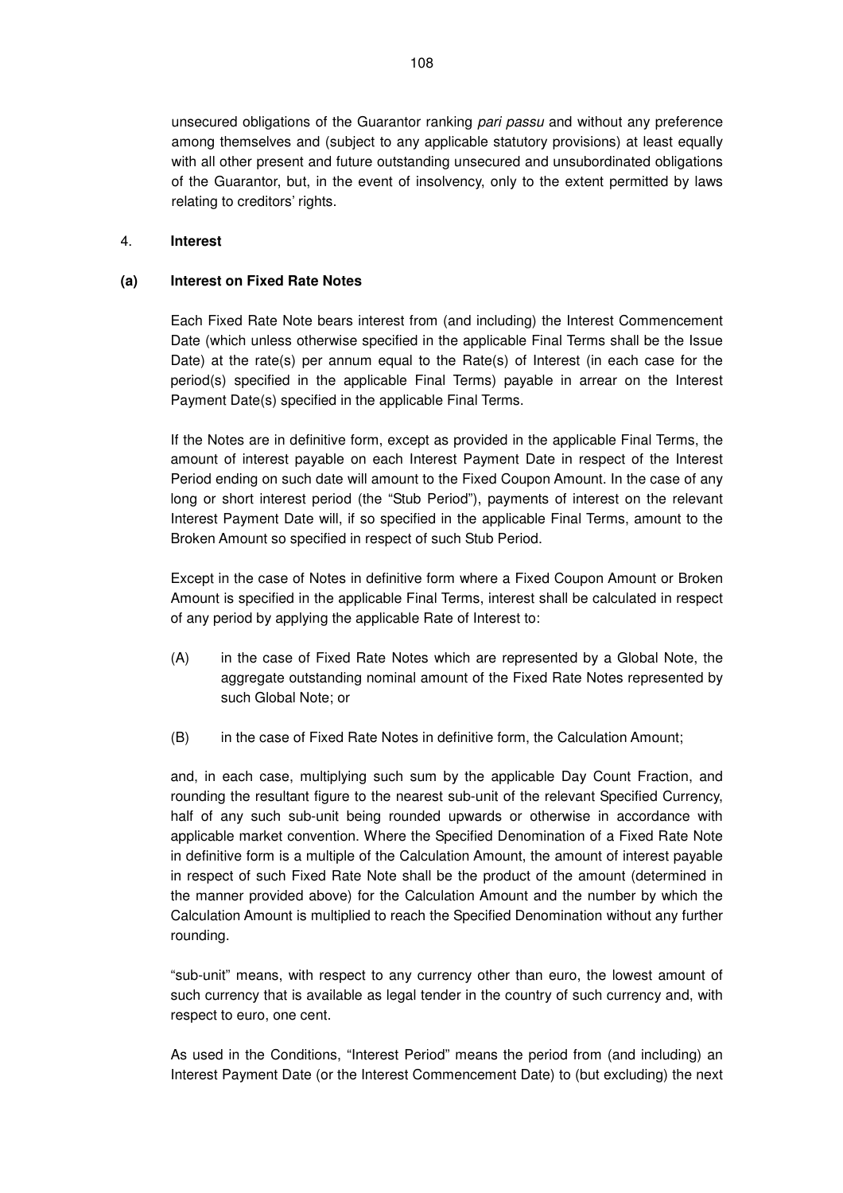unsecured obligations of the Guarantor ranking pari passu and without any preference among themselves and (subject to any applicable statutory provisions) at least equally with all other present and future outstanding unsecured and unsubordinated obligations of the Guarantor, but, in the event of insolvency, only to the extent permitted by laws relating to creditors' rights.

#### 4. **Interest**

#### **(a) Interest on Fixed Rate Notes**

Each Fixed Rate Note bears interest from (and including) the Interest Commencement Date (which unless otherwise specified in the applicable Final Terms shall be the Issue Date) at the rate(s) per annum equal to the Rate(s) of Interest (in each case for the period(s) specified in the applicable Final Terms) payable in arrear on the Interest Payment Date(s) specified in the applicable Final Terms.

If the Notes are in definitive form, except as provided in the applicable Final Terms, the amount of interest payable on each Interest Payment Date in respect of the Interest Period ending on such date will amount to the Fixed Coupon Amount. In the case of any long or short interest period (the "Stub Period"), payments of interest on the relevant Interest Payment Date will, if so specified in the applicable Final Terms, amount to the Broken Amount so specified in respect of such Stub Period.

Except in the case of Notes in definitive form where a Fixed Coupon Amount or Broken Amount is specified in the applicable Final Terms, interest shall be calculated in respect of any period by applying the applicable Rate of Interest to:

- (A) in the case of Fixed Rate Notes which are represented by a Global Note, the aggregate outstanding nominal amount of the Fixed Rate Notes represented by such Global Note; or
- (B) in the case of Fixed Rate Notes in definitive form, the Calculation Amount;

and, in each case, multiplying such sum by the applicable Day Count Fraction, and rounding the resultant figure to the nearest sub-unit of the relevant Specified Currency, half of any such sub-unit being rounded upwards or otherwise in accordance with applicable market convention. Where the Specified Denomination of a Fixed Rate Note in definitive form is a multiple of the Calculation Amount, the amount of interest payable in respect of such Fixed Rate Note shall be the product of the amount (determined in the manner provided above) for the Calculation Amount and the number by which the Calculation Amount is multiplied to reach the Specified Denomination without any further rounding.

"sub-unit" means, with respect to any currency other than euro, the lowest amount of such currency that is available as legal tender in the country of such currency and, with respect to euro, one cent.

As used in the Conditions, "Interest Period" means the period from (and including) an Interest Payment Date (or the Interest Commencement Date) to (but excluding) the next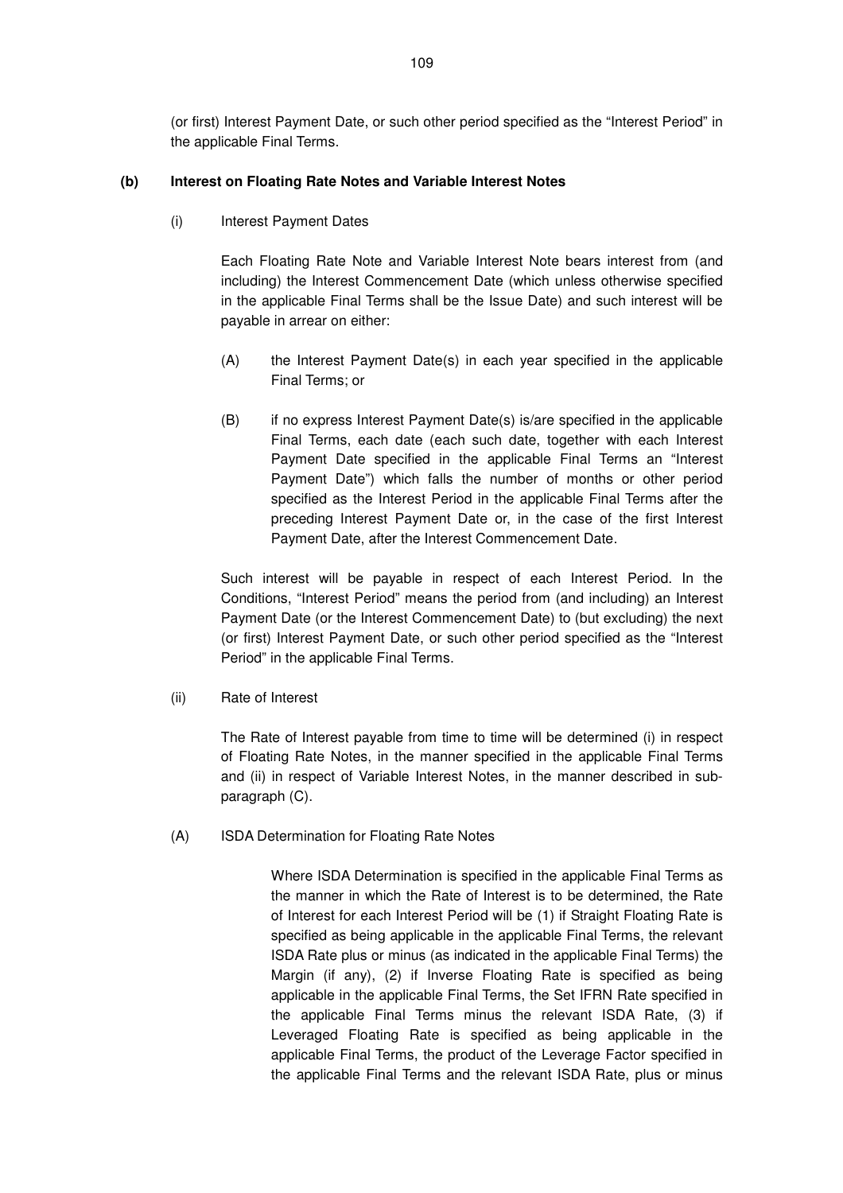(or first) Interest Payment Date, or such other period specified as the "Interest Period" in the applicable Final Terms.

#### **(b) Interest on Floating Rate Notes and Variable Interest Notes**

(i) Interest Payment Dates

Each Floating Rate Note and Variable Interest Note bears interest from (and including) the Interest Commencement Date (which unless otherwise specified in the applicable Final Terms shall be the Issue Date) and such interest will be payable in arrear on either:

- (A) the Interest Payment Date(s) in each year specified in the applicable Final Terms; or
- (B) if no express Interest Payment Date(s) is/are specified in the applicable Final Terms, each date (each such date, together with each Interest Payment Date specified in the applicable Final Terms an "Interest Payment Date") which falls the number of months or other period specified as the Interest Period in the applicable Final Terms after the preceding Interest Payment Date or, in the case of the first Interest Payment Date, after the Interest Commencement Date.

Such interest will be payable in respect of each Interest Period. In the Conditions, "Interest Period" means the period from (and including) an Interest Payment Date (or the Interest Commencement Date) to (but excluding) the next (or first) Interest Payment Date, or such other period specified as the "Interest Period" in the applicable Final Terms.

(ii) Rate of Interest

The Rate of Interest payable from time to time will be determined (i) in respect of Floating Rate Notes, in the manner specified in the applicable Final Terms and (ii) in respect of Variable Interest Notes, in the manner described in subparagraph (C).

(A) ISDA Determination for Floating Rate Notes

Where ISDA Determination is specified in the applicable Final Terms as the manner in which the Rate of Interest is to be determined, the Rate of Interest for each Interest Period will be (1) if Straight Floating Rate is specified as being applicable in the applicable Final Terms, the relevant ISDA Rate plus or minus (as indicated in the applicable Final Terms) the Margin (if any), (2) if Inverse Floating Rate is specified as being applicable in the applicable Final Terms, the Set IFRN Rate specified in the applicable Final Terms minus the relevant ISDA Rate, (3) if Leveraged Floating Rate is specified as being applicable in the applicable Final Terms, the product of the Leverage Factor specified in the applicable Final Terms and the relevant ISDA Rate, plus or minus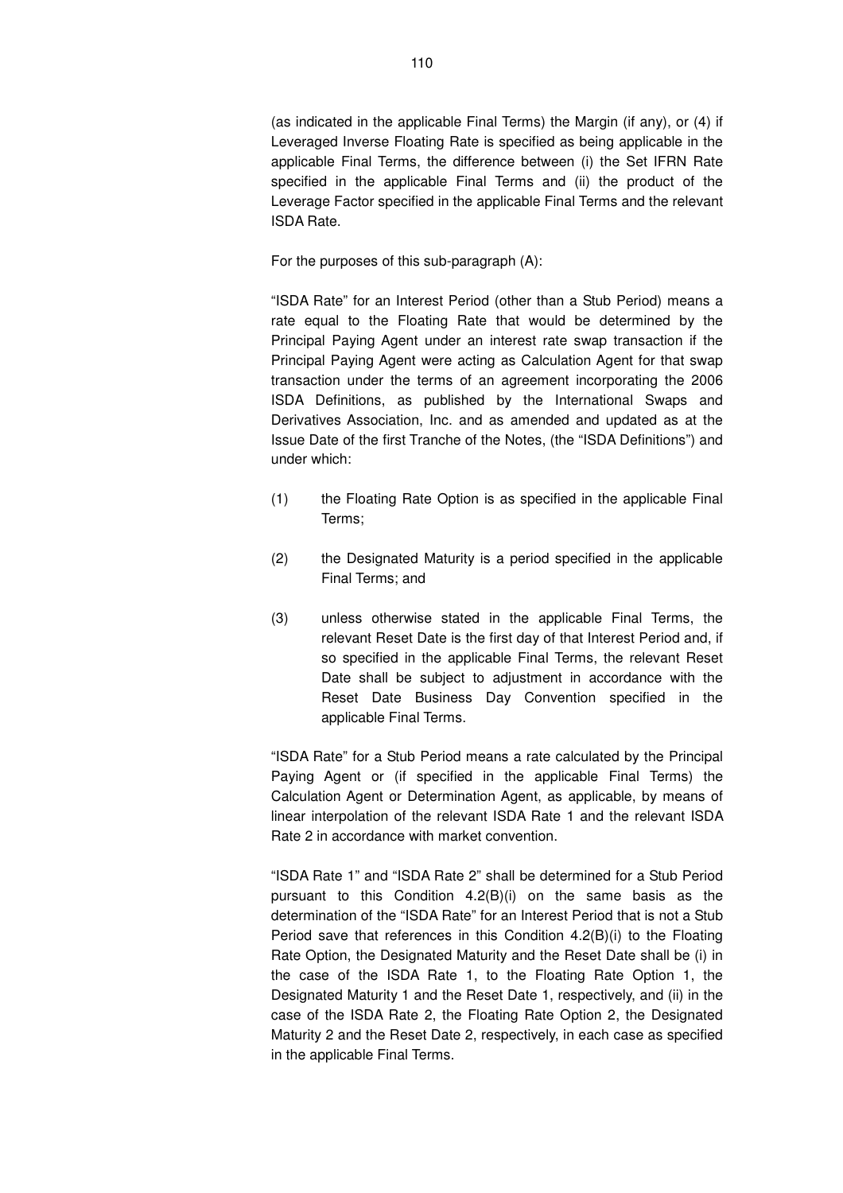(as indicated in the applicable Final Terms) the Margin (if any), or (4) if Leveraged Inverse Floating Rate is specified as being applicable in the applicable Final Terms, the difference between (i) the Set IFRN Rate specified in the applicable Final Terms and (ii) the product of the Leverage Factor specified in the applicable Final Terms and the relevant ISDA Rate.

For the purposes of this sub-paragraph (A):

"ISDA Rate" for an Interest Period (other than a Stub Period) means a rate equal to the Floating Rate that would be determined by the Principal Paying Agent under an interest rate swap transaction if the Principal Paying Agent were acting as Calculation Agent for that swap transaction under the terms of an agreement incorporating the 2006 ISDA Definitions, as published by the International Swaps and Derivatives Association, Inc. and as amended and updated as at the Issue Date of the first Tranche of the Notes, (the "ISDA Definitions") and under which:

- (1) the Floating Rate Option is as specified in the applicable Final Terms;
- (2) the Designated Maturity is a period specified in the applicable Final Terms; and
- (3) unless otherwise stated in the applicable Final Terms, the relevant Reset Date is the first day of that Interest Period and, if so specified in the applicable Final Terms, the relevant Reset Date shall be subject to adjustment in accordance with the Reset Date Business Day Convention specified in the applicable Final Terms.

"ISDA Rate" for a Stub Period means a rate calculated by the Principal Paying Agent or (if specified in the applicable Final Terms) the Calculation Agent or Determination Agent, as applicable, by means of linear interpolation of the relevant ISDA Rate 1 and the relevant ISDA Rate 2 in accordance with market convention.

"ISDA Rate 1" and "ISDA Rate 2" shall be determined for a Stub Period pursuant to this Condition 4.2(B)(i) on the same basis as the determination of the "ISDA Rate" for an Interest Period that is not a Stub Period save that references in this Condition 4.2(B)(i) to the Floating Rate Option, the Designated Maturity and the Reset Date shall be (i) in the case of the ISDA Rate 1, to the Floating Rate Option 1, the Designated Maturity 1 and the Reset Date 1, respectively, and (ii) in the case of the ISDA Rate 2, the Floating Rate Option 2, the Designated Maturity 2 and the Reset Date 2, respectively, in each case as specified in the applicable Final Terms.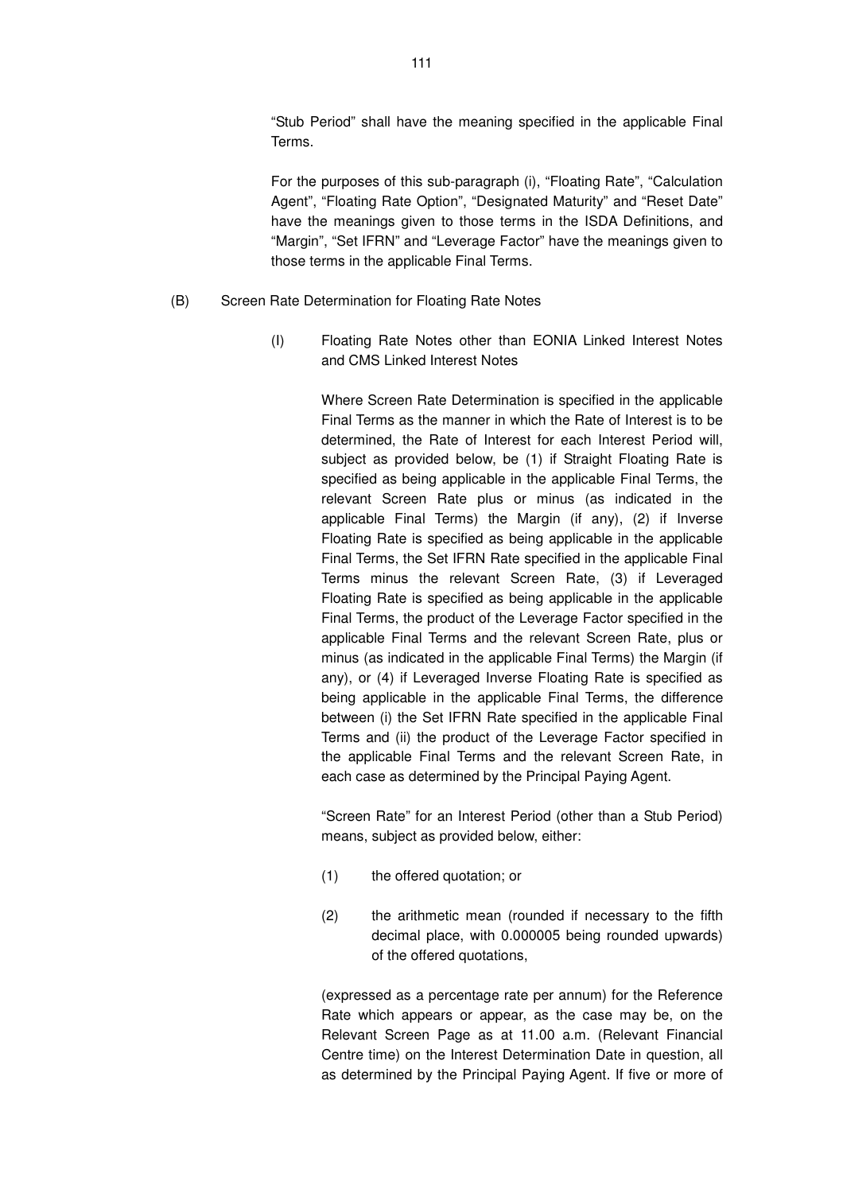"Stub Period" shall have the meaning specified in the applicable Final Terms.

For the purposes of this sub-paragraph (i), "Floating Rate", "Calculation Agent", "Floating Rate Option", "Designated Maturity" and "Reset Date" have the meanings given to those terms in the ISDA Definitions, and "Margin", "Set IFRN" and "Leverage Factor" have the meanings given to those terms in the applicable Final Terms.

- (B) Screen Rate Determination for Floating Rate Notes
	- (I) Floating Rate Notes other than EONIA Linked Interest Notes and CMS Linked Interest Notes

Where Screen Rate Determination is specified in the applicable Final Terms as the manner in which the Rate of Interest is to be determined, the Rate of Interest for each Interest Period will, subject as provided below, be (1) if Straight Floating Rate is specified as being applicable in the applicable Final Terms, the relevant Screen Rate plus or minus (as indicated in the applicable Final Terms) the Margin (if any), (2) if Inverse Floating Rate is specified as being applicable in the applicable Final Terms, the Set IFRN Rate specified in the applicable Final Terms minus the relevant Screen Rate, (3) if Leveraged Floating Rate is specified as being applicable in the applicable Final Terms, the product of the Leverage Factor specified in the applicable Final Terms and the relevant Screen Rate, plus or minus (as indicated in the applicable Final Terms) the Margin (if any), or (4) if Leveraged Inverse Floating Rate is specified as being applicable in the applicable Final Terms, the difference between (i) the Set IFRN Rate specified in the applicable Final Terms and (ii) the product of the Leverage Factor specified in the applicable Final Terms and the relevant Screen Rate, in each case as determined by the Principal Paying Agent.

"Screen Rate" for an Interest Period (other than a Stub Period) means, subject as provided below, either:

- (1) the offered quotation; or
- (2) the arithmetic mean (rounded if necessary to the fifth decimal place, with 0.000005 being rounded upwards) of the offered quotations,

(expressed as a percentage rate per annum) for the Reference Rate which appears or appear, as the case may be, on the Relevant Screen Page as at 11.00 a.m. (Relevant Financial Centre time) on the Interest Determination Date in question, all as determined by the Principal Paying Agent. If five or more of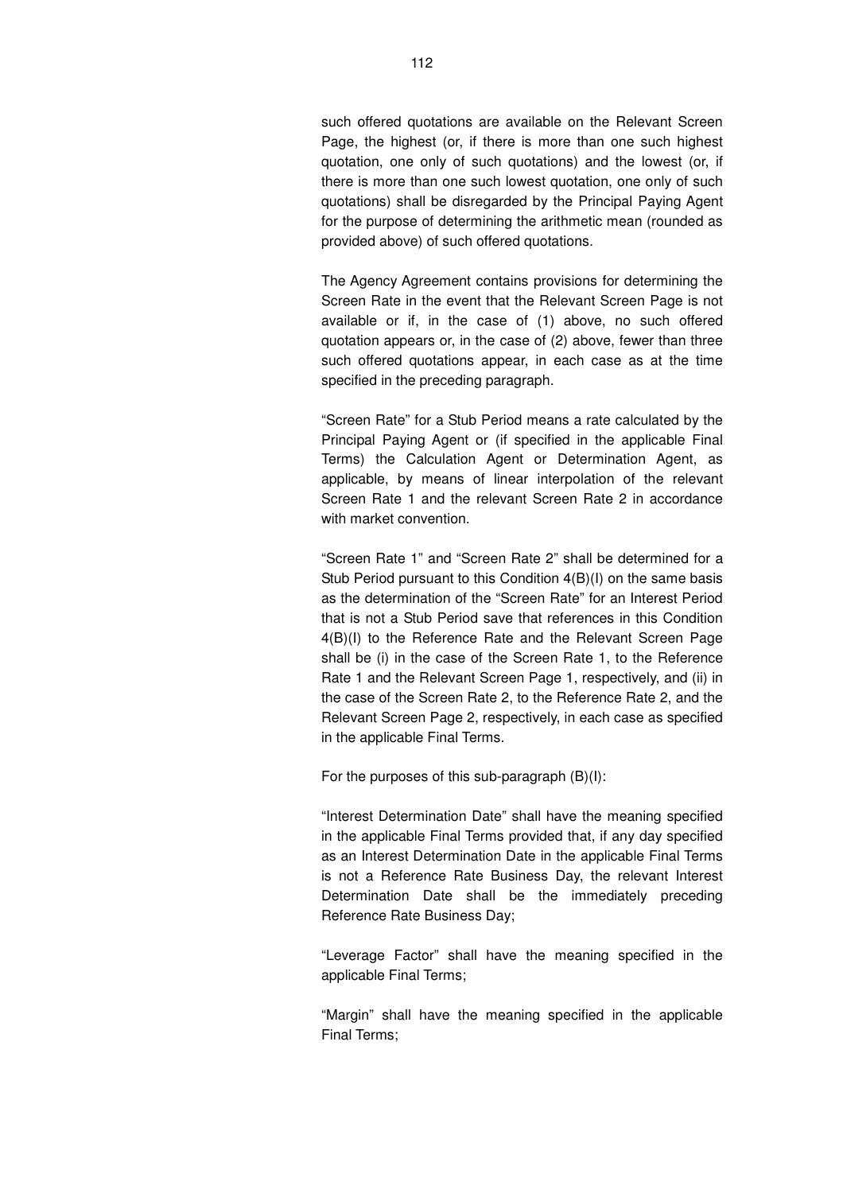such offered quotations are available on the Relevant Screen Page, the highest (or, if there is more than one such highest quotation, one only of such quotations) and the lowest (or, if there is more than one such lowest quotation, one only of such quotations) shall be disregarded by the Principal Paying Agent for the purpose of determining the arithmetic mean (rounded as provided above) of such offered quotations.

The Agency Agreement contains provisions for determining the Screen Rate in the event that the Relevant Screen Page is not available or if, in the case of (1) above, no such offered quotation appears or, in the case of (2) above, fewer than three such offered quotations appear, in each case as at the time specified in the preceding paragraph.

"Screen Rate" for a Stub Period means a rate calculated by the Principal Paying Agent or (if specified in the applicable Final Terms) the Calculation Agent or Determination Agent, as applicable, by means of linear interpolation of the relevant Screen Rate 1 and the relevant Screen Rate 2 in accordance with market convention.

"Screen Rate 1" and "Screen Rate 2" shall be determined for a Stub Period pursuant to this Condition 4(B)(I) on the same basis as the determination of the "Screen Rate" for an Interest Period that is not a Stub Period save that references in this Condition 4(B)(I) to the Reference Rate and the Relevant Screen Page shall be (i) in the case of the Screen Rate 1, to the Reference Rate 1 and the Relevant Screen Page 1, respectively, and (ii) in the case of the Screen Rate 2, to the Reference Rate 2, and the Relevant Screen Page 2, respectively, in each case as specified in the applicable Final Terms.

For the purposes of this sub-paragraph (B)(I):

"Interest Determination Date" shall have the meaning specified in the applicable Final Terms provided that, if any day specified as an Interest Determination Date in the applicable Final Terms is not a Reference Rate Business Day, the relevant Interest Determination Date shall be the immediately preceding Reference Rate Business Day;

"Leverage Factor" shall have the meaning specified in the applicable Final Terms;

"Margin" shall have the meaning specified in the applicable Final Terms;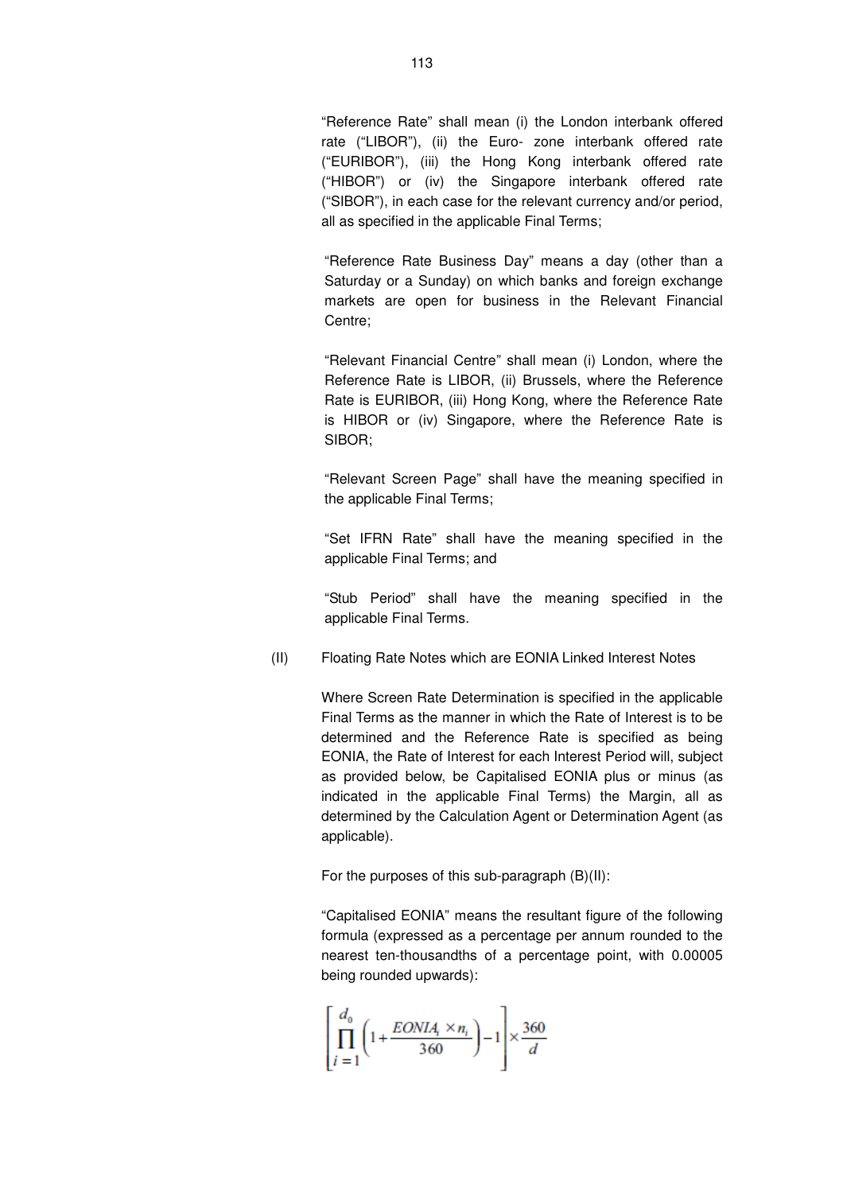"Reference Rate" shall mean (i) the London interbank offered rate ("LIBOR"), (ii) the Euro- zone interbank offered rate ("EURIBOR"), (iii) the Hong Kong interbank offered rate ("HIBOR") or (iv) the Singapore interbank offered rate ("SIBOR"), in each case for the relevant currency and/or period, all as specified in the applicable Final Terms;

"Reference Rate Business Day" means a day (other than a Saturday or a Sunday) on which banks and foreign exchange markets are open for business in the Relevant Financial Centre;

"Relevant Financial Centre" shall mean (i) London, where the Reference Rate is LIBOR, (ii) Brussels, where the Reference Rate is EURIBOR, (iii) Hong Kong, where the Reference Rate is HIBOR or (iv) Singapore, where the Reference Rate is SIBOR;

"Relevant Screen Page" shall have the meaning specified in the applicable Final Terms;

"Set IFRN Rate" shall have the meaning specified in the applicable Final Terms; and

"Stub Period" shall have the meaning specified in the applicable Final Terms.

(II) Floating Rate Notes which are EONIA Linked Interest Notes

Where Screen Rate Determination is specified in the applicable Final Terms as the manner in which the Rate of Interest is to be determined and the Reference Rate is specified as being EONIA, the Rate of Interest for each Interest Period will, subject as provided below, be Capitalised EONIA plus or minus (as indicated in the applicable Final Terms) the Margin, all as determined by the Calculation Agent or Determination Agent (as applicable).

For the purposes of this sub-paragraph (B)(II):

"Capitalised EONIA" means the resultant figure of the following formula (expressed as a percentage per annum rounded to the nearest ten-thousandths of a percentage point, with 0.00005 being rounded upwards):

$$
\left[\prod_{i=1}^{d_0} \left(1 + \frac{EONIA_i \times n_i}{360}\right) - 1\right] \times \frac{360}{d}
$$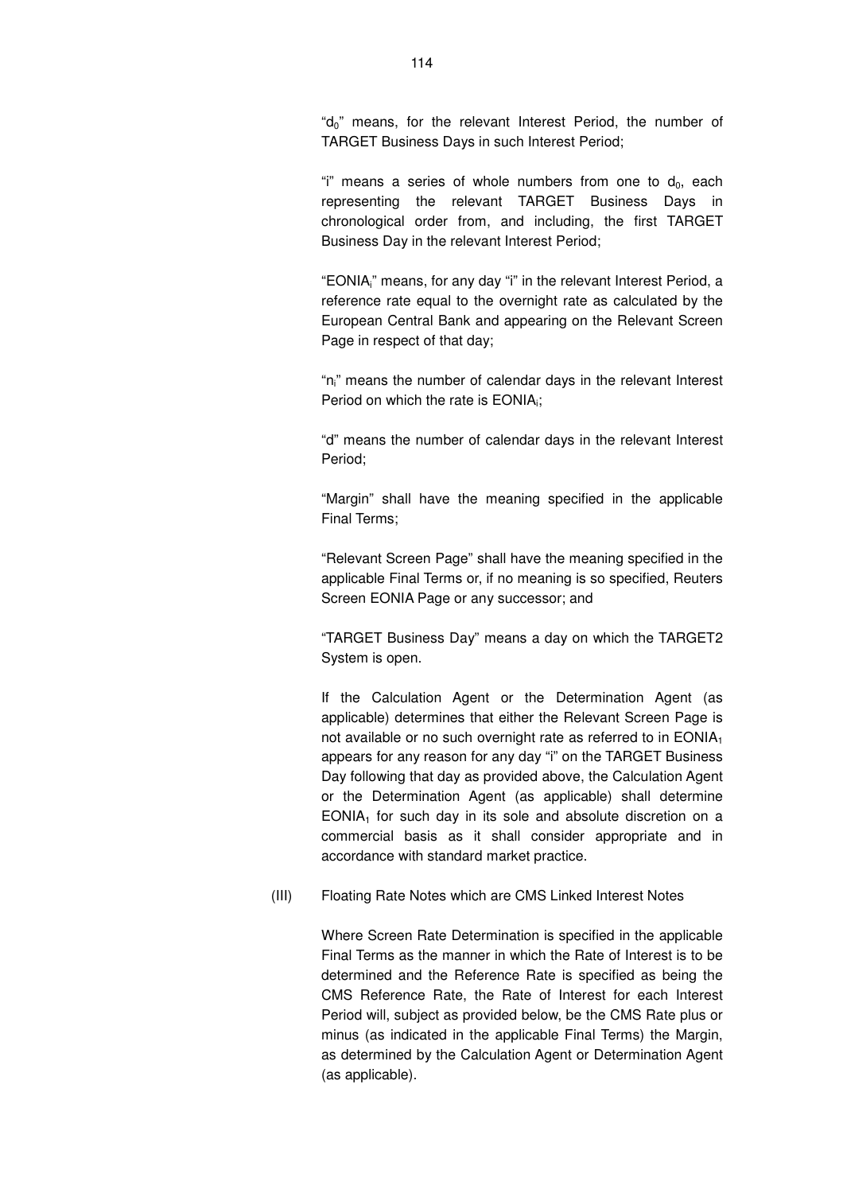"d<sub>0</sub>" means, for the relevant Interest Period, the number of TARGET Business Days in such Interest Period;

"i" means a series of whole numbers from one to  $d_0$ , each representing the relevant TARGET Business Days in chronological order from, and including, the first TARGET Business Day in the relevant Interest Period;

"EONIAi" means, for any day "i" in the relevant Interest Period, a reference rate equal to the overnight rate as calculated by the European Central Bank and appearing on the Relevant Screen Page in respect of that day;

"ni" means the number of calendar days in the relevant Interest Period on which the rate is  $EONIA_i;$ 

"d" means the number of calendar days in the relevant Interest Period;

"Margin" shall have the meaning specified in the applicable Final Terms;

"Relevant Screen Page" shall have the meaning specified in the applicable Final Terms or, if no meaning is so specified, Reuters Screen EONIA Page or any successor; and

"TARGET Business Day" means a day on which the TARGET2 System is open.

If the Calculation Agent or the Determination Agent (as applicable) determines that either the Relevant Screen Page is not available or no such overnight rate as referred to in EONIA<sub>1</sub> appears for any reason for any day "i" on the TARGET Business Day following that day as provided above, the Calculation Agent or the Determination Agent (as applicable) shall determine  $EONIA<sub>1</sub>$  for such day in its sole and absolute discretion on a commercial basis as it shall consider appropriate and in accordance with standard market practice.

(III) Floating Rate Notes which are CMS Linked Interest Notes

Where Screen Rate Determination is specified in the applicable Final Terms as the manner in which the Rate of Interest is to be determined and the Reference Rate is specified as being the CMS Reference Rate, the Rate of Interest for each Interest Period will, subject as provided below, be the CMS Rate plus or minus (as indicated in the applicable Final Terms) the Margin, as determined by the Calculation Agent or Determination Agent (as applicable).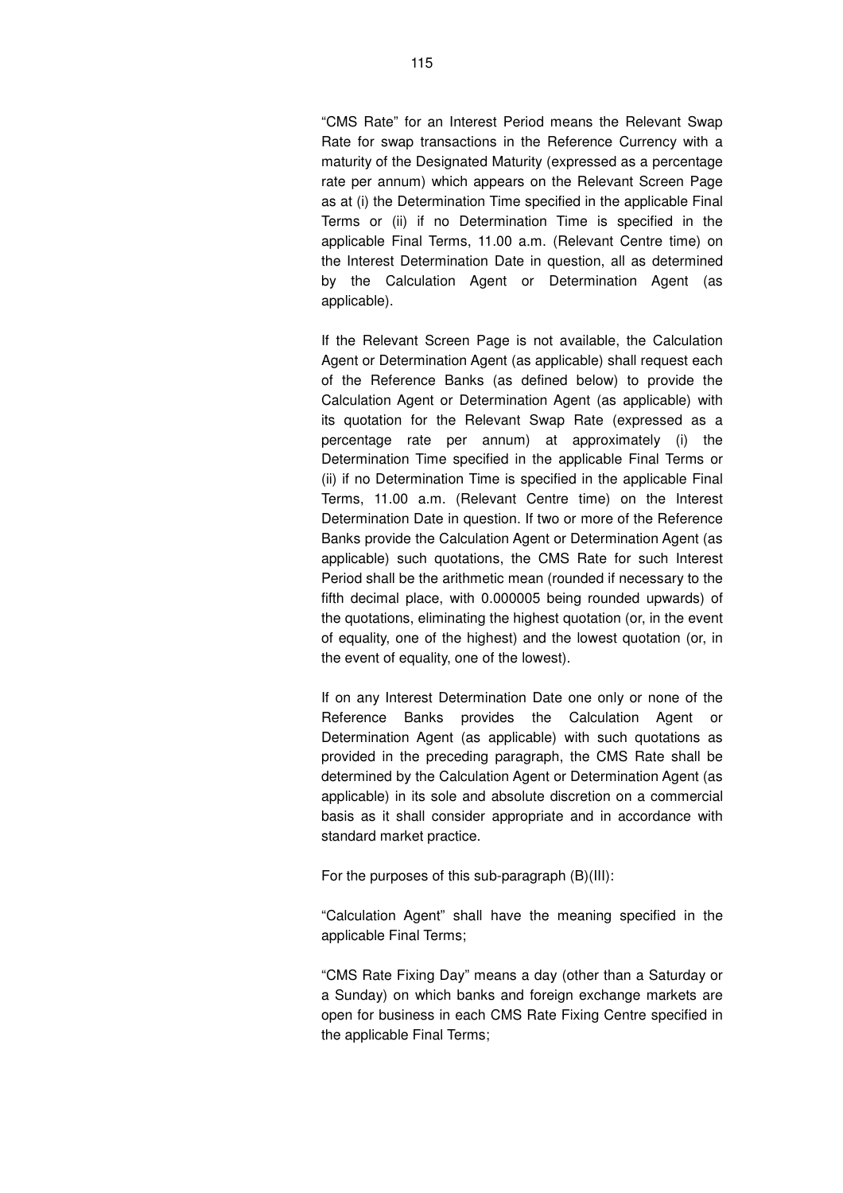"CMS Rate" for an Interest Period means the Relevant Swap Rate for swap transactions in the Reference Currency with a maturity of the Designated Maturity (expressed as a percentage rate per annum) which appears on the Relevant Screen Page as at (i) the Determination Time specified in the applicable Final Terms or (ii) if no Determination Time is specified in the applicable Final Terms, 11.00 a.m. (Relevant Centre time) on the Interest Determination Date in question, all as determined by the Calculation Agent or Determination Agent (as applicable).

If the Relevant Screen Page is not available, the Calculation Agent or Determination Agent (as applicable) shall request each of the Reference Banks (as defined below) to provide the Calculation Agent or Determination Agent (as applicable) with its quotation for the Relevant Swap Rate (expressed as a percentage rate per annum) at approximately (i) the Determination Time specified in the applicable Final Terms or (ii) if no Determination Time is specified in the applicable Final Terms, 11.00 a.m. (Relevant Centre time) on the Interest Determination Date in question. If two or more of the Reference Banks provide the Calculation Agent or Determination Agent (as applicable) such quotations, the CMS Rate for such Interest Period shall be the arithmetic mean (rounded if necessary to the fifth decimal place, with 0.000005 being rounded upwards) of the quotations, eliminating the highest quotation (or, in the event of equality, one of the highest) and the lowest quotation (or, in the event of equality, one of the lowest).

If on any Interest Determination Date one only or none of the Reference Banks provides the Calculation Agent or Determination Agent (as applicable) with such quotations as provided in the preceding paragraph, the CMS Rate shall be determined by the Calculation Agent or Determination Agent (as applicable) in its sole and absolute discretion on a commercial basis as it shall consider appropriate and in accordance with standard market practice.

For the purposes of this sub-paragraph (B)(III):

"Calculation Agent" shall have the meaning specified in the applicable Final Terms;

"CMS Rate Fixing Day" means a day (other than a Saturday or a Sunday) on which banks and foreign exchange markets are open for business in each CMS Rate Fixing Centre specified in the applicable Final Terms;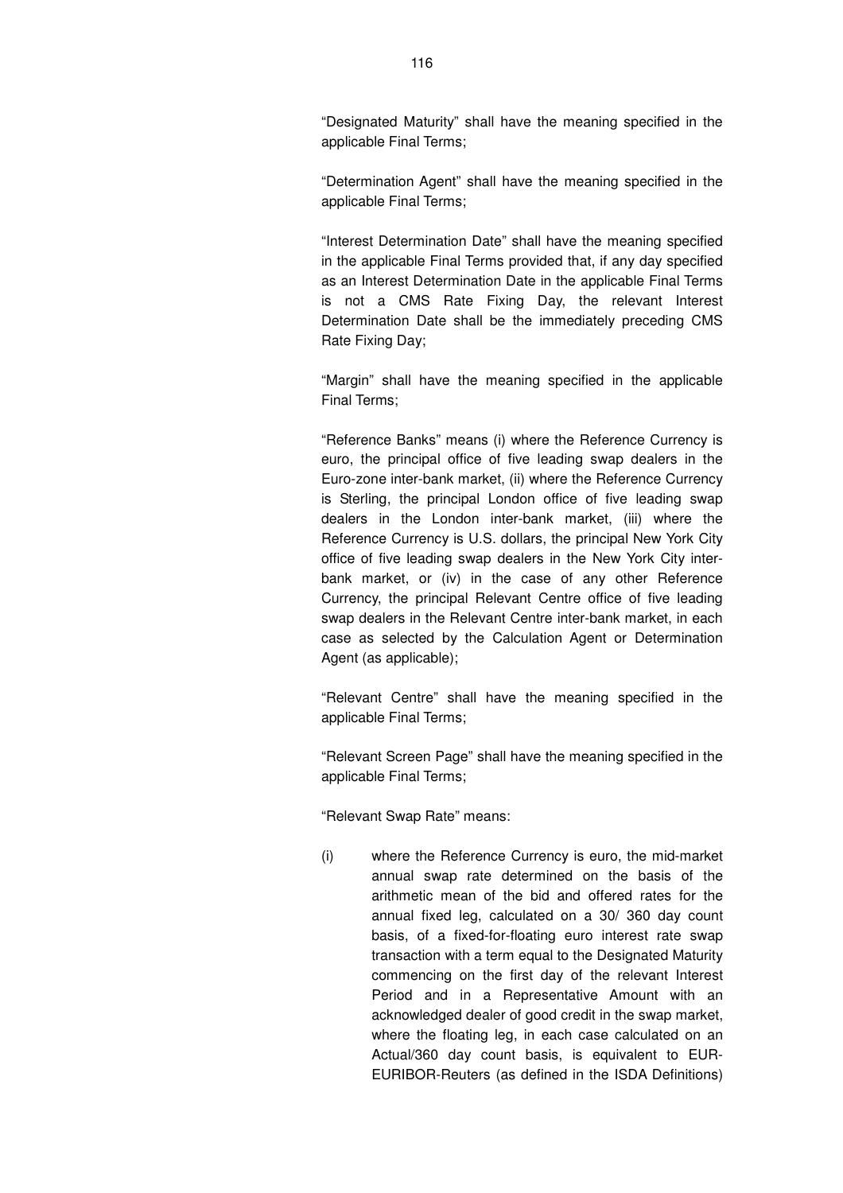"Designated Maturity" shall have the meaning specified in the applicable Final Terms;

"Determination Agent" shall have the meaning specified in the applicable Final Terms;

"Interest Determination Date" shall have the meaning specified in the applicable Final Terms provided that, if any day specified as an Interest Determination Date in the applicable Final Terms is not a CMS Rate Fixing Day, the relevant Interest Determination Date shall be the immediately preceding CMS Rate Fixing Day;

"Margin" shall have the meaning specified in the applicable Final Terms;

"Reference Banks" means (i) where the Reference Currency is euro, the principal office of five leading swap dealers in the Euro-zone inter-bank market, (ii) where the Reference Currency is Sterling, the principal London office of five leading swap dealers in the London inter-bank market, (iii) where the Reference Currency is U.S. dollars, the principal New York City office of five leading swap dealers in the New York City interbank market, or (iv) in the case of any other Reference Currency, the principal Relevant Centre office of five leading swap dealers in the Relevant Centre inter-bank market, in each case as selected by the Calculation Agent or Determination Agent (as applicable);

"Relevant Centre" shall have the meaning specified in the applicable Final Terms;

"Relevant Screen Page" shall have the meaning specified in the applicable Final Terms;

"Relevant Swap Rate" means:

(i) where the Reference Currency is euro, the mid-market annual swap rate determined on the basis of the arithmetic mean of the bid and offered rates for the annual fixed leg, calculated on a 30/ 360 day count basis, of a fixed-for-floating euro interest rate swap transaction with a term equal to the Designated Maturity commencing on the first day of the relevant Interest Period and in a Representative Amount with an acknowledged dealer of good credit in the swap market, where the floating leg, in each case calculated on an Actual/360 day count basis, is equivalent to EUR-EURIBOR-Reuters (as defined in the ISDA Definitions)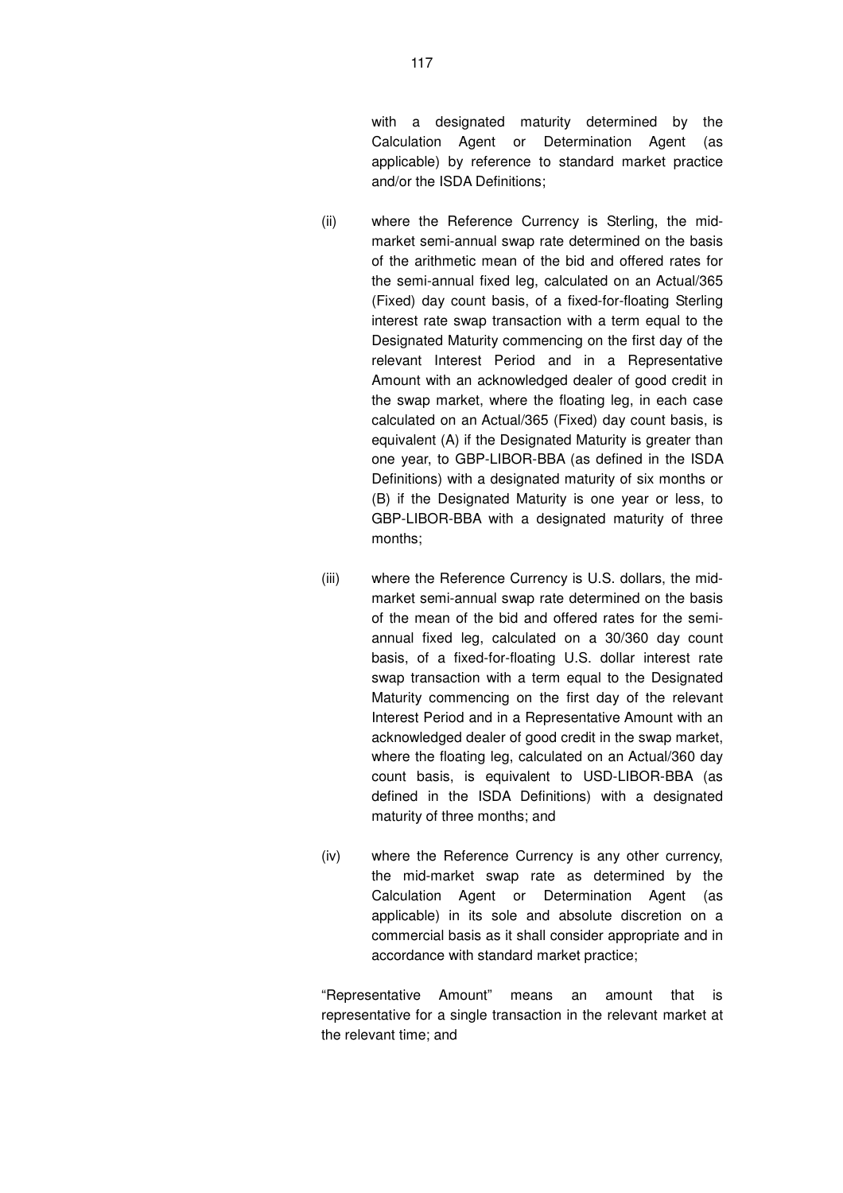with a designated maturity determined by the Calculation Agent or Determination Agent (as applicable) by reference to standard market practice and/or the ISDA Definitions;

- (ii) where the Reference Currency is Sterling, the midmarket semi-annual swap rate determined on the basis of the arithmetic mean of the bid and offered rates for the semi-annual fixed leg, calculated on an Actual/365 (Fixed) day count basis, of a fixed-for-floating Sterling interest rate swap transaction with a term equal to the Designated Maturity commencing on the first day of the relevant Interest Period and in a Representative Amount with an acknowledged dealer of good credit in the swap market, where the floating leg, in each case calculated on an Actual/365 (Fixed) day count basis, is equivalent (A) if the Designated Maturity is greater than one year, to GBP-LIBOR-BBA (as defined in the ISDA Definitions) with a designated maturity of six months or (B) if the Designated Maturity is one year or less, to GBP-LIBOR-BBA with a designated maturity of three months;
- (iii) where the Reference Currency is U.S. dollars, the midmarket semi-annual swap rate determined on the basis of the mean of the bid and offered rates for the semiannual fixed leg, calculated on a 30/360 day count basis, of a fixed-for-floating U.S. dollar interest rate swap transaction with a term equal to the Designated Maturity commencing on the first day of the relevant Interest Period and in a Representative Amount with an acknowledged dealer of good credit in the swap market, where the floating leg, calculated on an Actual/360 day count basis, is equivalent to USD-LIBOR-BBA (as defined in the ISDA Definitions) with a designated maturity of three months; and
- (iv) where the Reference Currency is any other currency, the mid-market swap rate as determined by the Calculation Agent or Determination Agent (as applicable) in its sole and absolute discretion on a commercial basis as it shall consider appropriate and in accordance with standard market practice;

"Representative Amount" means an amount that is representative for a single transaction in the relevant market at the relevant time; and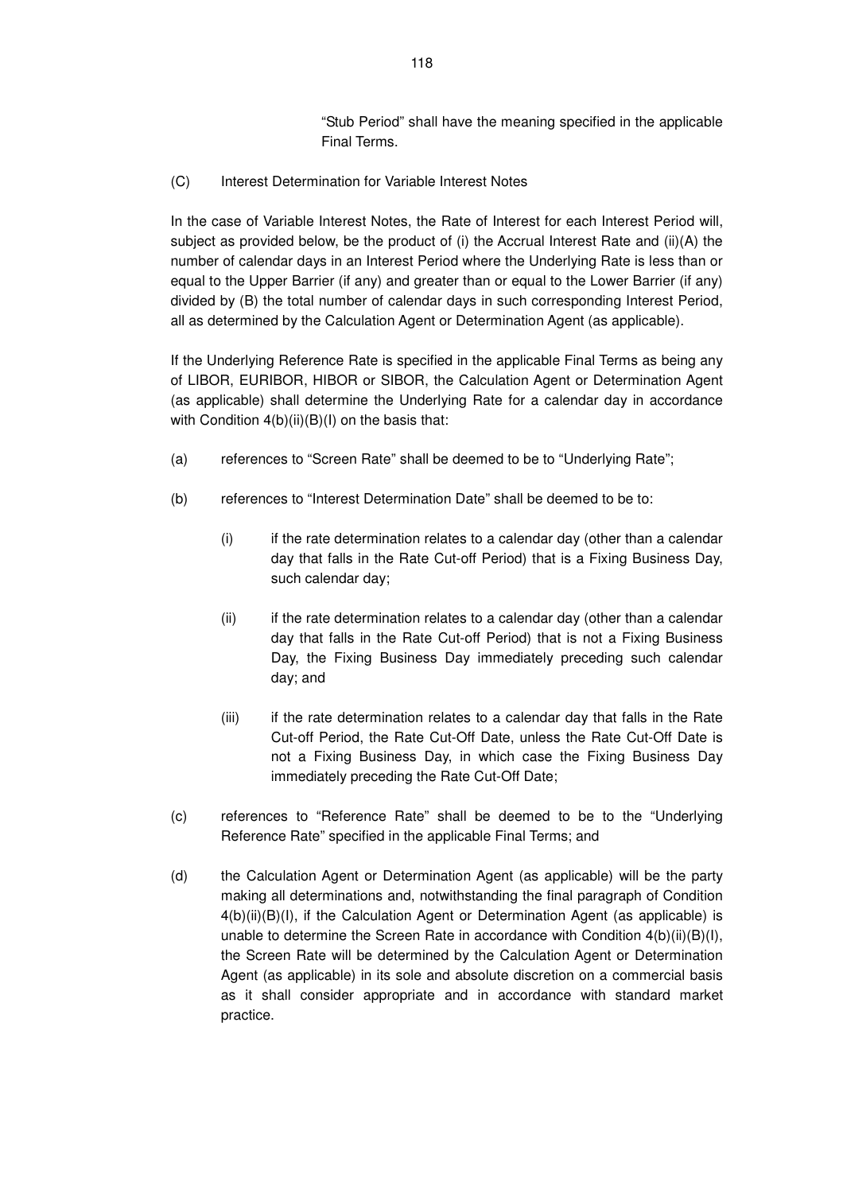"Stub Period" shall have the meaning specified in the applicable Final Terms.

(C) Interest Determination for Variable Interest Notes

In the case of Variable Interest Notes, the Rate of Interest for each Interest Period will, subject as provided below, be the product of (i) the Accrual Interest Rate and (ii)(A) the number of calendar days in an Interest Period where the Underlying Rate is less than or equal to the Upper Barrier (if any) and greater than or equal to the Lower Barrier (if any) divided by (B) the total number of calendar days in such corresponding Interest Period, all as determined by the Calculation Agent or Determination Agent (as applicable).

If the Underlying Reference Rate is specified in the applicable Final Terms as being any of LIBOR, EURIBOR, HIBOR or SIBOR, the Calculation Agent or Determination Agent (as applicable) shall determine the Underlying Rate for a calendar day in accordance with Condition 4(b)(ii)(B)(I) on the basis that:

- (a) references to "Screen Rate" shall be deemed to be to "Underlying Rate";
- (b) references to "Interest Determination Date" shall be deemed to be to:
	- (i) if the rate determination relates to a calendar day (other than a calendar day that falls in the Rate Cut-off Period) that is a Fixing Business Day, such calendar day;
	- (ii) if the rate determination relates to a calendar day (other than a calendar day that falls in the Rate Cut-off Period) that is not a Fixing Business Day, the Fixing Business Day immediately preceding such calendar day; and
	- (iii) if the rate determination relates to a calendar day that falls in the Rate Cut-off Period, the Rate Cut-Off Date, unless the Rate Cut-Off Date is not a Fixing Business Day, in which case the Fixing Business Day immediately preceding the Rate Cut-Off Date;
- (c) references to "Reference Rate" shall be deemed to be to the "Underlying Reference Rate" specified in the applicable Final Terms; and
- (d) the Calculation Agent or Determination Agent (as applicable) will be the party making all determinations and, notwithstanding the final paragraph of Condition 4(b)(ii)(B)(I), if the Calculation Agent or Determination Agent (as applicable) is unable to determine the Screen Rate in accordance with Condition  $4(b)(ii)(B)(I)$ , the Screen Rate will be determined by the Calculation Agent or Determination Agent (as applicable) in its sole and absolute discretion on a commercial basis as it shall consider appropriate and in accordance with standard market practice.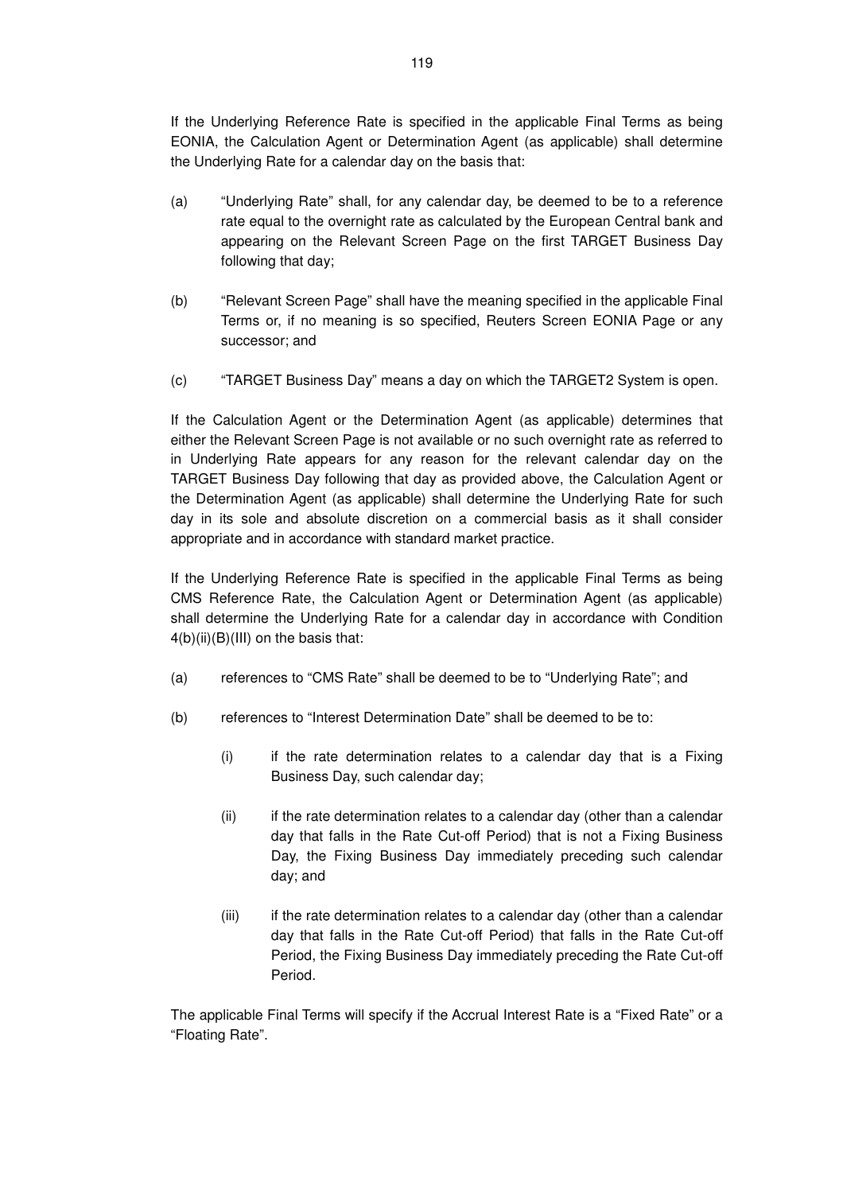If the Underlying Reference Rate is specified in the applicable Final Terms as being EONIA, the Calculation Agent or Determination Agent (as applicable) shall determine the Underlying Rate for a calendar day on the basis that:

- (a) "Underlying Rate" shall, for any calendar day, be deemed to be to a reference rate equal to the overnight rate as calculated by the European Central bank and appearing on the Relevant Screen Page on the first TARGET Business Day following that day;
- (b) "Relevant Screen Page" shall have the meaning specified in the applicable Final Terms or, if no meaning is so specified, Reuters Screen EONIA Page or any successor; and
- (c) "TARGET Business Day" means a day on which the TARGET2 System is open.

If the Calculation Agent or the Determination Agent (as applicable) determines that either the Relevant Screen Page is not available or no such overnight rate as referred to in Underlying Rate appears for any reason for the relevant calendar day on the TARGET Business Day following that day as provided above, the Calculation Agent or the Determination Agent (as applicable) shall determine the Underlying Rate for such day in its sole and absolute discretion on a commercial basis as it shall consider appropriate and in accordance with standard market practice.

If the Underlying Reference Rate is specified in the applicable Final Terms as being CMS Reference Rate, the Calculation Agent or Determination Agent (as applicable) shall determine the Underlying Rate for a calendar day in accordance with Condition  $4(b)(ii)(B)(III)$  on the basis that:

- (a) references to "CMS Rate" shall be deemed to be to "Underlying Rate"; and
- (b) references to "Interest Determination Date" shall be deemed to be to:
	- (i) if the rate determination relates to a calendar day that is a Fixing Business Day, such calendar day;
	- (ii) if the rate determination relates to a calendar day (other than a calendar day that falls in the Rate Cut-off Period) that is not a Fixing Business Day, the Fixing Business Day immediately preceding such calendar day; and
	- (iii) if the rate determination relates to a calendar day (other than a calendar day that falls in the Rate Cut-off Period) that falls in the Rate Cut-off Period, the Fixing Business Day immediately preceding the Rate Cut-off Period.

The applicable Final Terms will specify if the Accrual Interest Rate is a "Fixed Rate" or a "Floating Rate".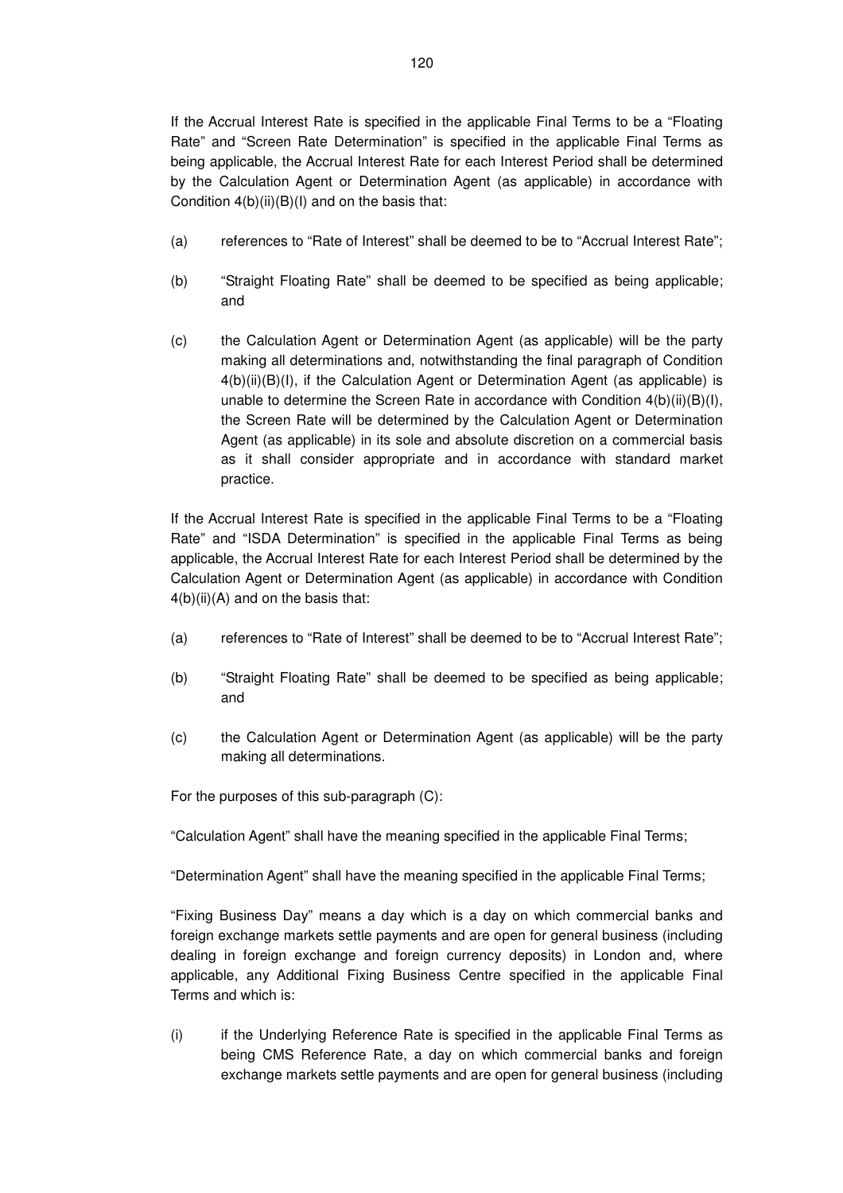If the Accrual Interest Rate is specified in the applicable Final Terms to be a "Floating Rate" and "Screen Rate Determination" is specified in the applicable Final Terms as being applicable, the Accrual Interest Rate for each Interest Period shall be determined by the Calculation Agent or Determination Agent (as applicable) in accordance with Condition  $4(b)(ii)(B)(I)$  and on the basis that:

- (a) references to "Rate of Interest" shall be deemed to be to "Accrual Interest Rate";
- (b) "Straight Floating Rate" shall be deemed to be specified as being applicable; and
- (c) the Calculation Agent or Determination Agent (as applicable) will be the party making all determinations and, notwithstanding the final paragraph of Condition 4(b)(ii)(B)(I), if the Calculation Agent or Determination Agent (as applicable) is unable to determine the Screen Rate in accordance with Condition  $4(b)(ii)(B)(I)$ , the Screen Rate will be determined by the Calculation Agent or Determination Agent (as applicable) in its sole and absolute discretion on a commercial basis as it shall consider appropriate and in accordance with standard market practice.

If the Accrual Interest Rate is specified in the applicable Final Terms to be a "Floating Rate" and "ISDA Determination" is specified in the applicable Final Terms as being applicable, the Accrual Interest Rate for each Interest Period shall be determined by the Calculation Agent or Determination Agent (as applicable) in accordance with Condition 4(b)(ii)(A) and on the basis that:

- (a) references to "Rate of Interest" shall be deemed to be to "Accrual Interest Rate";
- (b) "Straight Floating Rate" shall be deemed to be specified as being applicable; and
- (c) the Calculation Agent or Determination Agent (as applicable) will be the party making all determinations.

For the purposes of this sub-paragraph (C):

"Calculation Agent" shall have the meaning specified in the applicable Final Terms;

"Determination Agent" shall have the meaning specified in the applicable Final Terms;

"Fixing Business Day" means a day which is a day on which commercial banks and foreign exchange markets settle payments and are open for general business (including dealing in foreign exchange and foreign currency deposits) in London and, where applicable, any Additional Fixing Business Centre specified in the applicable Final Terms and which is:

(i) if the Underlying Reference Rate is specified in the applicable Final Terms as being CMS Reference Rate, a day on which commercial banks and foreign exchange markets settle payments and are open for general business (including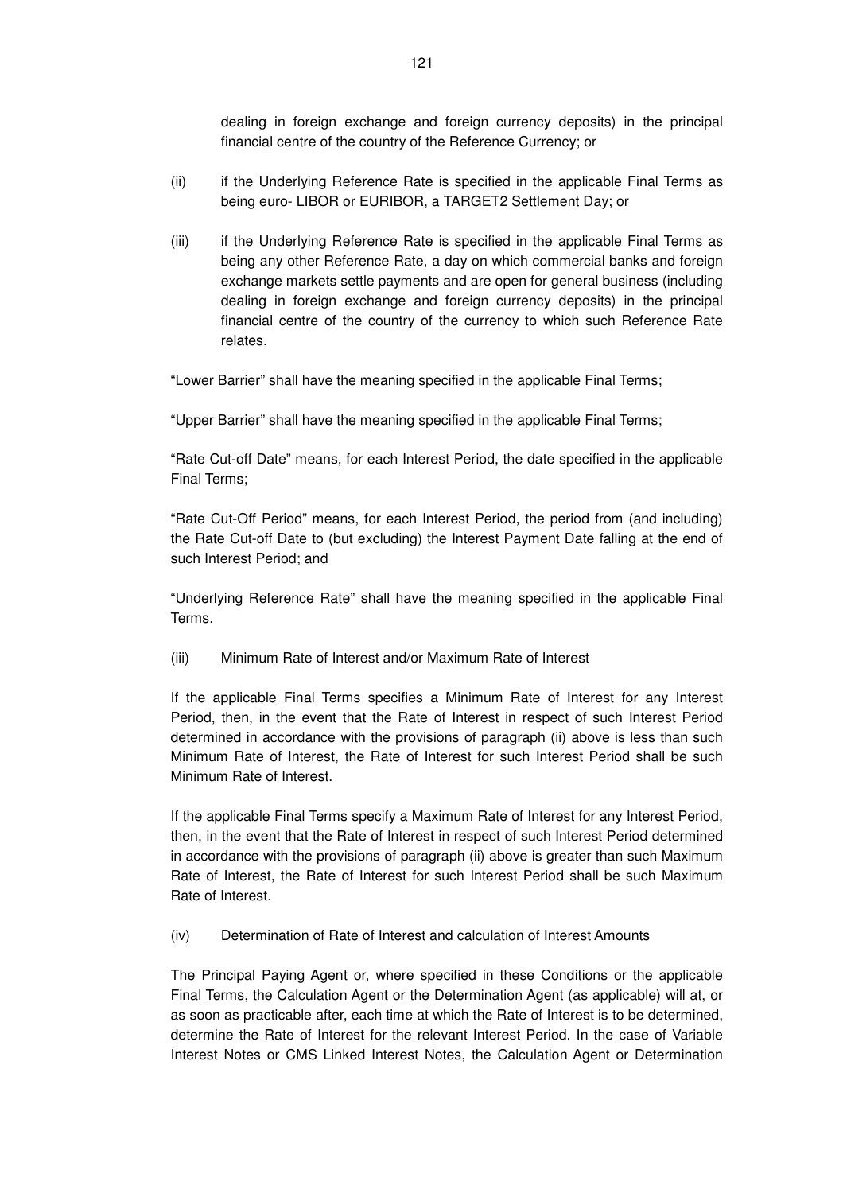dealing in foreign exchange and foreign currency deposits) in the principal financial centre of the country of the Reference Currency; or

- (ii) if the Underlying Reference Rate is specified in the applicable Final Terms as being euro- LIBOR or EURIBOR, a TARGET2 Settlement Day; or
- (iii) if the Underlying Reference Rate is specified in the applicable Final Terms as being any other Reference Rate, a day on which commercial banks and foreign exchange markets settle payments and are open for general business (including dealing in foreign exchange and foreign currency deposits) in the principal financial centre of the country of the currency to which such Reference Rate relates.

"Lower Barrier" shall have the meaning specified in the applicable Final Terms;

"Upper Barrier" shall have the meaning specified in the applicable Final Terms;

"Rate Cut-off Date" means, for each Interest Period, the date specified in the applicable Final Terms;

"Rate Cut-Off Period" means, for each Interest Period, the period from (and including) the Rate Cut-off Date to (but excluding) the Interest Payment Date falling at the end of such Interest Period; and

"Underlying Reference Rate" shall have the meaning specified in the applicable Final Terms.

(iii) Minimum Rate of Interest and/or Maximum Rate of Interest

If the applicable Final Terms specifies a Minimum Rate of Interest for any Interest Period, then, in the event that the Rate of Interest in respect of such Interest Period determined in accordance with the provisions of paragraph (ii) above is less than such Minimum Rate of Interest, the Rate of Interest for such Interest Period shall be such Minimum Rate of Interest.

If the applicable Final Terms specify a Maximum Rate of Interest for any Interest Period, then, in the event that the Rate of Interest in respect of such Interest Period determined in accordance with the provisions of paragraph (ii) above is greater than such Maximum Rate of Interest, the Rate of Interest for such Interest Period shall be such Maximum Rate of Interest.

(iv) Determination of Rate of Interest and calculation of Interest Amounts

The Principal Paying Agent or, where specified in these Conditions or the applicable Final Terms, the Calculation Agent or the Determination Agent (as applicable) will at, or as soon as practicable after, each time at which the Rate of Interest is to be determined, determine the Rate of Interest for the relevant Interest Period. In the case of Variable Interest Notes or CMS Linked Interest Notes, the Calculation Agent or Determination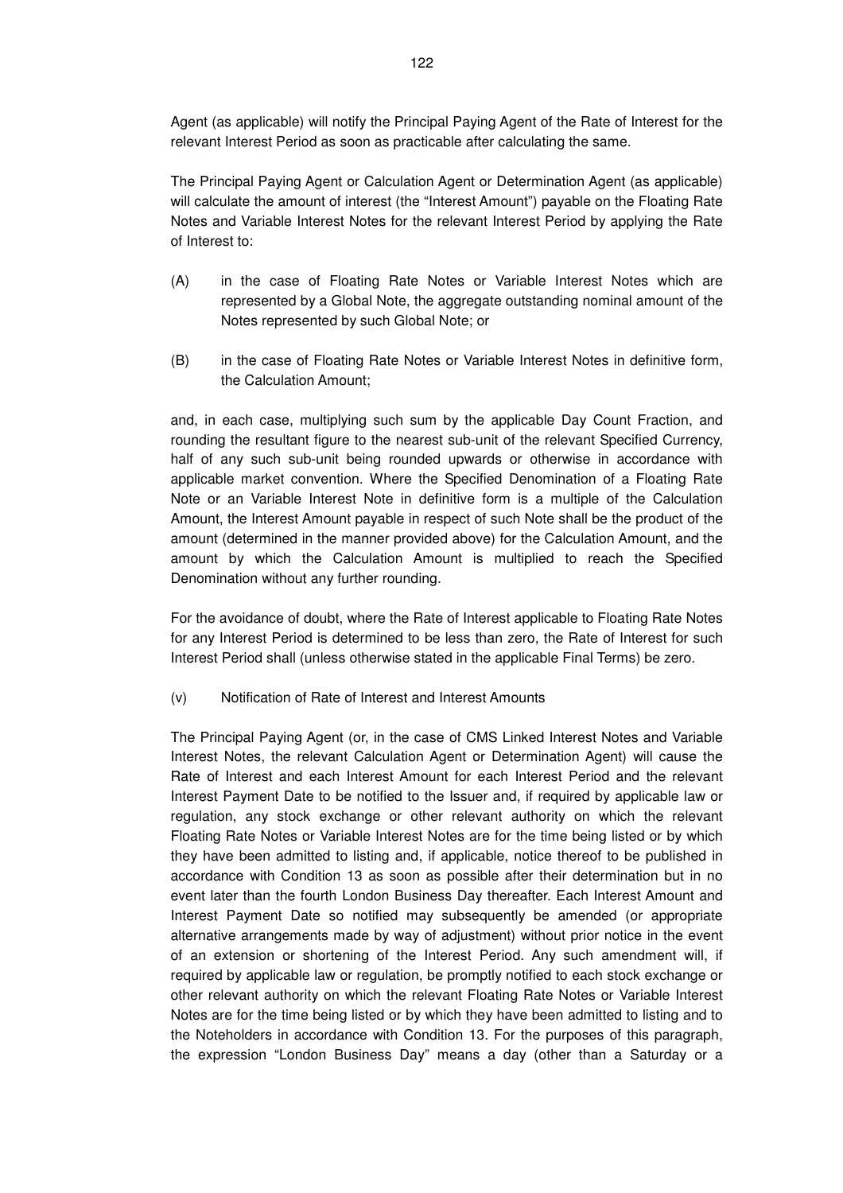Agent (as applicable) will notify the Principal Paying Agent of the Rate of Interest for the relevant Interest Period as soon as practicable after calculating the same.

The Principal Paying Agent or Calculation Agent or Determination Agent (as applicable) will calculate the amount of interest (the "Interest Amount") payable on the Floating Rate Notes and Variable Interest Notes for the relevant Interest Period by applying the Rate of Interest to:

- (A) in the case of Floating Rate Notes or Variable Interest Notes which are represented by a Global Note, the aggregate outstanding nominal amount of the Notes represented by such Global Note; or
- (B) in the case of Floating Rate Notes or Variable Interest Notes in definitive form, the Calculation Amount;

and, in each case, multiplying such sum by the applicable Day Count Fraction, and rounding the resultant figure to the nearest sub-unit of the relevant Specified Currency, half of any such sub-unit being rounded upwards or otherwise in accordance with applicable market convention. Where the Specified Denomination of a Floating Rate Note or an Variable Interest Note in definitive form is a multiple of the Calculation Amount, the Interest Amount payable in respect of such Note shall be the product of the amount (determined in the manner provided above) for the Calculation Amount, and the amount by which the Calculation Amount is multiplied to reach the Specified Denomination without any further rounding.

For the avoidance of doubt, where the Rate of Interest applicable to Floating Rate Notes for any Interest Period is determined to be less than zero, the Rate of Interest for such Interest Period shall (unless otherwise stated in the applicable Final Terms) be zero.

(v) Notification of Rate of Interest and Interest Amounts

The Principal Paying Agent (or, in the case of CMS Linked Interest Notes and Variable Interest Notes, the relevant Calculation Agent or Determination Agent) will cause the Rate of Interest and each Interest Amount for each Interest Period and the relevant Interest Payment Date to be notified to the Issuer and, if required by applicable law or regulation, any stock exchange or other relevant authority on which the relevant Floating Rate Notes or Variable Interest Notes are for the time being listed or by which they have been admitted to listing and, if applicable, notice thereof to be published in accordance with Condition 13 as soon as possible after their determination but in no event later than the fourth London Business Day thereafter. Each Interest Amount and Interest Payment Date so notified may subsequently be amended (or appropriate alternative arrangements made by way of adjustment) without prior notice in the event of an extension or shortening of the Interest Period. Any such amendment will, if required by applicable law or regulation, be promptly notified to each stock exchange or other relevant authority on which the relevant Floating Rate Notes or Variable Interest Notes are for the time being listed or by which they have been admitted to listing and to the Noteholders in accordance with Condition 13. For the purposes of this paragraph, the expression "London Business Day" means a day (other than a Saturday or a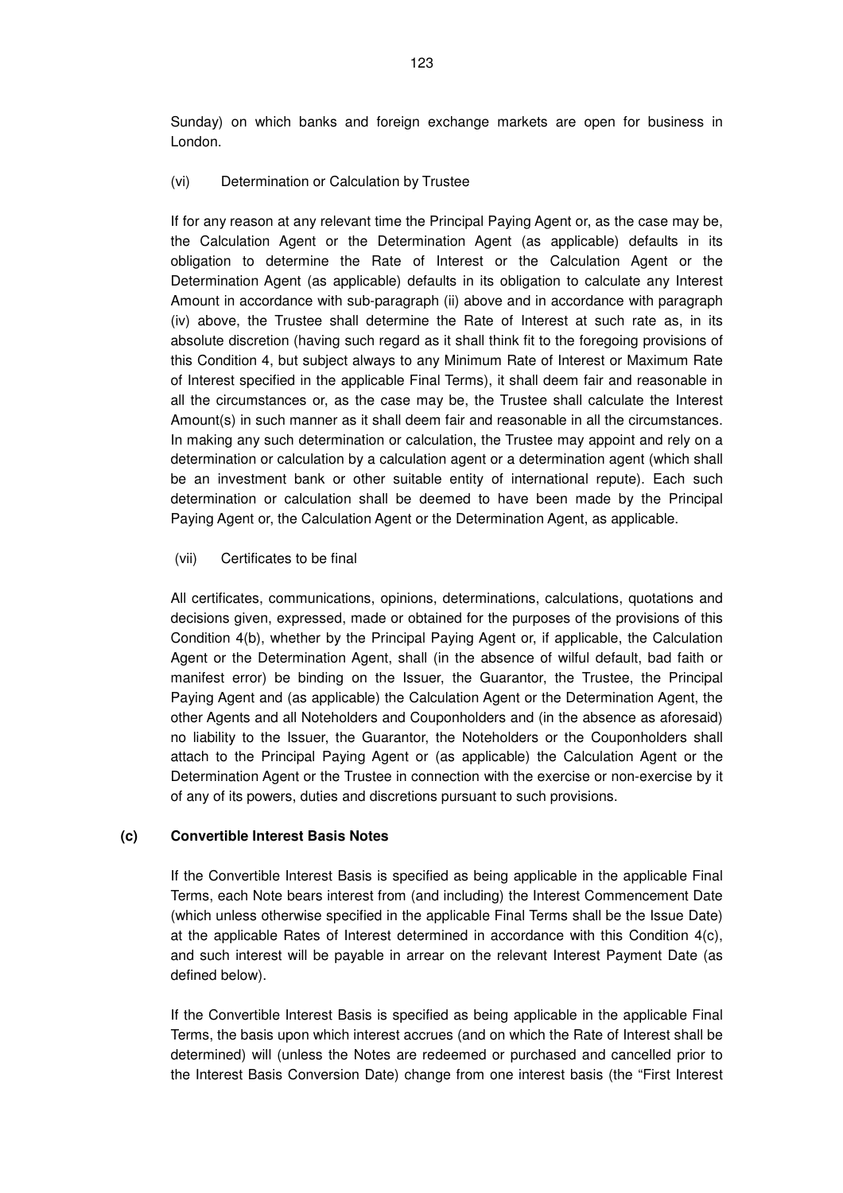Sunday) on which banks and foreign exchange markets are open for business in London.

#### (vi) Determination or Calculation by Trustee

If for any reason at any relevant time the Principal Paying Agent or, as the case may be, the Calculation Agent or the Determination Agent (as applicable) defaults in its obligation to determine the Rate of Interest or the Calculation Agent or the Determination Agent (as applicable) defaults in its obligation to calculate any Interest Amount in accordance with sub-paragraph (ii) above and in accordance with paragraph (iv) above, the Trustee shall determine the Rate of Interest at such rate as, in its absolute discretion (having such regard as it shall think fit to the foregoing provisions of this Condition 4, but subject always to any Minimum Rate of Interest or Maximum Rate of Interest specified in the applicable Final Terms), it shall deem fair and reasonable in all the circumstances or, as the case may be, the Trustee shall calculate the Interest Amount(s) in such manner as it shall deem fair and reasonable in all the circumstances. In making any such determination or calculation, the Trustee may appoint and rely on a determination or calculation by a calculation agent or a determination agent (which shall be an investment bank or other suitable entity of international repute). Each such determination or calculation shall be deemed to have been made by the Principal Paying Agent or, the Calculation Agent or the Determination Agent, as applicable.

#### (vii) Certificates to be final

All certificates, communications, opinions, determinations, calculations, quotations and decisions given, expressed, made or obtained for the purposes of the provisions of this Condition 4(b), whether by the Principal Paying Agent or, if applicable, the Calculation Agent or the Determination Agent, shall (in the absence of wilful default, bad faith or manifest error) be binding on the Issuer, the Guarantor, the Trustee, the Principal Paying Agent and (as applicable) the Calculation Agent or the Determination Agent, the other Agents and all Noteholders and Couponholders and (in the absence as aforesaid) no liability to the Issuer, the Guarantor, the Noteholders or the Couponholders shall attach to the Principal Paying Agent or (as applicable) the Calculation Agent or the Determination Agent or the Trustee in connection with the exercise or non-exercise by it of any of its powers, duties and discretions pursuant to such provisions.

### **(c) Convertible Interest Basis Notes**

If the Convertible Interest Basis is specified as being applicable in the applicable Final Terms, each Note bears interest from (and including) the Interest Commencement Date (which unless otherwise specified in the applicable Final Terms shall be the Issue Date) at the applicable Rates of Interest determined in accordance with this Condition  $4(c)$ , and such interest will be payable in arrear on the relevant Interest Payment Date (as defined below).

If the Convertible Interest Basis is specified as being applicable in the applicable Final Terms, the basis upon which interest accrues (and on which the Rate of Interest shall be determined) will (unless the Notes are redeemed or purchased and cancelled prior to the Interest Basis Conversion Date) change from one interest basis (the "First Interest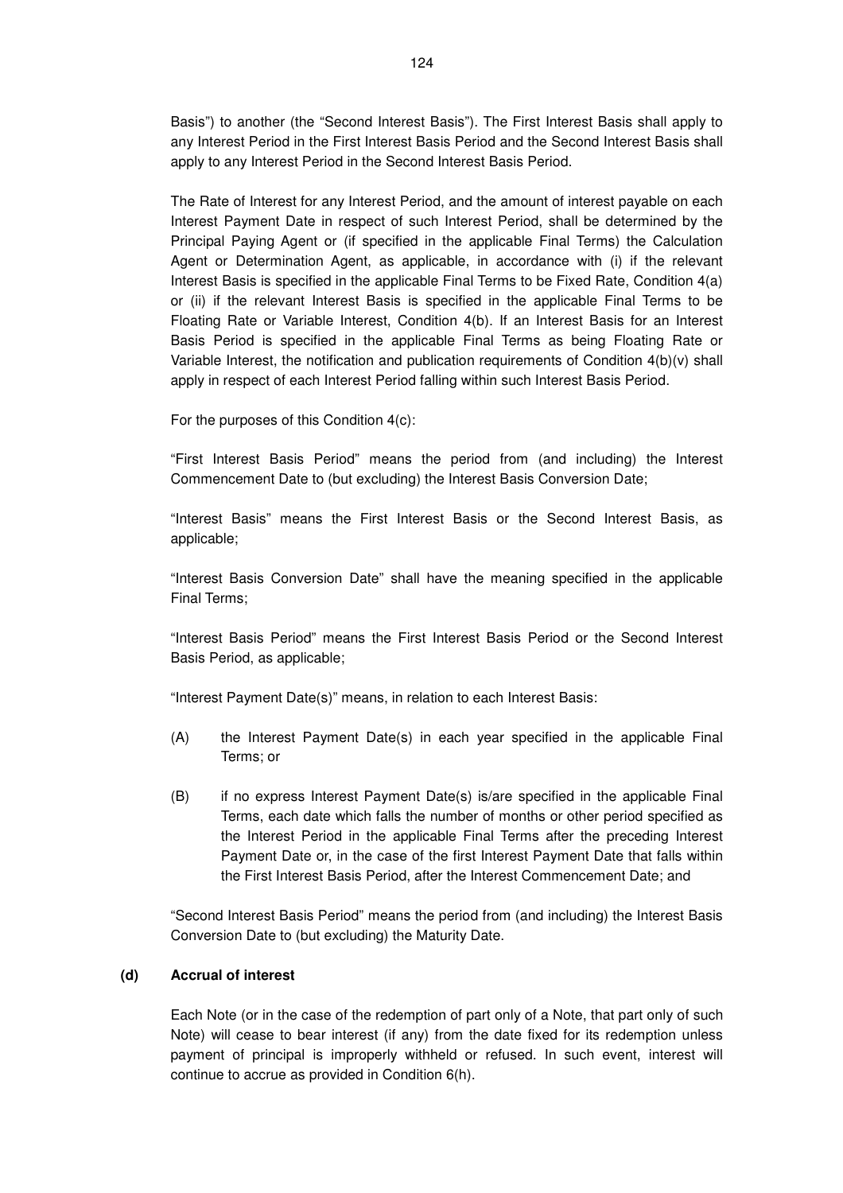Basis") to another (the "Second Interest Basis"). The First Interest Basis shall apply to any Interest Period in the First Interest Basis Period and the Second Interest Basis shall apply to any Interest Period in the Second Interest Basis Period.

The Rate of Interest for any Interest Period, and the amount of interest payable on each Interest Payment Date in respect of such Interest Period, shall be determined by the Principal Paying Agent or (if specified in the applicable Final Terms) the Calculation Agent or Determination Agent, as applicable, in accordance with (i) if the relevant Interest Basis is specified in the applicable Final Terms to be Fixed Rate, Condition 4(a) or (ii) if the relevant Interest Basis is specified in the applicable Final Terms to be Floating Rate or Variable Interest, Condition 4(b). If an Interest Basis for an Interest Basis Period is specified in the applicable Final Terms as being Floating Rate or Variable Interest, the notification and publication requirements of Condition 4(b)(v) shall apply in respect of each Interest Period falling within such Interest Basis Period.

For the purposes of this Condition 4(c):

"First Interest Basis Period" means the period from (and including) the Interest Commencement Date to (but excluding) the Interest Basis Conversion Date;

"Interest Basis" means the First Interest Basis or the Second Interest Basis, as applicable;

"Interest Basis Conversion Date" shall have the meaning specified in the applicable Final Terms;

"Interest Basis Period" means the First Interest Basis Period or the Second Interest Basis Period, as applicable;

"Interest Payment Date(s)" means, in relation to each Interest Basis:

- (A) the Interest Payment Date(s) in each year specified in the applicable Final Terms; or
- (B) if no express Interest Payment Date(s) is/are specified in the applicable Final Terms, each date which falls the number of months or other period specified as the Interest Period in the applicable Final Terms after the preceding Interest Payment Date or, in the case of the first Interest Payment Date that falls within the First Interest Basis Period, after the Interest Commencement Date; and

"Second Interest Basis Period" means the period from (and including) the Interest Basis Conversion Date to (but excluding) the Maturity Date.

#### **(d) Accrual of interest**

Each Note (or in the case of the redemption of part only of a Note, that part only of such Note) will cease to bear interest (if any) from the date fixed for its redemption unless payment of principal is improperly withheld or refused. In such event, interest will continue to accrue as provided in Condition 6(h).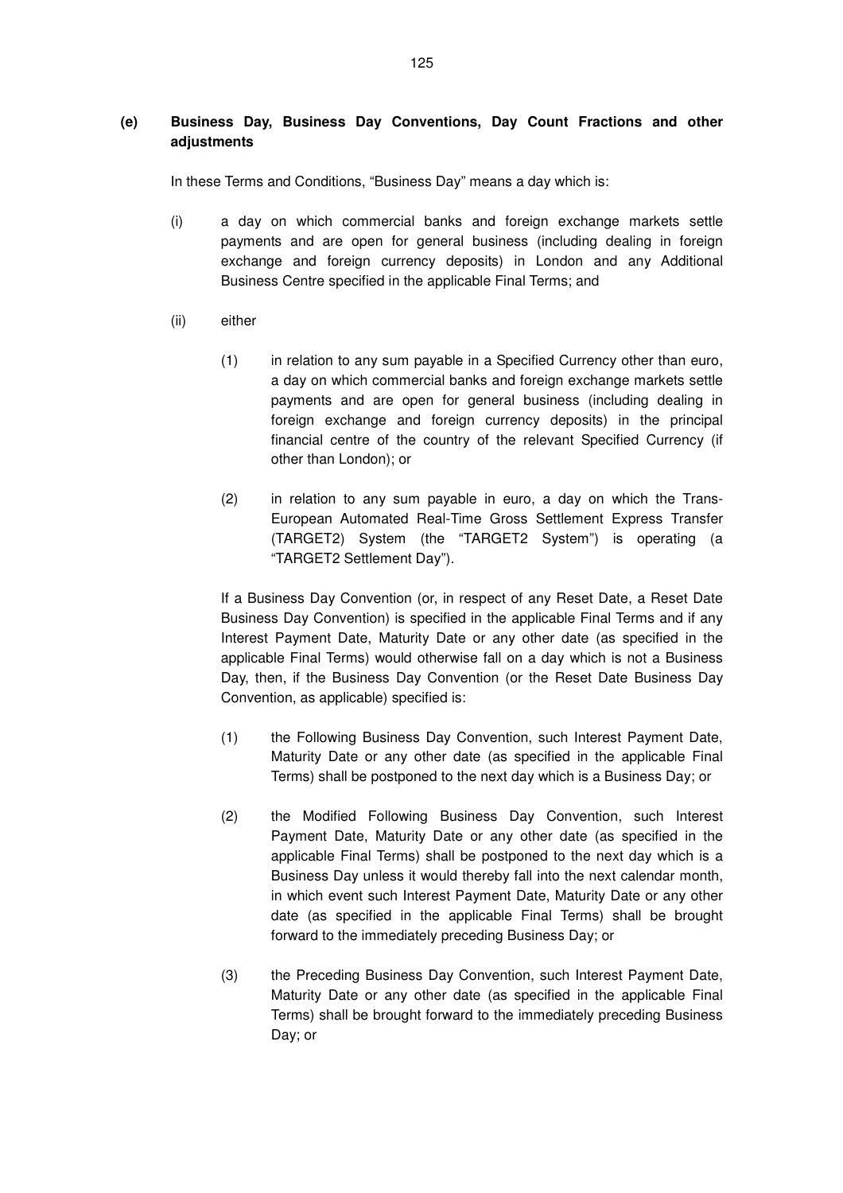# **(e) Business Day, Business Day Conventions, Day Count Fractions and other adjustments**

In these Terms and Conditions, "Business Day" means a day which is:

- (i) a day on which commercial banks and foreign exchange markets settle payments and are open for general business (including dealing in foreign exchange and foreign currency deposits) in London and any Additional Business Centre specified in the applicable Final Terms; and
- (ii) either
	- (1) in relation to any sum payable in a Specified Currency other than euro, a day on which commercial banks and foreign exchange markets settle payments and are open for general business (including dealing in foreign exchange and foreign currency deposits) in the principal financial centre of the country of the relevant Specified Currency (if other than London); or
	- (2) in relation to any sum payable in euro, a day on which the Trans-European Automated Real-Time Gross Settlement Express Transfer (TARGET2) System (the "TARGET2 System") is operating (a "TARGET2 Settlement Day").

If a Business Day Convention (or, in respect of any Reset Date, a Reset Date Business Day Convention) is specified in the applicable Final Terms and if any Interest Payment Date, Maturity Date or any other date (as specified in the applicable Final Terms) would otherwise fall on a day which is not a Business Day, then, if the Business Day Convention (or the Reset Date Business Day Convention, as applicable) specified is:

- (1) the Following Business Day Convention, such Interest Payment Date, Maturity Date or any other date (as specified in the applicable Final Terms) shall be postponed to the next day which is a Business Day; or
- (2) the Modified Following Business Day Convention, such Interest Payment Date, Maturity Date or any other date (as specified in the applicable Final Terms) shall be postponed to the next day which is a Business Day unless it would thereby fall into the next calendar month, in which event such Interest Payment Date, Maturity Date or any other date (as specified in the applicable Final Terms) shall be brought forward to the immediately preceding Business Day; or
- (3) the Preceding Business Day Convention, such Interest Payment Date, Maturity Date or any other date (as specified in the applicable Final Terms) shall be brought forward to the immediately preceding Business Day; or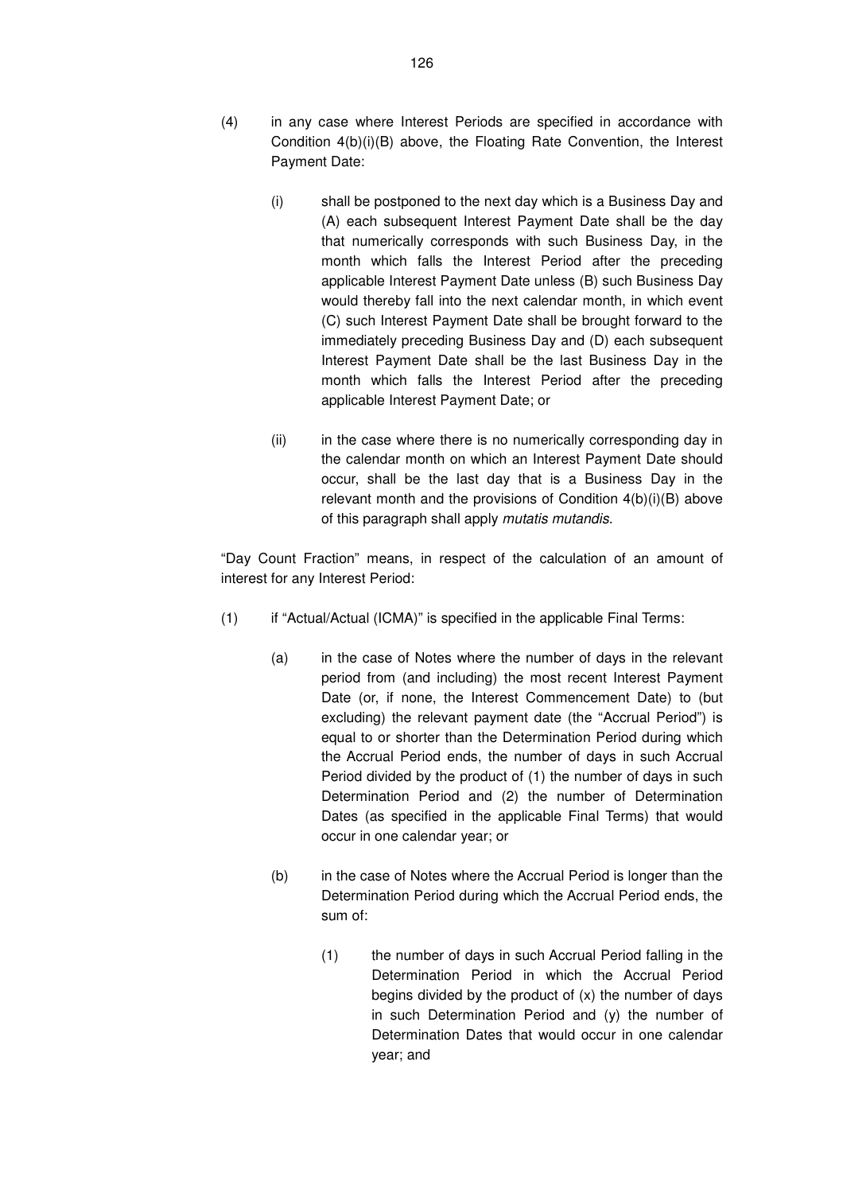- (4) in any case where Interest Periods are specified in accordance with Condition 4(b)(i)(B) above, the Floating Rate Convention, the Interest Payment Date:
	- (i) shall be postponed to the next day which is a Business Day and (A) each subsequent Interest Payment Date shall be the day that numerically corresponds with such Business Day, in the month which falls the Interest Period after the preceding applicable Interest Payment Date unless (B) such Business Day would thereby fall into the next calendar month, in which event (C) such Interest Payment Date shall be brought forward to the immediately preceding Business Day and (D) each subsequent Interest Payment Date shall be the last Business Day in the month which falls the Interest Period after the preceding applicable Interest Payment Date; or
	- (ii) in the case where there is no numerically corresponding day in the calendar month on which an Interest Payment Date should occur, shall be the last day that is a Business Day in the relevant month and the provisions of Condition 4(b)(i)(B) above of this paragraph shall apply mutatis mutandis.

"Day Count Fraction" means, in respect of the calculation of an amount of interest for any Interest Period:

- (1) if "Actual/Actual (ICMA)" is specified in the applicable Final Terms:
	- (a) in the case of Notes where the number of days in the relevant period from (and including) the most recent Interest Payment Date (or, if none, the Interest Commencement Date) to (but excluding) the relevant payment date (the "Accrual Period") is equal to or shorter than the Determination Period during which the Accrual Period ends, the number of days in such Accrual Period divided by the product of (1) the number of days in such Determination Period and (2) the number of Determination Dates (as specified in the applicable Final Terms) that would occur in one calendar year; or
	- (b) in the case of Notes where the Accrual Period is longer than the Determination Period during which the Accrual Period ends, the sum of:
		- (1) the number of days in such Accrual Period falling in the Determination Period in which the Accrual Period begins divided by the product of (x) the number of days in such Determination Period and (y) the number of Determination Dates that would occur in one calendar year; and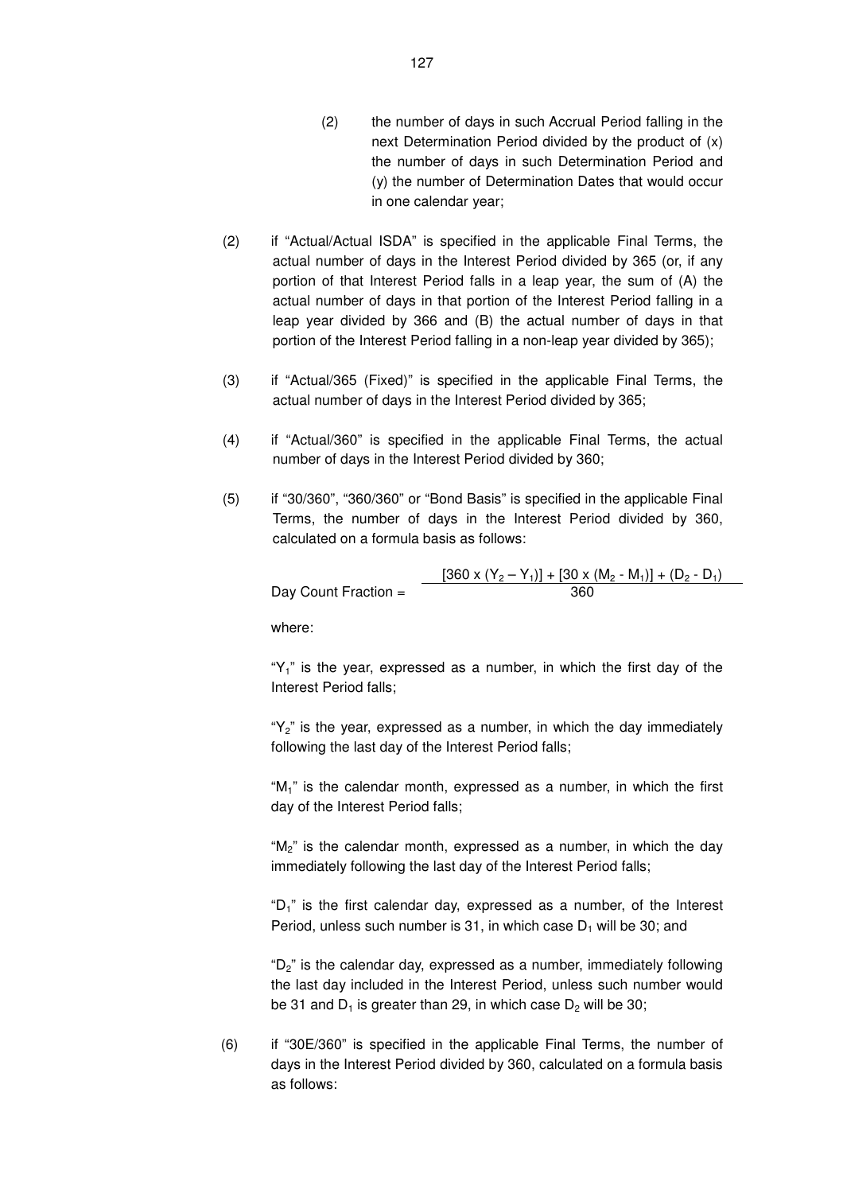- (2) the number of days in such Accrual Period falling in the next Determination Period divided by the product of (x) the number of days in such Determination Period and (y) the number of Determination Dates that would occur in one calendar year;
- (2) if "Actual/Actual ISDA" is specified in the applicable Final Terms, the actual number of days in the Interest Period divided by 365 (or, if any portion of that Interest Period falls in a leap year, the sum of (A) the actual number of days in that portion of the Interest Period falling in a leap year divided by 366 and (B) the actual number of days in that portion of the Interest Period falling in a non-leap year divided by 365);
- (3) if "Actual/365 (Fixed)" is specified in the applicable Final Terms, the actual number of days in the Interest Period divided by 365;
- (4) if "Actual/360" is specified in the applicable Final Terms, the actual number of days in the Interest Period divided by 360;
- (5) if "30/360", "360/360" or "Bond Basis" is specified in the applicable Final Terms, the number of days in the Interest Period divided by 360, calculated on a formula basis as follows:

 $\frac{[360 \times (Y_2 - Y_1)] + [30 \times (M_2 - M_1)] + (D_2 - D_1)}{360}$ Day Count Fraction  $=$ 

where:

" $Y_1$ " is the year, expressed as a number, in which the first day of the Interest Period falls;

" $Y_2$ " is the year, expressed as a number, in which the day immediately following the last day of the Interest Period falls;

"M1" is the calendar month, expressed as a number, in which the first day of the Interest Period falls;

"M<sub>2</sub>" is the calendar month, expressed as a number, in which the day immediately following the last day of the Interest Period falls;

"D<sub>1</sub>" is the first calendar day, expressed as a number, of the Interest Period, unless such number is 31, in which case  $D_1$  will be 30; and

" $D_2$ " is the calendar day, expressed as a number, immediately following the last day included in the Interest Period, unless such number would be 31 and  $D_1$  is greater than 29, in which case  $D_2$  will be 30;

(6) if "30E/360" is specified in the applicable Final Terms, the number of days in the Interest Period divided by 360, calculated on a formula basis as follows: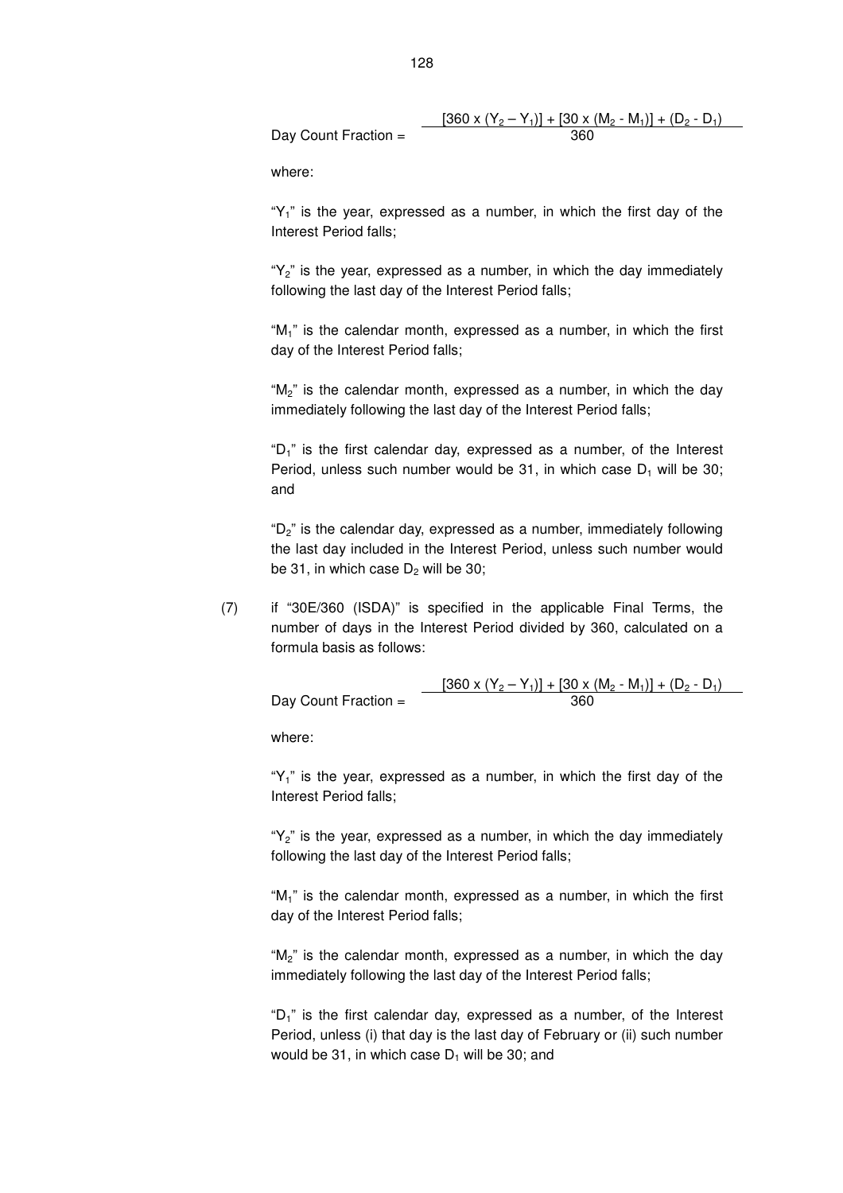Day Count Fraction = 
$$
\frac{[360 \times (Y_2 - Y_1)] + [30 \times (M_2 - M_1)] + (D_2 - D_1)}{360}
$$

where:

" $Y_1$ " is the year, expressed as a number, in which the first day of the Interest Period falls;

" $Y_2$ " is the year, expressed as a number, in which the day immediately following the last day of the Interest Period falls;

" $M_1$ " is the calendar month, expressed as a number, in which the first day of the Interest Period falls;

" $M_2$ " is the calendar month, expressed as a number, in which the day immediately following the last day of the Interest Period falls;

" $D_1$ " is the first calendar day, expressed as a number, of the Interest Period, unless such number would be 31, in which case  $D_1$  will be 30; and

" $D_2$ " is the calendar day, expressed as a number, immediately following the last day included in the Interest Period, unless such number would be 31, in which case  $D<sub>2</sub>$  will be 30;

(7) if "30E/360 (ISDA)" is specified in the applicable Final Terms, the number of days in the Interest Period divided by 360, calculated on a formula basis as follows:

|                      | $[360 \times (Y_2 - Y_1)] + [30 \times (M_2 - M_1)] + (D_2 - D_1)$ |
|----------------------|--------------------------------------------------------------------|
| Day Count Fraction = | 360                                                                |

where:

" $Y_1$ " is the year, expressed as a number, in which the first day of the Interest Period falls;

" $Y_2$ " is the year, expressed as a number, in which the day immediately following the last day of the Interest Period falls;

" $M_1$ " is the calendar month, expressed as a number, in which the first day of the Interest Period falls;

" $M_2$ " is the calendar month, expressed as a number, in which the day immediately following the last day of the Interest Period falls;

" $D_1$ " is the first calendar day, expressed as a number, of the Interest Period, unless (i) that day is the last day of February or (ii) such number would be 31, in which case  $D_1$  will be 30; and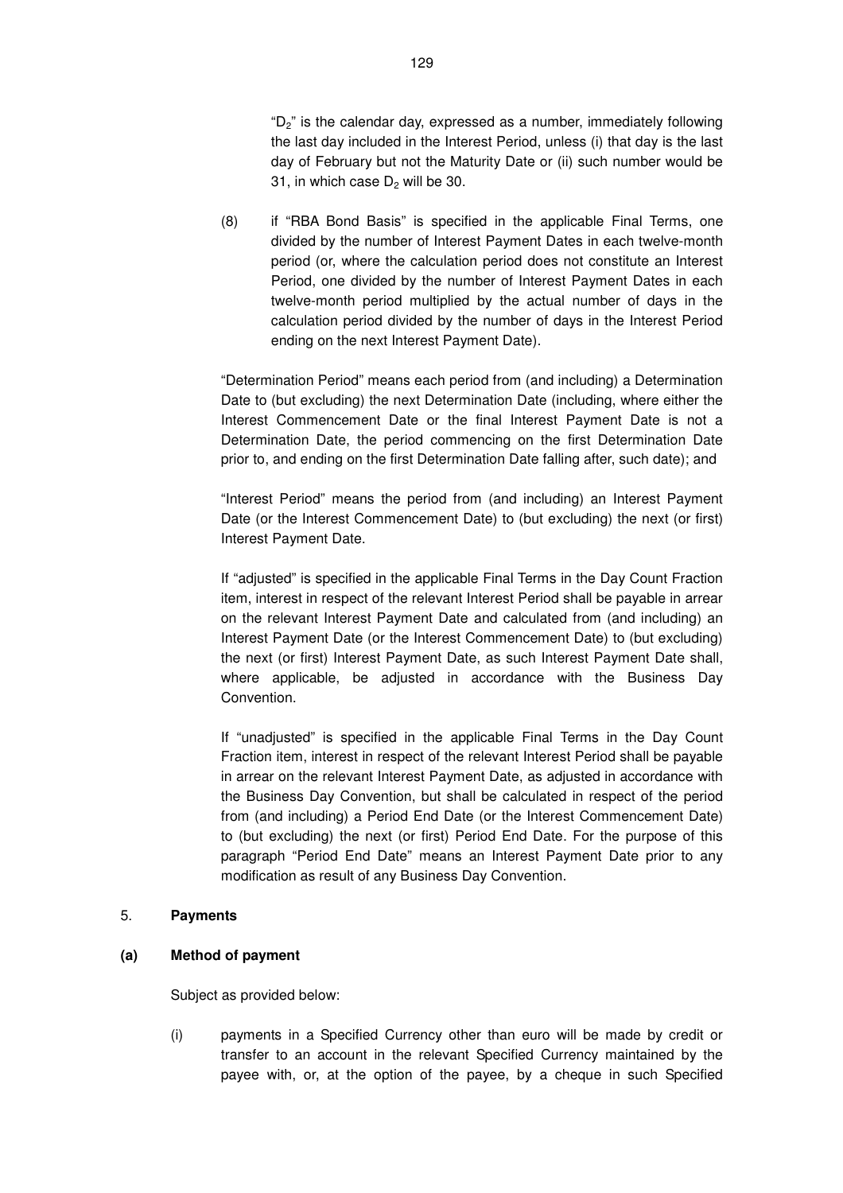"D<sub>2</sub>" is the calendar day, expressed as a number, immediately following the last day included in the Interest Period, unless (i) that day is the last day of February but not the Maturity Date or (ii) such number would be 31, in which case  $D<sub>2</sub>$  will be 30.

(8) if "RBA Bond Basis" is specified in the applicable Final Terms, one divided by the number of Interest Payment Dates in each twelve-month period (or, where the calculation period does not constitute an Interest Period, one divided by the number of Interest Payment Dates in each twelve-month period multiplied by the actual number of days in the calculation period divided by the number of days in the Interest Period ending on the next Interest Payment Date).

"Determination Period" means each period from (and including) a Determination Date to (but excluding) the next Determination Date (including, where either the Interest Commencement Date or the final Interest Payment Date is not a Determination Date, the period commencing on the first Determination Date prior to, and ending on the first Determination Date falling after, such date); and

"Interest Period" means the period from (and including) an Interest Payment Date (or the Interest Commencement Date) to (but excluding) the next (or first) Interest Payment Date.

If "adjusted" is specified in the applicable Final Terms in the Day Count Fraction item, interest in respect of the relevant Interest Period shall be payable in arrear on the relevant Interest Payment Date and calculated from (and including) an Interest Payment Date (or the Interest Commencement Date) to (but excluding) the next (or first) Interest Payment Date, as such Interest Payment Date shall, where applicable, be adjusted in accordance with the Business Day **Convention** 

If "unadjusted" is specified in the applicable Final Terms in the Day Count Fraction item, interest in respect of the relevant Interest Period shall be payable in arrear on the relevant Interest Payment Date, as adjusted in accordance with the Business Day Convention, but shall be calculated in respect of the period from (and including) a Period End Date (or the Interest Commencement Date) to (but excluding) the next (or first) Period End Date. For the purpose of this paragraph "Period End Date" means an Interest Payment Date prior to any modification as result of any Business Day Convention.

### 5. **Payments**

### **(a) Method of payment**

Subject as provided below:

(i) payments in a Specified Currency other than euro will be made by credit or transfer to an account in the relevant Specified Currency maintained by the payee with, or, at the option of the payee, by a cheque in such Specified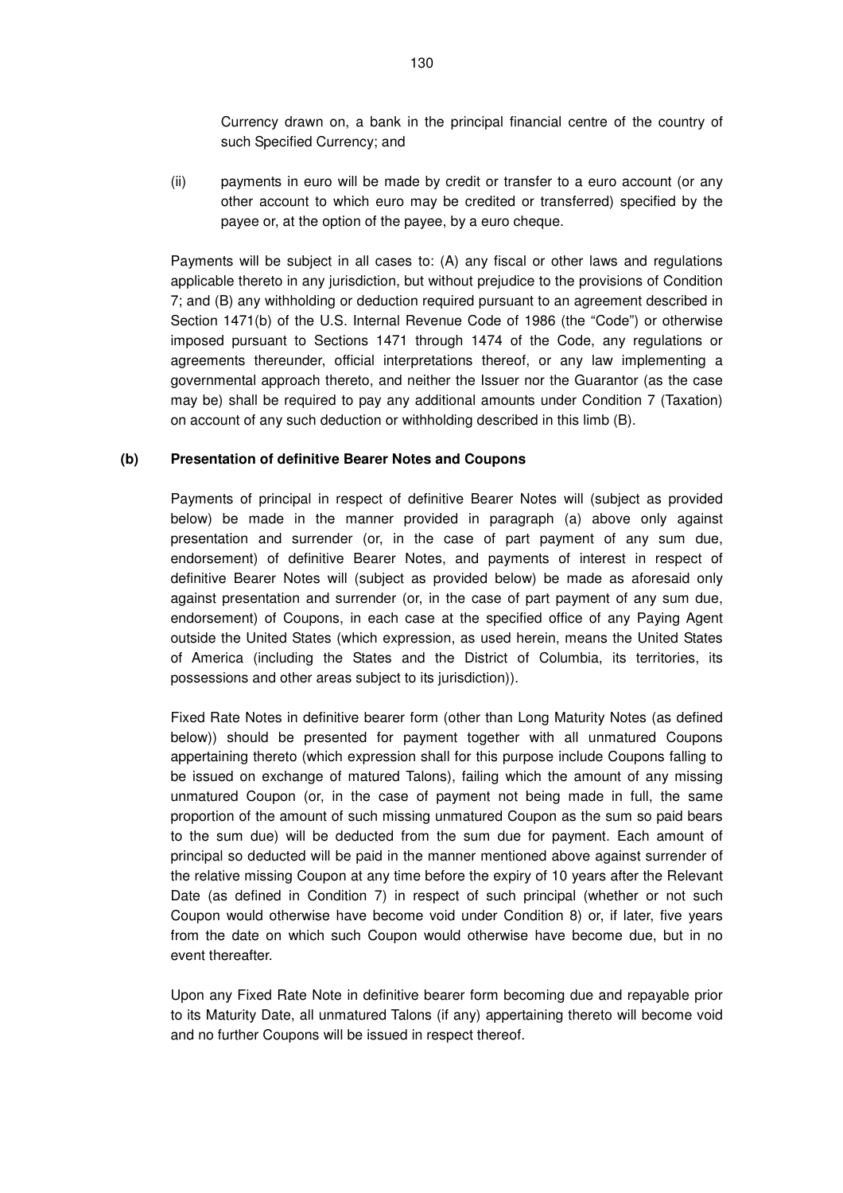Currency drawn on, a bank in the principal financial centre of the country of such Specified Currency; and

(ii) payments in euro will be made by credit or transfer to a euro account (or any other account to which euro may be credited or transferred) specified by the payee or, at the option of the payee, by a euro cheque.

Payments will be subject in all cases to: (A) any fiscal or other laws and regulations applicable thereto in any jurisdiction, but without prejudice to the provisions of Condition 7; and (B) any withholding or deduction required pursuant to an agreement described in Section 1471(b) of the U.S. Internal Revenue Code of 1986 (the "Code") or otherwise imposed pursuant to Sections 1471 through 1474 of the Code, any regulations or agreements thereunder, official interpretations thereof, or any law implementing a governmental approach thereto, and neither the Issuer nor the Guarantor (as the case may be) shall be required to pay any additional amounts under Condition 7 (Taxation) on account of any such deduction or withholding described in this limb (B).

#### **(b) Presentation of definitive Bearer Notes and Coupons**

Payments of principal in respect of definitive Bearer Notes will (subject as provided below) be made in the manner provided in paragraph (a) above only against presentation and surrender (or, in the case of part payment of any sum due, endorsement) of definitive Bearer Notes, and payments of interest in respect of definitive Bearer Notes will (subject as provided below) be made as aforesaid only against presentation and surrender (or, in the case of part payment of any sum due, endorsement) of Coupons, in each case at the specified office of any Paying Agent outside the United States (which expression, as used herein, means the United States of America (including the States and the District of Columbia, its territories, its possessions and other areas subject to its jurisdiction)).

Fixed Rate Notes in definitive bearer form (other than Long Maturity Notes (as defined below)) should be presented for payment together with all unmatured Coupons appertaining thereto (which expression shall for this purpose include Coupons falling to be issued on exchange of matured Talons), failing which the amount of any missing unmatured Coupon (or, in the case of payment not being made in full, the same proportion of the amount of such missing unmatured Coupon as the sum so paid bears to the sum due) will be deducted from the sum due for payment. Each amount of principal so deducted will be paid in the manner mentioned above against surrender of the relative missing Coupon at any time before the expiry of 10 years after the Relevant Date (as defined in Condition 7) in respect of such principal (whether or not such Coupon would otherwise have become void under Condition 8) or, if later, five years from the date on which such Coupon would otherwise have become due, but in no event thereafter.

Upon any Fixed Rate Note in definitive bearer form becoming due and repayable prior to its Maturity Date, all unmatured Talons (if any) appertaining thereto will become void and no further Coupons will be issued in respect thereof.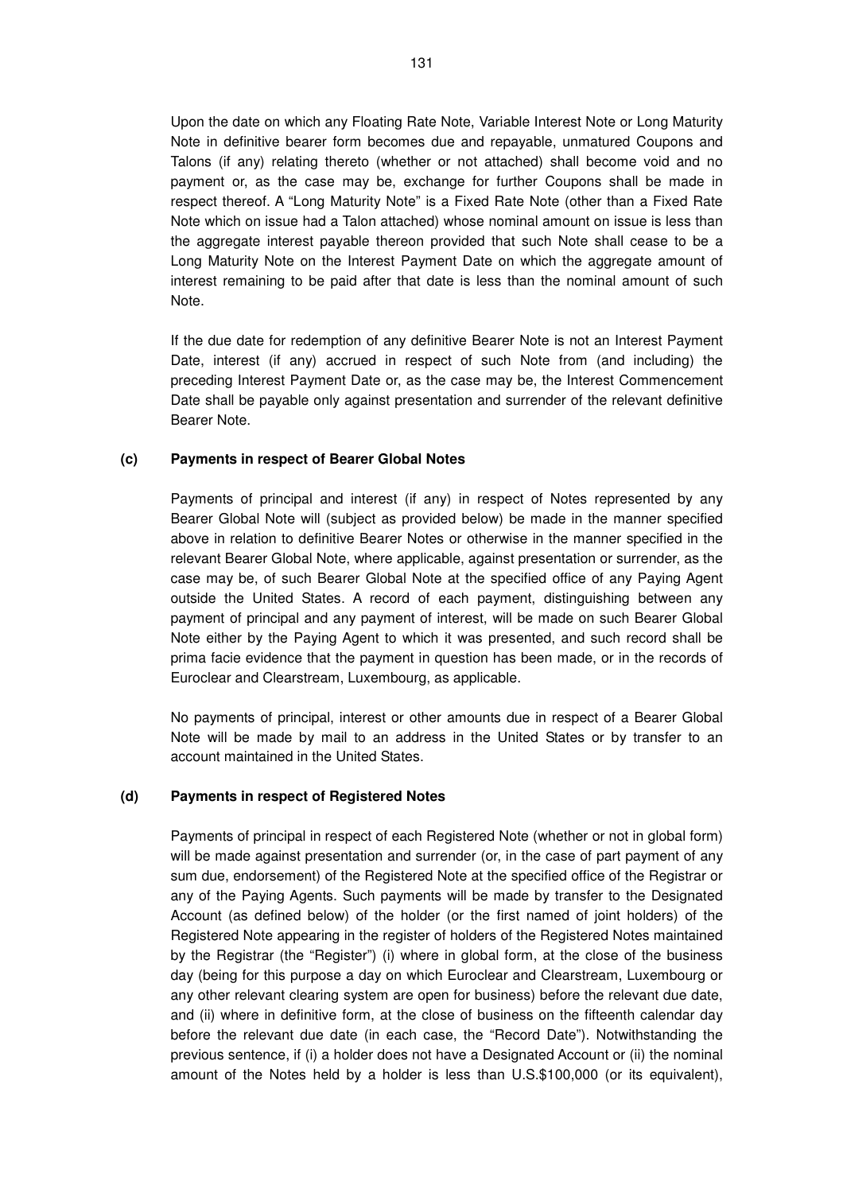Upon the date on which any Floating Rate Note, Variable Interest Note or Long Maturity Note in definitive bearer form becomes due and repayable, unmatured Coupons and Talons (if any) relating thereto (whether or not attached) shall become void and no payment or, as the case may be, exchange for further Coupons shall be made in respect thereof. A "Long Maturity Note" is a Fixed Rate Note (other than a Fixed Rate Note which on issue had a Talon attached) whose nominal amount on issue is less than the aggregate interest payable thereon provided that such Note shall cease to be a Long Maturity Note on the Interest Payment Date on which the aggregate amount of interest remaining to be paid after that date is less than the nominal amount of such Note.

If the due date for redemption of any definitive Bearer Note is not an Interest Payment Date, interest (if any) accrued in respect of such Note from (and including) the preceding Interest Payment Date or, as the case may be, the Interest Commencement Date shall be payable only against presentation and surrender of the relevant definitive Bearer Note.

#### **(c) Payments in respect of Bearer Global Notes**

Payments of principal and interest (if any) in respect of Notes represented by any Bearer Global Note will (subject as provided below) be made in the manner specified above in relation to definitive Bearer Notes or otherwise in the manner specified in the relevant Bearer Global Note, where applicable, against presentation or surrender, as the case may be, of such Bearer Global Note at the specified office of any Paying Agent outside the United States. A record of each payment, distinguishing between any payment of principal and any payment of interest, will be made on such Bearer Global Note either by the Paying Agent to which it was presented, and such record shall be prima facie evidence that the payment in question has been made, or in the records of Euroclear and Clearstream, Luxembourg, as applicable.

No payments of principal, interest or other amounts due in respect of a Bearer Global Note will be made by mail to an address in the United States or by transfer to an account maintained in the United States.

#### **(d) Payments in respect of Registered Notes**

Payments of principal in respect of each Registered Note (whether or not in global form) will be made against presentation and surrender (or, in the case of part payment of any sum due, endorsement) of the Registered Note at the specified office of the Registrar or any of the Paying Agents. Such payments will be made by transfer to the Designated Account (as defined below) of the holder (or the first named of joint holders) of the Registered Note appearing in the register of holders of the Registered Notes maintained by the Registrar (the "Register") (i) where in global form, at the close of the business day (being for this purpose a day on which Euroclear and Clearstream, Luxembourg or any other relevant clearing system are open for business) before the relevant due date, and (ii) where in definitive form, at the close of business on the fifteenth calendar day before the relevant due date (in each case, the "Record Date"). Notwithstanding the previous sentence, if (i) a holder does not have a Designated Account or (ii) the nominal amount of the Notes held by a holder is less than U.S.\$100,000 (or its equivalent),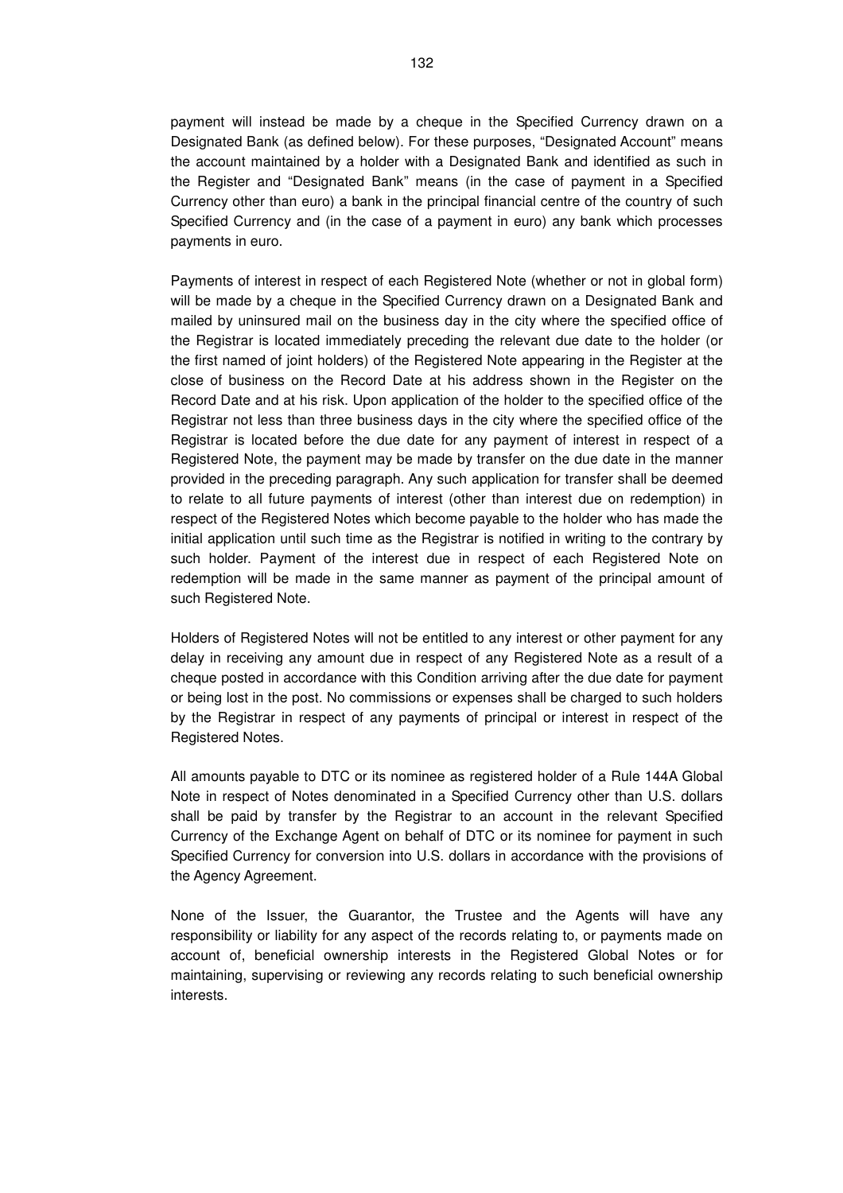payment will instead be made by a cheque in the Specified Currency drawn on a Designated Bank (as defined below). For these purposes, "Designated Account" means the account maintained by a holder with a Designated Bank and identified as such in the Register and "Designated Bank" means (in the case of payment in a Specified Currency other than euro) a bank in the principal financial centre of the country of such Specified Currency and (in the case of a payment in euro) any bank which processes payments in euro.

Payments of interest in respect of each Registered Note (whether or not in global form) will be made by a cheque in the Specified Currency drawn on a Designated Bank and mailed by uninsured mail on the business day in the city where the specified office of the Registrar is located immediately preceding the relevant due date to the holder (or the first named of joint holders) of the Registered Note appearing in the Register at the close of business on the Record Date at his address shown in the Register on the Record Date and at his risk. Upon application of the holder to the specified office of the Registrar not less than three business days in the city where the specified office of the Registrar is located before the due date for any payment of interest in respect of a Registered Note, the payment may be made by transfer on the due date in the manner provided in the preceding paragraph. Any such application for transfer shall be deemed to relate to all future payments of interest (other than interest due on redemption) in respect of the Registered Notes which become payable to the holder who has made the initial application until such time as the Registrar is notified in writing to the contrary by such holder. Payment of the interest due in respect of each Registered Note on redemption will be made in the same manner as payment of the principal amount of such Registered Note.

Holders of Registered Notes will not be entitled to any interest or other payment for any delay in receiving any amount due in respect of any Registered Note as a result of a cheque posted in accordance with this Condition arriving after the due date for payment or being lost in the post. No commissions or expenses shall be charged to such holders by the Registrar in respect of any payments of principal or interest in respect of the Registered Notes.

All amounts payable to DTC or its nominee as registered holder of a Rule 144A Global Note in respect of Notes denominated in a Specified Currency other than U.S. dollars shall be paid by transfer by the Registrar to an account in the relevant Specified Currency of the Exchange Agent on behalf of DTC or its nominee for payment in such Specified Currency for conversion into U.S. dollars in accordance with the provisions of the Agency Agreement.

None of the Issuer, the Guarantor, the Trustee and the Agents will have any responsibility or liability for any aspect of the records relating to, or payments made on account of, beneficial ownership interests in the Registered Global Notes or for maintaining, supervising or reviewing any records relating to such beneficial ownership interests.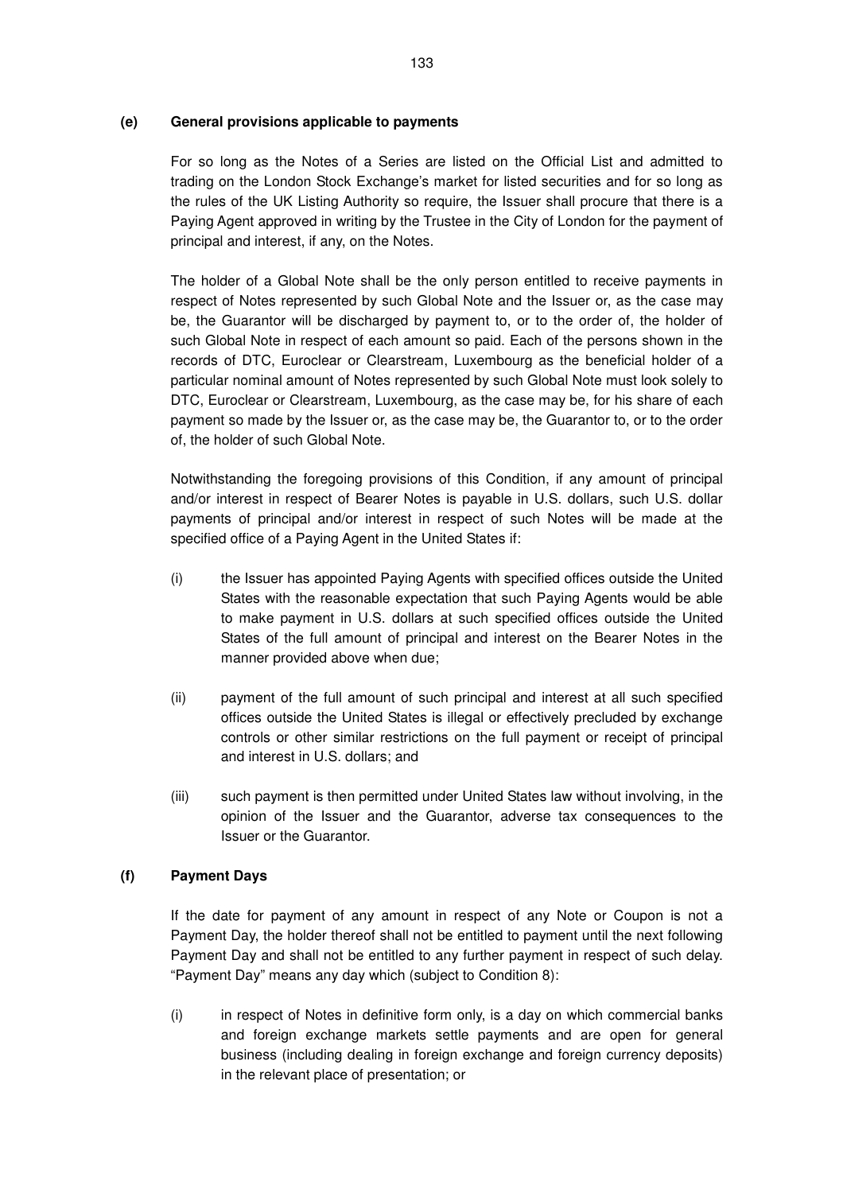### **(e) General provisions applicable to payments**

For so long as the Notes of a Series are listed on the Official List and admitted to trading on the London Stock Exchange's market for listed securities and for so long as the rules of the UK Listing Authority so require, the Issuer shall procure that there is a Paying Agent approved in writing by the Trustee in the City of London for the payment of principal and interest, if any, on the Notes.

The holder of a Global Note shall be the only person entitled to receive payments in respect of Notes represented by such Global Note and the Issuer or, as the case may be, the Guarantor will be discharged by payment to, or to the order of, the holder of such Global Note in respect of each amount so paid. Each of the persons shown in the records of DTC, Euroclear or Clearstream, Luxembourg as the beneficial holder of a particular nominal amount of Notes represented by such Global Note must look solely to DTC, Euroclear or Clearstream, Luxembourg, as the case may be, for his share of each payment so made by the Issuer or, as the case may be, the Guarantor to, or to the order of, the holder of such Global Note.

Notwithstanding the foregoing provisions of this Condition, if any amount of principal and/or interest in respect of Bearer Notes is payable in U.S. dollars, such U.S. dollar payments of principal and/or interest in respect of such Notes will be made at the specified office of a Paying Agent in the United States if:

- (i) the Issuer has appointed Paying Agents with specified offices outside the United States with the reasonable expectation that such Paying Agents would be able to make payment in U.S. dollars at such specified offices outside the United States of the full amount of principal and interest on the Bearer Notes in the manner provided above when due;
- (ii) payment of the full amount of such principal and interest at all such specified offices outside the United States is illegal or effectively precluded by exchange controls or other similar restrictions on the full payment or receipt of principal and interest in U.S. dollars; and
- (iii) such payment is then permitted under United States law without involving, in the opinion of the Issuer and the Guarantor, adverse tax consequences to the Issuer or the Guarantor.

### **(f) Payment Days**

If the date for payment of any amount in respect of any Note or Coupon is not a Payment Day, the holder thereof shall not be entitled to payment until the next following Payment Day and shall not be entitled to any further payment in respect of such delay. "Payment Day" means any day which (subject to Condition 8):

(i) in respect of Notes in definitive form only, is a day on which commercial banks and foreign exchange markets settle payments and are open for general business (including dealing in foreign exchange and foreign currency deposits) in the relevant place of presentation; or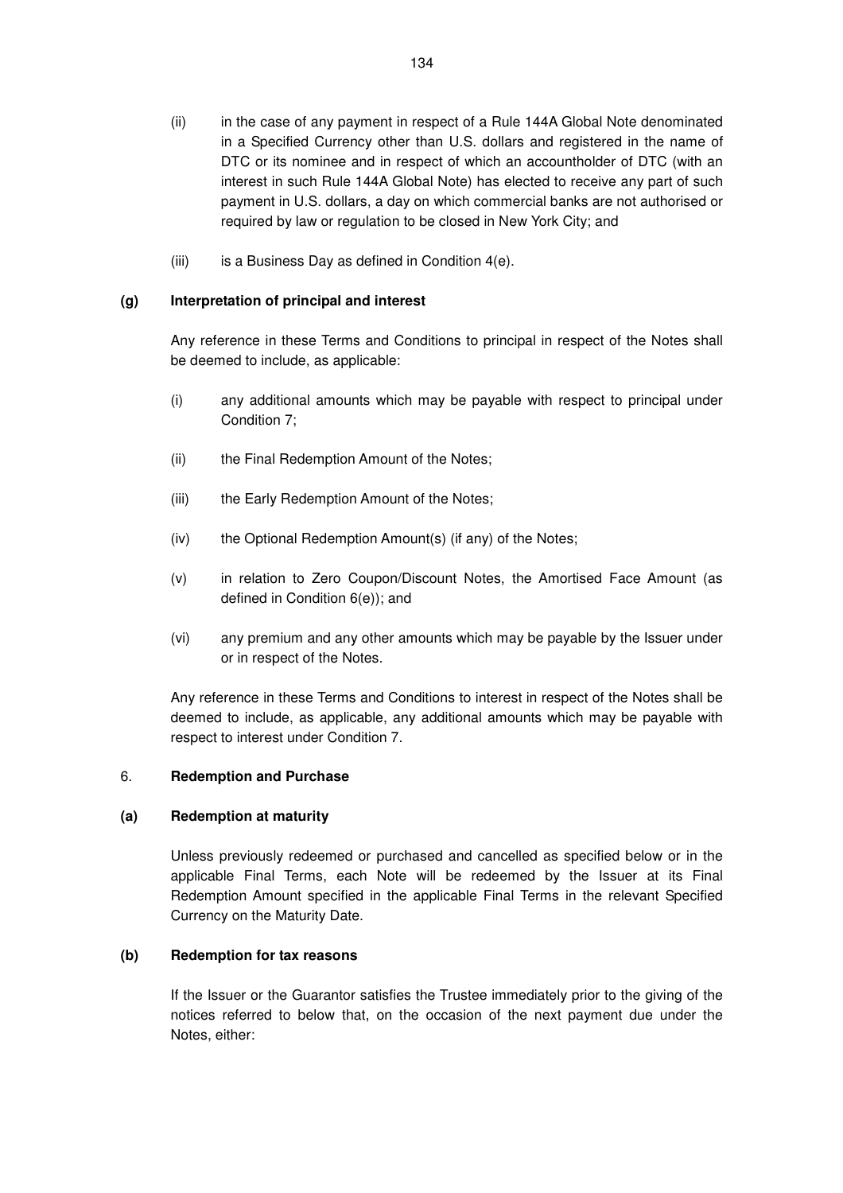- (ii) in the case of any payment in respect of a Rule 144A Global Note denominated in a Specified Currency other than U.S. dollars and registered in the name of DTC or its nominee and in respect of which an accountholder of DTC (with an interest in such Rule 144A Global Note) has elected to receive any part of such payment in U.S. dollars, a day on which commercial banks are not authorised or required by law or regulation to be closed in New York City; and
- (iii) is a Business Day as defined in Condition 4(e).

## **(g) Interpretation of principal and interest**

Any reference in these Terms and Conditions to principal in respect of the Notes shall be deemed to include, as applicable:

- (i) any additional amounts which may be payable with respect to principal under Condition 7;
- (ii) the Final Redemption Amount of the Notes;
- (iii) the Early Redemption Amount of the Notes;
- (iv) the Optional Redemption Amount(s) (if any) of the Notes;
- (v) in relation to Zero Coupon/Discount Notes, the Amortised Face Amount (as defined in Condition 6(e)); and
- (vi) any premium and any other amounts which may be payable by the Issuer under or in respect of the Notes.

Any reference in these Terms and Conditions to interest in respect of the Notes shall be deemed to include, as applicable, any additional amounts which may be payable with respect to interest under Condition 7.

### 6. **Redemption and Purchase**

### **(a) Redemption at maturity**

Unless previously redeemed or purchased and cancelled as specified below or in the applicable Final Terms, each Note will be redeemed by the Issuer at its Final Redemption Amount specified in the applicable Final Terms in the relevant Specified Currency on the Maturity Date.

### **(b) Redemption for tax reasons**

If the Issuer or the Guarantor satisfies the Trustee immediately prior to the giving of the notices referred to below that, on the occasion of the next payment due under the Notes, either: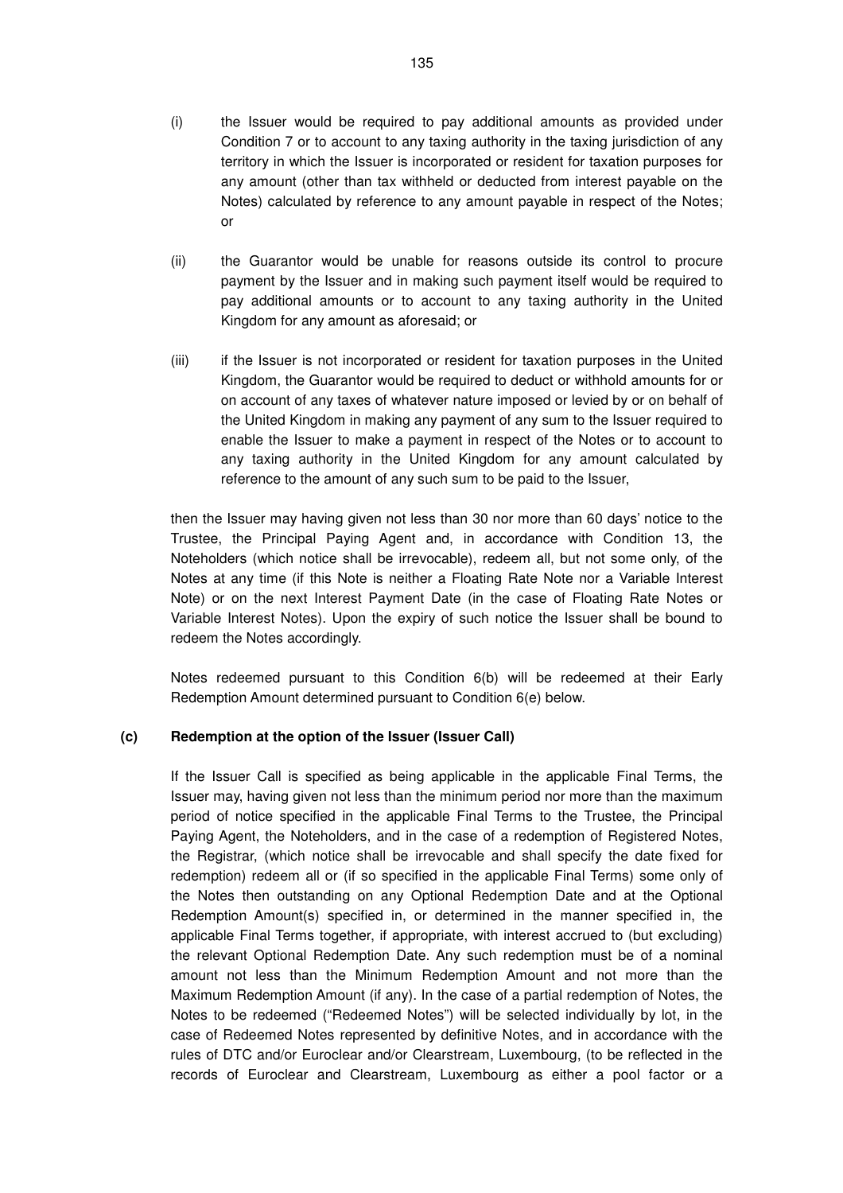- (i) the Issuer would be required to pay additional amounts as provided under Condition 7 or to account to any taxing authority in the taxing jurisdiction of any territory in which the Issuer is incorporated or resident for taxation purposes for any amount (other than tax withheld or deducted from interest payable on the Notes) calculated by reference to any amount payable in respect of the Notes; or
- (ii) the Guarantor would be unable for reasons outside its control to procure payment by the Issuer and in making such payment itself would be required to pay additional amounts or to account to any taxing authority in the United Kingdom for any amount as aforesaid; or
- (iii) if the Issuer is not incorporated or resident for taxation purposes in the United Kingdom, the Guarantor would be required to deduct or withhold amounts for or on account of any taxes of whatever nature imposed or levied by or on behalf of the United Kingdom in making any payment of any sum to the Issuer required to enable the Issuer to make a payment in respect of the Notes or to account to any taxing authority in the United Kingdom for any amount calculated by reference to the amount of any such sum to be paid to the Issuer,

then the Issuer may having given not less than 30 nor more than 60 days' notice to the Trustee, the Principal Paying Agent and, in accordance with Condition 13, the Noteholders (which notice shall be irrevocable), redeem all, but not some only, of the Notes at any time (if this Note is neither a Floating Rate Note nor a Variable Interest Note) or on the next Interest Payment Date (in the case of Floating Rate Notes or Variable Interest Notes). Upon the expiry of such notice the Issuer shall be bound to redeem the Notes accordingly.

Notes redeemed pursuant to this Condition 6(b) will be redeemed at their Early Redemption Amount determined pursuant to Condition 6(e) below.

### **(c) Redemption at the option of the Issuer (Issuer Call)**

If the Issuer Call is specified as being applicable in the applicable Final Terms, the Issuer may, having given not less than the minimum period nor more than the maximum period of notice specified in the applicable Final Terms to the Trustee, the Principal Paying Agent, the Noteholders, and in the case of a redemption of Registered Notes, the Registrar, (which notice shall be irrevocable and shall specify the date fixed for redemption) redeem all or (if so specified in the applicable Final Terms) some only of the Notes then outstanding on any Optional Redemption Date and at the Optional Redemption Amount(s) specified in, or determined in the manner specified in, the applicable Final Terms together, if appropriate, with interest accrued to (but excluding) the relevant Optional Redemption Date. Any such redemption must be of a nominal amount not less than the Minimum Redemption Amount and not more than the Maximum Redemption Amount (if any). In the case of a partial redemption of Notes, the Notes to be redeemed ("Redeemed Notes") will be selected individually by lot, in the case of Redeemed Notes represented by definitive Notes, and in accordance with the rules of DTC and/or Euroclear and/or Clearstream, Luxembourg, (to be reflected in the records of Euroclear and Clearstream, Luxembourg as either a pool factor or a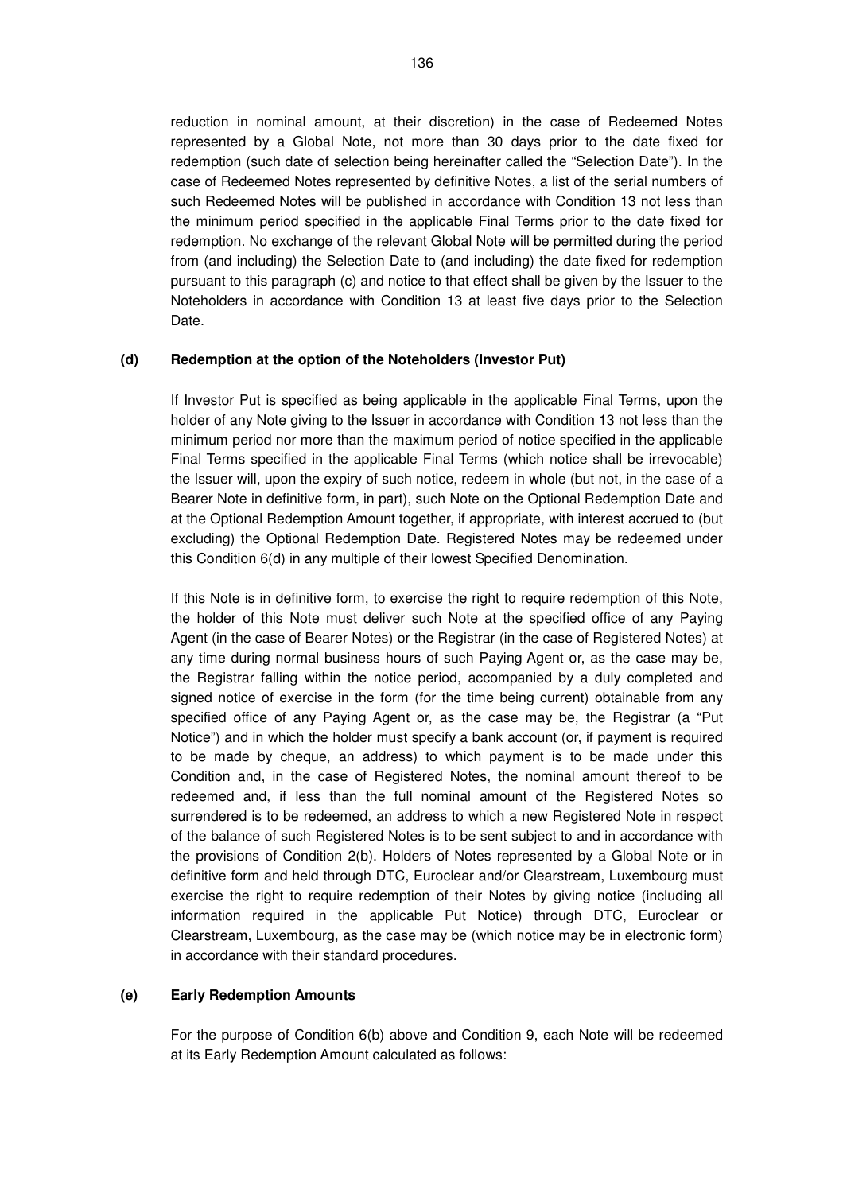reduction in nominal amount, at their discretion) in the case of Redeemed Notes represented by a Global Note, not more than 30 days prior to the date fixed for redemption (such date of selection being hereinafter called the "Selection Date"). In the case of Redeemed Notes represented by definitive Notes, a list of the serial numbers of such Redeemed Notes will be published in accordance with Condition 13 not less than the minimum period specified in the applicable Final Terms prior to the date fixed for redemption. No exchange of the relevant Global Note will be permitted during the period from (and including) the Selection Date to (and including) the date fixed for redemption pursuant to this paragraph (c) and notice to that effect shall be given by the Issuer to the Noteholders in accordance with Condition 13 at least five days prior to the Selection Date.

#### **(d) Redemption at the option of the Noteholders (Investor Put)**

If Investor Put is specified as being applicable in the applicable Final Terms, upon the holder of any Note giving to the Issuer in accordance with Condition 13 not less than the minimum period nor more than the maximum period of notice specified in the applicable Final Terms specified in the applicable Final Terms (which notice shall be irrevocable) the Issuer will, upon the expiry of such notice, redeem in whole (but not, in the case of a Bearer Note in definitive form, in part), such Note on the Optional Redemption Date and at the Optional Redemption Amount together, if appropriate, with interest accrued to (but excluding) the Optional Redemption Date. Registered Notes may be redeemed under this Condition 6(d) in any multiple of their lowest Specified Denomination.

If this Note is in definitive form, to exercise the right to require redemption of this Note, the holder of this Note must deliver such Note at the specified office of any Paying Agent (in the case of Bearer Notes) or the Registrar (in the case of Registered Notes) at any time during normal business hours of such Paying Agent or, as the case may be, the Registrar falling within the notice period, accompanied by a duly completed and signed notice of exercise in the form (for the time being current) obtainable from any specified office of any Paying Agent or, as the case may be, the Registrar (a "Put Notice") and in which the holder must specify a bank account (or, if payment is required to be made by cheque, an address) to which payment is to be made under this Condition and, in the case of Registered Notes, the nominal amount thereof to be redeemed and, if less than the full nominal amount of the Registered Notes so surrendered is to be redeemed, an address to which a new Registered Note in respect of the balance of such Registered Notes is to be sent subject to and in accordance with the provisions of Condition 2(b). Holders of Notes represented by a Global Note or in definitive form and held through DTC, Euroclear and/or Clearstream, Luxembourg must exercise the right to require redemption of their Notes by giving notice (including all information required in the applicable Put Notice) through DTC, Euroclear or Clearstream, Luxembourg, as the case may be (which notice may be in electronic form) in accordance with their standard procedures.

#### **(e) Early Redemption Amounts**

For the purpose of Condition 6(b) above and Condition 9, each Note will be redeemed at its Early Redemption Amount calculated as follows: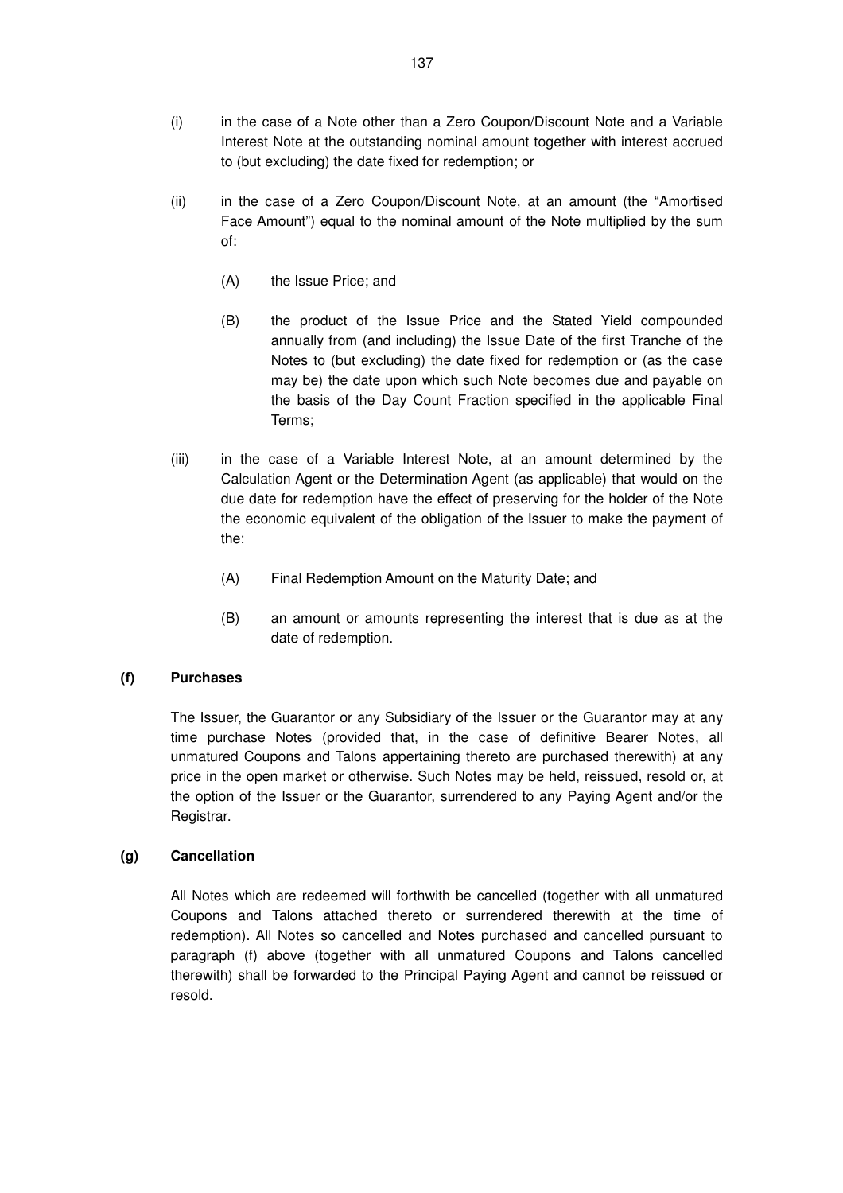- (i) in the case of a Note other than a Zero Coupon/Discount Note and a Variable Interest Note at the outstanding nominal amount together with interest accrued to (but excluding) the date fixed for redemption; or
- (ii) in the case of a Zero Coupon/Discount Note, at an amount (the "Amortised Face Amount") equal to the nominal amount of the Note multiplied by the sum of:
	- (A) the Issue Price; and
	- (B) the product of the Issue Price and the Stated Yield compounded annually from (and including) the Issue Date of the first Tranche of the Notes to (but excluding) the date fixed for redemption or (as the case may be) the date upon which such Note becomes due and payable on the basis of the Day Count Fraction specified in the applicable Final Terms;
- (iii) in the case of a Variable Interest Note, at an amount determined by the Calculation Agent or the Determination Agent (as applicable) that would on the due date for redemption have the effect of preserving for the holder of the Note the economic equivalent of the obligation of the Issuer to make the payment of the:
	- (A) Final Redemption Amount on the Maturity Date; and
	- (B) an amount or amounts representing the interest that is due as at the date of redemption.

### **(f) Purchases**

The Issuer, the Guarantor or any Subsidiary of the Issuer or the Guarantor may at any time purchase Notes (provided that, in the case of definitive Bearer Notes, all unmatured Coupons and Talons appertaining thereto are purchased therewith) at any price in the open market or otherwise. Such Notes may be held, reissued, resold or, at the option of the Issuer or the Guarantor, surrendered to any Paying Agent and/or the Registrar.

### **(g) Cancellation**

All Notes which are redeemed will forthwith be cancelled (together with all unmatured Coupons and Talons attached thereto or surrendered therewith at the time of redemption). All Notes so cancelled and Notes purchased and cancelled pursuant to paragraph (f) above (together with all unmatured Coupons and Talons cancelled therewith) shall be forwarded to the Principal Paying Agent and cannot be reissued or resold.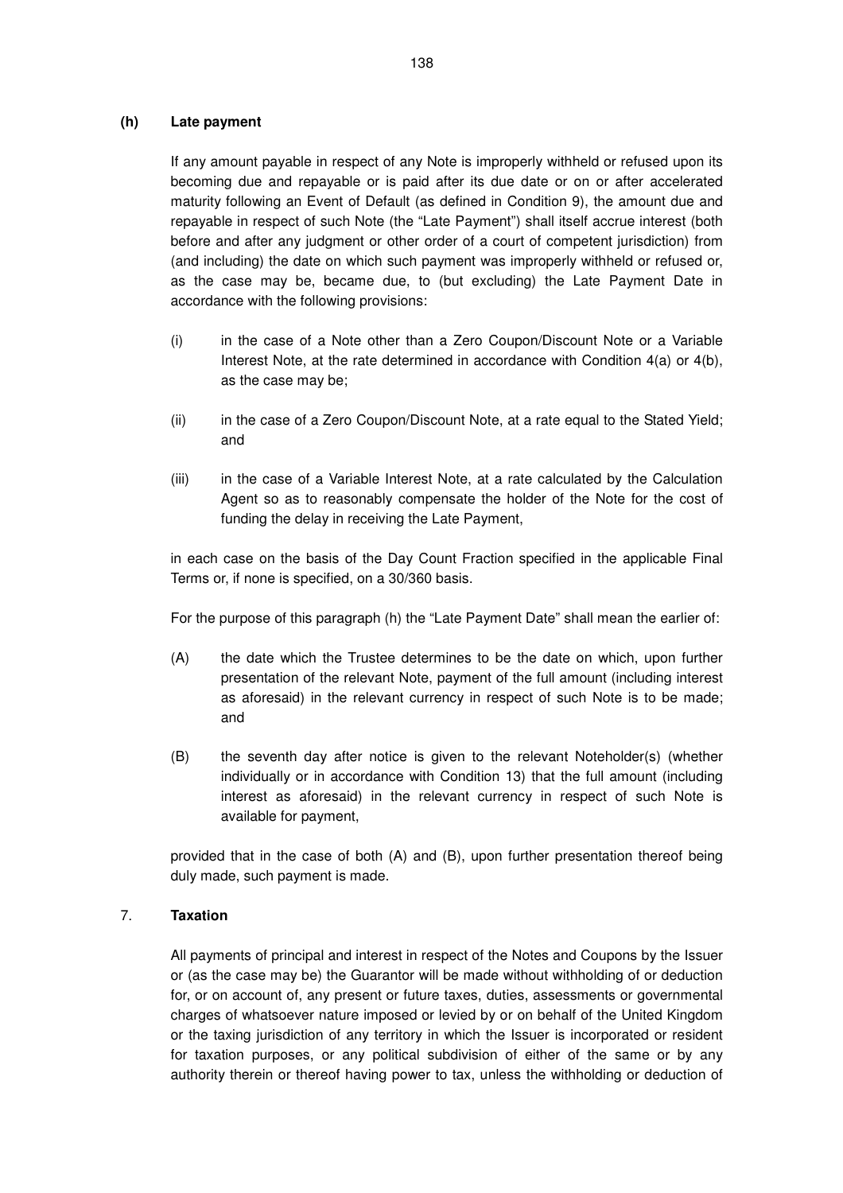### **(h) Late payment**

If any amount payable in respect of any Note is improperly withheld or refused upon its becoming due and repayable or is paid after its due date or on or after accelerated maturity following an Event of Default (as defined in Condition 9), the amount due and repayable in respect of such Note (the "Late Payment") shall itself accrue interest (both before and after any judgment or other order of a court of competent jurisdiction) from (and including) the date on which such payment was improperly withheld or refused or, as the case may be, became due, to (but excluding) the Late Payment Date in accordance with the following provisions:

- (i) in the case of a Note other than a Zero Coupon/Discount Note or a Variable Interest Note, at the rate determined in accordance with Condition 4(a) or 4(b), as the case may be;
- (ii) in the case of a Zero Coupon/Discount Note, at a rate equal to the Stated Yield; and
- (iii) in the case of a Variable Interest Note, at a rate calculated by the Calculation Agent so as to reasonably compensate the holder of the Note for the cost of funding the delay in receiving the Late Payment,

in each case on the basis of the Day Count Fraction specified in the applicable Final Terms or, if none is specified, on a 30/360 basis.

For the purpose of this paragraph (h) the "Late Payment Date" shall mean the earlier of:

- (A) the date which the Trustee determines to be the date on which, upon further presentation of the relevant Note, payment of the full amount (including interest as aforesaid) in the relevant currency in respect of such Note is to be made; and
- (B) the seventh day after notice is given to the relevant Noteholder(s) (whether individually or in accordance with Condition 13) that the full amount (including interest as aforesaid) in the relevant currency in respect of such Note is available for payment,

provided that in the case of both (A) and (B), upon further presentation thereof being duly made, such payment is made.

### 7. **Taxation**

All payments of principal and interest in respect of the Notes and Coupons by the Issuer or (as the case may be) the Guarantor will be made without withholding of or deduction for, or on account of, any present or future taxes, duties, assessments or governmental charges of whatsoever nature imposed or levied by or on behalf of the United Kingdom or the taxing jurisdiction of any territory in which the Issuer is incorporated or resident for taxation purposes, or any political subdivision of either of the same or by any authority therein or thereof having power to tax, unless the withholding or deduction of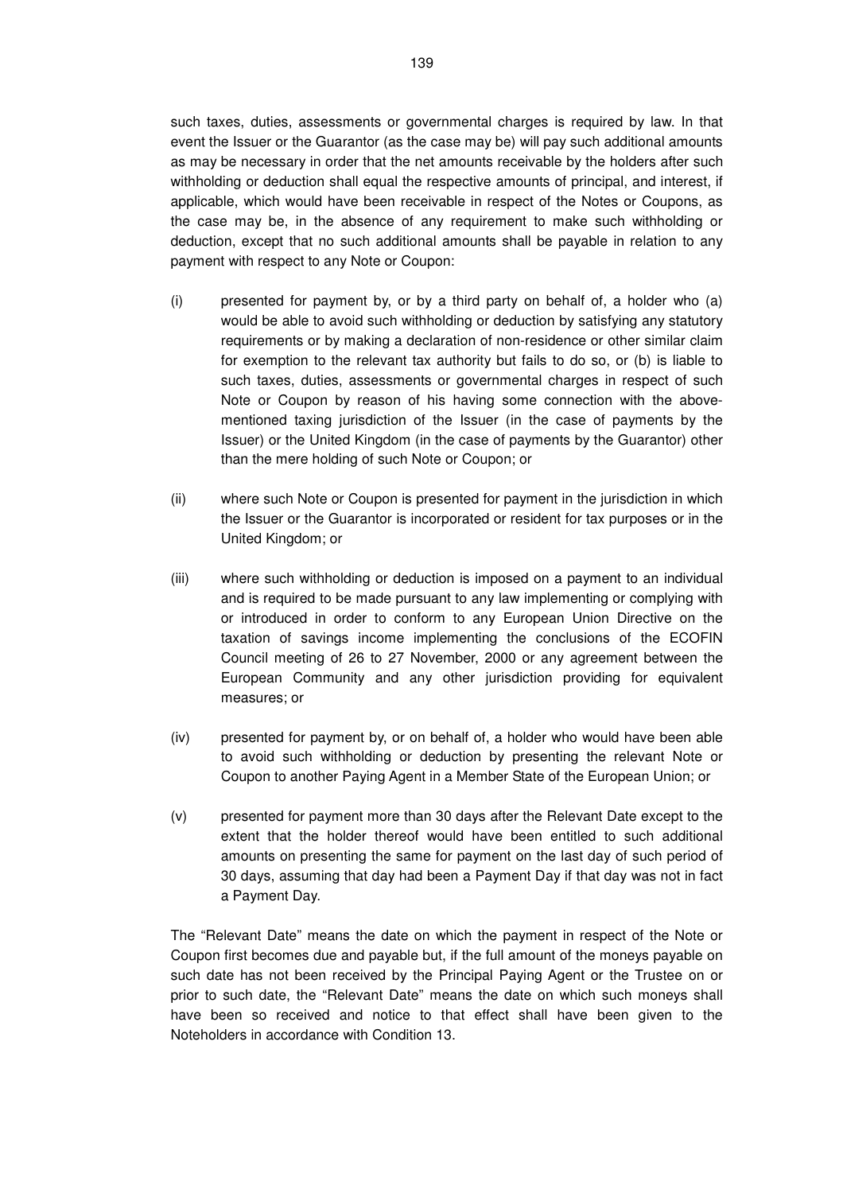such taxes, duties, assessments or governmental charges is required by law. In that event the Issuer or the Guarantor (as the case may be) will pay such additional amounts as may be necessary in order that the net amounts receivable by the holders after such withholding or deduction shall equal the respective amounts of principal, and interest, if applicable, which would have been receivable in respect of the Notes or Coupons, as the case may be, in the absence of any requirement to make such withholding or deduction, except that no such additional amounts shall be payable in relation to any payment with respect to any Note or Coupon:

- (i) presented for payment by, or by a third party on behalf of, a holder who (a) would be able to avoid such withholding or deduction by satisfying any statutory requirements or by making a declaration of non-residence or other similar claim for exemption to the relevant tax authority but fails to do so, or (b) is liable to such taxes, duties, assessments or governmental charges in respect of such Note or Coupon by reason of his having some connection with the abovementioned taxing jurisdiction of the Issuer (in the case of payments by the Issuer) or the United Kingdom (in the case of payments by the Guarantor) other than the mere holding of such Note or Coupon; or
- (ii) where such Note or Coupon is presented for payment in the jurisdiction in which the Issuer or the Guarantor is incorporated or resident for tax purposes or in the United Kingdom; or
- (iii) where such withholding or deduction is imposed on a payment to an individual and is required to be made pursuant to any law implementing or complying with or introduced in order to conform to any European Union Directive on the taxation of savings income implementing the conclusions of the ECOFIN Council meeting of 26 to 27 November, 2000 or any agreement between the European Community and any other jurisdiction providing for equivalent measures; or
- (iv) presented for payment by, or on behalf of, a holder who would have been able to avoid such withholding or deduction by presenting the relevant Note or Coupon to another Paying Agent in a Member State of the European Union; or
- (v) presented for payment more than 30 days after the Relevant Date except to the extent that the holder thereof would have been entitled to such additional amounts on presenting the same for payment on the last day of such period of 30 days, assuming that day had been a Payment Day if that day was not in fact a Payment Day.

The "Relevant Date" means the date on which the payment in respect of the Note or Coupon first becomes due and payable but, if the full amount of the moneys payable on such date has not been received by the Principal Paying Agent or the Trustee on or prior to such date, the "Relevant Date" means the date on which such moneys shall have been so received and notice to that effect shall have been given to the Noteholders in accordance with Condition 13.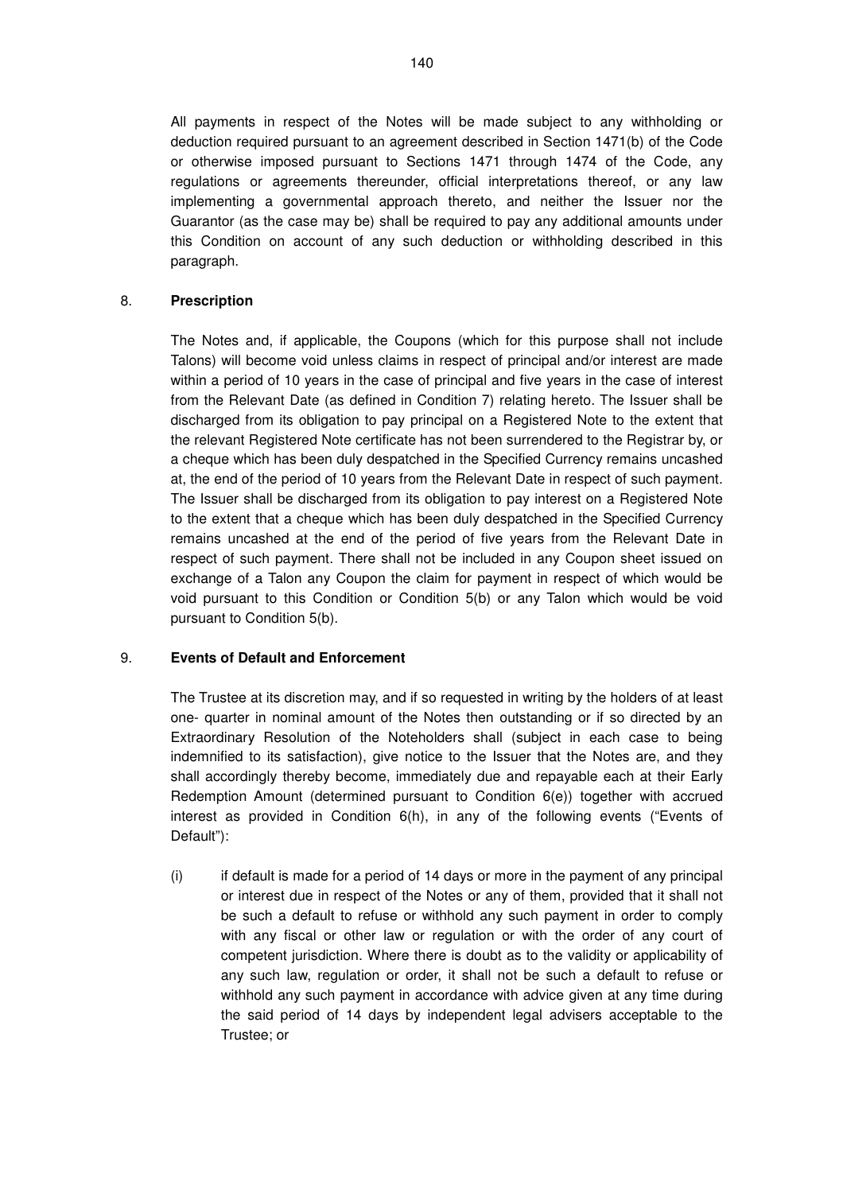All payments in respect of the Notes will be made subject to any withholding or deduction required pursuant to an agreement described in Section 1471(b) of the Code or otherwise imposed pursuant to Sections 1471 through 1474 of the Code, any regulations or agreements thereunder, official interpretations thereof, or any law implementing a governmental approach thereto, and neither the Issuer nor the Guarantor (as the case may be) shall be required to pay any additional amounts under this Condition on account of any such deduction or withholding described in this paragraph.

### 8. **Prescription**

The Notes and, if applicable, the Coupons (which for this purpose shall not include Talons) will become void unless claims in respect of principal and/or interest are made within a period of 10 years in the case of principal and five years in the case of interest from the Relevant Date (as defined in Condition 7) relating hereto. The Issuer shall be discharged from its obligation to pay principal on a Registered Note to the extent that the relevant Registered Note certificate has not been surrendered to the Registrar by, or a cheque which has been duly despatched in the Specified Currency remains uncashed at, the end of the period of 10 years from the Relevant Date in respect of such payment. The Issuer shall be discharged from its obligation to pay interest on a Registered Note to the extent that a cheque which has been duly despatched in the Specified Currency remains uncashed at the end of the period of five years from the Relevant Date in respect of such payment. There shall not be included in any Coupon sheet issued on exchange of a Talon any Coupon the claim for payment in respect of which would be void pursuant to this Condition or Condition 5(b) or any Talon which would be void pursuant to Condition 5(b).

### 9. **Events of Default and Enforcement**

The Trustee at its discretion may, and if so requested in writing by the holders of at least one- quarter in nominal amount of the Notes then outstanding or if so directed by an Extraordinary Resolution of the Noteholders shall (subject in each case to being indemnified to its satisfaction), give notice to the Issuer that the Notes are, and they shall accordingly thereby become, immediately due and repayable each at their Early Redemption Amount (determined pursuant to Condition 6(e)) together with accrued interest as provided in Condition 6(h), in any of the following events ("Events of Default"):

(i) if default is made for a period of 14 days or more in the payment of any principal or interest due in respect of the Notes or any of them, provided that it shall not be such a default to refuse or withhold any such payment in order to comply with any fiscal or other law or regulation or with the order of any court of competent jurisdiction. Where there is doubt as to the validity or applicability of any such law, regulation or order, it shall not be such a default to refuse or withhold any such payment in accordance with advice given at any time during the said period of 14 days by independent legal advisers acceptable to the Trustee; or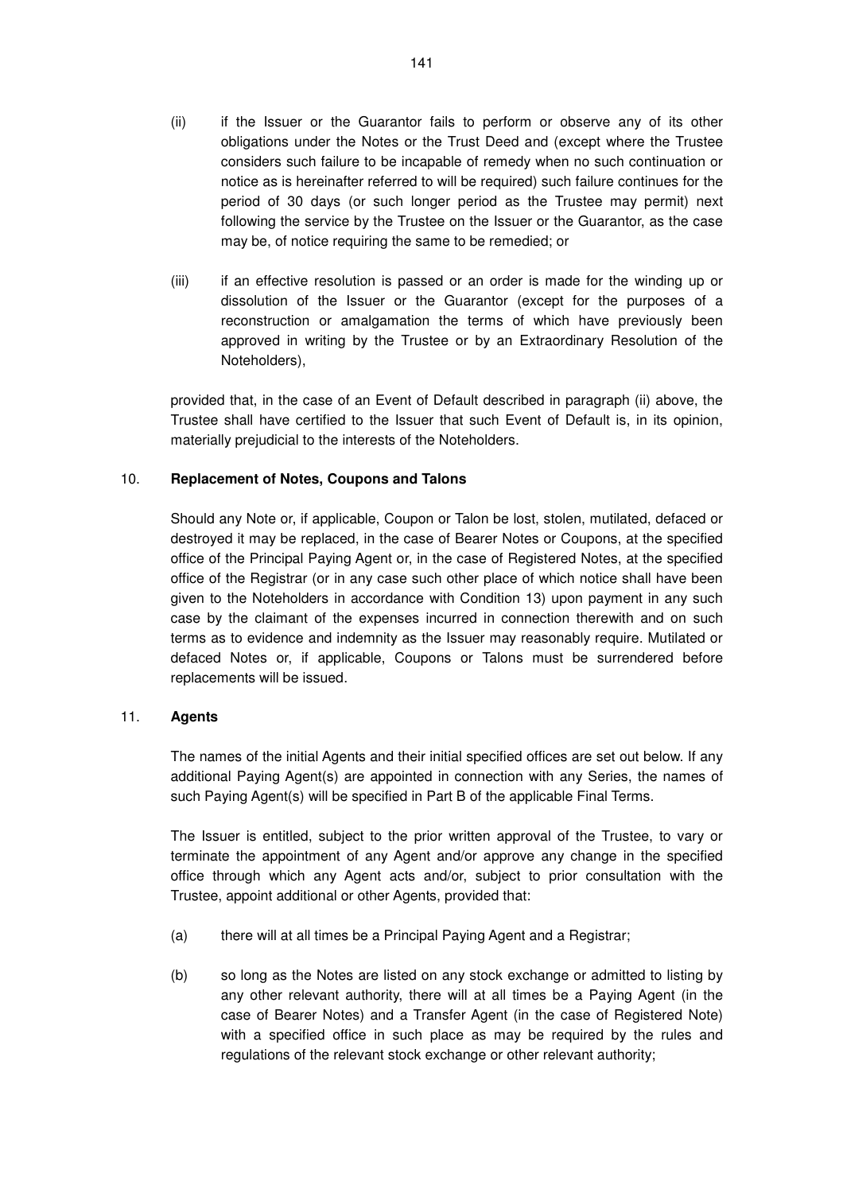- (ii) if the Issuer or the Guarantor fails to perform or observe any of its other obligations under the Notes or the Trust Deed and (except where the Trustee considers such failure to be incapable of remedy when no such continuation or notice as is hereinafter referred to will be required) such failure continues for the period of 30 days (or such longer period as the Trustee may permit) next following the service by the Trustee on the Issuer or the Guarantor, as the case may be, of notice requiring the same to be remedied; or
- (iii) if an effective resolution is passed or an order is made for the winding up or dissolution of the Issuer or the Guarantor (except for the purposes of a reconstruction or amalgamation the terms of which have previously been approved in writing by the Trustee or by an Extraordinary Resolution of the Noteholders),

provided that, in the case of an Event of Default described in paragraph (ii) above, the Trustee shall have certified to the Issuer that such Event of Default is, in its opinion, materially prejudicial to the interests of the Noteholders.

### 10. **Replacement of Notes, Coupons and Talons**

Should any Note or, if applicable, Coupon or Talon be lost, stolen, mutilated, defaced or destroyed it may be replaced, in the case of Bearer Notes or Coupons, at the specified office of the Principal Paying Agent or, in the case of Registered Notes, at the specified office of the Registrar (or in any case such other place of which notice shall have been given to the Noteholders in accordance with Condition 13) upon payment in any such case by the claimant of the expenses incurred in connection therewith and on such terms as to evidence and indemnity as the Issuer may reasonably require. Mutilated or defaced Notes or, if applicable, Coupons or Talons must be surrendered before replacements will be issued.

### 11. **Agents**

The names of the initial Agents and their initial specified offices are set out below. If any additional Paying Agent(s) are appointed in connection with any Series, the names of such Paying Agent(s) will be specified in Part B of the applicable Final Terms.

The Issuer is entitled, subject to the prior written approval of the Trustee, to vary or terminate the appointment of any Agent and/or approve any change in the specified office through which any Agent acts and/or, subject to prior consultation with the Trustee, appoint additional or other Agents, provided that:

- (a) there will at all times be a Principal Paying Agent and a Registrar;
- (b) so long as the Notes are listed on any stock exchange or admitted to listing by any other relevant authority, there will at all times be a Paying Agent (in the case of Bearer Notes) and a Transfer Agent (in the case of Registered Note) with a specified office in such place as may be required by the rules and regulations of the relevant stock exchange or other relevant authority;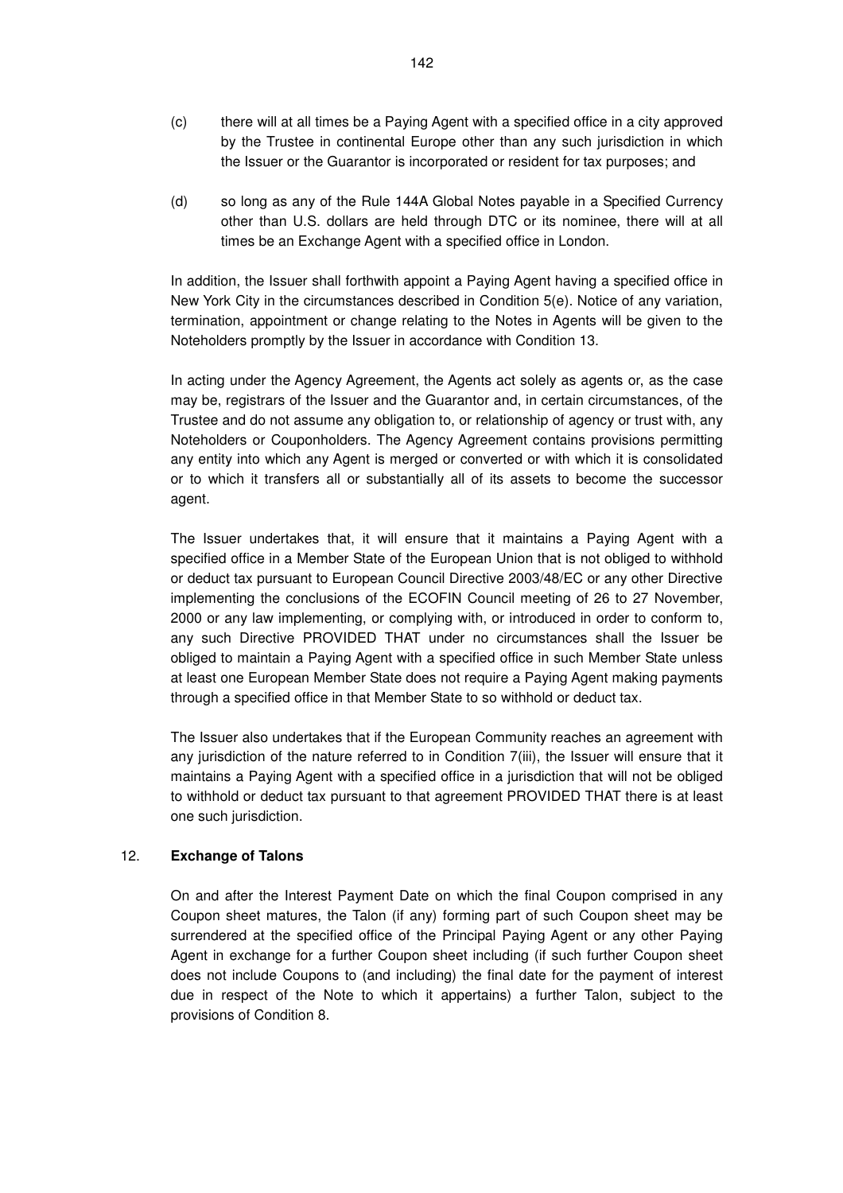- (c) there will at all times be a Paying Agent with a specified office in a city approved by the Trustee in continental Europe other than any such jurisdiction in which the Issuer or the Guarantor is incorporated or resident for tax purposes; and
- (d) so long as any of the Rule 144A Global Notes payable in a Specified Currency other than U.S. dollars are held through DTC or its nominee, there will at all times be an Exchange Agent with a specified office in London.

In addition, the Issuer shall forthwith appoint a Paying Agent having a specified office in New York City in the circumstances described in Condition 5(e). Notice of any variation, termination, appointment or change relating to the Notes in Agents will be given to the Noteholders promptly by the Issuer in accordance with Condition 13.

In acting under the Agency Agreement, the Agents act solely as agents or, as the case may be, registrars of the Issuer and the Guarantor and, in certain circumstances, of the Trustee and do not assume any obligation to, or relationship of agency or trust with, any Noteholders or Couponholders. The Agency Agreement contains provisions permitting any entity into which any Agent is merged or converted or with which it is consolidated or to which it transfers all or substantially all of its assets to become the successor agent.

The Issuer undertakes that, it will ensure that it maintains a Paying Agent with a specified office in a Member State of the European Union that is not obliged to withhold or deduct tax pursuant to European Council Directive 2003/48/EC or any other Directive implementing the conclusions of the ECOFIN Council meeting of 26 to 27 November, 2000 or any law implementing, or complying with, or introduced in order to conform to, any such Directive PROVIDED THAT under no circumstances shall the Issuer be obliged to maintain a Paying Agent with a specified office in such Member State unless at least one European Member State does not require a Paying Agent making payments through a specified office in that Member State to so withhold or deduct tax.

The Issuer also undertakes that if the European Community reaches an agreement with any jurisdiction of the nature referred to in Condition 7(iii), the Issuer will ensure that it maintains a Paying Agent with a specified office in a jurisdiction that will not be obliged to withhold or deduct tax pursuant to that agreement PROVIDED THAT there is at least one such jurisdiction.

### 12. **Exchange of Talons**

On and after the Interest Payment Date on which the final Coupon comprised in any Coupon sheet matures, the Talon (if any) forming part of such Coupon sheet may be surrendered at the specified office of the Principal Paying Agent or any other Paying Agent in exchange for a further Coupon sheet including (if such further Coupon sheet does not include Coupons to (and including) the final date for the payment of interest due in respect of the Note to which it appertains) a further Talon, subject to the provisions of Condition 8.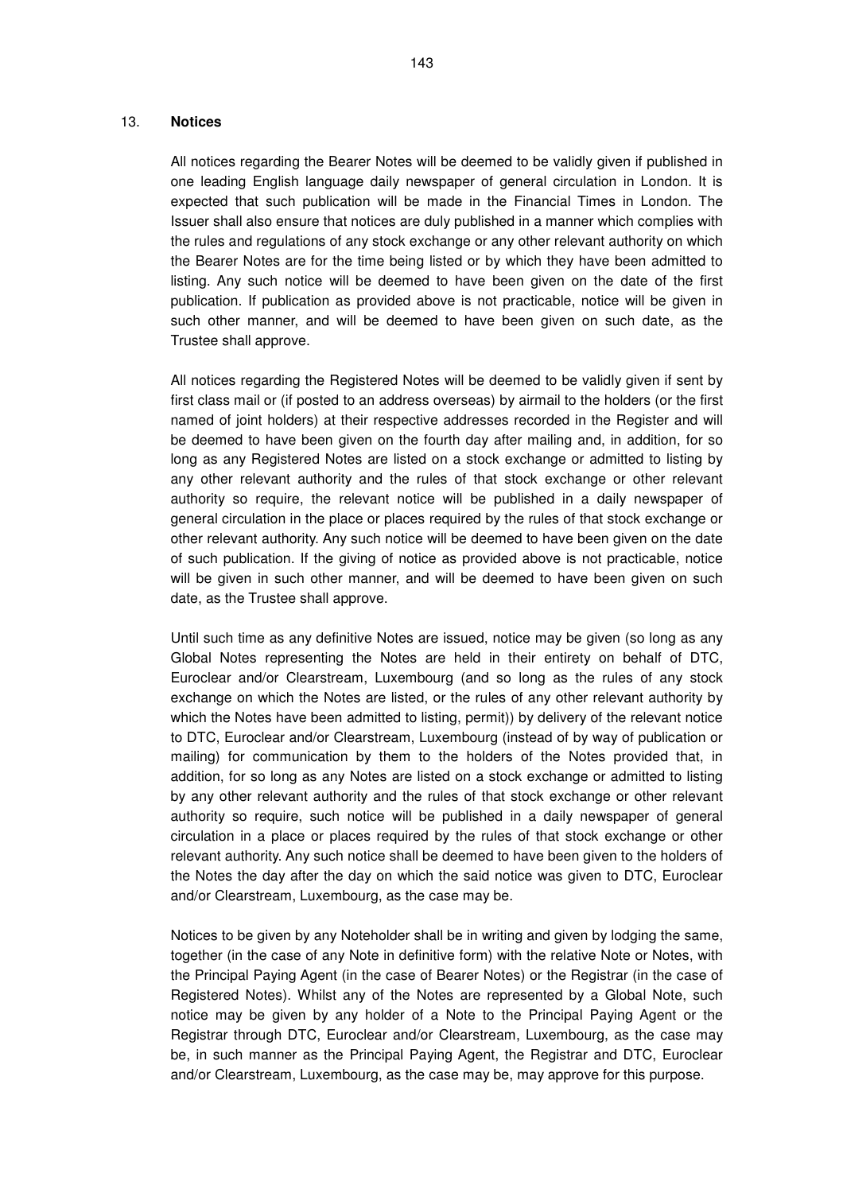#### 13. **Notices**

All notices regarding the Bearer Notes will be deemed to be validly given if published in one leading English language daily newspaper of general circulation in London. It is expected that such publication will be made in the Financial Times in London. The Issuer shall also ensure that notices are duly published in a manner which complies with the rules and regulations of any stock exchange or any other relevant authority on which the Bearer Notes are for the time being listed or by which they have been admitted to listing. Any such notice will be deemed to have been given on the date of the first publication. If publication as provided above is not practicable, notice will be given in such other manner, and will be deemed to have been given on such date, as the Trustee shall approve.

All notices regarding the Registered Notes will be deemed to be validly given if sent by first class mail or (if posted to an address overseas) by airmail to the holders (or the first named of joint holders) at their respective addresses recorded in the Register and will be deemed to have been given on the fourth day after mailing and, in addition, for so long as any Registered Notes are listed on a stock exchange or admitted to listing by any other relevant authority and the rules of that stock exchange or other relevant authority so require, the relevant notice will be published in a daily newspaper of general circulation in the place or places required by the rules of that stock exchange or other relevant authority. Any such notice will be deemed to have been given on the date of such publication. If the giving of notice as provided above is not practicable, notice will be given in such other manner, and will be deemed to have been given on such date, as the Trustee shall approve.

Until such time as any definitive Notes are issued, notice may be given (so long as any Global Notes representing the Notes are held in their entirety on behalf of DTC, Euroclear and/or Clearstream, Luxembourg (and so long as the rules of any stock exchange on which the Notes are listed, or the rules of any other relevant authority by which the Notes have been admitted to listing, permit)) by delivery of the relevant notice to DTC, Euroclear and/or Clearstream, Luxembourg (instead of by way of publication or mailing) for communication by them to the holders of the Notes provided that, in addition, for so long as any Notes are listed on a stock exchange or admitted to listing by any other relevant authority and the rules of that stock exchange or other relevant authority so require, such notice will be published in a daily newspaper of general circulation in a place or places required by the rules of that stock exchange or other relevant authority. Any such notice shall be deemed to have been given to the holders of the Notes the day after the day on which the said notice was given to DTC, Euroclear and/or Clearstream, Luxembourg, as the case may be.

Notices to be given by any Noteholder shall be in writing and given by lodging the same, together (in the case of any Note in definitive form) with the relative Note or Notes, with the Principal Paying Agent (in the case of Bearer Notes) or the Registrar (in the case of Registered Notes). Whilst any of the Notes are represented by a Global Note, such notice may be given by any holder of a Note to the Principal Paying Agent or the Registrar through DTC, Euroclear and/or Clearstream, Luxembourg, as the case may be, in such manner as the Principal Paying Agent, the Registrar and DTC, Euroclear and/or Clearstream, Luxembourg, as the case may be, may approve for this purpose.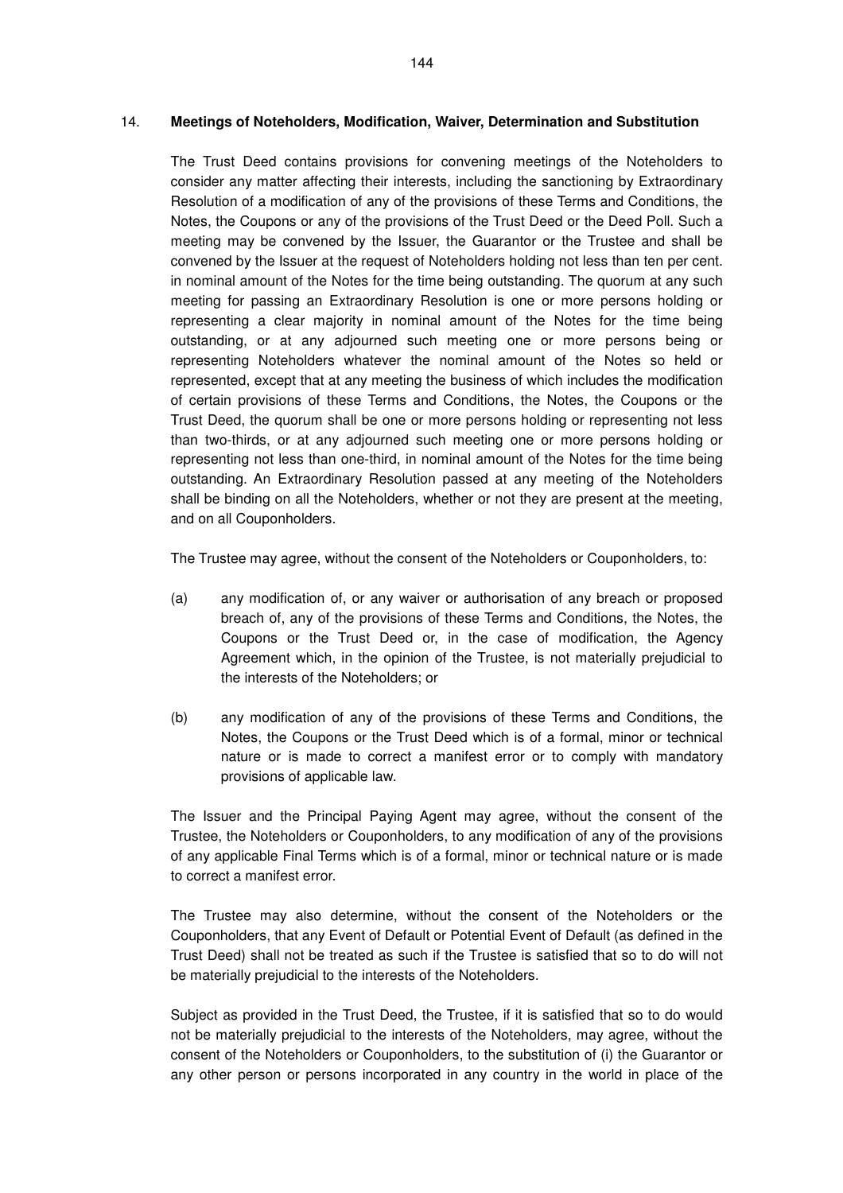#### 14. **Meetings of Noteholders, Modification, Waiver, Determination and Substitution**

The Trust Deed contains provisions for convening meetings of the Noteholders to consider any matter affecting their interests, including the sanctioning by Extraordinary Resolution of a modification of any of the provisions of these Terms and Conditions, the Notes, the Coupons or any of the provisions of the Trust Deed or the Deed Poll. Such a meeting may be convened by the Issuer, the Guarantor or the Trustee and shall be convened by the Issuer at the request of Noteholders holding not less than ten per cent. in nominal amount of the Notes for the time being outstanding. The quorum at any such meeting for passing an Extraordinary Resolution is one or more persons holding or representing a clear majority in nominal amount of the Notes for the time being outstanding, or at any adjourned such meeting one or more persons being or representing Noteholders whatever the nominal amount of the Notes so held or represented, except that at any meeting the business of which includes the modification of certain provisions of these Terms and Conditions, the Notes, the Coupons or the Trust Deed, the quorum shall be one or more persons holding or representing not less than two-thirds, or at any adjourned such meeting one or more persons holding or representing not less than one-third, in nominal amount of the Notes for the time being outstanding. An Extraordinary Resolution passed at any meeting of the Noteholders shall be binding on all the Noteholders, whether or not they are present at the meeting, and on all Couponholders.

The Trustee may agree, without the consent of the Noteholders or Couponholders, to:

- (a) any modification of, or any waiver or authorisation of any breach or proposed breach of, any of the provisions of these Terms and Conditions, the Notes, the Coupons or the Trust Deed or, in the case of modification, the Agency Agreement which, in the opinion of the Trustee, is not materially prejudicial to the interests of the Noteholders; or
- (b) any modification of any of the provisions of these Terms and Conditions, the Notes, the Coupons or the Trust Deed which is of a formal, minor or technical nature or is made to correct a manifest error or to comply with mandatory provisions of applicable law.

The Issuer and the Principal Paying Agent may agree, without the consent of the Trustee, the Noteholders or Couponholders, to any modification of any of the provisions of any applicable Final Terms which is of a formal, minor or technical nature or is made to correct a manifest error.

The Trustee may also determine, without the consent of the Noteholders or the Couponholders, that any Event of Default or Potential Event of Default (as defined in the Trust Deed) shall not be treated as such if the Trustee is satisfied that so to do will not be materially prejudicial to the interests of the Noteholders.

Subject as provided in the Trust Deed, the Trustee, if it is satisfied that so to do would not be materially prejudicial to the interests of the Noteholders, may agree, without the consent of the Noteholders or Couponholders, to the substitution of (i) the Guarantor or any other person or persons incorporated in any country in the world in place of the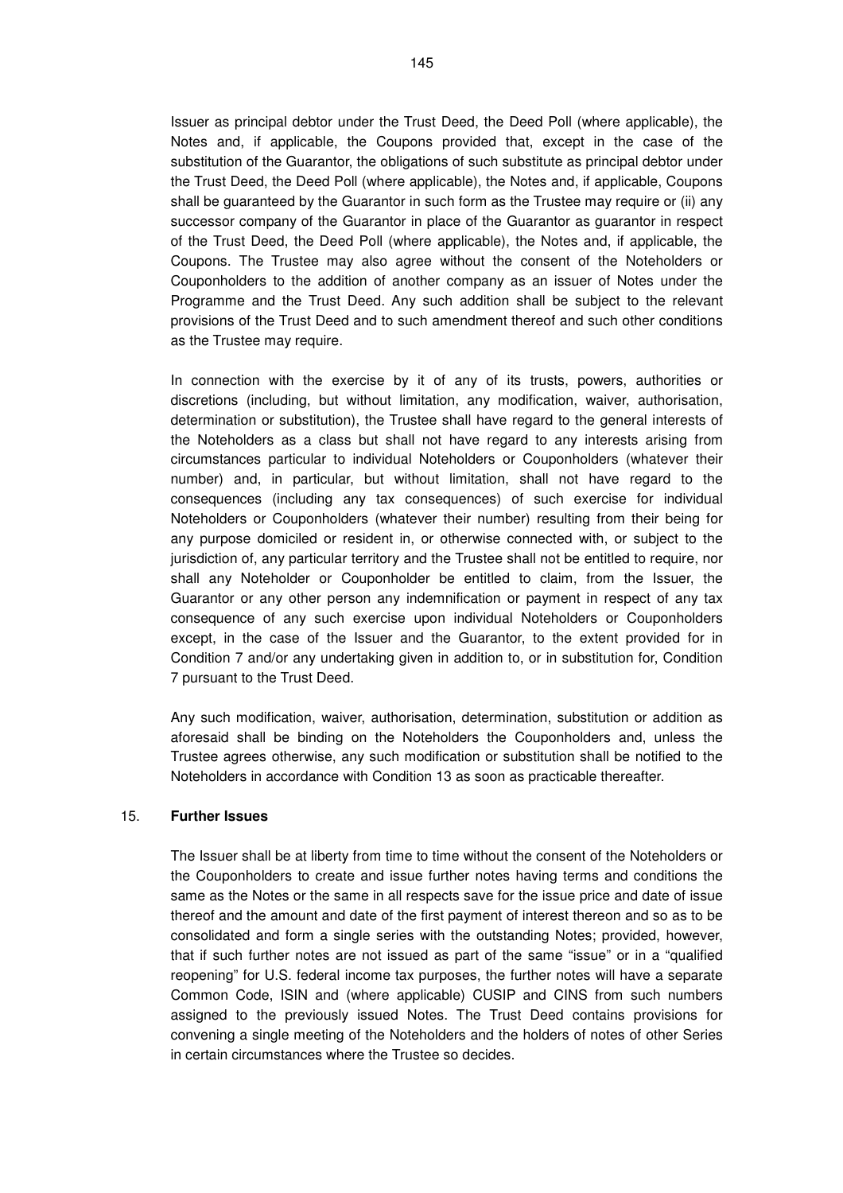Issuer as principal debtor under the Trust Deed, the Deed Poll (where applicable), the Notes and, if applicable, the Coupons provided that, except in the case of the substitution of the Guarantor, the obligations of such substitute as principal debtor under the Trust Deed, the Deed Poll (where applicable), the Notes and, if applicable, Coupons shall be guaranteed by the Guarantor in such form as the Trustee may require or (ii) any successor company of the Guarantor in place of the Guarantor as guarantor in respect of the Trust Deed, the Deed Poll (where applicable), the Notes and, if applicable, the Coupons. The Trustee may also agree without the consent of the Noteholders or Couponholders to the addition of another company as an issuer of Notes under the Programme and the Trust Deed. Any such addition shall be subject to the relevant provisions of the Trust Deed and to such amendment thereof and such other conditions as the Trustee may require.

In connection with the exercise by it of any of its trusts, powers, authorities or discretions (including, but without limitation, any modification, waiver, authorisation, determination or substitution), the Trustee shall have regard to the general interests of the Noteholders as a class but shall not have regard to any interests arising from circumstances particular to individual Noteholders or Couponholders (whatever their number) and, in particular, but without limitation, shall not have regard to the consequences (including any tax consequences) of such exercise for individual Noteholders or Couponholders (whatever their number) resulting from their being for any purpose domiciled or resident in, or otherwise connected with, or subject to the jurisdiction of, any particular territory and the Trustee shall not be entitled to require, nor shall any Noteholder or Couponholder be entitled to claim, from the Issuer, the Guarantor or any other person any indemnification or payment in respect of any tax consequence of any such exercise upon individual Noteholders or Couponholders except, in the case of the Issuer and the Guarantor, to the extent provided for in Condition 7 and/or any undertaking given in addition to, or in substitution for, Condition 7 pursuant to the Trust Deed.

Any such modification, waiver, authorisation, determination, substitution or addition as aforesaid shall be binding on the Noteholders the Couponholders and, unless the Trustee agrees otherwise, any such modification or substitution shall be notified to the Noteholders in accordance with Condition 13 as soon as practicable thereafter.

## 15. **Further Issues**

The Issuer shall be at liberty from time to time without the consent of the Noteholders or the Couponholders to create and issue further notes having terms and conditions the same as the Notes or the same in all respects save for the issue price and date of issue thereof and the amount and date of the first payment of interest thereon and so as to be consolidated and form a single series with the outstanding Notes; provided, however, that if such further notes are not issued as part of the same "issue" or in a "qualified reopening" for U.S. federal income tax purposes, the further notes will have a separate Common Code, ISIN and (where applicable) CUSIP and CINS from such numbers assigned to the previously issued Notes. The Trust Deed contains provisions for convening a single meeting of the Noteholders and the holders of notes of other Series in certain circumstances where the Trustee so decides.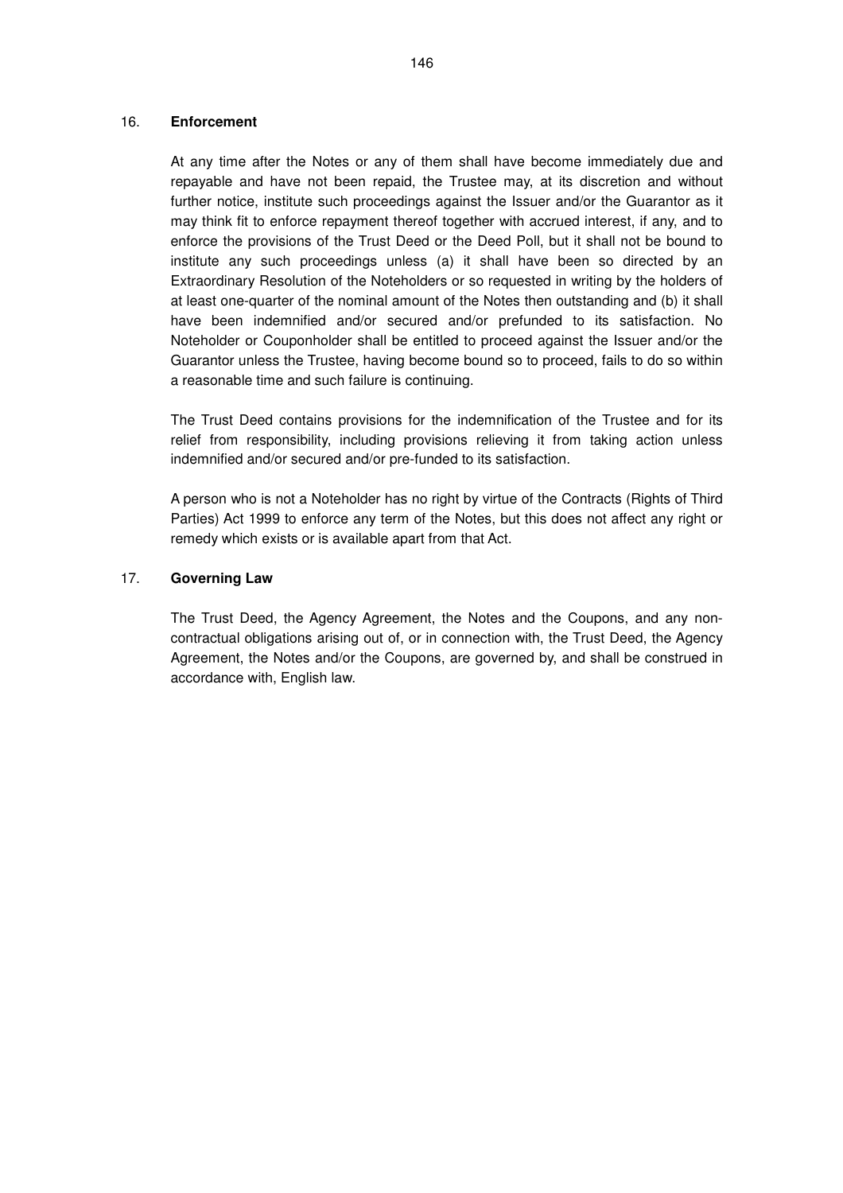## 16. **Enforcement**

At any time after the Notes or any of them shall have become immediately due and repayable and have not been repaid, the Trustee may, at its discretion and without further notice, institute such proceedings against the Issuer and/or the Guarantor as it may think fit to enforce repayment thereof together with accrued interest, if any, and to enforce the provisions of the Trust Deed or the Deed Poll, but it shall not be bound to institute any such proceedings unless (a) it shall have been so directed by an Extraordinary Resolution of the Noteholders or so requested in writing by the holders of at least one-quarter of the nominal amount of the Notes then outstanding and (b) it shall have been indemnified and/or secured and/or prefunded to its satisfaction. No Noteholder or Couponholder shall be entitled to proceed against the Issuer and/or the Guarantor unless the Trustee, having become bound so to proceed, fails to do so within a reasonable time and such failure is continuing.

The Trust Deed contains provisions for the indemnification of the Trustee and for its relief from responsibility, including provisions relieving it from taking action unless indemnified and/or secured and/or pre-funded to its satisfaction.

A person who is not a Noteholder has no right by virtue of the Contracts (Rights of Third Parties) Act 1999 to enforce any term of the Notes, but this does not affect any right or remedy which exists or is available apart from that Act.

## 17. **Governing Law**

The Trust Deed, the Agency Agreement, the Notes and the Coupons, and any noncontractual obligations arising out of, or in connection with, the Trust Deed, the Agency Agreement, the Notes and/or the Coupons, are governed by, and shall be construed in accordance with, English law.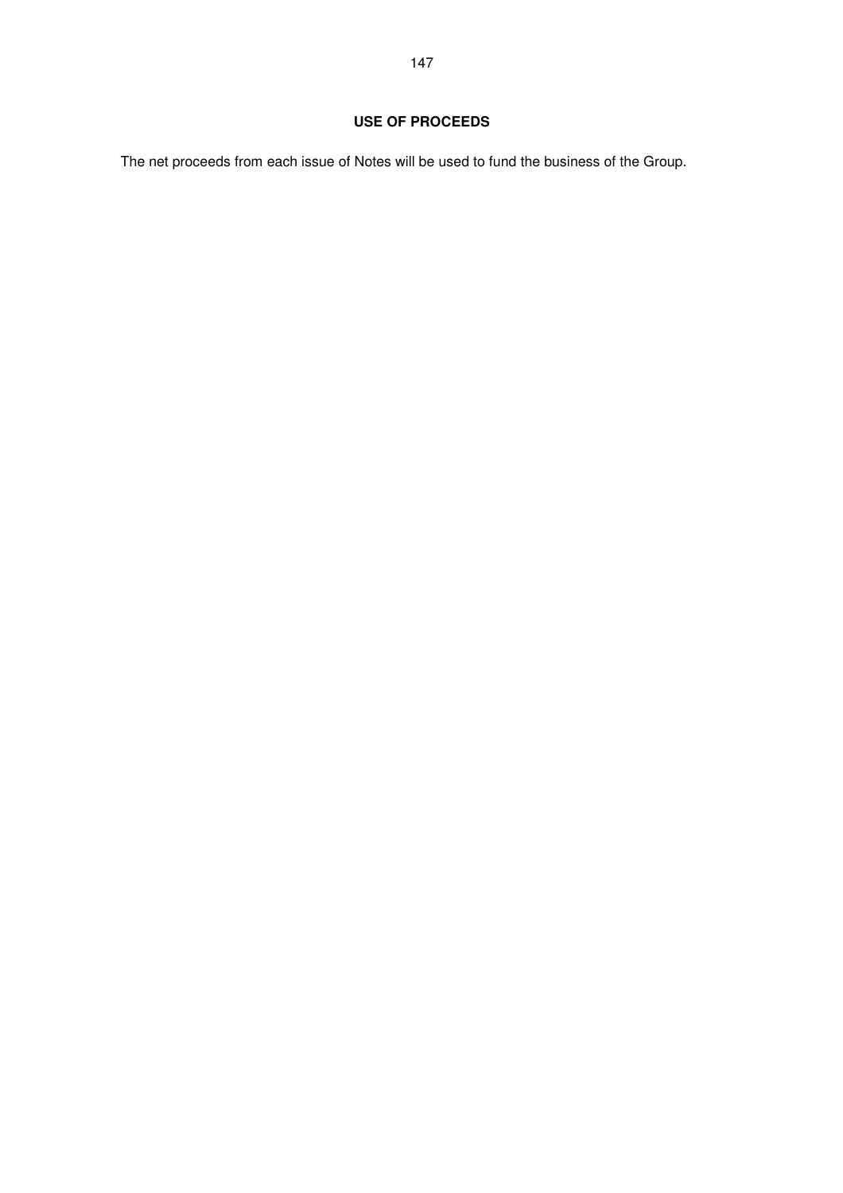The net proceeds from each issue of Notes will be used to fund the business of the Group.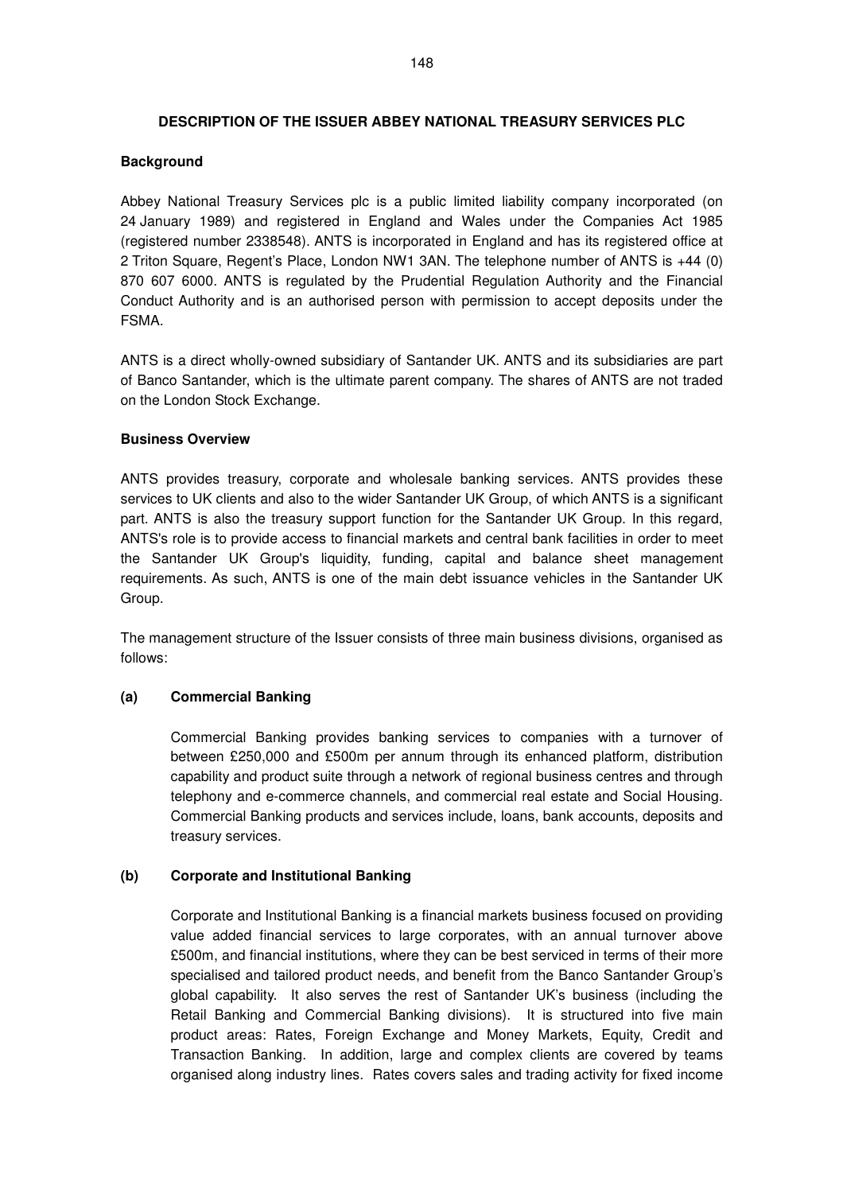# **DESCRIPTION OF THE ISSUER ABBEY NATIONAL TREASURY SERVICES PLC**

## **Background**

Abbey National Treasury Services plc is a public limited liability company incorporated (on 24 January 1989) and registered in England and Wales under the Companies Act 1985 (registered number 2338548). ANTS is incorporated in England and has its registered office at 2 Triton Square, Regent's Place, London NW1 3AN. The telephone number of ANTS is +44 (0) 870 607 6000. ANTS is regulated by the Prudential Regulation Authority and the Financial Conduct Authority and is an authorised person with permission to accept deposits under the FSMA.

ANTS is a direct wholly-owned subsidiary of Santander UK. ANTS and its subsidiaries are part of Banco Santander, which is the ultimate parent company. The shares of ANTS are not traded on the London Stock Exchange.

# **Business Overview**

ANTS provides treasury, corporate and wholesale banking services. ANTS provides these services to UK clients and also to the wider Santander UK Group, of which ANTS is a significant part. ANTS is also the treasury support function for the Santander UK Group. In this regard, ANTS's role is to provide access to financial markets and central bank facilities in order to meet the Santander UK Group's liquidity, funding, capital and balance sheet management requirements. As such, ANTS is one of the main debt issuance vehicles in the Santander UK Group.

The management structure of the Issuer consists of three main business divisions, organised as follows:

## **(a) Commercial Banking**

Commercial Banking provides banking services to companies with a turnover of between £250,000 and £500m per annum through its enhanced platform, distribution capability and product suite through a network of regional business centres and through telephony and e-commerce channels, and commercial real estate and Social Housing. Commercial Banking products and services include, loans, bank accounts, deposits and treasury services.

## **(b) Corporate and Institutional Banking**

Corporate and Institutional Banking is a financial markets business focused on providing value added financial services to large corporates, with an annual turnover above £500m, and financial institutions, where they can be best serviced in terms of their more specialised and tailored product needs, and benefit from the Banco Santander Group's global capability. It also serves the rest of Santander UK's business (including the Retail Banking and Commercial Banking divisions). It is structured into five main product areas: Rates, Foreign Exchange and Money Markets, Equity, Credit and Transaction Banking. In addition, large and complex clients are covered by teams organised along industry lines. Rates covers sales and trading activity for fixed income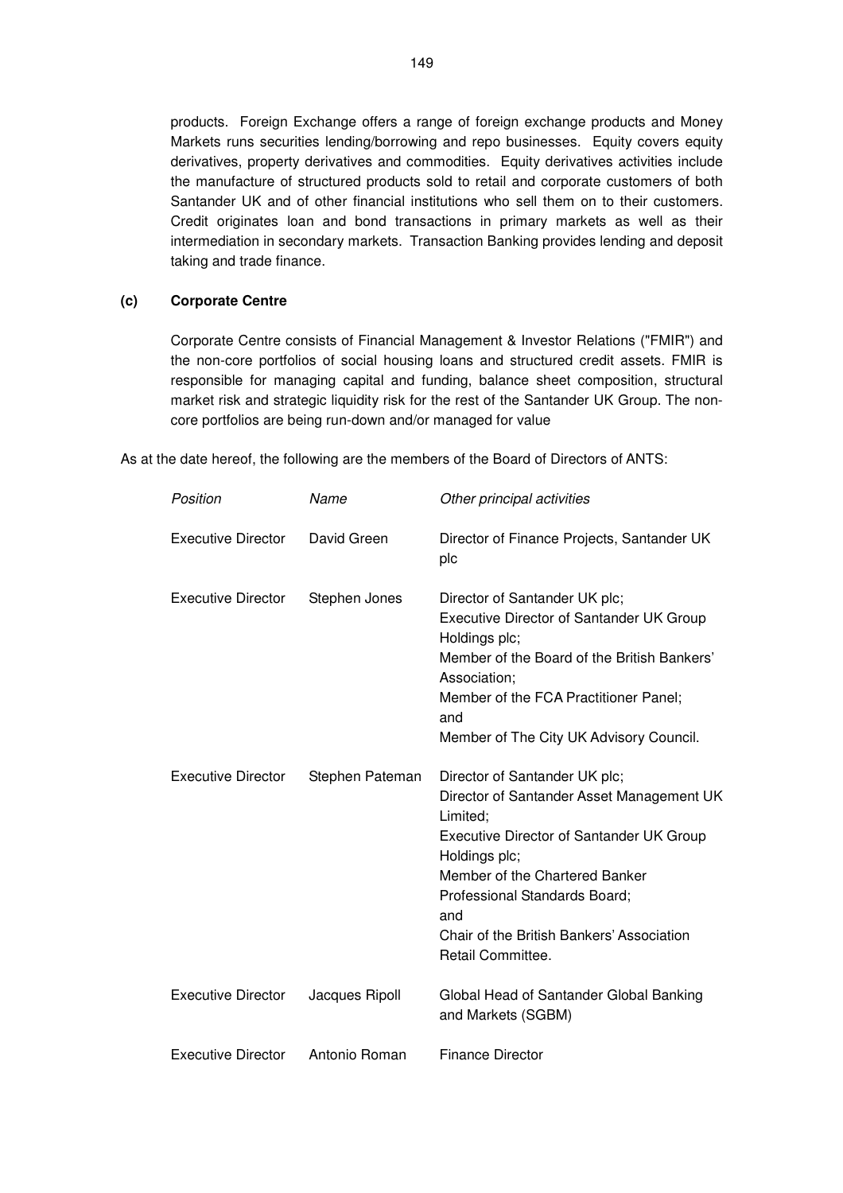products. Foreign Exchange offers a range of foreign exchange products and Money Markets runs securities lending/borrowing and repo businesses. Equity covers equity derivatives, property derivatives and commodities. Equity derivatives activities include the manufacture of structured products sold to retail and corporate customers of both Santander UK and of other financial institutions who sell them on to their customers. Credit originates loan and bond transactions in primary markets as well as their intermediation in secondary markets. Transaction Banking provides lending and deposit taking and trade finance.

## **(c) Corporate Centre**

Corporate Centre consists of Financial Management & Investor Relations ("FMIR") and the non-core portfolios of social housing loans and structured credit assets. FMIR is responsible for managing capital and funding, balance sheet composition, structural market risk and strategic liquidity risk for the rest of the Santander UK Group. The noncore portfolios are being run-down and/or managed for value

As at the date hereof, the following are the members of the Board of Directors of ANTS:

| Position                  | Name            | Other principal activities                                                                                                                                                                                                                                                                             |
|---------------------------|-----------------|--------------------------------------------------------------------------------------------------------------------------------------------------------------------------------------------------------------------------------------------------------------------------------------------------------|
| <b>Executive Director</b> | David Green     | Director of Finance Projects, Santander UK<br>plc                                                                                                                                                                                                                                                      |
| <b>Executive Director</b> | Stephen Jones   | Director of Santander UK plc;<br><b>Executive Director of Santander UK Group</b><br>Holdings plc;<br>Member of the Board of the British Bankers'<br>Association;<br>Member of the FCA Practitioner Panel;<br>and<br>Member of The City UK Advisory Council.                                            |
| <b>Executive Director</b> | Stephen Pateman | Director of Santander UK plc;<br>Director of Santander Asset Management UK<br>Limited;<br><b>Executive Director of Santander UK Group</b><br>Holdings plc;<br>Member of the Chartered Banker<br>Professional Standards Board;<br>and<br>Chair of the British Bankers' Association<br>Retail Committee. |
| <b>Executive Director</b> | Jacques Ripoll  | Global Head of Santander Global Banking<br>and Markets (SGBM)                                                                                                                                                                                                                                          |
| <b>Executive Director</b> | Antonio Roman   | <b>Finance Director</b>                                                                                                                                                                                                                                                                                |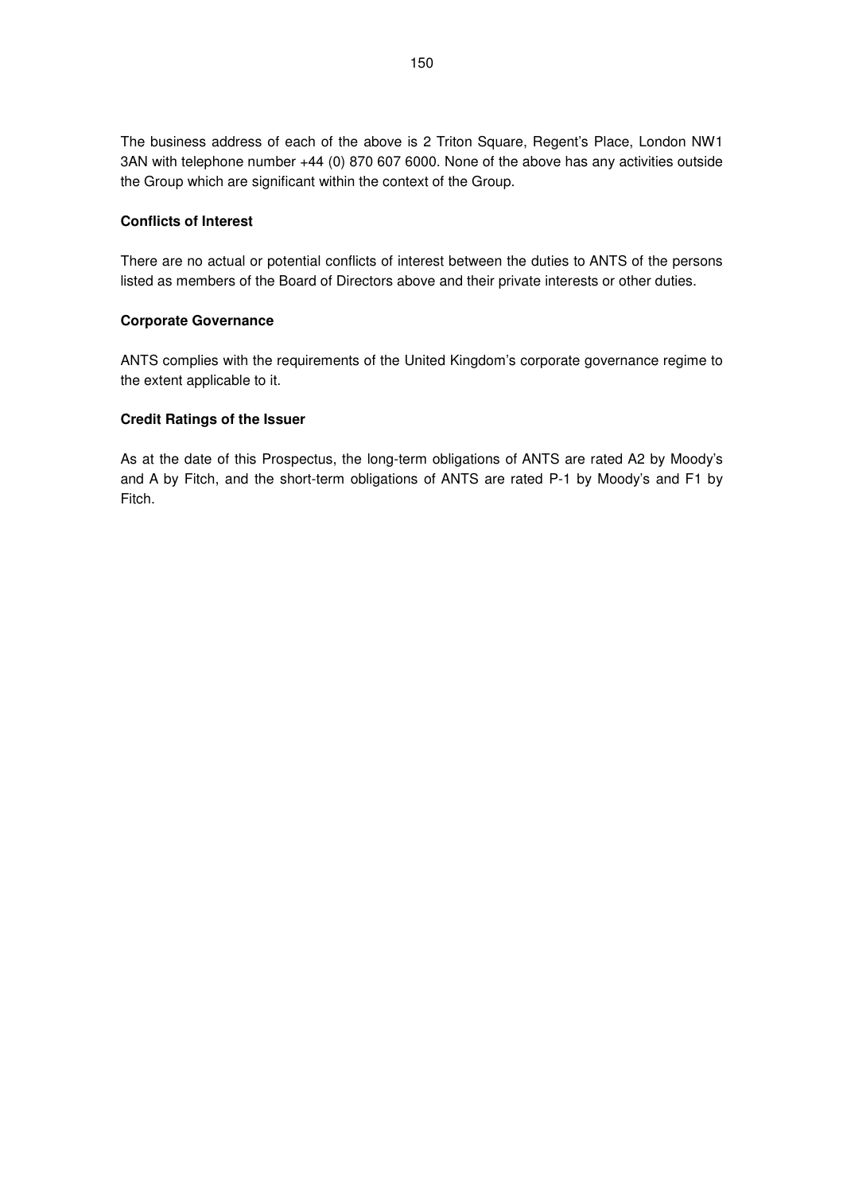The business address of each of the above is 2 Triton Square, Regent's Place, London NW1 3AN with telephone number +44 (0) 870 607 6000. None of the above has any activities outside the Group which are significant within the context of the Group.

## **Conflicts of Interest**

There are no actual or potential conflicts of interest between the duties to ANTS of the persons listed as members of the Board of Directors above and their private interests or other duties.

# **Corporate Governance**

ANTS complies with the requirements of the United Kingdom's corporate governance regime to the extent applicable to it.

# **Credit Ratings of the Issuer**

As at the date of this Prospectus, the long-term obligations of ANTS are rated A2 by Moody's and A by Fitch, and the short-term obligations of ANTS are rated P-1 by Moody's and F1 by Fitch.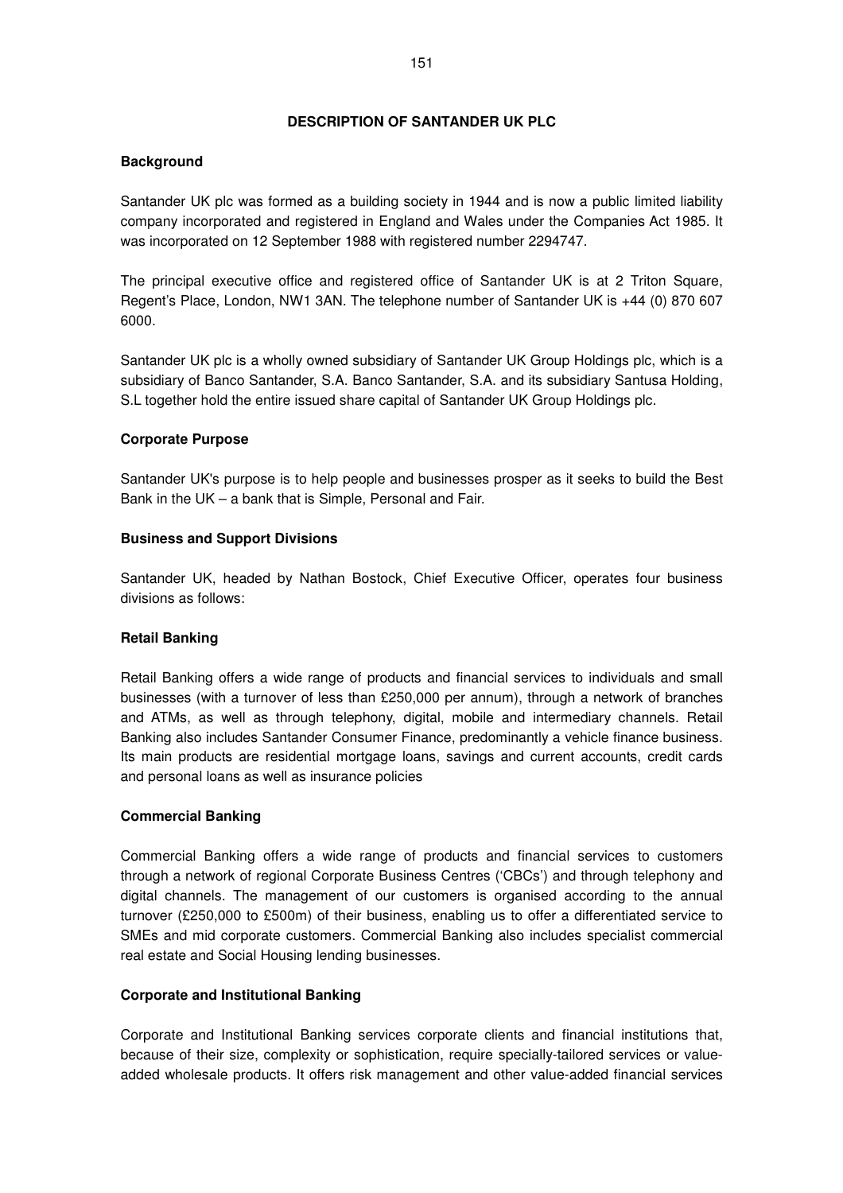## **DESCRIPTION OF SANTANDER UK PLC**

# **Background**

Santander UK plc was formed as a building society in 1944 and is now a public limited liability company incorporated and registered in England and Wales under the Companies Act 1985. It was incorporated on 12 September 1988 with registered number 2294747.

The principal executive office and registered office of Santander UK is at 2 Triton Square, Regent's Place, London, NW1 3AN. The telephone number of Santander UK is +44 (0) 870 607 6000.

Santander UK plc is a wholly owned subsidiary of Santander UK Group Holdings plc, which is a subsidiary of Banco Santander, S.A. Banco Santander, S.A. and its subsidiary Santusa Holding, S.L together hold the entire issued share capital of Santander UK Group Holdings plc.

# **Corporate Purpose**

Santander UK's purpose is to help people and businesses prosper as it seeks to build the Best Bank in the UK – a bank that is Simple, Personal and Fair.

## **Business and Support Divisions**

Santander UK, headed by Nathan Bostock, Chief Executive Officer, operates four business divisions as follows:

## **Retail Banking**

Retail Banking offers a wide range of products and financial services to individuals and small businesses (with a turnover of less than £250,000 per annum), through a network of branches and ATMs, as well as through telephony, digital, mobile and intermediary channels. Retail Banking also includes Santander Consumer Finance, predominantly a vehicle finance business. Its main products are residential mortgage loans, savings and current accounts, credit cards and personal loans as well as insurance policies

## **Commercial Banking**

Commercial Banking offers a wide range of products and financial services to customers through a network of regional Corporate Business Centres ('CBCs') and through telephony and digital channels. The management of our customers is organised according to the annual turnover (£250,000 to £500m) of their business, enabling us to offer a differentiated service to SMEs and mid corporate customers. Commercial Banking also includes specialist commercial real estate and Social Housing lending businesses.

## **Corporate and Institutional Banking**

Corporate and Institutional Banking services corporate clients and financial institutions that, because of their size, complexity or sophistication, require specially-tailored services or valueadded wholesale products. It offers risk management and other value-added financial services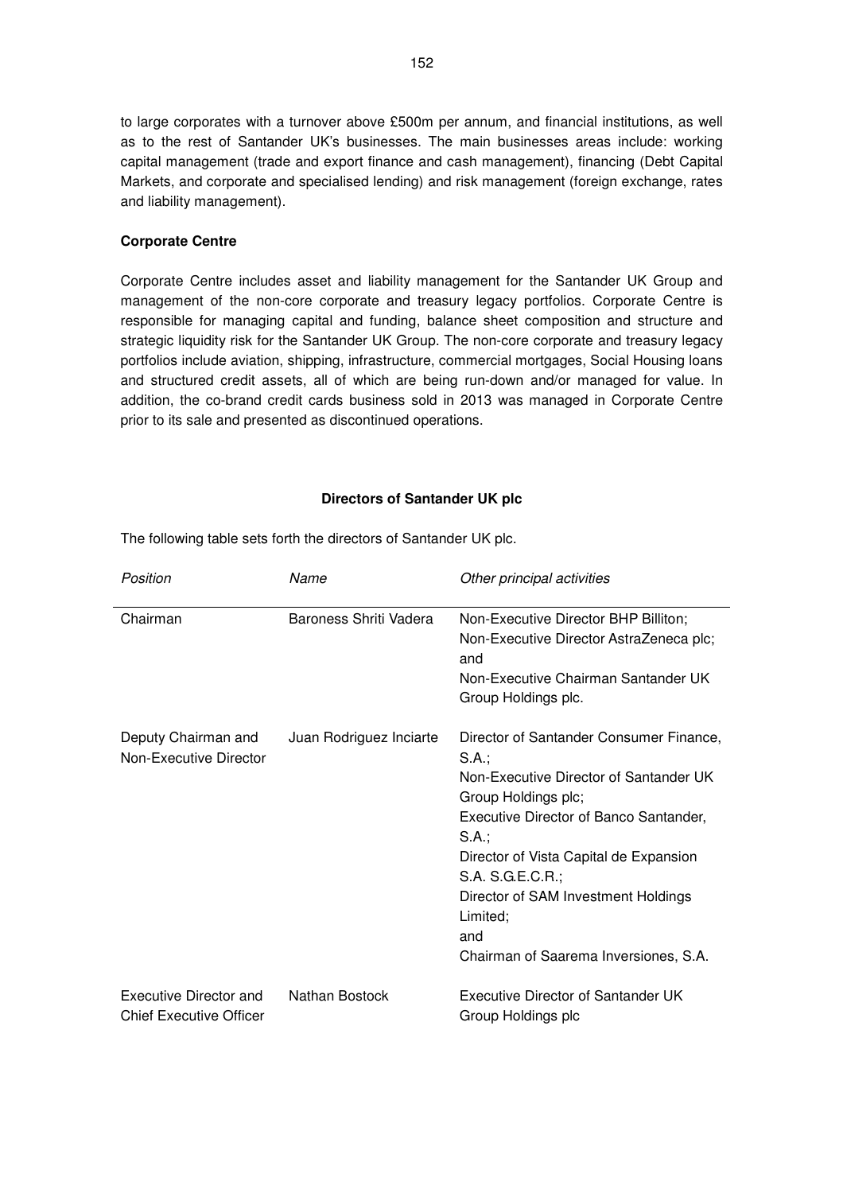to large corporates with a turnover above £500m per annum, and financial institutions, as well as to the rest of Santander UK's businesses. The main businesses areas include: working capital management (trade and export finance and cash management), financing (Debt Capital Markets, and corporate and specialised lending) and risk management (foreign exchange, rates and liability management).

## **Corporate Centre**

Corporate Centre includes asset and liability management for the Santander UK Group and management of the non-core corporate and treasury legacy portfolios. Corporate Centre is responsible for managing capital and funding, balance sheet composition and structure and strategic liquidity risk for the Santander UK Group. The non-core corporate and treasury legacy portfolios include aviation, shipping, infrastructure, commercial mortgages, Social Housing loans and structured credit assets, all of which are being run-down and/or managed for value. In addition, the co-brand credit cards business sold in 2013 was managed in Corporate Centre prior to its sale and presented as discontinued operations.

#### **Directors of Santander UK plc**

The following table sets forth the directors of Santander UK plc.

| Position                                                 | Name                    | Other principal activities                                                                                                                                                                                                                                                                                                            |
|----------------------------------------------------------|-------------------------|---------------------------------------------------------------------------------------------------------------------------------------------------------------------------------------------------------------------------------------------------------------------------------------------------------------------------------------|
| Chairman                                                 | Baroness Shriti Vadera  | Non-Executive Director BHP Billiton;<br>Non-Executive Director AstraZeneca plc;<br>and<br>Non-Executive Chairman Santander UK<br>Group Holdings plc.                                                                                                                                                                                  |
| Deputy Chairman and<br>Non-Executive Director            | Juan Rodriguez Inciarte | Director of Santander Consumer Finance,<br>S.A.;<br>Non-Executive Director of Santander UK<br>Group Holdings plc;<br>Executive Director of Banco Santander,<br>S.A.;<br>Director of Vista Capital de Expansion<br>S.A. S.G.E.C.R.;<br>Director of SAM Investment Holdings<br>Limited;<br>and<br>Chairman of Saarema Inversiones, S.A. |
| Executive Director and<br><b>Chief Executive Officer</b> | Nathan Bostock          | Executive Director of Santander UK<br>Group Holdings plc                                                                                                                                                                                                                                                                              |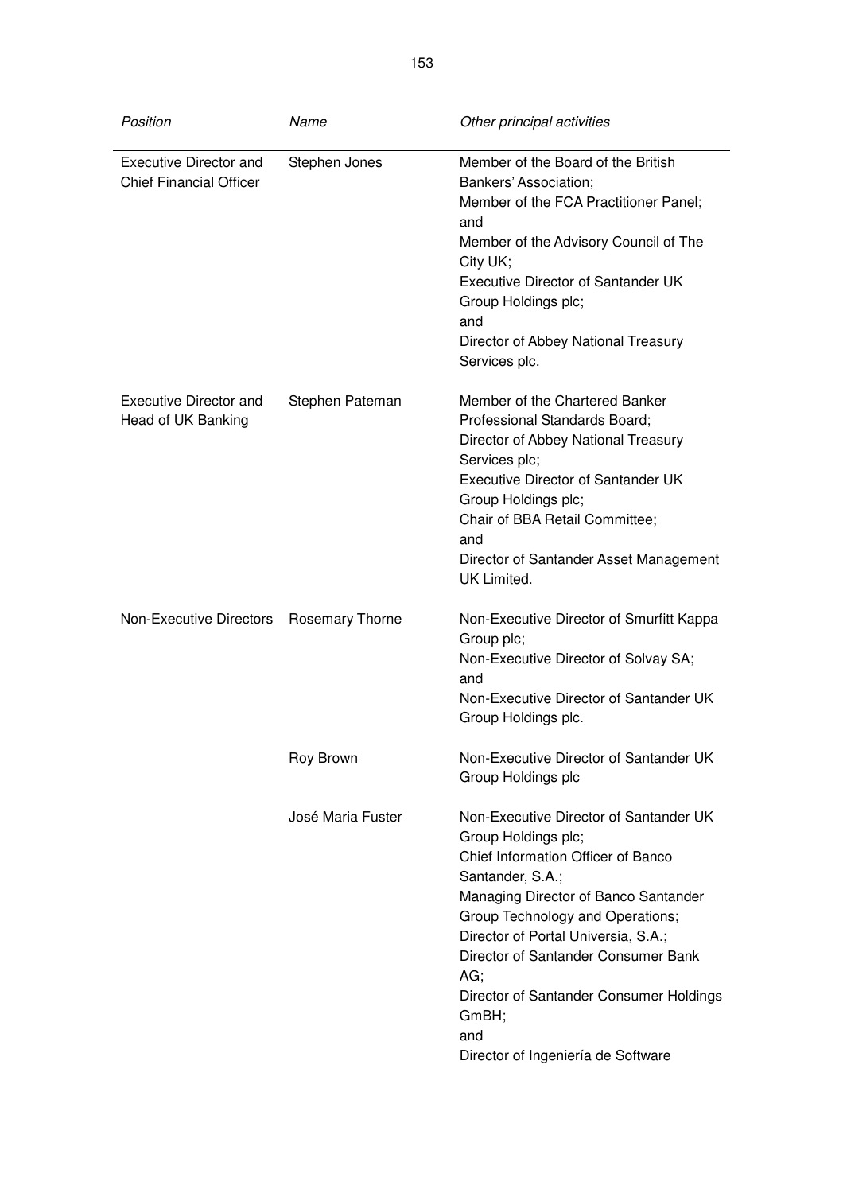| Position                                                        | Name              | Other principal activities                                                                                                                                                                                                                                                                                                                                                                |
|-----------------------------------------------------------------|-------------------|-------------------------------------------------------------------------------------------------------------------------------------------------------------------------------------------------------------------------------------------------------------------------------------------------------------------------------------------------------------------------------------------|
| <b>Executive Director and</b><br><b>Chief Financial Officer</b> | Stephen Jones     | Member of the Board of the British<br>Bankers' Association;<br>Member of the FCA Practitioner Panel;<br>and<br>Member of the Advisory Council of The<br>City UK;<br>Executive Director of Santander UK<br>Group Holdings plc;<br>and<br>Director of Abbey National Treasury<br>Services plc.                                                                                              |
| Executive Director and<br>Head of UK Banking                    | Stephen Pateman   | Member of the Chartered Banker<br>Professional Standards Board;<br>Director of Abbey National Treasury<br>Services plc;<br><b>Executive Director of Santander UK</b><br>Group Holdings plc;<br>Chair of BBA Retail Committee;<br>and<br>Director of Santander Asset Management<br>UK Limited.                                                                                             |
| Non-Executive Directors                                         | Rosemary Thorne   | Non-Executive Director of Smurfitt Kappa<br>Group plc;<br>Non-Executive Director of Solvay SA;<br>and<br>Non-Executive Director of Santander UK<br>Group Holdings plc.                                                                                                                                                                                                                    |
|                                                                 | Roy Brown         | Non-Executive Director of Santander UK<br>Group Holdings plc                                                                                                                                                                                                                                                                                                                              |
|                                                                 | José Maria Fuster | Non-Executive Director of Santander UK<br>Group Holdings plc;<br>Chief Information Officer of Banco<br>Santander, S.A.;<br>Managing Director of Banco Santander<br>Group Technology and Operations;<br>Director of Portal Universia, S.A.;<br>Director of Santander Consumer Bank<br>AG;<br>Director of Santander Consumer Holdings<br>GmBH;<br>and<br>Director of Ingeniería de Software |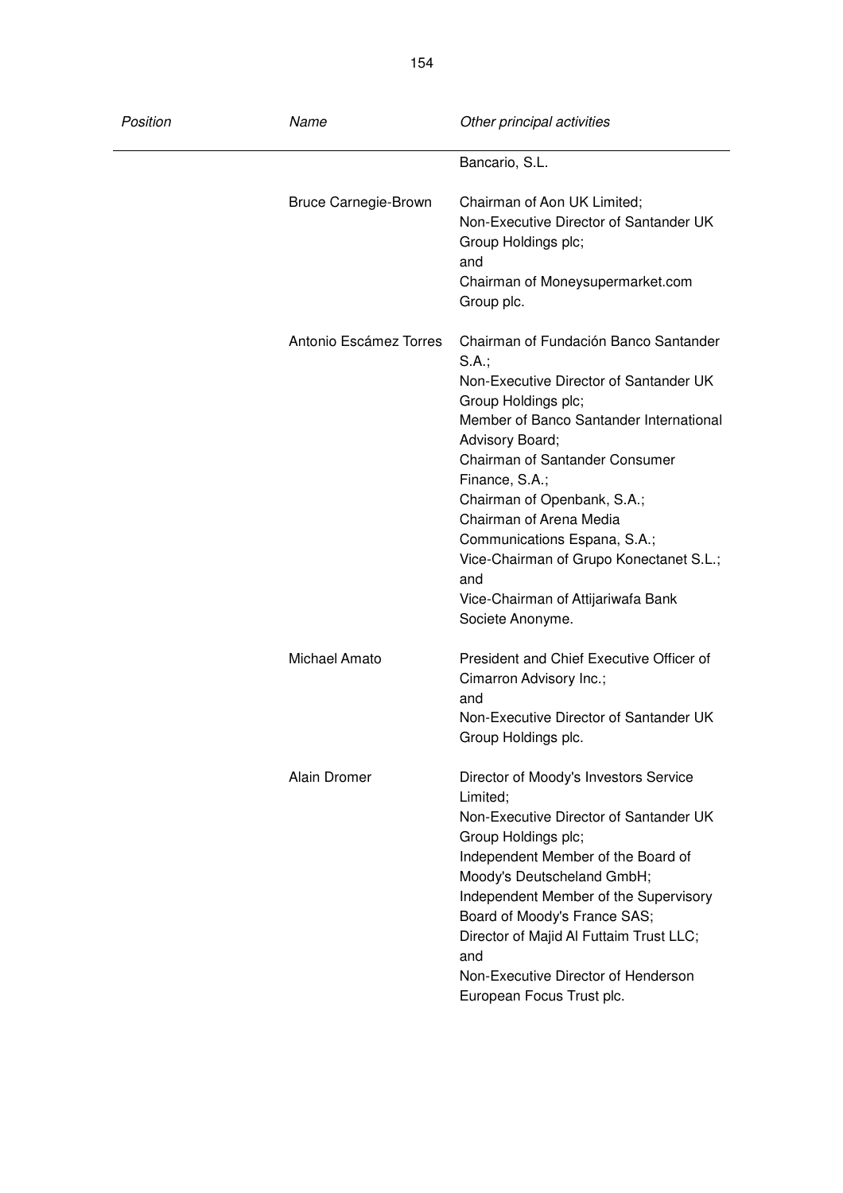| Position | Name                        | Other principal activities                                                                                                                                                                                                                                                                                                                                                                                                                 |
|----------|-----------------------------|--------------------------------------------------------------------------------------------------------------------------------------------------------------------------------------------------------------------------------------------------------------------------------------------------------------------------------------------------------------------------------------------------------------------------------------------|
|          |                             | Bancario, S.L.                                                                                                                                                                                                                                                                                                                                                                                                                             |
|          | <b>Bruce Carnegie-Brown</b> | Chairman of Aon UK Limited;<br>Non-Executive Director of Santander UK<br>Group Holdings plc;<br>and<br>Chairman of Moneysupermarket.com<br>Group plc.                                                                                                                                                                                                                                                                                      |
|          | Antonio Escámez Torres      | Chairman of Fundación Banco Santander<br>$S.A.$ ;<br>Non-Executive Director of Santander UK<br>Group Holdings plc;<br>Member of Banco Santander International<br>Advisory Board;<br>Chairman of Santander Consumer<br>Finance, S.A.;<br>Chairman of Openbank, S.A.;<br>Chairman of Arena Media<br>Communications Espana, S.A.;<br>Vice-Chairman of Grupo Konectanet S.L.;<br>and<br>Vice-Chairman of Attijariwafa Bank<br>Societe Anonyme. |
|          | Michael Amato               | President and Chief Executive Officer of<br>Cimarron Advisory Inc.;<br>and<br>Non-Executive Director of Santander UK<br>Group Holdings plc.                                                                                                                                                                                                                                                                                                |
|          | Alain Dromer                | Director of Moody's Investors Service<br>Limited;<br>Non-Executive Director of Santander UK<br>Group Holdings plc;<br>Independent Member of the Board of<br>Moody's Deutscheland GmbH;<br>Independent Member of the Supervisory<br>Board of Moody's France SAS;<br>Director of Majid Al Futtaim Trust LLC;<br>and<br>Non-Executive Director of Henderson<br>European Focus Trust plc.                                                      |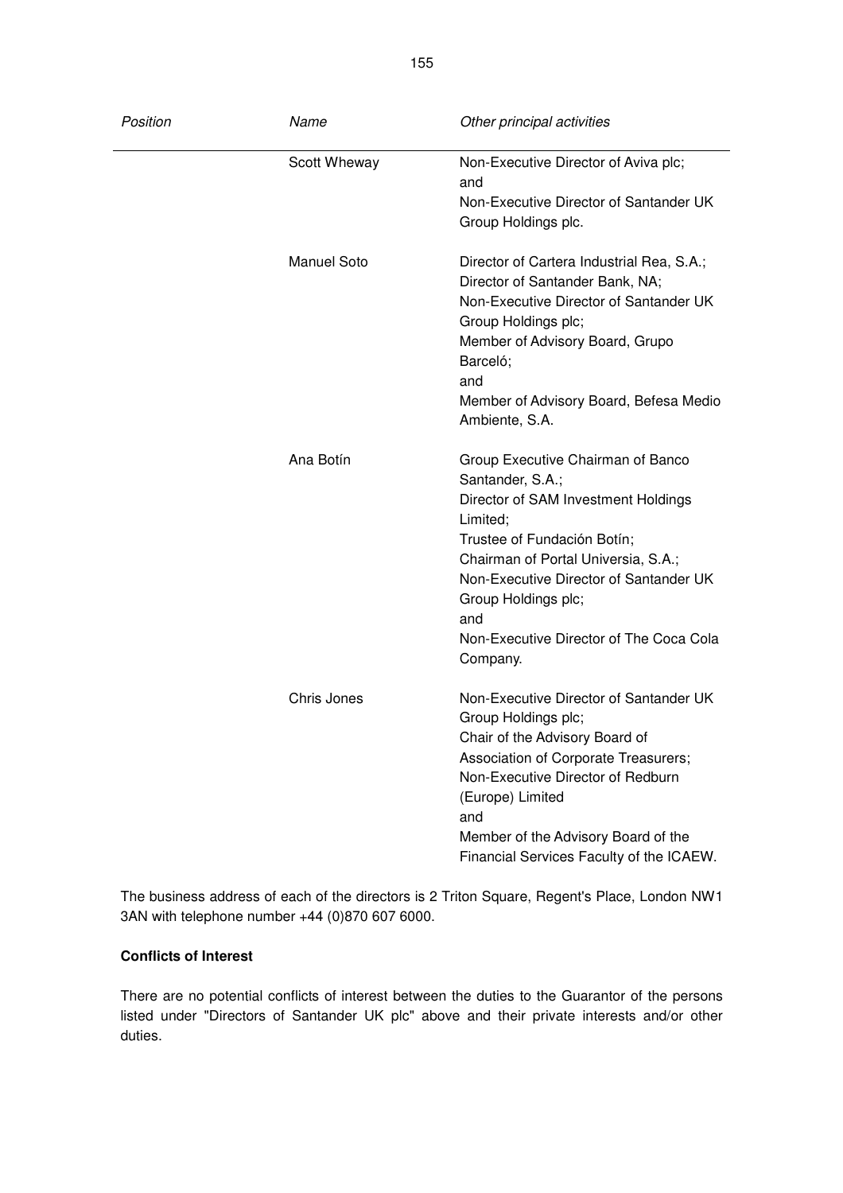| Position | Name               | Other principal activities                                                                                                                                                                                                                                                                                    |
|----------|--------------------|---------------------------------------------------------------------------------------------------------------------------------------------------------------------------------------------------------------------------------------------------------------------------------------------------------------|
|          | Scott Wheway       | Non-Executive Director of Aviva plc;<br>and                                                                                                                                                                                                                                                                   |
|          |                    | Non-Executive Director of Santander UK<br>Group Holdings plc.                                                                                                                                                                                                                                                 |
|          | <b>Manuel Soto</b> | Director of Cartera Industrial Rea, S.A.;<br>Director of Santander Bank, NA;<br>Non-Executive Director of Santander UK<br>Group Holdings plc;<br>Member of Advisory Board, Grupo<br>Barceló;<br>and<br>Member of Advisory Board, Befesa Medio<br>Ambiente, S.A.                                               |
|          | Ana Botín          | Group Executive Chairman of Banco<br>Santander, S.A.;<br>Director of SAM Investment Holdings<br>Limited;<br>Trustee of Fundación Botín;<br>Chairman of Portal Universia, S.A.;<br>Non-Executive Director of Santander UK<br>Group Holdings plc;<br>and<br>Non-Executive Director of The Coca Cola<br>Company. |
|          | Chris Jones        | Non-Executive Director of Santander UK<br>Group Holdings plc;<br>Chair of the Advisory Board of<br>Association of Corporate Treasurers;<br>Non-Executive Director of Redburn<br>(Europe) Limited<br>and<br>Member of the Advisory Board of the<br>Financial Services Faculty of the ICAEW.                    |

The business address of each of the directors is 2 Triton Square, Regent's Place, London NW1 3AN with telephone number +44 (0)870 607 6000.

# **Conflicts of Interest**

There are no potential conflicts of interest between the duties to the Guarantor of the persons listed under "Directors of Santander UK plc" above and their private interests and/or other duties.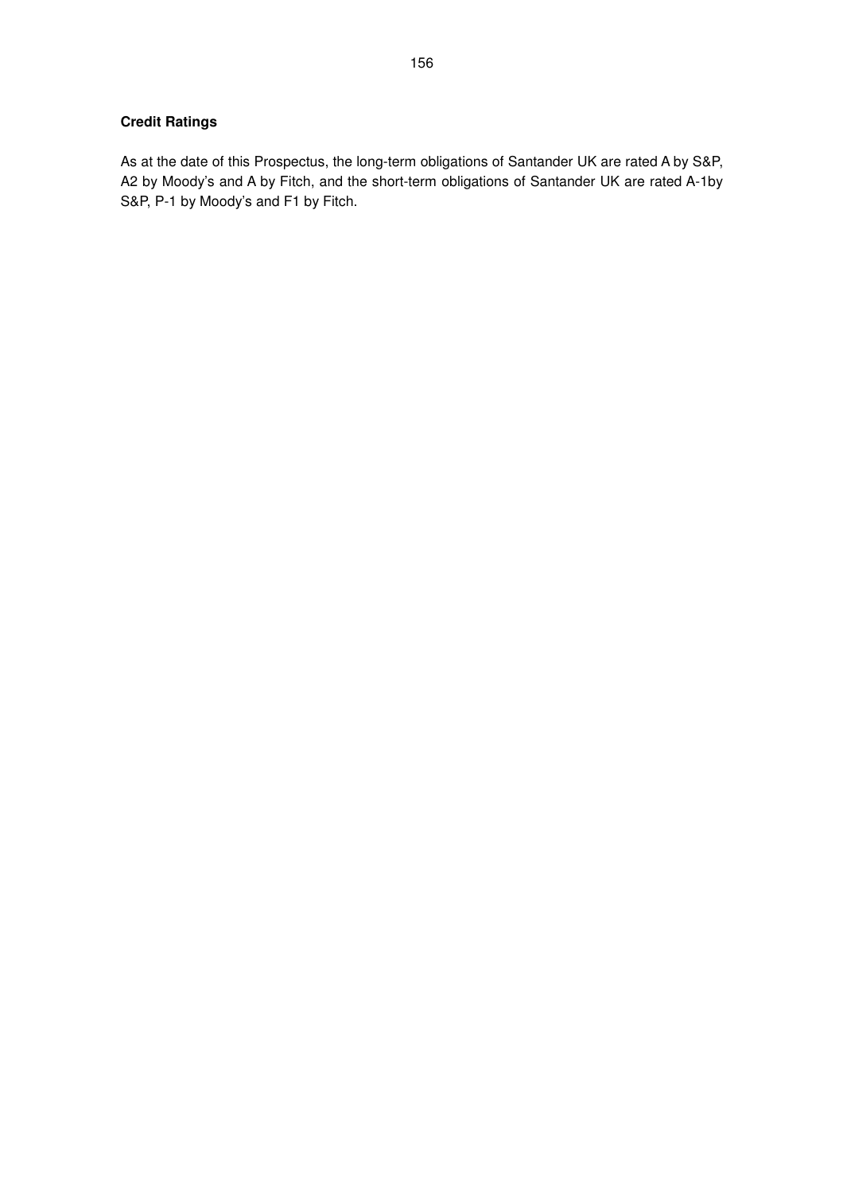# **Credit Ratings**

As at the date of this Prospectus, the long-term obligations of Santander UK are rated A by S&P, A2 by Moody's and A by Fitch, and the short-term obligations of Santander UK are rated A-1by S&P, P-1 by Moody's and F1 by Fitch.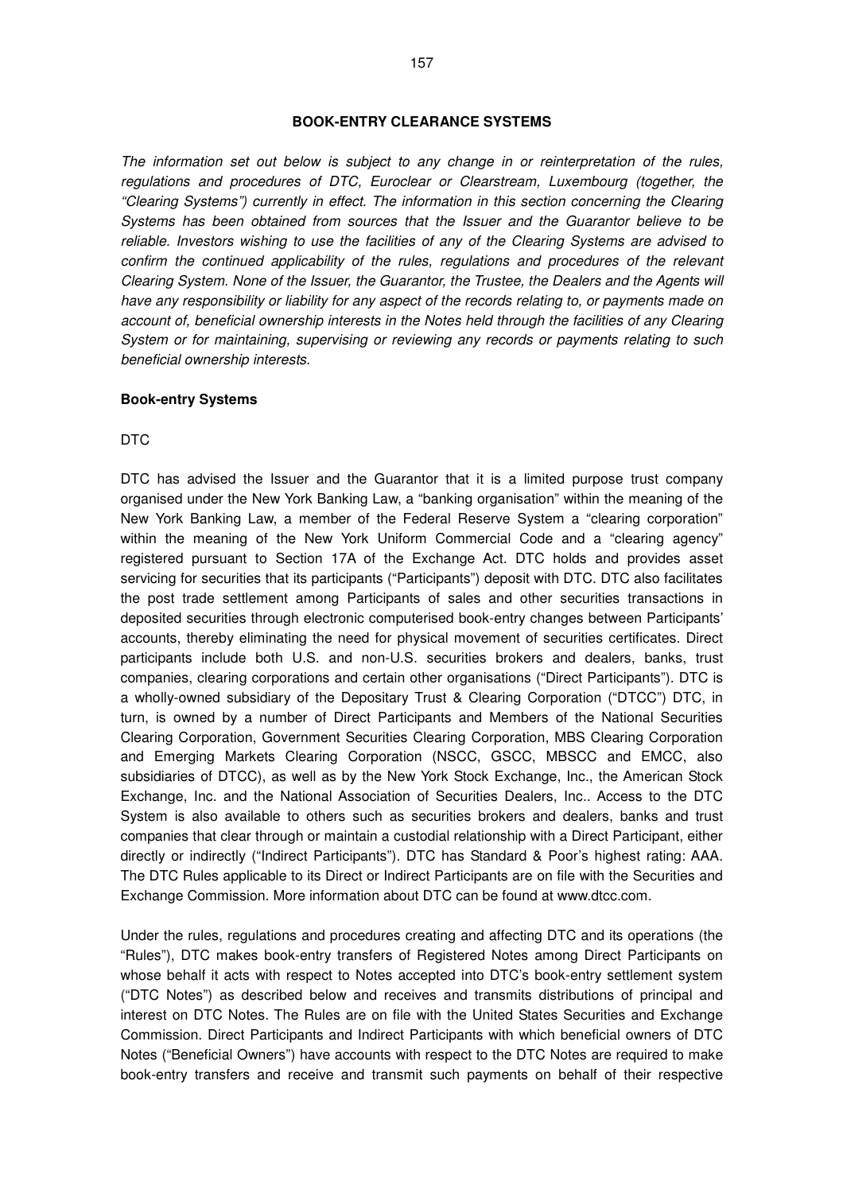#### **BOOK-ENTRY CLEARANCE SYSTEMS**

The information set out below is subject to any change in or reinterpretation of the rules, regulations and procedures of DTC, Euroclear or Clearstream, Luxembourg (together, the "Clearing Systems") currently in effect. The information in this section concerning the Clearing Systems has been obtained from sources that the Issuer and the Guarantor believe to be reliable. Investors wishing to use the facilities of any of the Clearing Systems are advised to confirm the continued applicability of the rules, regulations and procedures of the relevant Clearing System. None of the Issuer, the Guarantor, the Trustee, the Dealers and the Agents will have any responsibility or liability for any aspect of the records relating to, or payments made on account of, beneficial ownership interests in the Notes held through the facilities of any Clearing System or for maintaining, supervising or reviewing any records or payments relating to such beneficial ownership interests.

#### **Book-entry Systems**

#### DTC

DTC has advised the Issuer and the Guarantor that it is a limited purpose trust company organised under the New York Banking Law, a "banking organisation" within the meaning of the New York Banking Law, a member of the Federal Reserve System a "clearing corporation" within the meaning of the New York Uniform Commercial Code and a "clearing agency" registered pursuant to Section 17A of the Exchange Act. DTC holds and provides asset servicing for securities that its participants ("Participants") deposit with DTC. DTC also facilitates the post trade settlement among Participants of sales and other securities transactions in deposited securities through electronic computerised book-entry changes between Participants' accounts, thereby eliminating the need for physical movement of securities certificates. Direct participants include both U.S. and non-U.S. securities brokers and dealers, banks, trust companies, clearing corporations and certain other organisations ("Direct Participants"). DTC is a wholly-owned subsidiary of the Depositary Trust & Clearing Corporation ("DTCC") DTC, in turn, is owned by a number of Direct Participants and Members of the National Securities Clearing Corporation, Government Securities Clearing Corporation, MBS Clearing Corporation and Emerging Markets Clearing Corporation (NSCC, GSCC, MBSCC and EMCC, also subsidiaries of DTCC), as well as by the New York Stock Exchange, Inc., the American Stock Exchange, Inc. and the National Association of Securities Dealers, Inc.. Access to the DTC System is also available to others such as securities brokers and dealers, banks and trust companies that clear through or maintain a custodial relationship with a Direct Participant, either directly or indirectly ("Indirect Participants"). DTC has Standard & Poor's highest rating: AAA. The DTC Rules applicable to its Direct or Indirect Participants are on file with the Securities and Exchange Commission. More information about DTC can be found at www.dtcc.com.

Under the rules, regulations and procedures creating and affecting DTC and its operations (the "Rules"), DTC makes book-entry transfers of Registered Notes among Direct Participants on whose behalf it acts with respect to Notes accepted into DTC's book-entry settlement system ("DTC Notes") as described below and receives and transmits distributions of principal and interest on DTC Notes. The Rules are on file with the United States Securities and Exchange Commission. Direct Participants and Indirect Participants with which beneficial owners of DTC Notes ("Beneficial Owners") have accounts with respect to the DTC Notes are required to make book-entry transfers and receive and transmit such payments on behalf of their respective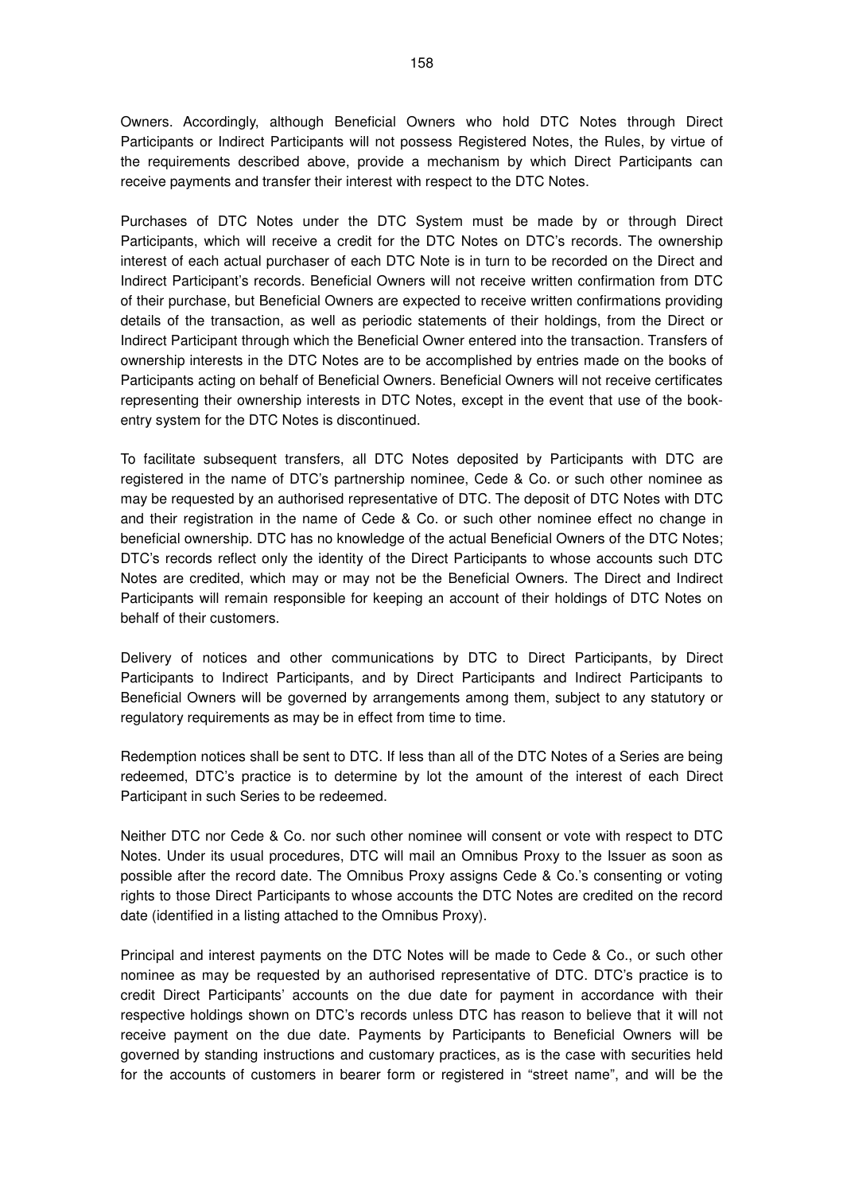Owners. Accordingly, although Beneficial Owners who hold DTC Notes through Direct Participants or Indirect Participants will not possess Registered Notes, the Rules, by virtue of the requirements described above, provide a mechanism by which Direct Participants can receive payments and transfer their interest with respect to the DTC Notes.

Purchases of DTC Notes under the DTC System must be made by or through Direct Participants, which will receive a credit for the DTC Notes on DTC's records. The ownership interest of each actual purchaser of each DTC Note is in turn to be recorded on the Direct and Indirect Participant's records. Beneficial Owners will not receive written confirmation from DTC of their purchase, but Beneficial Owners are expected to receive written confirmations providing details of the transaction, as well as periodic statements of their holdings, from the Direct or Indirect Participant through which the Beneficial Owner entered into the transaction. Transfers of ownership interests in the DTC Notes are to be accomplished by entries made on the books of Participants acting on behalf of Beneficial Owners. Beneficial Owners will not receive certificates representing their ownership interests in DTC Notes, except in the event that use of the bookentry system for the DTC Notes is discontinued.

To facilitate subsequent transfers, all DTC Notes deposited by Participants with DTC are registered in the name of DTC's partnership nominee, Cede & Co. or such other nominee as may be requested by an authorised representative of DTC. The deposit of DTC Notes with DTC and their registration in the name of Cede & Co. or such other nominee effect no change in beneficial ownership. DTC has no knowledge of the actual Beneficial Owners of the DTC Notes; DTC's records reflect only the identity of the Direct Participants to whose accounts such DTC Notes are credited, which may or may not be the Beneficial Owners. The Direct and Indirect Participants will remain responsible for keeping an account of their holdings of DTC Notes on behalf of their customers.

Delivery of notices and other communications by DTC to Direct Participants, by Direct Participants to Indirect Participants, and by Direct Participants and Indirect Participants to Beneficial Owners will be governed by arrangements among them, subject to any statutory or regulatory requirements as may be in effect from time to time.

Redemption notices shall be sent to DTC. If less than all of the DTC Notes of a Series are being redeemed, DTC's practice is to determine by lot the amount of the interest of each Direct Participant in such Series to be redeemed.

Neither DTC nor Cede & Co. nor such other nominee will consent or vote with respect to DTC Notes. Under its usual procedures, DTC will mail an Omnibus Proxy to the Issuer as soon as possible after the record date. The Omnibus Proxy assigns Cede & Co.'s consenting or voting rights to those Direct Participants to whose accounts the DTC Notes are credited on the record date (identified in a listing attached to the Omnibus Proxy).

Principal and interest payments on the DTC Notes will be made to Cede & Co., or such other nominee as may be requested by an authorised representative of DTC. DTC's practice is to credit Direct Participants' accounts on the due date for payment in accordance with their respective holdings shown on DTC's records unless DTC has reason to believe that it will not receive payment on the due date. Payments by Participants to Beneficial Owners will be governed by standing instructions and customary practices, as is the case with securities held for the accounts of customers in bearer form or registered in "street name", and will be the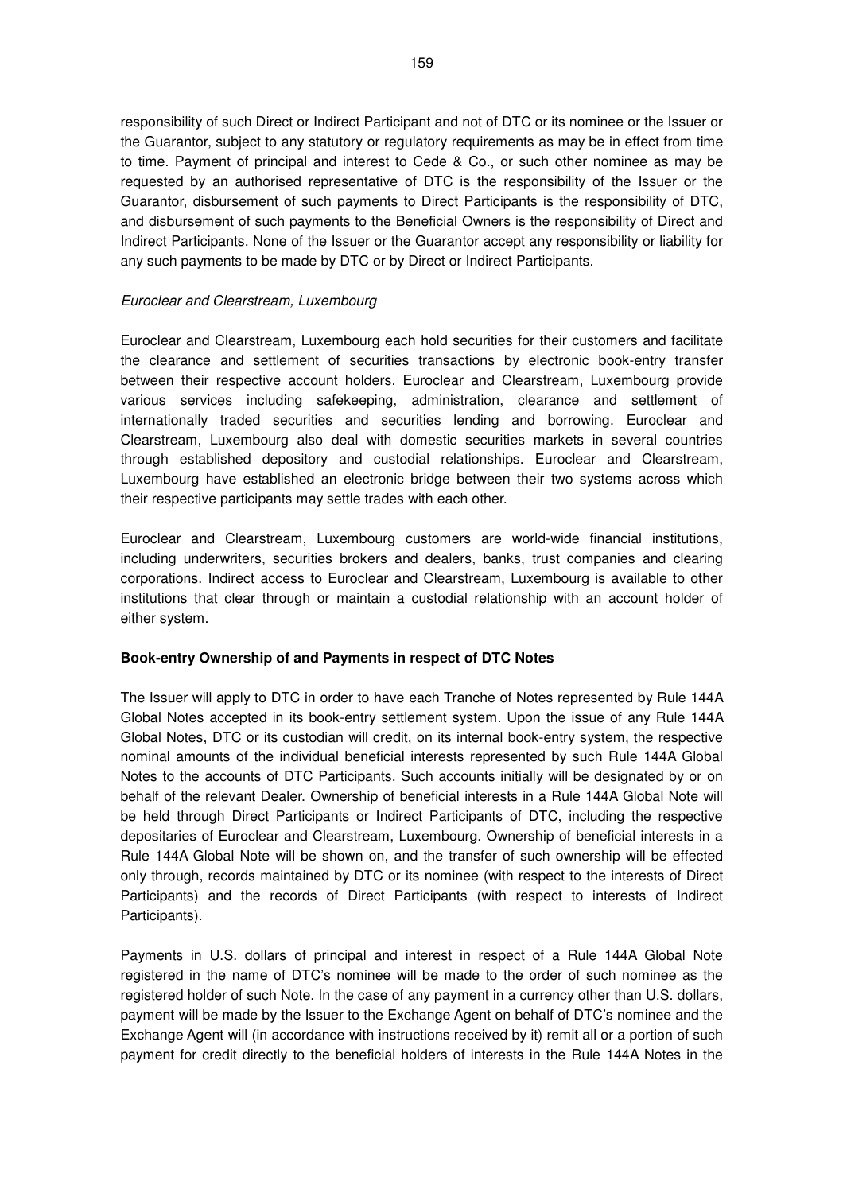responsibility of such Direct or Indirect Participant and not of DTC or its nominee or the Issuer or the Guarantor, subject to any statutory or regulatory requirements as may be in effect from time to time. Payment of principal and interest to Cede & Co., or such other nominee as may be requested by an authorised representative of DTC is the responsibility of the Issuer or the Guarantor, disbursement of such payments to Direct Participants is the responsibility of DTC, and disbursement of such payments to the Beneficial Owners is the responsibility of Direct and Indirect Participants. None of the Issuer or the Guarantor accept any responsibility or liability for any such payments to be made by DTC or by Direct or Indirect Participants.

## Euroclear and Clearstream, Luxembourg

Euroclear and Clearstream, Luxembourg each hold securities for their customers and facilitate the clearance and settlement of securities transactions by electronic book-entry transfer between their respective account holders. Euroclear and Clearstream, Luxembourg provide various services including safekeeping, administration, clearance and settlement of internationally traded securities and securities lending and borrowing. Euroclear and Clearstream, Luxembourg also deal with domestic securities markets in several countries through established depository and custodial relationships. Euroclear and Clearstream, Luxembourg have established an electronic bridge between their two systems across which their respective participants may settle trades with each other.

Euroclear and Clearstream, Luxembourg customers are world-wide financial institutions, including underwriters, securities brokers and dealers, banks, trust companies and clearing corporations. Indirect access to Euroclear and Clearstream, Luxembourg is available to other institutions that clear through or maintain a custodial relationship with an account holder of either system.

#### **Book-entry Ownership of and Payments in respect of DTC Notes**

The Issuer will apply to DTC in order to have each Tranche of Notes represented by Rule 144A Global Notes accepted in its book-entry settlement system. Upon the issue of any Rule 144A Global Notes, DTC or its custodian will credit, on its internal book-entry system, the respective nominal amounts of the individual beneficial interests represented by such Rule 144A Global Notes to the accounts of DTC Participants. Such accounts initially will be designated by or on behalf of the relevant Dealer. Ownership of beneficial interests in a Rule 144A Global Note will be held through Direct Participants or Indirect Participants of DTC, including the respective depositaries of Euroclear and Clearstream, Luxembourg. Ownership of beneficial interests in a Rule 144A Global Note will be shown on, and the transfer of such ownership will be effected only through, records maintained by DTC or its nominee (with respect to the interests of Direct Participants) and the records of Direct Participants (with respect to interests of Indirect Participants).

Payments in U.S. dollars of principal and interest in respect of a Rule 144A Global Note registered in the name of DTC's nominee will be made to the order of such nominee as the registered holder of such Note. In the case of any payment in a currency other than U.S. dollars, payment will be made by the Issuer to the Exchange Agent on behalf of DTC's nominee and the Exchange Agent will (in accordance with instructions received by it) remit all or a portion of such payment for credit directly to the beneficial holders of interests in the Rule 144A Notes in the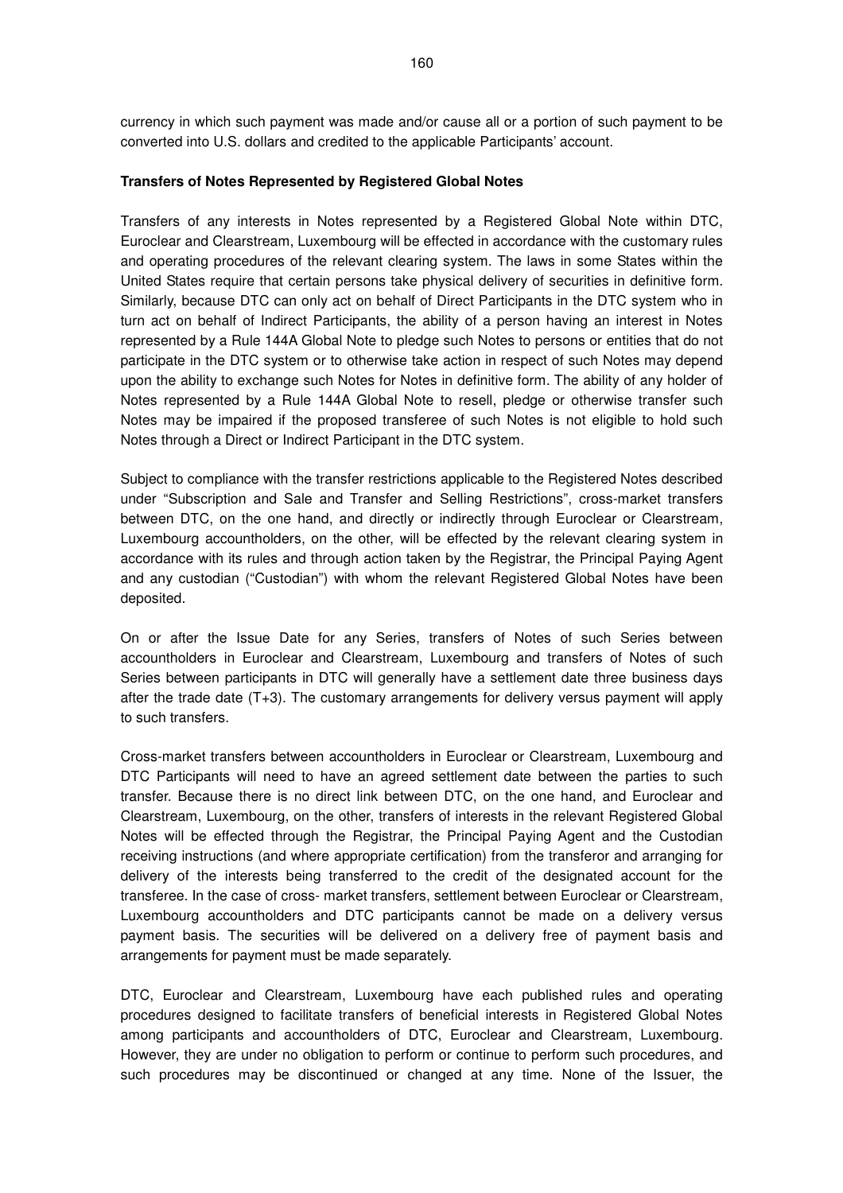currency in which such payment was made and/or cause all or a portion of such payment to be converted into U.S. dollars and credited to the applicable Participants' account.

#### **Transfers of Notes Represented by Registered Global Notes**

Transfers of any interests in Notes represented by a Registered Global Note within DTC, Euroclear and Clearstream, Luxembourg will be effected in accordance with the customary rules and operating procedures of the relevant clearing system. The laws in some States within the United States require that certain persons take physical delivery of securities in definitive form. Similarly, because DTC can only act on behalf of Direct Participants in the DTC system who in turn act on behalf of Indirect Participants, the ability of a person having an interest in Notes represented by a Rule 144A Global Note to pledge such Notes to persons or entities that do not participate in the DTC system or to otherwise take action in respect of such Notes may depend upon the ability to exchange such Notes for Notes in definitive form. The ability of any holder of Notes represented by a Rule 144A Global Note to resell, pledge or otherwise transfer such Notes may be impaired if the proposed transferee of such Notes is not eligible to hold such Notes through a Direct or Indirect Participant in the DTC system.

Subject to compliance with the transfer restrictions applicable to the Registered Notes described under "Subscription and Sale and Transfer and Selling Restrictions", cross-market transfers between DTC, on the one hand, and directly or indirectly through Euroclear or Clearstream, Luxembourg accountholders, on the other, will be effected by the relevant clearing system in accordance with its rules and through action taken by the Registrar, the Principal Paying Agent and any custodian ("Custodian") with whom the relevant Registered Global Notes have been deposited.

On or after the Issue Date for any Series, transfers of Notes of such Series between accountholders in Euroclear and Clearstream, Luxembourg and transfers of Notes of such Series between participants in DTC will generally have a settlement date three business days after the trade date (T+3). The customary arrangements for delivery versus payment will apply to such transfers.

Cross-market transfers between accountholders in Euroclear or Clearstream, Luxembourg and DTC Participants will need to have an agreed settlement date between the parties to such transfer. Because there is no direct link between DTC, on the one hand, and Euroclear and Clearstream, Luxembourg, on the other, transfers of interests in the relevant Registered Global Notes will be effected through the Registrar, the Principal Paying Agent and the Custodian receiving instructions (and where appropriate certification) from the transferor and arranging for delivery of the interests being transferred to the credit of the designated account for the transferee. In the case of cross- market transfers, settlement between Euroclear or Clearstream, Luxembourg accountholders and DTC participants cannot be made on a delivery versus payment basis. The securities will be delivered on a delivery free of payment basis and arrangements for payment must be made separately.

DTC, Euroclear and Clearstream, Luxembourg have each published rules and operating procedures designed to facilitate transfers of beneficial interests in Registered Global Notes among participants and accountholders of DTC, Euroclear and Clearstream, Luxembourg. However, they are under no obligation to perform or continue to perform such procedures, and such procedures may be discontinued or changed at any time. None of the Issuer, the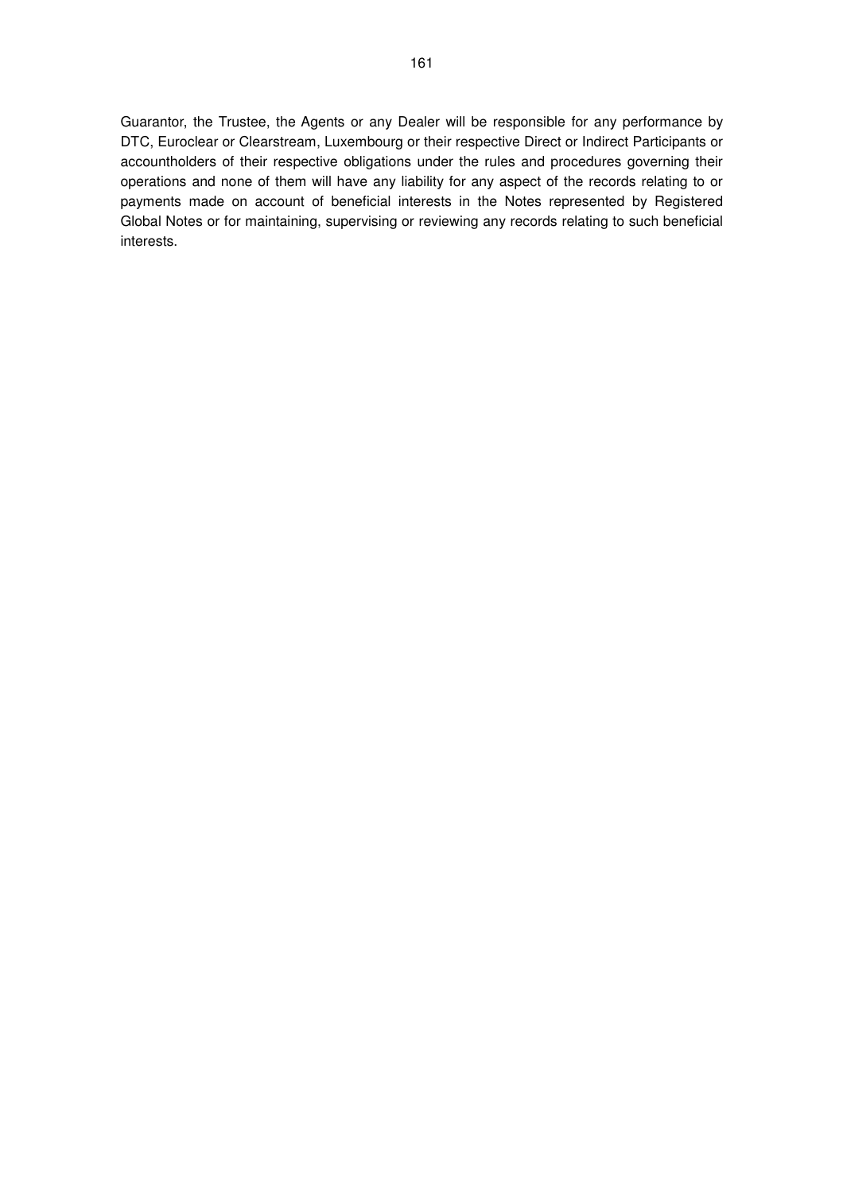Guarantor, the Trustee, the Agents or any Dealer will be responsible for any performance by DTC, Euroclear or Clearstream, Luxembourg or their respective Direct or Indirect Participants or accountholders of their respective obligations under the rules and procedures governing their operations and none of them will have any liability for any aspect of the records relating to or payments made on account of beneficial interests in the Notes represented by Registered Global Notes or for maintaining, supervising or reviewing any records relating to such beneficial interests.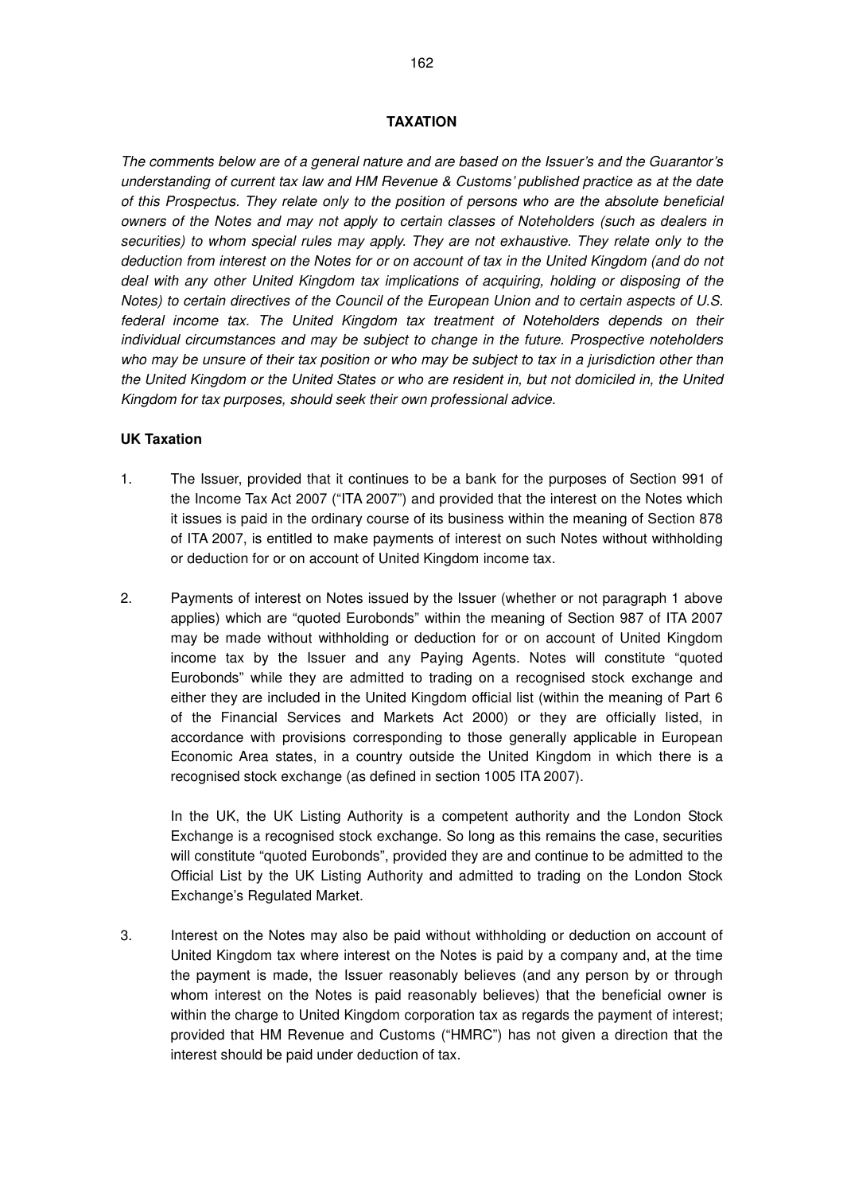The comments below are of a general nature and are based on the Issuer's and the Guarantor's understanding of current tax law and HM Revenue & Customs' published practice as at the date of this Prospectus. They relate only to the position of persons who are the absolute beneficial owners of the Notes and may not apply to certain classes of Noteholders (such as dealers in securities) to whom special rules may apply. They are not exhaustive. They relate only to the deduction from interest on the Notes for or on account of tax in the United Kingdom (and do not deal with any other United Kingdom tax implications of acquiring, holding or disposing of the Notes) to certain directives of the Council of the European Union and to certain aspects of U.S. federal income tax. The United Kingdom tax treatment of Noteholders depends on their individual circumstances and may be subject to change in the future. Prospective noteholders who may be unsure of their tax position or who may be subject to tax in a jurisdiction other than the United Kingdom or the United States or who are resident in, but not domiciled in, the United Kingdom for tax purposes, should seek their own professional advice.

## **UK Taxation**

- 1. The Issuer, provided that it continues to be a bank for the purposes of Section 991 of the Income Tax Act 2007 ("ITA 2007") and provided that the interest on the Notes which it issues is paid in the ordinary course of its business within the meaning of Section 878 of ITA 2007, is entitled to make payments of interest on such Notes without withholding or deduction for or on account of United Kingdom income tax.
- 2. Payments of interest on Notes issued by the Issuer (whether or not paragraph 1 above applies) which are "quoted Eurobonds" within the meaning of Section 987 of ITA 2007 may be made without withholding or deduction for or on account of United Kingdom income tax by the Issuer and any Paying Agents. Notes will constitute "quoted Eurobonds" while they are admitted to trading on a recognised stock exchange and either they are included in the United Kingdom official list (within the meaning of Part 6 of the Financial Services and Markets Act 2000) or they are officially listed, in accordance with provisions corresponding to those generally applicable in European Economic Area states, in a country outside the United Kingdom in which there is a recognised stock exchange (as defined in section 1005 ITA 2007).

In the UK, the UK Listing Authority is a competent authority and the London Stock Exchange is a recognised stock exchange. So long as this remains the case, securities will constitute "quoted Eurobonds", provided they are and continue to be admitted to the Official List by the UK Listing Authority and admitted to trading on the London Stock Exchange's Regulated Market.

3. Interest on the Notes may also be paid without withholding or deduction on account of United Kingdom tax where interest on the Notes is paid by a company and, at the time the payment is made, the Issuer reasonably believes (and any person by or through whom interest on the Notes is paid reasonably believes) that the beneficial owner is within the charge to United Kingdom corporation tax as regards the payment of interest; provided that HM Revenue and Customs ("HMRC") has not given a direction that the interest should be paid under deduction of tax.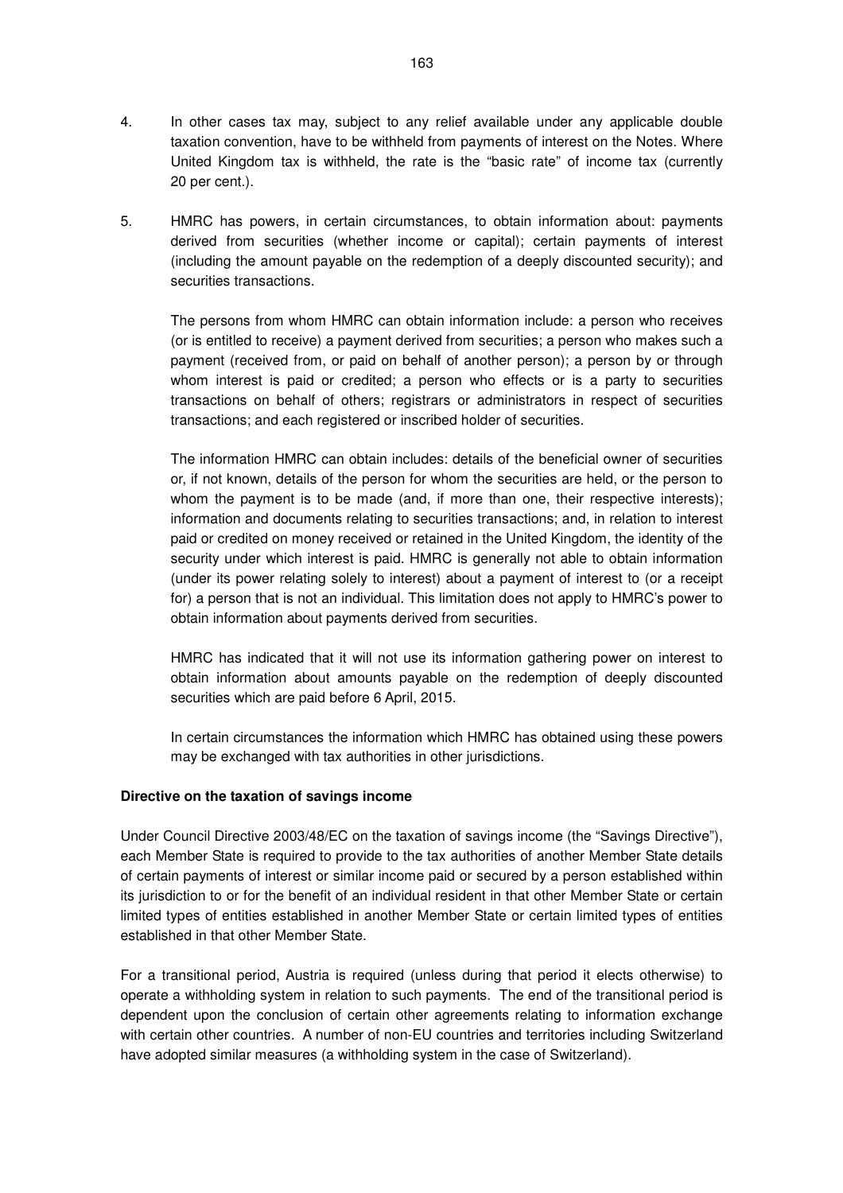- 4. In other cases tax may, subject to any relief available under any applicable double taxation convention, have to be withheld from payments of interest on the Notes. Where United Kingdom tax is withheld, the rate is the "basic rate" of income tax (currently 20 per cent.).
- 5. HMRC has powers, in certain circumstances, to obtain information about: payments derived from securities (whether income or capital); certain payments of interest (including the amount payable on the redemption of a deeply discounted security); and securities transactions.

The persons from whom HMRC can obtain information include: a person who receives (or is entitled to receive) a payment derived from securities; a person who makes such a payment (received from, or paid on behalf of another person); a person by or through whom interest is paid or credited; a person who effects or is a party to securities transactions on behalf of others; registrars or administrators in respect of securities transactions; and each registered or inscribed holder of securities.

The information HMRC can obtain includes: details of the beneficial owner of securities or, if not known, details of the person for whom the securities are held, or the person to whom the payment is to be made (and, if more than one, their respective interests); information and documents relating to securities transactions; and, in relation to interest paid or credited on money received or retained in the United Kingdom, the identity of the security under which interest is paid. HMRC is generally not able to obtain information (under its power relating solely to interest) about a payment of interest to (or a receipt for) a person that is not an individual. This limitation does not apply to HMRC's power to obtain information about payments derived from securities.

HMRC has indicated that it will not use its information gathering power on interest to obtain information about amounts payable on the redemption of deeply discounted securities which are paid before 6 April, 2015.

In certain circumstances the information which HMRC has obtained using these powers may be exchanged with tax authorities in other jurisdictions.

## **Directive on the taxation of savings income**

Under Council Directive 2003/48/EC on the taxation of savings income (the "Savings Directive"), each Member State is required to provide to the tax authorities of another Member State details of certain payments of interest or similar income paid or secured by a person established within its jurisdiction to or for the benefit of an individual resident in that other Member State or certain limited types of entities established in another Member State or certain limited types of entities established in that other Member State.

For a transitional period, Austria is required (unless during that period it elects otherwise) to operate a withholding system in relation to such payments. The end of the transitional period is dependent upon the conclusion of certain other agreements relating to information exchange with certain other countries. A number of non-EU countries and territories including Switzerland have adopted similar measures (a withholding system in the case of Switzerland).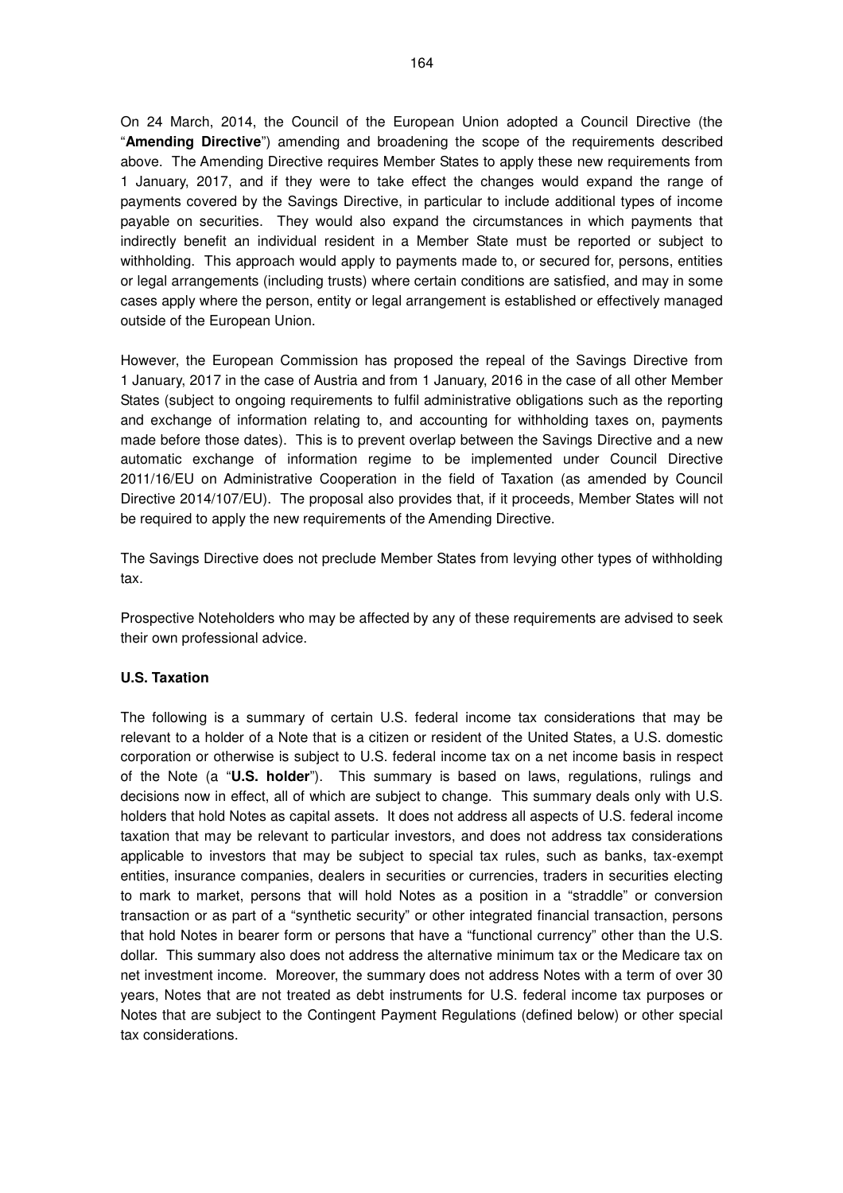On 24 March, 2014, the Council of the European Union adopted a Council Directive (the "**Amending Directive**") amending and broadening the scope of the requirements described above. The Amending Directive requires Member States to apply these new requirements from 1 January, 2017, and if they were to take effect the changes would expand the range of payments covered by the Savings Directive, in particular to include additional types of income payable on securities. They would also expand the circumstances in which payments that indirectly benefit an individual resident in a Member State must be reported or subject to withholding. This approach would apply to payments made to, or secured for, persons, entities or legal arrangements (including trusts) where certain conditions are satisfied, and may in some cases apply where the person, entity or legal arrangement is established or effectively managed outside of the European Union.

However, the European Commission has proposed the repeal of the Savings Directive from 1 January, 2017 in the case of Austria and from 1 January, 2016 in the case of all other Member States (subject to ongoing requirements to fulfil administrative obligations such as the reporting and exchange of information relating to, and accounting for withholding taxes on, payments made before those dates). This is to prevent overlap between the Savings Directive and a new automatic exchange of information regime to be implemented under Council Directive 2011/16/EU on Administrative Cooperation in the field of Taxation (as amended by Council Directive 2014/107/EU). The proposal also provides that, if it proceeds, Member States will not be required to apply the new requirements of the Amending Directive.

The Savings Directive does not preclude Member States from levying other types of withholding tax.

Prospective Noteholders who may be affected by any of these requirements are advised to seek their own professional advice.

## **U.S. Taxation**

The following is a summary of certain U.S. federal income tax considerations that may be relevant to a holder of a Note that is a citizen or resident of the United States, a U.S. domestic corporation or otherwise is subject to U.S. federal income tax on a net income basis in respect of the Note (a "**U.S. holder**"). This summary is based on laws, regulations, rulings and decisions now in effect, all of which are subject to change. This summary deals only with U.S. holders that hold Notes as capital assets. It does not address all aspects of U.S. federal income taxation that may be relevant to particular investors, and does not address tax considerations applicable to investors that may be subject to special tax rules, such as banks, tax-exempt entities, insurance companies, dealers in securities or currencies, traders in securities electing to mark to market, persons that will hold Notes as a position in a "straddle" or conversion transaction or as part of a "synthetic security" or other integrated financial transaction, persons that hold Notes in bearer form or persons that have a "functional currency" other than the U.S. dollar. This summary also does not address the alternative minimum tax or the Medicare tax on net investment income. Moreover, the summary does not address Notes with a term of over 30 years, Notes that are not treated as debt instruments for U.S. federal income tax purposes or Notes that are subject to the Contingent Payment Regulations (defined below) or other special tax considerations.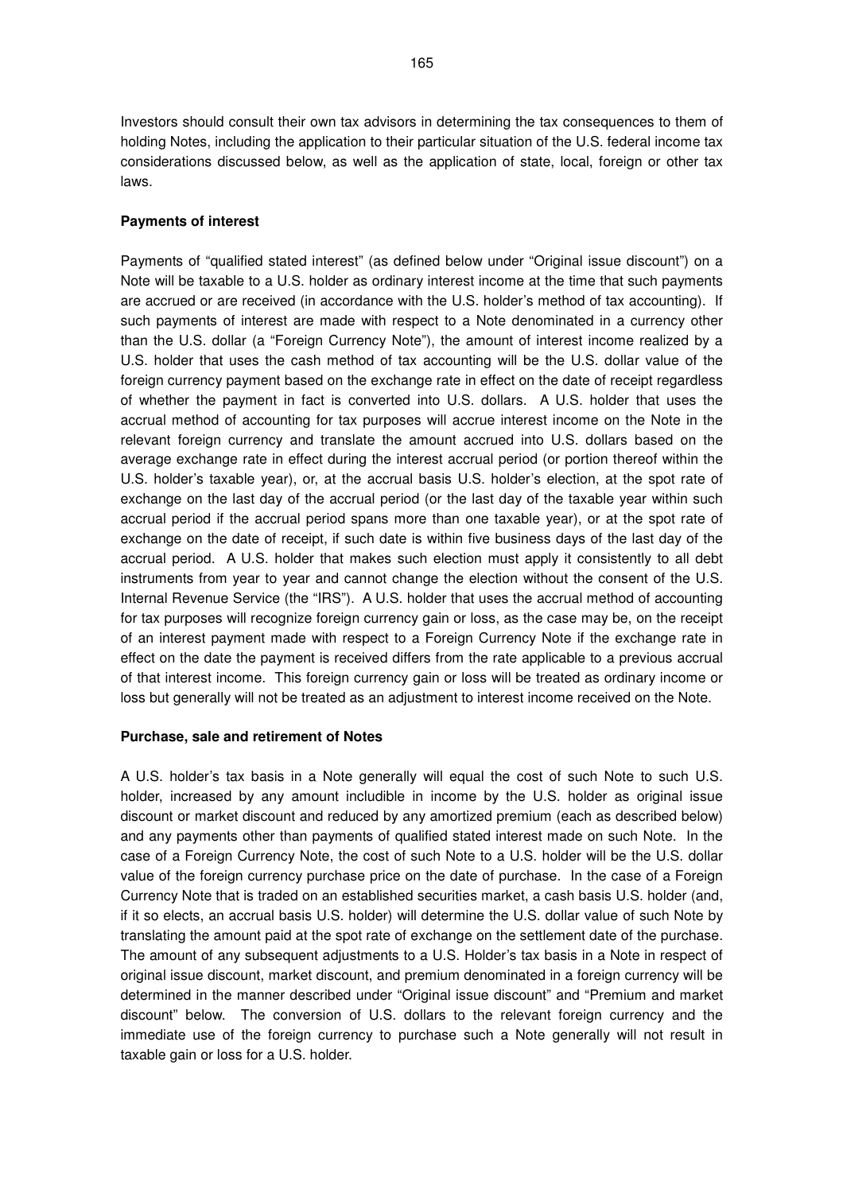Investors should consult their own tax advisors in determining the tax consequences to them of holding Notes, including the application to their particular situation of the U.S. federal income tax considerations discussed below, as well as the application of state, local, foreign or other tax

#### **Payments of interest**

laws.

Payments of "qualified stated interest" (as defined below under "Original issue discount") on a Note will be taxable to a U.S. holder as ordinary interest income at the time that such payments are accrued or are received (in accordance with the U.S. holder's method of tax accounting). If such payments of interest are made with respect to a Note denominated in a currency other than the U.S. dollar (a "Foreign Currency Note"), the amount of interest income realized by a U.S. holder that uses the cash method of tax accounting will be the U.S. dollar value of the foreign currency payment based on the exchange rate in effect on the date of receipt regardless of whether the payment in fact is converted into U.S. dollars. A U.S. holder that uses the accrual method of accounting for tax purposes will accrue interest income on the Note in the relevant foreign currency and translate the amount accrued into U.S. dollars based on the average exchange rate in effect during the interest accrual period (or portion thereof within the U.S. holder's taxable year), or, at the accrual basis U.S. holder's election, at the spot rate of exchange on the last day of the accrual period (or the last day of the taxable year within such accrual period if the accrual period spans more than one taxable year), or at the spot rate of exchange on the date of receipt, if such date is within five business days of the last day of the accrual period. A U.S. holder that makes such election must apply it consistently to all debt instruments from year to year and cannot change the election without the consent of the U.S. Internal Revenue Service (the "IRS"). A U.S. holder that uses the accrual method of accounting for tax purposes will recognize foreign currency gain or loss, as the case may be, on the receipt of an interest payment made with respect to a Foreign Currency Note if the exchange rate in effect on the date the payment is received differs from the rate applicable to a previous accrual of that interest income. This foreign currency gain or loss will be treated as ordinary income or loss but generally will not be treated as an adjustment to interest income received on the Note.

#### **Purchase, sale and retirement of Notes**

A U.S. holder's tax basis in a Note generally will equal the cost of such Note to such U.S. holder, increased by any amount includible in income by the U.S. holder as original issue discount or market discount and reduced by any amortized premium (each as described below) and any payments other than payments of qualified stated interest made on such Note. In the case of a Foreign Currency Note, the cost of such Note to a U.S. holder will be the U.S. dollar value of the foreign currency purchase price on the date of purchase. In the case of a Foreign Currency Note that is traded on an established securities market, a cash basis U.S. holder (and, if it so elects, an accrual basis U.S. holder) will determine the U.S. dollar value of such Note by translating the amount paid at the spot rate of exchange on the settlement date of the purchase. The amount of any subsequent adjustments to a U.S. Holder's tax basis in a Note in respect of original issue discount, market discount, and premium denominated in a foreign currency will be determined in the manner described under "Original issue discount" and "Premium and market discount" below. The conversion of U.S. dollars to the relevant foreign currency and the immediate use of the foreign currency to purchase such a Note generally will not result in taxable gain or loss for a U.S. holder.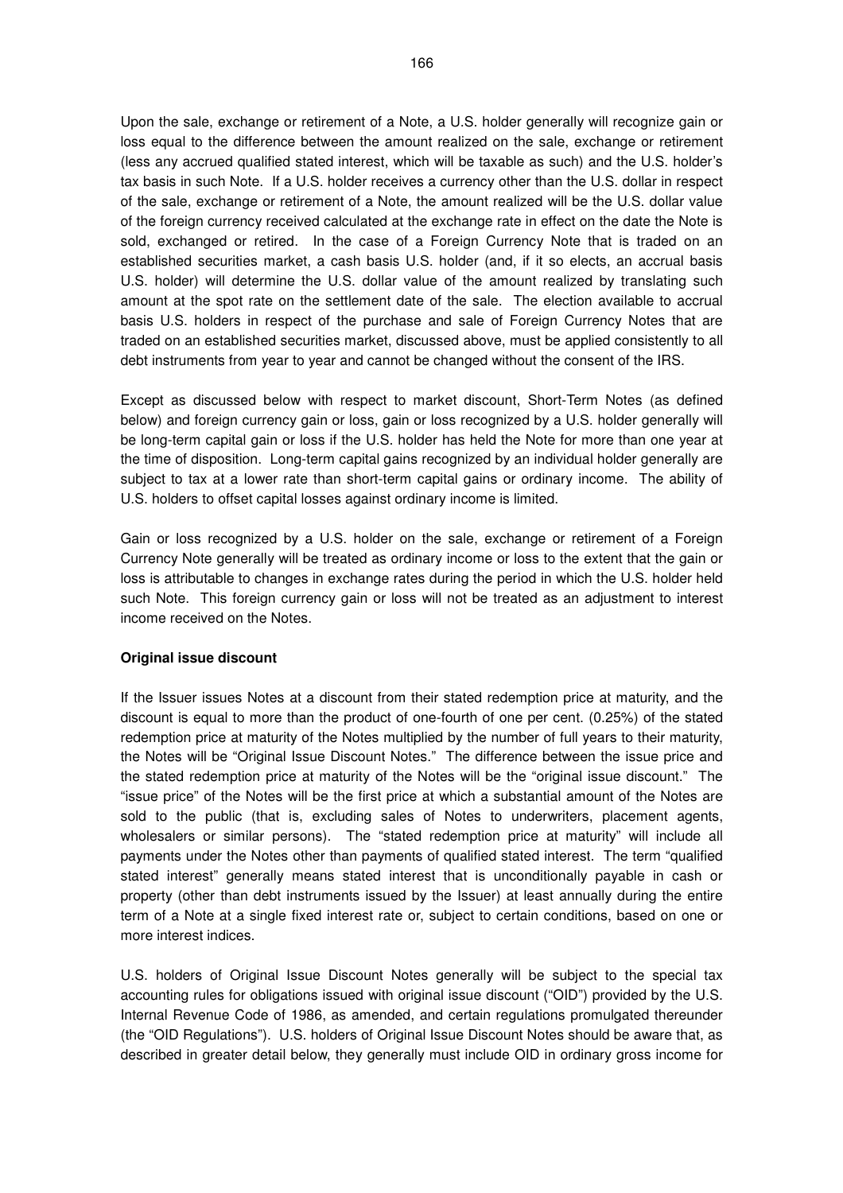Upon the sale, exchange or retirement of a Note, a U.S. holder generally will recognize gain or loss equal to the difference between the amount realized on the sale, exchange or retirement (less any accrued qualified stated interest, which will be taxable as such) and the U.S. holder's tax basis in such Note. If a U.S. holder receives a currency other than the U.S. dollar in respect of the sale, exchange or retirement of a Note, the amount realized will be the U.S. dollar value of the foreign currency received calculated at the exchange rate in effect on the date the Note is sold, exchanged or retired. In the case of a Foreign Currency Note that is traded on an established securities market, a cash basis U.S. holder (and, if it so elects, an accrual basis U.S. holder) will determine the U.S. dollar value of the amount realized by translating such amount at the spot rate on the settlement date of the sale. The election available to accrual basis U.S. holders in respect of the purchase and sale of Foreign Currency Notes that are traded on an established securities market, discussed above, must be applied consistently to all debt instruments from year to year and cannot be changed without the consent of the IRS.

Except as discussed below with respect to market discount, Short-Term Notes (as defined below) and foreign currency gain or loss, gain or loss recognized by a U.S. holder generally will be long-term capital gain or loss if the U.S. holder has held the Note for more than one year at the time of disposition. Long-term capital gains recognized by an individual holder generally are subject to tax at a lower rate than short-term capital gains or ordinary income. The ability of U.S. holders to offset capital losses against ordinary income is limited.

Gain or loss recognized by a U.S. holder on the sale, exchange or retirement of a Foreign Currency Note generally will be treated as ordinary income or loss to the extent that the gain or loss is attributable to changes in exchange rates during the period in which the U.S. holder held such Note. This foreign currency gain or loss will not be treated as an adjustment to interest income received on the Notes.

## **Original issue discount**

If the Issuer issues Notes at a discount from their stated redemption price at maturity, and the discount is equal to more than the product of one-fourth of one per cent. (0.25%) of the stated redemption price at maturity of the Notes multiplied by the number of full years to their maturity, the Notes will be "Original Issue Discount Notes." The difference between the issue price and the stated redemption price at maturity of the Notes will be the "original issue discount." The "issue price" of the Notes will be the first price at which a substantial amount of the Notes are sold to the public (that is, excluding sales of Notes to underwriters, placement agents, wholesalers or similar persons). The "stated redemption price at maturity" will include all payments under the Notes other than payments of qualified stated interest. The term "qualified stated interest" generally means stated interest that is unconditionally payable in cash or property (other than debt instruments issued by the Issuer) at least annually during the entire term of a Note at a single fixed interest rate or, subject to certain conditions, based on one or more interest indices.

U.S. holders of Original Issue Discount Notes generally will be subject to the special tax accounting rules for obligations issued with original issue discount ("OID") provided by the U.S. Internal Revenue Code of 1986, as amended, and certain regulations promulgated thereunder (the "OID Regulations"). U.S. holders of Original Issue Discount Notes should be aware that, as described in greater detail below, they generally must include OID in ordinary gross income for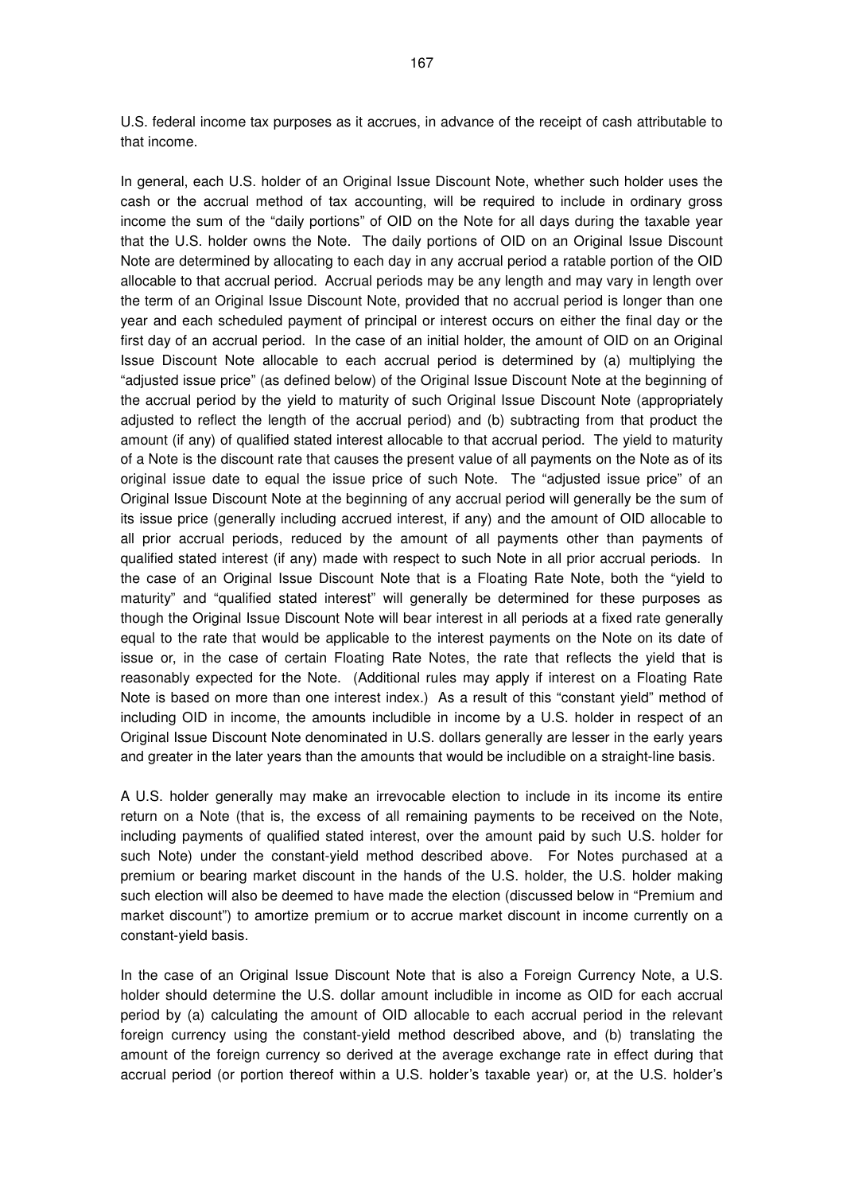U.S. federal income tax purposes as it accrues, in advance of the receipt of cash attributable to that income.

In general, each U.S. holder of an Original Issue Discount Note, whether such holder uses the cash or the accrual method of tax accounting, will be required to include in ordinary gross income the sum of the "daily portions" of OID on the Note for all days during the taxable year that the U.S. holder owns the Note. The daily portions of OID on an Original Issue Discount Note are determined by allocating to each day in any accrual period a ratable portion of the OID allocable to that accrual period. Accrual periods may be any length and may vary in length over the term of an Original Issue Discount Note, provided that no accrual period is longer than one year and each scheduled payment of principal or interest occurs on either the final day or the first day of an accrual period. In the case of an initial holder, the amount of OID on an Original Issue Discount Note allocable to each accrual period is determined by (a) multiplying the "adjusted issue price" (as defined below) of the Original Issue Discount Note at the beginning of the accrual period by the yield to maturity of such Original Issue Discount Note (appropriately adjusted to reflect the length of the accrual period) and (b) subtracting from that product the amount (if any) of qualified stated interest allocable to that accrual period. The yield to maturity of a Note is the discount rate that causes the present value of all payments on the Note as of its original issue date to equal the issue price of such Note. The "adjusted issue price" of an Original Issue Discount Note at the beginning of any accrual period will generally be the sum of its issue price (generally including accrued interest, if any) and the amount of OID allocable to all prior accrual periods, reduced by the amount of all payments other than payments of qualified stated interest (if any) made with respect to such Note in all prior accrual periods. In the case of an Original Issue Discount Note that is a Floating Rate Note, both the "yield to maturity" and "qualified stated interest" will generally be determined for these purposes as though the Original Issue Discount Note will bear interest in all periods at a fixed rate generally equal to the rate that would be applicable to the interest payments on the Note on its date of issue or, in the case of certain Floating Rate Notes, the rate that reflects the yield that is reasonably expected for the Note. (Additional rules may apply if interest on a Floating Rate Note is based on more than one interest index.) As a result of this "constant yield" method of including OID in income, the amounts includible in income by a U.S. holder in respect of an Original Issue Discount Note denominated in U.S. dollars generally are lesser in the early years and greater in the later years than the amounts that would be includible on a straight-line basis.

A U.S. holder generally may make an irrevocable election to include in its income its entire return on a Note (that is, the excess of all remaining payments to be received on the Note, including payments of qualified stated interest, over the amount paid by such U.S. holder for such Note) under the constant-yield method described above. For Notes purchased at a premium or bearing market discount in the hands of the U.S. holder, the U.S. holder making such election will also be deemed to have made the election (discussed below in "Premium and market discount") to amortize premium or to accrue market discount in income currently on a constant-yield basis.

In the case of an Original Issue Discount Note that is also a Foreign Currency Note, a U.S. holder should determine the U.S. dollar amount includible in income as OID for each accrual period by (a) calculating the amount of OID allocable to each accrual period in the relevant foreign currency using the constant-yield method described above, and (b) translating the amount of the foreign currency so derived at the average exchange rate in effect during that accrual period (or portion thereof within a U.S. holder's taxable year) or, at the U.S. holder's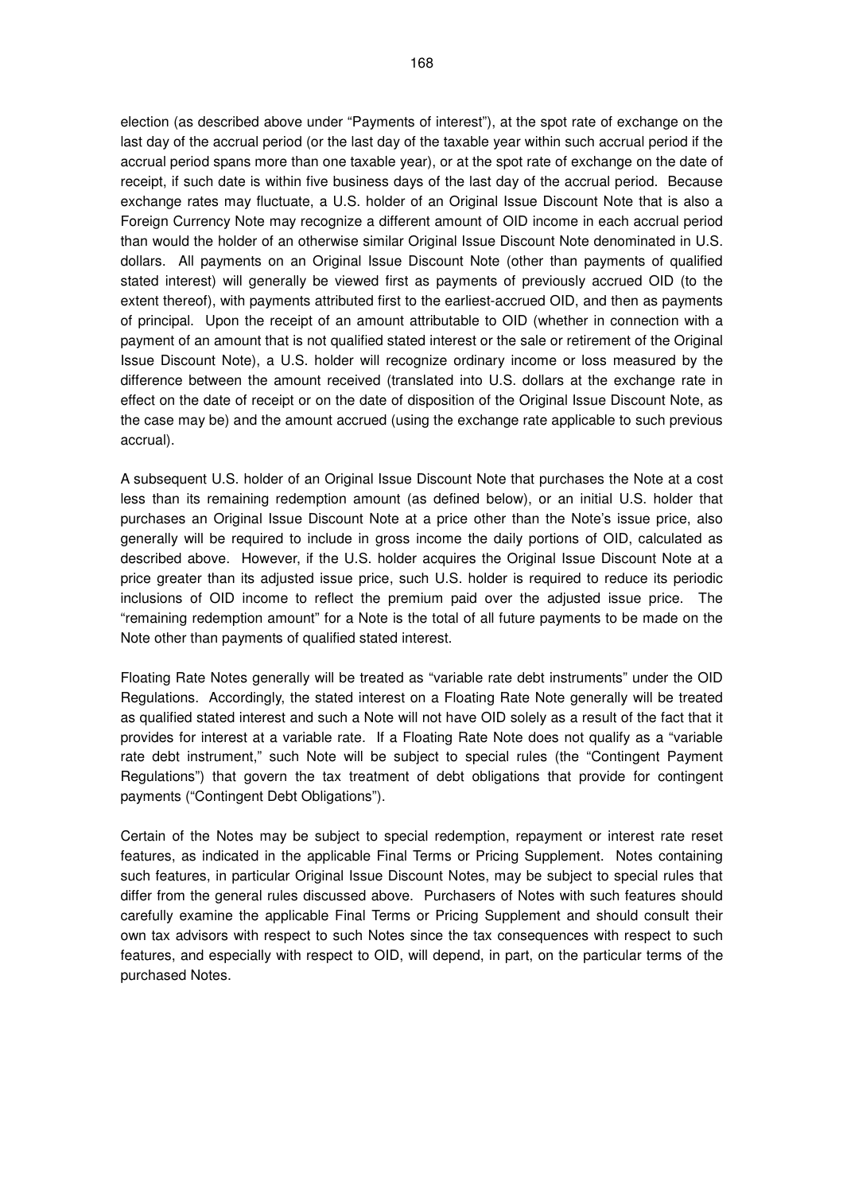election (as described above under "Payments of interest"), at the spot rate of exchange on the last day of the accrual period (or the last day of the taxable year within such accrual period if the accrual period spans more than one taxable year), or at the spot rate of exchange on the date of receipt, if such date is within five business days of the last day of the accrual period. Because exchange rates may fluctuate, a U.S. holder of an Original Issue Discount Note that is also a Foreign Currency Note may recognize a different amount of OID income in each accrual period than would the holder of an otherwise similar Original Issue Discount Note denominated in U.S. dollars. All payments on an Original Issue Discount Note (other than payments of qualified stated interest) will generally be viewed first as payments of previously accrued OID (to the extent thereof), with payments attributed first to the earliest-accrued OID, and then as payments of principal. Upon the receipt of an amount attributable to OID (whether in connection with a payment of an amount that is not qualified stated interest or the sale or retirement of the Original Issue Discount Note), a U.S. holder will recognize ordinary income or loss measured by the difference between the amount received (translated into U.S. dollars at the exchange rate in effect on the date of receipt or on the date of disposition of the Original Issue Discount Note, as the case may be) and the amount accrued (using the exchange rate applicable to such previous accrual).

A subsequent U.S. holder of an Original Issue Discount Note that purchases the Note at a cost less than its remaining redemption amount (as defined below), or an initial U.S. holder that purchases an Original Issue Discount Note at a price other than the Note's issue price, also generally will be required to include in gross income the daily portions of OID, calculated as described above. However, if the U.S. holder acquires the Original Issue Discount Note at a price greater than its adjusted issue price, such U.S. holder is required to reduce its periodic inclusions of OID income to reflect the premium paid over the adjusted issue price. The "remaining redemption amount" for a Note is the total of all future payments to be made on the Note other than payments of qualified stated interest.

Floating Rate Notes generally will be treated as "variable rate debt instruments" under the OID Regulations. Accordingly, the stated interest on a Floating Rate Note generally will be treated as qualified stated interest and such a Note will not have OID solely as a result of the fact that it provides for interest at a variable rate. If a Floating Rate Note does not qualify as a "variable rate debt instrument," such Note will be subject to special rules (the "Contingent Payment Regulations") that govern the tax treatment of debt obligations that provide for contingent payments ("Contingent Debt Obligations").

Certain of the Notes may be subject to special redemption, repayment or interest rate reset features, as indicated in the applicable Final Terms or Pricing Supplement. Notes containing such features, in particular Original Issue Discount Notes, may be subject to special rules that differ from the general rules discussed above. Purchasers of Notes with such features should carefully examine the applicable Final Terms or Pricing Supplement and should consult their own tax advisors with respect to such Notes since the tax consequences with respect to such features, and especially with respect to OID, will depend, in part, on the particular terms of the purchased Notes.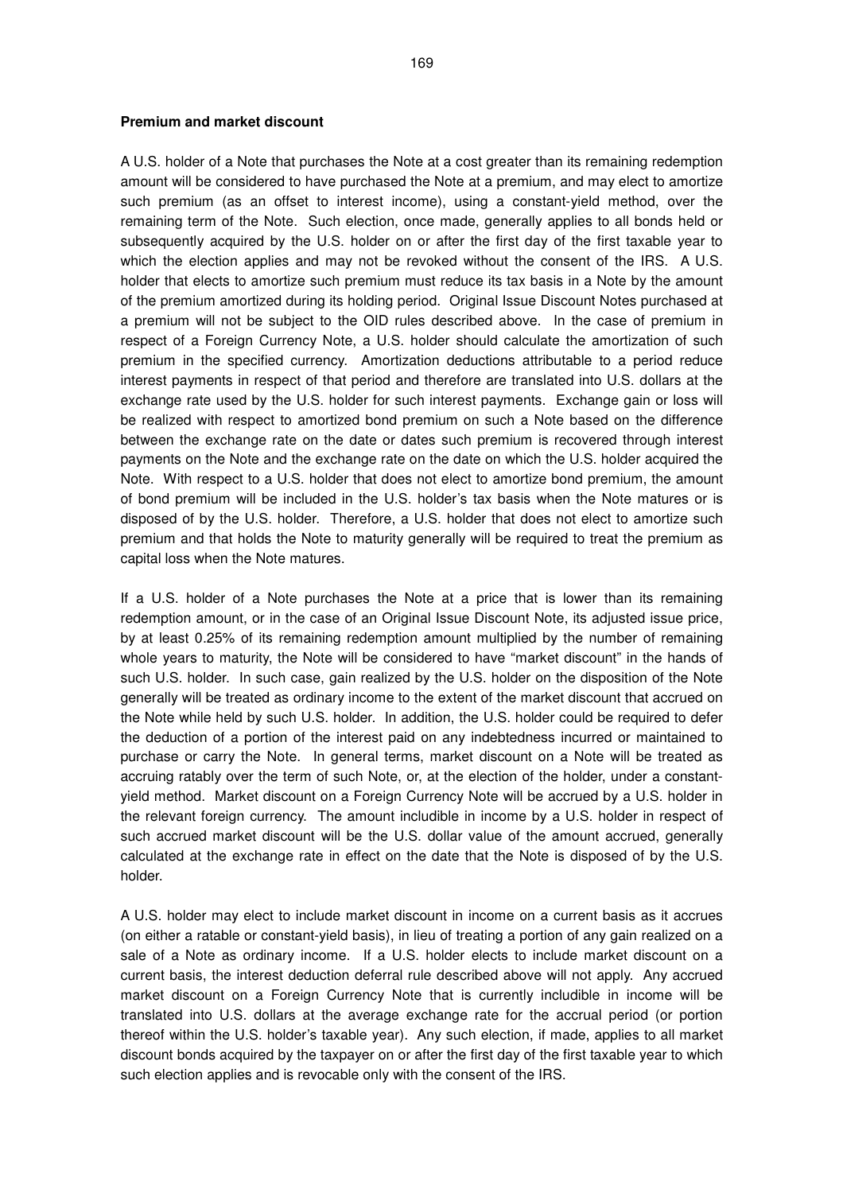#### **Premium and market discount**

A U.S. holder of a Note that purchases the Note at a cost greater than its remaining redemption amount will be considered to have purchased the Note at a premium, and may elect to amortize such premium (as an offset to interest income), using a constant-yield method, over the remaining term of the Note. Such election, once made, generally applies to all bonds held or subsequently acquired by the U.S. holder on or after the first day of the first taxable year to which the election applies and may not be revoked without the consent of the IRS. A U.S. holder that elects to amortize such premium must reduce its tax basis in a Note by the amount of the premium amortized during its holding period. Original Issue Discount Notes purchased at a premium will not be subject to the OID rules described above. In the case of premium in respect of a Foreign Currency Note, a U.S. holder should calculate the amortization of such premium in the specified currency. Amortization deductions attributable to a period reduce interest payments in respect of that period and therefore are translated into U.S. dollars at the exchange rate used by the U.S. holder for such interest payments. Exchange gain or loss will be realized with respect to amortized bond premium on such a Note based on the difference between the exchange rate on the date or dates such premium is recovered through interest payments on the Note and the exchange rate on the date on which the U.S. holder acquired the Note. With respect to a U.S. holder that does not elect to amortize bond premium, the amount of bond premium will be included in the U.S. holder's tax basis when the Note matures or is disposed of by the U.S. holder. Therefore, a U.S. holder that does not elect to amortize such premium and that holds the Note to maturity generally will be required to treat the premium as capital loss when the Note matures.

If a U.S. holder of a Note purchases the Note at a price that is lower than its remaining redemption amount, or in the case of an Original Issue Discount Note, its adjusted issue price, by at least 0.25% of its remaining redemption amount multiplied by the number of remaining whole years to maturity, the Note will be considered to have "market discount" in the hands of such U.S. holder. In such case, gain realized by the U.S. holder on the disposition of the Note generally will be treated as ordinary income to the extent of the market discount that accrued on the Note while held by such U.S. holder. In addition, the U.S. holder could be required to defer the deduction of a portion of the interest paid on any indebtedness incurred or maintained to purchase or carry the Note. In general terms, market discount on a Note will be treated as accruing ratably over the term of such Note, or, at the election of the holder, under a constantyield method. Market discount on a Foreign Currency Note will be accrued by a U.S. holder in the relevant foreign currency. The amount includible in income by a U.S. holder in respect of such accrued market discount will be the U.S. dollar value of the amount accrued, generally calculated at the exchange rate in effect on the date that the Note is disposed of by the U.S. holder.

A U.S. holder may elect to include market discount in income on a current basis as it accrues (on either a ratable or constant-yield basis), in lieu of treating a portion of any gain realized on a sale of a Note as ordinary income. If a U.S. holder elects to include market discount on a current basis, the interest deduction deferral rule described above will not apply. Any accrued market discount on a Foreign Currency Note that is currently includible in income will be translated into U.S. dollars at the average exchange rate for the accrual period (or portion thereof within the U.S. holder's taxable year). Any such election, if made, applies to all market discount bonds acquired by the taxpayer on or after the first day of the first taxable year to which such election applies and is revocable only with the consent of the IRS.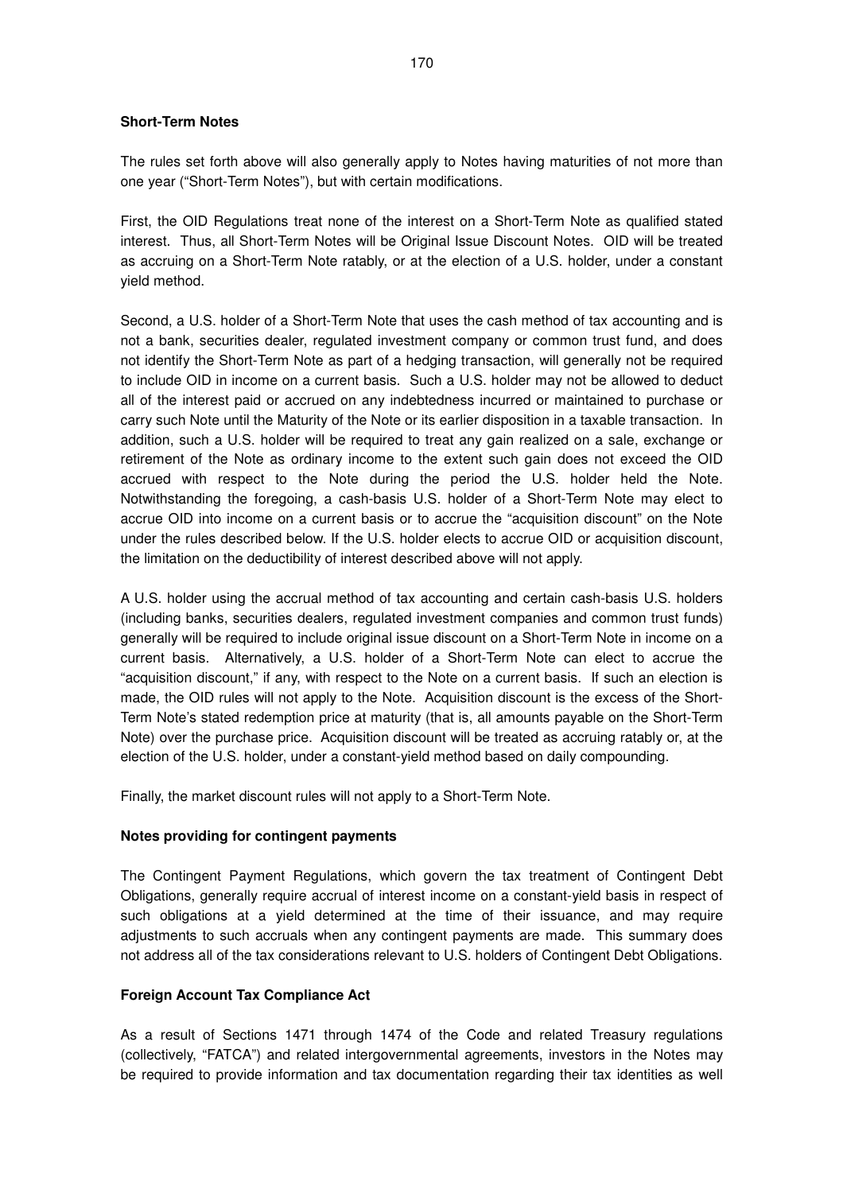## **Short-Term Notes**

The rules set forth above will also generally apply to Notes having maturities of not more than one year ("Short-Term Notes"), but with certain modifications.

First, the OID Regulations treat none of the interest on a Short-Term Note as qualified stated interest. Thus, all Short-Term Notes will be Original Issue Discount Notes. OID will be treated as accruing on a Short-Term Note ratably, or at the election of a U.S. holder, under a constant yield method.

Second, a U.S. holder of a Short-Term Note that uses the cash method of tax accounting and is not a bank, securities dealer, regulated investment company or common trust fund, and does not identify the Short-Term Note as part of a hedging transaction, will generally not be required to include OID in income on a current basis. Such a U.S. holder may not be allowed to deduct all of the interest paid or accrued on any indebtedness incurred or maintained to purchase or carry such Note until the Maturity of the Note or its earlier disposition in a taxable transaction. In addition, such a U.S. holder will be required to treat any gain realized on a sale, exchange or retirement of the Note as ordinary income to the extent such gain does not exceed the OID accrued with respect to the Note during the period the U.S. holder held the Note. Notwithstanding the foregoing, a cash-basis U.S. holder of a Short-Term Note may elect to accrue OID into income on a current basis or to accrue the "acquisition discount" on the Note under the rules described below. If the U.S. holder elects to accrue OID or acquisition discount, the limitation on the deductibility of interest described above will not apply.

A U.S. holder using the accrual method of tax accounting and certain cash-basis U.S. holders (including banks, securities dealers, regulated investment companies and common trust funds) generally will be required to include original issue discount on a Short-Term Note in income on a current basis. Alternatively, a U.S. holder of a Short-Term Note can elect to accrue the "acquisition discount," if any, with respect to the Note on a current basis. If such an election is made, the OID rules will not apply to the Note. Acquisition discount is the excess of the Short-Term Note's stated redemption price at maturity (that is, all amounts payable on the Short-Term Note) over the purchase price. Acquisition discount will be treated as accruing ratably or, at the election of the U.S. holder, under a constant-yield method based on daily compounding.

Finally, the market discount rules will not apply to a Short-Term Note.

#### **Notes providing for contingent payments**

The Contingent Payment Regulations, which govern the tax treatment of Contingent Debt Obligations, generally require accrual of interest income on a constant-yield basis in respect of such obligations at a yield determined at the time of their issuance, and may require adjustments to such accruals when any contingent payments are made. This summary does not address all of the tax considerations relevant to U.S. holders of Contingent Debt Obligations.

#### **Foreign Account Tax Compliance Act**

As a result of Sections 1471 through 1474 of the Code and related Treasury regulations (collectively, "FATCA") and related intergovernmental agreements, investors in the Notes may be required to provide information and tax documentation regarding their tax identities as well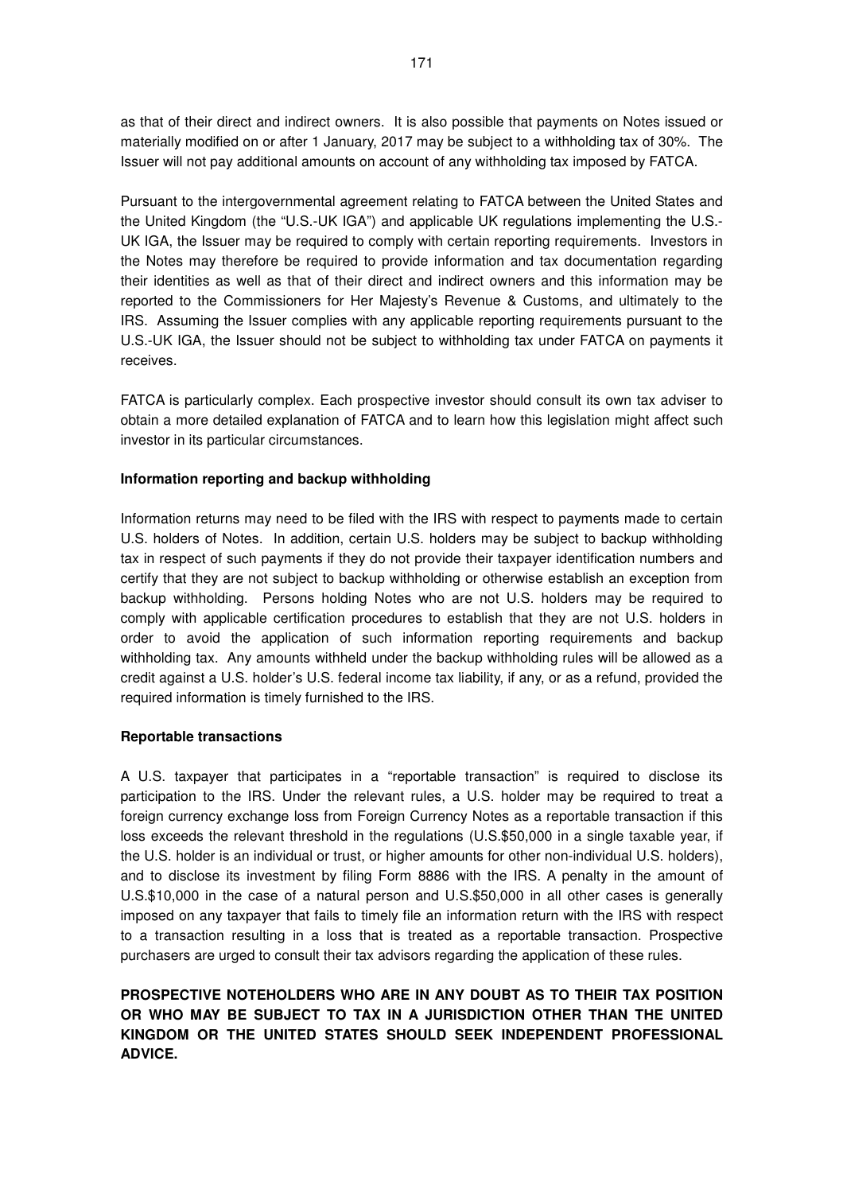as that of their direct and indirect owners. It is also possible that payments on Notes issued or materially modified on or after 1 January, 2017 may be subject to a withholding tax of 30%. The Issuer will not pay additional amounts on account of any withholding tax imposed by FATCA.

Pursuant to the intergovernmental agreement relating to FATCA between the United States and the United Kingdom (the "U.S.-UK IGA") and applicable UK regulations implementing the U.S.- UK IGA, the Issuer may be required to comply with certain reporting requirements. Investors in the Notes may therefore be required to provide information and tax documentation regarding their identities as well as that of their direct and indirect owners and this information may be reported to the Commissioners for Her Majesty's Revenue & Customs, and ultimately to the IRS. Assuming the Issuer complies with any applicable reporting requirements pursuant to the U.S.-UK IGA, the Issuer should not be subject to withholding tax under FATCA on payments it receives.

FATCA is particularly complex. Each prospective investor should consult its own tax adviser to obtain a more detailed explanation of FATCA and to learn how this legislation might affect such investor in its particular circumstances.

## **Information reporting and backup withholding**

Information returns may need to be filed with the IRS with respect to payments made to certain U.S. holders of Notes. In addition, certain U.S. holders may be subject to backup withholding tax in respect of such payments if they do not provide their taxpayer identification numbers and certify that they are not subject to backup withholding or otherwise establish an exception from backup withholding. Persons holding Notes who are not U.S. holders may be required to comply with applicable certification procedures to establish that they are not U.S. holders in order to avoid the application of such information reporting requirements and backup withholding tax. Any amounts withheld under the backup withholding rules will be allowed as a credit against a U.S. holder's U.S. federal income tax liability, if any, or as a refund, provided the required information is timely furnished to the IRS.

#### **Reportable transactions**

A U.S. taxpayer that participates in a "reportable transaction" is required to disclose its participation to the IRS. Under the relevant rules, a U.S. holder may be required to treat a foreign currency exchange loss from Foreign Currency Notes as a reportable transaction if this loss exceeds the relevant threshold in the regulations (U.S.\$50,000 in a single taxable year, if the U.S. holder is an individual or trust, or higher amounts for other non-individual U.S. holders), and to disclose its investment by filing Form 8886 with the IRS. A penalty in the amount of U.S.\$10,000 in the case of a natural person and U.S.\$50,000 in all other cases is generally imposed on any taxpayer that fails to timely file an information return with the IRS with respect to a transaction resulting in a loss that is treated as a reportable transaction. Prospective purchasers are urged to consult their tax advisors regarding the application of these rules.

# **PROSPECTIVE NOTEHOLDERS WHO ARE IN ANY DOUBT AS TO THEIR TAX POSITION OR WHO MAY BE SUBJECT TO TAX IN A JURISDICTION OTHER THAN THE UNITED KINGDOM OR THE UNITED STATES SHOULD SEEK INDEPENDENT PROFESSIONAL ADVICE.**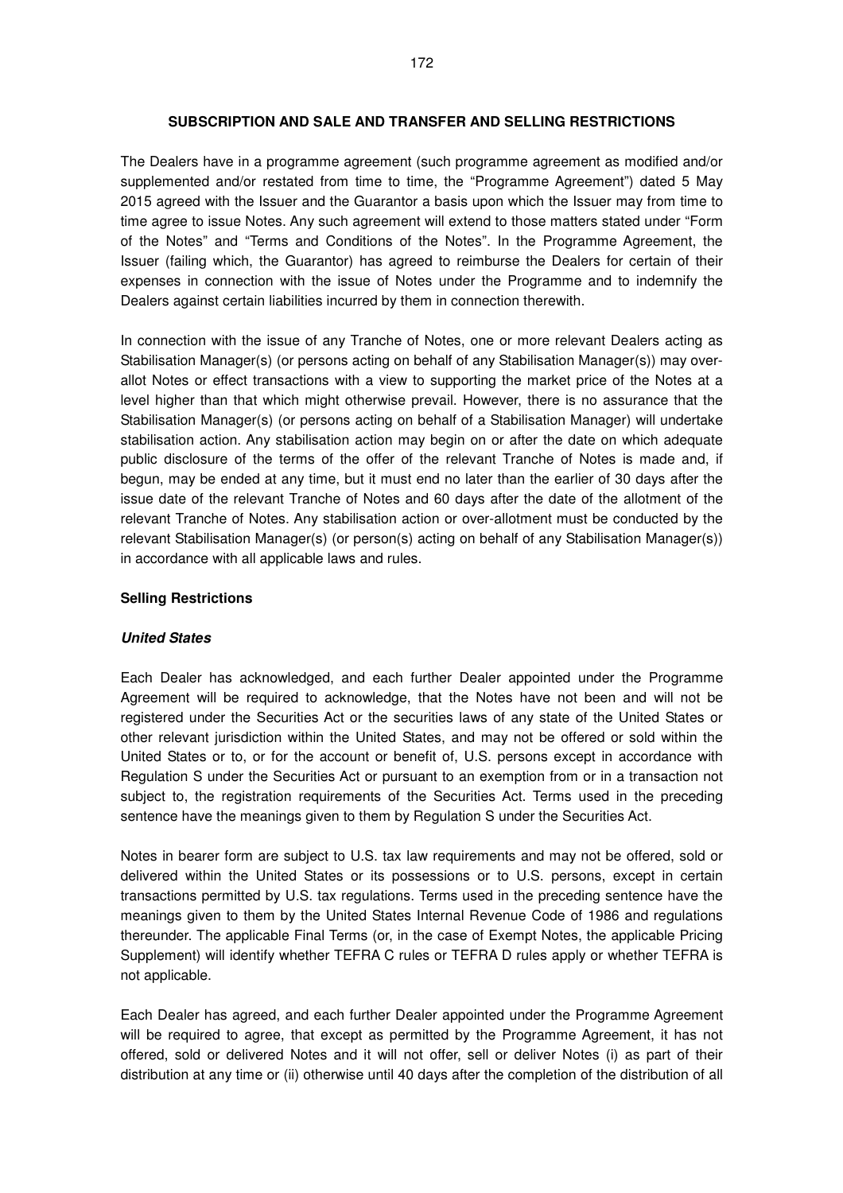#### **SUBSCRIPTION AND SALE AND TRANSFER AND SELLING RESTRICTIONS**

The Dealers have in a programme agreement (such programme agreement as modified and/or supplemented and/or restated from time to time, the "Programme Agreement") dated 5 May 2015 agreed with the Issuer and the Guarantor a basis upon which the Issuer may from time to time agree to issue Notes. Any such agreement will extend to those matters stated under "Form of the Notes" and "Terms and Conditions of the Notes". In the Programme Agreement, the Issuer (failing which, the Guarantor) has agreed to reimburse the Dealers for certain of their expenses in connection with the issue of Notes under the Programme and to indemnify the Dealers against certain liabilities incurred by them in connection therewith.

In connection with the issue of any Tranche of Notes, one or more relevant Dealers acting as Stabilisation Manager(s) (or persons acting on behalf of any Stabilisation Manager(s)) may overallot Notes or effect transactions with a view to supporting the market price of the Notes at a level higher than that which might otherwise prevail. However, there is no assurance that the Stabilisation Manager(s) (or persons acting on behalf of a Stabilisation Manager) will undertake stabilisation action. Any stabilisation action may begin on or after the date on which adequate public disclosure of the terms of the offer of the relevant Tranche of Notes is made and, if begun, may be ended at any time, but it must end no later than the earlier of 30 days after the issue date of the relevant Tranche of Notes and 60 days after the date of the allotment of the relevant Tranche of Notes. Any stabilisation action or over-allotment must be conducted by the relevant Stabilisation Manager(s) (or person(s) acting on behalf of any Stabilisation Manager(s)) in accordance with all applicable laws and rules.

#### **Selling Restrictions**

#### **United States**

Each Dealer has acknowledged, and each further Dealer appointed under the Programme Agreement will be required to acknowledge, that the Notes have not been and will not be registered under the Securities Act or the securities laws of any state of the United States or other relevant jurisdiction within the United States, and may not be offered or sold within the United States or to, or for the account or benefit of, U.S. persons except in accordance with Regulation S under the Securities Act or pursuant to an exemption from or in a transaction not subject to, the registration requirements of the Securities Act. Terms used in the preceding sentence have the meanings given to them by Regulation S under the Securities Act.

Notes in bearer form are subject to U.S. tax law requirements and may not be offered, sold or delivered within the United States or its possessions or to U.S. persons, except in certain transactions permitted by U.S. tax regulations. Terms used in the preceding sentence have the meanings given to them by the United States Internal Revenue Code of 1986 and regulations thereunder. The applicable Final Terms (or, in the case of Exempt Notes, the applicable Pricing Supplement) will identify whether TEFRA C rules or TEFRA D rules apply or whether TEFRA is not applicable.

Each Dealer has agreed, and each further Dealer appointed under the Programme Agreement will be required to agree, that except as permitted by the Programme Agreement, it has not offered, sold or delivered Notes and it will not offer, sell or deliver Notes (i) as part of their distribution at any time or (ii) otherwise until 40 days after the completion of the distribution of all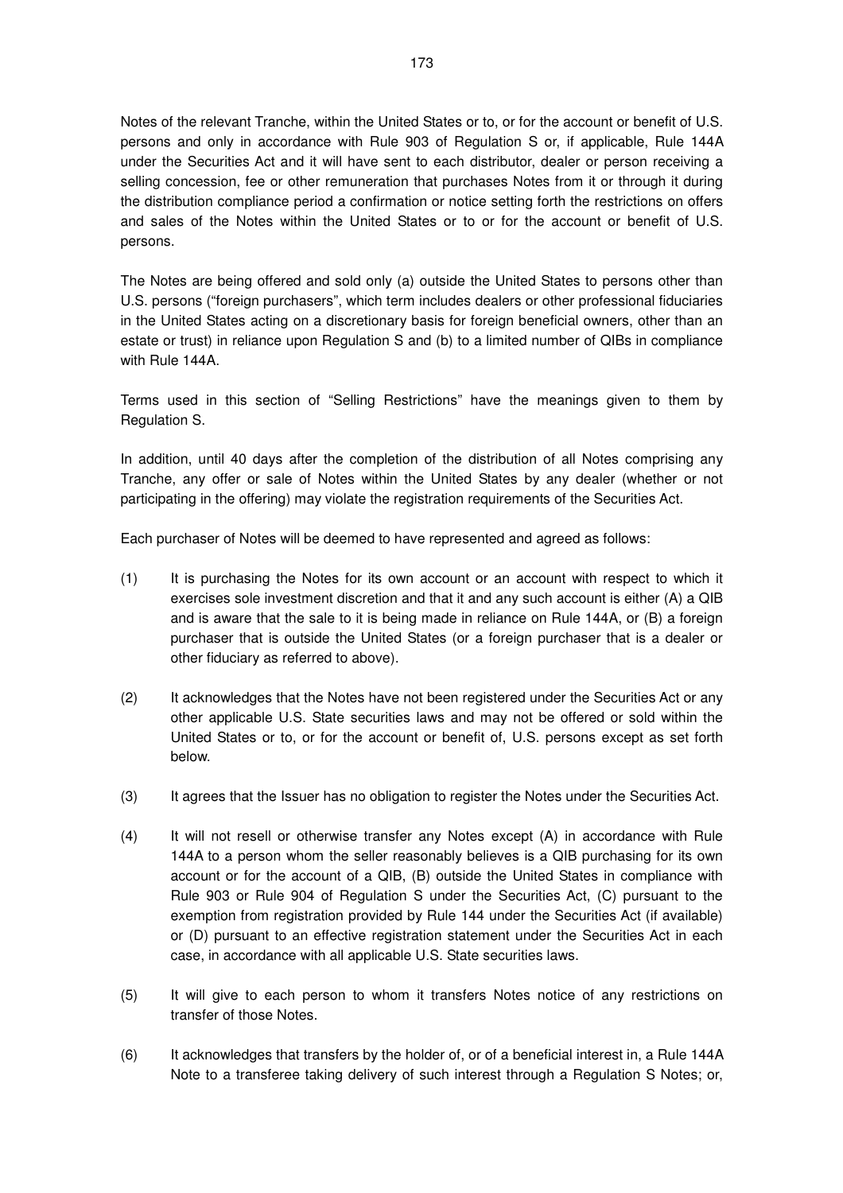Notes of the relevant Tranche, within the United States or to, or for the account or benefit of U.S. persons and only in accordance with Rule 903 of Regulation S or, if applicable, Rule 144A under the Securities Act and it will have sent to each distributor, dealer or person receiving a selling concession, fee or other remuneration that purchases Notes from it or through it during the distribution compliance period a confirmation or notice setting forth the restrictions on offers and sales of the Notes within the United States or to or for the account or benefit of U.S. persons.

The Notes are being offered and sold only (a) outside the United States to persons other than U.S. persons ("foreign purchasers", which term includes dealers or other professional fiduciaries in the United States acting on a discretionary basis for foreign beneficial owners, other than an estate or trust) in reliance upon Regulation S and (b) to a limited number of QIBs in compliance with Rule 144A.

Terms used in this section of "Selling Restrictions" have the meanings given to them by Regulation S.

In addition, until 40 days after the completion of the distribution of all Notes comprising any Tranche, any offer or sale of Notes within the United States by any dealer (whether or not participating in the offering) may violate the registration requirements of the Securities Act.

Each purchaser of Notes will be deemed to have represented and agreed as follows:

- (1) It is purchasing the Notes for its own account or an account with respect to which it exercises sole investment discretion and that it and any such account is either (A) a QIB and is aware that the sale to it is being made in reliance on Rule 144A, or (B) a foreign purchaser that is outside the United States (or a foreign purchaser that is a dealer or other fiduciary as referred to above).
- (2) It acknowledges that the Notes have not been registered under the Securities Act or any other applicable U.S. State securities laws and may not be offered or sold within the United States or to, or for the account or benefit of, U.S. persons except as set forth below.
- (3) It agrees that the Issuer has no obligation to register the Notes under the Securities Act.
- (4) It will not resell or otherwise transfer any Notes except (A) in accordance with Rule 144A to a person whom the seller reasonably believes is a QIB purchasing for its own account or for the account of a QIB, (B) outside the United States in compliance with Rule 903 or Rule 904 of Regulation S under the Securities Act, (C) pursuant to the exemption from registration provided by Rule 144 under the Securities Act (if available) or (D) pursuant to an effective registration statement under the Securities Act in each case, in accordance with all applicable U.S. State securities laws.
- (5) It will give to each person to whom it transfers Notes notice of any restrictions on transfer of those Notes.
- (6) It acknowledges that transfers by the holder of, or of a beneficial interest in, a Rule 144A Note to a transferee taking delivery of such interest through a Regulation S Notes; or,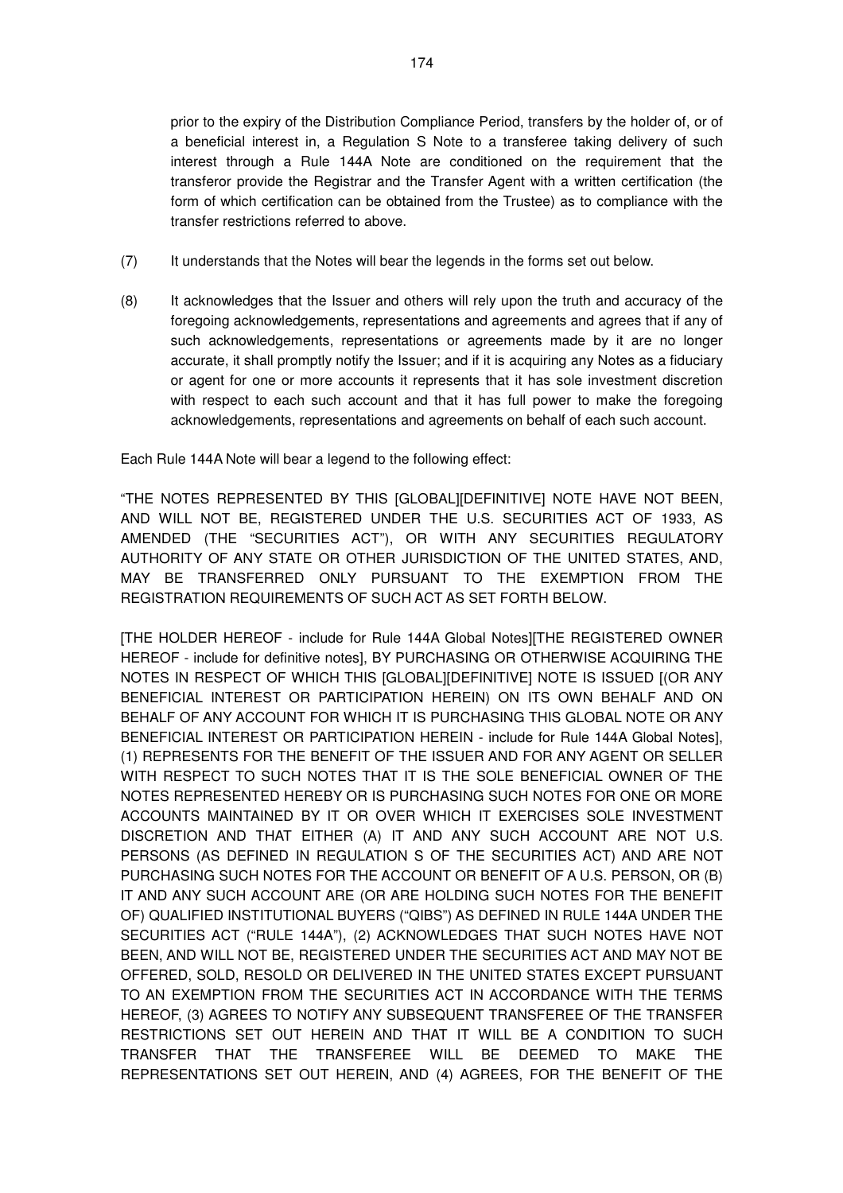prior to the expiry of the Distribution Compliance Period, transfers by the holder of, or of a beneficial interest in, a Regulation S Note to a transferee taking delivery of such interest through a Rule 144A Note are conditioned on the requirement that the transferor provide the Registrar and the Transfer Agent with a written certification (the form of which certification can be obtained from the Trustee) as to compliance with the transfer restrictions referred to above.

- (7) It understands that the Notes will bear the legends in the forms set out below.
- (8) It acknowledges that the Issuer and others will rely upon the truth and accuracy of the foregoing acknowledgements, representations and agreements and agrees that if any of such acknowledgements, representations or agreements made by it are no longer accurate, it shall promptly notify the Issuer; and if it is acquiring any Notes as a fiduciary or agent for one or more accounts it represents that it has sole investment discretion with respect to each such account and that it has full power to make the foregoing acknowledgements, representations and agreements on behalf of each such account.

Each Rule 144A Note will bear a legend to the following effect:

"THE NOTES REPRESENTED BY THIS [GLOBAL][DEFINITIVE] NOTE HAVE NOT BEEN, AND WILL NOT BE, REGISTERED UNDER THE U.S. SECURITIES ACT OF 1933, AS AMENDED (THE "SECURITIES ACT"), OR WITH ANY SECURITIES REGULATORY AUTHORITY OF ANY STATE OR OTHER JURISDICTION OF THE UNITED STATES, AND, MAY BE TRANSFERRED ONLY PURSUANT TO THE EXEMPTION FROM THE REGISTRATION REQUIREMENTS OF SUCH ACT AS SET FORTH BELOW.

[THE HOLDER HEREOF - include for Rule 144A Global Notes][THE REGISTERED OWNER HEREOF - include for definitive notes], BY PURCHASING OR OTHERWISE ACQUIRING THE NOTES IN RESPECT OF WHICH THIS [GLOBAL][DEFINITIVE] NOTE IS ISSUED [(OR ANY BENEFICIAL INTEREST OR PARTICIPATION HEREIN) ON ITS OWN BEHALF AND ON BEHALF OF ANY ACCOUNT FOR WHICH IT IS PURCHASING THIS GLOBAL NOTE OR ANY BENEFICIAL INTEREST OR PARTICIPATION HEREIN - include for Rule 144A Global Notes], (1) REPRESENTS FOR THE BENEFIT OF THE ISSUER AND FOR ANY AGENT OR SELLER WITH RESPECT TO SUCH NOTES THAT IT IS THE SOLE BENEFICIAL OWNER OF THE NOTES REPRESENTED HEREBY OR IS PURCHASING SUCH NOTES FOR ONE OR MORE ACCOUNTS MAINTAINED BY IT OR OVER WHICH IT EXERCISES SOLE INVESTMENT DISCRETION AND THAT EITHER (A) IT AND ANY SUCH ACCOUNT ARE NOT U.S. PERSONS (AS DEFINED IN REGULATION S OF THE SECURITIES ACT) AND ARE NOT PURCHASING SUCH NOTES FOR THE ACCOUNT OR BENEFIT OF A U.S. PERSON, OR (B) IT AND ANY SUCH ACCOUNT ARE (OR ARE HOLDING SUCH NOTES FOR THE BENEFIT OF) QUALIFIED INSTITUTIONAL BUYERS ("QIBS") AS DEFINED IN RULE 144A UNDER THE SECURITIES ACT ("RULE 144A"), (2) ACKNOWLEDGES THAT SUCH NOTES HAVE NOT BEEN, AND WILL NOT BE, REGISTERED UNDER THE SECURITIES ACT AND MAY NOT BE OFFERED, SOLD, RESOLD OR DELIVERED IN THE UNITED STATES EXCEPT PURSUANT TO AN EXEMPTION FROM THE SECURITIES ACT IN ACCORDANCE WITH THE TERMS HEREOF, (3) AGREES TO NOTIFY ANY SUBSEQUENT TRANSFEREE OF THE TRANSFER RESTRICTIONS SET OUT HEREIN AND THAT IT WILL BE A CONDITION TO SUCH TRANSFER THAT THE TRANSFEREE WILL BE DEEMED TO MAKE THE REPRESENTATIONS SET OUT HEREIN, AND (4) AGREES, FOR THE BENEFIT OF THE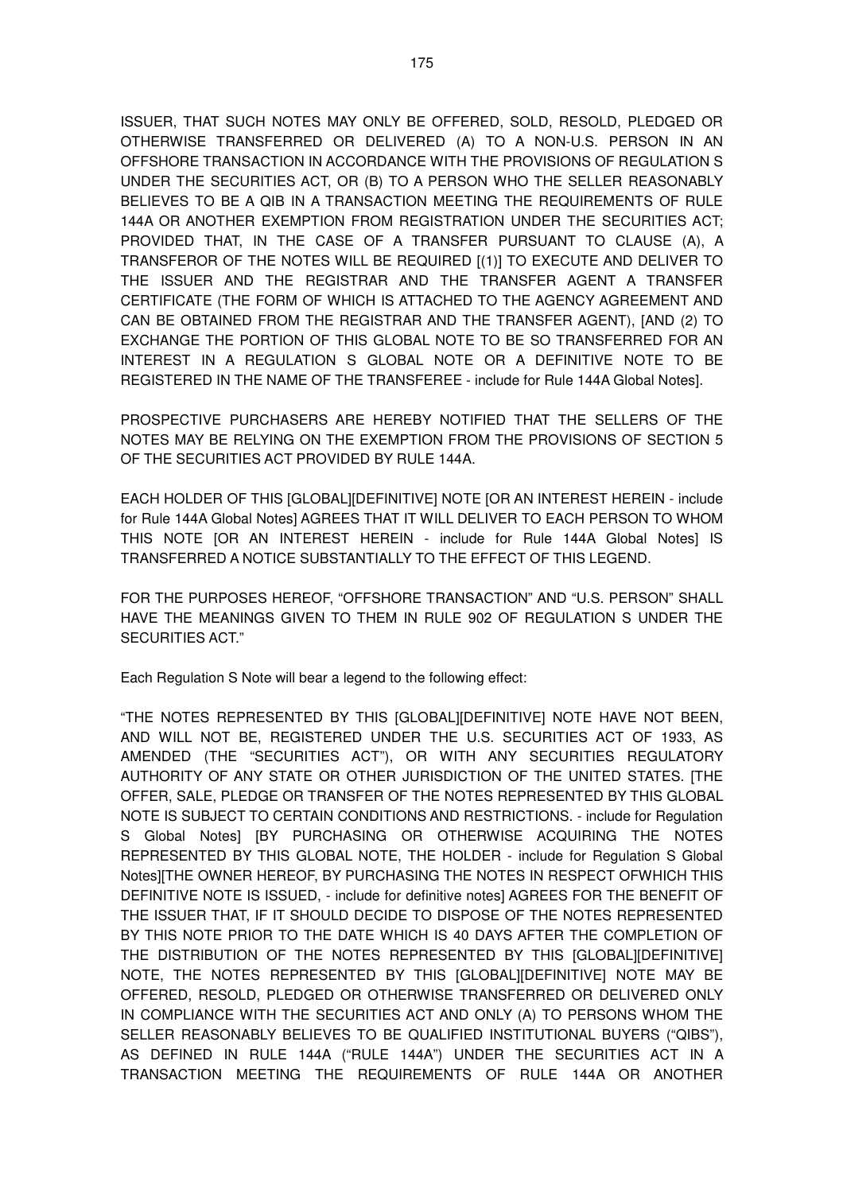ISSUER, THAT SUCH NOTES MAY ONLY BE OFFERED, SOLD, RESOLD, PLEDGED OR OTHERWISE TRANSFERRED OR DELIVERED (A) TO A NON-U.S. PERSON IN AN OFFSHORE TRANSACTION IN ACCORDANCE WITH THE PROVISIONS OF REGULATION S UNDER THE SECURITIES ACT, OR (B) TO A PERSON WHO THE SELLER REASONABLY BELIEVES TO BE A QIB IN A TRANSACTION MEETING THE REQUIREMENTS OF RULE 144A OR ANOTHER EXEMPTION FROM REGISTRATION UNDER THE SECURITIES ACT; PROVIDED THAT, IN THE CASE OF A TRANSFER PURSUANT TO CLAUSE (A), A TRANSFEROR OF THE NOTES WILL BE REQUIRED [(1)] TO EXECUTE AND DELIVER TO THE ISSUER AND THE REGISTRAR AND THE TRANSFER AGENT A TRANSFER CERTIFICATE (THE FORM OF WHICH IS ATTACHED TO THE AGENCY AGREEMENT AND CAN BE OBTAINED FROM THE REGISTRAR AND THE TRANSFER AGENT), [AND (2) TO EXCHANGE THE PORTION OF THIS GLOBAL NOTE TO BE SO TRANSFERRED FOR AN INTEREST IN A REGULATION S GLOBAL NOTE OR A DEFINITIVE NOTE TO BE REGISTERED IN THE NAME OF THE TRANSFEREE - include for Rule 144A Global Notes].

PROSPECTIVE PURCHASERS ARE HEREBY NOTIFIED THAT THE SELLERS OF THE NOTES MAY BE RELYING ON THE EXEMPTION FROM THE PROVISIONS OF SECTION 5 OF THE SECURITIES ACT PROVIDED BY RULE 144A.

EACH HOLDER OF THIS [GLOBAL][DEFINITIVE] NOTE [OR AN INTEREST HEREIN - include for Rule 144A Global Notes] AGREES THAT IT WILL DELIVER TO EACH PERSON TO WHOM THIS NOTE [OR AN INTEREST HEREIN - include for Rule 144A Global Notes] IS TRANSFERRED A NOTICE SUBSTANTIALLY TO THE EFFECT OF THIS LEGEND.

FOR THE PURPOSES HEREOF, "OFFSHORE TRANSACTION" AND "U.S. PERSON" SHALL HAVE THE MEANINGS GIVEN TO THEM IN RULE 902 OF REGULATION S UNDER THE SECURITIES ACT."

Each Regulation S Note will bear a legend to the following effect:

"THE NOTES REPRESENTED BY THIS [GLOBAL][DEFINITIVE] NOTE HAVE NOT BEEN, AND WILL NOT BE, REGISTERED UNDER THE U.S. SECURITIES ACT OF 1933, AS AMENDED (THE "SECURITIES ACT"), OR WITH ANY SECURITIES REGULATORY AUTHORITY OF ANY STATE OR OTHER JURISDICTION OF THE UNITED STATES. [THE OFFER, SALE, PLEDGE OR TRANSFER OF THE NOTES REPRESENTED BY THIS GLOBAL NOTE IS SUBJECT TO CERTAIN CONDITIONS AND RESTRICTIONS. - include for Regulation S Global Notes] [BY PURCHASING OR OTHERWISE ACQUIRING THE NOTES REPRESENTED BY THIS GLOBAL NOTE, THE HOLDER - include for Regulation S Global Notes][THE OWNER HEREOF, BY PURCHASING THE NOTES IN RESPECT OFWHICH THIS DEFINITIVE NOTE IS ISSUED, - include for definitive notes] AGREES FOR THE BENEFIT OF THE ISSUER THAT, IF IT SHOULD DECIDE TO DISPOSE OF THE NOTES REPRESENTED BY THIS NOTE PRIOR TO THE DATE WHICH IS 40 DAYS AFTER THE COMPLETION OF THE DISTRIBUTION OF THE NOTES REPRESENTED BY THIS [GLOBAL][DEFINITIVE] NOTE, THE NOTES REPRESENTED BY THIS [GLOBAL][DEFINITIVE] NOTE MAY BE OFFERED, RESOLD, PLEDGED OR OTHERWISE TRANSFERRED OR DELIVERED ONLY IN COMPLIANCE WITH THE SECURITIES ACT AND ONLY (A) TO PERSONS WHOM THE SELLER REASONABLY BELIEVES TO BE QUALIFIED INSTITUTIONAL BUYERS ("QIBS"), AS DEFINED IN RULE 144A ("RULE 144A") UNDER THE SECURITIES ACT IN A TRANSACTION MEETING THE REQUIREMENTS OF RULE 144A OR ANOTHER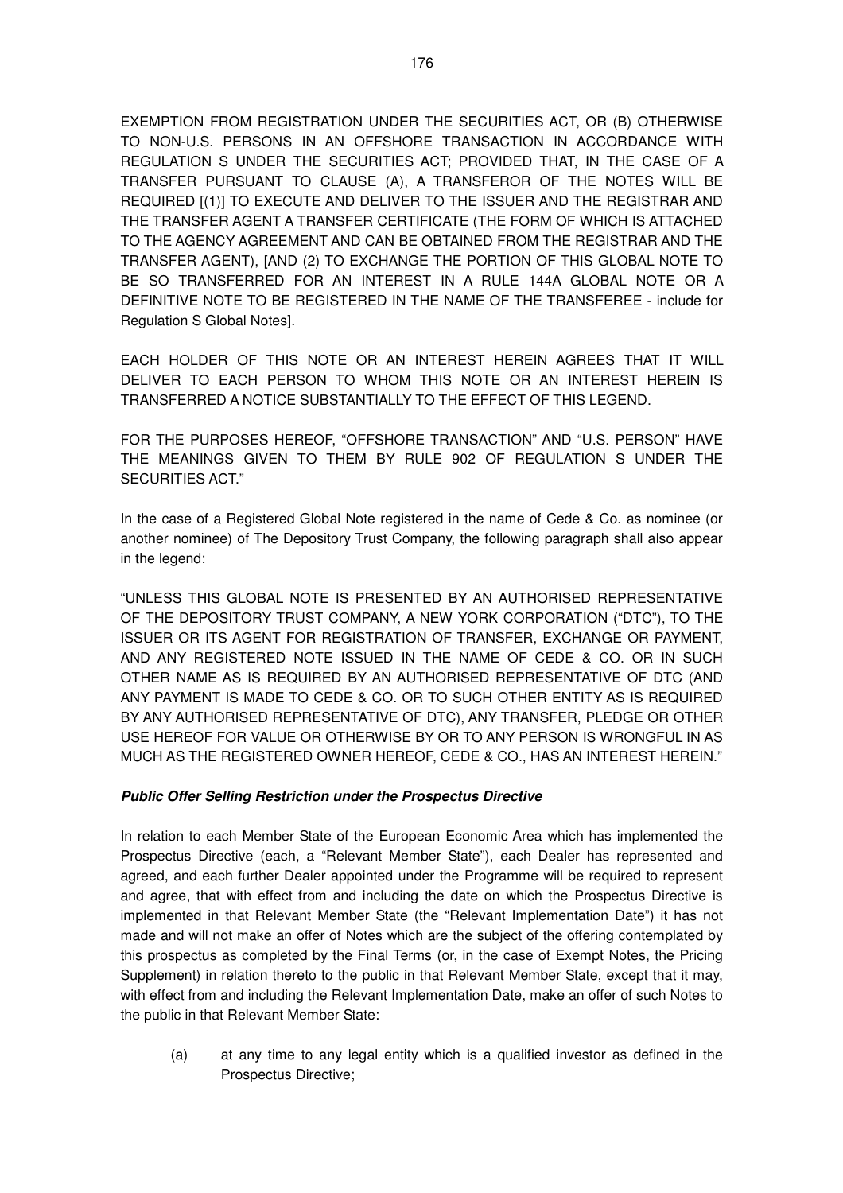EXEMPTION FROM REGISTRATION UNDER THE SECURITIES ACT, OR (B) OTHERWISE TO NON-U.S. PERSONS IN AN OFFSHORE TRANSACTION IN ACCORDANCE WITH REGULATION S UNDER THE SECURITIES ACT; PROVIDED THAT, IN THE CASE OF A TRANSFER PURSUANT TO CLAUSE (A), A TRANSFEROR OF THE NOTES WILL BE REQUIRED [(1)] TO EXECUTE AND DELIVER TO THE ISSUER AND THE REGISTRAR AND THE TRANSFER AGENT A TRANSFER CERTIFICATE (THE FORM OF WHICH IS ATTACHED TO THE AGENCY AGREEMENT AND CAN BE OBTAINED FROM THE REGISTRAR AND THE TRANSFER AGENT), [AND (2) TO EXCHANGE THE PORTION OF THIS GLOBAL NOTE TO BE SO TRANSFERRED FOR AN INTEREST IN A RULE 144A GLOBAL NOTE OR A DEFINITIVE NOTE TO BE REGISTERED IN THE NAME OF THE TRANSFEREE - include for Regulation S Global Notes].

EACH HOLDER OF THIS NOTE OR AN INTEREST HEREIN AGREES THAT IT WILL DELIVER TO EACH PERSON TO WHOM THIS NOTE OR AN INTEREST HEREIN IS TRANSFERRED A NOTICE SUBSTANTIALLY TO THE EFFECT OF THIS LEGEND.

FOR THE PURPOSES HEREOF, "OFFSHORE TRANSACTION" AND "U.S. PERSON" HAVE THE MEANINGS GIVEN TO THEM BY RULE 902 OF REGULATION S UNDER THE SECURITIES ACT."

In the case of a Registered Global Note registered in the name of Cede & Co. as nominee (or another nominee) of The Depository Trust Company, the following paragraph shall also appear in the legend:

"UNLESS THIS GLOBAL NOTE IS PRESENTED BY AN AUTHORISED REPRESENTATIVE OF THE DEPOSITORY TRUST COMPANY, A NEW YORK CORPORATION ("DTC"), TO THE ISSUER OR ITS AGENT FOR REGISTRATION OF TRANSFER, EXCHANGE OR PAYMENT, AND ANY REGISTERED NOTE ISSUED IN THE NAME OF CEDE & CO. OR IN SUCH OTHER NAME AS IS REQUIRED BY AN AUTHORISED REPRESENTATIVE OF DTC (AND ANY PAYMENT IS MADE TO CEDE & CO. OR TO SUCH OTHER ENTITY AS IS REQUIRED BY ANY AUTHORISED REPRESENTATIVE OF DTC), ANY TRANSFER, PLEDGE OR OTHER USE HEREOF FOR VALUE OR OTHERWISE BY OR TO ANY PERSON IS WRONGFUL IN AS MUCH AS THE REGISTERED OWNER HEREOF, CEDE & CO., HAS AN INTEREST HEREIN."

## **Public Offer Selling Restriction under the Prospectus Directive**

In relation to each Member State of the European Economic Area which has implemented the Prospectus Directive (each, a "Relevant Member State"), each Dealer has represented and agreed, and each further Dealer appointed under the Programme will be required to represent and agree, that with effect from and including the date on which the Prospectus Directive is implemented in that Relevant Member State (the "Relevant Implementation Date") it has not made and will not make an offer of Notes which are the subject of the offering contemplated by this prospectus as completed by the Final Terms (or, in the case of Exempt Notes, the Pricing Supplement) in relation thereto to the public in that Relevant Member State, except that it may, with effect from and including the Relevant Implementation Date, make an offer of such Notes to the public in that Relevant Member State:

(a) at any time to any legal entity which is a qualified investor as defined in the Prospectus Directive;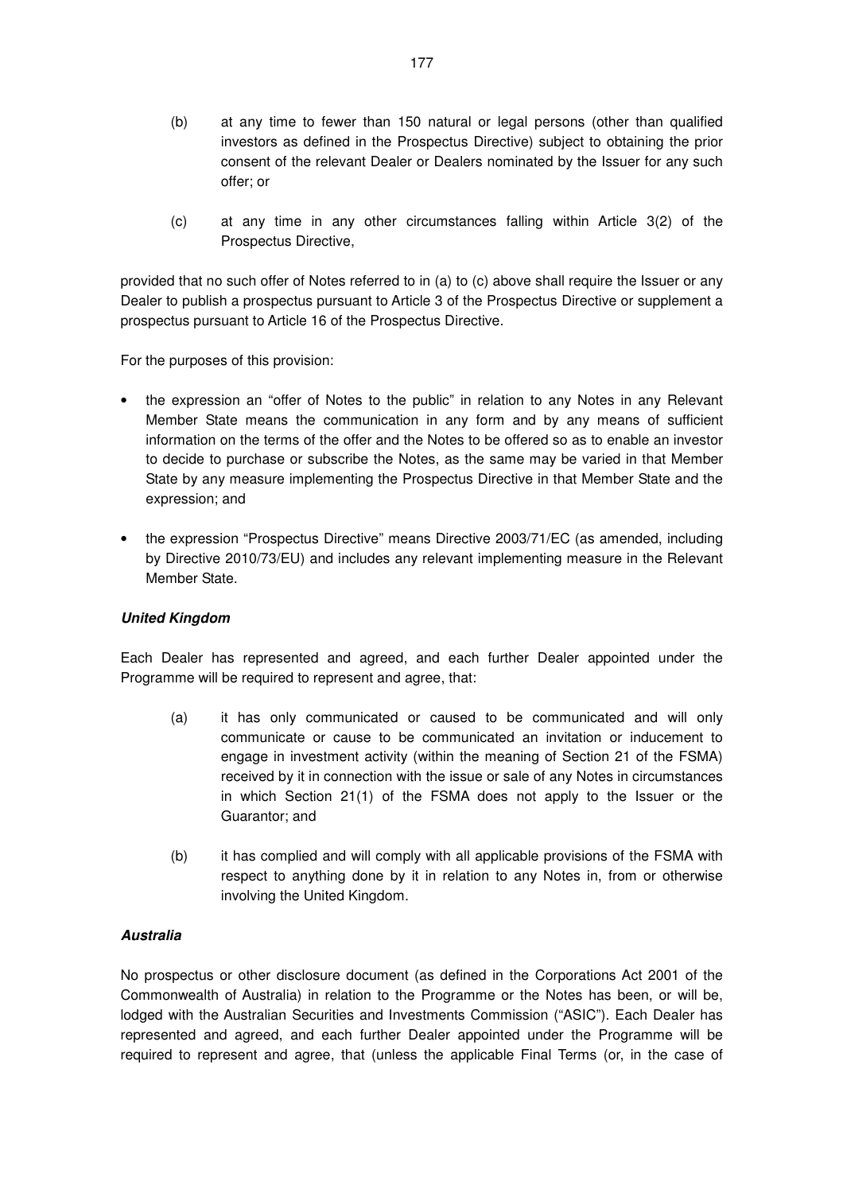- (b) at any time to fewer than 150 natural or legal persons (other than qualified investors as defined in the Prospectus Directive) subject to obtaining the prior consent of the relevant Dealer or Dealers nominated by the Issuer for any such offer; or
- (c) at any time in any other circumstances falling within Article 3(2) of the Prospectus Directive,

provided that no such offer of Notes referred to in (a) to (c) above shall require the Issuer or any Dealer to publish a prospectus pursuant to Article 3 of the Prospectus Directive or supplement a prospectus pursuant to Article 16 of the Prospectus Directive.

For the purposes of this provision:

- the expression an "offer of Notes to the public" in relation to any Notes in any Relevant Member State means the communication in any form and by any means of sufficient information on the terms of the offer and the Notes to be offered so as to enable an investor to decide to purchase or subscribe the Notes, as the same may be varied in that Member State by any measure implementing the Prospectus Directive in that Member State and the expression; and
- the expression "Prospectus Directive" means Directive 2003/71/EC (as amended, including by Directive 2010/73/EU) and includes any relevant implementing measure in the Relevant Member State.

## **United Kingdom**

Each Dealer has represented and agreed, and each further Dealer appointed under the Programme will be required to represent and agree, that:

- (a) it has only communicated or caused to be communicated and will only communicate or cause to be communicated an invitation or inducement to engage in investment activity (within the meaning of Section 21 of the FSMA) received by it in connection with the issue or sale of any Notes in circumstances in which Section 21(1) of the FSMA does not apply to the Issuer or the Guarantor; and
- (b) it has complied and will comply with all applicable provisions of the FSMA with respect to anything done by it in relation to any Notes in, from or otherwise involving the United Kingdom.

## **Australia**

No prospectus or other disclosure document (as defined in the Corporations Act 2001 of the Commonwealth of Australia) in relation to the Programme or the Notes has been, or will be, lodged with the Australian Securities and Investments Commission ("ASIC"). Each Dealer has represented and agreed, and each further Dealer appointed under the Programme will be required to represent and agree, that (unless the applicable Final Terms (or, in the case of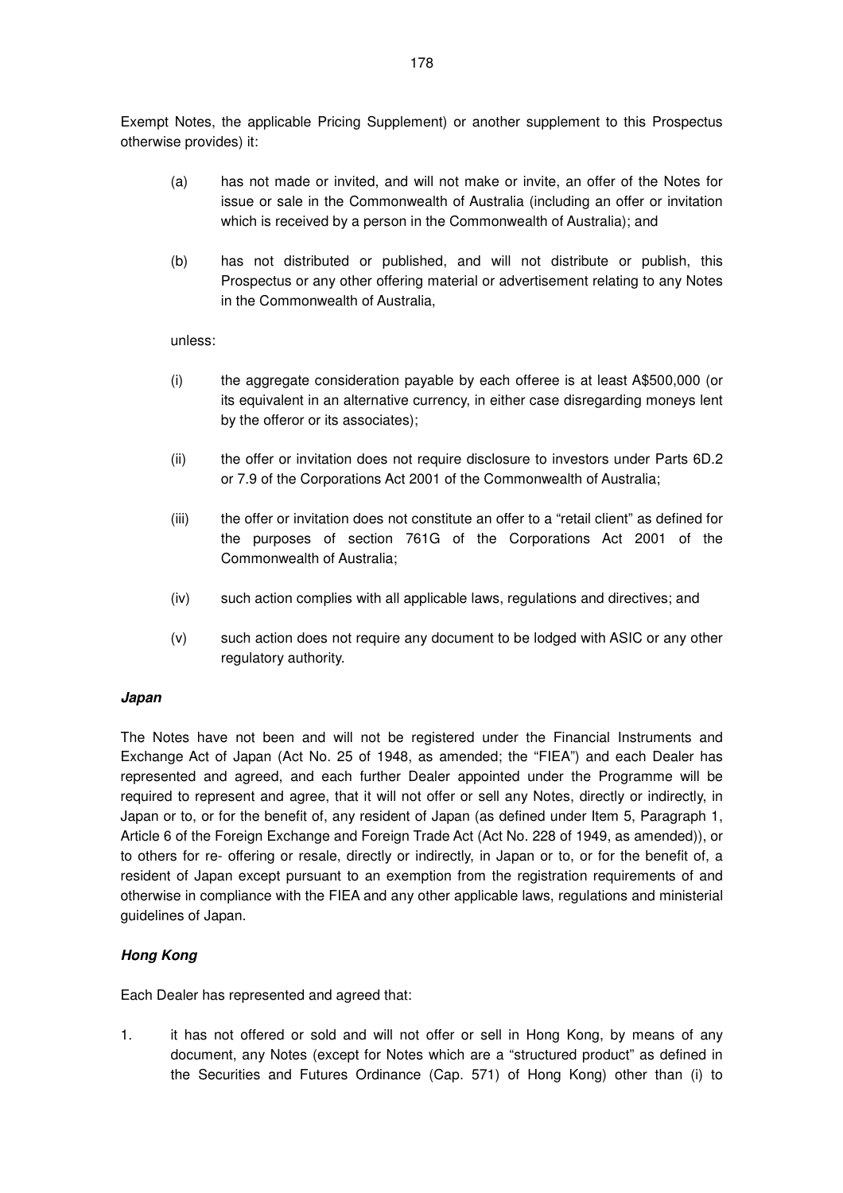Exempt Notes, the applicable Pricing Supplement) or another supplement to this Prospectus otherwise provides) it:

- (a) has not made or invited, and will not make or invite, an offer of the Notes for issue or sale in the Commonwealth of Australia (including an offer or invitation which is received by a person in the Commonwealth of Australia); and
- (b) has not distributed or published, and will not distribute or publish, this Prospectus or any other offering material or advertisement relating to any Notes in the Commonwealth of Australia,

unless:

- (i) the aggregate consideration payable by each offeree is at least A\$500,000 (or its equivalent in an alternative currency, in either case disregarding moneys lent by the offeror or its associates);
- (ii) the offer or invitation does not require disclosure to investors under Parts 6D.2 or 7.9 of the Corporations Act 2001 of the Commonwealth of Australia;
- (iii) the offer or invitation does not constitute an offer to a "retail client" as defined for the purposes of section 761G of the Corporations Act 2001 of the Commonwealth of Australia;
- (iv) such action complies with all applicable laws, regulations and directives; and
- (v) such action does not require any document to be lodged with ASIC or any other regulatory authority.

#### **Japan**

The Notes have not been and will not be registered under the Financial Instruments and Exchange Act of Japan (Act No. 25 of 1948, as amended; the "FIEA") and each Dealer has represented and agreed, and each further Dealer appointed under the Programme will be required to represent and agree, that it will not offer or sell any Notes, directly or indirectly, in Japan or to, or for the benefit of, any resident of Japan (as defined under Item 5, Paragraph 1, Article 6 of the Foreign Exchange and Foreign Trade Act (Act No. 228 of 1949, as amended)), or to others for re- offering or resale, directly or indirectly, in Japan or to, or for the benefit of, a resident of Japan except pursuant to an exemption from the registration requirements of and otherwise in compliance with the FIEA and any other applicable laws, regulations and ministerial guidelines of Japan.

#### **Hong Kong**

Each Dealer has represented and agreed that:

1. it has not offered or sold and will not offer or sell in Hong Kong, by means of any document, any Notes (except for Notes which are a "structured product" as defined in the Securities and Futures Ordinance (Cap. 571) of Hong Kong) other than (i) to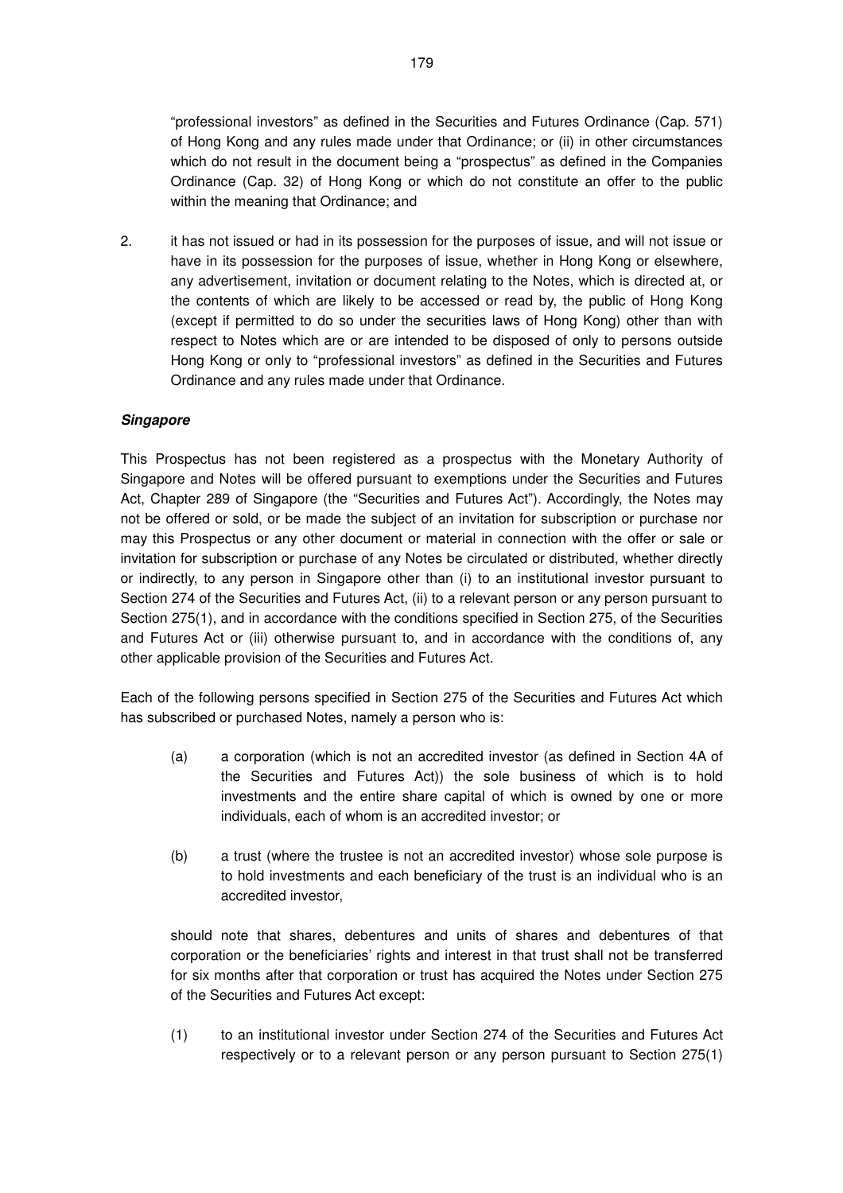"professional investors" as defined in the Securities and Futures Ordinance (Cap. 571) of Hong Kong and any rules made under that Ordinance; or (ii) in other circumstances which do not result in the document being a "prospectus" as defined in the Companies Ordinance (Cap. 32) of Hong Kong or which do not constitute an offer to the public within the meaning that Ordinance; and

2. it has not issued or had in its possession for the purposes of issue, and will not issue or have in its possession for the purposes of issue, whether in Hong Kong or elsewhere, any advertisement, invitation or document relating to the Notes, which is directed at, or the contents of which are likely to be accessed or read by, the public of Hong Kong (except if permitted to do so under the securities laws of Hong Kong) other than with respect to Notes which are or are intended to be disposed of only to persons outside Hong Kong or only to "professional investors" as defined in the Securities and Futures Ordinance and any rules made under that Ordinance.

## **Singapore**

This Prospectus has not been registered as a prospectus with the Monetary Authority of Singapore and Notes will be offered pursuant to exemptions under the Securities and Futures Act, Chapter 289 of Singapore (the "Securities and Futures Act"). Accordingly, the Notes may not be offered or sold, or be made the subject of an invitation for subscription or purchase nor may this Prospectus or any other document or material in connection with the offer or sale or invitation for subscription or purchase of any Notes be circulated or distributed, whether directly or indirectly, to any person in Singapore other than (i) to an institutional investor pursuant to Section 274 of the Securities and Futures Act, (ii) to a relevant person or any person pursuant to Section 275(1), and in accordance with the conditions specified in Section 275, of the Securities and Futures Act or (iii) otherwise pursuant to, and in accordance with the conditions of, any other applicable provision of the Securities and Futures Act.

Each of the following persons specified in Section 275 of the Securities and Futures Act which has subscribed or purchased Notes, namely a person who is:

- (a) a corporation (which is not an accredited investor (as defined in Section 4A of the Securities and Futures Act)) the sole business of which is to hold investments and the entire share capital of which is owned by one or more individuals, each of whom is an accredited investor; or
- (b) a trust (where the trustee is not an accredited investor) whose sole purpose is to hold investments and each beneficiary of the trust is an individual who is an accredited investor,

should note that shares, debentures and units of shares and debentures of that corporation or the beneficiaries' rights and interest in that trust shall not be transferred for six months after that corporation or trust has acquired the Notes under Section 275 of the Securities and Futures Act except:

(1) to an institutional investor under Section 274 of the Securities and Futures Act respectively or to a relevant person or any person pursuant to Section 275(1)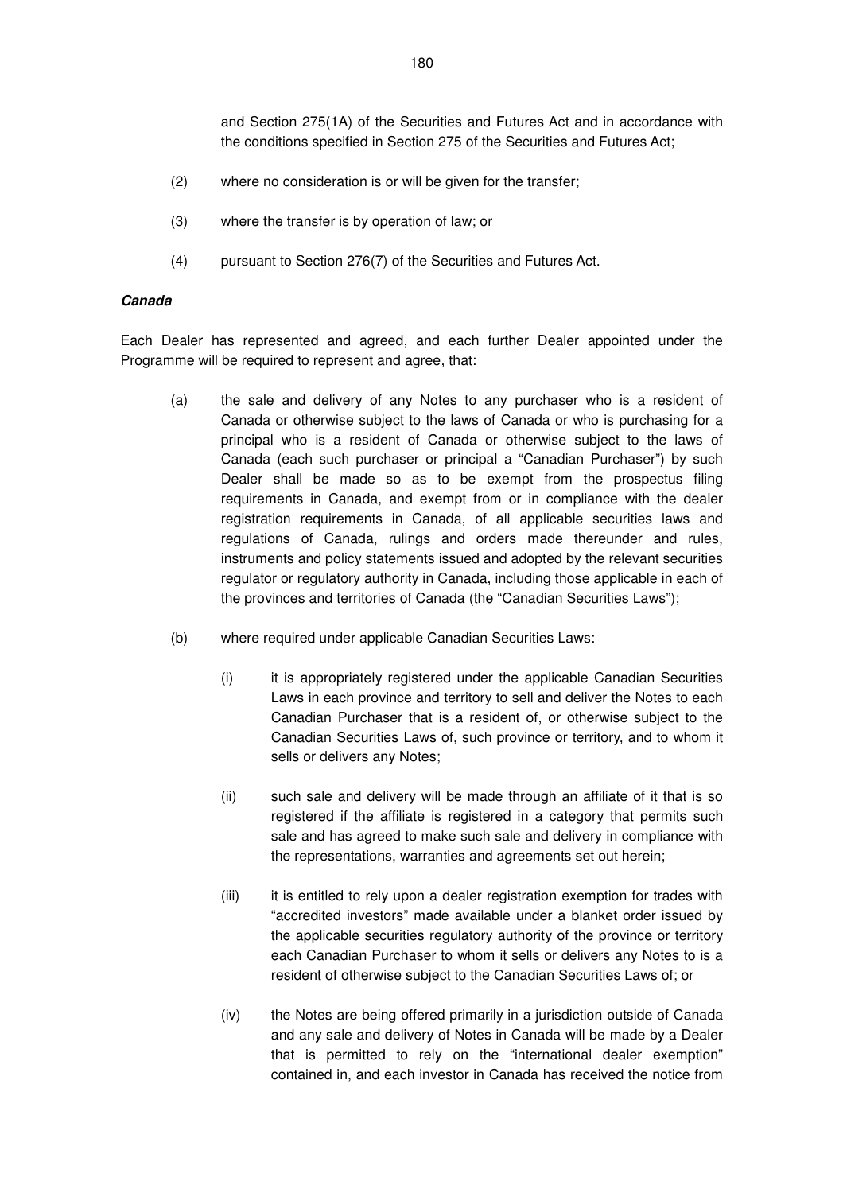and Section 275(1A) of the Securities and Futures Act and in accordance with the conditions specified in Section 275 of the Securities and Futures Act;

- (2) where no consideration is or will be given for the transfer;
- (3) where the transfer is by operation of law; or
- (4) pursuant to Section 276(7) of the Securities and Futures Act.

#### **Canada**

Each Dealer has represented and agreed, and each further Dealer appointed under the Programme will be required to represent and agree, that:

- (a) the sale and delivery of any Notes to any purchaser who is a resident of Canada or otherwise subject to the laws of Canada or who is purchasing for a principal who is a resident of Canada or otherwise subject to the laws of Canada (each such purchaser or principal a "Canadian Purchaser") by such Dealer shall be made so as to be exempt from the prospectus filing requirements in Canada, and exempt from or in compliance with the dealer registration requirements in Canada, of all applicable securities laws and regulations of Canada, rulings and orders made thereunder and rules, instruments and policy statements issued and adopted by the relevant securities regulator or regulatory authority in Canada, including those applicable in each of the provinces and territories of Canada (the "Canadian Securities Laws");
- (b) where required under applicable Canadian Securities Laws:
	- (i) it is appropriately registered under the applicable Canadian Securities Laws in each province and territory to sell and deliver the Notes to each Canadian Purchaser that is a resident of, or otherwise subject to the Canadian Securities Laws of, such province or territory, and to whom it sells or delivers any Notes;
	- (ii) such sale and delivery will be made through an affiliate of it that is so registered if the affiliate is registered in a category that permits such sale and has agreed to make such sale and delivery in compliance with the representations, warranties and agreements set out herein;
	- (iii) it is entitled to rely upon a dealer registration exemption for trades with "accredited investors" made available under a blanket order issued by the applicable securities regulatory authority of the province or territory each Canadian Purchaser to whom it sells or delivers any Notes to is a resident of otherwise subject to the Canadian Securities Laws of; or
	- (iv) the Notes are being offered primarily in a jurisdiction outside of Canada and any sale and delivery of Notes in Canada will be made by a Dealer that is permitted to rely on the "international dealer exemption" contained in, and each investor in Canada has received the notice from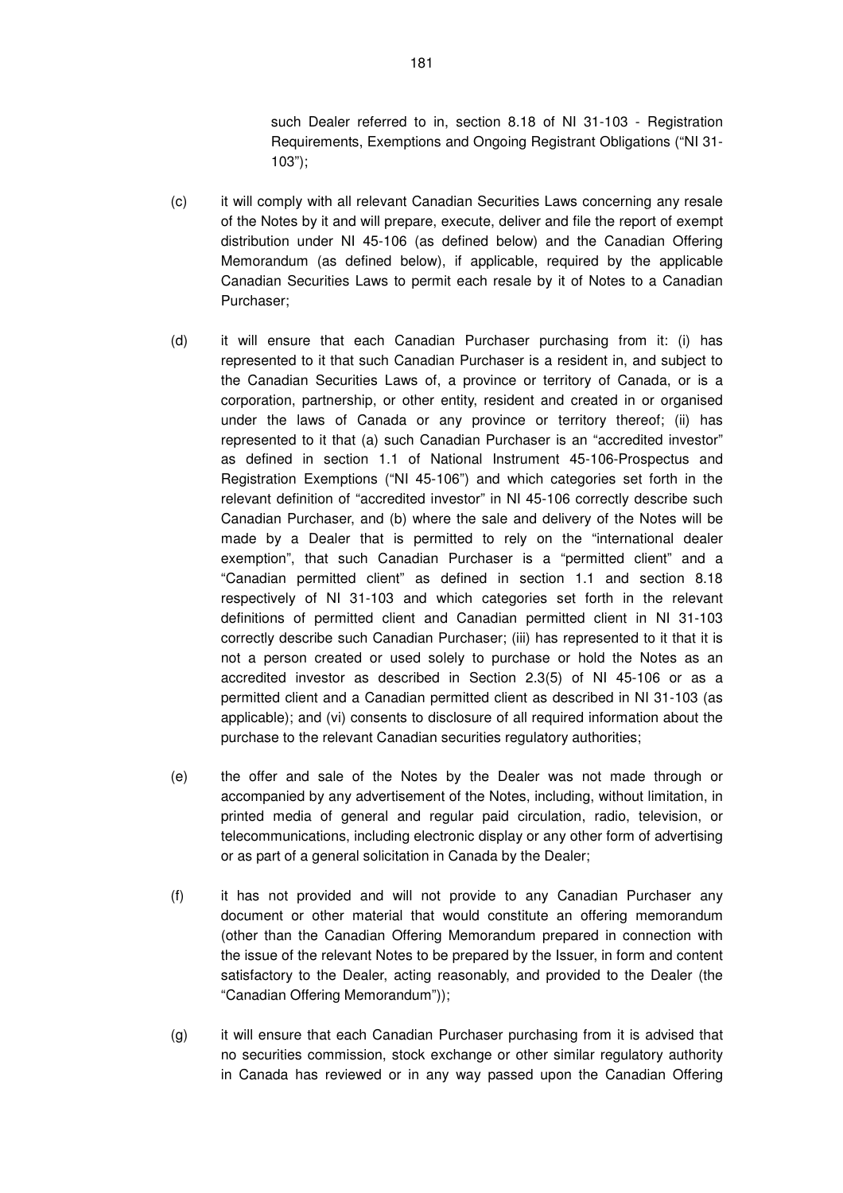such Dealer referred to in, section 8.18 of NI 31-103 - Registration Requirements, Exemptions and Ongoing Registrant Obligations ("NI 31- 103");

- (c) it will comply with all relevant Canadian Securities Laws concerning any resale of the Notes by it and will prepare, execute, deliver and file the report of exempt distribution under NI 45-106 (as defined below) and the Canadian Offering Memorandum (as defined below), if applicable, required by the applicable Canadian Securities Laws to permit each resale by it of Notes to a Canadian Purchaser;
- (d) it will ensure that each Canadian Purchaser purchasing from it: (i) has represented to it that such Canadian Purchaser is a resident in, and subject to the Canadian Securities Laws of, a province or territory of Canada, or is a corporation, partnership, or other entity, resident and created in or organised under the laws of Canada or any province or territory thereof; (ii) has represented to it that (a) such Canadian Purchaser is an "accredited investor" as defined in section 1.1 of National Instrument 45-106-Prospectus and Registration Exemptions ("NI 45-106") and which categories set forth in the relevant definition of "accredited investor" in NI 45-106 correctly describe such Canadian Purchaser, and (b) where the sale and delivery of the Notes will be made by a Dealer that is permitted to rely on the "international dealer exemption", that such Canadian Purchaser is a "permitted client" and a "Canadian permitted client" as defined in section 1.1 and section 8.18 respectively of NI 31-103 and which categories set forth in the relevant definitions of permitted client and Canadian permitted client in NI 31-103 correctly describe such Canadian Purchaser; (iii) has represented to it that it is not a person created or used solely to purchase or hold the Notes as an accredited investor as described in Section 2.3(5) of NI 45-106 or as a permitted client and a Canadian permitted client as described in NI 31-103 (as applicable); and (vi) consents to disclosure of all required information about the purchase to the relevant Canadian securities regulatory authorities;
- (e) the offer and sale of the Notes by the Dealer was not made through or accompanied by any advertisement of the Notes, including, without limitation, in printed media of general and regular paid circulation, radio, television, or telecommunications, including electronic display or any other form of advertising or as part of a general solicitation in Canada by the Dealer;
- (f) it has not provided and will not provide to any Canadian Purchaser any document or other material that would constitute an offering memorandum (other than the Canadian Offering Memorandum prepared in connection with the issue of the relevant Notes to be prepared by the Issuer, in form and content satisfactory to the Dealer, acting reasonably, and provided to the Dealer (the "Canadian Offering Memorandum"));
- (g) it will ensure that each Canadian Purchaser purchasing from it is advised that no securities commission, stock exchange or other similar regulatory authority in Canada has reviewed or in any way passed upon the Canadian Offering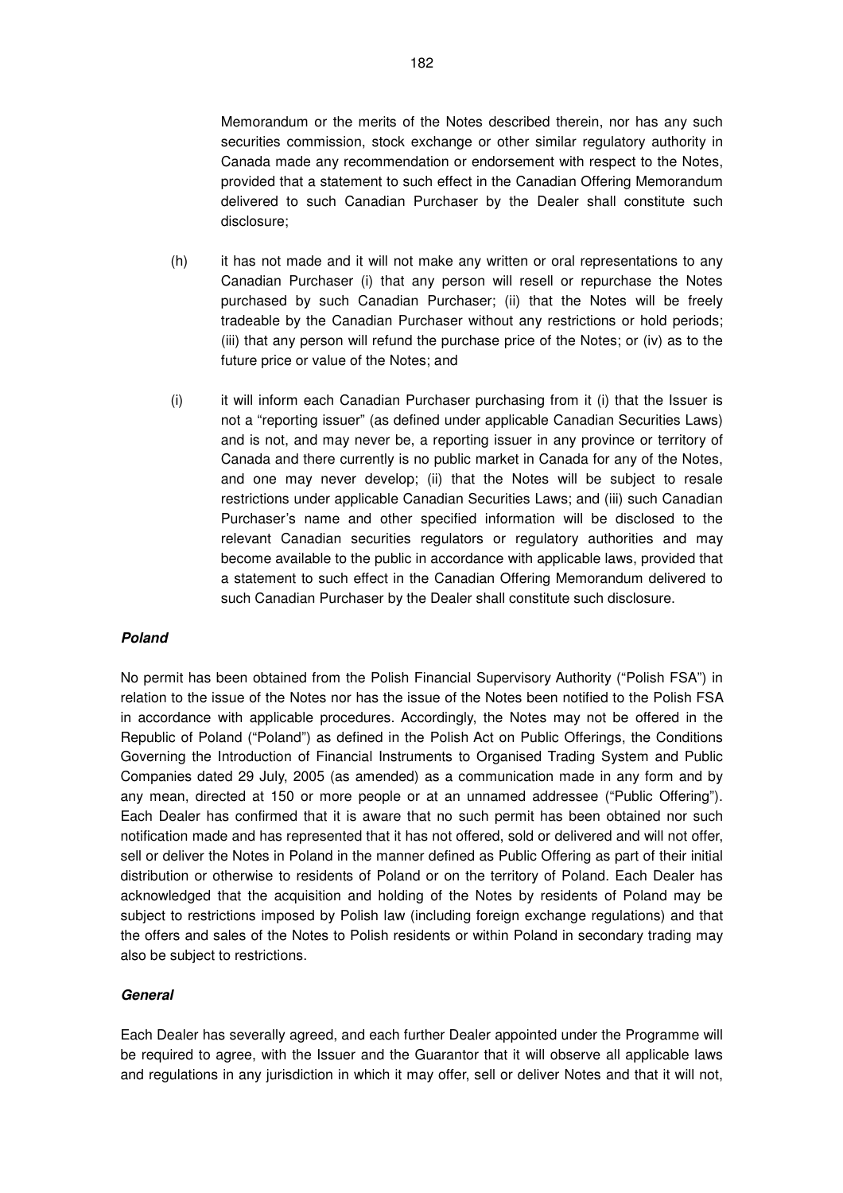Memorandum or the merits of the Notes described therein, nor has any such securities commission, stock exchange or other similar regulatory authority in Canada made any recommendation or endorsement with respect to the Notes, provided that a statement to such effect in the Canadian Offering Memorandum delivered to such Canadian Purchaser by the Dealer shall constitute such disclosure;

- (h) it has not made and it will not make any written or oral representations to any Canadian Purchaser (i) that any person will resell or repurchase the Notes purchased by such Canadian Purchaser; (ii) that the Notes will be freely tradeable by the Canadian Purchaser without any restrictions or hold periods; (iii) that any person will refund the purchase price of the Notes; or (iv) as to the future price or value of the Notes; and
- (i) it will inform each Canadian Purchaser purchasing from it (i) that the Issuer is not a "reporting issuer" (as defined under applicable Canadian Securities Laws) and is not, and may never be, a reporting issuer in any province or territory of Canada and there currently is no public market in Canada for any of the Notes, and one may never develop; (ii) that the Notes will be subject to resale restrictions under applicable Canadian Securities Laws; and (iii) such Canadian Purchaser's name and other specified information will be disclosed to the relevant Canadian securities regulators or regulatory authorities and may become available to the public in accordance with applicable laws, provided that a statement to such effect in the Canadian Offering Memorandum delivered to such Canadian Purchaser by the Dealer shall constitute such disclosure.

## **Poland**

No permit has been obtained from the Polish Financial Supervisory Authority ("Polish FSA") in relation to the issue of the Notes nor has the issue of the Notes been notified to the Polish FSA in accordance with applicable procedures. Accordingly, the Notes may not be offered in the Republic of Poland ("Poland") as defined in the Polish Act on Public Offerings, the Conditions Governing the Introduction of Financial Instruments to Organised Trading System and Public Companies dated 29 July, 2005 (as amended) as a communication made in any form and by any mean, directed at 150 or more people or at an unnamed addressee ("Public Offering"). Each Dealer has confirmed that it is aware that no such permit has been obtained nor such notification made and has represented that it has not offered, sold or delivered and will not offer, sell or deliver the Notes in Poland in the manner defined as Public Offering as part of their initial distribution or otherwise to residents of Poland or on the territory of Poland. Each Dealer has acknowledged that the acquisition and holding of the Notes by residents of Poland may be subject to restrictions imposed by Polish law (including foreign exchange regulations) and that the offers and sales of the Notes to Polish residents or within Poland in secondary trading may also be subject to restrictions.

#### **General**

Each Dealer has severally agreed, and each further Dealer appointed under the Programme will be required to agree, with the Issuer and the Guarantor that it will observe all applicable laws and regulations in any jurisdiction in which it may offer, sell or deliver Notes and that it will not,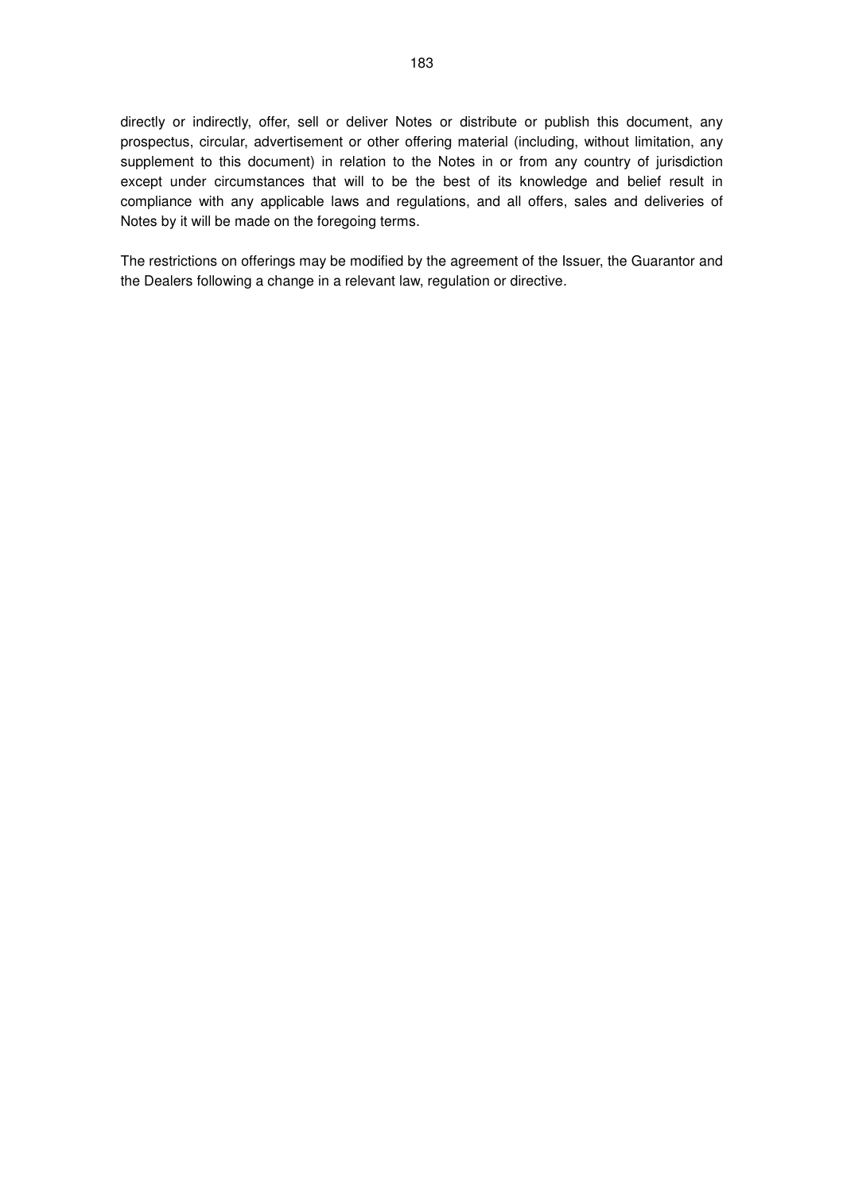directly or indirectly, offer, sell or deliver Notes or distribute or publish this document, any prospectus, circular, advertisement or other offering material (including, without limitation, any supplement to this document) in relation to the Notes in or from any country of jurisdiction except under circumstances that will to be the best of its knowledge and belief result in compliance with any applicable laws and regulations, and all offers, sales and deliveries of Notes by it will be made on the foregoing terms.

The restrictions on offerings may be modified by the agreement of the Issuer, the Guarantor and the Dealers following a change in a relevant law, regulation or directive.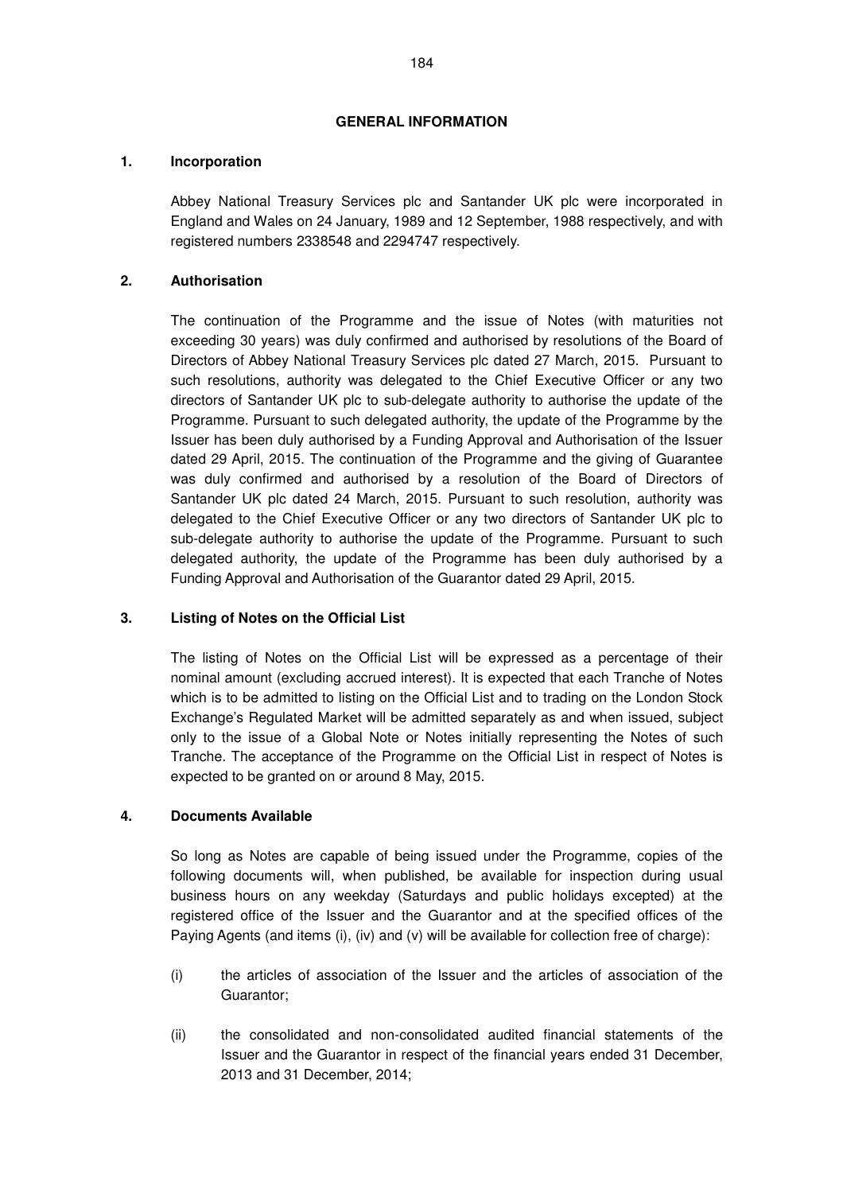## **GENERAL INFORMATION**

## **1. Incorporation**

Abbey National Treasury Services plc and Santander UK plc were incorporated in England and Wales on 24 January, 1989 and 12 September, 1988 respectively, and with registered numbers 2338548 and 2294747 respectively.

## **2. Authorisation**

The continuation of the Programme and the issue of Notes (with maturities not exceeding 30 years) was duly confirmed and authorised by resolutions of the Board of Directors of Abbey National Treasury Services plc dated 27 March, 2015. Pursuant to such resolutions, authority was delegated to the Chief Executive Officer or any two directors of Santander UK plc to sub-delegate authority to authorise the update of the Programme. Pursuant to such delegated authority, the update of the Programme by the Issuer has been duly authorised by a Funding Approval and Authorisation of the Issuer dated 29 April, 2015. The continuation of the Programme and the giving of Guarantee was duly confirmed and authorised by a resolution of the Board of Directors of Santander UK plc dated 24 March, 2015. Pursuant to such resolution, authority was delegated to the Chief Executive Officer or any two directors of Santander UK plc to sub-delegate authority to authorise the update of the Programme. Pursuant to such delegated authority, the update of the Programme has been duly authorised by a Funding Approval and Authorisation of the Guarantor dated 29 April, 2015.

## **3. Listing of Notes on the Official List**

The listing of Notes on the Official List will be expressed as a percentage of their nominal amount (excluding accrued interest). It is expected that each Tranche of Notes which is to be admitted to listing on the Official List and to trading on the London Stock Exchange's Regulated Market will be admitted separately as and when issued, subject only to the issue of a Global Note or Notes initially representing the Notes of such Tranche. The acceptance of the Programme on the Official List in respect of Notes is expected to be granted on or around 8 May, 2015.

## **4. Documents Available**

So long as Notes are capable of being issued under the Programme, copies of the following documents will, when published, be available for inspection during usual business hours on any weekday (Saturdays and public holidays excepted) at the registered office of the Issuer and the Guarantor and at the specified offices of the Paying Agents (and items (i), (iv) and (v) will be available for collection free of charge):

- (i) the articles of association of the Issuer and the articles of association of the Guarantor;
- (ii) the consolidated and non-consolidated audited financial statements of the Issuer and the Guarantor in respect of the financial years ended 31 December, 2013 and 31 December, 2014;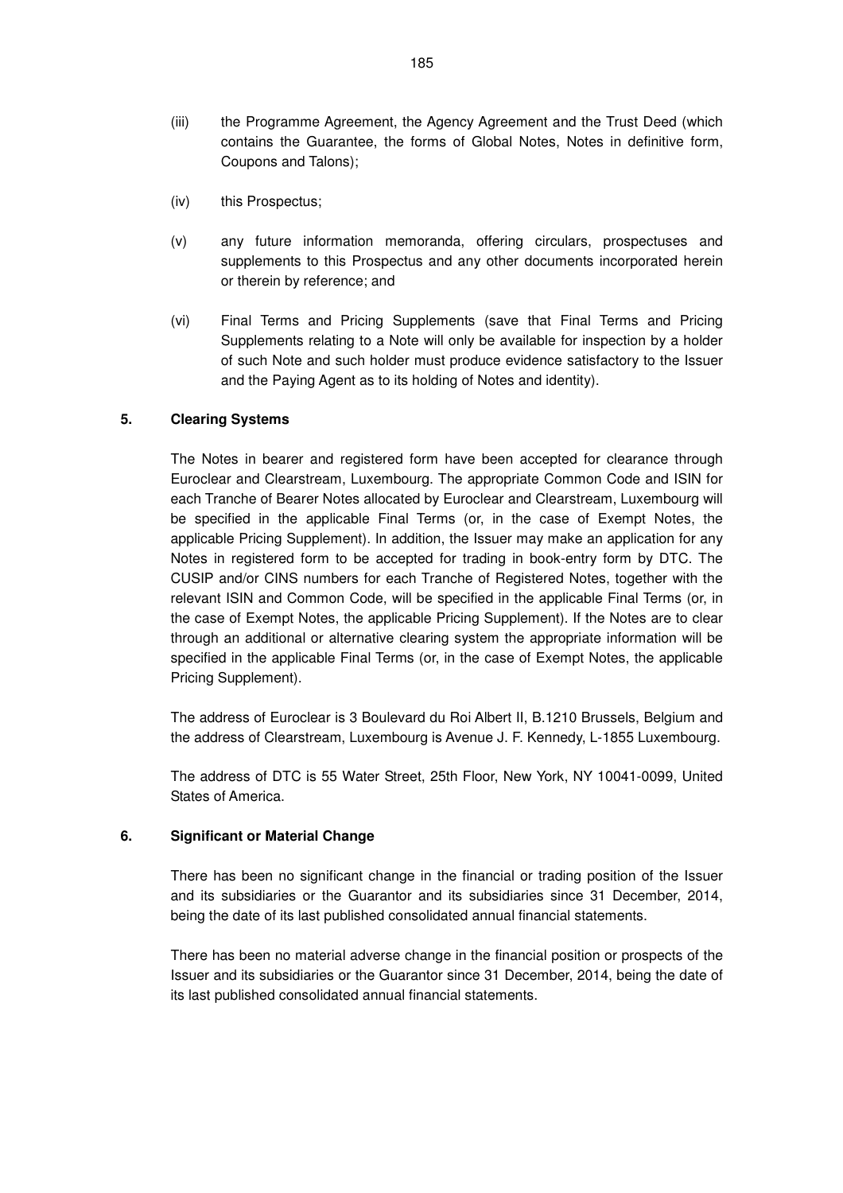- (iii) the Programme Agreement, the Agency Agreement and the Trust Deed (which contains the Guarantee, the forms of Global Notes, Notes in definitive form, Coupons and Talons);
- (iv) this Prospectus;
- (v) any future information memoranda, offering circulars, prospectuses and supplements to this Prospectus and any other documents incorporated herein or therein by reference; and
- (vi) Final Terms and Pricing Supplements (save that Final Terms and Pricing Supplements relating to a Note will only be available for inspection by a holder of such Note and such holder must produce evidence satisfactory to the Issuer and the Paying Agent as to its holding of Notes and identity).

## **5. Clearing Systems**

The Notes in bearer and registered form have been accepted for clearance through Euroclear and Clearstream, Luxembourg. The appropriate Common Code and ISIN for each Tranche of Bearer Notes allocated by Euroclear and Clearstream, Luxembourg will be specified in the applicable Final Terms (or, in the case of Exempt Notes, the applicable Pricing Supplement). In addition, the Issuer may make an application for any Notes in registered form to be accepted for trading in book-entry form by DTC. The CUSIP and/or CINS numbers for each Tranche of Registered Notes, together with the relevant ISIN and Common Code, will be specified in the applicable Final Terms (or, in the case of Exempt Notes, the applicable Pricing Supplement). If the Notes are to clear through an additional or alternative clearing system the appropriate information will be specified in the applicable Final Terms (or, in the case of Exempt Notes, the applicable Pricing Supplement).

The address of Euroclear is 3 Boulevard du Roi Albert II, B.1210 Brussels, Belgium and the address of Clearstream, Luxembourg is Avenue J. F. Kennedy, L-1855 Luxembourg.

The address of DTC is 55 Water Street, 25th Floor, New York, NY 10041-0099, United States of America.

#### **6. Significant or Material Change**

There has been no significant change in the financial or trading position of the Issuer and its subsidiaries or the Guarantor and its subsidiaries since 31 December, 2014, being the date of its last published consolidated annual financial statements.

There has been no material adverse change in the financial position or prospects of the Issuer and its subsidiaries or the Guarantor since 31 December, 2014, being the date of its last published consolidated annual financial statements.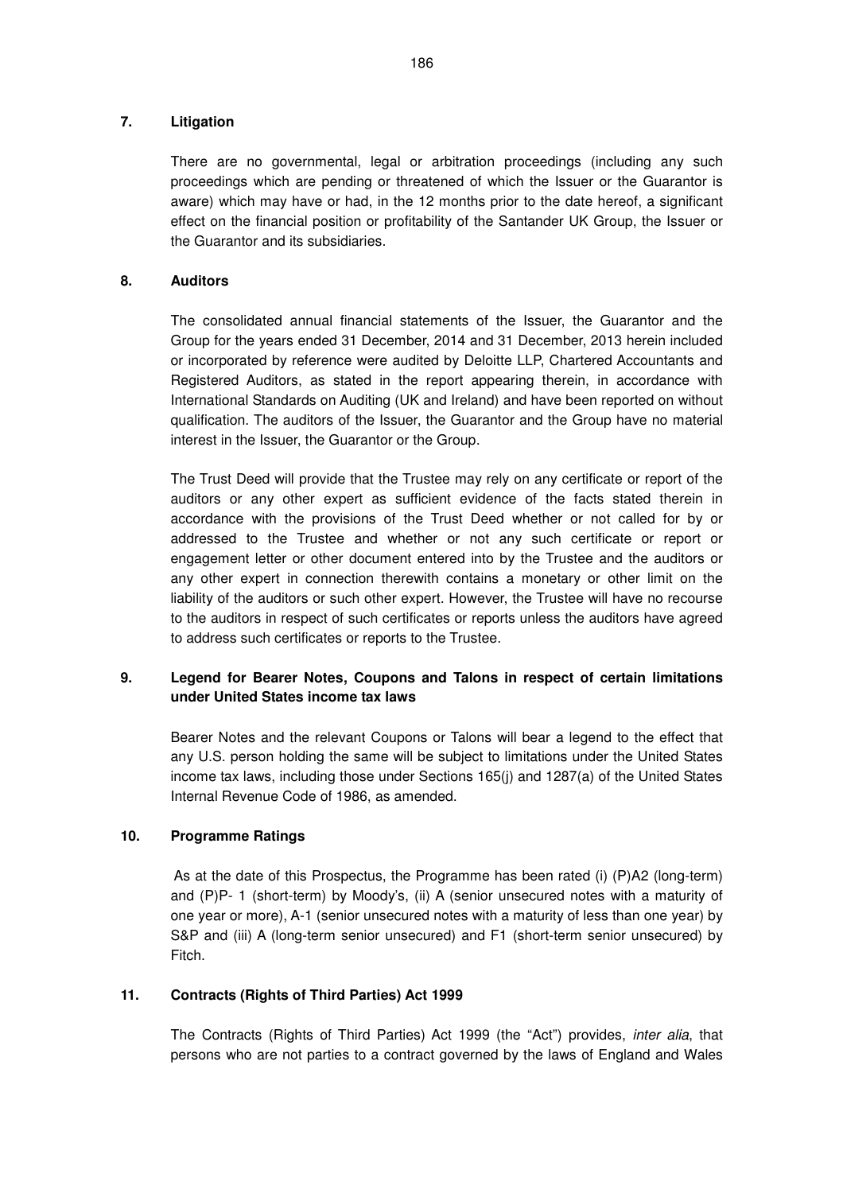## **7. Litigation**

There are no governmental, legal or arbitration proceedings (including any such proceedings which are pending or threatened of which the Issuer or the Guarantor is aware) which may have or had, in the 12 months prior to the date hereof, a significant effect on the financial position or profitability of the Santander UK Group, the Issuer or the Guarantor and its subsidiaries.

## **8. Auditors**

The consolidated annual financial statements of the Issuer, the Guarantor and the Group for the years ended 31 December, 2014 and 31 December, 2013 herein included or incorporated by reference were audited by Deloitte LLP, Chartered Accountants and Registered Auditors, as stated in the report appearing therein, in accordance with International Standards on Auditing (UK and Ireland) and have been reported on without qualification. The auditors of the Issuer, the Guarantor and the Group have no material interest in the Issuer, the Guarantor or the Group.

The Trust Deed will provide that the Trustee may rely on any certificate or report of the auditors or any other expert as sufficient evidence of the facts stated therein in accordance with the provisions of the Trust Deed whether or not called for by or addressed to the Trustee and whether or not any such certificate or report or engagement letter or other document entered into by the Trustee and the auditors or any other expert in connection therewith contains a monetary or other limit on the liability of the auditors or such other expert. However, the Trustee will have no recourse to the auditors in respect of such certificates or reports unless the auditors have agreed to address such certificates or reports to the Trustee.

## **9. Legend for Bearer Notes, Coupons and Talons in respect of certain limitations under United States income tax laws**

Bearer Notes and the relevant Coupons or Talons will bear a legend to the effect that any U.S. person holding the same will be subject to limitations under the United States income tax laws, including those under Sections 165(j) and 1287(a) of the United States Internal Revenue Code of 1986, as amended.

## **10. Programme Ratings**

 As at the date of this Prospectus, the Programme has been rated (i) (P)A2 (long-term) and (P)P- 1 (short-term) by Moody's, (ii) A (senior unsecured notes with a maturity of one year or more), A-1 (senior unsecured notes with a maturity of less than one year) by S&P and (iii) A (long-term senior unsecured) and F1 (short-term senior unsecured) by Fitch.

## **11. Contracts (Rights of Third Parties) Act 1999**

The Contracts (Rights of Third Parties) Act 1999 (the "Act") provides, inter alia, that persons who are not parties to a contract governed by the laws of England and Wales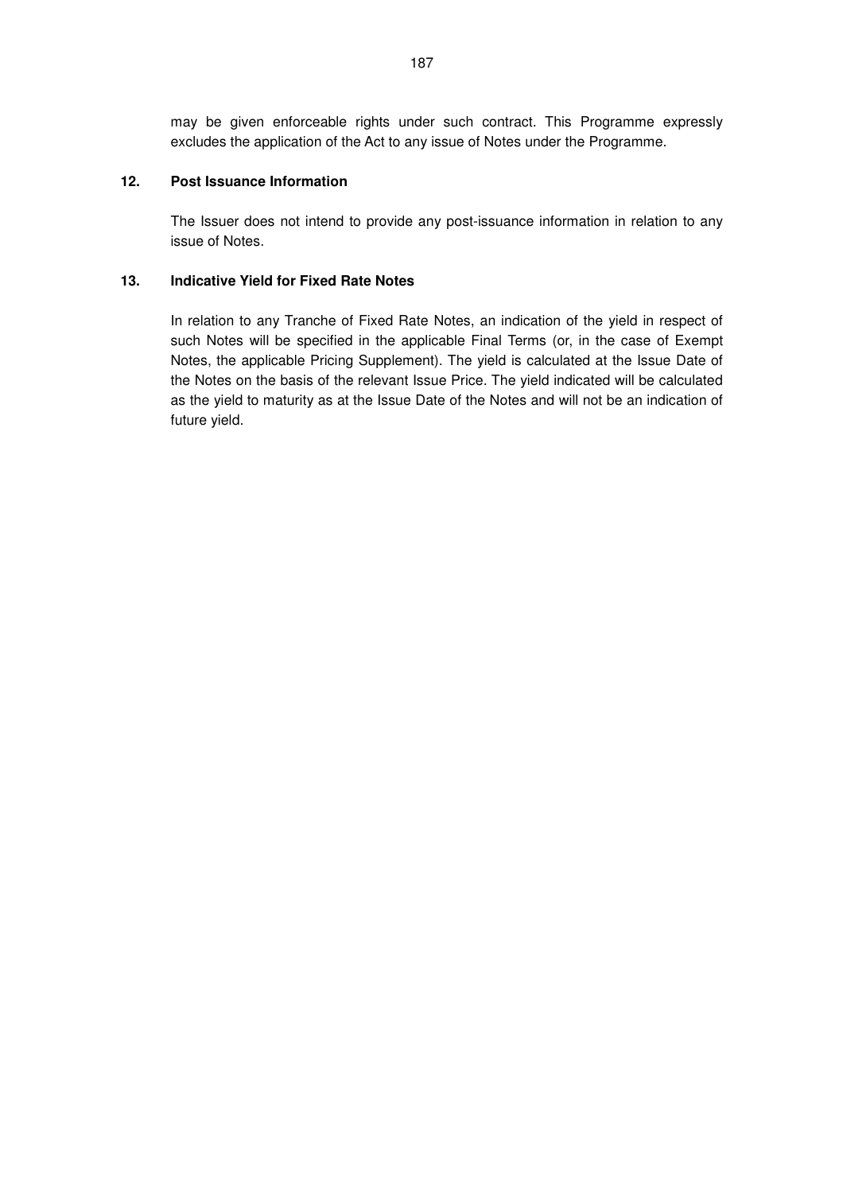may be given enforceable rights under such contract. This Programme expressly excludes the application of the Act to any issue of Notes under the Programme.

## **12. Post Issuance Information**

The Issuer does not intend to provide any post-issuance information in relation to any issue of Notes.

## **13. Indicative Yield for Fixed Rate Notes**

In relation to any Tranche of Fixed Rate Notes, an indication of the yield in respect of such Notes will be specified in the applicable Final Terms (or, in the case of Exempt Notes, the applicable Pricing Supplement). The yield is calculated at the Issue Date of the Notes on the basis of the relevant Issue Price. The yield indicated will be calculated as the yield to maturity as at the Issue Date of the Notes and will not be an indication of future yield.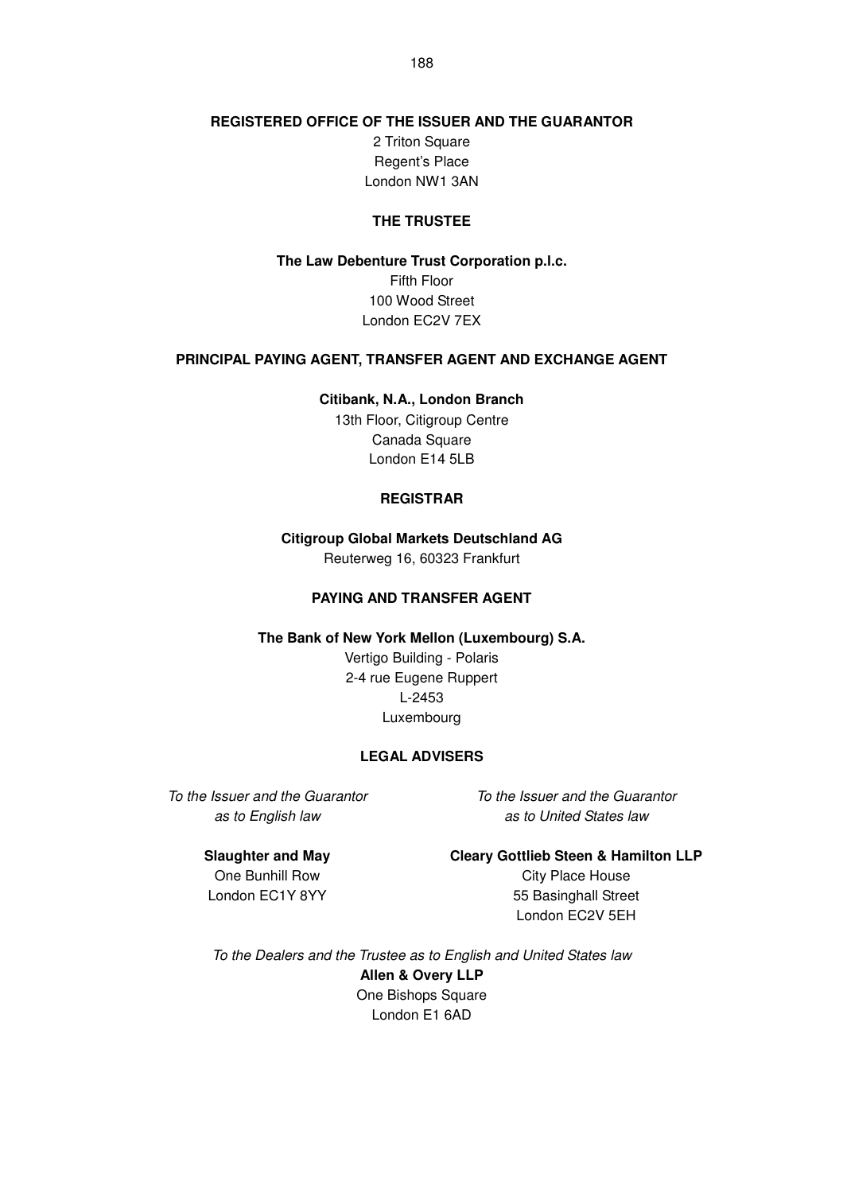## **REGISTERED OFFICE OF THE ISSUER AND THE GUARANTOR**

2 Triton Square Regent's Place London NW1 3AN

#### **THE TRUSTEE**

**The Law Debenture Trust Corporation p.l.c.**  Fifth Floor 100 Wood Street London EC2V 7EX

## **PRINCIPAL PAYING AGENT, TRANSFER AGENT AND EXCHANGE AGENT**

**Citibank, N.A., London Branch** 

13th Floor, Citigroup Centre Canada Square London E14 5LB

#### **REGISTRAR**

**Citigroup Global Markets Deutschland AG** 

Reuterweg 16, 60323 Frankfurt

## **PAYING AND TRANSFER AGENT**

**The Bank of New York Mellon (Luxembourg) S.A.** 

Vertigo Building - Polaris 2-4 rue Eugene Ruppert L-2453 Luxembourg

#### **LEGAL ADVISERS**

To the Issuer and the Guarantor as to English law

To the Issuer and the Guarantor as to United States law

#### **Slaughter and May**

**Cleary Gottlieb Steen & Hamilton LLP**

One Bunhill Row London EC1Y 8YY

City Place House 55 Basinghall Street London EC2V 5EH

To the Dealers and the Trustee as to English and United States law **Allen & Overy LLP** One Bishops Square

London E1 6AD